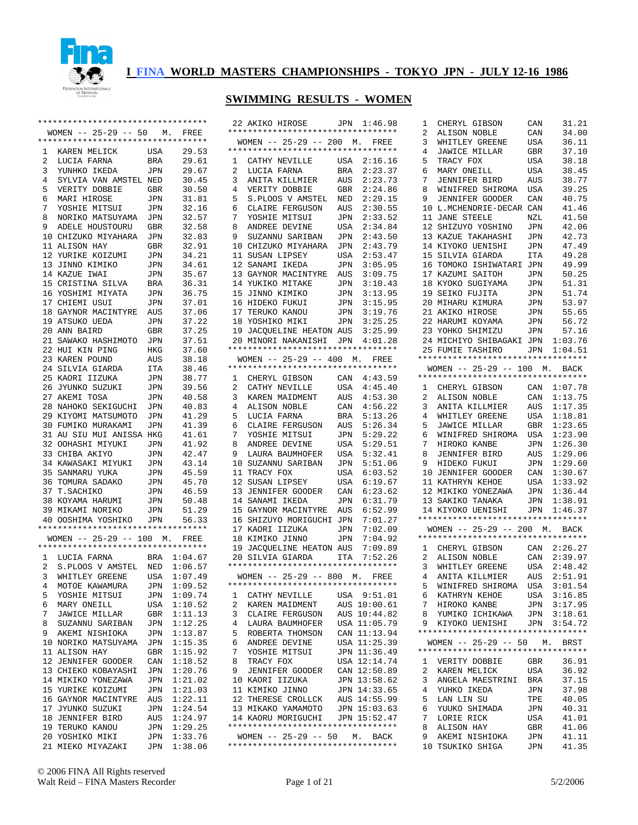

#### **SWIMMING RESULTS - WOMEN**

22 AKIKO HIROSE JPN 1:46.98

|                                | **********************************                         |                   |                    |
|--------------------------------|------------------------------------------------------------|-------------------|--------------------|
|                                | WOMEN -- 25-29 -- 50 M. FREE                               |                   |                    |
|                                | **********************************                         |                   |                    |
| $\mathbf{1}$<br>$\overline{a}$ | KAREN MELICK                                               | USA<br><b>BRA</b> | 29.53<br>29.61     |
| $\mathbf{3}$                   | LUCIA FARNA<br>YUNHKO IKEDA                                | JPN               | 29.67              |
| $\frac{1}{4}$                  | SYLVIA VAN AMSTEL NED                                      |                   | 30.45              |
| 5                              |                                                            |                   | 30.50              |
| 6                              | MARI HIROSE                                                |                   | 31.81              |
| 7                              |                                                            |                   | 32.16              |
| 8                              | NORIKO MATSUYAMA JPN<br>ADELE HOUSTOURU GBR                |                   | 32.57              |
| 9                              |                                                            |                   | 32.58              |
|                                | 10 CHIZUKO MIYAHARA JPN                                    |                   | 32.83              |
|                                | 11 ALISON HAY                                              | GBR               | 32.91              |
|                                | 12 YURIKE KOIZUMI JPN                                      |                   | 34.21              |
| 13                             | JINNO KIMIKO<br>KASUE IWAI<br>14 KAZUE IWAI                | JPN               | 34.61<br>35.67     |
|                                | 15 CRISTINA SILVA                                          | JPN<br>BRA        | 36.31              |
|                                | 16 YOSHIMI MIYATA JPN                                      |                   | 36.75              |
|                                | 17 CHIEMI USUI                                             | JPN               | 37.01              |
|                                | 18 GAYNOR MACINTYRE AUS                                    |                   | 37.06              |
|                                |                                                            | JPN               | 37.22              |
|                                | 19 ATSUKO UEDA<br>20 ANN BAIRD                             | GBR               | 37.25              |
|                                | 21 SAWAKO HASHIMOTO                                        | JPN               | 37.51              |
|                                | 22 HUI KIN PING                                            | HKG               | 37.60              |
|                                | 23 KAREN POUND                                             | AUS               | 38.18              |
|                                | 24 SILVIA GIARDA                                           | ITA               | 38.46              |
| 25                             | KAORI IIZUKA                                               | JPN               | 38.77              |
|                                | 26 JYUNKO SUZUKI                                           | JPN               | 39.56              |
| 27                             | AKEMI TOSA                                                 | JPN               | 40.58              |
| 28<br>29                       | NAHOKO SEKIGUCHI JPN<br>KIYOMI MATSUMOTO                   | JPN               | 40.83<br>41.29     |
| 30                             | FUMIKO MURAKAMI JPN                                        |                   | 41.39              |
| 31                             | AU SIU MUI ANISSA HKG                                      |                   | 41.61              |
|                                | 32 OOHASHI MIYUKI JPN                                      |                   | 41.92              |
|                                |                                                            |                   | 42.47              |
|                                | 33 CHIBA AKIYO      JPN<br>34 KAWASAKI MIYUKI   JPN        |                   | 43.14              |
| 35                             |                                                            |                   | 45.59              |
| 36                             | SANMARU YUKA JPN<br>TOMURA SADAKO JPN                      |                   | 45.70              |
| 37                             | T.SACHIKO                                                  | JPN               | 46.59              |
| 38                             | KOYAMA HARUMI                                              | <b>JPN</b>        | 50.48              |
|                                | 39 MIKAMI NORIKO<br>40 OOSHIMA YOSHIKO JPN 56.33           | JPN               | 51.29              |
|                                | **********************************                         |                   |                    |
|                                | WOMEN -- 25-29 -- 100 M. FREE                              |                   |                    |
|                                | **********************************                         |                   |                    |
|                                | 1 LUCIA FARNA                                              |                   | BRA 1:04.67        |
| $\overline{a}$                 | S.PLOOS V AMSTEL NED 1:06.57<br>WHITLEY GREENE USA 1:07.49 |                   |                    |
| $\mathbf{3}$                   |                                                            |                   |                    |
| 4                              | MOTOE KAWAMURA                                             | JPN               | 1:09.52            |
| 5                              | YOSHIE MITSUI                                              | JPN               | 1:09.74            |
| 6                              | MARY ONEILL                                                | USA               | 1:10.52            |
| 7                              | JAWICE MILLAR                                              | GBR               | 1:11.13            |
| 8<br>9                         | SUZANNU SARIBAN<br>AKEMI NISHIOKA                          | JPN               | 1:12.25<br>1:13.87 |
| 10                             | NORIKO MATSUYAMA                                           | JPN<br>JPN        | 1:15.35            |
| 11                             | ALISON HAY                                                 | GBR               | 1:15.92            |
| 12                             | <b>JENNIFER GOODER</b>                                     | CAN               | 1:18.52            |
| 13                             | CHIEKO KOBAYASHI                                           | JPN               | 1:20.76            |
| 14                             | MIKIKO YONEZAWA                                            | JPN               | 1:21.02            |
| 15                             | YURIKE KOIZUMI                                             | JPN               | 1:21.03            |
| 16                             | GAYNOR MACINTYRE                                           | AUS               | 1:22.11            |
| 17                             | JYUNKO SUZUKI                                              | JPN               | 1:24.54            |
| 18                             | JENNIFER BIRD                                              | AUS               | 1:24.97            |
| 19                             | TERUKO KANOU                                               | JPN               | 1:29.25            |
|                                | 20 YOSHIKO MIKI                                            | JPN               | 1:33.76            |
|                                | 21 MIEKO MIYAZAKI                                          | JPN               | 1:38.06            |

| **********************************                                   |                |
|----------------------------------------------------------------------|----------------|
| $WOMEN$ -- 25-29 -- 200 M.<br>**********************************     | FREE           |
| 1<br>CATHY NEVILLE                                                   | USA 2:16.16    |
| $\overline{2}$                                                       | 2:23.37        |
| LUCIA FARNA                                                          | BRA            |
| 3                                                                    | 2:23.73        |
| ANITA KILLMIER                                                       | AUS            |
| 4                                                                    | 2:24.86        |
| VERITY DOBBIE                                                        | GBR            |
| S.PLOOS V AMSTEL                                                     | 2:29.15<br>NED |
| 5                                                                    |                |
| 6                                                                    | 2:30.55        |
| CLAIRE FERGUSON                                                      | AUS            |
| 7                                                                    | 2:33.52        |
| YOSHIE MITSUI                                                        | JPN            |
| 8                                                                    | 2:34.84        |
| ANDREE DEVINE                                                        | USA            |
| 9                                                                    | 2:43.50        |
| SUZANNU SARIBAN                                                      | JPN            |
| 10                                                                   | 2:43.79        |
| CHIZUKO MIYAHARA                                                     | JPN            |
| 11                                                                   | 2:53.47        |
| SUSAN LIPSEY                                                         | USA            |
| 12                                                                   | 3:05.95        |
| SANAMI IKEDA                                                         | JPN            |
| 13                                                                   | 3:09.75        |
| GAYNOR MACINTYRE                                                     | AUS            |
| 14                                                                   | 3:10.43        |
| YUKIKO MITAKE                                                        | JPN            |
| 15                                                                   | 3:13.95        |
| JINNO KIMIKO                                                         | JPN            |
| HIDEKO FUKUI                                                         | 3:15.95        |
| 16                                                                   | JPN            |
| 17                                                                   | 3:19.76        |
| TERUKO KANOU                                                         | JPN            |
| 18                                                                   | 3:25.25        |
| YOSHIKO MIKI                                                         | JPN            |
| 19<br>JACQUELINE HEATON AUS                                          | 3:25.99        |
| 20 MINORI NAKANISHI JPN                                              | 4:01.28        |
| **********************************                                   |                |
| WOMEN -- 25-29 -- 400 M. FREE                                        |                |
| **********************************                                   |                |
| CHERYL GIBSON                                                        | 4:43.59        |
| $\mathbf{1}$                                                         | CAN            |
| CATHY NEVILLE                                                        | USA            |
| 2                                                                    | 4:45.40        |
| 3                                                                    | 4:53.30        |
| KAREN MAIDMENT<br>ALISON NOBLE                                       | AUS            |
| 4                                                                    | 4:56.22<br>CAN |
| 5                                                                    | 5:13.26        |
| LUCIA FARNA                                                          | BRA            |
| 6                                                                    | 5:26.34        |
| CLAIRE FERGUSON                                                      | AUS            |
| 7                                                                    | 5:29.22        |
| YOSHIE MITSUI                                                        | JPN            |
| 8                                                                    | 5:29.51        |
| ANDREE DEVINE                                                        | USA            |
| 9                                                                    | 5:32.41        |
| LAURA BAUMHOFER                                                      | USA            |
| 10                                                                   | 5:51.06        |
| SUZANNU SARIBAN                                                      | JPN            |
| 11                                                                   | 6:03.52        |
| TRACY FOX                                                            | USA            |
| 12                                                                   | 6:19.67        |
| SUSAN LIPSEY                                                         | USA            |
| 13                                                                   | CAN            |
| JENNIFER GOODER                                                      | 6:23.62        |
| 14                                                                   | 6:31.79        |
| SANAMI IKEDA                                                         | JPN            |
| 15                                                                   | 6:52.99        |
| GAYNOR MACINTYRE                                                     | AUS            |
| 16                                                                   | 7:01.27        |
| SHIZUYO MORIGUCHI                                                    | JPN            |
| 17                                                                   | 7:02.09        |
| KAORI IIZUKA                                                         | JPN            |
| KIMIKO JINNO                                                         | 7:04.92        |
| 18                                                                   | JPN            |
| 19                                                                   | 7:09.89        |
| JACQUELINE HEATON                                                    | AUS            |
| SILVIA GIARDA                                                        | ITA            |
| 20                                                                   | 7:52.26        |
| **********************************                                   |                |
| WOMEN -- 25-29 -- 800 M. FREE                                        |                |
| **********************************                                   |                |
| 1 CATHY NEVILLE USA 9:51.01                                          |                |
| 2<br>KAREN MAIDMENT                                                  | AUS 10:00.61   |
| 3<br>CLAIRE FERGUSON                                                 | AUS 10:44.82   |
| 4<br>LAURA BAUMHOFER                                                 | USA 11:05.79   |
| 5<br>ROBERTA THOMSON                                                 | CAN 11:13.94   |
| 6<br>ANDREE DEVINE                                                   | USA 11:25.39   |
| 7<br>YOSHIE MITSUI                                                   | JPN 11:36.49   |
| 8<br>TRACY FOX                                                       | USA 12:14.74   |
| 9<br><b>JENNIFER GOODER</b>                                          | CAN 12:50.89   |
| 10<br>KAORI IIZUKA                                                   | JPN 13:58.62   |
| 11<br>KIMIKO JINNO                                                   | JPN 14:33.65   |
| 12<br>THERESE CROLLCK                                                | AUS 14:55.99   |
| 13 MIKAKO YAMAMOTO                                                   | JPN 15:03.63   |
| 14 KAORU MORIGUCHI                                                   | JPN 15:52.47   |
| **********************************                                   |                |
| WOMEN $-- 25-29 -- 50$ M. BACK<br>********************************** |                |
|                                                                      |                |

|                     | CHERYL GIBSON                                                                                                                                                     | CAN            | 31.21          |
|---------------------|-------------------------------------------------------------------------------------------------------------------------------------------------------------------|----------------|----------------|
| 2                   | ALISON NOBLE                                                                                                                                                      | CAN            | 34.00          |
| 3                   | WHITLEY GREENE                                                                                                                                                    | USA            | 36.11          |
| 4                   | JAWICE MILLAR                                                                                                                                                     | GBR            | 37.10          |
| 5                   | TRACY FOX                                                                                                                                                         | USA            | 38.18          |
| 6                   | MARY ONEILL                                                                                                                                                       | USA            | 38.45          |
| 7                   | JENNIFER BIRD                                                                                                                                                     | AUS            | 38.77          |
| 8                   | WINIFRED SHIROMA                                                                                                                                                  | USA            | 39.25          |
| 9                   | JENNIFER GOODER                                                                                                                                                   | CAN            | 40.75          |
| 10                  | L.MCHENDRIE-DECAR CAN                                                                                                                                             |                | 41.46          |
| 11                  | <b>JANE STEELE</b>                                                                                                                                                | NZL            | 41.50          |
|                     | 12 SHIZUYO YOSHINO                                                                                                                                                | JPN            | 42.06          |
|                     | 13 KAZUE TAKAHASHI                                                                                                                                                | JPN            | 42.73          |
|                     | 14 KIYOKO UENISHI                                                                                                                                                 | JPN            | 47.49          |
|                     | 15 SILVIA GIARDA                                                                                                                                                  | ITA            | 49.28          |
|                     | 16 TOMOKO ISHIWATARI JPN<br>17 KAZUMI SAITOH                                                                                                                      |                | 49.99<br>50.25 |
|                     | 18 KYOKO SUGIYAMA JPN                                                                                                                                             | JPN            | 51.31          |
|                     |                                                                                                                                                                   |                | 51.74          |
|                     | 19 SEIKO FUJITA JPN<br>20 MIHARU KIMURA JPN                                                                                                                       |                | 53.97          |
|                     | 21 AKIKO HIROSE                                                                                                                                                   | JPN            | 55.65          |
|                     | 22 HARUMI KOYAMA                                                                                                                                                  | JPN            | 56.72          |
|                     | 23 YOHKO SHIMIZU                                                                                                                                                  | JPN            | 57.16          |
|                     | 24 MICHIYO SHIBAGAKI JPN 1:03.76                                                                                                                                  |                |                |
|                     | 25 FUMIE TASHIRO JPN 1:04.51                                                                                                                                      |                |                |
|                     | **********************************                                                                                                                                |                |                |
|                     | WOMEN -- 25-29 -- 100 M. BACK                                                                                                                                     |                |                |
|                     | **********************************                                                                                                                                |                |                |
|                     |                                                                                                                                                                   |                |                |
|                     | $\begin{tabular}{llll} 1 & \texttt{CHERYL} & \texttt{GIBSON} & & \texttt{CAN} & 1:07.78 \\ 2 & \texttt{ALISON NOBLE} & & \texttt{CAN} & 1:13.75 \\ \end{tabular}$ |                |                |
| 3                   |                                                                                                                                                                   |                | 1:17.35        |
| 4                   | ANITA KILLMIER AUS<br>WHITLEY GREENE USA                                                                                                                          |                | 1:18.81        |
| 5                   | JAWICE MILLAR                                                                                                                                                     | GBR            | 1:23.65        |
| б                   | WINIFRED SHIROMA USA                                                                                                                                              |                | 1:23.90        |
| 7                   | HIROKO KANBE JPN<br>JENNIFER BIRD AUS                                                                                                                             | JPN            | 1:26.30        |
| 8                   |                                                                                                                                                                   |                | 1:29.06        |
| 9                   | HIDEKO FUKUI                                                                                                                                                      | JPN            | 1:29.60        |
|                     | 10 JENNIFER GOODER                                                                                                                                                | $\mathtt{CAN}$ | 1:30.67        |
|                     | 11 KATHRYN KEHOE                                                                                                                                                  | USA            | 1:33.92        |
|                     | 12 MIKIKO YONEZAWA                                                                                                                                                | $\mathtt{JPN}$ | 1:36.44        |
|                     |                                                                                                                                                                   |                |                |
|                     |                                                                                                                                                                   |                | 1:38.91        |
|                     | 13 SAKIKO TANAKA<br>14 KIYOKO UENISHI                                                                                                                             | JPN            | JPN 1:46.37    |
|                     | *********************************                                                                                                                                 |                |                |
|                     | WOMEN -- 25-29 -- 200 M. BACK                                                                                                                                     |                |                |
|                     | *********************************                                                                                                                                 |                |                |
|                     | 1 CHERYL GIBSON CAN 2:26.27                                                                                                                                       |                |                |
|                     |                                                                                                                                                                   |                |                |
|                     | 1 CHERID GIDSON<br>2 ALISON NOBLE CAN 2:39.97<br>3 WHITLEY GREENE USA 2:48.42                                                                                     |                |                |
|                     | 4 ANITA KILLMIER AUS 2:51.91                                                                                                                                      |                |                |
| $5\overline{)}$     | WINIFRED SHIROMA                                                                                                                                                  | USA            | 3:01.54        |
| 6                   | KATHRYN KEHOE                                                                                                                                                     |                | USA 3:16.85    |
| 7                   | HIROKO KANBE                                                                                                                                                      | JPN            | 3:17.95        |
| 8                   | YUMIKO ICHIKAWA                                                                                                                                                   |                | JPN 3:18.61    |
| 9                   | KIYOKO UENISHI                                                                                                                                                    |                | JPN 3:54.72    |
|                     | **********************************                                                                                                                                |                |                |
|                     | WOMEN -- 25-29 -- 50 M. BRST                                                                                                                                      |                |                |
|                     | **********************************                                                                                                                                |                |                |
| $\mathbf{1}$        | VERITY DOBBIE                                                                                                                                                     | GBR            | 36.91          |
| $\overline{a}$<br>3 | KAREN MELICK                                                                                                                                                      | USA            | 36.92<br>37.15 |
| 4                   | ANGELA MAESTRINI<br>YUHKO IKEDA                                                                                                                                   | BRA            |                |
| 5                   | LAN LIN SU                                                                                                                                                        | JPN<br>TPE     | 37.98<br>40.05 |
| 6                   | YUUKO SHIMADA                                                                                                                                                     |                | 40.31          |
| 7                   | LORIE RICK                                                                                                                                                        | JPN<br>USA     | 41.01          |
| 8                   | ALISON HAY                                                                                                                                                        | GBR            | 41.06          |
| 9                   | AKEMI NISHIOKA<br>10 TSUKIKO SHIGA                                                                                                                                | JPN            | 41.11          |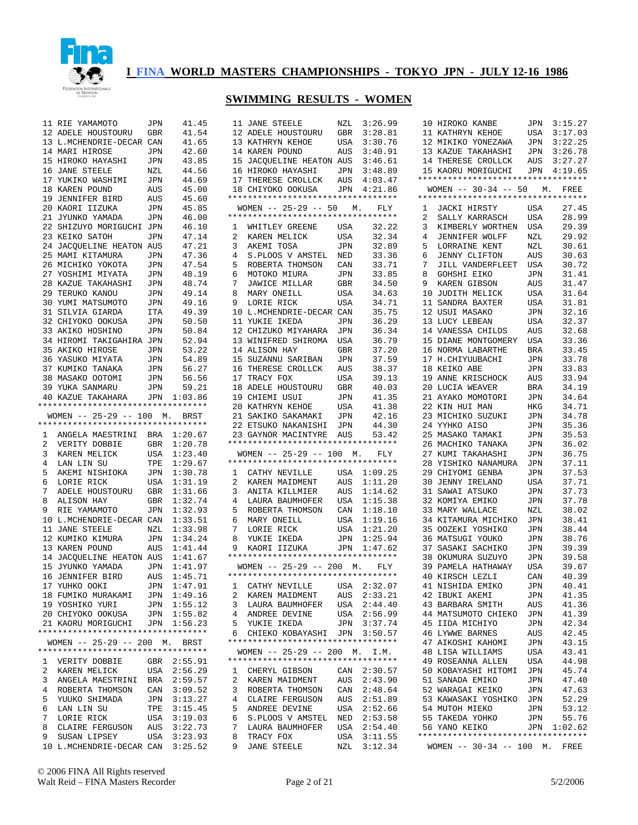

|              | 11 RIE YAMAMOTO                    | JPN        | 41.45       | 3:26.99<br>11 JANE STEELE<br>NZL                   |
|--------------|------------------------------------|------------|-------------|----------------------------------------------------|
|              | 12 ADELE HOUSTOURU                 | GBR        | 41.54       | 3:28.81<br>12 ADELE HOUSTOURU<br>GBR               |
|              | 13 L.MCHENDRIE-DECAR CAN           |            | 41.65       | 13 KATHRYN KEHOE<br>USA<br>3:30.76                 |
|              |                                    |            |             |                                                    |
|              | 14 MARI HIROSE                     | JPN        | 42.60       | 14 KAREN POUND<br>AUS<br>3:40.91                   |
|              | 15 HIROKO HAYASHI                  | JPN        | 43.85       | 15 JACQUELINE HEATON AUS<br>3:46.61                |
|              | 16 JANE STEELE                     | NZL        | 44.56       | 3:48.89<br>16 HIROKO HAYASHI<br>JPN                |
|              | 17 YUKIKO WASHIMI                  | JPN        | 44.69       | 17 THERESE CROLLCK<br>4:03.47<br>AUS               |
|              |                                    |            |             |                                                    |
|              | 18 KAREN POUND                     | AUS        | 45.00       | 18 CHIYOKO OOKUSA<br>JPN<br>4:21.86                |
|              | 19 JENNIFER BIRD                   | AUS        | 45.60       | *********************************                  |
|              | 20 KAORI IIZUKA                    | JPN        | 45.85       | WOMEN $-- 25-29 -- 50$<br>FLY<br>М.                |
|              | 21 JYUNKO YAMADA                   | JPN        | 46.00       | **********************************                 |
|              |                                    |            |             | WHITLEY GREENE<br>32.22                            |
|              | 22 SHIZUYO MORIGUCHI JPN           |            | 46.10       | 1<br>USA                                           |
|              | 23 KEIKO SATOH                     | JPN        | 47.14       | 2<br>32.34<br>KAREN MELICK<br>USA                  |
|              | 24 JACOUELINE HEATON AUS           |            | 47.21       | 3<br>AKEMI TOSA<br>32.89<br>JPN                    |
|              | 25 MAMI KITAMURA                   | JPN        | 47.36       | 4<br>S.PLOOS V AMSTEL<br>33.36<br>NED              |
|              |                                    |            |             |                                                    |
|              | 26 MICHIKO YOKOTA                  | JPN        | 47.54       | 5<br>33.71<br>ROBERTA THOMSON<br>CAN               |
|              | 27 YOSHIMI MIYATA                  | JPN        | 48.19       | 33.85<br>MOTOKO MIURA<br>6<br>JPN                  |
|              | 28 KAZUE TAKAHASHI                 | JPN        | 48.74       | 7<br>34.50<br>JAWICE MILLAR<br>GBR                 |
|              | 29 TERUKO KANOU                    | JPN        | 49.14       | 34.63<br>8<br>MARY ONEILL<br>USA                   |
|              |                                    |            |             |                                                    |
|              | 30 YUMI MATSUMOTO                  | JPN        | 49.16       | 34.71<br>LORIE RICK<br>9<br>USA                    |
|              | 31 SILVIA GIARDA                   | ITA        | 49.39       | 35.75<br>10 L.MCHENDRIE-DECAR CAN                  |
|              | 32 CHIYOKO OOKUSA                  | JPN        | 50.50       | 36.29<br>11 YUKIE IKEDA<br>JPN                     |
|              | 33 AKIKO HOSHINO                   | JPN        | 50.84       | 36.34<br>12 CHIZUKO MIYAHARA<br>JPN                |
|              |                                    |            |             |                                                    |
|              | 34 HIROMI TAKIGAHIRA JPN           |            | 52.94       | 36.79<br>13 WINIFRED SHIROMA<br>USA                |
|              | 35 AKIKO HIROSE                    | JPN        | 53.22       | 37.20<br>14 ALISON HAY<br>GBR                      |
|              | 36 YASUKO MIYATA                   | <b>JPN</b> | 54.89       | 37.59<br>15 SUZANNU SARIBAN<br>JPN                 |
|              | 37 KUMIKO TANAKA                   | <b>JPN</b> | 56.27       | 38.37<br>16 THERESE CROLLCK<br>AUS                 |
|              |                                    |            |             |                                                    |
|              | 38 MASAKO OOTOMI                   | JPN        | 56.56       | 17 TRACY FOX<br>39.13<br>USA                       |
|              | 39 YUKA SANMARU                    | JPN        | 59.21       | 40.03<br>18 ADELE HOUSTOURU<br>GBR                 |
|              | 40 KAZUE TAKAHARA                  | JPN        | 1:03.86     | 19 CHIEMI USUI<br>41.35<br>JPN                     |
|              | *********************************  |            |             | 20 KATHRYN KEHOE<br>41.38<br>USA                   |
|              |                                    |            |             |                                                    |
|              | WOMEN $-- 25-29 -- 100$ M.         |            | BRST        | 42.16<br>21 SAKIKO SAKAMAKI<br>JPN                 |
|              | *********************************  |            |             | 44.30<br>22 ETSUKO NAKANISHI<br>JPN                |
| 1            | ANGELA MAESTRINI                   | BRA        | 1:20.67     | 23 GAYNOR MACINTYRE<br>53.42<br>AUS                |
| 2            |                                    |            |             |                                                    |
|              |                                    |            |             |                                                    |
|              | VERITY DOBBIE                      | GBR        | 1:20.78     | *********************************                  |
| 3            | KAREN MELICK                       | USA        | 1:23.40     | $WOMEN$ -- 25-29 -- 100<br>М.<br>FLY               |
| 4            | LAN LIN SU                         | TPE        | 1:29.67     | **********************************                 |
|              |                                    |            |             | ı.                                                 |
| 5            | AKEMI NISHIOKA                     | JPN        | 1:30.78     | 1:09.25<br>CATHY NEVILLE<br>USA                    |
| 6            | LORIE RICK                         | USA        | 1:31.19     | 2<br>KAREN MAIDMENT<br>1:11.20<br>AUS              |
| 7            | ADELE HOUSTOURU                    | GBR        | 1:31.66     | 3<br>ANITA KILLMIER<br>AUS<br>1:14.62              |
| 8            | ALISON HAY                         | GBR        | 1:32.74     | 1:15.38<br>4<br>LAURA BAUMHOFER<br>USA             |
|              |                                    |            |             |                                                    |
| 9            | RIE YAMAMOTO                       | JPN        | 1:32.93     | 1:18.10<br>5<br>ROBERTA THOMSON<br>CAN             |
|              | 10 L.MCHENDRIE-DECAR CAN           |            | 1:33.51     | MARY ONEILL<br>1:19.16<br>6<br>USA                 |
|              | 11 JANE STEELE                     | NZL        | 1:33.98     | 1:21.20<br>7<br>LORIE RICK<br>USA                  |
|              | 12 KUMIKO KIMURA                   | JPN        | 1:34.24     | 1:25.94<br>8<br>YUKIE IKEDA<br>JPN                 |
|              |                                    |            | 1:41.44     | 1:47.62<br>9                                       |
|              | 13 KAREN POUND                     | AUS        |             | KAORI IIZUKA<br>JPN                                |
|              | 14 JACQUELINE HEATON AUS           |            | 1:41.67     | *********************************                  |
|              | 15 JYUNKO YAMADA                   | JPN        | 1:41.97     | $WOMEN$ -- 25-29 -- 200<br>М.<br>FLY               |
|              | 16 JENNIFER BIRD                   | AUS        | 1:45.71     | **********************************                 |
|              |                                    |            |             |                                                    |
|              | 17 YUHKO OOKI                      |            | JPN 1:47.91 | $\mathbf{1}$<br>CATHY NEVILLE<br>USA<br>2:32.07    |
|              | 18 FUMIKO MURAKAMI                 | JPN        | 1:49.16     | $\overline{a}$<br>KAREN MAIDMENT<br>AUS<br>2:33.21 |
|              | 19 YOSHIKO YURI                    | JPN        | 1:55.12     | 3<br>LAURA BAUMHOFER<br>USA<br>2:44.40             |
|              | 20 CHIYOKO OOKUSA                  | JPN        | 1:55.82     | 4 ANDREE DEVINE<br>2:56.99<br>USA                  |
|              |                                    |            |             |                                                    |
|              | 21 KAORU MORIGUCHI                 | JPN        | 1:56.23     | 5<br>YUKIE IKEDA<br>3:37.74<br>JPN                 |
|              | ********************************** |            |             | 6<br>CHIEKO KOBAYASHI<br>JPN<br>3:50.57            |
|              | WOMEN -- 25-29 -- 200 M. BRST      |            |             | **********************************                 |
|              | *********************************  |            |             | WOMEN $-- 25-29 -- 200$ M.<br>I.M.                 |
| $\mathbf{1}$ | VERITY DOBBIE                      | GBR        | 2:55.91     | **********************************                 |
|              |                                    |            |             |                                                    |
| 2            | KAREN MELICK                       | USA        | 2:56.29     | CHERYL GIBSON<br>CAN<br>2:30.57<br>1               |
| 3            | ANGELA MAESTRINI                   | BRA        | 2:59.57     | 2<br>KAREN MAIDMENT<br>AUS<br>2:43.90              |
| 4            | ROBERTA THOMSON                    | CAN        | 3:09.52     | 3<br>ROBERTA THOMSON<br>CAN<br>2:48.64             |
|              |                                    |            |             | $4\overline{ }$<br>AUS                             |
| 5            | YUUKO SHIMADA                      | JPN        | 3:13.27     | CLAIRE FERGUSON<br>2:51.89                         |
| 6            | LAN LIN SU                         | TPE        | 3:15.45     | 5<br>ANDREE DEVINE<br>USA<br>2:52.66               |
| 7            | LORIE RICK                         | USA        | 3:19.03     | 2:53.58<br>6<br>S.PLOOS V AMSTEL<br>NED            |
| 8            | CLAIRE FERGUSON                    | AUS        | 3:22.73     | 7<br>LAURA BAUMHOFER<br>USA<br>2:54.40             |
| 9            | SUSAN LIPSEY                       | USA        | 3:23.93     | TRACY FOX<br>8<br>USA<br>3:11.55                   |
|              | 10 L.MCHENDRIE-DECAR CAN           |            | 3:25.52     | <b>JANE STEELE</b><br>NZL<br>3:12.34<br>9          |

|                | 12 ADELE HOUSTOURU GBR 3:28.81                                                                                                                                                                                                                   |                  |                    |
|----------------|--------------------------------------------------------------------------------------------------------------------------------------------------------------------------------------------------------------------------------------------------|------------------|--------------------|
|                | --<br>13 KATHRYN KEHOE<br>14 KAREN POUND                                                                                                                                                                                                         | USA              | 3:30.76            |
|                |                                                                                                                                                                                                                                                  |                  |                    |
|                | 15 JACOUELINE HEATON AUS                                                                                                                                                                                                                         |                  | 3:46.61            |
|                |                                                                                                                                                                                                                                                  |                  |                    |
|                |                                                                                                                                                                                                                                                  |                  |                    |
|                | 16 HIROKO HAYASHI JPN 3:48.89<br>17 THERESE CROLLCK AUS 4:03.47<br>18 CHIYOKO OOKUSA JPN 4:21.86                                                                                                                                                 |                  |                    |
|                | *********************************                                                                                                                                                                                                                |                  |                    |
|                | WOMEN -- 25-29 -- 50 M. FLY                                                                                                                                                                                                                      |                  |                    |
|                | *********************************                                                                                                                                                                                                                |                  |                    |
|                | 1 WHITLEY GREENE USA                                                                                                                                                                                                                             |                  | 32.22              |
| $\overline{a}$ |                                                                                                                                                                                                                                                  | $\overline{USA}$ | 32.34              |
| 3              | KAREN MELICK<br>AKEMI TOSA                                                                                                                                                                                                                       | JPN              | 32.89              |
| $\overline{4}$ |                                                                                                                                                                                                                                                  |                  | 33.36              |
| 5              | S.PLOOS V AMSTEL NED<br>ROBERTA THOMSON CAN                                                                                                                                                                                                      |                  | 33.71              |
| 6              |                                                                                                                                                                                                                                                  | $\mathtt{JPN}$   | 33.85              |
| 7              | AN FILURA<br>JAWICE MILLAR<br>MARY ONFILIAR                                                                                                                                                                                                      | GBR              | 34.50              |
| 8              |                                                                                                                                                                                                                                                  | USA              | 34.63              |
| 9              | LORIE RICK                                                                                                                                                                                                                                       | USA              | 34.71              |
|                | 10 L.MCHENDRIE-DECAR CAN                                                                                                                                                                                                                         |                  | 35.75              |
| 11             | YUKIE IKEDA                                                                                                                                                                                                                                      | JPN              | 36.29              |
|                | 12 CHIZUKO MIYAHARA                                                                                                                                                                                                                              | JPN              | 36.34              |
|                | 13 WINIFRED SHIROMA                                                                                                                                                                                                                              | USA              | 36.79              |
|                | 14 ALISON HAY                                                                                                                                                                                                                                    | GBR              | 37.20              |
|                | 15 SUZANNU SARIBAN                                                                                                                                                                                                                               | JPN              | 37.59              |
|                | 16 THERESE CROLLCK                                                                                                                                                                                                                               | AUS              | 38.37              |
|                | 17 TRACY FOX                                                                                                                                                                                                                                     | USA              | 39.13              |
|                | 18 ADELE HOUSTOURU GBR                                                                                                                                                                                                                           |                  | 40.03              |
|                | 19 CHIEMI USUI                                                                                                                                                                                                                                   | JPN              | 41.35              |
|                | 20 KATHRYN KEHOE                                                                                                                                                                                                                                 |                  | 41.38              |
|                | 21 SAKIKO SAKAMAKI                                                                                                                                                                                                                               | USA<br>JPN       | 42.16              |
|                | 22 ETSUKO NAKANISHI JPN                                                                                                                                                                                                                          |                  | 44.30              |
|                | 23 GAYNOR MACINTYRE AUS                                                                                                                                                                                                                          |                  | 53.42              |
|                |                                                                                                                                                                                                                                                  |                  |                    |
|                | *********************************                                                                                                                                                                                                                |                  |                    |
|                |                                                                                                                                                                                                                                                  |                  |                    |
|                | WOMEN -- 25-29 -- 100 M. FLY                                                                                                                                                                                                                     |                  |                    |
|                | **********************************                                                                                                                                                                                                               |                  |                    |
|                | 1 CATHY NEVILLE USA 1:09.25                                                                                                                                                                                                                      |                  |                    |
| $\overline{a}$ | KAREN MAIDMENT AUS 1:11.20                                                                                                                                                                                                                       |                  |                    |
| 3              | ANITA KILLMIER                                                                                                                                                                                                                                   | AUS              | 1:14.62            |
| 4              | LAURA BAUMHOFER USA 1:15.38                                                                                                                                                                                                                      |                  |                    |
| 5              |                                                                                                                                                                                                                                                  |                  |                    |
| 6              |                                                                                                                                                                                                                                                  |                  |                    |
| 7              |                                                                                                                                                                                                                                                  |                  |                    |
| 8              | $\begin{tabular}{llllllll} \textbf{ROBERTA THOMSON} & \textbf{CAN} & 1:18.10 \\ \textbf{MARY ONEILL} & \textbf{USA} & 1:19.16 \\ \textbf{LORIE RICK} & \textbf{USA} & 1:21.20 \\ \textbf{YUKIE IKEDA} & \textbf{JPN} & 1:25.94 \\ \end{tabular}$ |                  |                    |
| 9              | KAORI IIZUKA                                                                                                                                                                                                                                     |                  | JPN 1:47.62        |
|                | *********************************                                                                                                                                                                                                                |                  |                    |
|                | WOMEN -- 25-29 -- 200 M. FLY                                                                                                                                                                                                                     |                  |                    |
|                | *********************************                                                                                                                                                                                                                |                  |                    |
|                |                                                                                                                                                                                                                                                  |                  |                    |
|                | 1 CATHY NEVILLE USA 2:32.07<br>2 KAREN MAIDMENT AUS 2:33.21                                                                                                                                                                                      |                  |                    |
| 3              | LAURA BAUMHOFER                                                                                                                                                                                                                                  | USA              | 2:44.40            |
| $\overline{4}$ | ANDREE DEVINE                                                                                                                                                                                                                                    | USA              | 2:56.99            |
| 5              | YUKIE IKEDA                                                                                                                                                                                                                                      | JPN              | 3:37.74            |
| 6              | CHIEKO KOBAYASHI JPN<br>**********************************                                                                                                                                                                                       |                  | 3:50.57            |
|                |                                                                                                                                                                                                                                                  |                  |                    |
|                | WOMEN -- 25-29 -- 200 M. I.M.                                                                                                                                                                                                                    |                  |                    |
|                | *********************************                                                                                                                                                                                                                |                  |                    |
| 1              | CHERYL GIBSON                                                                                                                                                                                                                                    | CAN              | 2:30.57            |
| 2              | KAREN MAIDMENT                                                                                                                                                                                                                                   | AUS              | 2:43.90            |
| 3              | ROBERTA THOMSON                                                                                                                                                                                                                                  | CAN              | 2:48.64            |
| 4              | CLAIRE FERGUSON                                                                                                                                                                                                                                  | AUS              | 2:51.89            |
| 5              | ANDREE DEVINE                                                                                                                                                                                                                                    | USA              | 2:52.66            |
| 6              | S.PLOOS V AMSTEL                                                                                                                                                                                                                                 | NED              | 2:53.58            |
| 7              | LAURA BAUMHOFER                                                                                                                                                                                                                                  | USA              | 2:54.40            |
| 8<br>9         | TRACY FOX<br><b>JANE STEELE</b>                                                                                                                                                                                                                  | USA<br>NZL       | 3:11.55<br>3:12.34 |

|                | 10 HIROKO KANBE                                                  | JPN            | 3:15.27 |
|----------------|------------------------------------------------------------------|----------------|---------|
|                | 11 KATHRYN KEHOE                                                 | USA            | 3:17.03 |
|                | 12 MIKIKO YONEZAWA                                               | JPN            | 3:22.25 |
|                | 13 KAZUE TAKAHASHI                                               | JPN            | 3:26.78 |
|                |                                                                  |                |         |
|                | 14 THERESE CROLLCK AUS 3:27.27<br>15 KAORU MORIGUCHI JPN 4:19.65 |                |         |
|                | **********************************                               |                |         |
|                | WOMEN -- 30-34 -- 50 M. FREE                                     |                |         |
|                | **********************************                               |                |         |
|                | 1 JACKI HIRSTY USA                                               |                | 27.45   |
| $\overline{2}$ | SALLY KARRASCH                                                   | USA            | 28.99   |
| 3              | KIMBERLY WORTHEN USA                                             |                | 29.39   |
| $\overline{4}$ | JENNIFER WOLFF                                                   |                | 29.92   |
| 5              | LORRAINE KENT                                                    | NZL            | 30.61   |
| 6              | JENNY CLIFTON                                                    | NZL<br>AUS     | 30.63   |
| 7              | JILL VANDERFLEET                                                 | USA            | 30.72   |
| 8              |                                                                  |                |         |
|                | GOHSHI EIKO                                                      | JPN            | 31.41   |
| 9              | KAREN GIBSON                                                     | AUS            | 31.47   |
| 10             | JUDITH MELICK                                                    | USA            | 31.64   |
| 11             | SANDRA BAXTER                                                    | USA            | 31.81   |
| 12             | USUI MASAKO                                                      | JPN            | 32.16   |
| 13             | LUCY LEBEAN                                                      | USA            | 32.37   |
| 14             | VANESSA CHILDS                                                   | AUS            | 32.68   |
|                | 15 DIANE MONTGOMERY                                              | USA            | 33.36   |
| 16             | NORMA LABARTHE                                                   | BRA            | 33.45   |
|                | 17 H.CHIYUUBACHI                                                 | JPN            | 33.78   |
|                | 18 KEIKO ABE                                                     | JPN            | 33.83   |
|                | 19 ANNE KRISCHOCK                                                | AUS            | 33.94   |
|                | 20 LUCIA WEAVER                                                  | BRA            | 34.19   |
| 21             | AYAKO MOMOTORI                                                   | JPN            | 34.64   |
|                | 22 KIN HUI MAN                                                   | HKG            | 34.71   |
|                | 23 MICHIKO SUZUKI                                                | JPN            | 34.78   |
| 24             | YYHKO AISO                                                       | JPN            | 35.36   |
|                | 25 MASAKO TAMAKI                                                 | JPN            | 35.53   |
| 26             | MACHIKO TANAKA                                                   | JPN            | 36.02   |
| 27             | KUMI TAKAHASHI                                                   | JPN            | 36.75   |
| 28             | YISHIKO NANAMURA                                                 | JPN            | 37.11   |
|                | 29 CHIYOMI GENBA                                                 | JPN            | 37.53   |
| 30             | JENNY IRELAND                                                    | USA            | 37.71   |
| 31             | SAWAI ATSUKO                                                     | JPN            | 37.73   |
| 32             | KOMIYA EMIKO                                                     | JPN            | 37.78   |
|                | 33 MARY WALLACE                                                  | NZL            | 38.02   |
| 34             | KITAMURA MICHIKO                                                 | JPN            | 38.41   |
| 35             | OOZEKI YOSHIKO                                                   | JPN            | 38.44   |
| 36             | MATSUGI YOUKO                                                    | JPN            | 38.76   |
| 37             | SASAKI SACHIKO                                                   | JPN            | 39.39   |
|                | 38 OKUMURA SUZUYO                                                | JPN            | 39.58   |
|                | 39 PAMELA HATHAWAY                                               | USA            | 39.67   |
|                | 40 KIRSCH LEZLI                                                  | CAN            | 40.39   |
|                | 41 NISHIDA EMIKO                                                 | JPN            | 40.41   |
|                | 42 IBUKI AKEMI                                                   | JPN            | 41.35   |
|                | 43 BARBARA SMITH                                                 | AUS            | 41.36   |
|                | 44 MATSUMOTO CHIEKO                                              | JPN            | 41.39   |
|                | 45 IIDA MICHIYO                                                  | $\mathtt{JPN}$ | 42.34   |
|                | <b>46 LYWWE BARNES</b>                                           | AUS            | 42.45   |
|                | 47 AIKOSHI KAHOMI                                                | JPN            | 43.15   |
|                | 48 LISA WILLIAMS                                                 | USA            | 43.41   |
|                | 49 ROSEANNA ALLEN                                                | USA            | 44.98   |
|                | 50 KOBAYASHI HITOMI JPN                                          |                | 45.74   |
|                | 51 SANADA EMIKO                                                  | $\mathtt{JPN}$ | 47.40   |
|                | 52 WARAGAI KEIKO                                                 | JPN            | 47.63   |
|                | 53 KAWASAKI YOSHIKO JPN                                          |                | 52.29   |
|                | 54 MUTOH MIEKO                                                   | JPN            | 53.12   |
|                | 55 TAKEDA YOHKO                                                  | JPN            | 55.76   |
|                | 56 YANO KEIKO                                                    | $JPN$ 1:02.62  |         |
|                | **********************************                               |                |         |
|                | WOMEN -- 30-34 -- 100 M. FREE                                    |                |         |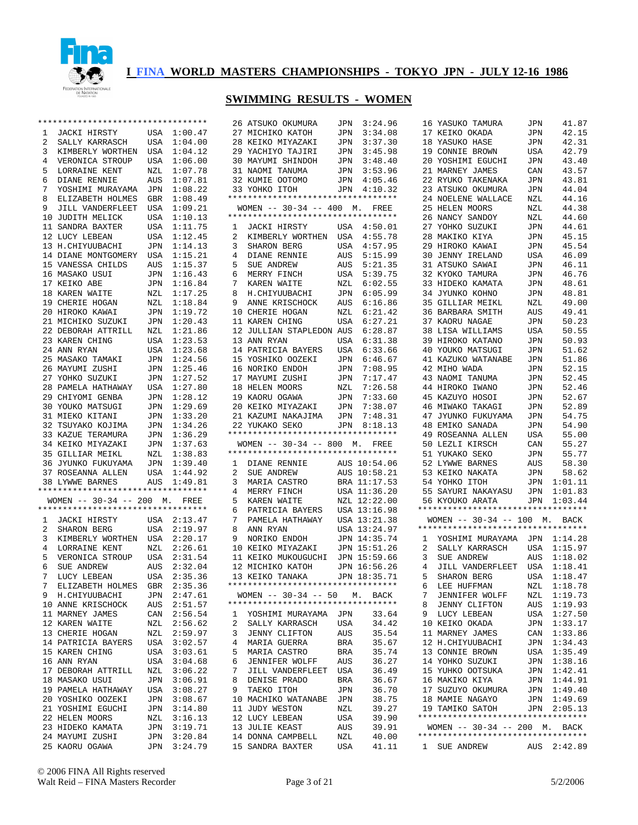

|    | *********************************  |     |                            | 26 ATSUKO OKUMURA                     | JPN        | 3:24.96        | 16 YASUKO TAMURA                                   | JPN        | 41.87       |
|----|------------------------------------|-----|----------------------------|---------------------------------------|------------|----------------|----------------------------------------------------|------------|-------------|
| 1  | JACKI HIRSTY                       |     | USA 1:00.47                | 27 MICHIKO KATOH                      | JPN        | 3:34.08        | 17 KEIKO OKADA                                     | JPN        | 42.15       |
| 2  | SALLY KARRASCH                     | USA | 1:04.00                    | 28 KEIKO MIYAZAKI                     | JPN        | 3:37.30        | 18 YASUKO HASE                                     | JPN        | 42.31       |
| 3  | KIMBERLY WORTHEN                   | USA | 1:04.12                    | 29 YACHIYO TAJIRI                     | JPN        | 3:45.98        | 19 CONNIE BROWN                                    | USA        | 42.79       |
| 4  | VERONICA STROUP                    | USA | 1:06.00                    | 30 MAYUMI SHINDOH                     | JPN        | 3:48.40        | 20 YOSHIMI EGUCHI                                  | JPN        | 43.40       |
| 5  | LORRAINE KENT                      | NZL | 1:07.78                    | 31 NAOMI TANUMA                       | JPN        | 3:53.96        | 21 MARNEY JAMES                                    | CAN        | 43.57       |
| 6  |                                    |     | 1:07.81                    |                                       |            |                |                                                    |            | 43.81       |
|    | DIANE RENNIE                       | AUS |                            | 32 KUMIE OOTOMO                       | JPN        | 4:05.46        | 22 RYUKO TAKENAKA                                  | JPN        |             |
| 7  | YOSHIMI MURAYAMA                   | JPN | 1:08.22                    | 33 YOHKO ITOH                         | JPN        | 4:10.32        | 23 ATSUKO OKUMURA                                  | JPN        | 44.04       |
| 8  | ELIZABETH HOLMES                   | GBR | 1:08.49                    | **********************************    |            |                | 24 NOELENE WALLACE                                 | NZL        | 44.16       |
| 9  | JILL VANDERFLEET                   | USA | 1:09.21                    | WOMEN $-- 30-34 -- 400$ M. FREE       |            |                | 25 HELEN MOORS                                     | NZL        | 44.38       |
| 10 | JUDITH MELICK                      | USA | 1:10.13                    | **********************************    |            |                | 26 NANCY SANDOY                                    | NZL        | 44.60       |
| 11 | SANDRA BAXTER                      | USA | 1:11.75                    | JACKI HIRSTY<br>1                     |            | USA 4:50.01    | 27 YOHKO SUZUKI                                    | JPN        | 44.61       |
| 12 | LUCY LEBEAN                        | USA | 1:12.45                    | 2<br>KIMBERLY WORTHEN                 | USA        | 4:55.78        | 28 MAKIKO KIYA                                     | JPN        | 45.15       |
|    | 13 H. CHIYUUBACHI                  | JPN | 1:14.13                    | 3<br>SHARON BERG                      | USA        | 4:57.95        | 29 HIROKO KAWAI                                    | JPN        | 45.54       |
| 14 | DIANE MONTGOMERY USA               |     | 1:15.21                    | 4<br>DIANE RENNIE                     | AUS        | 5:15.99        | 30 JENNY IRELAND                                   | <b>USA</b> | 46.09       |
|    | 15 VANESSA CHILDS                  | AUS | 1:15.37                    | 5<br>SUE ANDREW                       | AUS        | 5:21.35        | 31 ATSUKO SAWAI                                    | JPN        | 46.11       |
| 16 | MASAKO USUI                        | JPN | 1:16.43                    | 6<br>MERRY FINCH                      | USA        | 5:39.75        | 32 KYOKO TAMURA                                    | JPN        | 46.76       |
|    | 17 KEIKO ABE                       | JPN | 1:16.84                    | 7<br>KAREN WAITE                      | NZL        | 6:02.55        | 33 HIDEKO KAMATA                                   | JPN        | 48.61       |
| 18 | KAREN WAITE                        | NZL | 1:17.25                    | 8<br>H.CHIYUUBACHI                    | JPN        | 6:05.99        | 34 JYUNKO KOHNO                                    | <b>JPN</b> | 48.81       |
|    | 19 CHERIE HOGAN                    | NZL | 1:18.84                    | ANNE KRISCHOCK<br>9                   |            | 6:16.86        | 35 GILLIAR MEIKL                                   | NZL        | 49.00       |
|    |                                    |     |                            |                                       | AUS        |                |                                                    |            |             |
|    | 20 HIROKO KAWAI                    | JPN | 1:19.72                    | 10 CHERIE HOGAN                       | NZL        | 6:21.42        | 36 BARBARA SMITH                                   | AUS        | 49.41       |
|    | 21 MICHIKO SUZUKI                  | JPN | 1:20.43                    | 11 KAREN CHING                        | <b>USA</b> | 6:27.21        | 37 KAORU NAGAE                                     | JPN        | 50.23       |
|    | 22 DEBORAH ATTRILL                 | NZL | 1:21.86                    | 12 JULLIAN STAPLEDON AUS              |            | 6:28.87        | 38 LISA WILLIAMS                                   | <b>USA</b> | 50.55       |
|    | 23 KAREN CHING                     | USA | 1:23.53                    | 13 ANN RYAN                           | USA        | 6:31.38        | 39 HIROKO KATANO                                   | JPN        | 50.93       |
|    | 24 ANN RYAN                        | USA | 1:23.68                    | 14 PATRICIA BAYERS                    | USA        | 6:33.66        | 40 YOUKO MATSUGI                                   | JPN        | 51.62       |
|    | 25 MASAKO TAMAKI                   | JPN | 1:24.56                    | 15 YOSHIKO OOZEKI                     | JPN        | 6:46.67        | 41 KAZUKO WATANABE                                 | JPN        | 51.86       |
|    | 26 MAYUMI ZUSHI                    | JPN | 1:25.46                    | 16 NORIKO ENDOH                       | JPN        | 7:08.95        | 42 MIHO WADA                                       | JPN        | 52.15       |
|    | 27 YOHKO SUZUKI                    | JPN | 1:27.52                    | 17 MAYUMI ZUSHI                       | JPN        | 7:17.47        | 43 NAOMI TANUMA                                    | JPN        | 52.45       |
| 28 | PAMELA HATHAWAY                    | USA | 1:27.80                    | 18 HELEN MOORS                        | NZL        | 7:26.58        | 44 HIROKO IWANO                                    | JPN        | 52.46       |
| 29 | CHIYOMI GENBA                      | JPN | 1:28.12                    | 19 KAORU OGAWA                        | JPN        | 7:33.60        | 45 KAZUYO HOSOI                                    | JPN        | 52.67       |
|    | 30 YOUKO MATSUGI                   | JPN | 1:29.69                    | 20 KEIKO MIYAZAKI                     | JPN        | 7:38.07        | 46 MIWAKO TAKAGI                                   | JPN        | 52.89       |
|    |                                    |     |                            |                                       |            |                |                                                    |            |             |
|    | 31 MIEKO KITANI                    | JPN | 1:33.20                    | 21 KAZUMI NAKAJIMA                    | JPN        | 7:48.31        | 47 JYUNKO FUKUYAMA                                 | JPN        | 54.75       |
|    | 32 TSUYAKO KOJIMA                  | JPN | 1:34.26                    | 22 YUKAKO SEKO                        | JPN        | 8:18.13        | 48 EMIKO SANADA                                    | JPN        | 54.90       |
|    | 33 KAZUE TERAMURA                  | JPN | 1:36.29                    | **********************************    |            |                | 49 ROSEANNA ALLEN                                  | USA        | 55.00       |
|    | 34 KEIKO MIYAZAKI                  | JPN | 1:37.63                    | WOMEN $-- 30-34 -- 800$ M.            |            | FREE           | 50 LEZLI KIRSCH                                    | CAN        | 55.27       |
|    | 35 GILLIAR MEIKL                   | NZL | 1:38.83                    | **********************************    |            |                | 51 YUKAKO SEKO                                     | JPN        | 55.77       |
| 36 | JYUNKO FUKUYAMA                    | JPN | 1:39.40                    | DIANE RENNIE<br>$\mathbf{1}$          |            | AUS 10:54.06   | 52 LYWWE BARNES                                    | AUS        | 58.30       |
|    |                                    |     | 1:44.92                    | 2<br>SUE ANDREW                       |            | AUS 10:58.21   | 53 KEIKO NAKATA                                    | JPN        | 58.62       |
|    | 37 ROSEANNA ALLEN                  | USA |                            |                                       |            |                |                                                    |            |             |
|    | 38 LYWWE BARNES                    | AUS | 1:49.81                    | 3<br>MARIA CASTRO                     |            | BRA 11:17.53   | 54 YOHKO ITOH                                      | JPN        | 1:01.11     |
|    | *********************************  |     |                            | 4                                     |            |                |                                                    |            |             |
|    |                                    |     |                            | MERRY FINCH                           |            | USA 11:36.20   | 55 SAYURI NAKAYASU                                 | JPN        | 1:01.83     |
|    | WOMEN $-- 30-34 -- 200$ M. FREE    |     |                            | 5<br>KAREN WAITE                      |            | NZL 12:22.00   | 56 KYOUKO ARATA                                    | JPN        | 1:03.44     |
|    | ********************************** |     |                            | 6<br>PATRICIA BAYERS                  |            | USA 13:16.98   | **********************************                 |            |             |
| 1  | JACKI HIRSTY                       |     | USA 2:13.47                | 7<br>PAMELA HATHAWAY                  |            | USA 13:21.38   | WOMEN $--$ 30-34 $--$ 100 M.                       |            | BACK        |
| 2  | SHARON BERG                        | USA | 2:19.97                    | 8<br>ANN RYAN                         |            | USA 13:24.97   | **********************************                 |            |             |
| 3  | KIMBERLY WORTHEN USA               |     | 2:20.17                    | 9<br>NORIKO ENDOH                     |            | JPN 14:35.74   | YOSHIMI MURAYAMA JPN 1:14.28<br>1                  |            |             |
| 4  | LORRAINE KENT                      | NZL | 2:26.61                    | 10 KEIKO MIYAZAKI                     |            | JPN 15:51.26   | 2<br>SALLY KARRASCH                                | USA        | 1:15.97     |
| 5  | VERONICA STROUP                    | USA | 2:31.54                    | 11 KEIKO MUKOUGUCHI                   |            | JPN 15:59.66   | 3<br>SUE ANDREW                                    | AUS        | 1:18.02     |
| 6  | SUE ANDREW                         | AUS | 2:32.04                    | 12 MICHIKO KATOH                      |            | JPN 16:56.26   | 4<br>JILL VANDERFLEET                              | USA        | 1:18.41     |
| 7  | LUCY LEBEAN                        | USA | 2:35.36                    | 13 KEIKO TANAKA                       |            | JPN 18:35.71   | 5<br>SHARON BERG                                   |            | USA 1:18.47 |
| 7  |                                    |     |                            | **********************************    |            |                | 6 LEE HUFFMAN                                      |            |             |
|    | ELIZABETH HOLMES GBR 2:35.36       |     |                            | WOMEN -- 30-34 -- 50 M. BACK          |            |                |                                                    |            | NZL 1:18.78 |
|    | 9 H. CHIYUUBACHI                   |     | JPN 2:47.61                | **********************************    |            |                | 7<br>JENNIFER WOLFF                                |            | NZL 1:19.73 |
|    | 10 ANNE KRISCHOCK                  |     | AUS 2:51.57                |                                       |            |                | 8<br>JENNY CLIFTON                                 |            | AUS 1:19.93 |
|    | 11 MARNEY JAMES                    |     | CAN 2:56.54                | YOSHIMI MURAYAMA JPN<br>1             |            | 33.64          | 9 LUCY LEBEAN                                      |            | USA 1:27.50 |
|    | 12 KAREN WAITE                     |     | NZL 2:56.62                | 2<br>SALLY KARRASCH                   | USA        | 34.42          | 10 KEIKO OKADA                                     |            | JPN 1:33.17 |
|    | 13 CHERIE HOGAN                    |     | NZL 2:59.97                | 3<br>JENNY CLIFTON                    | AUS        | 35.54          | 11 MARNEY JAMES                                    |            | CAN 1:33.86 |
|    | 14 PATRICIA BAYERS                 |     | USA 3:02.57                | 4<br>MARIA GUERRA                     | BRA        | 35.67          | 12 H.CHIYUUBACHI                                   |            | JPN 1:34.43 |
|    | 15 KAREN CHING                     |     | USA 3:03.61                | 5<br>MARIA CASTRO                     | BRA        | 35.74          | 13 CONNIE BROWN                                    |            | USA 1:35.49 |
|    | 16 ANN RYAN                        |     | USA 3:04.68                | 6<br>JENNIFER WOLFF                   | AUS        | 36.27          | 14 YOHKO SUZUKI                                    |            | JPN 1:38.16 |
|    | 17 DEBORAH ATTRILL                 |     | NZL 3:06.22                | 7<br>JILL VANDERFLEET                 | USA        | 36.49          | 15 YUHKO OOTSUKA                                   |            | JPN 1:42.41 |
|    | 18 MASAKO USUI                     |     | JPN 3:06.91                | 8<br>DENISE PRADO                     | BRA        | 36.67          | 16 MAKIKO KIYA                                     |            | JPN 1:44.91 |
|    | 19 PAMELA HATHAWAY                 |     | USA 3:08.27                | TAEKO ITOH<br>9                       | JPN        | 36.70          | 17 SUZUYO OKUMURA                                  |            | JPN 1:49.40 |
|    |                                    |     |                            |                                       |            |                |                                                    |            |             |
|    | 20 YOSHIKO OOZEKI                  |     | JPN 3:08.67                | 10 MACHIKO WATANABE                   | JPN        | 38.75          | 18 MAMIE NAGAYO                                    |            | JPN 1:49.69 |
|    | 21 YOSHIMI EGUCHI                  | JPN | 3:14.80                    | 11 JUDY WESTON                        | NZL        | 39.27          | 19 TAMIKO SATOH                                    |            | JPN 2:05.13 |
|    | 22 HELEN MOORS                     |     | NZL 3:16.13                | 12 LUCY LEBEAN                        | USA        | 39.90          | **********************************                 |            |             |
|    | 23 HIDEKO KAMATA                   |     | JPN 3:19.71                | 13 JULIE KEAST                        | AUS        | 39.91          | WOMEN $-- 30-34 -- 200$ M. BACK                    |            |             |
|    | 24 MAYUMI ZUSHI<br>25 KAORU OGAWA  |     | JPN 3:20.84<br>JPN 3:24.79 | 14 DONNA CAMPBELL<br>15 SANDRA BAXTER | NZL<br>USA | 40.00<br>41.11 | **********************************<br>1 SUE ANDREW |            | AUS 2:42.89 |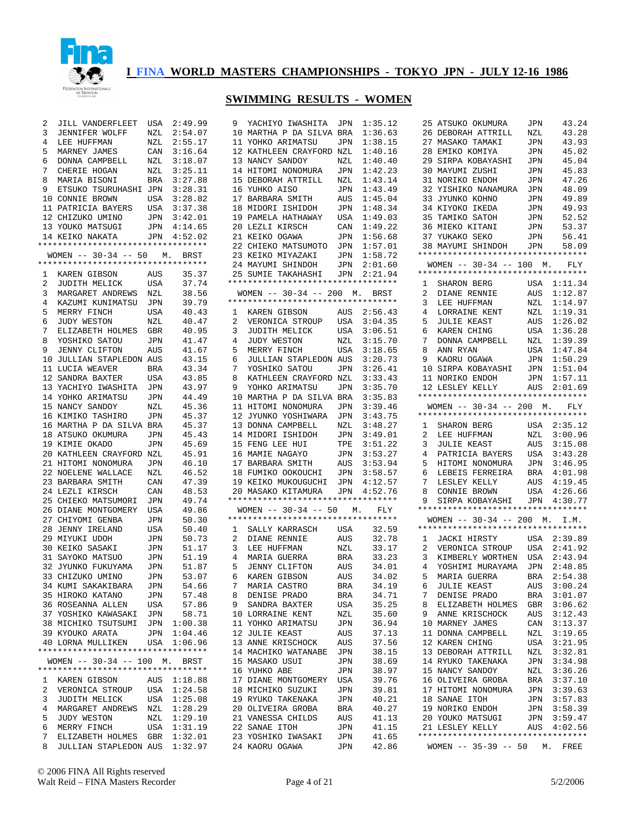

| 2 | JILL VANDERFLEET                       | USA        | 2:49.99        | 9 | YACHIYO IWASHITA                                         | JPN        | 1:35.12 |
|---|----------------------------------------|------------|----------------|---|----------------------------------------------------------|------------|---------|
| 3 | JENNIFER WOLFF                         | NZL        | 2:54.07        |   |                                                          |            | 1:36.63 |
|   |                                        |            |                |   | 10 MARTHA P DA SILVA BRA                                 |            |         |
| 4 | LEE HUFFMAN                            | NZL        | 2:55.17        |   | 11 YOHKO ARIMATSU                                        | JPN        | 1:38.15 |
| 5 | MARNEY JAMES                           | CAN        | 3:16.64        |   | 12 KATHLEEN CRAYFORD NZL                                 |            | 1:40.16 |
| 6 | DONNA CAMPBELL                         | NZL        | 3:18.07        |   | 13 NANCY SANDOY                                          | NZL        | 1:40.40 |
| 7 | CHERIE HOGAN                           | NZL        | 3:25.11        |   | 14 HITOMI NONOMURA                                       | JPN        | 1:42.23 |
| 8 | MARIA BISONI                           | BRA        | 3:27.88        |   | 15 DEBORAH ATTRILL                                       | NZL        | 1:43.14 |
| 9 | ETSUKO TSURUHASHI JPN                  |            | 3:28.31        |   | 16 YUHKO AISO                                            | JPN        | 1:43.49 |
|   | 10 CONNIE BROWN                        | USA        | 3:28.82        |   | 17 BARBARA SMITH                                         | AUS        | 1:45.04 |
|   | 11 PATRICIA BAYERS                     | USA        | 3:37.38        |   | 18 MIDORI ISHIDOH                                        | JPN        | 1:48.34 |
|   | 12 CHIZUKO UMINO                       | JPN        | 3:42.01        |   | 19 PAMELA HATHAWAY                                       | USA        | 1:49.03 |
|   | 13 YOUKO MATSUGI                       | JPN        | 4:14.65        |   | 20 LEZLI KIRSCH                                          | CAN        | 1:49.22 |
|   | 14 KEIKO NAKATA                        | JPN        | 4:52.02        |   | 21 KEIKO OGAWA                                           | JPN        | 1:56.68 |
|   | *********************************      |            |                |   | 22 CHIEKO MATSUMOTO                                      | JPN        | 1:57.01 |
|   | $WOMEN$ -- 30-34 -- 50                 | М.         | BRST           |   | 23 KEIKO MIYAZAKI                                        | JPN        | 1:58.72 |
|   | **********************************     |            |                |   |                                                          |            | 2:01.60 |
|   |                                        |            |                |   | 24 MAYUMI SHINDOH                                        | JPN        |         |
| 1 | KAREN GIBSON                           | AUS        | 35.37          |   | 25 SUMIE TAKAHASHI<br>********************************** | JPN        | 2:21.94 |
| 2 | JUDITH MELICK                          | USA        | 37.74          |   |                                                          |            |         |
| 3 | MARGARET ANDREWS                       | NZL        | 38.56          |   | $WOMEN$ -- 30-34 -- 200                                  | М.         | BRST    |
| 4 | KAZUMI KUNIMATSU                       | JPN        | 39.79          |   | **********************************                       |            |         |
| 5 | MERRY FINCH                            | USA        | 40.43          | 1 | KAREN GIBSON                                             | AUS        | 2:56.43 |
| 6 | <b>JUDY WESTON</b>                     | NZL        | 40.47          | 2 | VERONICA STROUP                                          | USA        | 3:04.35 |
| 7 | ELIZABETH HOLMES                       | GBR        | 40.95          | 3 | JUDITH MELICK                                            | USA        | 3:06.51 |
| 8 | YOSHIKO SATOU                          | JPN        | 41.47          | 4 | <b>JUDY WESTON</b>                                       | NZL        | 3:15.70 |
| 9 | <b>JENNY CLIFTON</b>                   | AUS        | 41.67          | 5 | MERRY FINCH                                              | USA        | 3:18.65 |
|   | 10 JULLIAN STAPLEDON AUS               |            | 43.15          | 6 | JULLIAN STAPLEDON AUS                                    |            | 3:20.73 |
|   | 11 LUCIA WEAVER                        | BRA        | 43.34          | 7 | YOSHIKO SATOU                                            | JPN        | 3:26.41 |
|   | 12 SANDRA BAXTER                       | USA        | 43.85          | 8 | KATHLEEN CRAYFORD NZL                                    |            | 3:33.43 |
|   | 13 YACHIYO IWASHITA                    | JPN        | 43.97          | 9 | YOHKO ARIMATSU                                           | JPN        | 3:35.70 |
|   | 14 YOHKO ARIMATSU                      | JPN        | 44.49          |   | 10 MARTHA P DA SILVA BRA                                 |            | 3:35.83 |
|   | 15 NANCY SANDOY                        | NZL        | 45.36          |   | 11 HITOMI NONOMURA                                       | JPN        | 3:39.46 |
|   |                                        | <b>JPN</b> |                |   | 12 JYUNKO YOSHIWARA                                      |            |         |
|   | 16 KIMIKO TASHIRO                      |            | 45.37          |   |                                                          | JPN        | 3:43.75 |
|   | 16 MARTHA P DA SILVA BRA               |            | 45.37          |   | 13 DONNA CAMPBELL                                        | NZL        | 3:48.27 |
|   | 18 ATSUKO OKUMURA                      | JPN        | 45.43          |   | 14 MIDORI ISHIDOH                                        | JPN        | 3:49.01 |
|   | 19 KIMIE OKADO                         | JPN        | 45.69          |   | 15 FENG LEE HUI                                          | TPE        | 3:51.22 |
|   | 20 KATHLEEN CRAYFORD NZL               |            | 45.91          |   | 16 MAMIE NAGAYO                                          | JPN        | 3:53.27 |
|   | 21 HITOMI NONOMURA                     | JPN        | 46.10          |   | 17 BARBARA SMITH                                         | AUS        | 3:53.94 |
|   | 22 NOELENE WALLACE                     | NZL        | 46.52          |   | 18 FUMIKO OOKOUCHI                                       | JPN        | 3:58.57 |
|   | 23 BARBARA SMITH                       | CAN        | 47.39          |   | 19 KEIKO MUKOUGUCHI                                      | JPN        | 4:12.57 |
|   | 24 LEZLI KIRSCH                        | CAN        | 48.53          |   | 20 MASAKO KITAMURA                                       | JPN        | 4:52.76 |
|   | 25 CHIEKO MATSUMORI                    | JPN        | 49.74          |   | **********************************                       |            |         |
|   | 26 DIANE MONTGOMERY                    | USA        | 49.86          |   | $WOMEN$ -- 30-34 -- 50                                   | М.         | FLY     |
|   | 27 CHIYOMI GENBA                       | JPN        | 50.30          |   | **********************************                       |            |         |
|   | 28 JENNY IRELAND                       | USA        | 50.40          | 1 | SALLY KARRASCH                                           | USA        | 32.59   |
|   | 29 MIYUKI UDOH                         | JPN        | 50.73          | 2 | DIANE RENNIE                                             | AUS        | 32.78   |
|   | 30 KEIKO SASAKI                        | JPN        | 51.17          | 3 | LEE HUFFMAN                                              | NZL        | 33.17   |
|   | 31 SAYOKO MATSUO                       | JPN        | 51.19          | 4 | MARIA GUERRA                                             | BRA        | 33.23   |
|   | 32 JYUNKO FUKUYAMA                     | JPN        | 51.87          | 5 | JENNY CLIFTON                                            | AUS        | 34.01   |
|   | 33 CHIZUKO UMINO                       | JPN        | 53.07          | 6 | KAREN GIBSON                                             | AUS        | 34.02   |
|   |                                        |            |                | 7 |                                                          |            | 34.19   |
|   | 34 KUMI SAKAKIBARA<br>35 HIROKO KATANO | JPN        | 54.66<br>57.48 |   | MARIA CASTRO                                             | BRA<br>BRA | 34.71   |
|   |                                        | JPN        |                | 8 | DENISE PRADO                                             |            |         |
|   | 36 ROSEANNA ALLEN                      | USA        | 57.86          | 9 | SANDRA BAXTER                                            | USA        | 35.25   |
|   | 37 YOSHIKO KAWASAKI                    | JPN        | 58.71          |   | 10 LORRAINE KENT                                         | NZL        | 35.60   |
|   | 38 MICHIKO TSUTSUMI                    | JPN        | 1:00.38        |   | 11 YOHKO ARIMATSU                                        | JPN        | 36.94   |
|   | 39 KYOUKO ARATA                        | JPN        | 1:04.46        |   | 12 JULIE KEAST                                           | AUS        | 37.13   |
|   | <b>40 LORNA MULLIKEN</b>               | USA        | 1:06.96        |   | 13 ANNE KRISCHOCK                                        | AUS        | 37.56   |
|   | **********************************     |            |                |   | 14 MACHIKO WATANABE                                      | JPN        | 38.15   |
|   | WOMEN $--$ 30-34 $--$ 100 M.           |            | BRST           |   | 15 MASAKO USUI                                           | JPN        | 38.69   |
|   | **********************************     |            |                |   | 16 YUHKO ABE                                             | JPN        | 38.97   |
| ı | KAREN GIBSON                           | AUS        | 1:18.88        |   | 17 DIANE MONTGOMERY                                      | USA        | 39.76   |
| 2 | VERONICA STROUP                        | USA        | 1:24.58        |   | 18 MICHIKO SUZUKI                                        | JPN        | 39.81   |
| 3 | JUDITH MELICK                          | USA        | 1:25.08        |   | 19 RYUKO TAKENAKA                                        | JPN        | 40.21   |
| 4 | MARGARET ANDREWS                       | NZL        | 1:28.29        |   | 20 OLIVEIRA GROBA                                        | BRA        | 40.27   |
| 5 | JUDY WESTON                            | NZL        | 1:29.10        |   | 21 VANESSA CHILDS                                        | AUS        | 41.13   |
| 6 | MERRY FINCH                            | USA        | 1:31.19        |   | 22 SANAE ITOH                                            | JPN        | 41.15   |
| 7 | ELIZABETH HOLMES                       | GBR        | 1:32.01        |   | 23 YOSHIKO IWASAKI                                       | JPN        | 41.65   |
| 8 | JULLIAN STAPLEDON AUS                  |            | 1:32.97        |   | 24 KAORU OGAWA                                           | JPN        | 42.86   |
|   |                                        |            |                |   |                                                          |            |         |

| 25                  | ATSUKO OKUMURA                                                      | JPN          | 43.24              |
|---------------------|---------------------------------------------------------------------|--------------|--------------------|
| 26                  | DEBORAH ATTRILL                                                     | NZL          | 43.28              |
| 27                  | MASAKO TAMAKI                                                       | JPN          | 43.93              |
| 28                  | EMIKO KOMIYA                                                        | JPN          | 45.02              |
| 29                  | SIRPA KOBAYASHI<br>MAYUMI ZUSHI                                     | JPN          | 45.04              |
| 30<br>31            | NORIKO ENDOH                                                        | JPN<br>JPN   | 45.83<br>47.26     |
| 32                  | YISHIKO NANAMURA                                                    | JPN          | 48.09              |
| 33                  | JYUNKO KOHNO                                                        | JPN          | 49.89              |
| 34                  | KIYOKO IKEDA                                                        | JPN          | 49.93              |
| 35                  | TAMIKO SATOH                                                        | JPN          | 52.52              |
| 36                  | MIEKO KITANI                                                        | JPN          | 53.37              |
| 37                  | YUKAKO SEKO                                                         | JPN          | 56.41              |
|                     | 38 MAYUMI SHINDOH                                                   | JPN          | 58.09              |
|                     | *********************************                                   |              |                    |
|                     | WOMEN $- - 30 - 34 - - 100$ M.<br>********************************* |              | FLY                |
| 1                   | SHARON BERG                                                         | USA          | 1:11.34            |
| $\overline{2}$      | DIANE RENNIE                                                        | AUS          | 1:12.87            |
| 3                   | LEE HUFFMAN                                                         | NZL          | 1:14.97            |
| 4                   | LORRAINE KENT                                                       | NZL          | 1:19.31            |
| 5                   | <b>JULIE KEAST</b>                                                  | AUS          | 1:26.02            |
| 6                   | KAREN CHING                                                         | USA          | 1:36.28            |
| 7                   | DONNA CAMPBELL                                                      | NZL          | 1:39.39            |
| 8                   | ANN RYAN                                                            | USA          | 1:47.84            |
| 9                   | KAORU OGAWA                                                         | JPN          | 1:50.29            |
|                     | 10 SIRPA KOBAYASHI                                                  | JPN          | 1:51.04            |
|                     | 11 NORIKO ENDOH                                                     | JPN          | 1:57.11            |
| 12                  | LESLEY KELLY<br>**********************************                  | AUS          | 2:01.69            |
|                     | WOMEN $- - 30 - 34$ $- - 200$ M.                                    |              | <b>FLY</b>         |
|                     | *********************************                                   |              |                    |
| $\mathbf{1}$        | SHARON BERG                                                         | USA          | 2:35.12            |
| $\overline{2}$      | LEE HUFFMAN                                                         | NZL          | 3:00.96            |
| 3                   | <b>JULIE KEAST</b>                                                  | AUS          | 3:15.08            |
| 4                   | PATRICIA BAYERS                                                     | USA          | 3:43.28            |
| 5                   | HITOMI NONOMURA                                                     | JPN<br>JPN   | 3:46.95            |
| 6                   | LEBEIS FERREIRA                                                     | $_{\rm BRA}$ | 4:01.98            |
| 7<br>8              | LESLEY KELLY<br>CONNIE BROWN                                        | AUS<br>USA   | 4:19.45<br>4:26.66 |
| 9                   | SIRPA KOBAYASHI                                                     |              | JPN 4:30.77        |
|                     | **********************************                                  |              |                    |
|                     | WOMEN -- 30-34 -- 200 M. I.M.                                       |              |                    |
|                     | *********************************                                   |              |                    |
| $\mathbf{1}$        | JACKI HIRSTY                                                        | USA          | 2:39.89            |
| $\overline{2}$      | VERONICA STROUP                                                     | USA          | 2:41.92            |
| 3<br>$\overline{4}$ | KIMBERLY WORTHEN                                                    | USA          | 2:43.94            |
| 5                   | YOSHIMI MURAYAMA<br>MARIA GUERRA                                    | JPN<br>BRA   | 2:48.85<br>2:54.38 |
| 6                   | JULIE KEAST                                                         | AUS          | 3:00.24            |
| 7                   | DENISE PRADO                                                        | BRA          | 3:01.07            |
| 8                   | ELIZABETH HOLMES                                                    | GBR          | 3:06.62            |
| 9                   | ANNE KRISCHOCK                                                      | AUS          | 3:12.43            |
| 10                  | MARNEY JAMES                                                        | CAN          | 3:13.37            |
|                     | 11 DONNA CAMPBELL                                                   | NZL          | 3:19.65            |
| 12                  | KAREN CHING                                                         | USA          | 3:21.95            |
|                     | 13 DEBORAH ATTRILL                                                  | NZL          | 3:32.81            |
|                     | 14 RYUKO TAKENAKA                                                   | JPN          | 3:34.98            |
|                     | 15 NANCY SANDOY                                                     | NZL          | 3:36.26            |
|                     | 16 OLIVEIRA GROBA                                                   | BRA          | 3:37.10            |
|                     | 17 HITOMI NONOMURA                                                  | JPN          | 3:39.63            |
|                     | 18 SANAE ITOH<br>19 NORIKO ENDOH                                    | JPN          | 3:57.83            |
|                     | 20 YOUKO MATSUGI                                                    | JPN<br>JPN   | 3:58.39<br>3:59.47 |
|                     | 21 LESLEY KELLY                                                     | AUS          | 4:02.56            |
|                     | **********************************                                  |              |                    |
|                     | WOMEN -- 35-39 -- 50 M. FREE                                        |              |                    |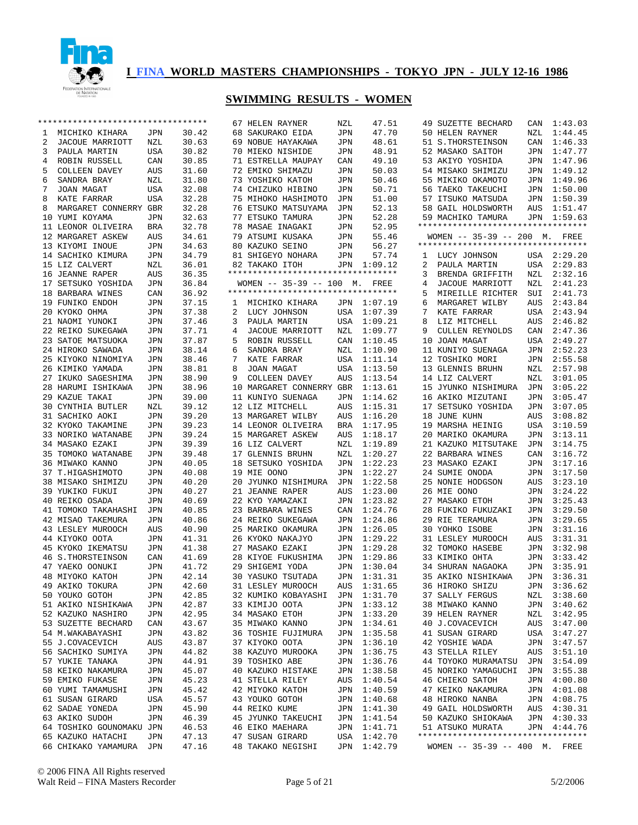

|    | **********************************    |            |                | 67 HELEN RAYNER                      | NZL        | 47.51       | 49 SUZETTE BECHARD                  | CAN        | 1:43.03      |
|----|---------------------------------------|------------|----------------|--------------------------------------|------------|-------------|-------------------------------------|------------|--------------|
| ı  | MICHIKO KIHARA                        | JPN        | 30.42          | 68 SAKURAKO EIDA                     | JPN        | 47.70       | 50 HELEN RAYNER                     | NZL        | 1:44.45      |
| 2  | JACOUE MARRIOTT                       | NZL        | 30.63          | 69 NOBUE HAYAKAWA                    | JPN        | 48.61       | 51 S.THORSTEINSON                   | CAN        | 1:46.33      |
| 3  | PAULA MARTIN                          | USA        | 30.82          | 70 MIEKO NISHIDE                     | JPN        | 48.91       | 52 MASAKO SAITOH                    | JPN        | 1:47.77      |
| 4  | ROBIN RUSSELL                         | CAN        | 30.85          | 71 ESTRELLA MAUPAY                   | CAN        | 49.10       | 53 AKIYO YOSHIDA                    | JPN        | 1:47.96      |
| 5  | COLLEEN DAVEY                         | AUS        | 31.60          | 72 EMIKO SHIMAZU                     | JPN        | 50.03       | 54 MISAKO SHIMIZU                   | JPN        | 1:49.12      |
| 6  | SANDRA BRAY                           | NZL        | 31.80          | 73 YOSHIKO KATOH                     | JPN        | 50.46       | 55 MIKIKO OKAMOTO                   | JPN        | 1:49.96      |
| 7  | JOAN MAGAT                            | USA        | 32.08          | 74 CHIZUKO HIBINO                    | JPN        | 50.71       | 56 TAEKO TAKEUCHI                   | JPN        | 1:50.00      |
| 8  | KATE FARRAR                           | USA        | 32.28          | 75 MIHOKO HASHIMOTO                  | JPN        | 51.00       | 57 ITSUKO MATSUDA                   | JPN        | 1:50.39      |
| 8  | MARGARET CONNERRY GBR                 |            | 32.28          | 76 ETSUKO MATSUYAMA                  | JPN        | 52.13       | 58 GAIL HOLDSWORTH                  | AUS        | 1:51.47      |
| 10 | YUMI KOYAMA                           | JPN        | 32.63          | 77 ETSUKO TAMURA                     | JPN        | 52.28       | 59 MACHIKO TAMURA                   | JPN        | 1:59.63      |
|    | 11 LEONOR OLIVEIRA                    | <b>BRA</b> | 32.78          | 78 MASAE INAGAKI                     | JPN        | 52.95       | **********************************  |            |              |
| 12 | MARGARET ASKEW                        | AUS        | 34.61          | 79 ATSUMI KUSAKA                     | <b>JPN</b> | 55.46       | WOMEN -- 35-39 -- 200 M. FREE       |            |              |
|    | 13 KIYOMI INOUE                       | JPN        | 34.63          | 80 KAZUKO SEINO                      | <b>JPN</b> | 56.27       | **********************************  |            |              |
|    | 14 SACHIKO KIMURA                     | JPN        | 34.79          | 81 SHIGEYO NOHARA                    | JPN        | 57.74       | LUCY JOHNSON<br>1                   | USA        | 2:29.20      |
|    | 15 LIZ CALVERT                        | NZL        | 36.01          | 82 TAKAKO ITOH                       |            | JPN 1:09.12 | 2<br>PAULA MARTIN                   | USA        | 2:29.83      |
|    | 16 JEANNE RAPER                       | AUS        | 36.35          | **********************************   |            |             | 3<br>BRENDA GRIFFITH                | NZL        | 2:32.16      |
| 17 | SETSUKO YOSHIDA                       | JPN        | 36.84          | WOMEN -- 35-39 -- 100 M. FREE        |            |             | 4<br>JACOUE MARRIOTT                | NZL        | 2:41.23      |
| 18 | BARBARA WINES                         | CAN        | 36.92          | **********************************   |            |             | 5<br>MIREILLE RICHTER               | SUI        | 2:41.73      |
|    | 19 FUNIKO ENDOH                       | JPN        | 37.15          | MICHIKO KIHARA<br>1                  | JPN        | 1:07.19     | MARGARET WILBY<br>6                 | <b>AUS</b> | 2:43.84      |
|    | 20 KYOKO OHMA                         | JPN        | 37.38          | 2<br>LUCY JOHNSON                    | USA        | 1:07.39     | 7<br>KATE FARRAR                    | USA        | 2:43.94      |
|    | 21 NAOMI YUNOKI                       | JPN        | 37.46          | 3<br>PAULA MARTIN                    | USA        | 1:09.21     | 8<br>LIZ MITCHELL                   | <b>AUS</b> | 2:46.82      |
|    | 22 REIKO SUKEGAWA                     | JPN        | 37.71          | 4<br>JACOUE MARRIOTT                 | NZL        | 1:09.77     | <b>CULLEN REYNOLDS</b><br>9         | CAN        | 2:47.36      |
|    | 23 SATOE MATSUOKA                     | JPN        | 37.87          | 5<br>ROBIN RUSSELL                   | CAN        | 1:10.45     | 10 JOAN MAGAT                       | USA        | 2:49.27      |
|    |                                       |            |                |                                      |            |             |                                     |            | 2:52.23      |
|    | 24 HIROKO SAWADA                      | JPN        | 38.14          | 6<br>SANDRA BRAY<br>7                | NZL        | 1:10.90     | 11 KUNIYO SUENAGA                   | JPN        |              |
|    | 25 KIYOKO NINOMIYA                    | JPN        | 38.46          | KATE FARRAR                          | <b>USA</b> | 1:11.14     | 12 TOSHIKO MORI                     | JPN        | 2:55.58      |
|    | 26 KIMIKO YAMADA                      | JPN        | 38.81          | 8<br>JOAN MAGAT                      | USA        | 1:13.50     | 13 GLENNIS BRUHN                    | NZL        | 2:57.98      |
|    | 27 IKUKO SAGESHIMA                    | JPN        | 38.90          | 9<br>COLLEEN DAVEY                   | AUS        | 1:13.54     | 14 LIZ CALVERT                      | NZL        | 3:01.05      |
|    | 28 HARUMI ISHIKAWA                    | JPN        | 38.96          | 10 MARGARET CONNERRY GBR             |            | 1:13.61     | 15 JYUNKO NISHIMURA                 | JPN        | 3:05.22      |
|    | 29 KAZUE TAKAI                        | JPN        | 39.00          | 11 KUNIYO SUENAGA                    | JPN        | 1:14.62     | 16 AKIKO MIZUTANI                   | JPN        | 3:05.47      |
| 30 | CYNTHIA BUTLER                        | NZL        | 39.12          | 12 LIZ MITCHELL                      | AUS        | 1:15.31     | 17 SETSUKO YOSHIDA                  | JPN        | 3:07.05      |
|    | 31 SACHIKO AOKI                       | JPN        | 39.20          | 13 MARGARET WILBY                    | AUS        | 1:16.20     | 18 JUNE KUHN                        | AUS        | 3:08.82      |
|    | 32 KYOKO TAKAMINE                     | JPN        | 39.23          | 14 LEONOR OLIVEIRA                   | BRA        | 1:17.95     | 19 MARSHA HEINIG                    | USA        | 3:10.59      |
|    | 33 NORIKO WATANABE                    | JPN        | 39.24          | 15 MARGARET ASKEW                    | AUS        | 1:18.17     | 20 MARIKO OKAMURA                   | JPN        | 3:13.11      |
|    | 34 MASAKO EZAKI                       | JPN        | 39.39          | 16 LIZ CALVERT                       | NZL        | 1:19.89     | 21 KAZUKO MITSUTAKE                 | JPN        | 3:14.75      |
| 35 | TOMOKO WATANABE                       | JPN        | 39.48          | 17 GLENNIS BRUHN                     | NZL        | 1:20.27     | 22 BARBARA WINES                    | CAN        | 3:16.72      |
|    | 36 MIWAKO KANNO                       | JPN        | 40.05          | 18 SETSUKO YOSHIDA                   | JPN        | 1:22.23     | 23 MASAKO EZAKI                     | JPN        | 3:17.16      |
|    | 37 T.HIGASHIMOTO                      | JPN        | 40.08          | 19 MIE OONO                          | <b>JPN</b> | 1:22.27     | 24 SUMIE ONODA                      | JPN        | 3:17.50      |
|    | 38 MISAKO SHIMIZU                     | JPN        | 40.20          | 20 JYUNKO NISHIMURA                  | JPN        | 1:22.58     | 25 NONIE HODGSON                    | AUS        | 3:23.10      |
|    | 39 YUKIKO FUKUI                       | JPN        | 40.27          | 21 JEANNE RAPER                      | <b>AUS</b> | 1:23.00     | 26 MIE OONO                         | JPN        | 3:24.22      |
|    | 40 REIKO OSADA                        | JPN        | 40.69          | 22 KYO YAMAZAKI                      | <b>JPN</b> | 1:23.82     | 27 MASAKO ETOH                      | JPN        | 3:25.43      |
| 41 | TOMOKO TAKAHASHI                      | JPN        | 40.85          | 23 BARBARA WINES                     | CAN        | 1:24.76     | 28 FUKIKO FUKUZAKI                  | JPN        | 3:29.50      |
|    | 42 MISAO TAKEMURA                     | JPN        | 40.86          | 24 REIKO SUKEGAWA                    | JPN        | 1:24.86     | 29 RIE TERAMURA                     | JPN        | 3:29.65      |
|    | 43 LESLEY MUROOCH                     | AUS        | 40.90          | 25 MARIKO OKAMURA                    | <b>JPN</b> | 1:26.05     | 30 YOHKO ISOBE                      | JPN        | 3:31.16      |
|    | 44 KIYOKO OOTA                        | JPN        | 41.31          | 26 KYOKO NAKAJYO                     | <b>JPN</b> | 1:29.22     | 31 LESLEY MUROOCH                   | AUS        | 3:31.31      |
|    | 45 KYOKO IKEMATSU                     | JPN        | 41.38          | 27 MASAKO EZAKI                      | <b>JPN</b> | 1:29.28     | 32 TOMOKO HASEBE                    | JPN        | 3:32.98      |
|    |                                       | CAN        |                |                                      | JPN        | 1:29.86     |                                     | JPN        | 3:33.42      |
|    | 46 S. THORSTEINSON<br>47 YAEKO OONUKI | JPN        | 41.69<br>41.72 | 28 KIYOE FUKUSHIMA                   | JPN        | 1:30.04     | 33 KIMIKO OHTA<br>34 SHURAN NAGAOKA | JPN        | 3:35.91      |
|    |                                       |            | 42.14          | 29 SHIGEMI YODA<br>30 YASUKO TSUTADA |            |             | 35 AKIKO NISHIKAWA                  |            | 3:36.31      |
|    | 48 MIYOKO KATOH                       | JPN        |                |                                      | JPN        | 1:31.31     |                                     | JPN        |              |
|    | 49 AKIKO TOKURA                       | JPN        | 42.60          | 31 LESLEY MUROOCH                    |            | AUS 1:31.65 | 36 HIROKO SHIZU                     |            | JPN 3:36.62  |
|    | 50 YOUKO GOTOH                        | JPN        | 42.85          | 32 KUMIKO KOBAYASHI JPN 1:31.70      |            |             | 37 SALLY FERGUS                     |            | NZL 3:38.60  |
|    | 51 AKIKO NISHIKAWA                    | JPN        | 42.87          | 33 KIMIJO OOTA                       |            | JPN 1:33.12 | 38 MIWAKO KANNO                     |            | JPN 3:40.62  |
|    | 52 KAZUKO NASHIRO                     | JPN        | 42.95          | 34 MASAKO ETOH                       |            | JPN 1:33.20 | 39 HELEN RAYNER                     | NZL        | 3:42.95      |
|    | 53 SUZETTE BECHARD                    | CAN        | 43.67          | 35 MIWAKO KANNO                      |            | JPN 1:34.61 | 40 J.COVACEVICH                     |            | AUS 3:47.00  |
|    | 54 M.WAKABAYASHI                      | JPN        | 43.82          | 36 TOSHIE FUJIMURA                   | JPN        | 1:35.58     | 41 SUSAN GIRARD                     |            | USA 3:47.27  |
|    | 55 J.COVACEVICH                       | AUS        | 43.87          | 37 KIYOKO OOTA                       |            | JPN 1:36.10 | 42 YOSHIE WADA                      |            | JPN 3:47.57  |
|    | 56 SACHIKO SUMIYA                     | JPN        | 44.82          | 38 KAZUYO MUROOKA                    | JPN        | 1:36.75     | 43 STELLA RILEY                     |            |              |
|    | 57 YUKIE TANAKA                       | JPN        | 44.91          | 39 TOSHIKO ABE                       | JPN        | 1:36.76     | 44 TOYOKO MURAMATSU                 |            | JPN 3:54.09  |
|    | 58 KEIKO NAKAMURA                     | JPN        | 45.07          | 40 KAZUKO HISTAKE                    | JPN        | 1:38.58     | 45 NORIKO YAMAGUCHI                 |            | JPN 3:55.38  |
|    | 59 EMIKO FUKASE                       | JPN        | 45.23          | 41 STELLA RILEY                      | AUS        | 1:40.54     | 46 CHIEKO SATOH                     |            | JPN 4:00.80  |
|    | 60 YUMI TAMAMUSHI                     | JPN        | 45.42          | 42 MIYOKO KATOH                      | JPN        | 1:40.59     | 47 KEIKO NAKAMURA                   |            | JPN 4:01.08  |
|    | 61 SUSAN GIRARD                       | USA        | 45.57          | 43 YOUKO GOTOH                       | JPN        | 1:40.68     | 48 HIROKO NANBA                     |            | JPN 4:08.75  |
|    | 62 SADAE YONEDA                       | JPN        | 45.90          | 44 REIKO KUME                        | JPN        | 1:41.30     | 49 GAIL HOLDSWORTH                  |            | AUS  4:30.31 |
|    | 63 AKIKO SUDOH                        | JPN        | 46.39          | 45 JYUNKO TAKEUCHI                   | JPN        | 1:41.54     | 50 KAZUKO SHIOKAWA                  |            | JPN 4:30.33  |
|    | 64 TOSHIKO GOUNOMAKU JPN              |            | 46.53          | 46 EIKO MAEHARA                      | JPN        | 1:41.71     | 51 ATSUKO MURATA                    |            | JPN 4:44.76  |
|    | 65 KAZUKO HATACHI                     | JPN        | 47.13          | 47 SUSAN GIRARD                      |            | USA 1:42.70 | **********************************  |            |              |
|    | 66 CHIKAKO YAMAMURA JPN               |            | 47.16          | 48 TAKAKO NEGISHI                    |            | JPN 1:42.79 | WOMEN $-- 35-39 -- 400$ M. FREE     |            |              |
|    |                                       |            |                |                                      |            |             |                                     |            |              |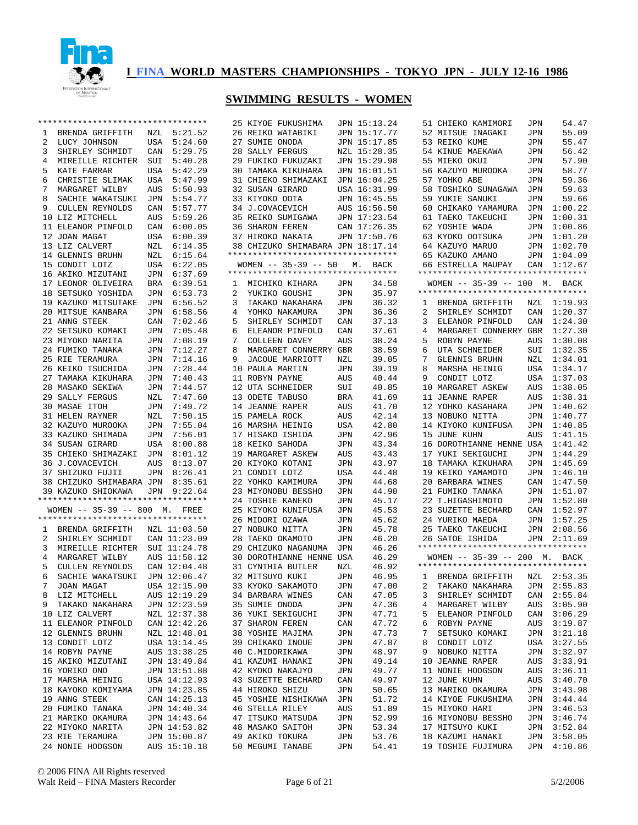

|   | ********************************** |            |              |   | 25 KIYOE FUKUSHIMA                 |            | JPN 15:13.24 |   | 51 CHIEKO KAMIMORI                 | JPN        | 54.47       |
|---|------------------------------------|------------|--------------|---|------------------------------------|------------|--------------|---|------------------------------------|------------|-------------|
| ı | BRENDA GRIFFITH                    | NZL        | 5:21.52      |   | 26 REIKO WATABIKI                  |            | JPN 15:17.77 |   | 52 MITSUE INAGAKI                  | JPN        | 55.09       |
| 2 | LUCY JOHNSON                       | USA        | 5:24.60      |   | 27 SUMIE ONODA                     |            | JPN 15:17.85 |   | 53 REIKO KUME                      | JPN        | 55.47       |
| 3 | SHIRLEY SCHMIDT                    | CAN        | 5:29.75      |   | 28 SALLY FERGUS                    |            | NZL 15:28.35 |   | 54 KINUE MAEKAWA                   | JPN        | 56.42       |
|   |                                    |            |              |   |                                    |            |              |   |                                    |            |             |
| 4 | MIREILLE RICHTER                   | SUI        | 5:40.28      |   | 29 FUKIKO FUKUZAKI                 |            | JPN 15:29.98 |   | 55 MIEKO OKUI                      | JPN        | 57.90       |
| 5 | KATE FARRAR                        | USA        | 5:42.29      |   | 30 TAMAKA KIKUHARA                 |            | JPN 16:01.51 |   | 56 KAZUYO MUROOKA                  | JPN        | 58.77       |
| 6 | CHRISTIE SLIMAK                    | USA        | 5:47.99      |   | 31 CHIEKO SHIMAZAKI                |            | JPN 16:04.25 |   | 57 YOHKO ABE                       | JPN        | 59.36       |
| 7 | MARGARET WILBY                     | AUS        | 5:50.93      |   | 32 SUSAN GIRARD                    |            | USA 16:31.99 |   | 58 TOSHIKO SUNAGAWA                | JPN        | 59.63       |
| 8 | SACHIE WAKATSUKI                   | JPN        | 5:54.77      |   | 33 KIYOKO OOTA                     |            | JPN 16:45.55 |   | 59 YUKIE SANUKI                    | JPN        | 59.66       |
| 9 | <b>CULLEN REYNOLDS</b>             | CAN        | 5:57.77      |   | 34 J.COVACEVICH                    |            | AUS 16:56.50 |   | 60 CHIKAKO YAMAMURA                | JPN        | 1:00.22     |
|   |                                    |            |              |   |                                    |            |              |   |                                    |            |             |
|   | 10 LIZ MITCHELL                    | AUS        | 5:59.26      |   | 35 REIKO SUMIGAWA                  |            | JPN 17:23.54 |   | 61 TAEKO TAKEUCHI                  | JPN        | 1:00.31     |
|   | 11 ELEANOR PINFOLD                 | CAN        | 6:00.05      |   | <b>36 SHARON FEREN</b>             |            | CAN 17:26.35 |   | 62 YOSHIE WADA                     | JPN        | 1:00.86     |
|   | 12 JOAN MAGAT                      | USA        | 6:00.39      |   | 37 HIROKO NAKATA                   |            | JPN 17:50.76 |   | 63 KYOKO OOTSUKA                   |            | JPN 1:01.20 |
|   | 13 LIZ CALVERT                     | NZL        | 6:14.35      |   | 38 CHIZUKO SHIMABARA JPN 18:17.14  |            |              |   | 64 KAZUYO MARUO                    | JPN        | 1:02.70     |
|   | 14 GLENNIS BRUHN                   | NZL        | 6:15.64      |   | ********************************** |            |              |   | 65 KAZUKO AMANO                    | JPN        | 1:04.09     |
|   | 15 CONDIT LOTZ                     | USA        | 6:22.05      |   | WOMEN $-- 35-39 -- 50$ M. BACK     |            |              |   | 66 ESTRELLA MAUPAY                 |            | CAN 1:12.67 |
|   |                                    |            |              |   | ********************************** |            |              |   | ********************************** |            |             |
|   | 16 AKIKO MIZUTANI                  | JPN        | 6:37.69      |   |                                    |            |              |   |                                    |            |             |
|   | 17 LEONOR OLIVEIRA                 | BRA        | 6:39.51      | 1 | MICHIKO KIHARA                     | JPN        | 34.58        |   | WOMEN -- 35-39 -- 100 M. BACK      |            |             |
|   | 18 SETSUKO YOSHIDA                 | JPN        | 6:53.73      | 2 | YUKIKO GOUSHI                      | JPN        | 35.97        |   | ********************************** |            |             |
|   | 19 KAZUKO MITSUTAKE                | JPN        | 6:56.52      | 3 | TAKAKO NAKAHARA                    | JPN        | 36.32        | 1 | BRENDA GRIFFITH                    |            | NZL 1:19.93 |
|   | 20 MITSUE KANBARA                  | JPN        | 6:58.56      | 4 | YOHKO NAKAMURA                     | JPN        | 36.36        | 2 | SHIRLEY SCHMIDT                    | CAN        | 1:20.37     |
|   | 21 ANNG STEEK                      | CAN        | 7:02.46      | 5 | SHIRLEY SCHMIDT                    | CAN        | 37.13        | 3 | ELEANOR PINFOLD                    | CAN        | 1:24.30     |
|   |                                    |            |              |   |                                    |            |              |   |                                    |            |             |
|   | 22 SETSUKO KOMAKI                  | JPN        | 7:05.48      | 6 | ELEANOR PINFOLD                    | CAN        | 37.61        | 4 | MARGARET CONNERRY GBR              |            | 1:27.30     |
|   | 23 MIYOKO NARITA                   | JPN        | 7:08.19      | 7 | COLLEEN DAVEY                      | <b>AUS</b> | 38.24        | 5 | ROBYN PAYNE                        | AUS        | 1:30.08     |
|   | 24 FUMIKO TANAKA                   | JPN        | 7:12.27      | 8 | MARGARET CONNERRY GBR              |            | 38.59        | 6 | UTA SCHNEIDER                      | SUI        | 1:32.35     |
|   | 25 RIE TERAMURA                    | <b>JPN</b> | 7:14.16      | 9 | JACOUE MARRIOTT                    | NZL        | 39.05        | 7 | GLENNIS BRUHN                      | NZL        | 1:34.01     |
|   | 26 KEIKO TSUCHIDA                  | JPN        | 7:28.44      |   | 10 PAULA MARTIN                    | JPN        | 39.19        | 8 | MARSHA HEINIG                      | USA        | 1:34.17     |
|   | 27 TAMAKA KIKUHARA                 |            |              |   | 11 ROBYN PAYNE                     |            |              | 9 |                                    |            |             |
|   |                                    | JPN        | 7:40.43      |   |                                    | AUS        | 40.44        |   | CONDIT LOTZ                        | USA        | 1:37.03     |
|   | 28 MASAKO SEKIWA                   | JPN        | 7:44.57      |   | 12 UTA SCHNEIDER                   | SUI        | 40.85        |   | 10 MARGARET ASKEW                  | AUS        | 1:38.05     |
|   | 29 SALLY FERGUS                    | NZL        | 7:47.60      |   | 13 ODETE TABUSO                    | <b>BRA</b> | 41.69        |   | 11 JEANNE RAPER                    | <b>AUS</b> | 1:38.31     |
|   | 30 MASAE ITOH                      | JPN        | 7:49.72      |   | 14 JEANNE RAPER                    | AUS        | 41.70        |   | 12 YOHKO KASAHARA                  | JPN        | 1:40.62     |
|   | <b>31 HELEN RAYNER</b>             | NZL        | 7:50.15      |   | 15 PAMELA ROCK                     | AUS        | 42.14        |   | 13 NOBUKO NITTA                    | JPN        | 1:40.77     |
|   | 32 KAZUYO MUROOKA                  | JPN        | 7:55.04      |   | 16 MARSHA HEINIG                   | USA        | 42.80        |   | 14 KIYOKO KUNIFUSA                 | JPN        | 1:40.85     |
|   |                                    |            |              |   |                                    |            |              |   |                                    |            |             |
|   | 33 KAZUKO SHIMADA                  | JPN        | 7:56.01      |   | 17 HISAKO ISHIDA                   | JPN        | 42.96        |   | 15 JUNE KUHN                       | AUS        | 1:41.15     |
|   | 34 SUSAN GIRARD                    | USA        | 8:00.88      |   | 18 KEIKO SAHODA                    | JPN        | 43.34        |   | 16 DOROTHIANNE HENNE USA           |            | 1:41.42     |
|   | 35 CHIEKO SHIMAZAKI                | JPN        | 8:01.12      |   | 19 MARGARET ASKEW                  | AUS        | 43.43        |   | 17 YUKI SEKIGUCHI                  | JPN        | 1:44.29     |
|   | 36 J.COVACEVICH                    | AUS        | 8:13.07      |   | 20 KIYOKO KOTANI                   | JPN        | 43.97        |   | 18 TAMAKA KIKUHARA                 | JPN        | 1:45.69     |
|   | 37 SHIZUKO FUJII                   | JPN        | 8:26.41      |   | 21 CONDIT LOTZ                     | USA        | 44.48        |   | 19 KEIKO YAMAMOTO                  | JPN        | 1:46.10     |
|   | 38 CHIZUKO SHIMABARA JPN           |            |              |   |                                    |            | 44.68        |   | 20 BARBARA WINES                   |            | 1:47.50     |
|   |                                    |            | 8:35.61      |   | 22 YOHKO KAMIMURA                  | JPN        |              |   |                                    | CAN        |             |
|   | 39 KAZUKO SHIOKAWA                 |            | JPN 9:22.64  |   | 23 MIYONOBU BESSHO                 | JPN        | 44.90        |   | 21 FUMIKO TANAKA                   | JPN        | 1:51.07     |
|   | *********************************  |            |              |   | 24 TOSHIE KANEKO                   | JPN        | 45.17        |   | 22 T.HIGASHIMOTO                   | JPN        | 1:52.80     |
|   | WOMEN -- 35-39 -- 800 M. FREE      |            |              |   | 25 KIYOKO KUNIFUSA                 | JPN        | 45.53        |   | 23 SUZETTE BECHARD                 | CAN        | 1:52.97     |
|   | ********************************** |            |              |   | 26 MIDORI OZAWA                    | JPN        | 45.62        |   | 24 YURIKO MAEDA                    | JPN        | 1:57.25     |
| 1 | BRENDA GRIFFITH                    |            | NZL 11:03.50 |   | 27 NOBUKO NITTA                    | JPN        | 45.78        |   | 25 TAEKO TAKEUCHI                  | JPN        | 2:08.56     |
|   |                                    |            |              |   | 28 TAEKO OKAMOTO                   |            |              |   |                                    |            |             |
| 2 | SHIRLEY SCHMIDT                    |            | CAN 11:23.09 |   |                                    | JPN        | 46.20        |   | 26 SATOE ISHIDA                    | JPN        | 2:11.69     |
| 3 | MIREILLE RICHTER SUI 11:24.78      |            |              |   | 29 CHIZUKO NAGANUMA                | JPN        | 46.26        |   | ********************************** |            |             |
| 4 | MARGARET WILBY                     |            | AUS 11:58.12 |   | <b>30 DOROTHIANNE HENNE USA</b>    |            | 46.29        |   | WOMEN $-- 35-39 -- 200$ M.         |            | BACK        |
| 5 | <b>CULLEN REYNOLDS</b>             |            | CAN 12:04.48 |   | 31 CYNTHIA BUTLER                  | NZL        | 46.92        |   | ********************************** |            |             |
| 6 | SACHIE WAKATSUKI                   |            | JPN 12:06.47 |   | 32 MITSUYO KUKI                    | JPN        | 46.95        |   | 1 BRENDA GRIFFITH                  |            | NZL 2:53.35 |
|   | 7 JOAN MAGAT                       |            | USA 12:15.90 |   | 33 KYOKO SAKAMOTO                  | JPN        | 47.00        |   | 2 TAKAKO NAKAHARA JPN 2:55.83      |            |             |
|   |                                    |            |              |   |                                    |            |              |   |                                    |            |             |
|   | 8 LIZ MITCHELL                     |            | AUS 12:19.29 |   | 34 BARBARA WINES                   | CAN        | 47.05        | 3 | SHIRLEY SCHMIDT                    |            | CAN 2:55.84 |
|   | 9 TAKAKO NAKAHARA                  |            | JPN 12:23.59 |   | 35 SUMIE ONODA                     | JPN        | 47.36        | 4 | MARGARET WILBY                     |            | AUS 3:05.90 |
|   | 10 LIZ CALVERT                     |            | NZL 12:37.38 |   | 36 YUKI SEKIGUCHI                  | JPN        | 47.71        | 5 | ELEANOR PINFOLD                    |            | CAN 3:06.29 |
|   | 11 ELEANOR PINFOLD                 |            | CAN 12:42.26 |   | 37 SHARON FEREN                    | CAN        | 47.72        | 6 | ROBYN PAYNE                        |            | AUS 3:19.87 |
|   | 12 GLENNIS BRUHN                   |            | NZL 12:48.01 |   | 38 YOSHIE MAJIMA                   | JPN        | 47.73        | 7 | SETSUKO KOMAKI                     |            | JPN 3:21.18 |
|   | 13 CONDIT LOTZ                     |            | USA 13:14.45 |   | 39 CHIKAKO INOUE                   | JPN        | 47.87        | 8 | CONDIT LOTZ                        |            | USA 3:27.55 |
|   |                                    |            |              |   |                                    |            |              |   |                                    |            |             |
|   | 14 ROBYN PAYNE                     |            | AUS 13:38.25 |   | 40 C.MIDORIKAWA                    | JPN        | 48.97        | 9 | NOBUKO NITTA                       |            | JPN 3:32.97 |
|   | 15 AKIKO MIZUTANI                  |            | JPN 13:49.84 |   | 41 KAZUMI HANAKI                   | JPN        | 49.14        |   | 10 JEANNE RAPER                    |            |             |
|   | 16 YORIKO ONO                      |            | JPN 13:51.88 |   | 42 KYOKO NAKAJYO                   | JPN        | 49.77        |   | 11 NONIE HODGSON                   |            |             |
|   | 17 MARSHA HEINIG                   |            | USA 14:12.93 |   | 43 SUZETTE BECHARD                 | CAN        | 49.97        |   | 12 JUNE KUHN                       |            | AUS 3:40.70 |
|   | 18 KAYOKO KOMIYAMA                 |            | JPN 14:23.85 |   | 44 HIROKO SHIZU                    | JPN        | 50.65        |   | 13 MARIKO OKAMURA                  |            | JPN 3:43.98 |
|   | 19 ANNG STEEK                      |            |              |   |                                    |            |              |   | 14 KIYOE FUKUSHIMA                 |            |             |
|   |                                    |            | CAN 14:25.13 |   | 45 YOSHIE NISHIKAWA                | JPN        | 51.72        |   |                                    |            | JPN 3:44.44 |
|   | 20 FUMIKO TANAKA                   |            | JPN 14:40.34 |   | 46 STELLA RILEY                    | AUS        | 51.89        |   | 15 MIYOKO HARI                     |            | JPN 3:46.53 |
|   | 21 MARIKO OKAMURA                  |            | JPN 14:43.64 |   | 47 ITSUKO MATSUDA                  | JPN        | 52.99        |   | 16 MIYONOBU BESSHO                 |            | JPN 3:46.74 |
|   | 22 MIYOKO NARITA                   |            | JPN 14:53.82 |   | 48 MASAKO SAITOH                   | JPN        | 53.34        |   | 17 MITSUYO KUKI                    |            | JPN 3:52.84 |
|   | 23 RIE TERAMURA                    |            | JPN 15:00.87 |   | 49 AKIKO TOKURA                    | JPN        | 53.76        |   | 18 KAZUMI HANAKI                   |            | JPN 3:58.05 |
|   | 24 NONIE HODGSON                   |            | AUS 15:10.18 |   | 50 MEGUMI TANABE                   | JPN        | 54.41        |   | 19 TOSHIE FUJIMURA                 |            | JPN 4:10.86 |
|   |                                    |            |              |   |                                    |            |              |   |                                    |            |             |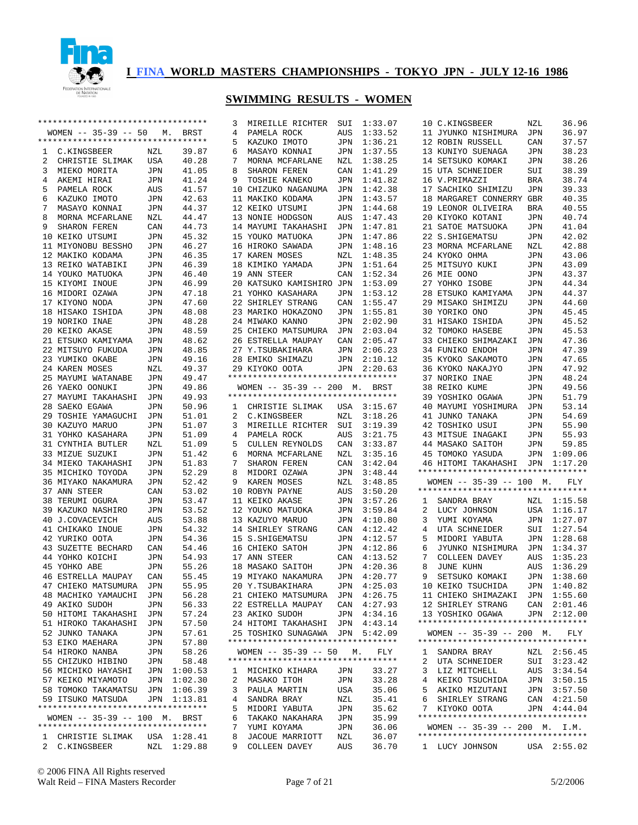

|                  | ********************************** |     |                            |        | MIREILLE RICHTER                   | SUI        | 1:33.07        |                | 10 C.KINGSBEER                     | NZL        | 36.96       |
|------------------|------------------------------------|-----|----------------------------|--------|------------------------------------|------------|----------------|----------------|------------------------------------|------------|-------------|
|                  | $WOMEN$ -- 35-39 -- 50             |     | M. BRST                    | 4      | PAMELA ROCK                        | AUS        | 1:33.52        |                | 11 JYUNKO NISHIMURA                | JPN        | 36.97       |
|                  | *********************************  |     |                            | 5      | KAZUKO IMOTO                       | JPN        | 1:36.21        |                | 12 ROBIN RUSSELL                   | CAN        | 37.57       |
| C.KINGSBEER<br>1 |                                    | NZL | 39.87                      | 6      | MASAYO KONNAI                      | JPN        | 1:37.55        |                | 13 KUNIYO SUENAGA                  | JPN        | 38.23       |
|                  |                                    |     |                            |        |                                    |            |                |                |                                    |            |             |
| 2                | CHRISTIE SLIMAK                    | USA | 40.28                      | 7      | MORNA MCFARLANE                    | NZL        | 1:38.25        |                | 14 SETSUKO KOMAKI                  | JPN        | 38.26       |
| 3                | MIEKO MORITA                       | JPN | 41.05                      | 8      | SHARON FEREN                       | CAN        | 1:41.29        |                | 15 UTA SCHNEIDER                   | SUI        | 38.39       |
| 4<br>AKEMI HIRAI |                                    | JPN | 41.24                      | 9      | TOSHIE KANEKO                      | JPN        | 1:41.82        |                | 16 V.PRIMAZZI                      | BRA        | 38.74       |
| 5                | PAMELA ROCK                        | AUS | 41.57                      |        | 10 CHIZUKO NAGANUMA                | JPN        | 1:42.38        |                | 17 SACHIKO SHIMIZU                 | <b>JPN</b> | 39.33       |
| 6                | KAZUKO IMOTO                       | JPN | 42.63                      |        | 11 MAKIKO KODAMA                   | JPN        | 1:43.57        |                | 18 MARGARET CONNERRY GBR           |            | 40.35       |
|                  |                                    |     |                            |        |                                    |            |                |                |                                    |            |             |
| 7                | MASAYO KONNAI                      | JPN | 44.37                      |        | 12 KEIKO UTSUMI                    | JPN        | 1:44.68        |                | 19 LEONOR OLIVEIRA                 | BRA        | 40.55       |
| 8                | MORNA MCFARLANE                    | NZL | 44.47                      |        | 13 NONIE HODGSON                   | AUS        | 1:47.43        |                | 20 KIYOKO KOTANI                   | JPN        | 40.74       |
| 9                | SHARON FEREN                       | CAN | 44.73                      |        | 14 MAYUMI TAKAHASHI                | JPN        | 1:47.81        |                | 21 SATOE MATSUOKA                  | JPN        | 41.04       |
| 10 KEIKO UTSUMI  |                                    | JPN | 45.32                      |        | 15 YOUKO MATUOKA                   | <b>JPN</b> | 1:47.86        |                | 22 S. SHIGEMATSU                   | <b>JPN</b> | 42.02       |
|                  |                                    |     | 46.27                      |        | 16 HIROKO SAWADA                   |            | 1:48.16        |                | 23 MORNA MCFARLANE                 |            | 42.88       |
|                  | 11 MIYONOBU BESSHO                 | JPN |                            |        |                                    | JPN        |                |                |                                    | NZL        |             |
| 12 MAKIKO KODAMA |                                    | JPN | 46.35                      |        | 17 KAREN MOSES                     | NZL        | 1:48.35        |                | 24 KYOKO OHMA                      | <b>JPN</b> | 43.06       |
|                  | 13 REIKO WATABIKI                  | JPN | 46.39                      |        | 18 KIMIKO YAMADA                   | JPN        | 1:51.64        |                | 25 MITSUYO KUKI                    | JPN        | 43.09       |
| 14 YOUKO MATUOKA |                                    | JPN | 46.40                      |        | 19 ANN STEER                       | CAN        | 1:52.34        |                | 26 MIE OONO                        | <b>JPN</b> | 43.37       |
| 15 KIYOMI INOUE  |                                    | JPN | 46.99                      |        | 20 KATSUKO KAMISHIRO JPN           |            | 1:53.09        |                | 27 YOHKO ISOBE                     | JPN        | 44.34       |
| 16 MIDORI OZAWA  |                                    |     | 47.18                      |        | 21 YOHKO KASAHARA                  | JPN        | 1:53.12        |                | 28 ETSUKO KAMIYAMA                 | <b>JPN</b> | 44.37       |
|                  |                                    | JPN |                            |        |                                    |            |                |                |                                    |            |             |
| 17 KIYONO NODA   |                                    | JPN | 47.60                      |        | 22 SHIRLEY STRANG                  | CAN        | 1:55.47        |                | 29 MISAKO SHIMIZU                  | JPN        | 44.60       |
| 18 HISAKO ISHIDA |                                    | JPN | 48.08                      |        | 23 MARIKO HOKAZONO                 | JPN        | 1:55.81        |                | 30 YORIKO ONO                      | JPN        | 45.45       |
| 19 NORIKO INAE   |                                    | JPN | 48.28                      |        | 24 MIWAKO KANNO                    | JPN        | 2:02.90        |                | 31 HISAKO ISHIDA                   | JPN        | 45.52       |
| 20 KEIKO AKASE   |                                    | JPN | 48.59                      |        | 25 CHIEKO MATSUMURA                | JPN        | 2:03.04        |                | 32 TOMOKO HASEBE                   | JPN        | 45.53       |
|                  |                                    |     |                            |        |                                    |            |                |                |                                    |            |             |
|                  | 21 ETSUKO KAMIYAMA                 | JPN | 48.62                      |        | 26 ESTRELLA MAUPAY                 | CAN        | 2:05.47        |                | 33 CHIEKO SHIMAZAKI                | JPN        | 47.36       |
|                  | 22 MITSUYO FUKUDA                  | JPN | 48.85                      |        | 27 Y.TSUBAKIHARA                   | JPN        | 2:06.23        |                | 34 FUNIKO ENDOH                    | <b>JPN</b> | 47.39       |
| 23 YUMIKO OKABE  |                                    | JPN | 49.16                      |        | 28 EMIKO SHIMAZU                   | JPN        | 2:10.12        |                | 35 KYOKO SAKAMOTO                  | JPN        | 47.65       |
| 24 KAREN MOSES   |                                    | NZL | 49.37                      |        | 29 KIYOKO OOTA                     |            | JPN 2:20.63    |                | 36 KYOKO NAKAJYO                   | <b>JPN</b> | 47.92       |
|                  | 25 MAYUMI WATANABE                 | JPN | 49.47                      |        | ********************************** |            |                |                | 37 NORIKO INAE                     | JPN        | 48.24       |
| 26 YAEKO OONUKI  |                                    | JPN | 49.86                      |        | WOMEN -- 35-39 -- 200 M. BRST      |            |                |                | 38 REIKO KUME                      | JPN        | 49.56       |
|                  |                                    |     |                            |        |                                    |            |                |                |                                    |            |             |
|                  | 27 MAYUMI TAKAHASHI                | JPN | 49.93                      |        | ********************************** |            |                |                | 39 YOSHIKO OGAWA                   | JPN        | 51.79       |
| 28 SAEKO EGAWA   |                                    | JPN | 50.96                      | 1      | CHRISTIE SLIMAK                    | USA        | 3:15.67        |                | 40 MAYUMI YOSHIMURA                | JPN        | 53.14       |
|                  | 29 TOSHIE YAMAGUCHI                | JPN | 51.01                      | 2      | C.KINGSBEER                        | NZL        | 3:18.26        |                | 41 JUNKO TANAKA                    | JPN        | 54.69       |
|                  |                                    |     |                            |        |                                    | SUI        |                |                | 42 TOSHIKO USUI                    | <b>JPN</b> | 55.90       |
|                  |                                    |     |                            |        |                                    |            |                |                |                                    |            |             |
|                  | 30 KAZUYO MARUO                    | JPN | 51.07                      | 3      | MIREILLE RICHTER                   |            | 3:19.39        |                |                                    |            |             |
|                  | 31 YOHKO KASAHARA                  | JPN | 51.09                      | 4      | PAMELA ROCK                        | AUS        | 3:21.75        |                | 43 MITSUE INAGAKI                  | JPN        | 55.93       |
|                  | 31 CYNTHIA BUTLER                  | NZL | 51.09                      | 5      | CULLEN REYNOLDS                    | CAN        | 3:33.87        |                | 44 MASAKO SAITOH                   | JPN        | 59.85       |
| 33 MIZUE SUZUKI  |                                    | JPN | 51.42                      | 6      | MORNA MCFARLANE                    | NZL        | 3:35.16        |                | 45 TOMOKO YASUDA                   | JPN        | 1:09.06     |
|                  | 34 MIEKO TAKAHASHI                 | JPN | 51.83                      | 7      | SHARON FEREN                       | CAN        | 3:42.04        |                | 46 HITOMI TAKAHASHI JPN            |            | 1:17.20     |
|                  |                                    |     |                            |        |                                    |            |                |                | ********************************** |            |             |
|                  | 35 MICHIKO TOYODA                  | JPN | 52.29                      | 8      | MIDORI OZAWA                       | JPN        | 3:48.44        |                |                                    |            |             |
|                  | 36 MIYAKO NAKAMURA                 | JPN | 52.42                      | 9      | KAREN MOSES                        | NZL        | 3:48.85        |                | $WOMEN$ -- 35-39 -- 100 M.         |            | FLY         |
| 37 ANN STEER     |                                    | CAN | 53.02                      |        | 10 ROBYN PAYNE                     | AUS        | 3:50.20        |                | ********************************** |            |             |
| 38 TERUMI OGURA  |                                    | JPN | 53.47                      |        | 11 KEIKO AKASE                     | JPN        | 3:57.26        | 1              | SANDRA BRAY                        |            | NZL 1:15.58 |
|                  | 39 KAZUKO NASHIRO                  | JPN | 53.52                      |        | 12 YOUKO MATUOKA                   | JPN        | 3:59.84        | 2              | LUCY JOHNSON                       |            | USA 1:16.17 |
| 40 J.COVACEVICH  |                                    |     |                            |        | 13 KAZUYO MARUO                    | JPN        | 4:10.80        | 3              |                                    | JPN        | 1:27.07     |
|                  |                                    | AUS | 53.88                      |        |                                    |            |                |                | YUMI KOYAMA                        |            |             |
| 41 CHIKAKO INOUE |                                    | JPN | 54.32                      |        | 14 SHIRLEY STRANG                  | CAN        | 4:12.42        | $\overline{4}$ | UTA SCHNEIDER                      | SUI        | 1:27.54     |
| 42 YURIKO OOTA   |                                    | JPN | 54.36                      |        | 15 S.SHIGEMATSU                    | JPN        | 4:12.57        | 5              | MIDORI YABUTA                      | JPN        | 1:28.68     |
|                  | 43 SUZETTE BECHARD                 | CAN | 54.46                      |        | 16 CHIEKO SATOH                    | JPN        | 4:12.86        | 6              | JYUNKO NISHIMURA                   | JPN        | 1:34.37     |
| 44 YOHKO KOICHI  |                                    | JPN | 54.93                      |        | 17 ANN STEER                       | CAN        | 4:13.52        | 7              | COLLEEN DAVEY                      | AUS        | 1:35.23     |
| 45 YOHKO ABE     |                                    | JPN | 55.26                      |        | 18 MASAKO SAITOH                   | JPN        | 4:20.36        | 8              | JUNE KUHN                          | AUS        | 1:36.29     |
|                  |                                    |     |                            |        |                                    |            |                |                |                                    |            |             |
|                  | <b>46 ESTRELLA MAUPAY</b>          | CAN | 55.45                      |        | 19 MIYAKO NAKAMURA                 | JPN        | 4:20.77        | 9              | SETSUKO KOMAKI                     |            | JPN 1:38.60 |
|                  | 47 CHIEKO MATSUMURA JPN            |     | 55.95                      |        | 20 Y.TSUBAKIHARA                   |            | JPN 4:25.03    |                | 10 KEIKO TSUCHIDA                  |            | JPN 1:40.82 |
|                  | 48 MACHIKO YAMAUCHI                | JPN | 56.28                      |        | 21 CHIEKO MATSUMURA                | JPN        | 4:26.75        |                | 11 CHIEKO SHIMAZAKI JPN 1:55.60    |            |             |
| 49 AKIKO SUDOH   |                                    | JPN | 56.33                      |        | 22 ESTRELLA MAUPAY                 | CAN        | 4:27.93        |                | 12 SHIRLEY STRANG                  |            | CAN 2:01.46 |
|                  | 50 HITOMI TAKAHASHI                | JPN | 57.24                      |        | 23 AKIKO SUDOH                     | JPN        | 4:34.16        |                | 13 YOSHIKO OGAWA                   |            | JPN 2:12.00 |
|                  |                                    |     |                            |        |                                    |            |                |                | ********************************** |            |             |
|                  | 51 HIROKO TAKAHASHI                | JPN | 57.50                      |        | 24 HITOMI TAKAHASHI                | JPN        | 4:43.14        |                |                                    |            |             |
| 52 JUNKO TANAKA  |                                    | JPN | 57.61                      |        | 25 TOSHIKO SUNAGAWA                | JPN        | 5:42.09        |                | $WOMEN$ -- 35-39 -- 200 M.         |            | FLY         |
| 53 EIKO MAEHARA  |                                    | JPN | 57.80                      |        | ********************************** |            |                |                | ********************************** |            |             |
| 54 HIROKO NANBA  |                                    | JPN | 58.26                      |        | $WOMEN$ -- 35-39 -- 50             | М.         | FLY            | $\mathbf{1}$   | SANDRA BRAY                        |            | NZL 2:56.45 |
|                  | 55 CHIZUKO HIBINO                  | JPN | 58.48                      |        | ********************************** |            |                | 2              | UTA SCHNEIDER                      |            | SUI 3:23.42 |
|                  | 56 MICHIKO HAYASHI                 | JPN | 1:00.53                    | ı.     | MICHIKO KIHARA                     | JPN        | 33.27          | 3              | LIZ MITCHELL                       | AUS        | 3:34.54     |
|                  |                                    |     |                            |        |                                    |            |                |                |                                    |            |             |
|                  | 57 KEIKO MIYAMOTO                  | JPN | 1:02.30                    | 2      | MASAKO ITOH                        | JPN        | 33.28          | 4              | KEIKO TSUCHIDA                     |            | JPN 3:50.15 |
|                  | 58 TOMOKO TAKAMATSU                | JPN | 1:06.39                    | 3      | PAULA MARTIN                       | USA        | 35.06          | 5              | AKIKO MIZUTANI                     | JPN        | 3:57.50     |
|                  | 59 ITSUKO MATSUDA                  |     | JPN 1:13.81                | 4      | SANDRA BRAY                        | NZL        | 35.41          | 6              | SHIRLEY STRANG                     |            | CAN 4:21.50 |
|                  | ********************************** |     |                            | 5      | MIDORI YABUTA                      | JPN        | 35.62          | 7              | KIYOKO OOTA                        |            | JPN 4:44.04 |
|                  | WOMEN -- 35-39 -- 100 M. BRST      |     |                            | 6      | TAKAKO NAKAHARA                    | JPN        | 35.99          |                | ********************************** |            |             |
|                  | *********************************  |     |                            | 7      |                                    | JPN        |                |                | WOMEN $-- 35-39 -- 200$ M. I.M.    |            |             |
|                  |                                    |     |                            |        | YUMI KOYAMA                        |            | 36.06          |                | ********************************** |            |             |
| 2 C.KINGSBEER    | 1 CHRISTIE SLIMAK                  |     | USA 1:28.41<br>NZL 1:29.88 | 8<br>9 | JACOUE MARRIOTT<br>COLLEEN DAVEY   | NZL<br>AUS | 36.07<br>36.70 |                | 1 LUCY JOHNSON                     |            | USA 2:55.02 |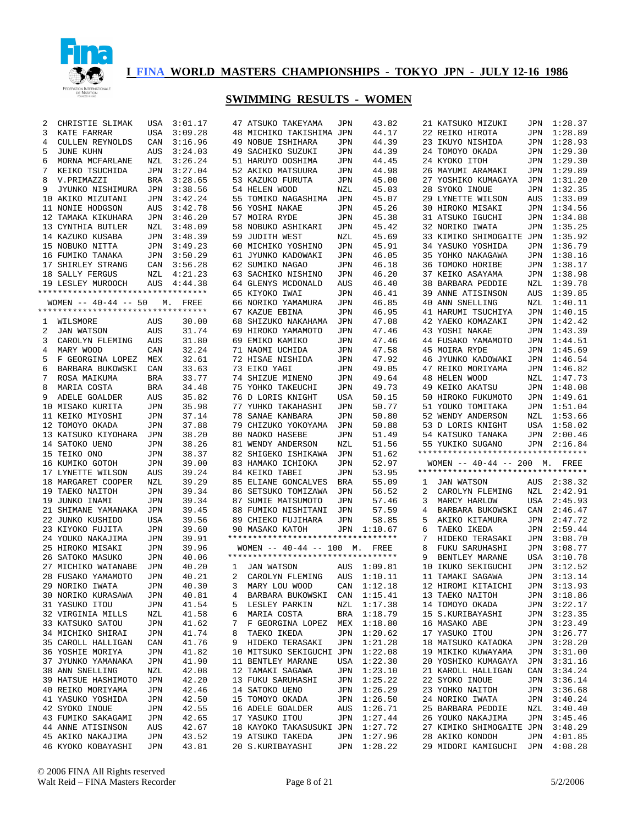

| 2            | CHRISTIE SLIMAK                    | USA        | 3:01.17 |              | 47 ATSUKO TAKEYAMA                 | JPN | 43.82       |   | 21 KATSUKO MIZUKI                  |            | JPN 1:28.37 |
|--------------|------------------------------------|------------|---------|--------------|------------------------------------|-----|-------------|---|------------------------------------|------------|-------------|
| 3            | KATE FARRAR                        | USA        | 3:09.28 |              | 48 MICHIKO TAKISHIMA JPN           |     | 44.17       |   | 22 REIKO HIROTA                    | JPN        | 1:28.89     |
| 4            | CULLEN REYNOLDS                    | CAN        | 3:16.96 |              | 49 NOBUE ISHIHARA                  | JPN | 44.39       |   | 23 IKUYO NISHIDA                   | JPN        | 1:28.93     |
| 5            | JUNE KUHN                          | AUS        | 3:24.03 |              | 49 SACHIKO SUZUKI                  | JPN | 44.39       |   | 24 TOMOYO OKADA                    | JPN        | 1:29.30     |
|              |                                    |            |         |              |                                    |     |             |   |                                    |            |             |
| 6            | MORNA MCFARLANE                    | NZL        | 3:26.24 |              | 51 HARUYO OOSHIMA                  | JPN | 44.45       |   | 24 KYOKO ITOH                      | JPN        | 1:29.30     |
| 7            | KEIKO TSUCHIDA                     | JPN        | 3:27.04 |              | 52 AKIKO MATSUURA                  | JPN | 44.98       |   | 26 MAYUMI ARAMAKI                  | JPN        | 1:29.89     |
| 8            | V.PRIMAZZI                         | BRA        | 3:28.65 |              | 53 KAZUKO FURUTA                   | JPN | 45.00       |   | 27 YOSHIKO KUMAGAYA                | JPN        | 1:31.20     |
| 9            | JYUNKO NISHIMURA                   | JPN        | 3:38.56 |              | 54 HELEN WOOD                      | NZL | 45.03       |   | 28 SYOKO INOUE                     | JPN        | 1:32.35     |
|              | 10 AKIKO MIZUTANI                  | JPN        | 3:42.24 |              | 55 TOMIKO NAGASHIMA                | JPN | 45.07       |   | 29 LYNETTE WILSON                  | AUS        | 1:33.09     |
|              | 11 NONIE HODGSON                   | AUS        | 3:42.78 |              | 56 YOSHI NAKAE                     | JPN | 45.26       |   | 30 HIROKO MISAKI                   | JPN        | 1:34.56     |
|              | 12 TAMAKA KIKUHARA                 | JPN        | 3:46.20 |              | 57 MOIRA RYDE                      | JPN | 45.38       |   | 31 ATSUKO IGUCHI                   | JPN        | 1:34.88     |
|              | 13 CYNTHIA BUTLER                  | NZL        | 3:48.09 |              | 58 NOBUKO ASHIKARI                 | JPN | 45.42       |   | 32 NORIKO IWATA                    | JPN        | 1:35.25     |
|              | 14 KAZUKO KUSABA                   | JPN        | 3:48.39 |              | 59 JUDITH WEST                     |     | 45.69       |   | 33 KIMIKO SHIMOGAITE JPN           |            | 1:35.92     |
|              |                                    |            |         |              |                                    | NZL |             |   |                                    |            |             |
|              | 15 NOBUKO NITTA                    | JPN        | 3:49.23 |              | 60 MICHIKO YOSHINO                 | JPN | 45.91       |   | 34 YASUKO YOSHIDA                  | JPN        | 1:36.79     |
|              | 16 FUMIKO TANAKA                   | JPN        | 3:50.29 |              | 61 JYUNKO KADOWAKI                 | JPN | 46.05       |   | 35 YOHKO NAKAGAWA                  | JPN        | 1:38.16     |
|              | 17 SHIRLEY STRANG                  | CAN        | 3:56.28 |              | 62 SUMIKO NAGAO                    | JPN | 46.18       |   | 36 TOMOKO HORIBE                   | JPN        | 1:38.17     |
|              | 18 SALLY FERGUS                    | NZL        | 4:21.23 |              | 63 SACHIKO NISHINO                 | JPN | 46.20       |   | 37 KEIKO ASAYAMA                   | JPN        | 1:38.98     |
|              | 19 LESLEY MUROOCH                  | AUS        | 4:44.38 |              | 64 GLENYS MCDONALD                 | AUS | 46.40       |   | 38 BARBARA PEDDIE                  | NZL        | 1:39.78     |
|              | ********************************** |            |         |              | 65 KIYOKO IWAI                     | JPN | 46.41       |   | 39 ANNE ATISINSON                  | AUS        | 1:39.85     |
|              | WOMEN $--$ 40-44 -- 50             |            | M. FREE |              | 66 NORIKO YAMAMURA                 | JPN | 46.85       |   | 40 ANN SNELLING                    | NZL        | 1:40.11     |
|              | *********************************  |            |         |              | 67 KAZUE EBINA                     | JPN | 46.95       |   | 41 HARUMI TSUCHIYA                 | JPN        | 1:40.15     |
|              |                                    |            |         |              |                                    |     |             |   |                                    |            |             |
| $\mathbf{1}$ | WILSMORE                           | AUS        | 30.00   |              | 68 SHIZUKO NAKAHAMA                | JPN | 47.08       |   | 42 YAEKO KOMAZAKI                  | JPN        | 1:42.42     |
| 2            | <b>JAN WATSON</b>                  | AUS        | 31.74   |              | 69 HIROKO YAMAMOTO                 | JPN | 47.46       |   | 43 YOSHI NAKAE                     | JPN        | 1:43.39     |
| 3            | CAROLYN FLEMING                    | AUS        | 31.80   |              | 69 EMIKO KAMIKO                    | JPN | 47.46       |   | 44 FUSAKO YAMAMOTO                 | JPN        | 1:44.51     |
| 4            | MARY WOOD                          | CAN        | 32.24   |              | 71 NAOMI UCHIDA                    | JPN | 47.58       |   | 45 MOIRA RYDE                      | JPN        | 1:45.69     |
| 5            | F GEORGINA LOPEZ                   | MEX        | 32.61   |              | 72 HISAE NISHIDA                   | JPN | 47.92       |   | 46 JYUNKO KADOWAKI                 | JPN        | 1:46.54     |
| 6            | BARBARA BUKOWSKI                   | CAN        | 33.63   |              | 73 EIKO YAGI                       | JPN | 49.05       |   | 47 REIKO MORIYAMA                  | JPN        | 1:46.82     |
| 7            | ROSA MAIKUMA                       | BRA        | 33.77   |              | 74 SHIZUE MINENO                   | JPN | 49.64       |   | <b>48 HELEN WOOD</b>               | NZL        | 1:47.73     |
| 8            | MARIA COSTA                        | BRA        | 34.48   |              | 75 YOHKO TAKEUCHI                  | JPN | 49.73       |   | 49 KEIKO AKATSU                    | JPN        | 1:48.08     |
|              |                                    |            |         |              |                                    |     |             |   |                                    |            |             |
| 9            | ADELE GOALDER                      | AUS        | 35.82   |              | 76 D LORIS KNIGHT                  | USA | 50.15       |   | 50 HIROKO FUKUMOTO                 | JPN        | 1:49.61     |
|              | 10 MISAKO KURITA                   | JPN        | 35.98   |              | 77 YUHKO TAKAHASHI                 | JPN | 50.77       |   | 51 YOUKO TOMITAKA                  | JPN        | 1:51.04     |
|              | 11 KEIKO MIYOSHI                   | JPN        | 37.14   |              | 78 SANAE KANBARA                   | JPN | 50.80       |   | 52 WENDY ANDERSON                  | NZL        | 1:53.66     |
|              | 12 TOMOYO OKADA                    | JPN        | 37.88   |              | 79 CHIZUKO YOKOYAMA                | JPN | 50.88       |   | 53 D LORIS KNIGHT                  | USA        | 1:58.02     |
|              |                                    |            |         |              |                                    |     |             |   |                                    |            |             |
|              | 13 KATSUKO KIYOHARA                | JPN        |         |              | 80 NAOKO HASEBE                    | JPN | 51.49       |   |                                    | JPN        | 2:00.46     |
|              |                                    |            | 38.20   |              |                                    |     |             |   | 54 KATSUKO TANAKA                  |            |             |
|              | 14 SATOKO UENO                     | JPN        | 38.26   |              | 81 WENDY ANDERSON                  | NZL | 51.56       |   | 55 YUKIKO SUGANO                   | JPN        | 2:16.84     |
|              | 15 TEIKO ONO                       | JPN        | 38.37   |              | 82 SHIGEKO ISHIKAWA                | JPN | 51.62       |   | ********************************** |            |             |
|              | 16 KUMIKO GOTOH                    | JPN        | 39.00   |              | 83 HAMAKO ICHIOKA                  | JPN | 52.97       |   | WOMEN $-- 40-44 -- 200$ M. FREE    |            |             |
|              | 17 LYNETTE WILSON                  | AUS        | 39.24   |              | 84 KEIKO TABEI                     | JPN | 53.95       |   | ********************************** |            |             |
|              | 18 MARGARET COOPER                 | NZL        | 39.29   |              | 85 ELIANE GONCALVES                | BRA | 55.09       | 1 | JAN WATSON                         | AUS        | 2:38.32     |
|              | 19 TAEKO NAITOH                    | JPN        | 39.34   |              | 86 SETSUKO TOMIZAWA                | JPN | 56.52       | 2 | CAROLYN FLEMING                    | NZL        | 2:42.91     |
|              | 19 JUNKO INAMI                     | JPN        | 39.34   |              | 87 SUMIE MATSUMOTO                 | JPN | 57.46       | 3 | MARCY HARLOW                       | USA        | 2:45.93     |
|              | 21 SHIMANE YAMANAKA                | JPN        | 39.45   |              | 88 FUMIKO NISHITANI                | JPN | 57.59       | 4 | BARBARA BUKOWSKI                   | CAN        | 2:46.47     |
|              |                                    |            |         |              |                                    |     |             |   |                                    |            |             |
|              | 22 JUNKO KUSHIDO                   | USA        | 39.56   |              | 89 CHIEKO FUJIHARA                 | JPN | 58.85       | 5 | AKIKO KITAMURA                     | JPN        | 2:47.72     |
|              | 23 KIYOKO FUJITA                   | JPN        | 39.60   |              | 90 MASAKO KATOH                    | JPN | 1:10.67     | 6 | TAEKO IKEDA                        | JPN        | 2:59.44     |
|              | 24 YOUKO NAKAJIMA                  | JPN        | 39.91   |              | ********************************** |     |             | 7 | HIDEKO TERASAKI                    | JPN        | 3:08.70     |
|              | 25 HIROKO MISAKI                   | JPN        | 39.96   |              | WOMEN $-- 40-44 -- 100$ M. FREE    |     |             | 8 | FUKU SARUHASHI                     | JPN        | 3:08.77     |
|              | 26 SATOKO MASUKO                   | JPN        | 40.06   |              | ********************************** |     |             | 9 | BENTLEY MARANE                     | <b>USA</b> | 3:10.78     |
|              | 27 MICHIKO WATANABE                | <b>JPN</b> | 40.20   | $\mathbf{1}$ | JAN WATSON                         | AUS | 1:09.81     |   | 10 IKUKO SEKIGUCHI                 | JPN        | 3:12.52     |
|              | 28 FUSAKO YAMAMOTO                 | JPN        | 40.21   | $\mathbf{2}$ | CAROLYN FLEMING                    | AUS | 1:10.11     |   | 11 TAMAKI SAGAWA                   | JPN        | 3:13.14     |
|              |                                    | JPN        | 40.30   |              |                                    |     |             |   | 12 HIROMI KITAICHI                 |            | JPN 3:13.93 |
|              | 29 NORIKO IWATA                    |            |         |              | 3 MARY LOU WOOD CAN 1:12.18        |     |             |   |                                    |            |             |
|              | 30 NORIKO KURASAWA                 | JPN        | 40.81   |              | 4 BARBARA BUKOWSKI CAN 1:15.41     |     |             |   | 13 TAEKO NAITOH                    |            | JPN 3:18.86 |
|              | 31 YASUKO ITOU                     | JPN        | 41.54   |              | 5 LESLEY PARKIN                    |     | NZL 1:17.38 |   | 14 TOMOYO OKADA                    |            | JPN 3:22.17 |
|              | 32 VIRGINIA MILLS                  | NZL        | 41.58   |              | 6 MARIA COSTA                      |     | BRA 1:18.79 |   | 15 S.KURIBAYASHI                   |            | JPN 3:23.35 |
|              | 33 KATSUKO SATOU                   | JPN        | 41.62   |              | 7 F GEORGINA LOPEZ MEX 1:18.80     |     |             |   | 16 MASAKO ABE                      |            | JPN 3:23.49 |
|              | 34 MICHIKO SHIRAI                  | JPN        | 41.74   | 8            | TAEKO IKEDA                        |     | JPN 1:20.62 |   | 17 YASUKO ITOU                     |            | JPN 3:26.77 |
|              | 35 CAROLL HALLIGAN                 | CAN        | 41.76   |              | 9 HIDEKO TERASAKI                  |     | JPN 1:21.28 |   | 18 MATSUKO KATAOKA                 |            | JPN 3:28.20 |
|              | 36 YOSHIE MORIYA                   | JPN        | 41.82   |              | 10 MITSUKO SEKIGUCHI JPN 1:22.08   |     |             |   | 19 MIKIKO KUWAYAMA                 |            | JPN 3:31.00 |
|              | 37 JYUNKO YAMANAKA                 | JPN        | 41.90   |              | 11 BENTLEY MARANE                  |     | USA 1:22.30 |   | 20 YOSHIKO KUMAGAYA JPN 3:31.16    |            |             |
|              | 38 ANN SNELLING                    | NZL        | 42.08   |              |                                    |     |             |   |                                    |            | CAN 3:34.24 |
|              |                                    |            |         |              | 12 TAMAKI SAGAWA                   |     | JPN 1:23.10 |   | 21 KAROLL HALLIGAN                 |            |             |
|              | 39 HATSUE HASHIMOTO                | JPN        | 42.20   |              | 13 FUKU SARUHASHI                  |     | JPN 1:25.22 |   | 22 SYOKO INOUE                     |            | JPN 3:36.14 |
|              | 40 REIKO MORIYAMA                  | JPN        | 42.46   |              | 14 SATOKO UENO                     |     | JPN 1:26.29 |   | 23 УОНКО NAITOH                    |            | JPN 3:36.68 |
|              | 41 YASUKO YOSHIDA                  | JPN        | 42.50   |              | 15 TOMOYO OKADA                    |     | JPN 1:26.50 |   | 24 NORIKO IWATA                    |            | JPN 3:40.24 |
|              | 42 SYOKO INOUE                     | JPN        | 42.55   |              | 16 ADELE GOALDER                   |     | AUS 1:26.71 |   | 25 BARBARA PEDDIE                  |            | NZL 3:40.40 |
|              | 43 FUMIKO SAKAGAMI                 | JPN        | 42.65   |              | 17 YASUKO ITOU                     |     | JPN 1:27.44 |   | 26 YOUKO NAKAJIMA                  |            | JPN 3:45.46 |
|              | 44 ANNE ATISINSON                  | AUS        | 42.67   |              | 18 KAYOKO TAKASUSUKI JPN 1:27.72   |     |             |   | 27 KIMIKO SHIMOGAITE JPN 3:48.29   |            |             |
|              | 45 AKIKO NAKAJIMA                  | JPN        | 43.52   |              | 19 ATSUKO TAKEDA                   |     | JPN 1:27.96 |   | 28 AKIKO KONDOH                    |            | JPN 4:01.85 |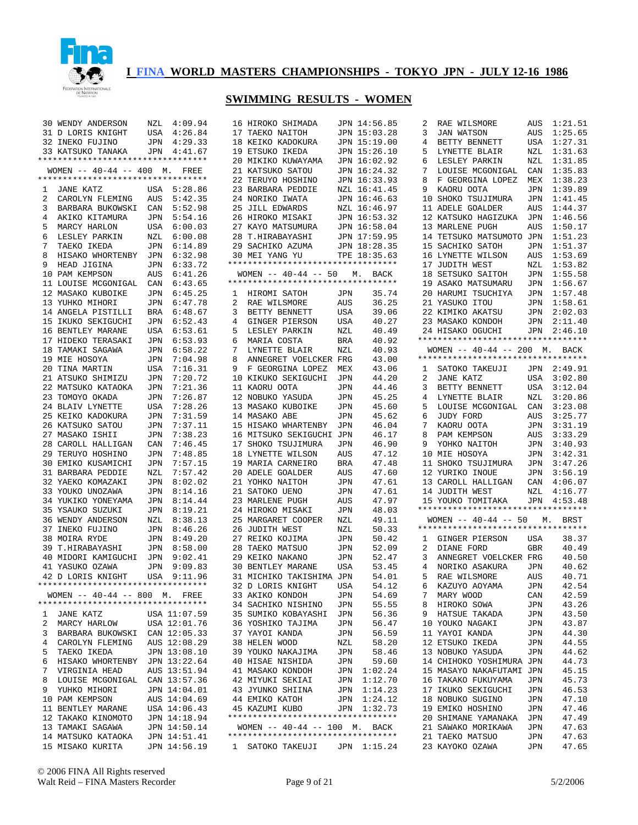

|   | 30 WENDY ANDERSON                                                   | NZL | 4:09.94      |   | 16 HIROKO SHIMADA                  |            | JPN 14:56.85 | 2            | RAE WILSMORE                          | AUS | 1:21.51                |
|---|---------------------------------------------------------------------|-----|--------------|---|------------------------------------|------------|--------------|--------------|---------------------------------------|-----|------------------------|
|   | 31 D LORIS KNIGHT                                                   | USA | 4:26.84      |   | 17 TAEKO NAITOH                    |            | JPN 15:03.28 | 3            | <b>JAN WATSON</b>                     | AUS | 1:25.65                |
|   | 32 INEKO FUJINO                                                     | JPN | 4:29.33      |   | 18 KEIKO KADOKURA                  |            | JPN 15:19.00 | 4            | BETTY BENNETT                         | USA | 1:27.31                |
|   | 33 KATSUKO TANAKA                                                   |     | JPN 4:41.67  |   | 19 ETSUKO IKEDA                    |            | JPN 15:26.10 | 5            | LYNETTE BLAIR                         | NZL | 1:31.63                |
|   | *********************************                                   |     |              |   | 20 MIKIKO KUWAYAMA                 |            | JPN 16:02.92 | 6            | LESLEY PARKIN                         | NZL | 1:31.85                |
|   | WOMEN $-- 40-44 -- 400$ M. FREE                                     |     |              |   | 21 KATSUKO SATOU                   |            | JPN 16:24.32 | 7            | LOUISE MCGONIGAL                      | CAN | 1:35.83                |
|   | **********************************                                  |     |              |   | 22 TERUYO HOSHINO                  |            | JPN 16:33.93 | 8            | F GEORGINA LOPEZ                      | MEX | 1:38.23                |
| 1 | JANE KATZ                                                           |     | USA 5:28.86  |   | 23 BARBARA PEDDIE                  |            | NZL 16:41.45 | 9            | KAORU OOTA                            | JPN | 1:39.89                |
| 2 | CAROLYN FLEMING                                                     | AUS | 5:42.35      |   | 24 NORIKO IWATA                    |            | JPN 16:46.63 |              | 10 SHOKO TSUJIMURA                    | JPN | 1:41.45                |
| 3 | BARBARA BUKOWSKI CAN                                                |     | 5:52.98      |   | 25 JILL EDWARDS                    |            | NZL 16:46.97 |              | 11 ADELE GOALDER                      | AUS | 1:44.37                |
| 4 | AKIKO KITAMURA                                                      | JPN | 5:54.16      |   | 26 HIROKO MISAKI                   |            | JPN 16:53.32 |              | 12 KATSUKO HAGIZUKA                   | JPN | 1:46.56                |
| 5 | MARCY HARLON                                                        | USA | 6:00.03      |   | 27 KAYO MATSUMURA                  |            | JPN 16:58.04 |              | 13 MARLENE PUGH                       | AUS | 1:50.17                |
| 6 | LESLEY PARKIN                                                       | NZL | 6:00.08      |   | 28 T.HIRABAYASHI                   |            | JPN 17:59.95 |              | 14 TETSUKO MATSUMOTO JPN              |     | 1:51.23                |
| 7 | TAEKO IKEDA                                                         | JPN | 6:14.89      |   | 29 SACHIKO AZUMA                   |            | JPN 18:28.35 |              | 15 SACHIKO SATOH                      | JPN | 1:51.37                |
| 8 | HISAKO WHORTENBY                                                    | JPN | 6:32.98      |   | 30 MEI YANG YU                     |            | TPE 18:35.63 |              | 16 LYNETTE WILSON                     | AUS | 1:53.69                |
| 9 | HEAD JIGINA                                                         | JPN | 6:33.72      |   | ********************************** |            |              |              | 17 JUDITH WEST                        | NZL | 1:53.82                |
|   | 10 PAM KEMPSON                                                      | AUS | 6:41.26      |   | WOMEN $--$ 40-44 $--$ 50           |            | М.<br>BACK   |              | 18 SETSUKO SAITOH                     | JPN | 1:55.58                |
|   | 11 LOUISE MCGONIGAL                                                 | CAN | 6:43.65      |   | ********************************** |            |              |              | 19 ASAKO MATSUMARU                    | JPN | 1:56.67                |
|   | 12 MASAKO KUBOIKE                                                   | JPN | 6:45.25      | 1 | HIROMI SATOH                       | JPN        | 35.74        |              | 20 HARUMI TSUCHIYA                    | JPN | 1:57.48                |
|   | 13 YUHKO MIHORI                                                     | JPN | 6:47.78      | 2 | RAE WILSMORE                       | AUS        | 36.25        |              | 21 YASUKO ITOU                        | JPN | 1:58.61                |
|   | 14 ANGELA PISTILLI                                                  | BRA | 6:48.67      | 3 | BETTY BENNETT                      | USA        | 39.06        |              | 22 KIMIKO AKATSU                      | JPN | 2:02.03                |
|   | 15 IKUKO SEKIGUCHI                                                  | JPN | 6:52.43      | 4 | GINGER PIERSON                     | USA        | 40.27        |              | 23 MASAKO KONDOH                      | JPN | 2:11.40                |
|   | 16 BENTLEY MARANE                                                   | USA | 6:53.61      | 5 | LESLEY PARKIN                      | NZL        | 40.49        |              | 24 HISAKO OGUCHI                      | JPN | 2:46.10                |
|   | 17 HIDEKO TERASAKI                                                  | JPN | 6:53.93      | 6 | MARIA COSTA                        | <b>BRA</b> | 40.92        |              | **********************************    |     |                        |
|   | 18 TAMAKI SAGAWA                                                    | JPN | 6:58.22      | 7 | LYNETTE BLAIR                      | NZL        | 40.93        |              | WOMEN $- - 40 - 44$ $- - 200$ M. BACK |     |                        |
|   | 19 MIE HOSOYA                                                       | JPN | 7:04.98      | 8 | ANNEGRET VOELCKER FRG              |            | 43.00        |              | **********************************    |     |                        |
|   | 20 TINA MARTIN                                                      |     | 7:16.31      |   |                                    |            | 43.06        |              |                                       |     |                        |
|   |                                                                     | USA |              | 9 | F GEORGINA LOPEZ                   | MEX        |              | 1            | SATOKO TAKEUJI                        |     | JPN 2:49.91<br>3:02.80 |
|   | 21 ATSUKO SHIMIZU                                                   | JPN | 7:20.72      |   | 10 KIKUKO SEKIGUCHI                | JPN        | 44.20        | 2            | JANE KATZ                             | USA |                        |
|   | 22 MATSUKO KATAOKA                                                  | JPN | 7:21.36      |   | 11 KAORU OOTA                      | JPN        | 44.46        | 3            | BETTY BENNETT                         | USA | 3:12.04                |
|   | 23 TOMOYO OKADA                                                     | JPN | 7:26.87      |   | 12 NOBUKO YASUDA                   | JPN        | 45.25        | 4            | LYNETTE BLAIR                         | NZL | 3:20.86                |
|   | 24 BLAIV LYNETTE                                                    | USA | 7:28.26      |   | 13 MASAKO KUBOIKE                  | JPN        | 45.60        | 5            | LOUISE MCGONIGAL                      | CAN | 3:23.08                |
|   | 25 KEIKO KADOKURA                                                   | JPN | 7:31.59      |   | 14 MASAKO ABE                      | JPN        | 45.62        | 6            | JUDY FORD                             | AUS | 3:25.77                |
|   | 26 KATSUKO SATOU                                                    | JPN | 7:37.11      |   | 15 HISAKO WHARTENBY                | JPN        | 46.04        | 7            | KAORU OOTA                            | JPN | 3:31.19                |
|   | 27 MASAKO ISHII                                                     | JPN | 7:38.23      |   | 16 MITSUKO SEKIGUCHI JPN           |            | 46.17        | 8            | PAM KEMPSON                           | AUS | 3:33.29                |
|   | 28 CAROLL HALLIGAN                                                  | CAN | 7:46.45      |   | 17 SHOKO TSUJIMURA                 | JPN        | 46.90        | 9            | YOHKO NAITOH                          | JPN | 3:40.93                |
|   | 29 TERUYO HOSHINO                                                   | JPN | 7:48.85      |   | 18 LYNETTE WILSON                  | AUS        | 47.12        |              | 10 MIE HOSOYA                         | JPN | 3:42.31                |
|   | 30 EMIKO KUSAMICHI                                                  | JPN | 7:57.15      |   | 19 MARIA CARNEIRO                  | BRA        | 47.48        |              | 11 SHOKO TSUJIMURA                    | JPN | 3:47.26                |
|   | 31 BARBARA PEDDIE                                                   | NZL | 7:57.42      |   | 20 ADELE GOALDER                   | AUS        | 47.60        |              | 12 YURIKO INOUE                       | JPN | 3:56.19                |
|   | 32 YAEKO KOMAZAKI                                                   | JPN | 8:02.02      |   | 21 YOHKO NAITOH                    | JPN        | 47.61        |              | 13 CAROLL HALLIGAN                    | CAN | 4:06.07                |
|   | 33 YOUKO UNOZAWA                                                    | JPN | 8:14.16      |   | 21 SATOKO UENO                     | JPN        | 47.61        |              | 14 JUDITH WEST                        | NZL | 4:16.77                |
|   | 34 YUKIKO YONEYAMA                                                  | JPN | 8:14.44      |   | 23 MARLENE PUGH                    | AUS        | 47.97        |              | 15 YOUKO TOMITAKA                     | JPN | 4:53.48                |
|   | 35 YSAUKO SUZUKI                                                    | JPN | 8:19.21      |   | 24 HIROKO MISAKI                   | JPN        | 48.03        |              | **********************************    |     |                        |
|   | 36 WENDY ANDERSON                                                   | NZL | 8:38.13      |   | 25 MARGARET COOPER                 | NZL        | 49.11        |              | WOMEN $--$ 40-44 -- 50                | М.  | BRST                   |
|   | 37 INEKO FUJINO                                                     | JPN | 8:46.26      |   | 26 JUDITH WEST                     | NZL        | 50.33        |              | **********************************    |     |                        |
|   | 38 MOIRA RYDE                                                       | JPN | 8:49.20      |   | 27 REIKO KOJIMA                    | JPN        | 50.42        | $\mathbf{1}$ | GINGER PIERSON                        | USA | 38.37                  |
|   | 39 T.HIRABAYASHI                                                    | JPN | 8:58.00      |   | 28 TAEKO MATSUO                    | JPN        | 52.09        | 2            | DIANE FORD                            | GBR | 40.49                  |
|   | 40 MIDORI KAMIGUCHI                                                 | JPN | 9:02.41      |   | 29 KEIKO NAKANO                    | JPN        | 52.47        | 3            | ANNEGRET VOELCKER FRG                 |     | 40.50                  |
|   | 41 YASUKO OZAWA                                                     | JPN | 9:09.83      |   | 30 BENTLEY MARANE                  | USA        | 53.45        | 4            | NORIKO ASAKURA                        | JPN | 40.62                  |
|   |                                                                     |     |              |   |                                    |            | 54.01        | 5            |                                       | AUS | 40.71                  |
|   | 42 D LORIS KNIGHT<br>**********************************             |     | USA 9:11.96  |   | 31 MICHIKO TAKISHIMA JPN           |            |              |              | RAE WILSMORE                          |     |                        |
|   |                                                                     |     |              |   | 32 D LORIS KNIGHT                  | USA        | 54.12        |              | 6 KAZUYO AOYAMA                       | JPN | 42.54                  |
|   | WOMEN -- 40-44 -- 800 M. FREE<br>********************************** |     |              |   | 33 AKIKO KONDOH                    | JPN        | 54.69        | 7            | MARY WOOD                             | CAN | 42.59                  |
|   |                                                                     |     |              |   | 34 SACHIKO NISHINO                 | JPN        | 55.55        |              | 8 HIROKO SOWA                         | JPN | 43.26                  |
|   | 1 JANE KATZ                                                         |     | USA 11:07.59 |   | 35 SUMIKO KOBAYASHI                | JPN        | 56.36        | 9            | HATSUE TAKADA                         | JPN | 43.50                  |
|   | 2 MARCY HARLOW                                                      |     | USA 12:01.76 |   | 36 YOSHIKO TAJIMA                  | JPN        | 56.47        |              | 10 YOUKO NAGAKI                       | JPN | 43.87                  |
| 3 | BARBARA BUKOWSKI                                                    |     | CAN 12:05.33 |   | 37 YAYOI KANDA                     | JPN        | 56.59        |              | 11 YAYOI KANDA                        | JPN | 44.30                  |
|   | 4 CAROLYN FLEMING                                                   |     | AUS 12:08.29 |   | 38 HELEN WOOD                      | NZL        | 58.20        |              | 12 ETSUKO IKEDA                       | JPN | 44.55                  |
| 5 | TAEKO IKEDA                                                         |     | JPN 13:08.10 |   | 39 YOUKO NAKAJIMA                  | JPN        | 58.46        |              | 13 NOBUKO YASUDA                      | JPN | 44.62                  |
| 6 | HISAKO WHORTENBY                                                    |     | JPN 13:22.64 |   | 40 HISAE NISHIDA                   | JPN        | 59.60        |              | 14 CHIHOKO YOSHIMURA JPN              |     | 44.73                  |
| 7 | VIRGINIA HEAD                                                       |     | AUS 13:51.94 |   | 41 MASAKO KONDOH                   | JPN        | 1:02.24      |              | 15 MASAYO NAKAFUTAMI JPN              |     | 45.15                  |
| 8 | LOUISE MCGONIGAL                                                    |     | CAN 13:57.36 |   | 42 MIYUKI SEKIAI                   | JPN        | 1:12.70      |              | 16 TAKAKO FUKUYAMA                    | JPN | 45.73                  |
| 9 | YUHKO MIHORI                                                        |     | JPN 14:04.01 |   | 43 JYUNKO SHIINA                   |            | JPN 1:14.23  |              | 17 IKUKO SEKIGUCHI                    | JPN | 46.53                  |
|   | 10 PAM KEMPSON                                                      |     | AUS 14:04.69 |   | 44 EMIKO KATOH                     |            | JPN 1:24.12  |              | 18 NOBUKO SUGINO                      | JPN | 47.10                  |
|   | 11 BENTLEY MARANE                                                   |     | USA 14:06.43 |   | 45 KAZUMI KUBO                     |            | JPN 1:32.73  |              | 19 EMIKO HOSHINO                      | JPN | 47.46                  |
|   | 12 TAKAKO KINOMOTO                                                  |     | JPN 14:18.94 |   | ********************************** |            |              |              | 20 SHIMANE YAMANAKA                   | JPN | 47.49                  |
|   | 13 TAMAKI SAGAWA                                                    |     | JPN 14:50.14 |   | WOMEN -- 40-44 -- 100 M. BACK      |            |              |              | 21 SAWAKO MORIKAWA                    | JPN | 47.63                  |
|   | 14 MATSUKO KATAOKA                                                  |     | JPN 14:51.41 |   | *********************************  |            |              |              | 21 TAEKO MATSUO                       | JPN | 47.63                  |
|   | 15 MISAKO KURITA                                                    |     | JPN 14:56.19 |   | 1 SATOKO TAKEUJI                   |            | JPN 1:15.24  |              | 23 KAYOKO OZAWA                       | JPN | 47.65                  |
|   |                                                                     |     |              |   |                                    |            |              |              |                                       |     |                        |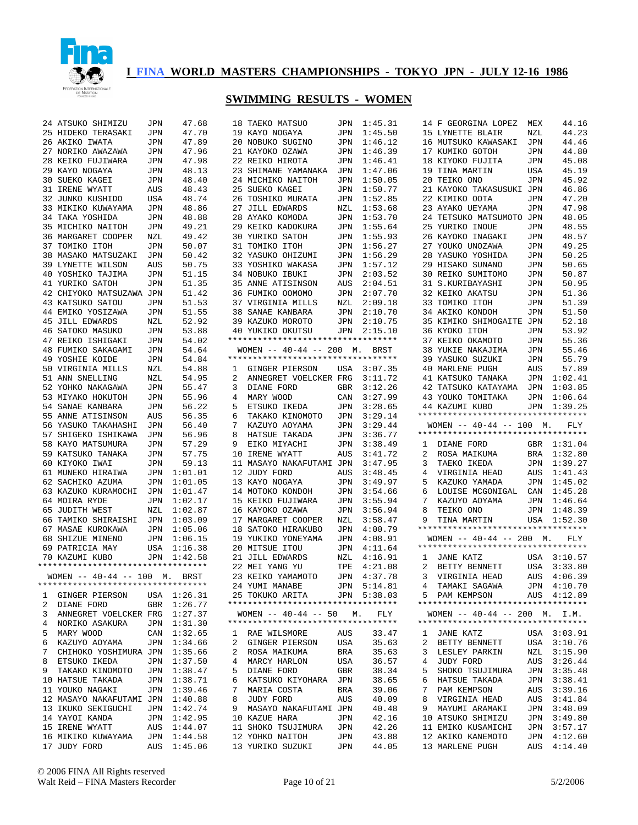

|    | 24 ATSUKO SHIMIZU                     | JPN        | 47.68       |    | 18 TAEKO MATSUO                    | JPN        | 1:45.31     |   | 14 F GEORGINA LOPEZ                | MEX        | 44.16       |
|----|---------------------------------------|------------|-------------|----|------------------------------------|------------|-------------|---|------------------------------------|------------|-------------|
|    | 25 HIDEKO TERASAKI                    | JPN        | 47.70       |    | 19 KAYO NOGAYA                     | JPN        | 1:45.50     |   | 15 LYNETTE BLAIR                   | NZL        | 44.23       |
|    | 26 AKIKO IWATA                        | JPN        | 47.89       |    | 20 NOBUKO SUGINO                   | JPN        | 1:46.12     |   | 16 MUTSUKO KAWASAKI                | JPN        | 44.46       |
|    |                                       |            |             |    |                                    |            |             |   |                                    |            |             |
|    | 27 NORIKO AWAZAWA                     | JPN        | 47.96       |    | 21 KAYOKO OZAWA                    | JPN        | 1:46.39     |   | 17 KUMIKO GOTOH                    | JPN        | 44.80       |
|    | 28 KEIKO FUJIWARA                     | JPN        | 47.98       |    | 22 REIKO HIROTA                    | JPN        | 1:46.41     |   | 18 KIYOKO FUJITA                   | JPN        | 45.08       |
|    | 29 KAYO NOGAYA                        | JPN        | 48.13       |    | 23 SHIMANE YAMANAKA                | JPN        | 1:47.06     |   | 19 TINA MARTIN                     | USA        | 45.19       |
| 30 | SUEKO KAGEI                           | JPN        | 48.40       |    | 24 MICHIKO NAITOH                  | JPN        | 1:50.05     |   | 20 TEIKO ONO                       | JPN        | 45.92       |
|    | 31 IRENE WYATT                        | AUS        | 48.43       |    | 25 SUEKO KAGEI                     | JPN        | 1:50.77     |   | 21 KAYOKO TAKASUSUKI JPN           |            | 46.86       |
|    | 32 JUNKO KUSHIDO                      | USA        | 48.74       |    | 26 TOSHIKO MURATA                  | JPN        | 1:52.85     |   | 22 KIMIKO OOTA                     | JPN        | 47.20       |
|    | 33 MIKIKO KUWAYAMA                    | JPN        | 48.86       |    | 27 JILL EDWARDS                    | NZL        | 1:53.68     |   | 23 AYAKO UEYAMA                    | JPN        | 47.98       |
|    | 34 TAKA YOSHIDA                       | JPN        | 48.88       |    | 28 AYAKO KOMODA                    | JPN        | 1:53.70     |   | 24 TETSUKO MATSUMOTO JPN           |            | 48.05       |
|    | 35 MICHIKO NAITOH                     | JPN        | 49.21       |    | 29 KEIKO KADOKURA                  | JPN        | 1:55.64     |   | 25 YURIKO INOUE                    | JPN        | 48.55       |
| 36 | MARGARET COOPER                       | NZL        | 49.42       |    | 30 YURIKO SATOH                    | JPN        | 1:55.93     |   | 26 KAYOKO INAGAKI                  | JPN        | 48.57       |
|    | 37 TOMIKO ITOH                        |            |             |    |                                    |            |             |   |                                    |            |             |
|    |                                       | JPN        | 50.07       |    | 31 TOMIKO ITOH                     | JPN        | 1:56.27     |   | 27 YOUKO UNOZAWA                   | <b>JPN</b> | 49.25       |
|    | 38 MASAKO MATSUZAKI                   | JPN        | 50.42       |    | 32 YASUKO OHIZUMI                  | JPN        | 1:56.29     |   | 28 YASUKO YOSHIDA                  | JPN        | 50.25       |
|    | 39 LYNETTE WILSON                     | AUS        | 50.75       |    | 33 YOSHIKO WAKASA                  | JPN        | 1:57.12     |   | 29 HISAKO SUNANO                   | JPN        | 50.65       |
|    | 40 YOSHIKO TAJIMA                     | JPN        | 51.15       |    | 34 NOBUKO IBUKI                    | JPN        | 2:03.52     |   | 30 REIKO SUMITOMO                  | JPN        | 50.87       |
|    | 41 YURIKO SATOH                       | JPN        | 51.35       |    | 35 ANNE ATISINSON                  | AUS        | 2:04.51     |   | 31 S.KURIBAYASHI                   | JPN        | 50.95       |
|    | 42 CHIYOKO MATSUZAWA JPN              |            | 51.42       |    | 36 FUMIKO OOMOMO                   | JPN        | 2:07.70     |   | 32 KEIKO AKATSU                    | JPN        | 51.36       |
|    | 43 KATSUKO SATOU                      | JPN        | 51.53       |    | 37 VIRGINIA MILLS                  | NZL        | 2:09.18     |   | 33 TOMIKO ITOH                     | JPN        | 51.39       |
|    | 44 EMIKO YOSIZAWA                     | JPN        | 51.55       |    | 38 SANAE KANBARA                   | JPN        | 2:10.70     |   | 34 AKIKO KONDOH                    | JPN        | 51.50       |
|    | 45 JILL EDWARDS                       | NZL        | 52.92       |    | 39 KAZUKO MOROTO                   | JPN        | 2:10.75     |   | 35 KIMIKO SHIMOGAITE JPN           |            | 52.18       |
| 46 | SATOKO MASUKO                         |            | 53.88       |    | 40 YUKIKO OKUTSU                   | JPN        | 2:15.10     |   | 36 KYOKO ITOH                      | JPN        | 53.92       |
|    |                                       | JPN        |             |    | ********************************** |            |             |   |                                    |            |             |
|    | 47 REIKO ISHIGAKI                     | JPN        | 54.02       |    |                                    |            |             |   | 37 KEIKO OKAMOTO                   | JPN        | 55.36       |
|    | 48 FUMIKO SAKAGAMI                    | JPN        | 54.64       |    | WOMEN $-- 40-44 -- 200$ M. BRST    |            |             |   | 38 YUKIE NAKAJIMA                  | JPN        | 55.46       |
|    | 49 YOSHIE KOIDE                       | JPN        | 54.84       |    | ********************************** |            |             |   | 39 YASUKO SUZUKI                   | JPN        | 55.79       |
|    | 50 VIRGINIA MILLS                     | NZL        | 54.88       | 1  | GINGER PIERSON                     | USA        | 3:07.35     |   | 40 MARLENE PUGH                    | AUS        | 57.89       |
|    | 51 ANN SNELLING                       | NZL        | 54.95       | 2  | ANNEGRET VOELCKER FRG              |            | 3:11.72     |   | 41 KATSUKO TANAKA                  | JPN        | 1:02.41     |
|    | 52 YOHKO NAKAGAWA                     | JPN        | 55.47       | 3  | DIANE FORD                         | GBR        | 3:12.26     |   | 42 TATSUKO KATAYAMA                | JPN        | 1:03.85     |
|    | 53 MIYAKO HOKUTOH                     | JPN        | 55.96       | 4  | MARY WOOD                          | CAN        | 3:27.99     |   | 43 YOUKO TOMITAKA                  | JPN        | 1:06.64     |
|    | 54 SANAE KANBARA                      | JPN        | 56.22       | 5  | ETSUKO IKEDA                       | JPN        | 3:28.65     |   | 44 KAZUMI KUBO                     | JPN        | 1:39.25     |
|    | 55 ANNE ATISINSON                     | AUS        | 56.35       | 6  | TAKAKO KINOMOTO                    | JPN        | 3:29.14     |   | ********************************** |            |             |
|    | 56 YASUKO TAKAHASHI                   | JPN        | 56.40       | 7  | KAZUYO AOYAMA                      | JPN        | 3:29.44     |   | WOMEN $-- 40-44 -- 100$ M.         |            | FLY         |
|    |                                       |            | 56.96       | 8  |                                    |            | 3:36.77     |   | ********************************** |            |             |
|    | 57 SHIGEKO ISHIKAWA                   | JPN        |             |    | HATSUE TAKADA                      | JPN        |             |   |                                    |            |             |
|    | 58 KAYO MATSUMURA                     | JPN        | 57.29       | 9  | EIKO MIYACHI                       | JPN        | 3:38.49     | ı | DIANE FORD                         | GBR        | 1:31.04     |
|    | 59 KATSUKO TANAKA                     | JPN        | 57.75       | 10 | IRENE WYATT                        | AUS        | 3:41.72     | 2 | ROSA MAIKUMA                       | <b>BRA</b> | 1:32.80     |
|    | 60 KIYOKO IWAI                        | JPN        | 59.13       |    | 11 MASAYO NAKAFUTAMI JPN           |            | 3:47.95     | 3 | TAEKO IKEDA                        | JPN        | 1:39.27     |
|    | 61 MUNEKO HIRAIWA                     | JPN        | 1:01.01     |    | 12 JUDY FORD                       | AUS        | 3:48.45     | 4 | VIRGINIA HEAD                      | AUS        | 1:41.43     |
|    | 62 SACHIKO AZUMA                      | JPN        | 1:01.05     |    | 13 KAYO NOGAYA                     | JPN        | 3:49.97     | 5 | KAZUKO YAMADA                      | JPN        | 1:45.02     |
|    | 63 KAZUKO KURAMOCHI                   | JPN        | 1:01.47     |    | 14 MOTOKO KONDOH                   | JPN        | 3:54.66     | 6 | LOUISE MCGONIGAL                   | CAN        | 1:45.28     |
|    | 64 MOIRA RYDE                         | JPN        | 1:02.17     |    | 15 KEIKO FUJIWARA                  | JPN        | 3:55.94     | 7 | KAZUYO AOYAMA                      | JPN        | 1:46.64     |
|    | 65 JUDITH WEST                        | <b>NZL</b> | 1:02.87     |    | 16 KAYOKO OZAWA                    | <b>JPN</b> | 3:56.94     | 8 | TEIKO ONO                          | JPN        | 1:48.39     |
|    | 66 TAMIKO SHIRAISHI                   | JPN        | 1:03.09     |    | 17 MARGARET COOPER                 | NZL        | 3:58.47     | 9 | TINA MARTIN                        | USA        | 1:52.30     |
|    | 67 MASAE KUROKAWA                     | JPN        | 1:05.06     |    | 18 SATOKO HIRAKUBO                 | JPN        | 4:00.79     |   | ********************************** |            |             |
|    | 68 SHIZUE MINENO                      | JPN        | 1:06.15     |    | 19 YUKIKO YONEYAMA                 | JPN        | 4:08.91     |   | WOMEN $-- 40-44 -- 200$ M.         |            | FLY         |
|    | 69 PATRICIA MAY                       | USA        | 1:16.38     |    | 20 MITSUE ITOU                     | JPN        | 4:11.64     |   | ********************************** |            |             |
|    |                                       |            |             |    |                                    |            |             |   |                                    |            |             |
|    | 70 KAZUMI KUBO                        | JPN        | 1:42.58     |    | 21 JILL EDWARDS                    | NZL        | 4:16.91     | 1 | JANE KATZ                          | USA        | 3:10.57     |
|    | **********************************    |            |             |    | 22 MEI YANG YU                     | TPE        | 4:21.08     | 2 | BETTY BENNETT                      | USA        | 3:33.80     |
|    | WOMEN $- - 40 - 44$ $- - 100$ M. BRST |            |             |    | 23 KEIKO YAMAMOTO                  | JPN        | 4:37.78     | 3 | VIRGINIA HEAD                      | AUS        | 4:06.39     |
|    | *********************************     |            |             |    | 24 YUMI MANABE                     |            | JPN 5:14.81 |   | TAMAKI SAGAWA                      |            | JPN 4:10.70 |
| ı. | GINGER PIERSON                        |            | USA 1:26.31 |    | 25 TOKUKO ARITA                    |            | JPN 5:38.03 |   | 5 PAM KEMPSON                      |            | AUS 4:12.89 |
| 2  | DIANE FORD                            | GBR        | 1:26.77     |    | ********************************** |            |             |   | ********************************** |            |             |
| 3  | ANNEGRET VOELCKER FRG                 |            | 1:27.37     |    | WOMEN $--$ 40-44 $--$ 50 M.        |            | FLY         |   | WOMEN $-- 40-44 -- 200$ M. I.M.    |            |             |
| 4  | NORIKO ASAKURA                        | JPN        | 1:31.30     |    | ********************************** |            |             |   | ********************************** |            |             |
| 5  | MARY WOOD                             | CAN        | 1:32.65     |    | 1 RAE WILSMORE                     | AUS        | 33.47       | 1 | JANE KATZ                          |            | USA 3:03.91 |
| 6  | KAZUYO AOYAMA                         | JPN        | 1:34.66     | 2  | GINGER PIERSON                     | USA        | 35.63       | 2 | BETTY BENNETT                      |            | USA 3:10.76 |
|    |                                       |            |             |    |                                    |            |             |   |                                    |            |             |
| 7  | CHIHOKO YOSHIMURA JPN                 |            | 1:35.66     |    | 2 ROSA MAIKUMA                     | BRA        | 35.63       | 3 | LESLEY PARKIN                      |            | NZL 3:15.90 |
| 8  | ETSUKO IKEDA                          | JPN        | 1:37.50     | 4  | MARCY HARLON                       | USA        | 36.57       | 4 | JUDY FORD                          |            | AUS 3:26.44 |
| 9  | TAKAKO KINOMOTO                       | JPN        | 1:38.47     | 5  | DIANE FORD                         | GBR        | 38.34       | 5 | SHOKO TSUJIMURA                    |            | JPN 3:35.48 |
|    | 10 HATSUE TAKADA                      | JPN        | 1:38.71     | 6  | KATSUKO KIYOHARA                   | JPN        | 38.65       | 6 | HATSUE TAKADA                      |            | JPN 3:38.41 |
|    | 11 YOUKO NAGAKI                       | JPN        | 1:39.46     | 7  | MARIA COSTA                        | BRA        | 39.06       | 7 | PAM KEMPSON                        | AUS        | 3:39.16     |
|    | 12 MASAYO NAKAFUTAMI JPN              |            | 1:40.88     | 8  | JUDY FORD                          | AUS        | 40.09       | 8 | VIRGINIA HEAD                      | AUS        | 3:41.84     |
|    | 13 IKUKO SEKIGUCHI                    | JPN        | 1:42.74     | 9  | MASAYO NAKAFUTAMI JPN              |            | 40.48       | 9 | MAYUMI ARAMAKI                     |            | JPN 3:48.09 |
|    | 14 YAYOI KANDA                        | JPN        | 1:42.95     |    | 10 KAZUE HARA                      | JPN        | 42.16       |   | 10 ATSUKO SHIMIZU                  | JPN        | 3:49.80     |
|    | 15 IRENE WYATT                        | AUS        | 1:44.07     |    | 11 SHOKO TSUJIMURA                 | JPN        | 42.26       |   | 11 EMIKO KUSAMICHI                 | JPN        | 3:57.17     |
|    | 16 MIKIKO KUWAYAMA                    | JPN        | 1:44.58     |    | 12 YOHKO NAITOH                    | JPN        | 43.88       |   | 12 AKIKO KANEMOTO                  | JPN        | 4:12.60     |
|    |                                       |            | 1:45.06     |    | 13 YURIKO SUZUKI                   | JPN        | 44.05       |   | 13 MARLENE PUGH                    |            |             |
|    | 17 JUDY FORD                          | AUS        |             |    |                                    |            |             |   |                                    | AUS        | 4:14.40     |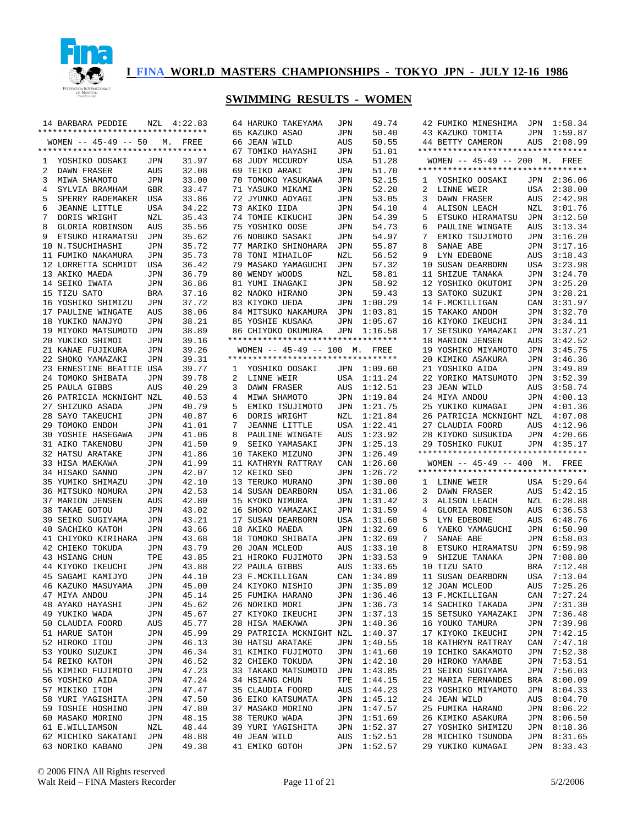

| **********************************<br>65 KAZUKO ASAO<br>50.40<br>JPN<br>WOMEN $-- 45-49 -- 50$<br>66 JEAN WILD<br>50.55<br>AUS<br>М.<br>FREE<br>**********************************<br>67 TOMIKO HAYASHI<br>51.01<br>JPN<br>68 JUDY MCCURDY<br>51.28<br>YOSHIKO OOSAKI<br>31.97<br>USA<br>1<br>JPN<br>2<br>32.08<br>69 TEIKO ARAKI<br>JPN<br>51.70<br>DAWN FRASER<br>AUS<br>3<br>MIWA SHAMOTO<br>33.00<br>70 TOMOKO YASUKAWA<br>52.15<br>JPN<br>JPN<br>4<br>SYLVIA BRAMHAM<br>GBR<br>33.47<br>71 YASUKO MIKAMI<br>52.20<br>JPN<br>5<br>SPERRY RADEMAKER<br>33.86<br>72 JYUNKO AOYAGI<br>53.05<br>USA<br>JPN<br>6<br><b>JEANNE LITTLE</b><br>USA<br>34.22<br>73 AKIKO IIDA<br>54.10<br>JPN<br>7<br>DORIS WRIGHT<br>NZL<br>35.43<br>74 TOMIE KIKUCHI<br>54.39<br>JPN<br>8<br>GLORIA ROBINSON<br>35.56<br>75 YOSHIKO OOSE<br>54.73<br>AUS<br>JPN<br>9<br>76 NOBUKO SASAKI<br>54.97<br>ETSUKO HIRAMATSU<br>35.62<br>JPN<br>JPN<br>10 N.TSUCHIHASHI<br>35.72<br>77 MARIKO SHINOHARA<br>55.87<br>JPN<br>JPN<br>35.73<br>11 FUMIKO NAKAMURA<br>78 TONI MIHAILOF<br>56.52<br>JPN<br>NZL<br>12 LORRETTA SCHMIDT<br>36.42<br>79 MASAKO YAMAGUCHI<br>57.32<br>USA<br>JPN<br>13 AKIKO MAEDA<br>36.79<br>80 WENDY WOODS<br>58.81<br>JPN<br>NZL<br>14 SEIKO IWATA<br>36.86<br>81 YUMI INAGAKI<br>58.92<br>JPN<br>JPN<br>59.43<br>15 TIZU SATO<br>37.16<br>82 NAOKO HIRANO<br>BRA<br>JPN<br>1:00.29<br>16 YOSHIKO SHIMIZU<br>37.72<br>83 KIYOKO UEDA<br>JPN<br>JPN<br>17 PAULINE WINGATE<br>38.06<br>84 MITSUKO NAKAMURA<br>1:03.81<br>AUS<br>JPN<br>1:05.67<br>18 YUKIKO NANJYO<br>38.21<br>85 YOSHIE KUSAKA<br>JPN<br>JPN<br>19 MIYOKO MATSUMOTO<br>38.89<br>1:16.58<br>JPN<br>86 CHIYOKO OKUMURA<br>JPN<br>**********************************<br>20 YUKIKO SHIMOI<br>39.16<br>JPN<br>21 KANAE FUJIKURA<br>39.26<br>WOMEN -- 45-49 -- 100 M. FREE<br>JPN<br>**********************************<br>22 SHOKO YAMAZAKI<br>39.31<br>JPN<br>23 ERNESTINE BEATTIE USA<br>39.77<br>1:09.60<br>YOSHIKO OOSAKI<br>JPN<br>1<br>24 TOMOKO SHIBATA<br>39.78<br>2<br>1:11.24<br>JPN<br>LINNE WEIR<br>USA<br>25 PAULA GIBBS<br>40.29<br>$\mathbf{3}$<br>DAWN FRASER<br>1:12.51<br>AUS<br>AUS<br>26 PATRICIA MCKNIGHT NZL<br>40.53<br>$\overline{4}$<br>MIWA SHAMOTO<br>1:19.84<br>JPN<br>5<br>1:21.75<br>27 SHIZUKO ASADA<br>40.79<br>EMIKO TSUJIMOTO<br>JPN<br>JPN<br>28 SAYO TAKEUCHI<br>40.87<br>6<br>DORIS WRIGHT<br>1:21.84<br>JPN<br>NZL<br>$7^{\circ}$<br>29 TOMOKO ENDOH<br>41.01<br><b>JEANNE LITTLE</b><br>1:22.41<br>JPN<br>USA<br>30 YOSHIE HASEGAWA<br>41.06<br>8<br>PAULINE WINGATE<br>1:23.92<br>JPN<br>AUS<br>31 AIKO TAKENOBU<br>41.50<br>9<br>SEIKO YAMASAKI<br>JPN<br>1:25.13<br>JPN<br>32 HATSU ARATAKE<br>41.86<br>10 TAKEKO MIZUNO<br>1:26.49<br>JPN<br>JPN<br>41.99<br>11 KATHRYN RATTRAY<br>1:26.60<br>33 HISA MAEKAWA<br>CAN<br>JPN<br>42.07<br>1:26.72<br>34 HISAKO SANNO<br>12 KEIKO SEO<br>JPN<br>JPN<br>42.10<br>13 TERUKO MURANO<br>35 YUMIKO SHIMAZU<br>1:30.00<br>JPN<br>JPN<br>36 MITSUKO NOMURA<br>42.53<br>14 SUSAN DEARBORN<br>1:31.06<br>JPN<br>USA<br>37 MARION JENSEN<br>42.80<br>15 KYOKO NIMURA<br>1:31.42<br>AUS<br>JPN<br>38 TAKAE GOTOU<br>43.02<br>1:31.59<br>16 SHOKO YAMAZAKI<br>JPN<br>JPN<br>43.21<br>17 SUSAN DEARBORN<br>1:31.60<br>39 SEIKO SUGIYAMA<br>USA<br>JPN<br>40 SACHIKO KATOH<br>43.66<br>18 AKIKO MAEDA<br>1:32.69<br>JPN<br>JPN<br>41 CHIYOKO KIRIHARA<br>43.68<br>18 TOMOKO SHIBATA<br>1:32.69<br>JPN<br>JPN<br>42 CHIEKO TOKUDA<br>43.79<br>20 JOAN MCLEOD<br>1:33.10<br>JPN<br>AUS<br>43 HSIANG CHUN<br>TPE<br>43.85<br>21 HIROKO FUJIMOTO<br>1:33.53<br>JPN<br>44 KIYOKO IKEUCHI<br>43.88<br>22 PAULA GIBBS<br>1:33.65<br>JPN<br>AUS<br>23 F.MCKILLIGAN<br>45 SAGAMI KAMIJYO<br>44.10<br>CAN<br>1:34.89<br>JPN<br>46 KAZUKO MASUYAMA<br>45.00<br>24 KIYOKO NISHIO<br>JPN<br>1:35.09<br>JPN<br>47 MIYA ANDOU<br>JPN<br>45.14<br>25 FUMIKA HARANO<br>JPN<br>1:36.46<br>48 AYAKO HAYASHI<br>45.62<br>26 NORIKO MORI<br>1:36.73<br>JPN<br>JPN<br>49 YUKIKO WADA<br>27 KIYOKO IKEUCHI<br>JPN<br>45.67<br>JPN<br>1:37.13<br>50 CLAUDIA FOORD<br>45.77<br>28 HISA MAEKAWA<br>JPN<br>1:40.36<br>AUS<br>51 HARUE SATOH<br>45.99<br>29 PATRICIA MCKNIGHT NZL<br>1:40.37<br>JPN<br>52 HIROKO ITOU<br>46.13<br>30 HATSU ARATAKE<br>1:40.55<br>JPN<br>JPN<br>53 YOUKO SUZUKI<br>31 KIMIKO FUJIMOTO<br>46.34<br>JPN<br>1:41.60<br>JPN<br>54 REIKO KATOH<br>46.52<br>32 CHIEKO TOKUDA<br>1:42.10<br>JPN<br>JPN<br>55 KIMIKO FUJIMOTO<br>47.23<br>33 TAKAKO MATSUMOTO<br>1:43.85<br>JPN<br>JPN<br>56 YOSHIKO AIDA<br>47.24<br>34 HSIANG CHUN<br>1:44.15<br>JPN<br>TPE<br>57 MIKIKO ITOH<br>35 CLAUDIA FOORD<br>47.47<br>AUS<br>1:44.23<br>JPN<br>58 YURI YAGISHITA<br>47.50<br>36 EIKO KATSUMATA<br>1:45.12<br>JPN<br>JPN<br>59 TOSHIE HOSHINO<br>47.80<br>37 MASAKO MORINO<br>JPN<br>1:47.57<br>JPN<br>60 MASAKO MORINO<br>48.15<br>38 TERUKO WADA<br>1:51.69<br>JPN<br>JPN<br>61 E.WILLIAMSON<br>48.44<br>39 YURI YAGISHITA<br>NZL<br>JPN<br>1:52.37<br>62 MICHIKO SAKATANI JPN<br>48.88<br>40 JEAN WILD<br>AUS<br>1:52.51<br>63 NORIKO KABANO<br>49.38<br>41 EMIKO GOTOH<br>JPN<br>1:52.57<br>JPN | 14 BARBARA PEDDIE | NZL | 4:22.83 | 64 HARUKO TAKEYAMA | JPN | 49.74 |
|-----------------------------------------------------------------------------------------------------------------------------------------------------------------------------------------------------------------------------------------------------------------------------------------------------------------------------------------------------------------------------------------------------------------------------------------------------------------------------------------------------------------------------------------------------------------------------------------------------------------------------------------------------------------------------------------------------------------------------------------------------------------------------------------------------------------------------------------------------------------------------------------------------------------------------------------------------------------------------------------------------------------------------------------------------------------------------------------------------------------------------------------------------------------------------------------------------------------------------------------------------------------------------------------------------------------------------------------------------------------------------------------------------------------------------------------------------------------------------------------------------------------------------------------------------------------------------------------------------------------------------------------------------------------------------------------------------------------------------------------------------------------------------------------------------------------------------------------------------------------------------------------------------------------------------------------------------------------------------------------------------------------------------------------------------------------------------------------------------------------------------------------------------------------------------------------------------------------------------------------------------------------------------------------------------------------------------------------------------------------------------------------------------------------------------------------------------------------------------------------------------------------------------------------------------------------------------------------------------------------------------------------------------------------------------------------------------------------------------------------------------------------------------------------------------------------------------------------------------------------------------------------------------------------------------------------------------------------------------------------------------------------------------------------------------------------------------------------------------------------------------------------------------------------------------------------------------------------------------------------------------------------------------------------------------------------------------------------------------------------------------------------------------------------------------------------------------------------------------------------------------------------------------------------------------------------------------------------------------------------------------------------------------------------------------------------------------------------------------------------------------------------------------------------------------------------------------------------------------------------------------------------------------------------------------------------------------------------------------------------------------------------------------------------------------------------------------------------------------------------------------------------------------------------------------------------------------------------------------------------------------------------------------------------------------------------------------------------------------------------------------------------------------------------------------------------------------------------------------------------------------------------------------------------------------------------------------------------------------------------------------------------------------------------------------------------------------------------------------------------------------------------------------------------------------------------------------------------------------------------------------------------------------------------------------------------------------------------------------------------------------------------------------------------------------------------------------------------------------------------------------|-------------------|-----|---------|--------------------|-----|-------|
|                                                                                                                                                                                                                                                                                                                                                                                                                                                                                                                                                                                                                                                                                                                                                                                                                                                                                                                                                                                                                                                                                                                                                                                                                                                                                                                                                                                                                                                                                                                                                                                                                                                                                                                                                                                                                                                                                                                                                                                                                                                                                                                                                                                                                                                                                                                                                                                                                                                                                                                                                                                                                                                                                                                                                                                                                                                                                                                                                                                                                                                                                                                                                                                                                                                                                                                                                                                                                                                                                                                                                                                                                                                                                                                                                                                                                                                                                                                                                                                                                                                                                                                                                                                                                                                                                                                                                                                                                                                                                                                                                                                                                                                                                                                                                                                                                                                                                                                                                                                                                                                                                                                             |                   |     |         |                    |     |       |
|                                                                                                                                                                                                                                                                                                                                                                                                                                                                                                                                                                                                                                                                                                                                                                                                                                                                                                                                                                                                                                                                                                                                                                                                                                                                                                                                                                                                                                                                                                                                                                                                                                                                                                                                                                                                                                                                                                                                                                                                                                                                                                                                                                                                                                                                                                                                                                                                                                                                                                                                                                                                                                                                                                                                                                                                                                                                                                                                                                                                                                                                                                                                                                                                                                                                                                                                                                                                                                                                                                                                                                                                                                                                                                                                                                                                                                                                                                                                                                                                                                                                                                                                                                                                                                                                                                                                                                                                                                                                                                                                                                                                                                                                                                                                                                                                                                                                                                                                                                                                                                                                                                                             |                   |     |         |                    |     |       |
|                                                                                                                                                                                                                                                                                                                                                                                                                                                                                                                                                                                                                                                                                                                                                                                                                                                                                                                                                                                                                                                                                                                                                                                                                                                                                                                                                                                                                                                                                                                                                                                                                                                                                                                                                                                                                                                                                                                                                                                                                                                                                                                                                                                                                                                                                                                                                                                                                                                                                                                                                                                                                                                                                                                                                                                                                                                                                                                                                                                                                                                                                                                                                                                                                                                                                                                                                                                                                                                                                                                                                                                                                                                                                                                                                                                                                                                                                                                                                                                                                                                                                                                                                                                                                                                                                                                                                                                                                                                                                                                                                                                                                                                                                                                                                                                                                                                                                                                                                                                                                                                                                                                             |                   |     |         |                    |     |       |
|                                                                                                                                                                                                                                                                                                                                                                                                                                                                                                                                                                                                                                                                                                                                                                                                                                                                                                                                                                                                                                                                                                                                                                                                                                                                                                                                                                                                                                                                                                                                                                                                                                                                                                                                                                                                                                                                                                                                                                                                                                                                                                                                                                                                                                                                                                                                                                                                                                                                                                                                                                                                                                                                                                                                                                                                                                                                                                                                                                                                                                                                                                                                                                                                                                                                                                                                                                                                                                                                                                                                                                                                                                                                                                                                                                                                                                                                                                                                                                                                                                                                                                                                                                                                                                                                                                                                                                                                                                                                                                                                                                                                                                                                                                                                                                                                                                                                                                                                                                                                                                                                                                                             |                   |     |         |                    |     |       |
|                                                                                                                                                                                                                                                                                                                                                                                                                                                                                                                                                                                                                                                                                                                                                                                                                                                                                                                                                                                                                                                                                                                                                                                                                                                                                                                                                                                                                                                                                                                                                                                                                                                                                                                                                                                                                                                                                                                                                                                                                                                                                                                                                                                                                                                                                                                                                                                                                                                                                                                                                                                                                                                                                                                                                                                                                                                                                                                                                                                                                                                                                                                                                                                                                                                                                                                                                                                                                                                                                                                                                                                                                                                                                                                                                                                                                                                                                                                                                                                                                                                                                                                                                                                                                                                                                                                                                                                                                                                                                                                                                                                                                                                                                                                                                                                                                                                                                                                                                                                                                                                                                                                             |                   |     |         |                    |     |       |
|                                                                                                                                                                                                                                                                                                                                                                                                                                                                                                                                                                                                                                                                                                                                                                                                                                                                                                                                                                                                                                                                                                                                                                                                                                                                                                                                                                                                                                                                                                                                                                                                                                                                                                                                                                                                                                                                                                                                                                                                                                                                                                                                                                                                                                                                                                                                                                                                                                                                                                                                                                                                                                                                                                                                                                                                                                                                                                                                                                                                                                                                                                                                                                                                                                                                                                                                                                                                                                                                                                                                                                                                                                                                                                                                                                                                                                                                                                                                                                                                                                                                                                                                                                                                                                                                                                                                                                                                                                                                                                                                                                                                                                                                                                                                                                                                                                                                                                                                                                                                                                                                                                                             |                   |     |         |                    |     |       |
|                                                                                                                                                                                                                                                                                                                                                                                                                                                                                                                                                                                                                                                                                                                                                                                                                                                                                                                                                                                                                                                                                                                                                                                                                                                                                                                                                                                                                                                                                                                                                                                                                                                                                                                                                                                                                                                                                                                                                                                                                                                                                                                                                                                                                                                                                                                                                                                                                                                                                                                                                                                                                                                                                                                                                                                                                                                                                                                                                                                                                                                                                                                                                                                                                                                                                                                                                                                                                                                                                                                                                                                                                                                                                                                                                                                                                                                                                                                                                                                                                                                                                                                                                                                                                                                                                                                                                                                                                                                                                                                                                                                                                                                                                                                                                                                                                                                                                                                                                                                                                                                                                                                             |                   |     |         |                    |     |       |
|                                                                                                                                                                                                                                                                                                                                                                                                                                                                                                                                                                                                                                                                                                                                                                                                                                                                                                                                                                                                                                                                                                                                                                                                                                                                                                                                                                                                                                                                                                                                                                                                                                                                                                                                                                                                                                                                                                                                                                                                                                                                                                                                                                                                                                                                                                                                                                                                                                                                                                                                                                                                                                                                                                                                                                                                                                                                                                                                                                                                                                                                                                                                                                                                                                                                                                                                                                                                                                                                                                                                                                                                                                                                                                                                                                                                                                                                                                                                                                                                                                                                                                                                                                                                                                                                                                                                                                                                                                                                                                                                                                                                                                                                                                                                                                                                                                                                                                                                                                                                                                                                                                                             |                   |     |         |                    |     |       |
|                                                                                                                                                                                                                                                                                                                                                                                                                                                                                                                                                                                                                                                                                                                                                                                                                                                                                                                                                                                                                                                                                                                                                                                                                                                                                                                                                                                                                                                                                                                                                                                                                                                                                                                                                                                                                                                                                                                                                                                                                                                                                                                                                                                                                                                                                                                                                                                                                                                                                                                                                                                                                                                                                                                                                                                                                                                                                                                                                                                                                                                                                                                                                                                                                                                                                                                                                                                                                                                                                                                                                                                                                                                                                                                                                                                                                                                                                                                                                                                                                                                                                                                                                                                                                                                                                                                                                                                                                                                                                                                                                                                                                                                                                                                                                                                                                                                                                                                                                                                                                                                                                                                             |                   |     |         |                    |     |       |
|                                                                                                                                                                                                                                                                                                                                                                                                                                                                                                                                                                                                                                                                                                                                                                                                                                                                                                                                                                                                                                                                                                                                                                                                                                                                                                                                                                                                                                                                                                                                                                                                                                                                                                                                                                                                                                                                                                                                                                                                                                                                                                                                                                                                                                                                                                                                                                                                                                                                                                                                                                                                                                                                                                                                                                                                                                                                                                                                                                                                                                                                                                                                                                                                                                                                                                                                                                                                                                                                                                                                                                                                                                                                                                                                                                                                                                                                                                                                                                                                                                                                                                                                                                                                                                                                                                                                                                                                                                                                                                                                                                                                                                                                                                                                                                                                                                                                                                                                                                                                                                                                                                                             |                   |     |         |                    |     |       |
|                                                                                                                                                                                                                                                                                                                                                                                                                                                                                                                                                                                                                                                                                                                                                                                                                                                                                                                                                                                                                                                                                                                                                                                                                                                                                                                                                                                                                                                                                                                                                                                                                                                                                                                                                                                                                                                                                                                                                                                                                                                                                                                                                                                                                                                                                                                                                                                                                                                                                                                                                                                                                                                                                                                                                                                                                                                                                                                                                                                                                                                                                                                                                                                                                                                                                                                                                                                                                                                                                                                                                                                                                                                                                                                                                                                                                                                                                                                                                                                                                                                                                                                                                                                                                                                                                                                                                                                                                                                                                                                                                                                                                                                                                                                                                                                                                                                                                                                                                                                                                                                                                                                             |                   |     |         |                    |     |       |
|                                                                                                                                                                                                                                                                                                                                                                                                                                                                                                                                                                                                                                                                                                                                                                                                                                                                                                                                                                                                                                                                                                                                                                                                                                                                                                                                                                                                                                                                                                                                                                                                                                                                                                                                                                                                                                                                                                                                                                                                                                                                                                                                                                                                                                                                                                                                                                                                                                                                                                                                                                                                                                                                                                                                                                                                                                                                                                                                                                                                                                                                                                                                                                                                                                                                                                                                                                                                                                                                                                                                                                                                                                                                                                                                                                                                                                                                                                                                                                                                                                                                                                                                                                                                                                                                                                                                                                                                                                                                                                                                                                                                                                                                                                                                                                                                                                                                                                                                                                                                                                                                                                                             |                   |     |         |                    |     |       |
|                                                                                                                                                                                                                                                                                                                                                                                                                                                                                                                                                                                                                                                                                                                                                                                                                                                                                                                                                                                                                                                                                                                                                                                                                                                                                                                                                                                                                                                                                                                                                                                                                                                                                                                                                                                                                                                                                                                                                                                                                                                                                                                                                                                                                                                                                                                                                                                                                                                                                                                                                                                                                                                                                                                                                                                                                                                                                                                                                                                                                                                                                                                                                                                                                                                                                                                                                                                                                                                                                                                                                                                                                                                                                                                                                                                                                                                                                                                                                                                                                                                                                                                                                                                                                                                                                                                                                                                                                                                                                                                                                                                                                                                                                                                                                                                                                                                                                                                                                                                                                                                                                                                             |                   |     |         |                    |     |       |
|                                                                                                                                                                                                                                                                                                                                                                                                                                                                                                                                                                                                                                                                                                                                                                                                                                                                                                                                                                                                                                                                                                                                                                                                                                                                                                                                                                                                                                                                                                                                                                                                                                                                                                                                                                                                                                                                                                                                                                                                                                                                                                                                                                                                                                                                                                                                                                                                                                                                                                                                                                                                                                                                                                                                                                                                                                                                                                                                                                                                                                                                                                                                                                                                                                                                                                                                                                                                                                                                                                                                                                                                                                                                                                                                                                                                                                                                                                                                                                                                                                                                                                                                                                                                                                                                                                                                                                                                                                                                                                                                                                                                                                                                                                                                                                                                                                                                                                                                                                                                                                                                                                                             |                   |     |         |                    |     |       |
|                                                                                                                                                                                                                                                                                                                                                                                                                                                                                                                                                                                                                                                                                                                                                                                                                                                                                                                                                                                                                                                                                                                                                                                                                                                                                                                                                                                                                                                                                                                                                                                                                                                                                                                                                                                                                                                                                                                                                                                                                                                                                                                                                                                                                                                                                                                                                                                                                                                                                                                                                                                                                                                                                                                                                                                                                                                                                                                                                                                                                                                                                                                                                                                                                                                                                                                                                                                                                                                                                                                                                                                                                                                                                                                                                                                                                                                                                                                                                                                                                                                                                                                                                                                                                                                                                                                                                                                                                                                                                                                                                                                                                                                                                                                                                                                                                                                                                                                                                                                                                                                                                                                             |                   |     |         |                    |     |       |
|                                                                                                                                                                                                                                                                                                                                                                                                                                                                                                                                                                                                                                                                                                                                                                                                                                                                                                                                                                                                                                                                                                                                                                                                                                                                                                                                                                                                                                                                                                                                                                                                                                                                                                                                                                                                                                                                                                                                                                                                                                                                                                                                                                                                                                                                                                                                                                                                                                                                                                                                                                                                                                                                                                                                                                                                                                                                                                                                                                                                                                                                                                                                                                                                                                                                                                                                                                                                                                                                                                                                                                                                                                                                                                                                                                                                                                                                                                                                                                                                                                                                                                                                                                                                                                                                                                                                                                                                                                                                                                                                                                                                                                                                                                                                                                                                                                                                                                                                                                                                                                                                                                                             |                   |     |         |                    |     |       |
|                                                                                                                                                                                                                                                                                                                                                                                                                                                                                                                                                                                                                                                                                                                                                                                                                                                                                                                                                                                                                                                                                                                                                                                                                                                                                                                                                                                                                                                                                                                                                                                                                                                                                                                                                                                                                                                                                                                                                                                                                                                                                                                                                                                                                                                                                                                                                                                                                                                                                                                                                                                                                                                                                                                                                                                                                                                                                                                                                                                                                                                                                                                                                                                                                                                                                                                                                                                                                                                                                                                                                                                                                                                                                                                                                                                                                                                                                                                                                                                                                                                                                                                                                                                                                                                                                                                                                                                                                                                                                                                                                                                                                                                                                                                                                                                                                                                                                                                                                                                                                                                                                                                             |                   |     |         |                    |     |       |
|                                                                                                                                                                                                                                                                                                                                                                                                                                                                                                                                                                                                                                                                                                                                                                                                                                                                                                                                                                                                                                                                                                                                                                                                                                                                                                                                                                                                                                                                                                                                                                                                                                                                                                                                                                                                                                                                                                                                                                                                                                                                                                                                                                                                                                                                                                                                                                                                                                                                                                                                                                                                                                                                                                                                                                                                                                                                                                                                                                                                                                                                                                                                                                                                                                                                                                                                                                                                                                                                                                                                                                                                                                                                                                                                                                                                                                                                                                                                                                                                                                                                                                                                                                                                                                                                                                                                                                                                                                                                                                                                                                                                                                                                                                                                                                                                                                                                                                                                                                                                                                                                                                                             |                   |     |         |                    |     |       |
|                                                                                                                                                                                                                                                                                                                                                                                                                                                                                                                                                                                                                                                                                                                                                                                                                                                                                                                                                                                                                                                                                                                                                                                                                                                                                                                                                                                                                                                                                                                                                                                                                                                                                                                                                                                                                                                                                                                                                                                                                                                                                                                                                                                                                                                                                                                                                                                                                                                                                                                                                                                                                                                                                                                                                                                                                                                                                                                                                                                                                                                                                                                                                                                                                                                                                                                                                                                                                                                                                                                                                                                                                                                                                                                                                                                                                                                                                                                                                                                                                                                                                                                                                                                                                                                                                                                                                                                                                                                                                                                                                                                                                                                                                                                                                                                                                                                                                                                                                                                                                                                                                                                             |                   |     |         |                    |     |       |
|                                                                                                                                                                                                                                                                                                                                                                                                                                                                                                                                                                                                                                                                                                                                                                                                                                                                                                                                                                                                                                                                                                                                                                                                                                                                                                                                                                                                                                                                                                                                                                                                                                                                                                                                                                                                                                                                                                                                                                                                                                                                                                                                                                                                                                                                                                                                                                                                                                                                                                                                                                                                                                                                                                                                                                                                                                                                                                                                                                                                                                                                                                                                                                                                                                                                                                                                                                                                                                                                                                                                                                                                                                                                                                                                                                                                                                                                                                                                                                                                                                                                                                                                                                                                                                                                                                                                                                                                                                                                                                                                                                                                                                                                                                                                                                                                                                                                                                                                                                                                                                                                                                                             |                   |     |         |                    |     |       |
|                                                                                                                                                                                                                                                                                                                                                                                                                                                                                                                                                                                                                                                                                                                                                                                                                                                                                                                                                                                                                                                                                                                                                                                                                                                                                                                                                                                                                                                                                                                                                                                                                                                                                                                                                                                                                                                                                                                                                                                                                                                                                                                                                                                                                                                                                                                                                                                                                                                                                                                                                                                                                                                                                                                                                                                                                                                                                                                                                                                                                                                                                                                                                                                                                                                                                                                                                                                                                                                                                                                                                                                                                                                                                                                                                                                                                                                                                                                                                                                                                                                                                                                                                                                                                                                                                                                                                                                                                                                                                                                                                                                                                                                                                                                                                                                                                                                                                                                                                                                                                                                                                                                             |                   |     |         |                    |     |       |
|                                                                                                                                                                                                                                                                                                                                                                                                                                                                                                                                                                                                                                                                                                                                                                                                                                                                                                                                                                                                                                                                                                                                                                                                                                                                                                                                                                                                                                                                                                                                                                                                                                                                                                                                                                                                                                                                                                                                                                                                                                                                                                                                                                                                                                                                                                                                                                                                                                                                                                                                                                                                                                                                                                                                                                                                                                                                                                                                                                                                                                                                                                                                                                                                                                                                                                                                                                                                                                                                                                                                                                                                                                                                                                                                                                                                                                                                                                                                                                                                                                                                                                                                                                                                                                                                                                                                                                                                                                                                                                                                                                                                                                                                                                                                                                                                                                                                                                                                                                                                                                                                                                                             |                   |     |         |                    |     |       |
|                                                                                                                                                                                                                                                                                                                                                                                                                                                                                                                                                                                                                                                                                                                                                                                                                                                                                                                                                                                                                                                                                                                                                                                                                                                                                                                                                                                                                                                                                                                                                                                                                                                                                                                                                                                                                                                                                                                                                                                                                                                                                                                                                                                                                                                                                                                                                                                                                                                                                                                                                                                                                                                                                                                                                                                                                                                                                                                                                                                                                                                                                                                                                                                                                                                                                                                                                                                                                                                                                                                                                                                                                                                                                                                                                                                                                                                                                                                                                                                                                                                                                                                                                                                                                                                                                                                                                                                                                                                                                                                                                                                                                                                                                                                                                                                                                                                                                                                                                                                                                                                                                                                             |                   |     |         |                    |     |       |
|                                                                                                                                                                                                                                                                                                                                                                                                                                                                                                                                                                                                                                                                                                                                                                                                                                                                                                                                                                                                                                                                                                                                                                                                                                                                                                                                                                                                                                                                                                                                                                                                                                                                                                                                                                                                                                                                                                                                                                                                                                                                                                                                                                                                                                                                                                                                                                                                                                                                                                                                                                                                                                                                                                                                                                                                                                                                                                                                                                                                                                                                                                                                                                                                                                                                                                                                                                                                                                                                                                                                                                                                                                                                                                                                                                                                                                                                                                                                                                                                                                                                                                                                                                                                                                                                                                                                                                                                                                                                                                                                                                                                                                                                                                                                                                                                                                                                                                                                                                                                                                                                                                                             |                   |     |         |                    |     |       |
|                                                                                                                                                                                                                                                                                                                                                                                                                                                                                                                                                                                                                                                                                                                                                                                                                                                                                                                                                                                                                                                                                                                                                                                                                                                                                                                                                                                                                                                                                                                                                                                                                                                                                                                                                                                                                                                                                                                                                                                                                                                                                                                                                                                                                                                                                                                                                                                                                                                                                                                                                                                                                                                                                                                                                                                                                                                                                                                                                                                                                                                                                                                                                                                                                                                                                                                                                                                                                                                                                                                                                                                                                                                                                                                                                                                                                                                                                                                                                                                                                                                                                                                                                                                                                                                                                                                                                                                                                                                                                                                                                                                                                                                                                                                                                                                                                                                                                                                                                                                                                                                                                                                             |                   |     |         |                    |     |       |
|                                                                                                                                                                                                                                                                                                                                                                                                                                                                                                                                                                                                                                                                                                                                                                                                                                                                                                                                                                                                                                                                                                                                                                                                                                                                                                                                                                                                                                                                                                                                                                                                                                                                                                                                                                                                                                                                                                                                                                                                                                                                                                                                                                                                                                                                                                                                                                                                                                                                                                                                                                                                                                                                                                                                                                                                                                                                                                                                                                                                                                                                                                                                                                                                                                                                                                                                                                                                                                                                                                                                                                                                                                                                                                                                                                                                                                                                                                                                                                                                                                                                                                                                                                                                                                                                                                                                                                                                                                                                                                                                                                                                                                                                                                                                                                                                                                                                                                                                                                                                                                                                                                                             |                   |     |         |                    |     |       |
|                                                                                                                                                                                                                                                                                                                                                                                                                                                                                                                                                                                                                                                                                                                                                                                                                                                                                                                                                                                                                                                                                                                                                                                                                                                                                                                                                                                                                                                                                                                                                                                                                                                                                                                                                                                                                                                                                                                                                                                                                                                                                                                                                                                                                                                                                                                                                                                                                                                                                                                                                                                                                                                                                                                                                                                                                                                                                                                                                                                                                                                                                                                                                                                                                                                                                                                                                                                                                                                                                                                                                                                                                                                                                                                                                                                                                                                                                                                                                                                                                                                                                                                                                                                                                                                                                                                                                                                                                                                                                                                                                                                                                                                                                                                                                                                                                                                                                                                                                                                                                                                                                                                             |                   |     |         |                    |     |       |
|                                                                                                                                                                                                                                                                                                                                                                                                                                                                                                                                                                                                                                                                                                                                                                                                                                                                                                                                                                                                                                                                                                                                                                                                                                                                                                                                                                                                                                                                                                                                                                                                                                                                                                                                                                                                                                                                                                                                                                                                                                                                                                                                                                                                                                                                                                                                                                                                                                                                                                                                                                                                                                                                                                                                                                                                                                                                                                                                                                                                                                                                                                                                                                                                                                                                                                                                                                                                                                                                                                                                                                                                                                                                                                                                                                                                                                                                                                                                                                                                                                                                                                                                                                                                                                                                                                                                                                                                                                                                                                                                                                                                                                                                                                                                                                                                                                                                                                                                                                                                                                                                                                                             |                   |     |         |                    |     |       |
|                                                                                                                                                                                                                                                                                                                                                                                                                                                                                                                                                                                                                                                                                                                                                                                                                                                                                                                                                                                                                                                                                                                                                                                                                                                                                                                                                                                                                                                                                                                                                                                                                                                                                                                                                                                                                                                                                                                                                                                                                                                                                                                                                                                                                                                                                                                                                                                                                                                                                                                                                                                                                                                                                                                                                                                                                                                                                                                                                                                                                                                                                                                                                                                                                                                                                                                                                                                                                                                                                                                                                                                                                                                                                                                                                                                                                                                                                                                                                                                                                                                                                                                                                                                                                                                                                                                                                                                                                                                                                                                                                                                                                                                                                                                                                                                                                                                                                                                                                                                                                                                                                                                             |                   |     |         |                    |     |       |
|                                                                                                                                                                                                                                                                                                                                                                                                                                                                                                                                                                                                                                                                                                                                                                                                                                                                                                                                                                                                                                                                                                                                                                                                                                                                                                                                                                                                                                                                                                                                                                                                                                                                                                                                                                                                                                                                                                                                                                                                                                                                                                                                                                                                                                                                                                                                                                                                                                                                                                                                                                                                                                                                                                                                                                                                                                                                                                                                                                                                                                                                                                                                                                                                                                                                                                                                                                                                                                                                                                                                                                                                                                                                                                                                                                                                                                                                                                                                                                                                                                                                                                                                                                                                                                                                                                                                                                                                                                                                                                                                                                                                                                                                                                                                                                                                                                                                                                                                                                                                                                                                                                                             |                   |     |         |                    |     |       |
|                                                                                                                                                                                                                                                                                                                                                                                                                                                                                                                                                                                                                                                                                                                                                                                                                                                                                                                                                                                                                                                                                                                                                                                                                                                                                                                                                                                                                                                                                                                                                                                                                                                                                                                                                                                                                                                                                                                                                                                                                                                                                                                                                                                                                                                                                                                                                                                                                                                                                                                                                                                                                                                                                                                                                                                                                                                                                                                                                                                                                                                                                                                                                                                                                                                                                                                                                                                                                                                                                                                                                                                                                                                                                                                                                                                                                                                                                                                                                                                                                                                                                                                                                                                                                                                                                                                                                                                                                                                                                                                                                                                                                                                                                                                                                                                                                                                                                                                                                                                                                                                                                                                             |                   |     |         |                    |     |       |
|                                                                                                                                                                                                                                                                                                                                                                                                                                                                                                                                                                                                                                                                                                                                                                                                                                                                                                                                                                                                                                                                                                                                                                                                                                                                                                                                                                                                                                                                                                                                                                                                                                                                                                                                                                                                                                                                                                                                                                                                                                                                                                                                                                                                                                                                                                                                                                                                                                                                                                                                                                                                                                                                                                                                                                                                                                                                                                                                                                                                                                                                                                                                                                                                                                                                                                                                                                                                                                                                                                                                                                                                                                                                                                                                                                                                                                                                                                                                                                                                                                                                                                                                                                                                                                                                                                                                                                                                                                                                                                                                                                                                                                                                                                                                                                                                                                                                                                                                                                                                                                                                                                                             |                   |     |         |                    |     |       |
|                                                                                                                                                                                                                                                                                                                                                                                                                                                                                                                                                                                                                                                                                                                                                                                                                                                                                                                                                                                                                                                                                                                                                                                                                                                                                                                                                                                                                                                                                                                                                                                                                                                                                                                                                                                                                                                                                                                                                                                                                                                                                                                                                                                                                                                                                                                                                                                                                                                                                                                                                                                                                                                                                                                                                                                                                                                                                                                                                                                                                                                                                                                                                                                                                                                                                                                                                                                                                                                                                                                                                                                                                                                                                                                                                                                                                                                                                                                                                                                                                                                                                                                                                                                                                                                                                                                                                                                                                                                                                                                                                                                                                                                                                                                                                                                                                                                                                                                                                                                                                                                                                                                             |                   |     |         |                    |     |       |
|                                                                                                                                                                                                                                                                                                                                                                                                                                                                                                                                                                                                                                                                                                                                                                                                                                                                                                                                                                                                                                                                                                                                                                                                                                                                                                                                                                                                                                                                                                                                                                                                                                                                                                                                                                                                                                                                                                                                                                                                                                                                                                                                                                                                                                                                                                                                                                                                                                                                                                                                                                                                                                                                                                                                                                                                                                                                                                                                                                                                                                                                                                                                                                                                                                                                                                                                                                                                                                                                                                                                                                                                                                                                                                                                                                                                                                                                                                                                                                                                                                                                                                                                                                                                                                                                                                                                                                                                                                                                                                                                                                                                                                                                                                                                                                                                                                                                                                                                                                                                                                                                                                                             |                   |     |         |                    |     |       |
|                                                                                                                                                                                                                                                                                                                                                                                                                                                                                                                                                                                                                                                                                                                                                                                                                                                                                                                                                                                                                                                                                                                                                                                                                                                                                                                                                                                                                                                                                                                                                                                                                                                                                                                                                                                                                                                                                                                                                                                                                                                                                                                                                                                                                                                                                                                                                                                                                                                                                                                                                                                                                                                                                                                                                                                                                                                                                                                                                                                                                                                                                                                                                                                                                                                                                                                                                                                                                                                                                                                                                                                                                                                                                                                                                                                                                                                                                                                                                                                                                                                                                                                                                                                                                                                                                                                                                                                                                                                                                                                                                                                                                                                                                                                                                                                                                                                                                                                                                                                                                                                                                                                             |                   |     |         |                    |     |       |
|                                                                                                                                                                                                                                                                                                                                                                                                                                                                                                                                                                                                                                                                                                                                                                                                                                                                                                                                                                                                                                                                                                                                                                                                                                                                                                                                                                                                                                                                                                                                                                                                                                                                                                                                                                                                                                                                                                                                                                                                                                                                                                                                                                                                                                                                                                                                                                                                                                                                                                                                                                                                                                                                                                                                                                                                                                                                                                                                                                                                                                                                                                                                                                                                                                                                                                                                                                                                                                                                                                                                                                                                                                                                                                                                                                                                                                                                                                                                                                                                                                                                                                                                                                                                                                                                                                                                                                                                                                                                                                                                                                                                                                                                                                                                                                                                                                                                                                                                                                                                                                                                                                                             |                   |     |         |                    |     |       |
|                                                                                                                                                                                                                                                                                                                                                                                                                                                                                                                                                                                                                                                                                                                                                                                                                                                                                                                                                                                                                                                                                                                                                                                                                                                                                                                                                                                                                                                                                                                                                                                                                                                                                                                                                                                                                                                                                                                                                                                                                                                                                                                                                                                                                                                                                                                                                                                                                                                                                                                                                                                                                                                                                                                                                                                                                                                                                                                                                                                                                                                                                                                                                                                                                                                                                                                                                                                                                                                                                                                                                                                                                                                                                                                                                                                                                                                                                                                                                                                                                                                                                                                                                                                                                                                                                                                                                                                                                                                                                                                                                                                                                                                                                                                                                                                                                                                                                                                                                                                                                                                                                                                             |                   |     |         |                    |     |       |
|                                                                                                                                                                                                                                                                                                                                                                                                                                                                                                                                                                                                                                                                                                                                                                                                                                                                                                                                                                                                                                                                                                                                                                                                                                                                                                                                                                                                                                                                                                                                                                                                                                                                                                                                                                                                                                                                                                                                                                                                                                                                                                                                                                                                                                                                                                                                                                                                                                                                                                                                                                                                                                                                                                                                                                                                                                                                                                                                                                                                                                                                                                                                                                                                                                                                                                                                                                                                                                                                                                                                                                                                                                                                                                                                                                                                                                                                                                                                                                                                                                                                                                                                                                                                                                                                                                                                                                                                                                                                                                                                                                                                                                                                                                                                                                                                                                                                                                                                                                                                                                                                                                                             |                   |     |         |                    |     |       |
|                                                                                                                                                                                                                                                                                                                                                                                                                                                                                                                                                                                                                                                                                                                                                                                                                                                                                                                                                                                                                                                                                                                                                                                                                                                                                                                                                                                                                                                                                                                                                                                                                                                                                                                                                                                                                                                                                                                                                                                                                                                                                                                                                                                                                                                                                                                                                                                                                                                                                                                                                                                                                                                                                                                                                                                                                                                                                                                                                                                                                                                                                                                                                                                                                                                                                                                                                                                                                                                                                                                                                                                                                                                                                                                                                                                                                                                                                                                                                                                                                                                                                                                                                                                                                                                                                                                                                                                                                                                                                                                                                                                                                                                                                                                                                                                                                                                                                                                                                                                                                                                                                                                             |                   |     |         |                    |     |       |
|                                                                                                                                                                                                                                                                                                                                                                                                                                                                                                                                                                                                                                                                                                                                                                                                                                                                                                                                                                                                                                                                                                                                                                                                                                                                                                                                                                                                                                                                                                                                                                                                                                                                                                                                                                                                                                                                                                                                                                                                                                                                                                                                                                                                                                                                                                                                                                                                                                                                                                                                                                                                                                                                                                                                                                                                                                                                                                                                                                                                                                                                                                                                                                                                                                                                                                                                                                                                                                                                                                                                                                                                                                                                                                                                                                                                                                                                                                                                                                                                                                                                                                                                                                                                                                                                                                                                                                                                                                                                                                                                                                                                                                                                                                                                                                                                                                                                                                                                                                                                                                                                                                                             |                   |     |         |                    |     |       |
|                                                                                                                                                                                                                                                                                                                                                                                                                                                                                                                                                                                                                                                                                                                                                                                                                                                                                                                                                                                                                                                                                                                                                                                                                                                                                                                                                                                                                                                                                                                                                                                                                                                                                                                                                                                                                                                                                                                                                                                                                                                                                                                                                                                                                                                                                                                                                                                                                                                                                                                                                                                                                                                                                                                                                                                                                                                                                                                                                                                                                                                                                                                                                                                                                                                                                                                                                                                                                                                                                                                                                                                                                                                                                                                                                                                                                                                                                                                                                                                                                                                                                                                                                                                                                                                                                                                                                                                                                                                                                                                                                                                                                                                                                                                                                                                                                                                                                                                                                                                                                                                                                                                             |                   |     |         |                    |     |       |
|                                                                                                                                                                                                                                                                                                                                                                                                                                                                                                                                                                                                                                                                                                                                                                                                                                                                                                                                                                                                                                                                                                                                                                                                                                                                                                                                                                                                                                                                                                                                                                                                                                                                                                                                                                                                                                                                                                                                                                                                                                                                                                                                                                                                                                                                                                                                                                                                                                                                                                                                                                                                                                                                                                                                                                                                                                                                                                                                                                                                                                                                                                                                                                                                                                                                                                                                                                                                                                                                                                                                                                                                                                                                                                                                                                                                                                                                                                                                                                                                                                                                                                                                                                                                                                                                                                                                                                                                                                                                                                                                                                                                                                                                                                                                                                                                                                                                                                                                                                                                                                                                                                                             |                   |     |         |                    |     |       |
|                                                                                                                                                                                                                                                                                                                                                                                                                                                                                                                                                                                                                                                                                                                                                                                                                                                                                                                                                                                                                                                                                                                                                                                                                                                                                                                                                                                                                                                                                                                                                                                                                                                                                                                                                                                                                                                                                                                                                                                                                                                                                                                                                                                                                                                                                                                                                                                                                                                                                                                                                                                                                                                                                                                                                                                                                                                                                                                                                                                                                                                                                                                                                                                                                                                                                                                                                                                                                                                                                                                                                                                                                                                                                                                                                                                                                                                                                                                                                                                                                                                                                                                                                                                                                                                                                                                                                                                                                                                                                                                                                                                                                                                                                                                                                                                                                                                                                                                                                                                                                                                                                                                             |                   |     |         |                    |     |       |
|                                                                                                                                                                                                                                                                                                                                                                                                                                                                                                                                                                                                                                                                                                                                                                                                                                                                                                                                                                                                                                                                                                                                                                                                                                                                                                                                                                                                                                                                                                                                                                                                                                                                                                                                                                                                                                                                                                                                                                                                                                                                                                                                                                                                                                                                                                                                                                                                                                                                                                                                                                                                                                                                                                                                                                                                                                                                                                                                                                                                                                                                                                                                                                                                                                                                                                                                                                                                                                                                                                                                                                                                                                                                                                                                                                                                                                                                                                                                                                                                                                                                                                                                                                                                                                                                                                                                                                                                                                                                                                                                                                                                                                                                                                                                                                                                                                                                                                                                                                                                                                                                                                                             |                   |     |         |                    |     |       |
|                                                                                                                                                                                                                                                                                                                                                                                                                                                                                                                                                                                                                                                                                                                                                                                                                                                                                                                                                                                                                                                                                                                                                                                                                                                                                                                                                                                                                                                                                                                                                                                                                                                                                                                                                                                                                                                                                                                                                                                                                                                                                                                                                                                                                                                                                                                                                                                                                                                                                                                                                                                                                                                                                                                                                                                                                                                                                                                                                                                                                                                                                                                                                                                                                                                                                                                                                                                                                                                                                                                                                                                                                                                                                                                                                                                                                                                                                                                                                                                                                                                                                                                                                                                                                                                                                                                                                                                                                                                                                                                                                                                                                                                                                                                                                                                                                                                                                                                                                                                                                                                                                                                             |                   |     |         |                    |     |       |
|                                                                                                                                                                                                                                                                                                                                                                                                                                                                                                                                                                                                                                                                                                                                                                                                                                                                                                                                                                                                                                                                                                                                                                                                                                                                                                                                                                                                                                                                                                                                                                                                                                                                                                                                                                                                                                                                                                                                                                                                                                                                                                                                                                                                                                                                                                                                                                                                                                                                                                                                                                                                                                                                                                                                                                                                                                                                                                                                                                                                                                                                                                                                                                                                                                                                                                                                                                                                                                                                                                                                                                                                                                                                                                                                                                                                                                                                                                                                                                                                                                                                                                                                                                                                                                                                                                                                                                                                                                                                                                                                                                                                                                                                                                                                                                                                                                                                                                                                                                                                                                                                                                                             |                   |     |         |                    |     |       |
|                                                                                                                                                                                                                                                                                                                                                                                                                                                                                                                                                                                                                                                                                                                                                                                                                                                                                                                                                                                                                                                                                                                                                                                                                                                                                                                                                                                                                                                                                                                                                                                                                                                                                                                                                                                                                                                                                                                                                                                                                                                                                                                                                                                                                                                                                                                                                                                                                                                                                                                                                                                                                                                                                                                                                                                                                                                                                                                                                                                                                                                                                                                                                                                                                                                                                                                                                                                                                                                                                                                                                                                                                                                                                                                                                                                                                                                                                                                                                                                                                                                                                                                                                                                                                                                                                                                                                                                                                                                                                                                                                                                                                                                                                                                                                                                                                                                                                                                                                                                                                                                                                                                             |                   |     |         |                    |     |       |
|                                                                                                                                                                                                                                                                                                                                                                                                                                                                                                                                                                                                                                                                                                                                                                                                                                                                                                                                                                                                                                                                                                                                                                                                                                                                                                                                                                                                                                                                                                                                                                                                                                                                                                                                                                                                                                                                                                                                                                                                                                                                                                                                                                                                                                                                                                                                                                                                                                                                                                                                                                                                                                                                                                                                                                                                                                                                                                                                                                                                                                                                                                                                                                                                                                                                                                                                                                                                                                                                                                                                                                                                                                                                                                                                                                                                                                                                                                                                                                                                                                                                                                                                                                                                                                                                                                                                                                                                                                                                                                                                                                                                                                                                                                                                                                                                                                                                                                                                                                                                                                                                                                                             |                   |     |         |                    |     |       |
|                                                                                                                                                                                                                                                                                                                                                                                                                                                                                                                                                                                                                                                                                                                                                                                                                                                                                                                                                                                                                                                                                                                                                                                                                                                                                                                                                                                                                                                                                                                                                                                                                                                                                                                                                                                                                                                                                                                                                                                                                                                                                                                                                                                                                                                                                                                                                                                                                                                                                                                                                                                                                                                                                                                                                                                                                                                                                                                                                                                                                                                                                                                                                                                                                                                                                                                                                                                                                                                                                                                                                                                                                                                                                                                                                                                                                                                                                                                                                                                                                                                                                                                                                                                                                                                                                                                                                                                                                                                                                                                                                                                                                                                                                                                                                                                                                                                                                                                                                                                                                                                                                                                             |                   |     |         |                    |     |       |
|                                                                                                                                                                                                                                                                                                                                                                                                                                                                                                                                                                                                                                                                                                                                                                                                                                                                                                                                                                                                                                                                                                                                                                                                                                                                                                                                                                                                                                                                                                                                                                                                                                                                                                                                                                                                                                                                                                                                                                                                                                                                                                                                                                                                                                                                                                                                                                                                                                                                                                                                                                                                                                                                                                                                                                                                                                                                                                                                                                                                                                                                                                                                                                                                                                                                                                                                                                                                                                                                                                                                                                                                                                                                                                                                                                                                                                                                                                                                                                                                                                                                                                                                                                                                                                                                                                                                                                                                                                                                                                                                                                                                                                                                                                                                                                                                                                                                                                                                                                                                                                                                                                                             |                   |     |         |                    |     |       |
|                                                                                                                                                                                                                                                                                                                                                                                                                                                                                                                                                                                                                                                                                                                                                                                                                                                                                                                                                                                                                                                                                                                                                                                                                                                                                                                                                                                                                                                                                                                                                                                                                                                                                                                                                                                                                                                                                                                                                                                                                                                                                                                                                                                                                                                                                                                                                                                                                                                                                                                                                                                                                                                                                                                                                                                                                                                                                                                                                                                                                                                                                                                                                                                                                                                                                                                                                                                                                                                                                                                                                                                                                                                                                                                                                                                                                                                                                                                                                                                                                                                                                                                                                                                                                                                                                                                                                                                                                                                                                                                                                                                                                                                                                                                                                                                                                                                                                                                                                                                                                                                                                                                             |                   |     |         |                    |     |       |
|                                                                                                                                                                                                                                                                                                                                                                                                                                                                                                                                                                                                                                                                                                                                                                                                                                                                                                                                                                                                                                                                                                                                                                                                                                                                                                                                                                                                                                                                                                                                                                                                                                                                                                                                                                                                                                                                                                                                                                                                                                                                                                                                                                                                                                                                                                                                                                                                                                                                                                                                                                                                                                                                                                                                                                                                                                                                                                                                                                                                                                                                                                                                                                                                                                                                                                                                                                                                                                                                                                                                                                                                                                                                                                                                                                                                                                                                                                                                                                                                                                                                                                                                                                                                                                                                                                                                                                                                                                                                                                                                                                                                                                                                                                                                                                                                                                                                                                                                                                                                                                                                                                                             |                   |     |         |                    |     |       |
|                                                                                                                                                                                                                                                                                                                                                                                                                                                                                                                                                                                                                                                                                                                                                                                                                                                                                                                                                                                                                                                                                                                                                                                                                                                                                                                                                                                                                                                                                                                                                                                                                                                                                                                                                                                                                                                                                                                                                                                                                                                                                                                                                                                                                                                                                                                                                                                                                                                                                                                                                                                                                                                                                                                                                                                                                                                                                                                                                                                                                                                                                                                                                                                                                                                                                                                                                                                                                                                                                                                                                                                                                                                                                                                                                                                                                                                                                                                                                                                                                                                                                                                                                                                                                                                                                                                                                                                                                                                                                                                                                                                                                                                                                                                                                                                                                                                                                                                                                                                                                                                                                                                             |                   |     |         |                    |     |       |
|                                                                                                                                                                                                                                                                                                                                                                                                                                                                                                                                                                                                                                                                                                                                                                                                                                                                                                                                                                                                                                                                                                                                                                                                                                                                                                                                                                                                                                                                                                                                                                                                                                                                                                                                                                                                                                                                                                                                                                                                                                                                                                                                                                                                                                                                                                                                                                                                                                                                                                                                                                                                                                                                                                                                                                                                                                                                                                                                                                                                                                                                                                                                                                                                                                                                                                                                                                                                                                                                                                                                                                                                                                                                                                                                                                                                                                                                                                                                                                                                                                                                                                                                                                                                                                                                                                                                                                                                                                                                                                                                                                                                                                                                                                                                                                                                                                                                                                                                                                                                                                                                                                                             |                   |     |         |                    |     |       |
|                                                                                                                                                                                                                                                                                                                                                                                                                                                                                                                                                                                                                                                                                                                                                                                                                                                                                                                                                                                                                                                                                                                                                                                                                                                                                                                                                                                                                                                                                                                                                                                                                                                                                                                                                                                                                                                                                                                                                                                                                                                                                                                                                                                                                                                                                                                                                                                                                                                                                                                                                                                                                                                                                                                                                                                                                                                                                                                                                                                                                                                                                                                                                                                                                                                                                                                                                                                                                                                                                                                                                                                                                                                                                                                                                                                                                                                                                                                                                                                                                                                                                                                                                                                                                                                                                                                                                                                                                                                                                                                                                                                                                                                                                                                                                                                                                                                                                                                                                                                                                                                                                                                             |                   |     |         |                    |     |       |
|                                                                                                                                                                                                                                                                                                                                                                                                                                                                                                                                                                                                                                                                                                                                                                                                                                                                                                                                                                                                                                                                                                                                                                                                                                                                                                                                                                                                                                                                                                                                                                                                                                                                                                                                                                                                                                                                                                                                                                                                                                                                                                                                                                                                                                                                                                                                                                                                                                                                                                                                                                                                                                                                                                                                                                                                                                                                                                                                                                                                                                                                                                                                                                                                                                                                                                                                                                                                                                                                                                                                                                                                                                                                                                                                                                                                                                                                                                                                                                                                                                                                                                                                                                                                                                                                                                                                                                                                                                                                                                                                                                                                                                                                                                                                                                                                                                                                                                                                                                                                                                                                                                                             |                   |     |         |                    |     |       |
|                                                                                                                                                                                                                                                                                                                                                                                                                                                                                                                                                                                                                                                                                                                                                                                                                                                                                                                                                                                                                                                                                                                                                                                                                                                                                                                                                                                                                                                                                                                                                                                                                                                                                                                                                                                                                                                                                                                                                                                                                                                                                                                                                                                                                                                                                                                                                                                                                                                                                                                                                                                                                                                                                                                                                                                                                                                                                                                                                                                                                                                                                                                                                                                                                                                                                                                                                                                                                                                                                                                                                                                                                                                                                                                                                                                                                                                                                                                                                                                                                                                                                                                                                                                                                                                                                                                                                                                                                                                                                                                                                                                                                                                                                                                                                                                                                                                                                                                                                                                                                                                                                                                             |                   |     |         |                    |     |       |
|                                                                                                                                                                                                                                                                                                                                                                                                                                                                                                                                                                                                                                                                                                                                                                                                                                                                                                                                                                                                                                                                                                                                                                                                                                                                                                                                                                                                                                                                                                                                                                                                                                                                                                                                                                                                                                                                                                                                                                                                                                                                                                                                                                                                                                                                                                                                                                                                                                                                                                                                                                                                                                                                                                                                                                                                                                                                                                                                                                                                                                                                                                                                                                                                                                                                                                                                                                                                                                                                                                                                                                                                                                                                                                                                                                                                                                                                                                                                                                                                                                                                                                                                                                                                                                                                                                                                                                                                                                                                                                                                                                                                                                                                                                                                                                                                                                                                                                                                                                                                                                                                                                                             |                   |     |         |                    |     |       |
|                                                                                                                                                                                                                                                                                                                                                                                                                                                                                                                                                                                                                                                                                                                                                                                                                                                                                                                                                                                                                                                                                                                                                                                                                                                                                                                                                                                                                                                                                                                                                                                                                                                                                                                                                                                                                                                                                                                                                                                                                                                                                                                                                                                                                                                                                                                                                                                                                                                                                                                                                                                                                                                                                                                                                                                                                                                                                                                                                                                                                                                                                                                                                                                                                                                                                                                                                                                                                                                                                                                                                                                                                                                                                                                                                                                                                                                                                                                                                                                                                                                                                                                                                                                                                                                                                                                                                                                                                                                                                                                                                                                                                                                                                                                                                                                                                                                                                                                                                                                                                                                                                                                             |                   |     |         |                    |     |       |
|                                                                                                                                                                                                                                                                                                                                                                                                                                                                                                                                                                                                                                                                                                                                                                                                                                                                                                                                                                                                                                                                                                                                                                                                                                                                                                                                                                                                                                                                                                                                                                                                                                                                                                                                                                                                                                                                                                                                                                                                                                                                                                                                                                                                                                                                                                                                                                                                                                                                                                                                                                                                                                                                                                                                                                                                                                                                                                                                                                                                                                                                                                                                                                                                                                                                                                                                                                                                                                                                                                                                                                                                                                                                                                                                                                                                                                                                                                                                                                                                                                                                                                                                                                                                                                                                                                                                                                                                                                                                                                                                                                                                                                                                                                                                                                                                                                                                                                                                                                                                                                                                                                                             |                   |     |         |                    |     |       |
|                                                                                                                                                                                                                                                                                                                                                                                                                                                                                                                                                                                                                                                                                                                                                                                                                                                                                                                                                                                                                                                                                                                                                                                                                                                                                                                                                                                                                                                                                                                                                                                                                                                                                                                                                                                                                                                                                                                                                                                                                                                                                                                                                                                                                                                                                                                                                                                                                                                                                                                                                                                                                                                                                                                                                                                                                                                                                                                                                                                                                                                                                                                                                                                                                                                                                                                                                                                                                                                                                                                                                                                                                                                                                                                                                                                                                                                                                                                                                                                                                                                                                                                                                                                                                                                                                                                                                                                                                                                                                                                                                                                                                                                                                                                                                                                                                                                                                                                                                                                                                                                                                                                             |                   |     |         |                    |     |       |
|                                                                                                                                                                                                                                                                                                                                                                                                                                                                                                                                                                                                                                                                                                                                                                                                                                                                                                                                                                                                                                                                                                                                                                                                                                                                                                                                                                                                                                                                                                                                                                                                                                                                                                                                                                                                                                                                                                                                                                                                                                                                                                                                                                                                                                                                                                                                                                                                                                                                                                                                                                                                                                                                                                                                                                                                                                                                                                                                                                                                                                                                                                                                                                                                                                                                                                                                                                                                                                                                                                                                                                                                                                                                                                                                                                                                                                                                                                                                                                                                                                                                                                                                                                                                                                                                                                                                                                                                                                                                                                                                                                                                                                                                                                                                                                                                                                                                                                                                                                                                                                                                                                                             |                   |     |         |                    |     |       |
|                                                                                                                                                                                                                                                                                                                                                                                                                                                                                                                                                                                                                                                                                                                                                                                                                                                                                                                                                                                                                                                                                                                                                                                                                                                                                                                                                                                                                                                                                                                                                                                                                                                                                                                                                                                                                                                                                                                                                                                                                                                                                                                                                                                                                                                                                                                                                                                                                                                                                                                                                                                                                                                                                                                                                                                                                                                                                                                                                                                                                                                                                                                                                                                                                                                                                                                                                                                                                                                                                                                                                                                                                                                                                                                                                                                                                                                                                                                                                                                                                                                                                                                                                                                                                                                                                                                                                                                                                                                                                                                                                                                                                                                                                                                                                                                                                                                                                                                                                                                                                                                                                                                             |                   |     |         |                    |     |       |
|                                                                                                                                                                                                                                                                                                                                                                                                                                                                                                                                                                                                                                                                                                                                                                                                                                                                                                                                                                                                                                                                                                                                                                                                                                                                                                                                                                                                                                                                                                                                                                                                                                                                                                                                                                                                                                                                                                                                                                                                                                                                                                                                                                                                                                                                                                                                                                                                                                                                                                                                                                                                                                                                                                                                                                                                                                                                                                                                                                                                                                                                                                                                                                                                                                                                                                                                                                                                                                                                                                                                                                                                                                                                                                                                                                                                                                                                                                                                                                                                                                                                                                                                                                                                                                                                                                                                                                                                                                                                                                                                                                                                                                                                                                                                                                                                                                                                                                                                                                                                                                                                                                                             |                   |     |         |                    |     |       |
|                                                                                                                                                                                                                                                                                                                                                                                                                                                                                                                                                                                                                                                                                                                                                                                                                                                                                                                                                                                                                                                                                                                                                                                                                                                                                                                                                                                                                                                                                                                                                                                                                                                                                                                                                                                                                                                                                                                                                                                                                                                                                                                                                                                                                                                                                                                                                                                                                                                                                                                                                                                                                                                                                                                                                                                                                                                                                                                                                                                                                                                                                                                                                                                                                                                                                                                                                                                                                                                                                                                                                                                                                                                                                                                                                                                                                                                                                                                                                                                                                                                                                                                                                                                                                                                                                                                                                                                                                                                                                                                                                                                                                                                                                                                                                                                                                                                                                                                                                                                                                                                                                                                             |                   |     |         |                    |     |       |
|                                                                                                                                                                                                                                                                                                                                                                                                                                                                                                                                                                                                                                                                                                                                                                                                                                                                                                                                                                                                                                                                                                                                                                                                                                                                                                                                                                                                                                                                                                                                                                                                                                                                                                                                                                                                                                                                                                                                                                                                                                                                                                                                                                                                                                                                                                                                                                                                                                                                                                                                                                                                                                                                                                                                                                                                                                                                                                                                                                                                                                                                                                                                                                                                                                                                                                                                                                                                                                                                                                                                                                                                                                                                                                                                                                                                                                                                                                                                                                                                                                                                                                                                                                                                                                                                                                                                                                                                                                                                                                                                                                                                                                                                                                                                                                                                                                                                                                                                                                                                                                                                                                                             |                   |     |         |                    |     |       |
|                                                                                                                                                                                                                                                                                                                                                                                                                                                                                                                                                                                                                                                                                                                                                                                                                                                                                                                                                                                                                                                                                                                                                                                                                                                                                                                                                                                                                                                                                                                                                                                                                                                                                                                                                                                                                                                                                                                                                                                                                                                                                                                                                                                                                                                                                                                                                                                                                                                                                                                                                                                                                                                                                                                                                                                                                                                                                                                                                                                                                                                                                                                                                                                                                                                                                                                                                                                                                                                                                                                                                                                                                                                                                                                                                                                                                                                                                                                                                                                                                                                                                                                                                                                                                                                                                                                                                                                                                                                                                                                                                                                                                                                                                                                                                                                                                                                                                                                                                                                                                                                                                                                             |                   |     |         |                    |     |       |
|                                                                                                                                                                                                                                                                                                                                                                                                                                                                                                                                                                                                                                                                                                                                                                                                                                                                                                                                                                                                                                                                                                                                                                                                                                                                                                                                                                                                                                                                                                                                                                                                                                                                                                                                                                                                                                                                                                                                                                                                                                                                                                                                                                                                                                                                                                                                                                                                                                                                                                                                                                                                                                                                                                                                                                                                                                                                                                                                                                                                                                                                                                                                                                                                                                                                                                                                                                                                                                                                                                                                                                                                                                                                                                                                                                                                                                                                                                                                                                                                                                                                                                                                                                                                                                                                                                                                                                                                                                                                                                                                                                                                                                                                                                                                                                                                                                                                                                                                                                                                                                                                                                                             |                   |     |         |                    |     |       |
|                                                                                                                                                                                                                                                                                                                                                                                                                                                                                                                                                                                                                                                                                                                                                                                                                                                                                                                                                                                                                                                                                                                                                                                                                                                                                                                                                                                                                                                                                                                                                                                                                                                                                                                                                                                                                                                                                                                                                                                                                                                                                                                                                                                                                                                                                                                                                                                                                                                                                                                                                                                                                                                                                                                                                                                                                                                                                                                                                                                                                                                                                                                                                                                                                                                                                                                                                                                                                                                                                                                                                                                                                                                                                                                                                                                                                                                                                                                                                                                                                                                                                                                                                                                                                                                                                                                                                                                                                                                                                                                                                                                                                                                                                                                                                                                                                                                                                                                                                                                                                                                                                                                             |                   |     |         |                    |     |       |
|                                                                                                                                                                                                                                                                                                                                                                                                                                                                                                                                                                                                                                                                                                                                                                                                                                                                                                                                                                                                                                                                                                                                                                                                                                                                                                                                                                                                                                                                                                                                                                                                                                                                                                                                                                                                                                                                                                                                                                                                                                                                                                                                                                                                                                                                                                                                                                                                                                                                                                                                                                                                                                                                                                                                                                                                                                                                                                                                                                                                                                                                                                                                                                                                                                                                                                                                                                                                                                                                                                                                                                                                                                                                                                                                                                                                                                                                                                                                                                                                                                                                                                                                                                                                                                                                                                                                                                                                                                                                                                                                                                                                                                                                                                                                                                                                                                                                                                                                                                                                                                                                                                                             |                   |     |         |                    |     |       |
|                                                                                                                                                                                                                                                                                                                                                                                                                                                                                                                                                                                                                                                                                                                                                                                                                                                                                                                                                                                                                                                                                                                                                                                                                                                                                                                                                                                                                                                                                                                                                                                                                                                                                                                                                                                                                                                                                                                                                                                                                                                                                                                                                                                                                                                                                                                                                                                                                                                                                                                                                                                                                                                                                                                                                                                                                                                                                                                                                                                                                                                                                                                                                                                                                                                                                                                                                                                                                                                                                                                                                                                                                                                                                                                                                                                                                                                                                                                                                                                                                                                                                                                                                                                                                                                                                                                                                                                                                                                                                                                                                                                                                                                                                                                                                                                                                                                                                                                                                                                                                                                                                                                             |                   |     |         |                    |     |       |
|                                                                                                                                                                                                                                                                                                                                                                                                                                                                                                                                                                                                                                                                                                                                                                                                                                                                                                                                                                                                                                                                                                                                                                                                                                                                                                                                                                                                                                                                                                                                                                                                                                                                                                                                                                                                                                                                                                                                                                                                                                                                                                                                                                                                                                                                                                                                                                                                                                                                                                                                                                                                                                                                                                                                                                                                                                                                                                                                                                                                                                                                                                                                                                                                                                                                                                                                                                                                                                                                                                                                                                                                                                                                                                                                                                                                                                                                                                                                                                                                                                                                                                                                                                                                                                                                                                                                                                                                                                                                                                                                                                                                                                                                                                                                                                                                                                                                                                                                                                                                                                                                                                                             |                   |     |         |                    |     |       |

|                 | 42 FUMIKO MINESHIMA JPN 1:58.34    |     |             |
|-----------------|------------------------------------|-----|-------------|
|                 | 43 KAZUKO TOMITA                   | JPN | 1:59.87     |
|                 |                                    |     |             |
|                 | 44 BETTY CAMERON                   |     | AUS 2:08.99 |
|                 | ********************************** |     |             |
|                 |                                    |     |             |
|                 | WOMEN $-- 45-49 -- 200$ M. FREE    |     |             |
|                 | ********************************** |     |             |
|                 |                                    |     |             |
| $\mathbf{1}$    | YOSHIKO OOSAKI JPN                 |     | 2:36.06     |
| 2               | LINNE WEIR                         | USA | 2:38.00     |
|                 |                                    |     |             |
| 3               | DAWN FRASER                        | AUS | 2:42.98     |
| 4               | ALISON LEACH                       | NZL | 3:01.76     |
| 5               | ETSUKO HIRAMATSU                   | JPN | 3:12.50     |
|                 |                                    |     |             |
| б.              | PAULINE WINGATE                    | AUS | 3:13.34     |
| 7               | EMIKO TSUJIMOTO                    | JPN | 3:16.20     |
|                 |                                    |     |             |
| 8               | SANAE ABE                          | JPN | 3:17.16     |
| 9               | LYN EDEBONE                        | AUS | 3:18.43     |
|                 |                                    |     |             |
| 10              | SUSAN DEARBORN                     | USA | 3:23.98     |
| 11              | SHIZUE TANAKA                      | JPN | 3:24.70     |
|                 |                                    |     |             |
|                 | 12 YOSHIKO OKUTOMI                 | JPN | 3:25.20     |
| 13              | SATOKO SUZUKI                      | JPN | 3:28.21     |
|                 |                                    |     |             |
|                 | 14 F.MCKILLIGAN                    | CAN | 3:31.97     |
|                 | 15 TAKAKO ANDOH                    | JPN | 3:32.70     |
|                 | 16 KIYOKO IKEUCHI                  | JPN | 3:34.11     |
|                 |                                    |     |             |
| 17              | SETSUKO YAMAZAKI                   | JPN | 3:37.21     |
|                 | 18 MARION JENSEN                   | AUS | 3:42.52     |
|                 |                                    |     |             |
|                 | 19 YOSHIKO MIYAMOTO                | JPN | 3:45.75     |
|                 | 20 KIMIKO ASAKURA                  | JPN | 3:46.36     |
|                 |                                    |     |             |
|                 | 21 YOSHIKO AIDA                    | JPN | 3:49.89     |
| 22              | YORIKO MATSUMOTO                   | JPN | 3:52.39     |
|                 |                                    |     |             |
|                 | 23 JEAN WILD                       | AUS | 3:58.74     |
|                 | 24 MIYA ANDOU                      | JPN | 4:00.13     |
|                 |                                    |     | 4:01.36     |
|                 | 25 YUKIKO KUMAGAI                  | JPN |             |
|                 | 26 PATRICIA MCKNIGHT NZL           |     | 4:07.08     |
|                 | 27 CLAUDIA FOORD                   | AUS | 4:12.96     |
|                 |                                    |     |             |
|                 | 28 KIYOKO SUSUKIDA JPN             |     | 4:20.66     |
|                 |                                    |     |             |
|                 |                                    |     |             |
|                 | 29 TOSHIKO FUKUI                   | JPN | 4:35.17     |
|                 | ********************************** |     |             |
|                 |                                    |     |             |
|                 | WOMEN -- 45-49 -- 400 M. FREE      |     |             |
|                 | ********************************** |     |             |
| $\mathbf{1}$    | LINNE WEIR                         |     |             |
|                 |                                    |     | USA 5:29.64 |
| $\overline{a}$  | DAWN FRASER                        | AUS | 5:42.15     |
| 3               | ALISON LEACH                       | NZL | 6:28.88     |
|                 |                                    |     |             |
| $4\overline{ }$ | GLORIA ROBINSON                    | AUS | 6:36.53     |
| 5               | LYN EDEBONE                        | AUS | 6:48.76     |
|                 |                                    |     |             |
| б.              | YAEKO YAMAGUCHI                    | JPN | 6:50.90     |
| 7               | SANAE ABE                          | JPN | 6:58.03     |
| 8               |                                    |     |             |
|                 | ETSUKO HIRAMATSU                   |     | JPN 6:59.98 |
| 9               | SHIZUE TANAKA                      | JPN | 7:08.80     |
| 10              | TIZU SATO                          |     |             |
|                 |                                    |     | BRA 7:12.48 |
| 11              | SUSAN DEARBORN                     | USA | 7:13.04     |
| 12              | JOAN MCLEOD                        | AUS | 7:25.26     |
|                 |                                    |     |             |
| 13              | F.MCKILLIGAN                       | CAN | 7:27.24     |
| 14              | SACHIKO TAKADA                     | JPN | 7:31.30     |
| 15              | SETSUKO YAMAZAKI                   |     | 7:36.48     |
|                 |                                    | JPN |             |
| 16              | YOUKO TAMURA                       | JPN | 7:39.98     |
| 17              | KIYOKO IKEUCHI                     | JPN | 7:42.15     |
|                 |                                    |     |             |
| 18              | KATHRYN RATTRAY                    | CAN | 7:47.18     |
| 19              | ICHIKO SAKAMOTO                    | JPN | 7:52.38     |
|                 |                                    |     |             |
| 20              | HIROKO YAMABE                      | JPN | 7:53.51     |
| 21              | SEIKO SUGIYAMA                     | JPN | 7:56.03     |
| 22              | <b>MARIA FERNANDES</b>             | BRA |             |
|                 |                                    |     | 8:00.09     |
| 23              | YOSHIKO MIYAMOTO                   | JPN | 8:04.33     |
| 24              | <b>JEAN WILD</b>                   | AUS | 8:04.70     |
|                 |                                    |     |             |
| 25              | FUMIKA HARANO                      | JPN | 8:06.22     |
| 26              | KIMIKO ASAKURA                     | JPN | 8:06.50     |
|                 |                                    |     |             |
| 27              | YOSHIKO SHIMIZU                    | JPN | 8:18.36     |
| 28              | MICHIKO TSUNODA                    | JPN | 8:31.65     |
| 29              | YUKIKO KUMAGAI                     | JPN | 8:33.43     |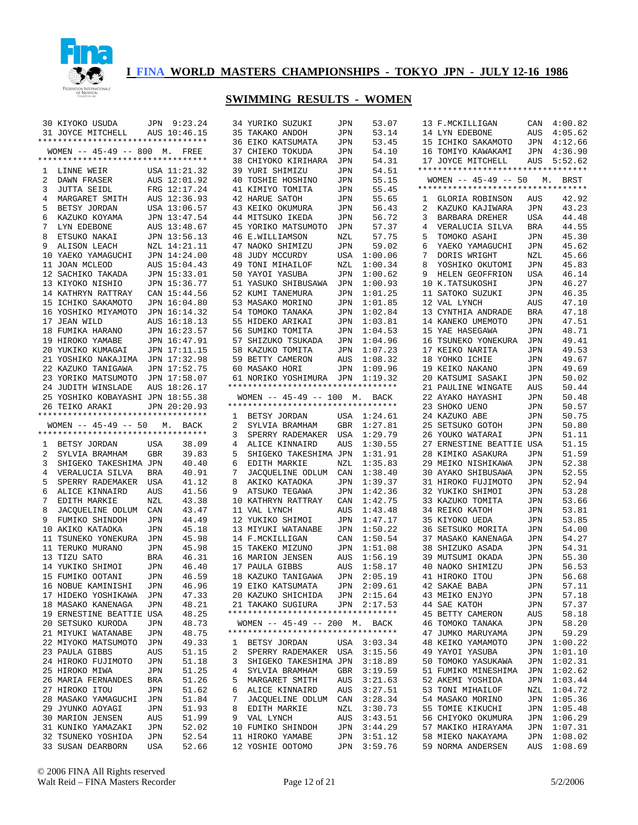

|    | 30 KIYOKO USUDA                         |            | JPN 9:23.24    |              | 34 YURIKO SUZUKI                                    | JPN        | 53.07                      |   | 13 F.MCKILLIGAN                           |            | CAN 4:00.82                |
|----|-----------------------------------------|------------|----------------|--------------|-----------------------------------------------------|------------|----------------------------|---|-------------------------------------------|------------|----------------------------|
|    | 31 JOYCE MITCHELL                       |            | AUS 10:46.15   |              | 35 TAKAKO ANDOH                                     | JPN        | 53.14                      |   | 14 LYN EDEBONE                            | AUS        | 4:05.62                    |
|    | *********************************       |            |                |              | 36 EIKO KATSUMATA                                   | JPN        | 53.45                      |   | 15 ICHIKO SAKAMOTO                        | JPN        | 4:12.66                    |
|    | WOMEN -- 45-49 -- 800 M. FREE           |            |                |              | 37 CHIEKO TOKUDA                                    | JPN        | 54.10                      |   | 16 TOMIYO KAWAKAMI                        | JPN        | 4:36.90                    |
|    | **********************************      |            |                |              | 38 CHIYOKO KIRIHARA                                 | JPN        | 54.31                      |   | 17 JOYCE MITCHELL                         | AUS        | 5:52.62                    |
| 1  | LINNE WEIR                              |            | USA 11:21.32   |              | 39 YURI SHIMIZU                                     | JPN        | 54.51                      |   | **********************************        |            |                            |
| 2  | DAWN FRASER                             |            | AUS 12:01.92   |              | 40 TOSHIE HOSHINO                                   | JPN        | 55.15                      |   | WOMEN $-- 45-49 -- 50$                    | М.         | BRST                       |
| 3  | <b>JUTTA SEIDL</b>                      |            | FRG 12:17.24   |              | 41 KIMIYO TOMITA                                    | JPN        | 55.45                      |   | **********************************        |            |                            |
| 4  | MARGARET SMITH                          |            | AUS 12:36.93   |              | 42 HARUE SATOH                                      | JPN        | 55.65                      |   | 1 GLORIA ROBINSON                         | AUS        | 42.92                      |
| 5  | BETSY JORDAN                            |            | USA 13:06.57   |              | 43 KEIKO OKUMURA                                    | JPN        | 56.43                      | 2 | KAZUKO KAJIWARA                           | JPN        | 43.23                      |
| 6  | KAZUKO KOYAMA                           |            | JPN 13:47.54   |              | 44 MITSUKO IKEDA                                    | JPN        | 56.72                      | 3 | BARBARA DREHER                            | <b>USA</b> | 44.48                      |
| 7  | LYN EDEBONE                             |            | AUS 13:48.67   |              | 45 YORIKO MATSUMOTO                                 | JPN        | 57.37                      | 4 | VERALUCIA SILVA                           | <b>BRA</b> | 44.55                      |
| 8  | ETSUKO NAKAI                            |            | JPN 13:56.13   |              | 46 E.WILLIAMSON                                     | NZL        | 57.75                      | 5 | TOMOKO ASAHI                              | JPN        | 45.30                      |
| 9  | ALISON LEACH                            |            | NZL 14:21.11   |              | 47 NAOKO SHIMIZU                                    | <b>JPN</b> | 59.02                      | 6 | YAEKO YAMAGUCHI                           | JPN        | 45.62                      |
|    | 10 YAEKO YAMAGUCHI                      |            | JPN 14:24.00   |              | 48 JUDY MCCURDY                                     | USA        | 1:00.06                    | 7 | DORIS WRIGHT                              | NZL        | 45.66                      |
|    | 11 JOAN MCLEOD                          |            | AUS 15:04.43   |              | 49 TONI MIHAILOF                                    | NZL        | 1:00.34                    | 8 | YOSHIKO OKUTOMI                           | <b>JPN</b> | 45.83                      |
|    | 12 SACHIKO TAKADA                       |            |                |              |                                                     |            |                            |   |                                           |            | 46.14                      |
|    |                                         |            | JPN 15:33.01   |              | 50 YAYOI YASUBA                                     | JPN        | 1:00.62                    | 9 | HELEN GEOFFRION                           | <b>USA</b> |                            |
|    | 13 KIYOKO NISHIO                        |            | JPN 15:36.77   |              | 51 YASUKO SHIBUSAWA                                 | <b>JPN</b> | 1:00.93                    |   | 10 K.TATSUKOSHI                           | JPN        | 46.27                      |
|    | 14 KATHRYN RATTRAY                      |            | CAN 15:44.56   |              | 52 KUMI TANEMURA                                    | JPN        | 1:01.25                    |   | 11 SATOKO SUZUKI                          | <b>JPN</b> | 46.35                      |
|    | 15 ICHIKO SAKAMOTO                      |            | JPN 16:04.80   |              | 53 MASAKO MORINO                                    | JPN        | 1:01.85                    |   | 12 VAL LYNCH                              | <b>AUS</b> | 47.10                      |
|    | 16 YOSHIKO MIYAMOTO                     |            | JPN 16:14.32   |              | 54 TOMOKO TANAKA                                    | JPN        | 1:02.84                    |   | 13 CYNTHIA ANDRADE                        | <b>BRA</b> | 47.18                      |
|    | 17 JEAN WILD                            |            | AUS 16:18.13   |              | 55 HIDEKO ARIKAI                                    | JPN        | 1:03.81                    |   | 14 KANEKO UMEMOTO                         | JPN        | 47.51                      |
|    | 18 FUMIKA HARANO                        |            | JPN 16:23.57   |              | 56 SUMIKO TOMITA                                    | JPN        | 1:04.53                    |   | 15 YAE HASEGAWA                           | JPN        | 48.71                      |
|    | 19 HIROKO YAMABE                        |            | JPN 16:47.91   |              | 57 SHIZUKO TSUKADA                                  | JPN        | 1:04.96                    |   | 16 TSUNEKO YONEKURA                       | JPN        | 49.41                      |
|    | 20 YUKIKO KUMAGAI                       |            | JPN 17:11.15   |              | 58 KAZUKO TOMITA                                    | JPN        | 1:07.23                    |   | 17 KEIKO NARITA                           | JPN        | 49.53                      |
|    | 21 YOSHIKO NAKAJIMA                     |            | JPN 17:32.98   |              | 59 BETTY CAMERON                                    | <b>AUS</b> | 1:08.32                    |   | 18 YOHKO ICHIE                            | JPN        | 49.67                      |
|    | 22 KAZUKO TANIGAWA                      |            | JPN 17:52.75   |              | 60 MASAKO HORI                                      | JPN        | 1:09.96                    |   | 19 KEIKO NAKANO                           | <b>JPN</b> | 49.69                      |
|    | 23 YORIKO MATSUMOTO                     |            | JPN 17:58.07   |              | 61 NORIKO YOSHIMURA JPN                             |            | 1:19.32                    |   | 20 KATSUMI SASAKI                         | <b>JPN</b> | 50.02                      |
|    | 24 JUDITH WINSLADE                      |            | AUS 18:26.17   |              | **********************************                  |            |                            |   | 21 PAULINE WINGATE                        | <b>AUS</b> | 50.44                      |
|    | 25 YOSHIKO KOBAYASHI JPN 18:55.38       |            |                |              | WOMEN -- 45-49 -- 100 M. BACK                       |            |                            |   | 22 AYAKO HAYASHI                          | <b>JPN</b> | 50.48                      |
|    | 26 TEIKO ARAKI                          |            | JPN 20:20.93   |              | **********************************                  |            |                            |   | 23 SHOKO UENO                             | <b>JPN</b> | 50.57                      |
|    | **********************************      |            |                | 1            | BETSY JORDAN                                        |            | USA 1:24.61                |   | 24 KAZUKO ABE                             | <b>JPN</b> | 50.75                      |
|    | WOMEN $-- 45-49 -- 50$                  | М.         | BACK           | 2            | SYLVIA BRAMHAM                                      | GBR        | 1:27.81                    |   | 25 SETSUKO GOTOH                          | <b>JPN</b> | 50.80                      |
|    | *********************************       |            |                | 3            | SPERRY RADEMAKER                                    | USA        | 1:29.79                    |   | 26 YOUKO WATARAI                          | <b>JPN</b> | 51.11                      |
| 1  |                                         |            |                |              |                                                     |            |                            |   |                                           |            |                            |
|    |                                         |            |                |              |                                                     |            |                            |   |                                           |            |                            |
|    | BETSY JORDAN                            | USA        | 38.09          | 4            | ALICE KINNAIRD                                      | AUS        | 1:30.55                    |   | 27 ERNESTINE BEATTIE USA                  |            | 51.15                      |
| 2  | SYLVIA BRAMHAM                          | <b>GBR</b> | 39.83          | 5            | SHIGEKO TAKESHIMA JPN                               |            | 1:31.91                    |   | 28 KIMIKO ASAKURA                         | JPN        | 51.59                      |
| 3  | SHIGEKO TAKESHIMA JPN                   |            | 40.40          | 6            | EDITH MARKIE                                        | NZL        | 1:35.83                    |   | 29 MEIKO NISHIKAWA                        | JPN        | 52.38                      |
| 4  | VERALUCIA SILVA                         | <b>BRA</b> | 40.91          | 7            | JACQUELINE ODLUM                                    | CAN        | 1:38.40                    |   | 30 AYAKO SHIBUSAWA                        | JPN        | 52.55                      |
| 5  | SPERRY RADEMAKER                        | USA        | 41.12          | 8            | AKIKO KATAOKA                                       | JPN        | 1:39.37                    |   | 31 HIROKO FUJIMOTO                        | JPN        | 52.94                      |
| 6  | ALICE KINNAIRD                          | AUS        | 41.56          | 9            | ATSUKO TEGAWA                                       | <b>JPN</b> | 1:42.36                    |   | 32 YUKIKO SHIMOI                          | JPN        | 53.28                      |
| 7  | EDITH MARKIE                            | NZL        | 43.38          |              | 10 KATHRYN RATTRAY                                  | CAN        | 1:42.75                    |   | 33 KAZUKO TOMITA                          | JPN        | 53.66                      |
| 8  | JACQUELINE ODLUM                        | CAN        | 43.47          |              | 11 VAL LYNCH                                        | AUS        | 1:43.48                    |   | 34 REIKO KATOH                            | JPN        | 53.81                      |
| 9  | FUMIKO SHINDOH                          | JPN        | 44.49          |              | 12 YUKIKO SHIMOI                                    | JPN        | 1:47.17                    |   | 35 KIYOKO UEDA                            | JPN        | 53.85                      |
|    | 10 AKIKO KATAOKA                        | JPN        | 45.18          |              | 13 MIYUKI WATANABE                                  | JPN        | 1:50.22                    |   | 36 SETSUKO MORITA                         | JPN        | 54.00                      |
| 11 | TSUNEKO YONEKURA                        | JPN        | 45.98          |              | 14 F.MCKILLIGAN                                     | CAN        | 1:50.54                    |   | 37 MASAKO KANENAGA                        | JPN        | 54.27                      |
|    | 11 TERUKO MURANO                        | JPN        | 45.98          |              | 15 TAKEKO MIZUNO                                    | JPN        | 1:51.08                    |   | 38 SHIZUKO ASADA                          | JPN        | 54.31                      |
|    | 13 TIZU SATO                            | BRA        | 46.31          |              | 16 MARION JENSEN                                    | AUS        | 1:56.19                    |   | 39 MUTSUMI OKADA                          | JPN        | 55.30                      |
|    | 14 YUKIKO SHIMOI                        | JPN        | 46.40          |              | 17 PAULA GIBBS                                      | AUS        | 1:58.17                    |   | 40 NAOKO SHIMIZU                          | JPN        | 56.53                      |
|    | 15 FUMIKO OOTANI                        | JPN        | 46.59          |              | 18 KAZUKO TANIGAWA                                  | JPN        | 2:05.19                    |   | 41 HIROKO ITOU                            | JPN        | 56.68                      |
|    | 16 NOBUE KAMINISHI JPN                  |            | 46.96          |              | 19 EIKO KATSUMATA JPN 2:09.61                       |            |                            |   | 42 SAKAE BABA                             | JPN        | 57.11                      |
|    | 17 HIDEKO YOSHIKAWA JPN                 |            | 47.33          |              | 20 KAZUKO SHICHIDA JPN 2:15.64                      |            |                            |   | 43 MEIKO ENJYO                            | JPN        | 57.18                      |
|    | 18 MASAKO KANENAGA                      | JPN        | 48.21          |              | 21 TAKAKO SUGIURA JPN 2:17.53                       |            |                            |   | 44 SAE KATOH                              | JPN        | 57.37                      |
|    | 19 ERNESTINE BEATTIE USA                |            | 48.25          |              | **********************************                  |            |                            |   | 45 BETTY CAMERON                          | AUS        | 58.18                      |
|    | 20 SETSUKO KURODA                       | JPN        | 48.73          |              | WOMEN -- 45-49 -- 200 M. BACK                       |            |                            |   | 46 TOMOKO TANAKA                          | JPN        | 58.20                      |
|    | 21 MIYUKI WATANABE                      | JPN        | 48.75          |              | **********************************                  |            |                            |   | 47 JUMKO MARUYAMA                         | JPN        | 59.29                      |
|    | 22 MIYOKO MATSUMOTO                     | JPN        | 49.33          | $\mathbf{1}$ | BETSY JORDAN                                        |            | USA 3:03.34                |   | 48 KEIKO YAMAMOTO                         |            | JPN 1:00.22                |
|    | 23 PAULA GIBBS                          | AUS        |                | 2            | SPERRY RADEMAKER USA 3:15.56                        |            |                            |   | 49 YAYOI YASUBA                           |            | JPN 1:01.10                |
|    | 24 HIROKO FUJIMOTO                      |            | 51.15          |              |                                                     |            |                            |   |                                           |            |                            |
|    | 25 HIROKO MIWA                          | JPN<br>JPN | 51.18<br>51.25 |              | 3 SHIGEKO TAKESHIMA JPN 3:18.89<br>4 SYLVIA BRAMHAM |            |                            |   | 50 TOMOKO YASUKAWA<br>51 FUMIKO MINESHIMA |            | JPN 1:02.31                |
|    |                                         |            |                | 5            |                                                     |            | GBR 3:19.59                |   |                                           |            | JPN 1:02.62                |
|    | 26 MARIA FERNANDES                      | BRA        | 51.26          |              | MARGARET SMITH                                      |            | AUS 3:21.63                |   | 52 AKEMI YOSHIDA                          |            | JPN 1:03.44                |
|    | 27 HIROKO ITOU                          | JPN        | 51.62          | 6            | ALICE KINNAIRD                                      |            | AUS 3:27.51                |   | 53 TONI MIHAILOF                          |            | NZL 1:04.72                |
|    | 28 MASAKO YAMAGUCHI                     | JPN        | 51.84          | 7            | JACQUELINE ODLUM CAN 3:28.34                        |            |                            |   | 54 MASAKO MORINO                          |            | JPN 1:05.36                |
|    | 29 JYUNKO AOYAGI                        | JPN        | 51.93          | 8            | EDITH MARKIE                                        | NZL        | 3:30.73                    |   | 55 TOMIE KIKUCHI                          |            | JPN 1:05.48                |
|    | 30 MARION JENSEN                        | AUS        | 51.99          |              | 9 VAL LYNCH                                         |            | AUS 3:43.51                |   | 56 CHIYOKO OKUMURA                        |            | JPN 1:06.29                |
|    | 31 KUNIKO YAMAZAKI                      | JPN        | 52.02          |              | 10 FUMIKO SHINDOH                                   |            | JPN 3:44.29                |   | 57 MAKIKO HIRAYAMA                        |            | JPN 1:07.31                |
|    | 32 TSUNEKO YOSHIDA<br>33 SUSAN DEARBORN | JPN<br>USA | 52.54<br>52.66 |              | 11 HIROKO YAMABE<br>12 YOSHIE OOTOMO                |            | JPN 3:51.12<br>JPN 3:59.76 |   | 58 MIEKO NAKAYAMA<br>59 NORMA ANDERSEN    |            | JPN 1:08.02<br>AUS 1:08.69 |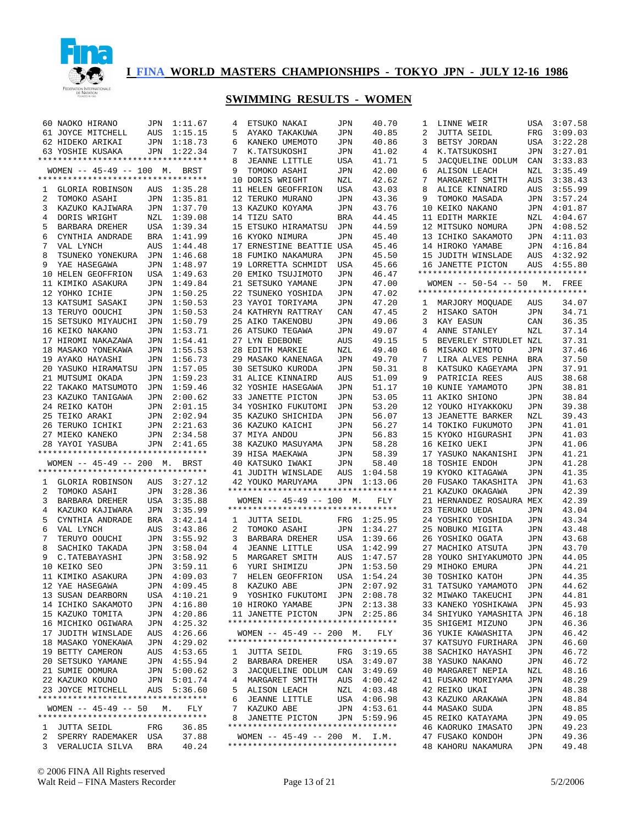

|    | 60 NAOKO HIRANO                    | JPN        | 1:11.67     | 4 | ETSUKO NAKAI                                                        | JPN        | 40.70       | 1 | LINNE WEIR                                                   | USA        | 3:07.58 |
|----|------------------------------------|------------|-------------|---|---------------------------------------------------------------------|------------|-------------|---|--------------------------------------------------------------|------------|---------|
|    | 61 JOYCE MITCHELL                  | AUS        | 1:15.15     | 5 | AYAKO TAKAKUWA                                                      | JPN        | 40.85       | 2 | <b>JUTTA SEIDL</b>                                           | FRG        | 3:09.03 |
|    | 62 HIDEKO ARIKAI                   | JPN        | 1:18.73     | 6 | KANEKO UMEMOTO                                                      | JPN        | 40.86       | 3 | BETSY JORDAN                                                 | <b>USA</b> | 3:22.28 |
|    | 63 YOSHIE KUSAKA                   | JPN        | 1:22.34     | 7 | K.TATSUKOSHI                                                        | JPN        | 41.02       | 4 | K.TATSUKOSHI                                                 | <b>JPN</b> | 3:27.01 |
|    | ********************************** |            |             | 8 | <b>JEANNE LITTLE</b>                                                | USA        | 41.71       | 5 | JACQUELINE ODLUM                                             | CAN        | 3:33.83 |
|    | WOMEN -- 45-49 -- 100 M. BRST      |            |             | 9 | TOMOKO ASAHI                                                        | <b>JPN</b> | 42.00       | 6 | <b>ALISON LEACH</b>                                          | NZL        | 3:35.49 |
|    | ********************************** |            |             |   |                                                                     |            |             |   |                                                              |            |         |
|    |                                    |            |             |   | 10 DORIS WRIGHT                                                     | NZL        | 42.62       | 7 | MARGARET SMITH                                               | <b>AUS</b> | 3:38.43 |
| 1  | GLORIA ROBINSON                    | AUS        | 1:35.28     |   | 11 HELEN GEOFFRION                                                  | USA        | 43.03       | 8 | ALICE KINNAIRD                                               | AUS        | 3:55.99 |
| 2  | TOMOKO ASAHI                       | JPN        | 1:35.81     |   | 12 TERUKO MURANO                                                    | <b>JPN</b> | 43.36       | 9 | TOMOKO MASADA                                                | JPN        | 3:57.24 |
| 3  | KAZUKO KAJIWARA                    | JPN        | 1:37.70     |   | 13 KAZUKO KOYAMA                                                    | <b>JPN</b> | 43.76       |   | 10 KEIKO NAKANO                                              | JPN        | 4:01.87 |
| 4  | DORIS WRIGHT                       | NZL        | 1:39.08     |   | 14 TIZU SATO                                                        | <b>BRA</b> | 44.45       |   | 11 EDITH MARKIE                                              | NZL        | 4:04.67 |
| 5  | BARBARA DREHER                     | <b>USA</b> | 1:39.34     |   | 15 ETSUKO HIRAMATSU                                                 | <b>JPN</b> | 44.59       |   | 12 MITSUKO NOMURA                                            | JPN        | 4:08.52 |
| 6  | CYNTHIA ANDRADE                    | BRA        | 1:41.99     |   | 16 KYOKO NIMURA                                                     | <b>JPN</b> | 45.40       |   | 13 ICHIKO SAKAMOTO                                           | JPN        | 4:11.03 |
| 7  | VAL LYNCH                          | AUS        | 1:44.48     |   | 17 ERNESTINE BEATTIE USA                                            |            | 45.46       |   | 14 HIROKO YAMABE                                             | JPN        | 4:16.84 |
| 8  | TSUNEKO YONEKURA                   | JPN        | 1:46.68     |   | 18 FUMIKO NAKAMURA                                                  | JPN        | 45.50       |   | 15 JUDITH WINSLADE                                           | AUS        | 4:32.92 |
| 9  | YAE HASEGAWA                       | JPN        | 1:48.97     |   | 19 LORRETTA SCHMIDT                                                 | USA        | 45.66       |   | 16 JANETTE PICTON                                            | AUS        | 4:55.80 |
| 10 | HELEN GEOFFRION                    | USA        | 1:49.63     |   | 20 EMIKO TSUJIMOTO                                                  | JPN        | 46.47       |   | **********************************                           |            |         |
|    |                                    |            |             |   |                                                                     |            |             |   |                                                              |            |         |
| 11 | KIMIKO ASAKURA                     | JPN        | 1:49.84     |   | 21 SETSUKO YAMANE                                                   | <b>JPN</b> | 47.00       |   | WOMEN $--$ 50-54 -- 50<br>********************************** | М.         | FREE    |
|    | 12 YOHKO ICHIE                     | JPN        | 1:50.25     |   | 22 TSUNEKO YOSHIDA                                                  | JPN        | 47.02       |   |                                                              |            |         |
|    | 13 KATSUMI SASAKI                  | JPN        | 1:50.53     |   | 23 YAYOI TORIYAMA                                                   | JPN        | 47.20       | 1 | MARJORY MOQUADE                                              | AUS        | 34.07   |
|    | 13 TERUYO OOUCHI                   | JPN        | 1:50.53     |   | 24 KATHRYN RATTRAY                                                  | CAN        | 47.45       | 2 | HISAKO SATOH                                                 | JPN        | 34.71   |
| 15 | SETSUKO MIYAUCHI                   | JPN        | 1:50.79     |   | 25 AIKO TAKENOBU                                                    | JPN        | 49.06       | 3 | KAY EASUN                                                    | CAN        | 36.35   |
|    | 16 KEIKO NAKANO                    | JPN        | 1:53.71     |   | 26 ATSUKO TEGAWA                                                    | JPN        | 49.07       | 4 | ANNE STANLEY                                                 | NZL        | 37.14   |
|    | 17 HIROMI NAKAZAWA                 | <b>JPN</b> | 1:54.41     |   | 27 LYN EDEBONE                                                      | AUS        | 49.15       | 5 | BEVERLEY STRUDLET NZL                                        |            | 37.31   |
|    | 18 MASAKO YONEKAWA                 | JPN        | 1:55.53     |   | 28 EDITH MARKIE                                                     | NZL        | 49.40       | 6 | MISAKO KIMOTO                                                | JPN        | 37.46   |
|    | 19 AYAKO HAYASHI                   | JPN        | 1:56.73     |   | 29 MASAKO KANENAGA                                                  | JPN        | 49.70       | 7 | LIRA ALVES PENHA                                             | <b>BRA</b> | 37.50   |
|    | 20 YASUKO HIRAMATSU                | JPN        | 1:57.05     |   | <b>30 SETSUKO KURODA</b>                                            | JPN        | 50.31       | 8 | KATSUKO KAGEYAMA                                             | JPN        | 37.91   |
|    | 21 MUTSUMI OKADA                   | JPN        | 1:59.23     |   | 31 ALICE KINNAIRD                                                   | AUS        | 51.09       | 9 | PATRICIA REES                                                | AUS        | 38.68   |
|    | 22 TAKAKO MATSUMOTO                | JPN        | 1:59.46     |   | 32 YOSHIE HASEGAWA                                                  | JPN        | 51.17       |   | 10 KUNIE YAMAMOTO                                            | JPN        | 38.81   |
|    |                                    |            |             |   |                                                                     |            |             |   |                                                              |            |         |
|    | 23 KAZUKO TANIGAWA                 | JPN        | 2:00.62     |   | 33 JANETTE PICTON                                                   | JPN        | 53.05       |   | 11 AKIKO SHIONO                                              | JPN        | 38.84   |
|    | 24 REIKO KATOH                     | JPN        | 2:01.15     |   | 34 YOSHIKO FUKUTOMI                                                 | <b>JPN</b> | 53.20       |   | 12 YOUKO HIYAKKOKU                                           | JPN        | 39.38   |
|    | 25 TEIKO ARAKI                     | JPN        | 2:02.94     |   | 35 KAZUKO SHICHIDA                                                  | JPN        | 56.07       |   | 13 JEANETTE BARKER                                           | NZL        | 39.43   |
|    | 26 TERUKO ICHIKI                   | JPN        | 2:21.63     |   | 36 KAZUKO KAICHI                                                    | <b>JPN</b> | 56.27       |   | 14 TOKIKO FUKUMOTO                                           | JPN        | 41.01   |
|    | 27 MIEKO KANEKO                    | JPN        | 2:34.58     |   | 37 MIYA ANDOU                                                       | <b>JPN</b> | 56.83       |   | 15 KYOKO HIGURASHI                                           | JPN        | 41.03   |
|    | 28 YAYOI YASUBA                    | JPN        | 2:41.65     |   | 38 KAZUKO MASUYAMA                                                  | JPN        | 58.28       |   | 16 KEIKO UEKI                                                | JPN        | 41.06   |
|    | *********************************  |            |             |   | 39 HISA MAEKAWA                                                     | JPN        | 58.39       |   | 17 YASUKO NAKANISHI                                          | JPN        | 41.21   |
|    | WOMEN -- 45-49 -- 200 M. BRST      |            |             |   | 40 KATSUKO IWAKI                                                    | JPN        | 58.40       |   | 18 TOSHIE ENDOH                                              | JPN        | 41.28   |
|    | *********************************  |            |             |   | 41 JUDITH WINSLADE                                                  | AUS        | 1:04.58     |   | 19 KYOKO KITAGAWA                                            | JPN        | 41.35   |
| ı  | GLORIA ROBINSON                    | AUS        | 3:27.12     |   | 42 YOUKO MARUYAMA                                                   | JPN        | 1:13.06     |   | 20 FUSAKO TAKASHITA                                          | JPN        | 41.63   |
| 2  | TOMOKO ASAHI                       | JPN        | 3:28.36     |   | **********************************                                  |            |             |   | 21 KAZUKO OKAGAWA                                            | JPN        | 42.39   |
|    |                                    |            |             |   |                                                                     |            |             |   |                                                              |            | 42.39   |
| 3  | BARBARA DREHER                     | USA        | 3:35.88     |   | WOMEN -- 45-49 -- 100 M.                                            |            | FLY         |   | 21 HERNANDEZ ROSAURA MEX                                     |            |         |
| 4  | KAZUKO KAJIWARA                    | JPN        | 3:35.99     |   | **********************************                                  |            |             |   | 23 TERUKO UEDA                                               | JPN        | 43.04   |
| 5  | CYNTHIA ANDRADE                    | BRA        | 3:42.14     | 1 | <b>JUTTA SEIDL</b>                                                  | FRG        | 1:25.95     |   | 24 YOSHIKO YOSHIDA                                           | JPN        | 43.34   |
| 6  | VAL LYNCH                          | AUS        | 3:43.86     | 2 | TOMOKO ASAHI                                                        | JPN        | 1:34.27     |   | 25 NOBUKO MIGITA                                             | JPN        | 43.48   |
| 7  | TERUYO OOUCHI                      | JPN        | 3:55.92     | 3 | BARBARA DREHER                                                      | <b>USA</b> | 1:39.66     |   | 26 YOSHIKO OGATA                                             | JPN        | 43.68   |
| 8  | SACHIKO TAKADA                     | JPN        | 3:58.04     | 4 | <b>JEANNE LITTLE</b>                                                | USA        | 1:42.99     |   | 27 MACHIKO ATSUTA                                            | JPN        | 43.70   |
| 9  | C. TATEBAYASHI                     | <b>JPN</b> | 3:58.92     | 5 | MARGARET SMITH                                                      | <b>AUS</b> | 1:47.57     |   | 28 YOUKO SHIYAKUMOTO JPN                                     |            | 44.05   |
|    | 10 KEIKO SEO                       | JPN        | 3:59.11     | 6 | YURI SHIMIZU                                                        | JPN        | 1:53.50     |   | 29 MIHOKO EMURA                                              | <b>JPN</b> | 44.21   |
|    | 11 KIMIKO ASAKURA                  | JPN        | 4:09.03     | 7 | HELEN GEOFFRION                                                     | <b>USA</b> | 1:54.24     |   | 30 TOSHIKO KATOH                                             | <b>JPN</b> | 44.35   |
|    | 12 YAE HASEGAWA                    |            | JPN 4:09.45 |   | 8 KAZUKO ABE JPN 2:07.92                                            |            |             |   | 31 TATSUKO YAMAMOTO                                          | JPN        | 44.62   |
|    |                                    |            |             |   | 9 YOSHIKO FUKUTOMI JPN 2:08.78                                      |            |             |   | 32 MIWAKO TAKEUCHI                                           | JPN        | 44.81   |
|    |                                    |            |             |   |                                                                     |            |             |   |                                                              |            | 45.93   |
|    | 13 SUSAN DEARBORN                  |            | USA 4:10.21 |   |                                                                     |            |             |   |                                                              |            |         |
|    | 14 ICHIKO SAKAMOTO                 |            | JPN 4:16.80 |   | 10 HIROKO YAMABE                                                    |            | JPN 2:13.38 |   | 33 KANEKO YOSHIKAWA                                          | JPN        |         |
|    | 15 KAZUKO TOMITA                   |            | JPN 4:20.86 |   | 11 JANETTE PICTON                                                   |            | JPN 2:25.86 |   | 34 SHIYUKO YAMASHITA JPN                                     |            | 46.18   |
|    | 16 MICHIKO OGIWARA                 |            | JPN 4:25.32 |   | *********************************                                   |            |             |   | 35 SHIGEMI MIZUNO                                            | JPN        | 46.36   |
|    | 17 JUDITH WINSLADE                 |            | AUS 4:26.66 |   | $WOMEN$ -- 45-49 -- 200 M.                                          |            | FLY         |   | 36 YUKIE KAWASHITA                                           | JPN        | 46.42   |
|    | 18 MASAKO YONEKAWA                 |            | JPN 4:29.02 |   | **********************************                                  |            |             |   | 37 KATSUYO FURIHARA                                          | JPN        | 46.60   |
|    | 19 BETTY CAMERON                   |            |             |   |                                                                     |            |             |   |                                                              |            |         |
|    |                                    |            | AUS 4:53.65 | 2 | 1 JUTTA SEIDL                                                       |            | FRG 3:19.65 |   | 38 SACHIKO HAYASHI                                           | JPN        | 46.72   |
|    | 20 SETSUKO YAMANE                  |            | JPN 4:55.94 |   | BARBARA DREHER                                                      |            | USA 3:49.07 |   | 38 YASUKO NAKANO                                             | JPN        | 46.72   |
|    | 21 SUMIE OOMURA                    |            | JPN 5:00.62 |   | 3 JACQUELINE ODLUM CAN 3:49.69                                      |            |             |   | 40 MARGARET NEPIA                                            | NZL        | 48.16   |
|    | 22 KAZUKO KOUNO                    |            | JPN 5:01.74 |   | 4 MARGARET SMITH                                                    |            | AUS 4:00.42 |   | 41 FUSAKO MORIYAMA                                           | JPN        | 48.29   |
|    | 23 JOYCE MITCHELL                  |            | AUS 5:36.60 | 5 | ALISON LEACH                                                        |            | NZL 4:03.48 |   | 42 REIKO UKAI                                                | JPN        | 48.38   |
|    | ********************************** |            |             | 6 | JEANNE LITTLE                                                       |            | USA 4:06.98 |   | 43 KAZUKO ARAKAWA                                            | JPN        | 48.84   |
|    | WOMEN $-- 45-49 -- 50$ M.          |            | FLY         |   | 7 KAZUKO ABE                                                        |            | JPN 4:53.61 |   | 44 MASAKO SUDA                                               | JPN        | 48.85   |
|    | ********************************** |            |             | 8 | JANETTE PICTON                                                      |            | JPN 5:59.96 |   | 45 REIKO KATAYAMA                                            | JPN        | 49.05   |
|    | 1 JUTTA SEIDL                      | FRG        | 36.85       |   | **********************************                                  |            |             |   | 46 KAORUKO IMASATO                                           | JPN        | 49.23   |
|    | 2 SPERRY RADEMAKER USA             |            | 37.88       |   | WOMEN -- 45-49 -- 200 M. I.M.<br>********************************** |            |             |   | 47 FUSAKO KONDOH<br>48 KAHORU NAKAMURA                       | JPN        | 49.36   |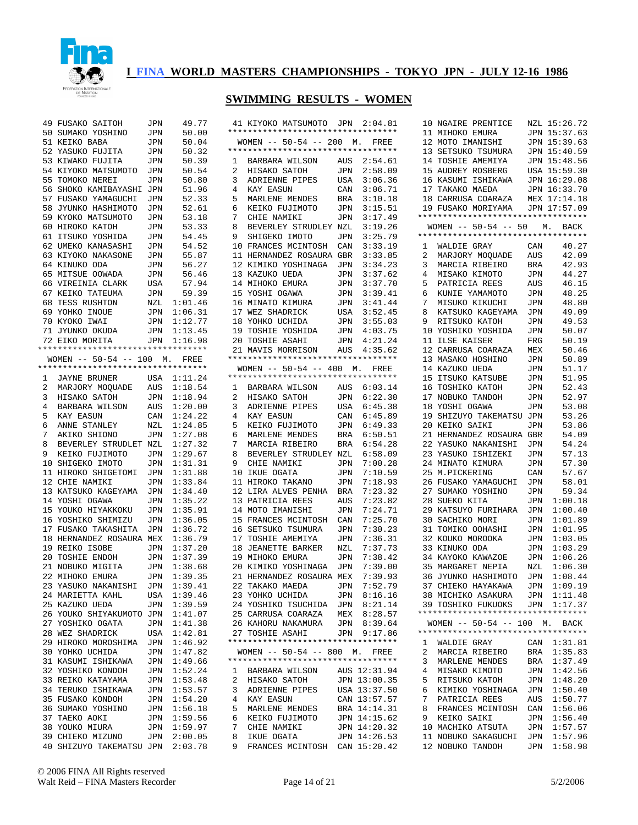

|    | 49 FUSAKO SAITOH                                     | JPN        | 49.77       |        | 41 KIYOKO MATSUMOTO JPN 2:04.81             |            |              |   | 10 NGAIRE PRENTICE                      |            | NZL 15:26.72               |
|----|------------------------------------------------------|------------|-------------|--------|---------------------------------------------|------------|--------------|---|-----------------------------------------|------------|----------------------------|
|    | 50 SUMAKO YOSHINO                                    | JPN        | 50.00       |        | *********************************           |            |              |   | 11 MIHOKO EMURA                         |            | JPN 15:37.63               |
|    | 51 KEIKO BABA                                        | JPN        | 50.04       |        | WOMEN -- 50-54 -- 200 M. FREE               |            |              |   | 12 MOTO IMANISHI                        |            | JPN 15:39.63               |
|    |                                                      |            |             |        |                                             |            |              |   |                                         |            |                            |
|    | 52 YASUKO FUJITA                                     | JPN        | 50.32       |        | *********************************           |            |              |   | 13 SETSUKO TSUMURA                      |            | JPN 15:40.59               |
|    | 53 KIWAKO FUJITA                                     | JPN        | 50.39       | 1      | BARBARA WILSON                              | AUS        | 2:54.61      |   | 14 TOSHIE AMEMIYA                       |            | JPN 15:48.56               |
|    | 54 KIYOKO MATSUMOTO                                  | JPN        | 50.54       | 2      | HISAKO SATOH                                | JPN        | 2:58.09      |   | 15 AUDREY ROSBERG                       |            | USA 15:59.30               |
|    | 55 TOMOKO NEREI                                      | JPN        | 50.80       | 3      |                                             | USA        | 3:06.36      |   | 16 KASUMI ISHIKAWA                      |            | JPN 16:29.08               |
|    |                                                      |            |             |        | ADRIENNE PIPES                              |            |              |   |                                         |            |                            |
|    | 56 SHOKO KAMIBAYASHI JPN                             |            | 51.96       | 4      | KAY EASUN                                   | CAN        | 3:06.71      |   | 17 TAKAKO MAEDA                         |            | JPN 16:33.70               |
|    | 57 FUSAKO YAMAGUCHI                                  | JPN        | 52.33       | 5      | MARLENE MENDES                              | BRA        | 3:10.18      |   | 18 CARRUSA COARAZA                      |            | MEX 17:14.18               |
|    | 58 JYUNKO HASHIMOTO                                  | JPN        | 52.61       | 6      | KEIKO FUJIMOTO                              | JPN        | 3:15.51      |   | 19 FUSAKO MORIYAMA                      |            | JPN 17:57.09               |
|    | 59 KYOKO MATSUMOTO                                   |            | 53.18       | 7      |                                             | <b>JPN</b> | 3:17.49      |   | **********************************      |            |                            |
|    |                                                      | JPN        |             |        | CHIE NAMIKI                                 |            |              |   |                                         |            |                            |
|    | 60 HIROKO KATOH                                      | JPN        | 53.33       | 8      | BEVERLEY STRUDLEY NZL                       |            | 3:19.26      |   | WOMEN $-- 50-54 -- 50$                  | М.         | BACK                       |
|    | 61 ITSUKO YOSHIDA                                    | JPN        | 54.45       | 9      | SHIGEKO IMOTO                               | JPN        | 3:25.79      |   | **********************************      |            |                            |
|    | 62 UMEKO KANASASHI                                   | JPN        | 54.52       |        | 10 FRANCES MCINTOSH                         | CAN        | 3:33.19      | 1 | WALDIE GRAY                             | CAN        | 40.27                      |
|    |                                                      |            |             |        |                                             |            |              |   |                                         |            |                            |
|    | 63 KIYOKO NAKASONE                                   | JPN        | 55.87       |        | 11 HERNANDEZ ROSAURA GBR                    |            | 3:33.85      | 2 | MARJORY MOOUADE                         | AUS        | 42.09                      |
|    | 64 KINUKO ODA                                        | JPN        | 56.27       |        | 12 KIMIKO YOSHINAGA                         | JPN        | 3:34.23      | 3 | MARCIA RIBEIRO                          | BRA        | 42.93                      |
|    | 65 MITSUE OOWADA                                     | JPN        | 56.46       |        | 13 KAZUKO UEDA                              | JPN        | 3:37.62      | 4 | MISAKO KIMOTO                           | JPN        | 44.27                      |
|    |                                                      | USA        | 57.94       |        | 14 MIHOKO EMURA                             | JPN        | 3:37.70      | 5 |                                         | AUS        | 46.15                      |
|    | 66 VIREINIA CLARK                                    |            |             |        |                                             |            |              |   | PATRICIA REES                           |            |                            |
|    | 67 KEIKO TATEUMA                                     | JPN        | 59.39       |        | 15 YOSHI OGAWA                              | JPN        | 3:39.41      | 6 | KUNIE YAMAMOTO                          | JPN        | 48.25                      |
|    | <b>68 TESS RUSHTON</b>                               | NZL        | 1:01.46     |        | 16 MINATO KIMURA                            | JPN        | 3:41.44      | 7 | MISUKO KIKUCHI                          | JPN        | 48.80                      |
|    | 69 YOHKO INOUE                                       | JPN        | 1:06.31     |        | 17 WEZ SHADRICK                             | USA        | 3:52.45      | 8 | KATSUKO KAGEYAMA                        | JPN        | 49.09                      |
|    |                                                      |            |             |        |                                             |            |              |   |                                         |            |                            |
|    | 70 KYOKO IWAI                                        | JPN        | 1:12.77     |        | 18 YOHKO UCHIDA                             | JPN        | 3:55.03      | 9 | RITSUKO KATOH                           | JPN        | 49.53                      |
|    | 71 JYUNKO OKUDA                                      | JPN        | 1:13.45     |        | 19 TOSHIE YOSHIDA                           | JPN        | 4:03.75      |   | 10 YOSHIKO YOSHIDA                      | JPN        | 50.07                      |
|    | 72 EIKO MORITA                                       | JPN        | 1:16.98     |        | 20 TOSHIE ASAHI                             | JPN        | 4:21.24      |   | 11 ILSE KAISER                          | FRG        | 50.19                      |
|    | *********************************                    |            |             |        | 21 MAVIS MORRISON                           | AUS        | 4:35.62      |   | 12 CARRUSA COARAZA                      | MEX        | 50.46                      |
|    |                                                      |            |             |        | *********************************           |            |              |   |                                         |            |                            |
|    | WOMEN -- 50-54 -- 100 M. FREE                        |            |             |        |                                             |            |              |   | 13 MASAKO HOSHINO                       | JPN        | 50.89                      |
|    | *********************************                    |            |             |        | WOMEN $--$ 50-54 $--$ 400 M.                |            | FREE         |   | 14 KAZUKO UEDA                          | JPN        | 51.17                      |
| 1  | <b>JAYNE BRUNER</b>                                  |            | USA 1:11.24 |        | **********************************          |            |              |   | 15 ITSUKO KATSUBE                       | JPN        | 51.95                      |
| 2  | MARJORY MOQUADE                                      | AUS        | 1:18.54     | 1      | BARBARA WILSON                              |            | 6:03.14      |   | 16 TOSHIKO KATOH                        | JPN        | 52.43                      |
|    |                                                      |            |             |        |                                             | AUS        |              |   |                                         |            |                            |
| 3  | HISAKO SATOH                                         | JPN        | 1:18.94     | 2      | HISAKO SATOH                                | JPN        | 6:22.30      |   | 17 NOBUKO TANDOH                        | JPN        | 52.97                      |
| 4  | BARBARA WILSON                                       | AUS        | 1:20.00     | 3      | ADRIENNE PIPES                              | USA        | 6:45.38      |   | 18 YOSHI OGAWA                          | <b>JPN</b> | 53.08                      |
| 5  | <b>KAY EASUN</b>                                     | CAN        | 1:24.22     | 4      | KAY EASUN                                   | CAN        | 6:45.89      |   | 19 SHIZUYO TAKEMATSU JPN                |            | 53.26                      |
|    |                                                      |            |             |        |                                             |            |              |   |                                         |            |                            |
| 6  | ANNE STANLEY                                         | NZL        | 1:24.85     | 5      | KEIKO FUJIMOTO                              | JPN        | 6:49.33      |   | 20 KEIKO SAIKI                          | JPN        | 53.86                      |
| 7  |                                                      |            |             |        |                                             |            |              |   |                                         |            |                            |
|    | AKIKO SHIONO                                         | JPN        | 1:27.08     | 6      | MARLENE MENDES                              | BRA        | 6:50.51      |   | 21 HERNANDEZ ROSAURA GBR                |            | 54.09                      |
|    |                                                      |            |             |        |                                             |            |              |   |                                         |            |                            |
| 8  | BEVERLEY STRUDLET NZL                                |            | 1:27.32     | 7      | MARCIA RIBEIRO                              | BRA        | 6:54.28      |   | 22 YASUKO NAKANISHI                     | JPN        | 54.24                      |
| 9  | KEIKO FUJIMOTO                                       | JPN        | 1:29.67     | 8      | BEVERLEY STRUDLEY NZL                       |            | 6:58.09      |   | 23 YASUKO ISHIZEKI                      | JPN        | 57.13                      |
| 10 | SHIGEKO IMOTO                                        | JPN        | 1:31.31     | 9      | CHIE NAMIKI                                 | JPN        | 7:00.28      |   | 24 MINATO KIMURA                        | JPN        | 57.30                      |
|    | 11 HIROKO SHIGETOMI                                  | JPN        | 1:31.88     |        | 10 IKUE OGATA                               | JPN        | 7:10.59      |   | 25 M.PICKERING                          | CAN        | 57.67                      |
|    |                                                      |            |             |        |                                             |            |              |   |                                         |            |                            |
|    | 12 CHIE NAMIKI                                       | JPN        | 1:33.84     |        | 11 HIROKO TAKANO                            | JPN        | 7:18.93      |   | 26 FUSAKO YAMAGUCHI                     | JPN        | 58.01                      |
|    | 13 KATSUKO KAGEYAMA                                  | JPN        | 1:34.40     |        | 12 LIRA ALVES PENHA                         | BRA        | 7:23.32      |   | 27 SUMAKO YOSHINO                       | JPN        | 59.34                      |
|    | 14 YOSHI OGAWA                                       | JPN        | 1:35.22     |        | 13 PATRICIA REES                            | AUS        | 7:23.82      |   | 28 SUEKO KITA                           | JPN        | 1:00.18                    |
|    |                                                      |            |             |        |                                             |            |              |   |                                         |            |                            |
|    | 15 YOUKO HIYAKKOKU                                   | JPN        | 1:35.91     |        | 14 MOTO IMANISHI                            | JPN        | 7:24.71      |   | 29 KATSUYO FURIHARA                     | JPN        | 1:00.40                    |
|    | 16 YOSHIKO SHIMIZU                                   | JPN        | 1:36.05     |        | 15 FRANCES MCINTOSH                         | CAN        | 7:25.70      |   | 30 SACHIKO MORI                         | JPN        | 1:01.89                    |
|    | 17 FUSAKO TAKASHITA                                  | JPN        | 1:36.72     |        | 16 SETSUKO TSUMURA                          | JPN        | 7:30.23      |   | 31 TOMIKO OOHASHI                       | JPN        | 1:01.95                    |
|    | 18 HERNANDEZ ROSAURA MEX                             |            | 1:36.79     |        | 17 TOSHIE AMEMIYA                           | JPN        | 7:36.31      |   | 32 KOUKO MOROOKA                        | JPN        | 1:03.05                    |
|    |                                                      |            |             |        |                                             |            |              |   |                                         |            |                            |
|    | 19 REIKO ISOBE                                       | JPN        | 1:37.20     |        | 18 JEANETTE BARKER                          | NZL        | 7:37.73      |   | 33 KINUKO ODA                           | JPN        | 1:03.29                    |
|    | 20 TOSHIE ENDOH                                      | JPN        | 1:37.39     |        | 19 MIHOKO EMURA                             | JPN        | 7:38.42      |   | 34 KAYOKO KAWAZOE                       | JPN        | 1:06.26                    |
|    | 21 NOBUKO MIGITA                                     | <b>JPN</b> | 1:38.68     |        | 20 KIMIKO YOSHINAGA                         | <b>JPN</b> | 7:39.00      |   | 35 MARGARET NEPIA                       | NZL        | 1:06.30                    |
|    | 22 MIHOKO EMURA                                      | JPN        | 1:39.35     |        | 21 HERNANDEZ ROSAURA MEX                    |            | 7:39.93      |   | 36 JYUNKO HASHIMOTO                     | JPN        | 1:08.44                    |
|    |                                                      |            |             |        |                                             |            |              |   |                                         |            |                            |
|    | 23 YASUKO NAKANISHI JPN 1:39.41                      |            |             |        | 22 TAKAKO MAEDA                             | JPN        | 7:52.79      |   | 37 CHIEKO HAYAKAWA                      |            | JPN 1:09.19                |
|    | 24 MARIETTA KAHL                                     |            | USA 1:39.46 |        | 23 YOHKO UCHIDA                             |            | JPN 8:16.16  |   | 38 MICHIKO ASAKURA                      |            | JPN 1:11.48                |
|    | 25 KAZUKO UEDA                                       |            | JPN 1:39.59 |        | 24 YOSHIKO TSUCHIDA JPN 8:21.14             |            |              |   | 39 TOSHIKO FUKUOKS                      |            | JPN 1:17.37                |
|    |                                                      |            |             |        |                                             |            |              |   | **********************************      |            |                            |
|    | 26 YOUKO SHIYAKUMOTO JPN 1:41.07                     |            |             |        | 25 CARRUSA COARAZA                          |            | MEX 8:28.57  |   |                                         |            |                            |
|    | 27 YOSHIKO OGATA                                     |            | JPN 1:41.38 |        | 26 KAHORU NAKAMURA                          |            | JPN 8:39.64  |   | WOMEN -- 50-54 -- 100 M. BACK           |            |                            |
|    | 28 WEZ SHADRICK                                      | USA        | 1:42.81     |        | 27 TOSHIE ASAHI                             |            | JPN 9:17.86  |   | **********************************      |            |                            |
|    | 29 HIROKO MOROSHIMA                                  |            | JPN 1:46.92 |        | **********************************          |            |              |   | 1 WALDIE GRAY                           |            | CAN 1:31.81                |
|    |                                                      |            |             |        |                                             |            |              |   |                                         |            |                            |
|    | 30 YOHKO UCHIDA                                      | JPN        | 1:47.82     |        | WOMEN -- 50-54 -- 800 M. FREE               |            |              |   | 2 MARCIA RIBEIRO                        |            | BRA 1:35.83                |
|    | 31 KASUMI ISHIKAWA                                   |            | JPN 1:49.66 |        | **********************************          |            |              | 3 | MARLENE MENDES                          |            | BRA 1:37.49                |
|    | 32 YOSHIKO KONDOH                                    | JPN        | 1:52.24     | 1      | BARBARA WILSON                              |            | AUS 12:31.94 | 4 | MISAKO KIMOTO                           |            | JPN 1:42.56                |
|    | 33 REIKO KATAYAMA                                    |            |             |        | 2 HISAKO SATOH                              |            |              | 5 | RITSUKO KATOH                           |            |                            |
|    |                                                      |            | JPN 1:53.48 |        |                                             |            | JPN 13:00.35 |   |                                         |            | JPN 1:48.20                |
|    | 34 TERUKO ISHIKAWA                                   | JPN        | 1:53.57     | 3      | ADRIENNE PIPES                              |            | USA 13:37.50 | 6 | KIMIKO YOSHINAGA                        |            | JPN 1:50.40                |
|    | 35 FUSAKO KONDOH                                     | JPN        | 1:54.20     |        | 4 KAY EASUN                                 |            | CAN 13:57.57 | 7 | PATRICIA REES                           |            | AUS 1:50.77                |
|    | 36 SUMAKO YOSHINO                                    | JPN        | 1:56.18     | 5      | MARLENE MENDES                              |            | BRA 14:14.31 | 8 | FRANCES MCINTOSH CAN 1:56.06            |            |                            |
|    |                                                      |            |             |        |                                             |            |              |   |                                         |            |                            |
|    | 37 TAEKO AOKI                                        | JPN        | 1:59.56     | 6      | KEIKO FUJIMOTO                              |            | JPN 14:15.62 |   | 9 KEIKO SAIKI                           |            | JPN 1:56.40                |
|    | 38 YOUKO MIURA                                       | JPN        | 1:59.97     | 7      | CHIE NAMIKI                                 |            | JPN 14:20.32 |   | 10 MACHIKO ATSUTA                       |            | JPN 1:57.57                |
|    | 39 CHIEKO MIZUNO<br>40 SHIZUYO TAKEMATSU JPN 2:03.78 | JPN        | 2:00.05     | 8<br>9 | IKUE OGATA<br>FRANCES MCINTOSH CAN 15:20.42 |            | JPN 14:26.53 |   | 11 NOBUKO SAKAGUCHI<br>12 NOBUKO TANDOH |            | JPN 1:57.96<br>JPN 1:58.98 |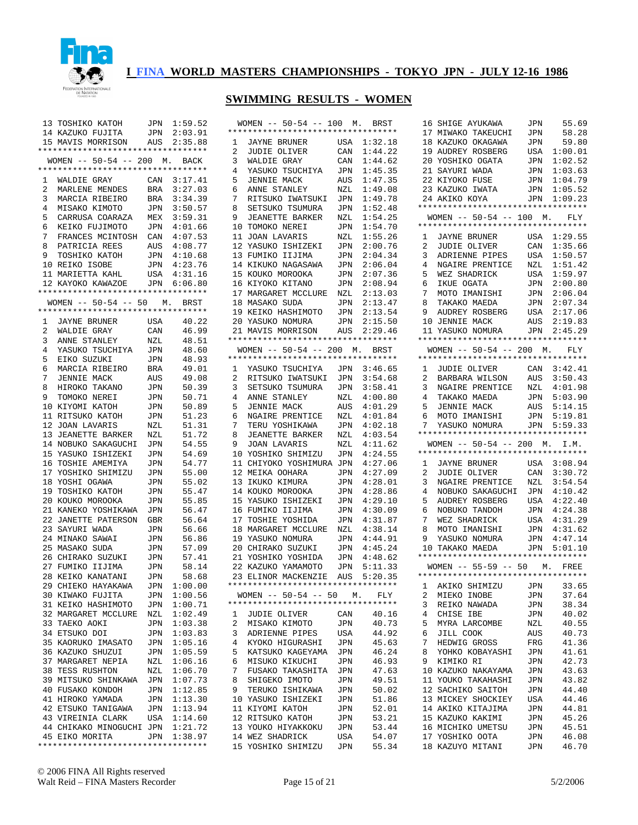

|                 | 13 ТОЅНІКО КАТОН                   |     | JPN 1:59.52 | W)             |
|-----------------|------------------------------------|-----|-------------|----------------|
|                 | 14 KAZUKO FUJITA                   | JPN | 2:03.91     | $***$          |
|                 |                                    |     |             |                |
|                 | 15 MAVIS MORRISON                  |     | AUS 2:35.88 | 1              |
|                 | *********************************  |     |             | 2              |
|                 | WOMEN -- 50-54 -- 200 M. BACK      |     |             | 3              |
|                 | ********************************** |     |             | $\overline{4}$ |
|                 |                                    |     | 3:17.41     | 5              |
|                 | 1 WALDIE GRAY                      | CAN |             |                |
| $\overline{2}$  | MARLENE MENDES                     | BRA | 3:27.03     | 6              |
| $\mathbf{3}$    | MARCIA RIBEIRO                     | BRA | 3:34.39     | 7              |
| $\overline{4}$  | MISAKO KIMOTO                      | JPN | 3:50.57     | 8              |
| 5               | CARRUSA COARAZA                    |     | MEX 3:59.31 | 9              |
|                 |                                    |     |             |                |
| 6               | KEIKO FUJIMOTO                     | JPN | 4:01.66     | 10             |
| 7               | FRANCES MCINTOSH CAN 4:07.53       |     |             | 11             |
| 8               | PATRICIA REES                      | AUS | 4:08.77     | 12             |
| 9               | TOSHIKO KATOH                      |     | JPN 4:10.68 | 13             |
|                 | 10 REIKO ISOBE                     | JPN | 4:23.76     | 14             |
|                 |                                    |     |             |                |
|                 | 11 MARIETTA KAHL                   |     | USA 4:31.16 | 15             |
|                 | 12 KAYOKO KAWAZOE                  |     | JPN 6:06.80 | 16             |
|                 | ********************************** |     |             | 17             |
|                 | $WOMEN$ -- 50-54 -- 50 M.          |     | BRST        | 18             |
|                 | *********************************  |     |             | 19             |
|                 |                                    |     |             |                |
|                 | 1 JAYNE BRUNER                     | USA | 40.22       | 20             |
| $\overline{a}$  | WALDIE GRAY                        | CAN | 46.99       | 21             |
| 3               | ANNE STANLEY                       | NZL | 48.51       | $***$          |
| $4\overline{ }$ | YASUKO TSUCHIYA                    | JPN | 48.60       | W)             |
|                 |                                    |     |             |                |
| 5               | EIKO SUZUKI                        | JPN | 48.93       | $***$          |
| 6               | MARCIA RIBEIRO                     | BRA | 49.01       | 1              |
| 7               | JENNIE MACK                        | AUS | 49.08       | 2              |
| 8               | HIROKO TAKANO                      | JPN | 50.39       | 3              |
|                 |                                    |     |             |                |
| 9               | TOMOKO NEREI                       | JPN | 50.71       | $\overline{4}$ |
|                 | 10 KIYOMI KATOH                    | JPN | 50.89       | 5              |
|                 | 11 RITSUKO KATOH                   | JPN | 51.23       | 6              |
|                 | 12 JOAN LAVARIS                    | NZL | 51.31       | 7              |
|                 | 13 JEANETTE BARKER                 | NZL | 51.72       | 8              |
|                 |                                    |     |             |                |
|                 | 14 NOBUKO SAKAGUCHI                | JPN | 54.55       | 9              |
|                 | 15 YASUKO ISHIZEKI                 | JPN | 54.69       | 10             |
|                 | 16 TOSHIE AMEMIYA                  | JPN | 54.77       | 11             |
|                 | 17 YOSHIKO SHIMIZU                 | JPN | 55.00       | 12             |
|                 |                                    |     |             |                |
|                 | 18 YOSHI OGAWA                     | JPN | 55.02       | 13             |
|                 | 19 ТОЅНІКО КАТОН                   | JPN | 55.47       | 14             |
|                 | 20 KOUKO MOROOKA                   | JPN | 55.85       | 15             |
|                 | 21 KANEKO YOSHIKAWA                | JPN | 56.47       | 16             |
|                 | 22 JANETTE PATERSON                | GBR | 56.64       | 17             |
|                 |                                    |     |             |                |
|                 | 23 SAYURI WADA                     | JPN | 56.66       | 18             |
|                 | 24 MINAKO SAWAI                    | JPN | 56.86       | 19             |
|                 | 25 MASAKO SUDA                     | JPN | 57.09       | 20             |
|                 | 26 CHIRAKO SUZUKI                  | JPN | 57.41       | 21             |
|                 | 27 FUMIKO IIJIMA                   | JPN | 58.14       | 22             |
|                 |                                    |     |             |                |
|                 | 28 KEIKO KANATANI                  | JPN | 58.68       | 23             |
|                 | 29 CHIEKO HAYAKAWA                 | JPN | 1:00.00     | ****           |
|                 | 30 KIWAKO FUJITA                   | JPN | 1:00.56     | W.             |
| 31              | KEIKO HASHIMOTO                    | JPN | 1:00.71     | ***:           |
|                 |                                    |     |             |                |
|                 | 32 MARGARET MCCLURE                | NZL | 1:02.49     | 1              |
| 33              | TAEKO AOKI                         | JPN | 1:03.38     | 2              |
|                 | 34 ETSUKO DOI                      | JPN | 1:03.83     | 3              |
|                 | 35 KAORUKO IMASATO                 | JPN | 1:05.16     | 4              |
| 36              | KAZUKO SHUZUI                      | JPN | 1:05.59     | 5              |
|                 |                                    |     |             |                |
|                 | 37 MARGARET NEPIA                  | NZL | 1:06.16     | 6              |
| 38              | TESS RUSHTON                       | NZL | 1:06.70     | 7              |
|                 | 39 MITSUKO SHINKAWA                | JPN | 1:07.73     | 8              |
|                 | 40 FUSAKO KONDOH                   | JPN | 1:12.85     | 9              |
|                 |                                    |     |             |                |
|                 | 41 HIROKO YAMADA                   |     | JPN 1:13.30 | 10             |
|                 | 42 ETSUKO TANIGAWA                 | JPN | 1:13.94     | 11             |
|                 | 43 VIREINIA CLARK                  |     | USA 1:14.60 | 12             |
|                 | 44 CHIKAKO MINOGUCHI JPN           |     | 1:21.72     | 13             |
|                 | 45 EIKO MORITA                     |     | JPN 1:38.97 | 14             |
|                 |                                    |     |             |                |
|                 | *********************************  |     |             | 15             |

|                                | 50-54 -- 100 M.<br>WOMEN --<br>**********************************   |            | BRST               |
|--------------------------------|---------------------------------------------------------------------|------------|--------------------|
| 1                              | JAYNE BRUNER                                                        | USA        | 1:32.18            |
| 2                              | JUDIE OLIVER                                                        | CAN        | 1:44.22            |
| 3                              | WALDIE GRAY                                                         | CAN        | 1:44.62            |
| 4                              | YASUKO TSUCHIYA                                                     | JPN        | 1:45.35            |
| 5                              | JENNIE MACK                                                         | AUS        | 1:47.35            |
| 6                              | ANNE STANLEY                                                        | NZL        | 1:49.08            |
| 7                              | RITSUKO IWATSUKI                                                    | JPN        | 1:49.78            |
| 8                              | SETSUKO<br>TSUMURA                                                  | JPN        | 1:52.48            |
| 9                              | JEANETTE BARKER                                                     | NZL        | 1:54.25            |
| 10                             | TOMOKO NEREI                                                        | JPN        | 1:54.70            |
| 11                             | JOAN LAVARIS                                                        | NZL        | 1:55.26            |
| 12                             | YASUKO ISHIZEKI                                                     | JPN        | 2:00.76            |
| 13                             | FUMIKO IIJIMA                                                       | JPN        | 2:04.34            |
| 14                             | KIKUKO NAGASAWA                                                     | JPN        | 2:06.04            |
| 15                             | KOUKO MOROOKA                                                       | JPN        | 2:07.36            |
| 16                             | KIYOKO KITANO                                                       | JPN        | 2:08.94            |
|                                | 17 MARGARET MCCLURE                                                 | NZL        | 2:13.03            |
|                                | 18 MASAKO SUDA                                                      | JPN        | 2:13.47            |
|                                | 19 KEIKO HASHIMOTO                                                  | JPN        | 2:13.54            |
| 20                             | YASUKO NOMURA                                                       | JPN        | 2:15.50            |
| 21                             | MAVIS MORRISON                                                      | AUS        | 2:29.46            |
|                                | **********************************                                  |            |                    |
|                                | WOMEN -- 50-54 -- 200 M. BRST<br>********************************** |            |                    |
|                                |                                                                     |            |                    |
| 1                              | YASUKO TSUCHIYA JPN                                                 |            | 3:46.65            |
| 2<br>3                         | RITSUKO IWATSUKI<br>SETSUKO TSUMURA                                 | JPN        | 3:54.68<br>3:58.41 |
| 4                              | ANNE STANLEY                                                        | JPN        | 4:00.80            |
| 5                              | <b>JENNIE MACK</b>                                                  | NZL<br>AUS | 4:01.29            |
| 6                              | NGAIRE<br>PRENTICE                                                  | NZL        | 4:01.84            |
| 7                              | TERU YOSHIKAWA                                                      | JPN        | 4:02.18            |
| 8                              | <b>JEANETTE BARKER</b>                                              | NZL        | 4:03.54            |
| 9                              | <b>JOAN LAVARIS</b>                                                 | NZL        | 4:11.62            |
| 10                             | YOSHIKO SHIMIZU                                                     | JPN        | 4:24.55            |
| 11                             | CHIYOKO YOSHIMURA                                                   | JPN        | 4:27.06            |
| 12                             | MEIKA OOHARA                                                        | JPN        | 4:27.09            |
| 13                             | IKUKO KIMURA                                                        | JPN        | 4:28.01            |
| 14                             | KOUKO MOROOKA                                                       | JPN        | 4:28.86            |
| 15                             | ISHIZEKI<br>YASUKO                                                  | JPN        | 4:29.10            |
| 16                             | FUMIKO<br>IIJIMA                                                    | JPN        | 4:30.09            |
| 17                             | TOSHIE<br>YOSHIDA                                                   | JPN        | 4:31.87            |
| 18                             | MARGARET MCCLURE                                                    | NZL        | 4:38.14            |
| 19                             | YASUKO NOMURA                                                       | JPN        | 4:44.91            |
| 20                             | CHIRAKO SUZUKI                                                      | JPN        | 4:45.24            |
| 21                             | YOSHIKO YOSHIDA                                                     | JPN        | 4:48.62            |
|                                | 22 KAZUKO YAMAMOTO                                                  | JPN        | 5:11.33            |
| 23                             | ELINOR MACKENZIE                                                    | AUS        | 5:20.35            |
|                                |                                                                     |            |                    |
|                                | WOMEN $-- 50-54 -- 50$ M.<br>*********************************      |            | FLY                |
|                                |                                                                     |            |                    |
| $\mathbf{1}$<br>$\overline{a}$ | JUDIE OLIVER                                                        | CAN        | 40.16              |
| 3                              | MISAKO KIMOTO<br>ADRIENNE PIPES                                     | JPN<br>USA | 40.73<br>44.92     |
| 4                              | KYOKO HIGURASHI                                                     | JPN        | 45.63              |
| 5                              | KATSUKO KAGEYAMA                                                    | JPN        | 46.24              |
| 6                              | MISUKO KIKUCHI                                                      | JPN        | 46.93              |
| 7                              | FUSAKO TAKASHITA                                                    | JPN        | 47.63              |
| 8                              | SHIGEKO IMOTO                                                       | JPN        | 49.51              |
| 9                              | TERUKO ISHIKAWA                                                     | JPN        | 50.02              |
| 10                             | YASUKO ISHIZEKI                                                     | JPN        | 51.86              |
|                                | 11 KIYOMI KATOH                                                     | JPN        | 52.01              |
|                                | 12 RITSUKO KATOH                                                    | JPN        | 53.21              |
|                                | 13 YOUKO HIYAKKOKU                                                  | JPN        | 53.44              |
|                                | 14 WEZ SHADRICK                                                     | USA        | 54.07              |
|                                | 15 YOSHIKO SHIMIZU                                                  | JPN        | 55.34              |

| 16                  | SHIGE AYUKAWA                                                                                                                                                                               | JPN        | 55.69              |
|---------------------|---------------------------------------------------------------------------------------------------------------------------------------------------------------------------------------------|------------|--------------------|
| 17                  | MIWAKO TAKEUCHI                                                                                                                                                                             | JPN        | 58.28              |
| 18                  | KAZUKO OKAGAWA                                                                                                                                                                              | JPN        | 59.80              |
| 19                  | AUDREY ROSBERG                                                                                                                                                                              | USA        | 1:00.01            |
|                     | 20 YOSHIKO OGATA<br>21 SAYURI WADA<br>22 KIYOKO FUSE<br>23 KAZUKO IWATA                                                                                                                     | JPN        | 1:02.52            |
|                     |                                                                                                                                                                                             | JPN        | 1:03.63            |
|                     |                                                                                                                                                                                             | JPN        | 1:04.79            |
|                     |                                                                                                                                                                                             | JPN        | 1:05.52            |
| 24                  | AKIKO KOYA<br>**********************************                                                                                                                                            | JPN        | 1:09.23            |
|                     | WOMEN -- 50-54 -- 100 M. FLY                                                                                                                                                                |            |                    |
|                     | *********************************                                                                                                                                                           |            |                    |
| 1                   |                                                                                                                                                                                             | USA        | 1:29.55            |
| $\overline{2}$      | JAYNE BRUNER<br>JUDIE OLIVER                                                                                                                                                                | CAN        | 1:35.66            |
| 3                   | ADRIENNE PIPES                                                                                                                                                                              | USA        | 1:50.57            |
| $\overline{4}$      | NGAIRE PRENTICE                                                                                                                                                                             | NZL        | 1:51.42            |
| 5                   | MOTO TATALLE MOTO                                                                                                                                                                           | USA        | 1:59.97            |
| б                   |                                                                                                                                                                                             | JPN        | 2:00.80            |
| 7                   | MOTO IMANISHI                                                                                                                                                                               | <b>JPN</b> | 2:06.04            |
|                     | $\begin{tabular}{llllll} 8 & TAKAKO MAEDA & JPN & 2:07.34 \\ 9 & AUDREY ROSBERG & USA & 2:17.06 \\ 10 & JENNIE MACK & AUS & 2:19.83 \\ 11 & YASUKO NOMURA & JPN & 2:45.29 \\ \end{tabular}$ |            | 2:07.34            |
|                     |                                                                                                                                                                                             |            |                    |
|                     |                                                                                                                                                                                             |            |                    |
|                     | **********************************                                                                                                                                                          |            |                    |
|                     | WOMEN $-- 50-54 -- 200$ M. FLY                                                                                                                                                              |            |                    |
|                     | **********************************                                                                                                                                                          |            |                    |
|                     |                                                                                                                                                                                             |            |                    |
|                     | 1 JUDIE OLIVER CAN 3:42.41<br>2 BARBARA WILSON AUS 3:50.43                                                                                                                                  |            |                    |
| 3                   |                                                                                                                                                                                             |            |                    |
| $\overline{4}$      | NGAIRE PRENTICE NZL 4:01.98<br>TAKAKO MAEDA JPN 5:03.90<br>JENNIE MACK AUS 5:14.15<br>MOTO IMANISHI JPN 5:19.81                                                                             |            |                    |
| 5                   |                                                                                                                                                                                             |            |                    |
| 6                   |                                                                                                                                                                                             |            |                    |
| $7^{\circ}$         | YASUKO NOMURA JPN 5:59.33                                                                                                                                                                   |            |                    |
|                     | **********************************                                                                                                                                                          |            |                    |
|                     |                                                                                                                                                                                             |            |                    |
|                     | WOMEN -- 50-54 -- 200 M. I.M.                                                                                                                                                               |            |                    |
|                     | *********************************                                                                                                                                                           |            |                    |
| 1<br>$\overline{2}$ |                                                                                                                                                                                             |            | 3:08.94<br>3:30.72 |
| 3                   | JAYNE BRUNER USA<br>JUDIE OLIVER CAN                                                                                                                                                        |            | 3:54.54            |
| 4                   | NGAIRE PRENTICE NZL<br>NOBUKO SAKAGUCHI JPN                                                                                                                                                 |            | 4:10.42            |
| 5                   |                                                                                                                                                                                             | USA        | 4:22.40            |
| 6                   | AUDREY ROSBERG                                                                                                                                                                              | JPN        | 4:24.38            |
| 7                   | NOBUKO TANDOH<br>WEZ SHADRICK                                                                                                                                                               | USA        | 4:31.29            |
| 8                   |                                                                                                                                                                                             | JPN        | 4:31.62            |
| 9                   | MOTO IMANISHI<br>YASUKO NOMURA                                                                                                                                                              |            | JPN 4:47.14        |
|                     | 10 TAKAKO MAEDA                                                                                                                                                                             |            | JPN 5:01.10        |
|                     | *********************************                                                                                                                                                           |            |                    |
|                     | WOMEN -- 55-59 -- 50 M. FREE<br>**********************************                                                                                                                          |            |                    |
|                     |                                                                                                                                                                                             |            |                    |
| ı,<br>2             | AKIKO SHIMIZU                                                                                                                                                                               | JPN        | 33.65              |
| 3                   | MIEKO INOBE<br>REIKO NAWADA                                                                                                                                                                 | JPN<br>JPN | 37.64<br>38.34     |
| 4                   | CHISE IBE                                                                                                                                                                                   | JPN        | 40.02              |
| 5                   | MYRA LARCOMBE                                                                                                                                                                               | NZL        | 40.55              |
| 6                   | JILL COOK                                                                                                                                                                                   | AUS        | 40.73              |
| 7                   | HEDWIG GROSS                                                                                                                                                                                | FRG        | 41.36              |
| 8                   | YOHKO KOBAYASHI                                                                                                                                                                             | JPN        | 41.61              |
| 9                   | KIMIKO RI                                                                                                                                                                                   | JPN        | 42.73              |
| 10                  | KAZUKO NAKAYAMA                                                                                                                                                                             | JPN        | 43.63              |
| 11                  | YOUKO TAKAHASHI                                                                                                                                                                             | JPN        | 43.82              |
|                     | 12 SACHIKO SAITOH                                                                                                                                                                           | JPN        | 44.40              |
|                     | 13 MICKEY SHOCKIEY                                                                                                                                                                          | USA        | 44.46              |
|                     | 14 AKIKO KITAJIMA                                                                                                                                                                           | JPN        | 44.81              |
|                     | 15 KAZUKO KAKIMI                                                                                                                                                                            | JPN        | 45.26              |
|                     | 16 MICHIKO UMETSU<br>17 YOSHIKO OOTA                                                                                                                                                        | JPN<br>JPN | 45.51<br>46.08     |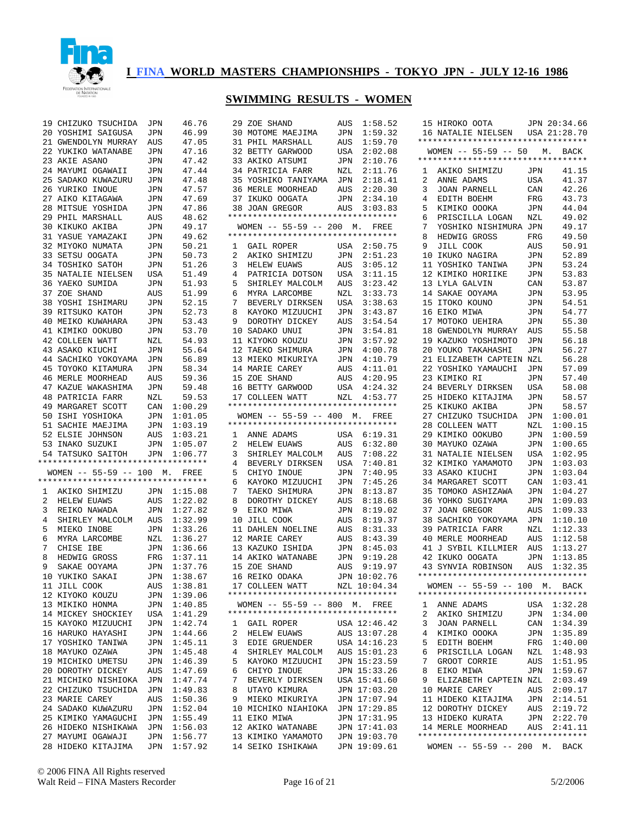

#### **SWIMMING RESULTS - WOMEN**

29 ZOE SHAND AUS 1:58.52

|                | 19 CHIZUKO TSUCHIDA JPN                                                                   |                | 46.76                      |
|----------------|-------------------------------------------------------------------------------------------|----------------|----------------------------|
|                | 20 YOSHIMI SAIGUSA                                                                        | JPN            | 46.99                      |
|                | 21 GWENDOLYN MURRAY AUS                                                                   |                | 47.05                      |
|                | 22 YUKIKO WATANABE                                                                        |                | 47.16                      |
|                | 23 AKIE ASANO                                                                             | JPN<br>JPN     | 47.42                      |
|                |                                                                                           | JPN            | 47.44                      |
|                | 24 MAYUMI OGAWAII<br>25 SADAKO KUWAZURU                                                   | JPN            | 47.48                      |
|                | 26 YURIKO INOUE                                                                           |                | 47.57                      |
|                | AIKO KITAGAWA<br>MIESILE                                                                  | JPN<br>JPN     |                            |
| 27             |                                                                                           |                | 47.69                      |
|                | 28 MITSUE YOSHIDA<br>29 PHIL MARSHALL                                                     | JPN            | 47.86                      |
|                |                                                                                           | AUS            | 48.62                      |
|                | 30 KIKUKO AKIBA                                                                           | JPN            | 49.17                      |
| 31             | YASUE YAMAZAKI                                                                            | JPN            | 49.62                      |
|                | 32 MIYOKO NUMATA                                                                          | $\mathtt{JPN}$ | 50.21                      |
|                | 33 SETSU OOGATA                                                                           | JPN            | 50.73                      |
| 34             | TOSHIKO SATOH                                                                             | $\mathtt{JPN}$ | 51.26                      |
|                | 35 NATALIE NIELSEN                                                                        | USA            | 51.49                      |
|                | 36 YAEKO SUMIDA                                                                           | $\mathtt{JPN}$ | 51.93                      |
| 37             | ZOE SHAND                                                                                 | AUS            | 51.99                      |
|                | 38 YOSHI ISHIMARU                                                                         | $\rm JPN$      | 52.15                      |
|                | 39 RITSUKO KATOH                                                                          | JPN            | 52.73                      |
|                |                                                                                           | $\rm JPN$      | 53.43                      |
|                | 40 MEIKO KUWAHARA<br>41 KIMIKO OOKUPO<br>41 KIMIKO OOKUBO                                 | JPN            | 53.70                      |
|                |                                                                                           |                | 54.93                      |
|                | 42 COLLEEN WATT                                                                           | ${\tt NZL}$    |                            |
|                | 43 ASAKO KIUCHI                                                                           | JPN            | 55.64                      |
|                | 44 SACHIKO YOKOYAMA JPN                                                                   |                | 56.89                      |
|                | 45 TOYOKO KITAMURA                                                                        | JPN            | 58.34                      |
|                |                                                                                           | AUS            |                            |
|                | 46 MERLE MUURILLE<br>47 KAZUE WAKASHIMA JPN 55.30<br>48 PATRICIA FARR NZL 59.53<br>100.29 |                |                            |
|                |                                                                                           |                |                            |
|                | 49 MARGARET SCOTT CAN 1:00.29<br>50 ISHI YOSHIOKA JPN 1:01.05                             |                |                            |
|                |                                                                                           |                |                            |
|                | 51 SACHIE MAEJIMA                                                                         | JPN            | 1:03.19                    |
|                | 52 ELSIE JOHNSON AUS 1:03.21                                                              |                |                            |
|                |                                                                                           |                |                            |
|                |                                                                                           |                |                            |
|                | 53 INAKO SUZUKI                                                                           |                | JPN 1:05.07                |
|                | 54 TATSUKO SAITOH JPN 1:06.77<br>**********************************                       |                |                            |
|                |                                                                                           |                |                            |
|                | WOMEN -- 55-59 -- 100 M. FREE<br>**********************************                       |                |                            |
|                |                                                                                           |                |                            |
|                | 1 AKIKO SHIMIZU JPN 1:15.08                                                               |                |                            |
| $\overline{2}$ | HELEW EUAWS                                                                               | AUS            | 1:22.02                    |
|                | 3 REIKO NAWADA                                                                            |                | JPN 1:27.82                |
| $\overline{4}$ |                                                                                           | AUS            | 1:32.99                    |
| 5              | SHIRLEY MALCOLM<br>MIEKO INOBE                                                            |                | JPN 1:33.26                |
| 6              |                                                                                           | NZL            | 1:36.27                    |
|                | MIEKO INUBE<br>MYRA LARCOMBE<br>7 CHISE IBE                                               |                | JPN 1:36.66                |
| 8              | HEDWIG GROSS                                                                              |                |                            |
| 9              | SAKAE OOYAMA                                                                              |                | FRG 1:37.11<br>JPN 1:37.76 |
|                | 10 YUKIKO SAKAI                                                                           | JPN            | 1:38.67                    |
| 11             | JILL COOK                                                                                 | AUS            | 1:38.81                    |
| 12             | KIYOKO KOUZU                                                                              | JPN            | 1:39.06                    |
| 13             | MIKIKO HONMA                                                                              | JPN            | 1:40.85                    |
|                | 14 MICKEY SHOCKIEY                                                                        | USA            | 1:41.29                    |
| 15             | KAYOKO MIZUUCHI                                                                           | JPN            | 1:42.74                    |
|                |                                                                                           |                | 1:44.66                    |
| 16             | HARUKO HAYASHI                                                                            | JPN            |                            |
| 17             | YOSHIKO TANIWA                                                                            | JPN            | 1:45.11                    |
| 18             | MAYUKO OZAWA                                                                              | JPN            | 1:45.48                    |
| 19             | MICHIKO UMETSU                                                                            | JPN            | 1:46.39                    |
| 20             | DOROTHY DICKEY                                                                            | AUS            | 1:47.69                    |
| 21             | MICHIKO NISHIOKA                                                                          | JPN            | 1:47.74                    |
|                | 22 CHIZUKO TSUCHIDA                                                                       | JPN            | 1:49.83                    |
| 23             | MARIE CAREY                                                                               | AUS            | 1:50.36                    |
|                | 24 SADAKO KUWAZURU                                                                        | JPN            | 1:52.04                    |
| 25             | KIMIKO YAMAGUCHI                                                                          | JPN            | 1:55.49                    |
| 26             | HIDEKO NISHIKAWA                                                                          | JPN            | 1:56.03                    |
| 27<br>28       | MAYUMI OGAWAJI<br>HIDEKO KITAJIMA                                                         | JPN<br>JPN     | 1:56.77<br>1:57.92         |

| 30              | MOTOME MAEJIMA                                                                                                                              | JPN                | 1:59.32                    |
|-----------------|---------------------------------------------------------------------------------------------------------------------------------------------|--------------------|----------------------------|
| 31              | PHIL MARSHALL                                                                                                                               | AUS                | 1:59.70                    |
|                 | 32 BETTY GARWOOD                                                                                                                            | USA                | 2:02.08                    |
|                 | 33 AKIKO ATSUMI                                                                                                                             | JPN                | 2:10.76                    |
|                 | 34 PATRICIA FARR                                                                                                                            | NZL                | 2:11.76                    |
|                 | 3: 1::::---<br>35 YOSHIKO TANIYAMA JPN<br>36 MERLE MOORHEAD AUS                                                                             |                    | 2:18.41                    |
|                 | 36 MERLE MOORHEAD                                                                                                                           |                    | 2:20.30                    |
|                 |                                                                                                                                             |                    |                            |
|                 | 37 IKUKO OOGATA JPN 2:34.10<br>38 JOAN GREGOR AUS 3:03.83                                                                                   |                    |                            |
|                 | **********************************                                                                                                          |                    |                            |
|                 | WOMEN -- 55-59 -- 200 M. FREE                                                                                                               |                    |                            |
|                 | **********************************                                                                                                          |                    |                            |
|                 | 1 GAIL ROPER                                                                                                                                |                    |                            |
| $\overline{2}$  |                                                                                                                                             |                    | USA 2:50.75                |
|                 | AKIKO SHIMIZU                                                                                                                               | JPN                | 2:51.23                    |
| 3               | <b>HELEW EUAWS</b>                                                                                                                          | AUS                | 3:05.12                    |
|                 | 4 PATRICIA DOTSON<br>5 SHIRLEY MALCOLM                                                                                                      | USA<br>AUS         | 3:11.15                    |
|                 |                                                                                                                                             |                    | 3:23.42                    |
|                 | 6 MYRA LARCOMBE<br>7 BEVERLY DIRKSEN                                                                                                        | NZL<br>USA         | 3:33.73                    |
|                 |                                                                                                                                             |                    | 3:38.63                    |
| 8               | KAYOKO MIZUUCHI                                                                                                                             | JPN                | 3:43.87                    |
| 9               | DOROTHY DICKEY                                                                                                                              | AUS                | 3:54.54                    |
|                 | 10 SADAKO UNUI                                                                                                                              | <br>JPN            | 3:54.81                    |
|                 | 11 KIYOKO KOUZU                                                                                                                             | JPN                | 3:57.92                    |
|                 | 12 TAEKO SHIMURA                                                                                                                            |                    | JPN 4:00.78                |
|                 | 13 MIEKO MIKURIYA<br>14 MARIE CAREY<br>15 ZOE SHAND<br>16 BETTY GARWOOD<br>17 COLLEEN WATT                                                  | JPN                | 4:10.79                    |
|                 |                                                                                                                                             | $\mathop{\rm AUS}$ | 4:11.01                    |
|                 |                                                                                                                                             | AUS                | 4:20.95                    |
|                 |                                                                                                                                             |                    |                            |
|                 |                                                                                                                                             |                    | USA 4:24.32<br>NZL 4:53.77 |
|                 | *********************************                                                                                                           |                    |                            |
|                 | WOMEN -- 55-59 -- 400 M. FREE                                                                                                               |                    |                            |
|                 | *********************************                                                                                                           |                    |                            |
|                 |                                                                                                                                             |                    |                            |
|                 | 1 ANNE ADAMS                                                                                                                                |                    | USA 6:19.31                |
|                 | $\begin{minipage}{0.9\linewidth} \textbf{2} & \textbf{HELEM} & \textbf{EUANS} \\ \textbf{3} & \textbf{CUTT} & \textbf{SUTT} \end{minipage}$ | AUS                | 6:32.80                    |
| $\overline{3}$  | SHIRLEY MALCOLM                                                                                                                             | AUS                | 7:08.22                    |
| $4\overline{ }$ | BEVERLY DIRKSEN                                                                                                                             | USA                | 7:40.81                    |
| 5               | CHIYO INOUE                                                                                                                                 | JPN                | 7:40.95                    |
|                 | 6 KAYOKO MIZUUCHI                                                                                                                           | JPN                | 7:45.26                    |
| 7               | TAEKO SHIMURA                                                                                                                               | JPN                | 8:13.87                    |
| 8               | DOROTHY DICKEY                                                                                                                              | AUS                | 8:18.68                    |
| 9               | EIKO MIWA                                                                                                                                   | JPN                | 8:19.02                    |
|                 | 10 JILL COOK                                                                                                                                | AUS                | 8:19.37                    |
| 11              | DAHLEN NOELINE                                                                                                                              | AUS                | 8:31.33                    |
|                 | 12 MARIE CAREY                                                                                                                              | AUS                | 8:43.39                    |
|                 | 13 KAZUKO ISHIDA                                                                                                                            | JPN                | 8:45.03                    |
|                 | 14 AKIKO WATANABE                                                                                                                           | JPN                | 9:19.28                    |
|                 | 15 ZOE SHAND<br>16 REIKO ODAKA<br>17 COLLEEN WATT                                                                                           | AUS                | 9:19.97                    |
|                 |                                                                                                                                             |                    | JPN 10:02.76               |
|                 |                                                                                                                                             |                    | NZL 10:04.34               |
|                 | *********************************                                                                                                           |                    |                            |
|                 | $WOMEN$ -- 55-59 -- 800 M.                                                                                                                  |                    | FREE                       |
|                 | **********************************                                                                                                          |                    |                            |
| 1               | <b>GAIL ROPER</b>                                                                                                                           |                    | USA 12:46.42               |
| $\overline{2}$  | HELEW EUAWS                                                                                                                                 |                    | AUS 13:07.28               |
| 3               | EDIE GRUENDER                                                                                                                               |                    | USA 14:16.23               |
| 4               |                                                                                                                                             |                    | AUS 15:01.23               |
|                 |                                                                                                                                             |                    |                            |
| 5               | SHIRLEY MALCOLM                                                                                                                             |                    |                            |
|                 | KAYOKO MIZUUCHI                                                                                                                             |                    | JPN 15:23.59               |
| 6               | CHIYO INOUE                                                                                                                                 |                    | JPN 15:33.26               |
| 7               | BEVERLY DIRKSEN                                                                                                                             |                    | USA 15:41.60               |
| 8               | UTAYO KIMURA                                                                                                                                |                    | JPN 17:03.20               |
| 9               | MIEKO MIKURIYA                                                                                                                              |                    | JPN 17:07.94               |
| 10              | MICHIKO NIAHIOKA                                                                                                                            |                    | JPN 17:29.85               |
| 11              | EIKO MIWA                                                                                                                                   |                    | JPN 17:31.95               |
|                 | 12 AKIKO WATANABE                                                                                                                           |                    | JPN 17:41.03               |
|                 | 13 KIMIKO YAMAMOTO                                                                                                                          |                    | JPN 19:03.70               |
| 14              | SEIKO ISHIKAWA                                                                                                                              | JPN                | 19:09.61                   |

| 16 NATALIE NIELSEN<br>USA 21:28.70<br>**********************************<br>WOMEN -- 55-59 -- 50 M. BACK<br>*********************************<br>41.15<br>$\mathbf{1}$<br>AKIKO SHIMIZU<br>JPN<br>2<br>41.37<br>USA<br>ANNE ADAMS<br>JOAN PARNELL<br>3<br>42.26<br>CAN<br>4<br>43.73<br>EDITH BOEHM<br>FRG<br>5<br>44.04<br>KIMIKO OOOKA<br>JPN<br>6<br>PRISCILLA LOGAN<br>49.02<br>NZL<br>7<br>YOSHIKO NISHIMURA<br>49.17<br>JPN<br>FRG<br>49.50<br>8<br>HEDWIG GROSS<br>9<br>JILL COOK<br>AUS<br>50.91<br>10<br>IKUKO NAGIRA<br>52.89<br>JPN<br>11<br>YOSHIKO TANIWA<br>53.24<br>JPN<br>12 KIMIKO HORIIKE<br>53.83<br>JPN<br>13<br>LYLA GALVIN<br>53.87<br>CAN<br>53.95<br>14<br>SAKAE OOYAMA<br>JPN<br>54.51<br>15<br>ITOKO KOUNO<br>JPN<br>54.77<br>16<br>EIKO MIWA<br>JPN<br>17<br>MOTOKO UEHIRA<br>JPN<br>55.30<br>18 GWENDOLYN MURRAY<br>AUS<br>55.58<br>19<br>KAZUKO YOSHIMOTO<br>JPN<br>56.18<br>20<br>YOUKO TAKAHASHI<br>JPN<br>56.27<br>21<br>ELIZABETH CAPTEIN<br>NZL<br>56.28<br>22<br>YOSHIKO YAMAUCHI<br>57.09<br>JPN<br>57.40<br>23<br>KIMIKO RI<br>JPN<br>24<br>BEVERLY DIRKSEN<br>USA<br>58.08<br>25<br>58.57<br>HIDEKO KITAJIMA<br>JPN<br>25<br>58.57<br>KIKUKO AKIBA<br>JPN<br>27<br>1:00.01<br>CHIZUKO TSUCHIDA<br>JPN<br>28<br>1:00.15<br>COLLEEN WATT<br>NZL<br>29<br>1:00.59<br>KIMIKO OOKUBO<br>JPN<br>30<br>1:00.65<br>MAYUKO OZAWA<br>JPN<br>1:02.95<br>31<br>NATALIE NIELSEN<br>USA<br>1:03.03<br>32<br>KIMIKO YAMAMOTO<br>JPN<br>1:03.04<br>33<br>ASAKO KIUCHI<br>JPN<br>MARGARET SCOTT<br>34<br>CAN<br>1:03.41<br>35<br>TOMOKO ASHIZAWA<br>1:04.27<br>JPN<br>36<br>YOHKO SUGIYAMA<br>1:09.03<br>JPN<br>37<br>1:09.33<br><b>JOAN GREGOR</b><br>AUS<br>38<br>1:10.10<br>SACHIKO YOKOYAMA<br>JPN<br>39<br>PATRICIA FARR<br>NZL<br>1:12.33<br>40<br>MERLE MOORHEAD<br>AUS<br>1:12.58<br>41<br>J SYBIL KILLMIER<br>AUS<br>1:13.27<br>JPN<br>42<br>1:13.85<br>IKUKO OOGATA<br>43<br>SYNVIA ROBINSON<br>AUS<br>1:32.35<br>**********************************<br>WOMEN -- 55-59 -- 100 M. BACK<br>**********************************<br>USA 1:32.28<br>1 ANNE ADAMS<br>2 AKIKO SHIMIZU<br>JPN 1:34.00<br>3<br>CAN 1:34.39<br>JOAN PARNELL<br>KIMIKO OOOKA<br>JPN 1:35.89<br>$\overline{4}$<br>5<br>FRG<br>1:40.00<br>EDITH BOEHM<br>PRISCILLA LOGAN NZL 1:48.93<br>6<br>7<br>PRIBULLET<br>GROOT CORRIE<br>1:51.95<br>AUS<br>JPN 1:59.67<br>8 EIKO MIWA<br>9 ELIZABETH CAPTEIN NZL<br>2:03.49<br>10 MARIE CAREY AUS 2:09.17<br>11 HIDEKO KITAJIMA JPN 2:14.51<br>JPN 2:14.51<br>AUS 2:19.72<br>12 DOROTHY DICKEY<br>13 HIDEKO KURATA JPN 2:22.70<br>14 MERLE MOORHEAD AUS 2:41.11<br>**********************************<br>WOMEN -- 55-59 -- 200 M. BACK | 15 HIROKO OOTA | JPN 20:34.66 |
|-------------------------------------------------------------------------------------------------------------------------------------------------------------------------------------------------------------------------------------------------------------------------------------------------------------------------------------------------------------------------------------------------------------------------------------------------------------------------------------------------------------------------------------------------------------------------------------------------------------------------------------------------------------------------------------------------------------------------------------------------------------------------------------------------------------------------------------------------------------------------------------------------------------------------------------------------------------------------------------------------------------------------------------------------------------------------------------------------------------------------------------------------------------------------------------------------------------------------------------------------------------------------------------------------------------------------------------------------------------------------------------------------------------------------------------------------------------------------------------------------------------------------------------------------------------------------------------------------------------------------------------------------------------------------------------------------------------------------------------------------------------------------------------------------------------------------------------------------------------------------------------------------------------------------------------------------------------------------------------------------------------------------------------------------------------------------------------------------------------------------------------------------------------------------------------------------------------------------------------------------------------------------------------------------------------------------------------------------------------------------------------------------------------------------------------------------------------------------------------------------------------------------------------------------------------------------------------------------------------------------------------------------------------------------------|----------------|--------------|
|                                                                                                                                                                                                                                                                                                                                                                                                                                                                                                                                                                                                                                                                                                                                                                                                                                                                                                                                                                                                                                                                                                                                                                                                                                                                                                                                                                                                                                                                                                                                                                                                                                                                                                                                                                                                                                                                                                                                                                                                                                                                                                                                                                                                                                                                                                                                                                                                                                                                                                                                                                                                                                                                               |                |              |
|                                                                                                                                                                                                                                                                                                                                                                                                                                                                                                                                                                                                                                                                                                                                                                                                                                                                                                                                                                                                                                                                                                                                                                                                                                                                                                                                                                                                                                                                                                                                                                                                                                                                                                                                                                                                                                                                                                                                                                                                                                                                                                                                                                                                                                                                                                                                                                                                                                                                                                                                                                                                                                                                               |                |              |
|                                                                                                                                                                                                                                                                                                                                                                                                                                                                                                                                                                                                                                                                                                                                                                                                                                                                                                                                                                                                                                                                                                                                                                                                                                                                                                                                                                                                                                                                                                                                                                                                                                                                                                                                                                                                                                                                                                                                                                                                                                                                                                                                                                                                                                                                                                                                                                                                                                                                                                                                                                                                                                                                               |                |              |
|                                                                                                                                                                                                                                                                                                                                                                                                                                                                                                                                                                                                                                                                                                                                                                                                                                                                                                                                                                                                                                                                                                                                                                                                                                                                                                                                                                                                                                                                                                                                                                                                                                                                                                                                                                                                                                                                                                                                                                                                                                                                                                                                                                                                                                                                                                                                                                                                                                                                                                                                                                                                                                                                               |                |              |
|                                                                                                                                                                                                                                                                                                                                                                                                                                                                                                                                                                                                                                                                                                                                                                                                                                                                                                                                                                                                                                                                                                                                                                                                                                                                                                                                                                                                                                                                                                                                                                                                                                                                                                                                                                                                                                                                                                                                                                                                                                                                                                                                                                                                                                                                                                                                                                                                                                                                                                                                                                                                                                                                               |                |              |
|                                                                                                                                                                                                                                                                                                                                                                                                                                                                                                                                                                                                                                                                                                                                                                                                                                                                                                                                                                                                                                                                                                                                                                                                                                                                                                                                                                                                                                                                                                                                                                                                                                                                                                                                                                                                                                                                                                                                                                                                                                                                                                                                                                                                                                                                                                                                                                                                                                                                                                                                                                                                                                                                               |                |              |
|                                                                                                                                                                                                                                                                                                                                                                                                                                                                                                                                                                                                                                                                                                                                                                                                                                                                                                                                                                                                                                                                                                                                                                                                                                                                                                                                                                                                                                                                                                                                                                                                                                                                                                                                                                                                                                                                                                                                                                                                                                                                                                                                                                                                                                                                                                                                                                                                                                                                                                                                                                                                                                                                               |                |              |
|                                                                                                                                                                                                                                                                                                                                                                                                                                                                                                                                                                                                                                                                                                                                                                                                                                                                                                                                                                                                                                                                                                                                                                                                                                                                                                                                                                                                                                                                                                                                                                                                                                                                                                                                                                                                                                                                                                                                                                                                                                                                                                                                                                                                                                                                                                                                                                                                                                                                                                                                                                                                                                                                               |                |              |
|                                                                                                                                                                                                                                                                                                                                                                                                                                                                                                                                                                                                                                                                                                                                                                                                                                                                                                                                                                                                                                                                                                                                                                                                                                                                                                                                                                                                                                                                                                                                                                                                                                                                                                                                                                                                                                                                                                                                                                                                                                                                                                                                                                                                                                                                                                                                                                                                                                                                                                                                                                                                                                                                               |                |              |
|                                                                                                                                                                                                                                                                                                                                                                                                                                                                                                                                                                                                                                                                                                                                                                                                                                                                                                                                                                                                                                                                                                                                                                                                                                                                                                                                                                                                                                                                                                                                                                                                                                                                                                                                                                                                                                                                                                                                                                                                                                                                                                                                                                                                                                                                                                                                                                                                                                                                                                                                                                                                                                                                               |                |              |
|                                                                                                                                                                                                                                                                                                                                                                                                                                                                                                                                                                                                                                                                                                                                                                                                                                                                                                                                                                                                                                                                                                                                                                                                                                                                                                                                                                                                                                                                                                                                                                                                                                                                                                                                                                                                                                                                                                                                                                                                                                                                                                                                                                                                                                                                                                                                                                                                                                                                                                                                                                                                                                                                               |                |              |
|                                                                                                                                                                                                                                                                                                                                                                                                                                                                                                                                                                                                                                                                                                                                                                                                                                                                                                                                                                                                                                                                                                                                                                                                                                                                                                                                                                                                                                                                                                                                                                                                                                                                                                                                                                                                                                                                                                                                                                                                                                                                                                                                                                                                                                                                                                                                                                                                                                                                                                                                                                                                                                                                               |                |              |
|                                                                                                                                                                                                                                                                                                                                                                                                                                                                                                                                                                                                                                                                                                                                                                                                                                                                                                                                                                                                                                                                                                                                                                                                                                                                                                                                                                                                                                                                                                                                                                                                                                                                                                                                                                                                                                                                                                                                                                                                                                                                                                                                                                                                                                                                                                                                                                                                                                                                                                                                                                                                                                                                               |                |              |
|                                                                                                                                                                                                                                                                                                                                                                                                                                                                                                                                                                                                                                                                                                                                                                                                                                                                                                                                                                                                                                                                                                                                                                                                                                                                                                                                                                                                                                                                                                                                                                                                                                                                                                                                                                                                                                                                                                                                                                                                                                                                                                                                                                                                                                                                                                                                                                                                                                                                                                                                                                                                                                                                               |                |              |
|                                                                                                                                                                                                                                                                                                                                                                                                                                                                                                                                                                                                                                                                                                                                                                                                                                                                                                                                                                                                                                                                                                                                                                                                                                                                                                                                                                                                                                                                                                                                                                                                                                                                                                                                                                                                                                                                                                                                                                                                                                                                                                                                                                                                                                                                                                                                                                                                                                                                                                                                                                                                                                                                               |                |              |
|                                                                                                                                                                                                                                                                                                                                                                                                                                                                                                                                                                                                                                                                                                                                                                                                                                                                                                                                                                                                                                                                                                                                                                                                                                                                                                                                                                                                                                                                                                                                                                                                                                                                                                                                                                                                                                                                                                                                                                                                                                                                                                                                                                                                                                                                                                                                                                                                                                                                                                                                                                                                                                                                               |                |              |
|                                                                                                                                                                                                                                                                                                                                                                                                                                                                                                                                                                                                                                                                                                                                                                                                                                                                                                                                                                                                                                                                                                                                                                                                                                                                                                                                                                                                                                                                                                                                                                                                                                                                                                                                                                                                                                                                                                                                                                                                                                                                                                                                                                                                                                                                                                                                                                                                                                                                                                                                                                                                                                                                               |                |              |
|                                                                                                                                                                                                                                                                                                                                                                                                                                                                                                                                                                                                                                                                                                                                                                                                                                                                                                                                                                                                                                                                                                                                                                                                                                                                                                                                                                                                                                                                                                                                                                                                                                                                                                                                                                                                                                                                                                                                                                                                                                                                                                                                                                                                                                                                                                                                                                                                                                                                                                                                                                                                                                                                               |                |              |
|                                                                                                                                                                                                                                                                                                                                                                                                                                                                                                                                                                                                                                                                                                                                                                                                                                                                                                                                                                                                                                                                                                                                                                                                                                                                                                                                                                                                                                                                                                                                                                                                                                                                                                                                                                                                                                                                                                                                                                                                                                                                                                                                                                                                                                                                                                                                                                                                                                                                                                                                                                                                                                                                               |                |              |
|                                                                                                                                                                                                                                                                                                                                                                                                                                                                                                                                                                                                                                                                                                                                                                                                                                                                                                                                                                                                                                                                                                                                                                                                                                                                                                                                                                                                                                                                                                                                                                                                                                                                                                                                                                                                                                                                                                                                                                                                                                                                                                                                                                                                                                                                                                                                                                                                                                                                                                                                                                                                                                                                               |                |              |
|                                                                                                                                                                                                                                                                                                                                                                                                                                                                                                                                                                                                                                                                                                                                                                                                                                                                                                                                                                                                                                                                                                                                                                                                                                                                                                                                                                                                                                                                                                                                                                                                                                                                                                                                                                                                                                                                                                                                                                                                                                                                                                                                                                                                                                                                                                                                                                                                                                                                                                                                                                                                                                                                               |                |              |
|                                                                                                                                                                                                                                                                                                                                                                                                                                                                                                                                                                                                                                                                                                                                                                                                                                                                                                                                                                                                                                                                                                                                                                                                                                                                                                                                                                                                                                                                                                                                                                                                                                                                                                                                                                                                                                                                                                                                                                                                                                                                                                                                                                                                                                                                                                                                                                                                                                                                                                                                                                                                                                                                               |                |              |
|                                                                                                                                                                                                                                                                                                                                                                                                                                                                                                                                                                                                                                                                                                                                                                                                                                                                                                                                                                                                                                                                                                                                                                                                                                                                                                                                                                                                                                                                                                                                                                                                                                                                                                                                                                                                                                                                                                                                                                                                                                                                                                                                                                                                                                                                                                                                                                                                                                                                                                                                                                                                                                                                               |                |              |
|                                                                                                                                                                                                                                                                                                                                                                                                                                                                                                                                                                                                                                                                                                                                                                                                                                                                                                                                                                                                                                                                                                                                                                                                                                                                                                                                                                                                                                                                                                                                                                                                                                                                                                                                                                                                                                                                                                                                                                                                                                                                                                                                                                                                                                                                                                                                                                                                                                                                                                                                                                                                                                                                               |                |              |
|                                                                                                                                                                                                                                                                                                                                                                                                                                                                                                                                                                                                                                                                                                                                                                                                                                                                                                                                                                                                                                                                                                                                                                                                                                                                                                                                                                                                                                                                                                                                                                                                                                                                                                                                                                                                                                                                                                                                                                                                                                                                                                                                                                                                                                                                                                                                                                                                                                                                                                                                                                                                                                                                               |                |              |
|                                                                                                                                                                                                                                                                                                                                                                                                                                                                                                                                                                                                                                                                                                                                                                                                                                                                                                                                                                                                                                                                                                                                                                                                                                                                                                                                                                                                                                                                                                                                                                                                                                                                                                                                                                                                                                                                                                                                                                                                                                                                                                                                                                                                                                                                                                                                                                                                                                                                                                                                                                                                                                                                               |                |              |
|                                                                                                                                                                                                                                                                                                                                                                                                                                                                                                                                                                                                                                                                                                                                                                                                                                                                                                                                                                                                                                                                                                                                                                                                                                                                                                                                                                                                                                                                                                                                                                                                                                                                                                                                                                                                                                                                                                                                                                                                                                                                                                                                                                                                                                                                                                                                                                                                                                                                                                                                                                                                                                                                               |                |              |
|                                                                                                                                                                                                                                                                                                                                                                                                                                                                                                                                                                                                                                                                                                                                                                                                                                                                                                                                                                                                                                                                                                                                                                                                                                                                                                                                                                                                                                                                                                                                                                                                                                                                                                                                                                                                                                                                                                                                                                                                                                                                                                                                                                                                                                                                                                                                                                                                                                                                                                                                                                                                                                                                               |                |              |
|                                                                                                                                                                                                                                                                                                                                                                                                                                                                                                                                                                                                                                                                                                                                                                                                                                                                                                                                                                                                                                                                                                                                                                                                                                                                                                                                                                                                                                                                                                                                                                                                                                                                                                                                                                                                                                                                                                                                                                                                                                                                                                                                                                                                                                                                                                                                                                                                                                                                                                                                                                                                                                                                               |                |              |
|                                                                                                                                                                                                                                                                                                                                                                                                                                                                                                                                                                                                                                                                                                                                                                                                                                                                                                                                                                                                                                                                                                                                                                                                                                                                                                                                                                                                                                                                                                                                                                                                                                                                                                                                                                                                                                                                                                                                                                                                                                                                                                                                                                                                                                                                                                                                                                                                                                                                                                                                                                                                                                                                               |                |              |
|                                                                                                                                                                                                                                                                                                                                                                                                                                                                                                                                                                                                                                                                                                                                                                                                                                                                                                                                                                                                                                                                                                                                                                                                                                                                                                                                                                                                                                                                                                                                                                                                                                                                                                                                                                                                                                                                                                                                                                                                                                                                                                                                                                                                                                                                                                                                                                                                                                                                                                                                                                                                                                                                               |                |              |
|                                                                                                                                                                                                                                                                                                                                                                                                                                                                                                                                                                                                                                                                                                                                                                                                                                                                                                                                                                                                                                                                                                                                                                                                                                                                                                                                                                                                                                                                                                                                                                                                                                                                                                                                                                                                                                                                                                                                                                                                                                                                                                                                                                                                                                                                                                                                                                                                                                                                                                                                                                                                                                                                               |                |              |
|                                                                                                                                                                                                                                                                                                                                                                                                                                                                                                                                                                                                                                                                                                                                                                                                                                                                                                                                                                                                                                                                                                                                                                                                                                                                                                                                                                                                                                                                                                                                                                                                                                                                                                                                                                                                                                                                                                                                                                                                                                                                                                                                                                                                                                                                                                                                                                                                                                                                                                                                                                                                                                                                               |                |              |
|                                                                                                                                                                                                                                                                                                                                                                                                                                                                                                                                                                                                                                                                                                                                                                                                                                                                                                                                                                                                                                                                                                                                                                                                                                                                                                                                                                                                                                                                                                                                                                                                                                                                                                                                                                                                                                                                                                                                                                                                                                                                                                                                                                                                                                                                                                                                                                                                                                                                                                                                                                                                                                                                               |                |              |
|                                                                                                                                                                                                                                                                                                                                                                                                                                                                                                                                                                                                                                                                                                                                                                                                                                                                                                                                                                                                                                                                                                                                                                                                                                                                                                                                                                                                                                                                                                                                                                                                                                                                                                                                                                                                                                                                                                                                                                                                                                                                                                                                                                                                                                                                                                                                                                                                                                                                                                                                                                                                                                                                               |                |              |
|                                                                                                                                                                                                                                                                                                                                                                                                                                                                                                                                                                                                                                                                                                                                                                                                                                                                                                                                                                                                                                                                                                                                                                                                                                                                                                                                                                                                                                                                                                                                                                                                                                                                                                                                                                                                                                                                                                                                                                                                                                                                                                                                                                                                                                                                                                                                                                                                                                                                                                                                                                                                                                                                               |                |              |
|                                                                                                                                                                                                                                                                                                                                                                                                                                                                                                                                                                                                                                                                                                                                                                                                                                                                                                                                                                                                                                                                                                                                                                                                                                                                                                                                                                                                                                                                                                                                                                                                                                                                                                                                                                                                                                                                                                                                                                                                                                                                                                                                                                                                                                                                                                                                                                                                                                                                                                                                                                                                                                                                               |                |              |
|                                                                                                                                                                                                                                                                                                                                                                                                                                                                                                                                                                                                                                                                                                                                                                                                                                                                                                                                                                                                                                                                                                                                                                                                                                                                                                                                                                                                                                                                                                                                                                                                                                                                                                                                                                                                                                                                                                                                                                                                                                                                                                                                                                                                                                                                                                                                                                                                                                                                                                                                                                                                                                                                               |                |              |
|                                                                                                                                                                                                                                                                                                                                                                                                                                                                                                                                                                                                                                                                                                                                                                                                                                                                                                                                                                                                                                                                                                                                                                                                                                                                                                                                                                                                                                                                                                                                                                                                                                                                                                                                                                                                                                                                                                                                                                                                                                                                                                                                                                                                                                                                                                                                                                                                                                                                                                                                                                                                                                                                               |                |              |
|                                                                                                                                                                                                                                                                                                                                                                                                                                                                                                                                                                                                                                                                                                                                                                                                                                                                                                                                                                                                                                                                                                                                                                                                                                                                                                                                                                                                                                                                                                                                                                                                                                                                                                                                                                                                                                                                                                                                                                                                                                                                                                                                                                                                                                                                                                                                                                                                                                                                                                                                                                                                                                                                               |                |              |
|                                                                                                                                                                                                                                                                                                                                                                                                                                                                                                                                                                                                                                                                                                                                                                                                                                                                                                                                                                                                                                                                                                                                                                                                                                                                                                                                                                                                                                                                                                                                                                                                                                                                                                                                                                                                                                                                                                                                                                                                                                                                                                                                                                                                                                                                                                                                                                                                                                                                                                                                                                                                                                                                               |                |              |
|                                                                                                                                                                                                                                                                                                                                                                                                                                                                                                                                                                                                                                                                                                                                                                                                                                                                                                                                                                                                                                                                                                                                                                                                                                                                                                                                                                                                                                                                                                                                                                                                                                                                                                                                                                                                                                                                                                                                                                                                                                                                                                                                                                                                                                                                                                                                                                                                                                                                                                                                                                                                                                                                               |                |              |
|                                                                                                                                                                                                                                                                                                                                                                                                                                                                                                                                                                                                                                                                                                                                                                                                                                                                                                                                                                                                                                                                                                                                                                                                                                                                                                                                                                                                                                                                                                                                                                                                                                                                                                                                                                                                                                                                                                                                                                                                                                                                                                                                                                                                                                                                                                                                                                                                                                                                                                                                                                                                                                                                               |                |              |
|                                                                                                                                                                                                                                                                                                                                                                                                                                                                                                                                                                                                                                                                                                                                                                                                                                                                                                                                                                                                                                                                                                                                                                                                                                                                                                                                                                                                                                                                                                                                                                                                                                                                                                                                                                                                                                                                                                                                                                                                                                                                                                                                                                                                                                                                                                                                                                                                                                                                                                                                                                                                                                                                               |                |              |
|                                                                                                                                                                                                                                                                                                                                                                                                                                                                                                                                                                                                                                                                                                                                                                                                                                                                                                                                                                                                                                                                                                                                                                                                                                                                                                                                                                                                                                                                                                                                                                                                                                                                                                                                                                                                                                                                                                                                                                                                                                                                                                                                                                                                                                                                                                                                                                                                                                                                                                                                                                                                                                                                               |                |              |
|                                                                                                                                                                                                                                                                                                                                                                                                                                                                                                                                                                                                                                                                                                                                                                                                                                                                                                                                                                                                                                                                                                                                                                                                                                                                                                                                                                                                                                                                                                                                                                                                                                                                                                                                                                                                                                                                                                                                                                                                                                                                                                                                                                                                                                                                                                                                                                                                                                                                                                                                                                                                                                                                               |                |              |
|                                                                                                                                                                                                                                                                                                                                                                                                                                                                                                                                                                                                                                                                                                                                                                                                                                                                                                                                                                                                                                                                                                                                                                                                                                                                                                                                                                                                                                                                                                                                                                                                                                                                                                                                                                                                                                                                                                                                                                                                                                                                                                                                                                                                                                                                                                                                                                                                                                                                                                                                                                                                                                                                               |                |              |
|                                                                                                                                                                                                                                                                                                                                                                                                                                                                                                                                                                                                                                                                                                                                                                                                                                                                                                                                                                                                                                                                                                                                                                                                                                                                                                                                                                                                                                                                                                                                                                                                                                                                                                                                                                                                                                                                                                                                                                                                                                                                                                                                                                                                                                                                                                                                                                                                                                                                                                                                                                                                                                                                               |                |              |
|                                                                                                                                                                                                                                                                                                                                                                                                                                                                                                                                                                                                                                                                                                                                                                                                                                                                                                                                                                                                                                                                                                                                                                                                                                                                                                                                                                                                                                                                                                                                                                                                                                                                                                                                                                                                                                                                                                                                                                                                                                                                                                                                                                                                                                                                                                                                                                                                                                                                                                                                                                                                                                                                               |                |              |
|                                                                                                                                                                                                                                                                                                                                                                                                                                                                                                                                                                                                                                                                                                                                                                                                                                                                                                                                                                                                                                                                                                                                                                                                                                                                                                                                                                                                                                                                                                                                                                                                                                                                                                                                                                                                                                                                                                                                                                                                                                                                                                                                                                                                                                                                                                                                                                                                                                                                                                                                                                                                                                                                               |                |              |
|                                                                                                                                                                                                                                                                                                                                                                                                                                                                                                                                                                                                                                                                                                                                                                                                                                                                                                                                                                                                                                                                                                                                                                                                                                                                                                                                                                                                                                                                                                                                                                                                                                                                                                                                                                                                                                                                                                                                                                                                                                                                                                                                                                                                                                                                                                                                                                                                                                                                                                                                                                                                                                                                               |                |              |
|                                                                                                                                                                                                                                                                                                                                                                                                                                                                                                                                                                                                                                                                                                                                                                                                                                                                                                                                                                                                                                                                                                                                                                                                                                                                                                                                                                                                                                                                                                                                                                                                                                                                                                                                                                                                                                                                                                                                                                                                                                                                                                                                                                                                                                                                                                                                                                                                                                                                                                                                                                                                                                                                               |                |              |
|                                                                                                                                                                                                                                                                                                                                                                                                                                                                                                                                                                                                                                                                                                                                                                                                                                                                                                                                                                                                                                                                                                                                                                                                                                                                                                                                                                                                                                                                                                                                                                                                                                                                                                                                                                                                                                                                                                                                                                                                                                                                                                                                                                                                                                                                                                                                                                                                                                                                                                                                                                                                                                                                               |                |              |
|                                                                                                                                                                                                                                                                                                                                                                                                                                                                                                                                                                                                                                                                                                                                                                                                                                                                                                                                                                                                                                                                                                                                                                                                                                                                                                                                                                                                                                                                                                                                                                                                                                                                                                                                                                                                                                                                                                                                                                                                                                                                                                                                                                                                                                                                                                                                                                                                                                                                                                                                                                                                                                                                               |                |              |
|                                                                                                                                                                                                                                                                                                                                                                                                                                                                                                                                                                                                                                                                                                                                                                                                                                                                                                                                                                                                                                                                                                                                                                                                                                                                                                                                                                                                                                                                                                                                                                                                                                                                                                                                                                                                                                                                                                                                                                                                                                                                                                                                                                                                                                                                                                                                                                                                                                                                                                                                                                                                                                                                               |                |              |
|                                                                                                                                                                                                                                                                                                                                                                                                                                                                                                                                                                                                                                                                                                                                                                                                                                                                                                                                                                                                                                                                                                                                                                                                                                                                                                                                                                                                                                                                                                                                                                                                                                                                                                                                                                                                                                                                                                                                                                                                                                                                                                                                                                                                                                                                                                                                                                                                                                                                                                                                                                                                                                                                               |                |              |
|                                                                                                                                                                                                                                                                                                                                                                                                                                                                                                                                                                                                                                                                                                                                                                                                                                                                                                                                                                                                                                                                                                                                                                                                                                                                                                                                                                                                                                                                                                                                                                                                                                                                                                                                                                                                                                                                                                                                                                                                                                                                                                                                                                                                                                                                                                                                                                                                                                                                                                                                                                                                                                                                               |                |              |
|                                                                                                                                                                                                                                                                                                                                                                                                                                                                                                                                                                                                                                                                                                                                                                                                                                                                                                                                                                                                                                                                                                                                                                                                                                                                                                                                                                                                                                                                                                                                                                                                                                                                                                                                                                                                                                                                                                                                                                                                                                                                                                                                                                                                                                                                                                                                                                                                                                                                                                                                                                                                                                                                               |                |              |
|                                                                                                                                                                                                                                                                                                                                                                                                                                                                                                                                                                                                                                                                                                                                                                                                                                                                                                                                                                                                                                                                                                                                                                                                                                                                                                                                                                                                                                                                                                                                                                                                                                                                                                                                                                                                                                                                                                                                                                                                                                                                                                                                                                                                                                                                                                                                                                                                                                                                                                                                                                                                                                                                               |                |              |
|                                                                                                                                                                                                                                                                                                                                                                                                                                                                                                                                                                                                                                                                                                                                                                                                                                                                                                                                                                                                                                                                                                                                                                                                                                                                                                                                                                                                                                                                                                                                                                                                                                                                                                                                                                                                                                                                                                                                                                                                                                                                                                                                                                                                                                                                                                                                                                                                                                                                                                                                                                                                                                                                               |                |              |
|                                                                                                                                                                                                                                                                                                                                                                                                                                                                                                                                                                                                                                                                                                                                                                                                                                                                                                                                                                                                                                                                                                                                                                                                                                                                                                                                                                                                                                                                                                                                                                                                                                                                                                                                                                                                                                                                                                                                                                                                                                                                                                                                                                                                                                                                                                                                                                                                                                                                                                                                                                                                                                                                               |                |              |
|                                                                                                                                                                                                                                                                                                                                                                                                                                                                                                                                                                                                                                                                                                                                                                                                                                                                                                                                                                                                                                                                                                                                                                                                                                                                                                                                                                                                                                                                                                                                                                                                                                                                                                                                                                                                                                                                                                                                                                                                                                                                                                                                                                                                                                                                                                                                                                                                                                                                                                                                                                                                                                                                               |                |              |
|                                                                                                                                                                                                                                                                                                                                                                                                                                                                                                                                                                                                                                                                                                                                                                                                                                                                                                                                                                                                                                                                                                                                                                                                                                                                                                                                                                                                                                                                                                                                                                                                                                                                                                                                                                                                                                                                                                                                                                                                                                                                                                                                                                                                                                                                                                                                                                                                                                                                                                                                                                                                                                                                               |                |              |
|                                                                                                                                                                                                                                                                                                                                                                                                                                                                                                                                                                                                                                                                                                                                                                                                                                                                                                                                                                                                                                                                                                                                                                                                                                                                                                                                                                                                                                                                                                                                                                                                                                                                                                                                                                                                                                                                                                                                                                                                                                                                                                                                                                                                                                                                                                                                                                                                                                                                                                                                                                                                                                                                               |                |              |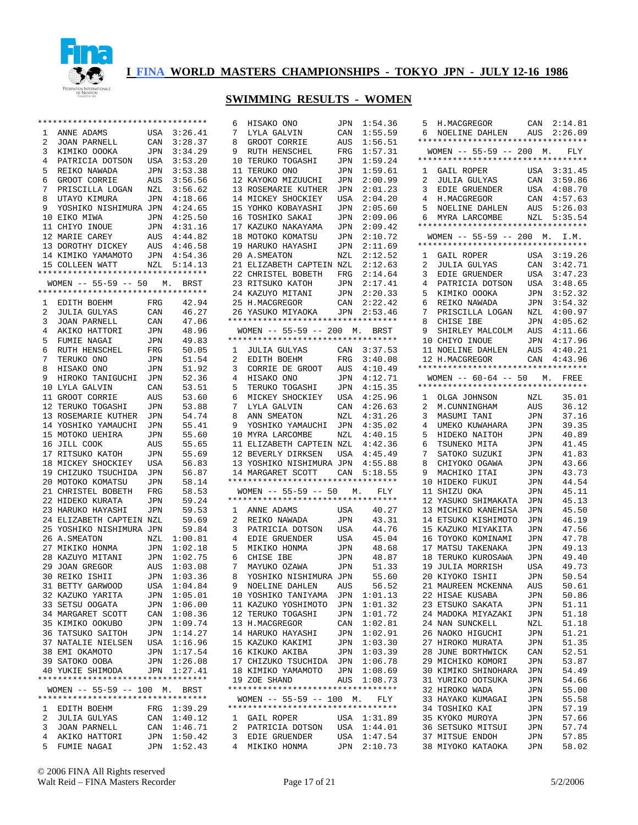

|    | ********************************** |     |             | 6              | HISAKO ONO                          | JPN | 1:54.36     | 5              |
|----|------------------------------------|-----|-------------|----------------|-------------------------------------|-----|-------------|----------------|
| 1  | ANNE ADAMS                         | USA | 3:26.41     | 7              | LYLA GALVIN                         | CAN | 1:55.59     | 6              |
| 2  | JOAN PARNELL                       | CAN | 3:28.37     | 8              | GROOT CORRIE                        | AUS | 1:56.51     | ****           |
| 3  | KIMIKO OOOKA                       | JPN | 3:34.29     | 9              | RUTH HENSCHEL                       | FRG | 1:57.31     | WС             |
| 4  | PATRICIA DOTSON                    | USA | 3:53.20     |                | 10 TERUKO TOGASHI                   | JPN | 1:59.24     | $***$ *        |
| 5  | REIKO NAWADA                       | JPN | 3:53.38     |                | 11 TERUKO ONO                       | JPN | 1:59.61     | 1              |
| 6  | GROOT CORRIE                       | AUS | 3:56.56     |                | 12 KAYOKO MIZUUCHI                  | JPN | 2:00.99     | 2              |
| 7  | PRISCILLA LOGAN                    | NZL | 3:56.62     |                | 13 ROSEMARIE KUTHER                 | JPN | 2:01.23     | 3              |
| 8  | UTAYO KIMURA                       | JPN | 4:18.66     |                | 14 MICKEY SHOCKIEY                  | USA | 2:04.20     | $\overline{4}$ |
| 9  | YOSHIKO NISHIMURA JPN              |     | 4:24.65     |                | 15 YOHKO KOBAYASHI                  | JPN | 2:05.60     | 5              |
|    | 10 EIKO MIWA                       | JPN | 4:25.50     |                | 16 TOSHIKO SAKAI                    | JPN | 2:09.06     | 6              |
|    | 11 CHIYO INOUE                     | JPN | 4:31.16     |                | 17 KAZUKO NAKAYAMA                  | JPN | 2:09.42     | $***$ *        |
|    |                                    |     |             |                | 18 MOTOKO KOMATSU                   |     |             |                |
|    | 12 MARIE CAREY                     | AUS | 4:44.82     |                |                                     | JPN | 2:10.72     | WС<br>****     |
|    | 13 DOROTHY DICKEY                  | AUS | 4:46.58     |                | 19 HARUKO HAYASHI                   | JPN | 2:11.69     |                |
|    | 14 KIMIKO YAMAMOTO                 | JPN | 4:54.36     |                | 20 A. SMEATON                       | NZL | 2:12.52     | 1              |
|    | 15 COLLEEN WATT                    | NZL | 5:14.13     |                | 21 ELIZABETH CAPTEIN NZL            |     | 2:12.63     | 2              |
|    | ********************************** |     |             |                | 22 CHRISTEL BOBETH                  | FRG | 2:14.64     | 3              |
|    | $WOMEN$ -- 55-59 -- 50             | М.  | BRST        |                | 23 RITSUKO KATOH                    | JPN | 2:17.41     | 4              |
|    | *********************************  |     |             |                | 24 KAZUYO MITANI                    | JPN | 2:20.33     | 5              |
| 1  | EDITH BOEHM                        | FRG | 42.94       |                | 25 H.MACGREGOR                      | CAN | 2:22.42     | 6              |
| 2  | JULIA GULYAS                       | CAN | 46.27       |                | 26 YASUKO MIYAOKA                   | JPN | 2:53.46     | 7              |
| 3  | JOAN PARNELL                       | CAN | 47.06       |                | *********************************** |     |             | 8              |
| 4  | AKIKO HATTORI                      | JPN | 48.96       |                | WOMEN $-- 55-59 -- 200$ M.          |     | BRST        | 9              |
| 5  | FUMIE NAGAI                        | JPN | 49.83       |                | **********************************  |     |             | 10             |
| 6  | RUTH HENSCHEL                      | FRG | 50.05       | $\mathbf{1}$   | JULIA GULYAS                        | CAN | 3:37.53     | 11             |
| 7  | TERUKO ONO                         | JPN | 51.54       | $\overline{2}$ | EDITH BOEHM                         | FRG | 3:40.08     | 12             |
| 8  | HISAKO ONO                         | JPN | 51.92       | 3              | CORRIE DE GROOT                     | AUS | 4:10.49     | ****           |
| 9  | HIROKO TANIGUCHI                   | JPN | 52.36       | 4              | HISAKO ONO                          | JPN | 4:12.71     | WС             |
|    | 10 LYLA GALVIN                     | CAN | 53.51       | 5              | TERUKO TOGASHI                      | JPN | 4:15.35     | ****           |
|    | 11 GROOT CORRIE                    | AUS | 53.60       | 6              | MICKEY SHOCKIEY                     | USA | 4:25.96     | $\mathbf{1}$   |
|    | 12 TERUKO TOGASHI                  | JPN | 53.88       | 7 <sup>7</sup> | LYLA GALVIN                         | CAN | 4:26.63     | 2              |
|    | 13 ROSEMARIE KUTHER                | JPN | 54.74       |                | 8 ANN SMEATON                       | NZL | 4:31.26     | 3              |
|    |                                    |     |             | 9              |                                     |     |             |                |
|    | 14 YOSHIKO YAMAUCHI                | JPN | 55.41       |                | YOSHIKO YAMAUCHI                    | JPN | 4:35.02     | 4              |
|    | 15 MOTOKO UEHIRA                   | JPN | 55.60       |                | 10 MYRA LARCOMBE                    | NZL | 4:40.15     | 5              |
|    | 16 JILL COOK                       | AUS | 55.65       |                | 11 ELIZABETH CAPTEIN NZL            |     | 4:42.36     | 6              |
|    | 17 RITSUKO KATOH                   | JPN | 55.69       |                | 12 BEVERLY DIRKSEN                  | USA | 4:45.49     | 7              |
|    | 18 MICKEY SHOCKIEY                 | USA | 56.83       |                | 13 YOSHIKO NISHIMURA JPN            |     | 4:55.88     | 8              |
|    | 19 CHIZUKO TSUCHIDA                | JPN | 56.87       |                | 14 MARGARET SCOTT                   | CAN | 5:18.55     | 9              |
|    | 20 MOTOKO KOMATSU                  | JPN | 58.14       |                | **********************************  |     |             | 10             |
|    | 21 CHRISTEL BOBETH                 | FRG | 58.53       |                | $WOMEN$ -- 55-59 -- 50              |     | FLY<br>М.   | 11             |
|    | 22 HIDEKO KURATA                   | JPN | 59.24       |                | **********************************  |     |             | 12             |
|    | 23 HARUKO HAYASHI                  | JPN | 59.53       | $\mathbf{1}$   | ANNE ADAMS                          | USA | 40.27       | 13             |
|    | 24 ELIZABETH CAPTEIN NZL           |     | 59.69       | $\overline{2}$ | REIKO NAWADA                        | JPN | 43.31       | 14             |
|    | 25 YOSHIKO NISHIMURA JPN           |     | 59.84       |                | 3 PATRICIA DOTSON                   | USA | 44.76       | 15             |
|    | 26 A. SMEATON                      | NZL | 1:00.81     | 4              | EDIE GRUENDER                       | USA | 45.04       | 16             |
|    | 27 MIKIKO HONMA                    | JPN | 1:02.18     | 5              | MIKIKO HONMA                        | JPN | 48.68       | 17             |
|    | 28 KAZUYO MITANI                   | JPN | 1:02.75     | 6              | CHISE IBE                           | JPN | 48.87       | 18             |
|    | 29 JOAN GREGOR                     | AUS | 1:03.08     | 7 <sup>7</sup> | MAYUKO OZAWA                        | JPN | 51.33       | 19             |
|    | 30 REIKO ISHII                     | JPN | 1:03.36     | 8              | YOSHIKO NISHIMURA JPN               |     | 55.60       | 20             |
|    | 31 BETTY GARWOOD                   |     | USA 1:04.84 |                | 9 NOELINE DAHLEN                    | AUS | 56.52       | 21             |
|    | 32 KAZUKO YARITA                   | JPN | 1:05.01     |                | 10 YOSHIKO TANIYAMA                 | JPN | 1:01.13     | 22             |
|    | 33 SETSU OOGATA                    | JPN | 1:06.00     |                | 11 KAZUKO YOSHIMOTO                 | JPN | 1:01.32     | 23             |
|    | 34 MARGARET SCOTT                  | CAN | 1:08.36     |                | 12 TERUKO TOGASHI                   | JPN | 1:01.72     | 24             |
|    | 35 KIMIKO OOKUBO                   | JPN | 1:09.74     |                | 13 H.MACGREGOR                      | CAN | 1:02.81     | 24             |
|    | 36 TATSUKO SAITOH                  | JPN | 1:14.27     |                | 14 HARUKO HAYASHI                   | JPN | 1:02.91     | 26             |
|    |                                    |     |             |                |                                     |     |             |                |
|    | 37 NATALIE NIELSEN                 | USA | 1:16.96     |                | 15 KAZUKO KAKIMI                    | JPN | 1:03.30     | 27             |
|    | 38 EMI OKAMOTO                     | JPN | 1:17.54     |                | 16 KIKUKO AKIBA                     | JPN | 1:03.39     | 28             |
|    | 39 SATOKO OOBA                     | JPN | 1:26.08     |                | 17 CHIZUKO TSUCHIDA                 | JPN | 1:06.78     | 29             |
|    | 40 YUKIE SHIMODA                   |     | JPN 1:27.41 |                | 18 KIMIKO YAMAMOTO                  | JPN | 1:08.69     | 30             |
|    | ********************************** |     |             |                | 19 ZOE SHAND                        | AUS | 1:08.73     | 31             |
|    | WOMEN -- 55-59 -- 100 M. BRST      |     |             |                | **********************************  |     |             | 32             |
|    | ********************************** |     |             |                | WOMEN $--$ 55-59 -- 100 M.          |     | FLY         | 33             |
| ı. | EDITH BOEHM                        | FRG | 1:39.29     |                | **********************************  |     |             | 34             |
| 2  | JULIA GULYAS                       | CAN | 1:40.12     | ı.             | GAIL ROPER                          | USA | 1:31.89     | 35             |
| 3  |                                    |     |             |                |                                     |     |             | 36             |
|    | JOAN PARNELL                       | CAN | 1:46.71     | 2              | PATRICIA DOTSON USA 1:44.01         |     |             |                |
| 4  | AKIKO HATTORI                      | JPN | 1:50.42     |                | 3 EDIE GRUENDER                     |     | USA 1:47.54 | 37             |

| 6              | 5 H.MACGREGOR<br>NOELINE DAHLEN AUS                                  |                | CAN 2:14.81<br>2:26.09 |
|----------------|----------------------------------------------------------------------|----------------|------------------------|
|                | **********************************<br>WOMEN $-- 55-59 -- 200$ M.     |                |                        |
|                | **********************************                                   |                | FLY                    |
| 1              | GAIL ROPER                                                           | USA            | 3:31.45                |
| 2              | <b>JULIA GULYAS</b>                                                  | CAN            | 3:59.86                |
| 3              | EDIE GRUENDER                                                        | USA            | 4:08.70                |
| $\overline{4}$ | H.MACGREGOR                                                          | $\mathtt{CAN}$ | 4:57.63                |
| 5              | NOELINE DAHLEN                                                       | AUS            | 5:26.03                |
| 6              | MYRA LARCOMBE<br>**********************************                  |                | NZL 5:35.54            |
|                | WOMEN -- 55-59 -- 200 M. I.M.                                        |                |                        |
|                | *********************************                                    |                |                        |
| 1              | GAIL ROPER                                                           | USA            | 3:19.26                |
| $\overline{2}$ | JULIA GULYAS<br>EDIE GRUENDER                                        | CAN            | 3:42.71                |
| 3              |                                                                      | USA            | 3:47.23                |
| 4<br>5         | PATRICIA DOTSON                                                      | USA            | 3:48.65<br>3:52.32     |
| 6              | KIMIKO OOOKA<br>REIKO NAWADA                                         | JPN<br>JPN     | 3:54.32                |
| 7              | PRISCILLA LOGAN                                                      | NZL            | 4:00.97                |
| 8              | CHISE IBE                                                            | JPN            | 4:05.62                |
| 9              | SHIRLEY MALCOLM                                                      | AUS            | 4:11.66                |
| 10             | CHIYO INOUE                                                          | $\mathtt{JPN}$ | 4:17.96                |
|                | 11 NOELINE DAHLEN<br>12 H.MACGPFCOR                                  | AUS            | 4:40.21                |
|                |                                                                      |                | CAN 4:43.96            |
|                | **********************************                                   |                |                        |
|                | WOMEN $-- 60-64 -- 50$ M. FREE<br>********************************** |                |                        |
|                |                                                                      |                | 35.01                  |
| 2              | 1 OLGA JOHNSON                                                       | NZL<br>AUS     | 36.12                  |
| 3              | M.CUNNINGHAM<br>MASUMI TANI                                          | JPN            | 37.16                  |
| 4              | UMEKO KUWAHARA                                                       | JPN            | 39.35                  |
| 5              | HIDEKO NAITOH                                                        | JPN            | 40.89                  |
| 6              | TSUNEKO MITA                                                         | JPN            | 41.45                  |
| 7              | SATOKO SUZUKI                                                        | JPN            | 41.83                  |
| 8              | CHIYOKO OGAWA                                                        | JPN            | 43.66                  |
| 9              | MACHIKO ITAI                                                         | JPN            | 43.73                  |
|                | 10 HIDEKO FUKUI                                                      | JPN            | 44.54                  |
| 11             | SHIZU OKA                                                            | JPN            | 45.11                  |
| 12             | YASUKO SHIMAKATA                                                     | JPN            | 45.13                  |
| 13<br>14       | MICHIKO KANEHISA<br>ETSUKO KISHIMOTO                                 | JPN            | 45.50                  |
| 15             | KAZUKO MIYAKITA                                                      | JPN<br>JPN     | 46.19<br>47.56         |
| 16             | TOYOKO KOMINAMI                                                      | JPN            | 47.78                  |
| 17             | MATSU TAKENAKA                                                       | JPN            | 49.13                  |
| 18             | TERUKO KUROSAWA                                                      | JPN            | 49.40                  |
| 19             | <b>JULIA MORRISH</b>                                                 | USA            | 49.73                  |
| 20             | KIYOKO ISHII                                                         | <b>JPN</b>     | 50.54                  |
| 21             | MAUREEN MCKENNA                                                      | AUS            | 50.61                  |
| 22             | HISAE KUSABA                                                         | JPN            | 50.86                  |
| 23             | ETSUKO SAKATA                                                        | JPN            | 51.11                  |
| 24             | MADOKA MIYAZAKI                                                      | JPN            | 51.18                  |
| 24             | NAN SUNCKELL                                                         | NZL            | 51.18                  |
| 26<br>27       | NAOKO HIGUCHI<br>HIROKO MURATA                                       | JPN<br>JPN     | 51.21<br>51.35         |
| 28             | JUNE BORTHWICK                                                       | CAN            | 52.51                  |
| 29             | MICHIKO KOMORI                                                       | JPN            | 53.87                  |
| 30             | KIMIKO SHINOHARA                                                     | JPN            | 54.49                  |
| 31             | YURIKO OOTSUKA                                                       | JPN            | 54.66                  |
| 32             | HIROKO WADA                                                          | JPN            | 55.00                  |
| 33             | HAYAKO KUMAGAI                                                       | JPN            | 55.58                  |
| 34             | TOSHIKO KAI                                                          | JPN            | 57.19                  |
| 35             | KYOKO MUROYA                                                         | JPN            | 57.66                  |
| 36             | SETSUKO MITSUI                                                       | JPN            | 57.74                  |
| 37             | MITSUE ENDOH                                                         | JPN            | 57.85                  |
| 38             | MIYOKO KATAOKA                                                       | JPN            | 58.02                  |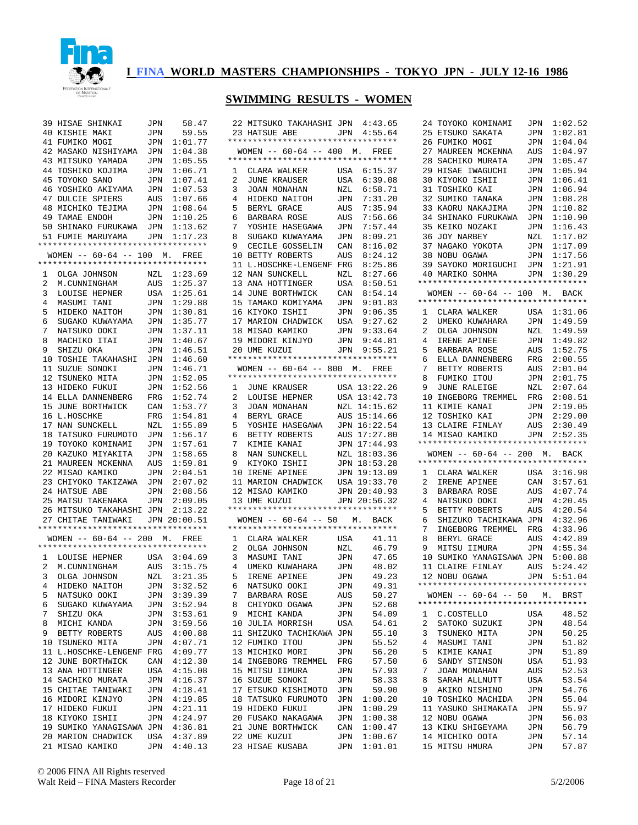

| 39           | HISAE SHINKAI                                                   | JPN | 58.47        | 22             |
|--------------|-----------------------------------------------------------------|-----|--------------|----------------|
|              | 40 KISHIE MAKI                                                  | JPN | 59.55        | 23             |
|              | 41 FUMIKO MOGI                                                  | JPN | 1:01.77      | ***            |
|              | 42 MASAKO NISHIYAMA                                             | JPN | 1:04.38      | W              |
|              | 43 MITSUKO YAMADA                                               | JPN | 1:05.55      | ***            |
|              | 44 TOSHIKO KOJIMA                                               | JPN | 1:06.71      | 1              |
|              | 45 TOYOKO SANO                                                  | JPN | 1:07.41      | 2              |
|              | 46 YOSHIKO AKIYAMA                                              |     | 1:07.53      | 3              |
|              |                                                                 | JPN |              | 4              |
|              | 47 DULCIE SPIERS                                                | AUS | 1:07.66      |                |
|              | 48 MICHIKO TEJIMA                                               | JPN | 1:08.64      | 5              |
|              | 49 TAMAE ENDOH                                                  | JPN | 1:10.25      | 6              |
|              | 50 SHINAKO FURUKAWA                                             | JPN | 1:13.62      | 7              |
|              | 51 FUMIE MARUYAMA                                               | JPN | 1:17.23      | 8              |
|              |                                                                 |     |              | 9              |
|              | WOMEN $-- 60-64 -- 100$ M.<br>********************************* |     | FREE         | 10             |
|              |                                                                 |     |              | 11             |
| $\mathbf{1}$ | OLGA JOHNSON                                                    | NZL | 1:23.69      | 12             |
| $\mathbf{2}$ | M.CUNNINGHAM                                                    | AUS | 1:25.37      | 13             |
| 3            | LOUISE HEPNER                                                   | USA | 1:25.61      | 14             |
| 4            | MASUMI TANI                                                     | JPN | 1:29.88      | 15             |
| 5.           | HIDEKO NAITOH                                                   | JPN | 1:30.81      | 16             |
| 6            | SUGAKO KUWAYAMA                                                 | JPN | 1:35.77      | 17             |
| 7            | NATSUKO OOKI                                                    | JPN | 1:37.11      | 18             |
| 8            | MACHIKO ITAI                                                    | JPN | 1:40.67      | 19             |
| 9            | SHIZU OKA                                                       | JPN | 1:46.51      | 20             |
|              | 10 TOSHIE TAKAHASHI                                             | JPN | 1:46.60      | ***            |
| 11           | SUZUE SONOKI                                                    | JPN | 1:46.71      | W              |
|              | 12 TSUNEKO MITA                                                 | JPN | 1:52.05      | ***            |
|              | 13 HIDEKO FUKUI                                                 | JPN | 1:52.56      | $\mathbf 1$    |
|              | 14 ELLA DANNENBERG                                              | FRG | 1:52.74      | 2              |
|              | 15 JUNE BORTHWICK                                               | CAN | 1:53.77      | 3              |
| 16           | L.HOSCHKE                                                       | FRG | 1:54.81      | 4              |
| 17           |                                                                 |     |              |                |
|              | NAN SUNCKELL                                                    | NZL | 1:55.89      | 5              |
| 18           | TATSUKO FURUMOTO                                                | JPN | 1:56.17      | 6              |
|              | 19 TOYOKO KOMINAMI                                              | JPN | 1:57.61      | 7              |
|              | 20 KAZUKO MIYAKITA                                              | JPN | 1:58.65      | 8              |
|              | 21 MAUREEN MCKENNA                                              | AUS | 1:59.81      | 9              |
|              | 22 MISAO KAMIKO                                                 | JPN | 2:04.51      | 10             |
|              | 23 CHIYOKO TAKIZAWA                                             | JPN | 2:07.02      | 11             |
|              | 24 HATSUE ABE                                                   | JPN | 2:08.56      | 12             |
|              | 25 MATSU TAKENAKA                                               | JPN | 2:09.05      | 13             |
|              | 26 MITSUKO TAKAHASHI                                            | JPN | 2:13.22      | ***            |
|              | 27 CHITAE TANIWAKI                                              |     | JPN 20:00.51 | W              |
|              | **********************************                              |     |              | $***$          |
|              | WOMEN -- 60-64 -- 200 M. FREE                                   |     |              | 1              |
|              | **********************************                              |     |              | $\overline{a}$ |
| 1            | LOUISE HEPNER                                                   |     | USA 3:04.69  | 3              |
| 2            | M.CUNNINGHAM                                                    | AUS | 3:15.75      | 4              |
| 3            | OLGA JOHNSON                                                    | NZL | 3:21.35      | 5              |
| 4            | HIDEKO NAITOH                                                   | JPN | 3:32.52      | 6              |
| 5            | NATSUKO OOKI                                                    | JPN | 3:39.39      | 7              |
| 6            | SUGAKO KUWAYAMA                                                 | JPN | 3:52.94      | 8              |
| 7            | SHIZU OKA                                                       | JPN | 3:53.61      | 9              |
| 8            | MICHI KANDA                                                     | JPN | 3:59.56      | 10             |
| 9            | BETTY ROBERTS                                                   | AUS | 4:00.88      | 11             |
| 10           | TSUNEKO MITA                                                    | JPN | 4:07.71      | 12             |
| 11           | L.HOSCHKE-LENGENF                                               | FRG | 4:09.77      | 13             |
| 12           | JUNE BORTHWICK                                                  | CAN | 4:12.30      | 14             |
| 13           | ANA HOTTINGER                                                   | USA | 4:15.08      | 15             |
|              | 14 SACHIKO MURATA                                               |     | 4:16.37      | 16             |
|              |                                                                 | JPN | 4:18.41      |                |
|              | 15 CHITAE TANIWAKI                                              | JPN |              | 17             |
| 16           | MIDORI KINJYO                                                   | JPN | 4:19.85      | 18             |
| 17           | HIDEKO FUKUI                                                    | JPN | 4:21.11      | 19             |
| 18           | KIYOKO ISHII                                                    | JPN | 4:24.97      | 20             |
| 19           | SUMIKO YANAGISAWA                                               | JPN | 4:36.81      | 21             |
|              | 20 MARION CHADWICK                                              | USA | 4:37.89      | 22             |
| 21           | MISAO KAMIKO                                                    | JPN | 4:40.13      | 23             |

|                | 22 MITSUKO TAKAHASHI JPN 4:43.65                    |                       |              |
|----------------|-----------------------------------------------------|-----------------------|--------------|
| 23             | HATSUE ABE                                          |                       | JPN 4:55.64  |
|                | **********************************                  |                       |              |
|                | WOMEN -- 60-64 -- 400 M. FREE                       |                       |              |
|                | **********************************                  |                       |              |
|                | 1 CLARA WALKER                                      | USA                   | 6:15.37      |
| 2              | JUNE KRAUSER                                        | USA                   | 6:39.08      |
| 3              | JOAN MONAHAN                                        | NZL                   | 6:58.71      |
| 4              | HIDEKO NAITOH                                       | JPN                   | 7:31.20      |
| 5              | BERYL GRACE                                         | AUS                   | 7:35.94      |
| б.             | BARBARA ROSE                                        | AUS                   | 7:56.66      |
| 7              | YOSHIE HASEGAWA                                     | JPN                   | 7:57.44      |
|                | SUGAKO KUWAYAMA                                     |                       | 8:09.21      |
| 8              |                                                     | JPN                   |              |
| 9              | CECILE GOSSELIN                                     | $\mathtt{CAN}$        | 8:16.02      |
|                | 10 BETTY ROBERTS                                    | AUS                   | 8:24.12      |
|                | 11 L.HOSCHKE-LENGENF FRG                            |                       | 8:25.86      |
|                | 12 NAN SUNCKELL                                     | NZL                   | 8:27.66      |
|                | 13 ANA HOTTINGER                                    | USA                   | 8:50.51      |
| 14             | JUNE BORTHWICK                                      | CAN                   | 8:54.14      |
|                | 15 TAMAKO KOMIYAMA                                  | JPN                   | 9:01.83      |
|                | 16 KIYOKO ISHII                                     | JPN                   | 9:06.35      |
|                | 17 MARION CHADWICK                                  | USA                   | 9:27.62      |
|                |                                                     | JPN                   | 9:33.64      |
|                | 18 MISAO KAMIKO<br>19 MIDORI KINJYO<br>20 UME KUZUI | JPN                   | 9:44.81      |
|                | 20 UME KUZUI                                        |                       | JPN 9:55.21  |
|                | **********************************                  |                       |              |
|                | WOMEN $-- 60-64 -- 800$ M. FREE                     |                       |              |
|                | **********************************                  |                       |              |
| $\mathbf{1}$   | JUNE KRAUSER                                        |                       | USA 13:22.26 |
| 2              | LOUISE HEPNER                                       |                       | USA 13:42.73 |
| 3              | JOAN MONAHAN                                        |                       | NZL 14:15.62 |
| 4              | BERYL GRACE                                         |                       | 15:14.66     |
|                | YOSHIE HASEGAWA JPN 16:22.54                        | AUS                   |              |
| 5              |                                                     |                       |              |
| 6              | BETTY ROBERTS<br>KIMIE KANAI                        | AUS                   | 17:27.80     |
| 7              |                                                     |                       | JPN 17:44.93 |
| 8              | NAN SUNCKELL                                        |                       | NZL 18:03.36 |
| 9              | KIYOKO ISHII                                        |                       | JPN 18:53.28 |
|                | 10 IRENE APINEE                                     |                       | JPN 19:13.09 |
|                | 11 MARION CHADWICK                                  |                       | USA 19:33.70 |
|                | 12 MISAO KAMIKO<br>13 UME KUZUT                     |                       | JPN 20:40.93 |
|                | 13 UME KUZUI                                        |                       | JPN 20:56.32 |
|                | **********************************                  |                       |              |
|                | WOMEN -- 60-64 -- 50 M. BACK                        |                       |              |
|                | **********************************                  |                       |              |
|                | 1 CLARA WALKER                                      | USA                   | 41.11        |
| $\overline{2}$ |                                                     | NZL                   | 46.79        |
| 3              | OLGA JOHNSON<br>MASUMI TANI                         | JPN                   | 47.65        |
| $\overline{4}$ |                                                     |                       |              |
| 5              |                                                     |                       |              |
| 6              | UMEKO KUWAHARA                                      | JPN                   | 48.02        |
|                | IRENE APINEE                                        | JPN                   | 49.23        |
|                | NATSUKO OOKI                                        | JPN                   | 49.31        |
| 7              | BARBARA ROSE                                        | AUS                   | 50.27        |
| 8              | CHIYOKO OGAWA                                       | JPN                   | 52.68        |
| 9              | MICHI KANDA                                         | JPN                   | 54.09        |
|                | 10 JULIA MORRISH                                    | USA                   | 54.61        |
|                | 11 SHIZUKO TACHIKAWA JPN                            |                       | 55.10        |
|                | 12 FUMIKO ITOU                                      | JPN                   | 55.52        |
|                | 13 MICHIKO MORI                                     | JPN                   | 56.20        |
|                | 14 INGEBORG TREMMEL                                 | FRG                   | 57.50        |
|                | 15 MITSU IIMURA                                     | JPN                   | 57.93        |
|                | 16 SUZUE SONOKI                                     | JPN                   | 58.33        |
|                | 17 ETSUKO KISHIMOTO                                 | JPN                   | 59.90        |
|                | 18 TATSUKO FURUMOTO                                 | JPN                   | 1:00.20      |
|                | 19 HIDEKO FUKUI                                     | $\mathtt{JPN}$        | 1:00.29      |
|                | 20 FUSAKO NAKAGAWA                                  | JPN                   | 1:00.38      |
|                | 21 JUNE BORTHWICK                                   |                       | 1:00.47      |
|                | 22 UME KUZUI                                        | $\mathtt{CAN}$<br>JPN | 1:00.67      |

| 24 | TOYOKO KOMINAMI                                                                                           | JPN                                                         | 1:02.52                    |
|----|-----------------------------------------------------------------------------------------------------------|-------------------------------------------------------------|----------------------------|
|    | 25 ETSUKO SAKATA                                                                                          | JPN                                                         | 1:02.81                    |
| 26 | FUMIKO MOGI                                                                                               | JPN                                                         | 1:04.04                    |
|    | 27 MAUREEN MCKENNA                                                                                        | AUS                                                         | 1:04.97                    |
|    | 28 SACHIKO MURATA                                                                                         | JPN                                                         | 1:05.47                    |
| 29 | HISAE IWAGUCHI JPN                                                                                        |                                                             | 1:05.94                    |
| 30 | KIYOKO ISHII<br>KIYOKO ISHII                                                                              | JPN                                                         | 1:06.41                    |
| 31 | TOSHIKO KAI                                                                                               | JPN                                                         | 1:06.94                    |
| 32 | SUMIKO TANAKA                                                                                             | JPN                                                         | 1:08.28                    |
| 33 | KAORU NAKAJIMA                                                                                            | JPN                                                         | 1:10.82                    |
|    | 34 SHINAKO FURUKAWA                                                                                       | JPN                                                         | 1:10.90                    |
| 35 | SHINANG<br>KEIKO NOZAKI<br>Tomy                                                                           | JPN                                                         | 1:16.43                    |
| 36 | JOY NARBEY<br>NAGAKO YOKOTA                                                                               | NZL                                                         | 1:17.02                    |
| 37 | 38 NOBU OGAWA                                                                                             | <b>JPN</b>                                                  | 1:17.09                    |
|    | 39 SAYOKO MORIGUCHI JPN                                                                                   | JPN                                                         | 1:17.56<br>1:21.91         |
|    | 40 MARIKO SOHMA                                                                                           |                                                             | JPN 1:30.29                |
|    | **********************************                                                                        |                                                             |                            |
|    | WOMEN -- 60-64 -- 100 M. BACK                                                                             |                                                             |                            |
|    | *********************************                                                                         |                                                             |                            |
|    |                                                                                                           |                                                             | USA 1:31.06                |
|    | 1 CLARA WALKER USA<br>2 UMEKO KUWAHARA JPN<br>2 OLGA JOHNSON NZL<br>4 IRENE APINEE JPN                    |                                                             | 1:49.59                    |
|    |                                                                                                           |                                                             | 1:49.59                    |
|    |                                                                                                           |                                                             | 1:49.82                    |
|    |                                                                                                           |                                                             | 1:52.75                    |
|    | 5 BARBARA ROSE AUS<br>6 ELLA DANNENBERG FRG                                                               |                                                             | 2:00.55                    |
| 7  | BETTY ROBERTS<br>FUMIKO ITOU<br>JUNE RALEIGE                                                              |                                                             |                            |
| 8  |                                                                                                           |                                                             | AUS 2:01.04<br>JPN 2:01.75 |
| 9  |                                                                                                           | $\begin{array}{c}\n\cup \bot \\ NZL \\ \hline\n\end{array}$ | 2:07.64                    |
|    | 10 INGEBORG TREMMEL FRG                                                                                   |                                                             | 2:08.51                    |
|    | 11 KIMIE KANAI<br>12 TOSHIKO KAI                                                                          |                                                             | JPN 2:19.05<br>JPN 2:29.00 |
|    |                                                                                                           |                                                             |                            |
|    | 13 CLAIRE FINLAY AUS 2:30.49<br>14 MISAO KAMIKO JPN 2:52.35                                               |                                                             |                            |
|    |                                                                                                           |                                                             |                            |
|    |                                                                                                           |                                                             |                            |
|    | **********************************                                                                        |                                                             |                            |
|    | WOMEN -- 60-64 -- 200 M. BACK                                                                             |                                                             |                            |
|    | *********************************                                                                         |                                                             |                            |
|    |                                                                                                           |                                                             | USA 3:16.98                |
|    |                                                                                                           | CAN                                                         | 3:57.61                    |
|    |                                                                                                           | AUS                                                         | 4:07.74                    |
|    |                                                                                                           |                                                             | JPN 4:20.45                |
|    |                                                                                                           | AUS                                                         | 4:20.54                    |
|    | CHARA WALKER<br>2 IRENE APINEE<br>3 BARBARA ROSE<br>4 NATSUKO OOKI<br>5 BETTY ROBERTS<br>6 SHIZUKO TACILE |                                                             |                            |
| 8  | 6 SHIZUKO TACHIKAWA JPN 4:32.96<br>7 INGEBORG TREMMEL FRG 4:33.96                                         |                                                             |                            |
| 9  |                                                                                                           | JPN                                                         | AUS  4:42.89<br>4:55.34    |
|    | BERYL GRACE<br>MITSU IIMURA                                                                               |                                                             |                            |
|    | 10 SUMIKO YANAGISAWA JPN 5:00.88                                                                          |                                                             |                            |
|    | 11 CLAIRE FINLAY<br>12 NOBU OGAWA<br>12 NOBU OGAWA                                                        |                                                             | AUS 5:24.42<br>JPN 5:51.04 |
|    | **********************************                                                                        |                                                             |                            |
|    | WOMEN $-- 60-64 -- 50$ M.                                                                                 |                                                             | BRST                       |
|    | **********************************                                                                        |                                                             |                            |
| 1  | C.COSTELLO                                                                                                | USA                                                         | 48.52                      |
| 2  | SATOKO SUZUKI                                                                                             | JPN                                                         | 48.54                      |
| 3  | TSUNEKO MITA                                                                                              | JPN                                                         | 50.25                      |
| 4  | MASUMI TANI                                                                                               | JPN                                                         | 51.82                      |
| 5  | KIMIE KANAI                                                                                               | JPN                                                         | 51.89                      |
| 6  | SANDY STINSON                                                                                             | USA                                                         | 51.93                      |
| 7  | JOAN MONAHAN                                                                                              | AUS                                                         | 52.53                      |
| 8  | SARAH ALLNUTT                                                                                             | USA                                                         | 53.54                      |
| 9  | AKIKO NISHINO                                                                                             | JPN                                                         | 54.76                      |
| 10 | TOSHIKO MACHIDA                                                                                           | JPN                                                         | 55.04                      |
| 11 | YASUKO SHIMAKATA                                                                                          | JPN                                                         | 55.97                      |
| 12 | NOBU OGAWA                                                                                                | JPN                                                         | 56.03                      |
| 13 | KIKU SHIGEYAMA<br>14 MICHIKO OOTA                                                                         | JPN<br>JPN                                                  | 56.79<br>57.14             |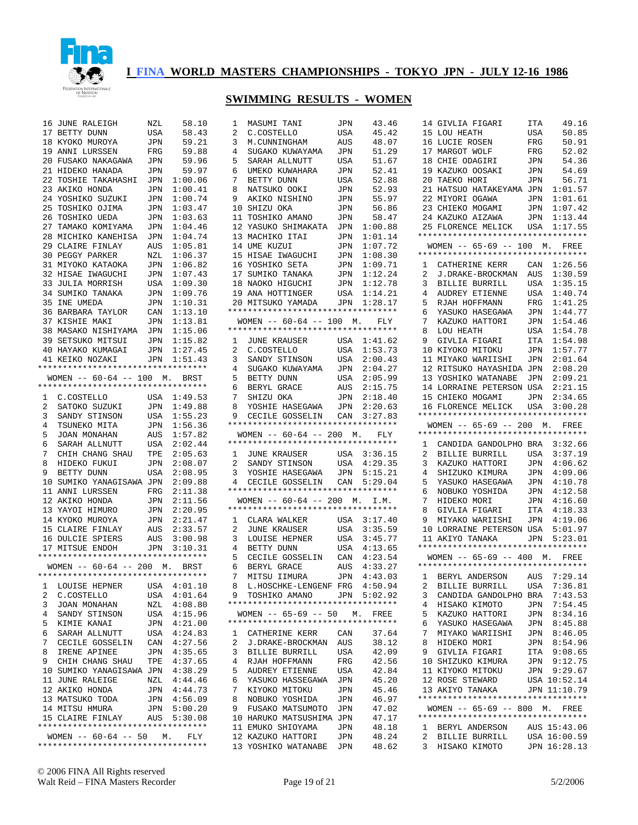

#### **SWIMMING RESULTS - WOMEN**

1 MASUMI TANI JPN 43.46

| 16              | JUNE RALEIGH                                                            | NZL            | 58.10                      |  |
|-----------------|-------------------------------------------------------------------------|----------------|----------------------------|--|
|                 | 17 BETTY DUNN                                                           | USA            | 58.43                      |  |
|                 | 18 KYOKO MUROYA                                                         | $\mathtt{JPN}$ | 59.21                      |  |
|                 | 19 ANNI LURSSEN                                                         | FRG            | 59.88                      |  |
|                 |                                                                         |                | 59.96                      |  |
|                 | 20 FUSAKO NAKAGAWA JPN<br>21 HIDEKO HANADA JPN                          |                | 59.97                      |  |
|                 | --<br>22 TOSHIE TAKAHASHI JPN 1:00.06<br>23 AKIKO HONDA     JPN 1:00.41 |                |                            |  |
|                 |                                                                         |                |                            |  |
|                 |                                                                         |                |                            |  |
| 25              | 24 YOSHIKO SUZUKI<br>25 TOSHIKO OJIMA<br>TOSHIKO OJIMA                  |                | JPN 1:00.74<br>JPN 1:03.47 |  |
| 26              |                                                                         |                |                            |  |
| 27              | TOSHIKO UEDA<br>TAMAKO KOMIYAMA                                         |                | JPN 1:03.63<br>JPN 1:04.46 |  |
|                 |                                                                         |                |                            |  |
|                 | 28 MICHIKO KANEHISA                                                     |                | JPN 1:04.74<br>AUS 1:05.81 |  |
|                 | 29 CLAIRE FINLAY                                                        |                |                            |  |
|                 | 30 PEGGY PARKER<br>31 MIYOKO KATAOKA                                    |                | NZL 1:06.37<br>JPN 1:06.82 |  |
|                 |                                                                         |                |                            |  |
|                 | 32 HISAE IWAGUCHI                                                       |                | JPN 1:07.43<br>USA 1:09.30 |  |
| 33              | JULIA MORRISH                                                           |                |                            |  |
|                 | 34 SUMIKO TANAKA                                                        |                | JPN 1:09.76                |  |
| 35              | INE UMEDA                                                               | JPN            | 1:10.31                    |  |
|                 | 35 INE UMEDA<br>36 BARBARA TAYLOR CAN 1:13.10                           |                |                            |  |
|                 | 37 KISHIE MAKI                                                          | JPN            | 1:13.81                    |  |
|                 | 38 MASAKO NISHIYAMA JPN 1:15.06                                         |                |                            |  |
|                 | 39 SETSUKO MITSUI                                                       |                | JPN 1:15.82                |  |
|                 | 40 HAYAKO KUMAGAI JPN 1:27.45                                           |                |                            |  |
|                 | 41 KEIKO NOZAKI                                                         |                | JPN 1:51.43                |  |
|                 | *********************************                                       |                |                            |  |
|                 | WOMEN -- 60-64 -- 100 M. BRST                                           |                |                            |  |
|                 | *********************************                                       |                |                            |  |
|                 |                                                                         |                | USA 1:49.53                |  |
|                 | 1 C.COSTELLO                                                            |                |                            |  |
|                 | 2 SATOKO SUZUKI                                                         |                | JPN 1:49.88                |  |
| 3               | SANDY STINSON<br>TSUNEKO MITA                                           |                | USA 1:55.23                |  |
| $4\overline{ }$ |                                                                         |                | JPN 1:56.36                |  |
| 5               | JOAN MONAHAN                                                            | AUS            | 1:57.82                    |  |
| б.              | SARAH ALLNUTT                                                           |                | USA 2:02.44                |  |
| 7               | CHIH CHANG SHAU<br>HIDEKO FUKUI<br>BETTY DUNN                           | TPE            | 2:05.63                    |  |
| 8               |                                                                         |                | $JPN$ 2:08.07              |  |
| 9               |                                                                         | USA            | 2:08.95                    |  |
|                 | 10 SUMIKO YANAGISAWA JPN 2:09.88                                        |                |                            |  |
|                 | 10 SUPILING ALBERT FREE 2:11.38<br>12 AKTKO HONDA JPN 2:11.56           |                |                            |  |
|                 |                                                                         |                |                            |  |
|                 |                                                                         |                |                            |  |
|                 | 13 YAYOI HIMURO<br>14 KYOKO MUROYA                                      |                | JPN 2:20.95<br>JPN 2:21.47 |  |
|                 |                                                                         |                |                            |  |
|                 | 15 CLAIRE FINLAY<br>16 DULCIE SPIERS                                    |                | AUS 2:33.57<br>AUS 3:00.98 |  |
|                 | 17 MITSUE ENDOH                                                         |                | JPN 3:10.31                |  |
|                 | *********************************                                       |                |                            |  |
|                 | WOMEN -- 60-64 -- 200 M. BRST                                           |                |                            |  |
|                 | **********************************                                      |                |                            |  |
|                 |                                                                         |                |                            |  |
| ı,              | LOUISE HEPNER                                                           | USA            | 4:01.10                    |  |
| $\overline{a}$  | C.COSTELLO                                                              | USA            | 4:01.64                    |  |
| 3               | JOAN MONAHAN                                                            | NZL            | 4:08.80                    |  |
| 4               | SANDY STINSON                                                           | USA            | 4:15.96                    |  |
| 5               | KIMIE KANAI                                                             | JPN            | 4:21.00                    |  |
| 6               | SARAH ALLNUTT                                                           | USA            | 4:24.83                    |  |
| 7               | CECILE GOSSELIN                                                         |                | 4:27.56                    |  |
| 8               | IRENE APINEE                                                            | CAN<br>JPN     | 4:35.65                    |  |
| 9               | CHIH CHANG SHAU TPE 4:37.65<br>SUMIKO YANAGISAWA JPN 4:38.29            |                |                            |  |
| 10              |                                                                         |                |                            |  |
|                 | 11 JUNE RALEIGE                                                         |                | 4:44.46                    |  |
|                 | 12 AKIKO HONDA                                                          | NZL<br>JPN     | 4:44.73                    |  |
|                 | 13 MATSUKO TODA                                                         |                | JPN 4:56.09                |  |
|                 | 14 MITSU HMURA                                                          | JPN            | 5:00.20                    |  |
|                 | 15 CLAIRE FINLAY                                                        |                | AUS 5:30.08                |  |
|                 |                                                                         |                |                            |  |
|                 | WOMEN -- 60-64 -- 50 M. FLY                                             |                |                            |  |
|                 | *********************************                                       |                |                            |  |
|                 |                                                                         |                |                            |  |

| 2              | C.COSTELLO                                                | USA            | 45.42          |
|----------------|-----------------------------------------------------------|----------------|----------------|
| 3              | M.CUNNINGHAM                                              | AUS            | 48.07          |
| 4              | SUGAKO KUWAYAMA                                           | JPN            | 51.29          |
| 5              | SARAH ALLNUTT                                             | USA            | 51.67          |
| 6              | UMEKO KUWAHARA                                            | JPN            | 52.41          |
| 7              | BETTY DUNN                                                | USA            | 52.88          |
| 8              | NATSUKO OOKI                                              | JPN            | 52.93          |
| 9              | AKIKO NISHINO                                             | JPN            | 55.97          |
| 10             | SHIZU OKA                                                 | JPN            | 56.86          |
| 11             | TOSHIKO AMANO                                             | JPN            | 58.47          |
| 12             | YASUKO SHIMAKATA                                          | JPN            | 1:00.88        |
|                | 13 MACHIKO ITAI                                           | JPN            | 1:01.14        |
|                | 14 UME KUZUI                                              | JPN            | 1:07.72        |
|                | 15 HISAE IWAGUCHI                                         | JPN            | 1:08.30        |
|                | 16 YOSHIKO SETA                                           | JPN            | 1:09.71        |
|                | 17 SUMIKO TANAKA                                          | JPN            | 1:12.24        |
|                | 18 NAOKO HIGUCHI                                          | JPN            | 1:12.78        |
|                | 19 ANA HOTTINGER                                          | $_{\rm USA}$   | 1:14.21        |
|                | 20 MITSUKO YAMADA                                         | JPN 1:28.17    |                |
|                | **********************************                        |                |                |
|                | WOMEN -- $60-64$ -- 100 M. FLY                            |                |                |
|                | *********************************                         |                |                |
|                |                                                           |                |                |
| $\mathbf{1}$   | JUNE KRAUSER                                              | USA            | 1:41.62        |
| $\overline{a}$ | C.COSTELLO<br>SANDY STINSON                               | USA            | 1:53.73        |
| 3              |                                                           | USA            | 2:00.43        |
| 4              | SUGAKO KUWAYAMA                                           | JPN            | 2:04.27        |
| 5              | BETTY DUNN<br>BERYL GRACE                                 | USA            | 2:05.99        |
| 6              |                                                           | AUS            | 2:15.75        |
| 7              | SHIZU OKA                                                 | JPN            | 2:18.40        |
| 8              | YOSHIE HASEGAWA                                           | JPN            | 2:20.63        |
| 9              | CECILE GOSSELIN                                           | CAN 3:27.83    |                |
|                | *********************************                         |                |                |
|                | WOMEN -- $60-64$ -- 200 M. FLY                            |                |                |
|                |                                                           |                |                |
|                | *********************************                         |                |                |
| $1 \quad$      | JUNE KRAUSER                                              | USA 3:36.15    |                |
| $\mathbf{2}$   |                                                           | USA 4:29.35    |                |
| 3              | SANDY STINSON<br>YOSHIE HASEGAWA                          | JPN            | 5:15.21        |
| $4 \quad$      | CECILE GOSSELIN CAN 5:29.04                               |                |                |
|                | **********************************                        |                |                |
|                | WOMEN -- 60-64 -- 200 M. I.M.                             |                |                |
|                | *********************************                         |                |                |
| 1              | CLARA WALKER                                              | USA            | 3:17.40        |
| $\overline{2}$ | JUNE KRAUSER                                              | USA            | 3:35.59        |
| 3              |                                                           | USA            | 3:45.77        |
| 4              | LOUISE HEPNER<br>BETTY DUNN                               | USA            | 4:13.65        |
|                | CECILE GOSSELIN                                           |                | 4:23.54        |
| 5              |                                                           | CAN            |                |
| 6              | BERYL GRACE                                               | AUS            | 4:33.27        |
| 7              | MITSU IIMURA                                              | $\mathtt{JPN}$ | 4:43.03        |
| 8              | L.HOSCHKE-LENGENF FRG                                     |                | 4:50.94        |
| 9              | TOSHIKO AMANO   JPN<br>********************************** |                | 5:02.92        |
|                |                                                           |                |                |
|                | $WOMEN$ -- 65-69 -- 50 M.                                 |                | <b>FREE</b>    |
|                | **********************************                        |                |                |
| 1              | CATHERINE KERR                                            | CAN            | 37.64          |
| 2              | J.DRAKE-BROCKMAN                                          | AUS            | 38.12          |
| 3              | <b>BILLIE BURRILL</b>                                     | USA            | 42.09          |
| 4              | RJAH HOFFMANN                                             | FRG            | 42.56          |
| 5              | AUDREY ETIENNE                                            | USA            | 42.84          |
| 6              | YASUKO HASSEGAWA                                          | JPN            | 45.20          |
| 7              | KIYOKO MITOKU                                             | JPN            | 45.46          |
| 8              | NOBUKO YOSHIDA                                            | JPN            | 46.97          |
| 9              | FUSAKO MATSUMOTO                                          | JPN            | 47.02          |
| 10             | HARUKO MATSUSHIMA                                         | JPN            | 47.17          |
| 11             | EMUKO SHIOYAMA                                            | JPN            | 48.18          |
|                | 12 KAZUKO HATTORI                                         | JPN            | 48.24<br>48.62 |

| 14                  | GIVLIA FIGARI                                                              | ITA | 49.16        |
|---------------------|----------------------------------------------------------------------------|-----|--------------|
| 15                  | LOU HEATH                                                                  | USA | 50.85        |
| 16                  | LUCIE ROSEN                                                                | FRG | 50.91        |
| 17                  | MARGOT WOLF                                                                | FRG | 52.02        |
| 18                  | CHIE ODAGIRI                                                               | JPN | 54.36        |
| 19                  | KAZUKO OOSAKI                                                              | JPN | 54.69        |
| 20                  | TAEKO HORI                                                                 | JPN | 56.71        |
| 21                  | HATSUO HATAKEYAMA                                                          | JPN | 1:01.57      |
| 22                  | MIYORI OGAWA                                                               | JPN | 1:01.61      |
|                     | 23 CHIEKO MOGAMI                                                           | JPN | 1:07.42      |
| 24                  | KAZUKO AIZAWA                                                              | JPN | 1:13.44      |
| 25                  | FLORENCE MELICK                                                            | USA | 1:17.55      |
|                     | *********************************                                          |     |              |
|                     | WOMEN -- 65-69 -- 100 M. FREE                                              |     |              |
|                     | **********************************                                         |     |              |
| $\mathbf{1}$        | CATHERINE KERR                                                             | CAN | 1:26.56      |
| 2                   | J.DRAKE-BROCKMAN                                                           | AUS | 1:30.59      |
| 3                   | BILLIE BURRILL                                                             | USA | 1:35.15      |
| 4                   |                                                                            |     | 1:40.74      |
|                     | AUDREY ETIENNE                                                             | USA |              |
| 5                   | RJAH HOFFMANN                                                              | FRG | 1:41.25      |
| 6                   | YASUKO HASEGAWA                                                            | JPN | 1:44.77      |
| 7                   | KAZUKO HATTORI                                                             | JPN | 1:54.46      |
| 8                   | LOU HEATH                                                                  | USA | 1:54.78      |
| 9                   | GIVLIA FIGARI                                                              | ITA | 1:54.98      |
| 10                  | KIYOKO MITOKU                                                              | JPN | 1:57.77      |
|                     | 11 MIYAKO WARIISHI                                                         | JPN | 2:01.64      |
| 12                  | RITSUKO HAYASHIDA                                                          | JPN | 2:08.20      |
| 13                  | YOSHIKO WATANABE                                                           | JPN | 2:09.21      |
|                     | 14 LORRAINE PETERSON USA                                                   |     | 2:21.15      |
|                     | 15 CHIEKO MOGAMI                                                           | JPN | 2:34.65      |
|                     | 16 FLORENCE MELICK                                                         | USA | 3:00.28      |
|                     | **********************************                                         |     |              |
|                     | WOMEN -- 65-69 -- 200 M. FREE                                              |     |              |
|                     |                                                                            |     |              |
|                     | *********************************                                          |     |              |
|                     |                                                                            |     |              |
| 1<br>$\overline{2}$ | CANDIDA GANDOLPHO BRA 3:32.66                                              |     | 3:37.19      |
|                     | BILLIE BURRILL                                                             | USA |              |
| 3<br>$\overline{4}$ | KAZUKO HATTORI                                                             | JPN | 4:06.62      |
|                     | SHIZUKO KIMURA                                                             | JPN | 4:09.06      |
| 5                   | YASUKO HASEGAWA                                                            | JPN | 4:10.78      |
| 6                   | NOBUKO YOSHIDA                                                             | JPN | 4:12.58      |
| 7                   | HIDEKO MORI                                                                | JPN | 4:16.60      |
| 8                   | GIVLIA FIGARI                                                              | ITA | 4:18.33      |
| 9                   | MIYAKO WARIISHI                                                            | JPN | 4:19.06      |
|                     | 10 LORRAINE PETERSON USA                                                   |     | 5:01.97      |
|                     | 11 AKIYO TANAKA                                                            |     | JPN 5:23.01  |
|                     | *********************************                                          |     |              |
|                     | WOMEN -- 65-69 -- 400 M. FREE                                              |     |              |
|                     | *********************************                                          |     |              |
| $\mathbf{1}$        | BERYL ANDERSON AUS 7:29.14                                                 |     |              |
| $\overline{a}$      | BILLIE BURRILL                                                             | USA | 7:36.81      |
| 3                   | CANDIDA GANDOLPHO BRA 7:43.53                                              |     |              |
| 4                   | HISAKO KIMOTO                                                              |     | JPN 7:54.45  |
| 5                   | KAZUKO HATTORI                                                             |     | JPN 8:34.16  |
| б.                  | YASUKO HASEGAWA                                                            | JPN | 8:45.88      |
| 7                   | MIYAKO WARIISHI JPN 8:46.05                                                |     |              |
| 8                   | HIDEKO MORI                                                                | JPN | 8:54.96      |
| 9                   | GIVLIA FIGARI                                                              |     | ITA 9:08.65  |
|                     | 10 SHIZUKO KIMURA                                                          | JPN | 9:12.75      |
|                     | 11 KIYOKO MITOKU                                                           |     | JPN 9:29.67  |
|                     | 12 ROSE STEWARD                                                            |     | USA 10:52.14 |
|                     | 13 AKIYO TANAKA JPN 11:10.79                                               |     |              |
|                     | **********************************                                         |     |              |
|                     | WOMEN -- 65-69 -- 800 M. FREE                                              |     |              |
|                     | **********************************                                         |     |              |
|                     | 1 BERYL ANDERSON AUS 15:43.06                                              |     |              |
| $\mathbf{2}$<br>3   | BILLIE BURRILL USA 16:00.59<br>HISAKO KIMOTO JPN 16:28.13<br>HISAKO KIMOTO |     |              |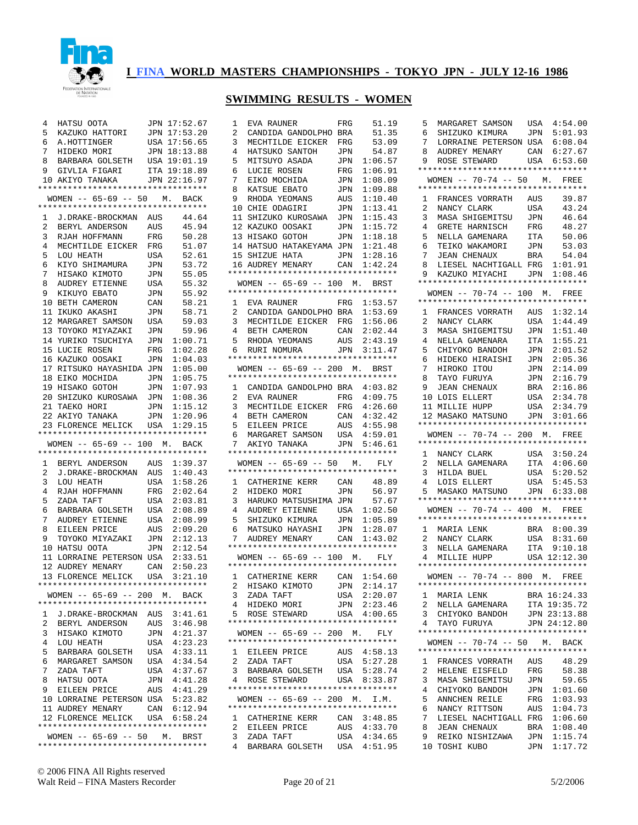

| 4<br>5<br>6<br>7<br>8<br>9 | HATSU OOTA<br>KAZUKO HATTORI<br>A.HOTTINGER<br>HIDEKO MORI<br>BARBARA GOLSETH USA 19:01.19<br>GIVLIA FIGARI<br>10 AKIYO TANAKA<br>WOMEN -- 65-69 -- 50 M. BACK |            | JPN 17:52.67<br>JPN 17:53.20<br>USA 17:56.65<br>JPN 18:13.88<br>ITA 19:18.89<br>JPN 22:16.97 |
|----------------------------|----------------------------------------------------------------------------------------------------------------------------------------------------------------|------------|----------------------------------------------------------------------------------------------|
|                            | **********************************                                                                                                                             |            |                                                                                              |
| $\mathbf{1}$               | J.DRAKE-BROCKMAN AUS                                                                                                                                           |            | 44.64                                                                                        |
| 2                          | BERYL ANDERSON                                                                                                                                                 | AUS        | 45.94                                                                                        |
| 3<br>4                     | RJAH HOFFMANN                                                                                                                                                  | FRG        | 50.28                                                                                        |
| 5                          | MECHTILDE EICKER<br>LOU HEATH                                                                                                                                  | FRG<br>USA | 51.07<br>52.61                                                                               |
| 6                          | KIYO SHIMAMURA                                                                                                                                                 | JPN        | 53.72                                                                                        |
| 7                          | HISAKO KIMOTO                                                                                                                                                  | JPN        | 55.05                                                                                        |
| 8                          | AUDREY ETIENNE                                                                                                                                                 | USA        | 55.32                                                                                        |
| 9                          | KIKUYO EBATO                                                                                                                                                   | JPN        | 55.92                                                                                        |
|                            | 10 BETH CAMERON<br>11 IKUKO AKASHI                                                                                                                             | CAN<br>JPN | 58.21<br>58.71                                                                               |
|                            | 12 MARGARET SAMSON                                                                                                                                             | USA        | 59.03                                                                                        |
|                            | 13 TOYOKO MIYAZAKI                                                                                                                                             | JPN        | 59.96                                                                                        |
|                            | 14 YURIKO TSUCHIYA                                                                                                                                             | JPN        | 1:00.71                                                                                      |
|                            | 15 LUCIE ROSEN                                                                                                                                                 | FRG        | 1:02.28                                                                                      |
|                            | 16 KAZUKO OOSAKI<br>17 RITSUKO HAYASHIDA JPN                                                                                                                   | JPN        | 1:04.03<br>1:05.00                                                                           |
|                            | 18 EIKO MOCHIDA                                                                                                                                                | JPN        | 1:05.75                                                                                      |
|                            | 19 HISAKO GOTOH                                                                                                                                                | JPN        | 1:07.93                                                                                      |
|                            | 20 SHIZUKO KUROSAWA                                                                                                                                            | JPN        | 1:08.36                                                                                      |
|                            | 21 TAEKO HORI                                                                                                                                                  | JPN        | 1:15.12                                                                                      |
|                            | 22 AKIYO TANAKA<br>23 FLORENCE MELICK                                                                                                                          | JPN<br>USA | 1:20.96<br>1:29.15                                                                           |
|                            | **********************************                                                                                                                             |            |                                                                                              |
|                            | WOMEN -- 65-69 -- 100 M. BACK                                                                                                                                  |            |                                                                                              |
|                            | **********************************                                                                                                                             |            |                                                                                              |
| 1                          | BERYL ANDERSON                                                                                                                                                 | AUS        | 1:39.37                                                                                      |
| 2<br>3                     | J.DRAKE-BROCKMAN<br>LOU HEATH                                                                                                                                  | AUS<br>USA | 1:40.43<br>1:58.26                                                                           |
| 4                          | RJAH HOFFMANN                                                                                                                                                  | FRG        | 2:02.64                                                                                      |
| 5                          | ZADA TAFT                                                                                                                                                      | USA        | 2:03.81                                                                                      |
| 6                          | BARBARA GOLSETH                                                                                                                                                | USA        | 2:08.89                                                                                      |
| 7                          | AUDREY ETIENNE                                                                                                                                                 | USA        | 2:08.99                                                                                      |
| 8<br>9                     | EILEEN PRICE<br>TOYOKO MIYAZAKI                                                                                                                                | AUS<br>JPN | 2:09.20<br>2:12.13                                                                           |
|                            | 10 HATSU OOTA                                                                                                                                                  | JPN        | 2:12.54                                                                                      |
|                            | 11 LORRAINE PETERSON USA                                                                                                                                       |            | 2:33.51                                                                                      |
|                            | 12 AUDREY MENARY                                                                                                                                               |            | CAN 2:50.23                                                                                  |
|                            | 13 FLORENCE MELICK<br>****************                                                                                                                         | USA        | 3:21.10                                                                                      |
|                            | WOMEN -- 65-69 -- 200 M. BACK                                                                                                                                  |            |                                                                                              |
|                            | **********************************                                                                                                                             |            |                                                                                              |
| 1                          | J.DRAKE-BROCKMAN AUS 3:41.61                                                                                                                                   |            |                                                                                              |
| 2                          | BERYL ANDERSON                                                                                                                                                 | AUS        | 3:46.98                                                                                      |
| 3                          | HISAKO KIMOTO                                                                                                                                                  | JPN        | 4:21.37                                                                                      |
| 4<br>5                     | LOU HEATH<br>BARBARA GOLSETH                                                                                                                                   | USA<br>USA | 4:23.23<br>4:33.11                                                                           |
| 6                          | MARGARET SAMSON                                                                                                                                                | USA        | 4:34.54                                                                                      |
| 7                          | ZADA TAFT                                                                                                                                                      | USA        | 4:37.67                                                                                      |
| 8                          | HATSU OOTA                                                                                                                                                     | JPN        | 4:41.28                                                                                      |
| 9                          | EILEEN PRICE                                                                                                                                                   | AUS        | 4:41.29                                                                                      |
| 10                         | LORRAINE PETERSON USA                                                                                                                                          |            | 5:23.82                                                                                      |
|                            | 11 AUDREY MENARY<br>12 FLORENCE MELICK USA 6:58.24                                                                                                             | CAN        | 6:12.94                                                                                      |
|                            | **********************************                                                                                                                             |            |                                                                                              |
|                            | WOMEN -- 65-69 -- 50 M. BRST                                                                                                                                   |            |                                                                                              |
|                            | **********************************                                                                                                                             |            |                                                                                              |

| 1               | EVA RAUNER                                                                                                       | FRG            | 51.19        |
|-----------------|------------------------------------------------------------------------------------------------------------------|----------------|--------------|
| 2               | CANDIDA GANDOLPHO BRA                                                                                            |                | 51.35        |
| 3               | MECHTILDE EICKER                                                                                                 | FRG            | 53.09        |
| 4               | HATSUKO SANTOH JPN                                                                                               |                | 54.87        |
| 5               | MITSUYO ASADA<br>LUCIE ROSEN                                                                                     | JPN            | 1:06.57      |
| 6               |                                                                                                                  | $_{\rm FRG}$   | 1:06.91      |
| 7               | EIKO MOCHIDA<br>KATSUE EBATO                                                                                     | JPN            | 1:08.09      |
| 8               |                                                                                                                  | JPN            | 1:09.88      |
|                 | 9 RHODA YEOMANS<br>10 CHIE ODAGIRI                                                                               | AUS            | 1:10.40      |
|                 |                                                                                                                  | JPN            | 1:13.41      |
| 11              | SHIZUKO KUROSAWA                                                                                                 | JPN            | 1:15.43      |
|                 | -- RAZUKU OOSAKI<br>13 HISAKO GOTOH<br>14 HATSUO UATILI                                                          | $\mathtt{JPN}$ | 1:15.72      |
|                 |                                                                                                                  | JPN            | 1:18.18      |
|                 | 14 HATSUO HATAKEYAMA JPN                                                                                         |                | 1:21.48      |
|                 | 15 SHIZUE HATA       JPN<br>16 AUDREY MENARY       CAN                                                           |                | 1:28.16      |
|                 |                                                                                                                  |                | 1:42.24      |
|                 | **********************************                                                                               |                |              |
|                 | WOMEN -- 65-69 -- 100 M. BRST                                                                                    |                |              |
|                 | **********************************                                                                               |                |              |
| $\mathbf{1}$    | EVA RAUNER                                                                                                       | FRG            | 1:53.57      |
| $\frac{2}{3}$   | CANDIDA GANDOLPHO BRA                                                                                            |                | 1:53.69      |
|                 |                                                                                                                  |                |              |
| $\frac{1}{4}$   |                                                                                                                  |                |              |
| 5               |                                                                                                                  |                |              |
| 6               | MECHTILDE EICKER FRG 1:56.06<br>BETH CAMERON CAN 2:02.44<br>RHODA YEOMANS AUS 2:43.19<br>RURI NOMURA JPN 3:11.47 |                |              |
|                 | **********************************                                                                               |                |              |
|                 | WOMEN -- 65-69 -- 200 M. BRST<br>**********************************                                              |                |              |
|                 |                                                                                                                  |                |              |
|                 | 1 CANDIDA GANDOLPHO BRA 4:03.82                                                                                  |                |              |
| 2               | EVA RAUNER                                                                                                       | $_{\rm FRG}$   | 4:09.75      |
| $\overline{3}$  | MECHTILDE EICKER FRG 4:26.60                                                                                     |                |              |
| 4               | BETH CAMERON CAN 4:32.42<br>EILEEN PRICE AUS 4:55.98<br>MARGARET SAMSON USA 4:59.01<br>AKIYO TANAKA JPN 5:46.61  |                |              |
| 5               |                                                                                                                  |                |              |
| 6               |                                                                                                                  |                |              |
| 7               | **********************************                                                                               |                |              |
|                 |                                                                                                                  |                |              |
|                 | WOMEN -- 65-69 -- 50 M. FLY<br>*********************************                                                 |                |              |
|                 |                                                                                                                  |                |              |
|                 | 1 CATHERINE KERR CAN<br>2 HIDEKO MORI JPN                                                                        |                | 48.89        |
| 3               | HARUKO MATSUSHIMA JPN                                                                                            |                | 56.97        |
| 4               |                                                                                                                  |                | 57.67        |
| 5               | AUDREY ETIENNE USA 1:02.50<br>SHIZUKO KIMURA JPN 1:05.89<br>MATSUKO UAVAGUT                                      |                |              |
| 6               | MATSUKO HAYASHI                                                                                                  | JPN            | 1:28.07      |
| 7               | AUDREY MENARY CAN                                                                                                |                | 1:43.02      |
|                 | **********************************                                                                               |                |              |
|                 | WOMEN -- 65-69 -- 100 M.                                                                                         |                | FLY          |
|                 | **********************************                                                                               |                |              |
|                 | 1 CATHERINE KERR CAN 1:54.60                                                                                     |                |              |
| $\overline{2}$  | HISAKO KIMOTO                                                                                                    | JPN            | 2:14.17      |
| 3               | ZADA TAFT                                                                                                        |                | USA 2:20.07  |
| 4               | HIDEKO MORI                                                                                                      | JPN            | 2:23.46      |
|                 | 5 ROSE STEWARD                                                                                                   |                | USA 4:00.65  |
|                 | **********************************                                                                               |                |              |
|                 | WOMEN -- 65-69 -- 200 M.                                                                                         |                | FLY          |
|                 | **********************************                                                                               |                |              |
|                 |                                                                                                                  |                |              |
| 2               | 1 EILEEN PRICE                                                                                                   |                | AUS  4:58.13 |
|                 | ZADA TAFT                                                                                                        | USA            | 5:27.28      |
| 3               |                                                                                                                  |                |              |
| $4\overline{ }$ | BARBARA GOLSETH USA 5:28.74<br>ROSE STEWARD                                                                      |                | USA 8:33.87  |
|                 | **********************************                                                                               |                |              |
|                 | WOMEN -- 65-69 -- 200 M. I.M.                                                                                    |                |              |
|                 | **********************************                                                                               |                |              |
| $\mathbf{1}$    | CATHERINE KERR                                                                                                   |                | CAN 3:48.85  |
| 2               | EILEEN PRICE                                                                                                     |                | AUS  4:33.70 |
| 3               | ZADA TAFT                                                                                                        |                | 4:34.65      |
| $\overline{4}$  | BARBARA GOLSETH                                                                                                  | USA<br>USA     | 4:51.95      |

| 5<br>6<br>7<br>8<br>9<br>1<br>2<br>3<br>4<br>5             | MARGARET SAMSON<br>SHIZUKO KIMURA<br>LORRAINE PETERSON USA<br>AUDREY MENARY<br>ROSE STEWARD<br>*********************************<br>WOMEN $-- 70-74 -- 50$ M.<br>*********************************<br>FRANCES VORRATH<br>NANCY CLARK<br>MASA SHIGEMITSU JPN<br>GRETE HARNISCH<br>NELLA GAMENARA | USA<br>JPN<br>CAN<br>AUS<br>USA<br>$_{\rm FRG}$<br>ITA                    | 4:54.00<br>5:01.93<br>6:08.04<br>6:27.67<br>USA 6:53.60<br>FREE<br>39.87<br>43.24<br>46.64<br>48.27<br>50.06          |
|------------------------------------------------------------|-------------------------------------------------------------------------------------------------------------------------------------------------------------------------------------------------------------------------------------------------------------------------------------------------|---------------------------------------------------------------------------|-----------------------------------------------------------------------------------------------------------------------|
| 6<br>7<br>8<br>9<br>1                                      | TEIKO WAKAMORI<br><b>JEAN CHENAUX</b><br>LIESEL NACHTIGALL FRG<br>KAZUKO MIYACHI<br>**********************************<br>$-- 70-74 -- 100 M.$<br><b>WOMEN</b><br>*********************************                                                                                             | JPN<br>BRA<br>JPN                                                         | 53.03<br>54.04<br>1:01.91<br>1:08.46<br>FREE<br>1:32.14                                                               |
| 2<br>3<br>4<br>5<br>6<br>7<br>8<br>9<br>10<br>11<br>12     | FRANCES VORRATH<br>NANCY CLARK<br>MASA SHIGEMITSU<br>NELLA GAMENARA<br>CHIYOKO BANDOH<br>HIDEKO HIRAISHI<br>TAYO ITOU<br>TAYO FURUYA<br>JEAN CHENAUX<br>LOIS ELLERT<br>MILLIE HUPP<br>MASAKO MATSUNO JPN<br>*********************************<br>WOMEN -- 70-74 -- 200 M. FREE                  | AUS<br>USA<br>JPN<br>ITA<br>JPN<br>JPN<br>JPN<br>JPN<br>BRA<br>USA<br>USA | 1:44.49<br>1:51.40<br>1:55.21<br>2:01.52<br>2:05.36<br>2:14.09<br>2:16.79<br>2:16.86<br>2:34.78<br>2:34.79<br>3:01.66 |
| 1<br>2<br>3<br>4<br>5                                      | *********************************<br>NANCY CLARK USA<br>NELLA GAMENARA ITA<br>MARALS<br>LOIS ELLERT<br>LOIS ELLERT<br>MASAKO MATSUNO JPN 6:33.08<br>**********************************                                                                                                          | USA<br>USA                                                                | 3:50.24<br>4:06.60<br>5:20.52<br>5:45.53                                                                              |
|                                                            | WOMEN -- 70-74 -- 400 M. FREE                                                                                                                                                                                                                                                                   |                                                                           |                                                                                                                       |
| $\mathbf{1}$<br>2<br>3<br>4                                | **********************************<br>MARIA LENK<br>NANCY CLARK<br>NELLA GAMENARA<br>MILLIE HUPP<br>**********************************                                                                                                                                                          | BRA<br>USA<br>ITA                                                         | 8:00.39<br>8:31.60<br>9:10.18<br>USA 12:12.30                                                                         |
|                                                            | WOMEN -- 70-74 -- 800 M. FREE                                                                                                                                                                                                                                                                   |                                                                           |                                                                                                                       |
| 1<br>$\overline{2}$<br>3<br>4                              | **********************************<br>MARIA LENK<br>NELLA GAMENARA<br>CHIYOKO BANDOH<br>TAYO FURUYA<br>**********************************                                                                                                                                                       |                                                                           | BRA 16:24.33<br>ITA 19:35.72<br>JPN 23:13.88<br>JPN 24:12.80                                                          |
|                                                            | WOMEN -- 70-74 -- 50 M. BACK                                                                                                                                                                                                                                                                    |                                                                           |                                                                                                                       |
| $\mathbf{1}$<br>2<br>3<br>4<br>5<br>6<br>7<br>8<br>9<br>10 | *********************************<br>FRANCES VORRATH AUS<br>HELENE EISFELD<br>MASA SHIGEMITSU<br>CHIYOKO BANDOH<br>ANNCHEN REILE<br>NANCY RITTSON<br>LIESEL NACHTIGALL FRG<br><b>JEAN CHENAUX</b><br>REIKO NISHIZAWA JPN<br>TOSHI KUBO                                                          | $_{\rm FRG}$<br>JPN<br>JPN<br>FRG<br>AUS<br>BRA<br>JPN                    | 48.29<br>58.38<br>59.65<br>1:01.60<br>1:03.93<br>1:04.73<br>1:06.60<br>1:08.40<br>1:15.74<br>1:17.72                  |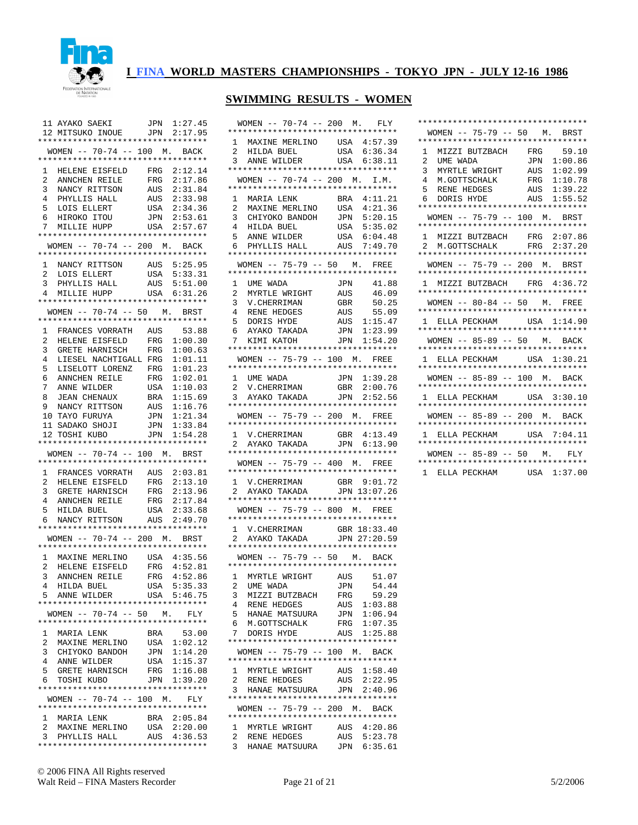

|                                   | 11 AYAKO SAEKI JPN<br>12 MITSUKO INOUE JPN<br>*********************************                                                                                                                           |                       | JPN 1:27.45<br>2:17.95     |
|-----------------------------------|-----------------------------------------------------------------------------------------------------------------------------------------------------------------------------------------------------------|-----------------------|----------------------------|
|                                   | WOMEN -- 70-74 -- 100 M. BACK<br>**********************************                                                                                                                                       |                       |                            |
|                                   | 1 HELENE EISFELD FRG 2:12.14<br>2 ANNCHEN REILE FRG 2:17.86                                                                                                                                               |                       |                            |
| 3                                 | NANCY RITTSON<br>PHYLLIS HALL                                                                                                                                                                             | AUS                   | 2:31.84                    |
| 4<br>5                            |                                                                                                                                                                                                           | USA                   | AUS 2:33.98<br>2:34.36     |
| б.                                | LOIS ELLERT<br>HIROKO ITOU                                                                                                                                                                                |                       | JPN 2:53.61                |
| 7                                 | MILLIE HUPP                                                                                                                                                                                               | USA                   | 2:57.67                    |
|                                   | *********************************                                                                                                                                                                         |                       |                            |
|                                   | WOMEN -- 70-74 -- 200 M. BACK                                                                                                                                                                             |                       |                            |
| $\mathbf{1}$                      | <b>MANCY RITTSON</b><br>NANCY RITTSON AUS<br>PIERT USA                                                                                                                                                    |                       | AUS 5:25.95                |
| $\overline{a}$                    | LOIS ELLERT                                                                                                                                                                                               |                       | 5:33.31                    |
| 3<br>$\overline{4}$               |                                                                                                                                                                                                           |                       | 5:51.00<br>6:31.26         |
|                                   | **********************************                                                                                                                                                                        |                       |                            |
|                                   | WOMEN -- 70-74 -- 50 M. BRST<br>**********************************                                                                                                                                        |                       |                            |
| $\mathbf{1}$                      | FRANCES VORRATH AUS                                                                                                                                                                                       |                       | 53.88                      |
| $\overline{a}$                    |                                                                                                                                                                                                           | FRG                   | 1:00.30                    |
| 3                                 | HELENE EISFELD<br>GRETE HARNISCH                                                                                                                                                                          | $_{\rm FRG}$          | 1:00.63                    |
| $\overline{4}$<br>5               | LIESEL NACHTIGALL FRG<br>LISELOTT LORENZ FRG                                                                                                                                                              |                       | 1:01.11<br>1:01.23         |
|                                   |                                                                                                                                                                                                           | $_{\rm FRG}$          | 1:02.01                    |
|                                   |                                                                                                                                                                                                           | USA                   | 1:10.03                    |
|                                   |                                                                                                                                                                                                           | BRA                   | 1:15.69<br>1:16.76         |
|                                   |                                                                                                                                                                                                           | AUS<br>$\mathtt{JPN}$ | 1:21.34                    |
|                                   |                                                                                                                                                                                                           | JPN                   | 1:33.84                    |
|                                   | CONNERGE AN EXECUTE THE RELEXANCE RELEXANCE PRESSURE A STRAIGHT AND TAYO FURUYA<br>11 SADAKO SHOJI<br>11 SADAKO SHOJI<br>11 SADAKO SHOJI<br>11 TATLET AN ELECTRONIA<br>********************************** | JPN                   | 1:54.28                    |
|                                   |                                                                                                                                                                                                           |                       |                            |
|                                   |                                                                                                                                                                                                           |                       |                            |
|                                   | WOMEN -- 70-74 -- 100 M. BRST<br>**********************************                                                                                                                                       |                       |                            |
| $\mathbf{1}$                      | FRANCES VORRATH AUS                                                                                                                                                                                       |                       | 2:03.81                    |
| 2                                 | HELENE EISFELD                                                                                                                                                                                            | FRG                   | 2:13.10                    |
| $\mathbf{3}$<br>4                 |                                                                                                                                                                                                           | $_{\rm FRG}$          | 2:13.96<br>2:17.84         |
| 5                                 |                                                                                                                                                                                                           | FRG<br>USA            | 2:33.68                    |
| 6                                 | GRETE HARNISCH<br>ANNCHEN REILE<br>HILDA BUEL<br>NANCY RITTSON                                                                                                                                            | AUS                   | 2:49.70                    |
|                                   | **********************************                                                                                                                                                                        |                       |                            |
|                                   | WOMEN -- 70-74 -- 200 M. BRST<br>**********************************                                                                                                                                       |                       |                            |
|                                   | 1 MAXINE MERLINO                                                                                                                                                                                          |                       | USA 4:35.56                |
| $\overline{a}$                    | HELENE EISFELD FRG 4:52.81                                                                                                                                                                                |                       |                            |
| $\overline{3}$<br>$4\overline{ }$ | ANNCHEN REILE<br>HILDA BUEL                                                                                                                                                                               | $_{\rm FRG}$          | 4:52.86                    |
| 5                                 | ANNE WILDER                                                                                                                                                                                               |                       | USA 5:35.33<br>USA 5:46.75 |
|                                   | **********************************                                                                                                                                                                        |                       |                            |
|                                   | WOMEN -- 70-74 -- 50 M. FLY<br>*********************************                                                                                                                                          |                       |                            |
| $\mathbf{1}$                      | MARIA LENK                                                                                                                                                                                                | BRA                   | 53.00                      |
| 2                                 | MAXINE MERLINO                                                                                                                                                                                            |                       | USA 1:02.12                |
| 3                                 | CHIYOKO BANDOH                                                                                                                                                                                            | JPN                   | 1:14.20                    |
| $\overline{4}$<br>5               | ANNE WILDER<br>GRETE HARNISCH                                                                                                                                                                             | FRG                   | USA 1:15.37<br>1:16.08     |
| 6                                 | TOSHI KUBO                                                                                                                                                                                                |                       | JPN 1:39.20                |
|                                   | **********************************<br>WOMEN -- 70-74 -- 100 M. FLY                                                                                                                                        |                       |                            |
|                                   | **********************************                                                                                                                                                                        |                       |                            |
| $\mathbf{1}$                      | MARIA LENK                                                                                                                                                                                                |                       | BRA 2:05.84                |
| 2<br>3                            | MAXINE MERLINO<br>PHYLLIS HALL                                                                                                                                                                            | USA                   | 2:20.00<br>AUS  4:36.53    |

| $WOMEN$ -- 70-74 -- 200 M.                                                                                                           |              | FLY                        |
|--------------------------------------------------------------------------------------------------------------------------------------|--------------|----------------------------|
| *********************************                                                                                                    |              |                            |
| 1.                                                                                                                                   |              |                            |
| MAXINE MERLINO USA 4:57.39<br>HILDA BUEL USA 6:36.34<br>ANNE WILDER USA 6:38.11<br>2                                                 |              |                            |
| 3<br>**********************************                                                                                              |              |                            |
| WOMEN -- 70-74 -- 200 M. I.M.                                                                                                        |              |                            |
| **********************************                                                                                                   |              |                            |
| MARIA LENK<br>1                                                                                                                      |              | BRA 4:11.21                |
| CHIANA CHIANA<br>CHIANA CHIANA CHIANA CHIANA CHIANA CHIANA CHIANA CHIANA CHIANA CHIANA CHIANA CHIANA CHIANA CHIANA CHIANA CHIAN<br>2 | USA          | 4:21.36                    |
| CHIYOKO BANDOH<br>3<br>4                                                                                                             | JPN<br>USA   | 5:20.15<br>5:35.02         |
| 5                                                                                                                                    | $_{\rm USA}$ | 6:04.48                    |
| 6                                                                                                                                    | AUS          | 7:49.70                    |
| ANNE WILDER<br>PHYLLIS HALL<br>**************<br>**********************************                                                  |              |                            |
| $WOMEN$ -- 75-79 -- 50 M.                                                                                                            |              | FREE                       |
| **********************************<br>1<br>UME WADA                                                                                  | JPN          | 41.88                      |
| 2                                                                                                                                    | AUS          | 46.09                      |
| MYRTLE WRIGHT<br>MYRTLE WRIGHT<br>V. CHERRIMAN GBR<br>RENE HEDGES AUS<br>DORIS HYDE AUS<br>3                                         |              | 50.25                      |
| $\overline{4}$                                                                                                                       |              | 55.09                      |
| 5<br>DORIS HYDE<br>DORIS HYDE<br>AYAKO TAKADA                                                                                        | AUS          | 1:15.47                    |
| 6                                                                                                                                    | JPN          | 1:23.99                    |
| 7<br>KIMI KATOH<br>*********************************                                                                                 |              | JPN 1:54.20                |
| WOMEN -- 75-79 -- 100 M. FREE                                                                                                        |              |                            |
| **********************************                                                                                                   |              |                            |
| $\mathbf{1}$<br>UME WADA<br>V.CHERRIMAN<br>AYAKO TAKADA                                                                              |              | JPN 1:39.28                |
| 2                                                                                                                                    | GBR          | 2:00.76<br>2:52.56         |
| 3.<br>**********************************                                                                                             | JPN          |                            |
| WOMEN -- 75-79 -- 200 M. FREE                                                                                                        |              |                            |
| **********************************                                                                                                   |              |                            |
| 1 V.CHERRIMAN GBR 4:13.49<br>2 AYAKO TAKADA JPN 6:13.90                                                                              |              |                            |
| **********************************                                                                                                   |              |                            |
| $WOMEN$ -- 75-79 -- 400 M.                                                                                                           |              | FREE                       |
| **********************************                                                                                                   |              |                            |
| 1 V.CHERRIMAN GBR 9:01.72<br>2 AYAKO TAKADA JPN 13:07.26                                                                             |              |                            |
| **********************************                                                                                                   |              |                            |
| WOMEN -- 75-79 -- 800 M. FREE                                                                                                        |              |                            |
| **********************************                                                                                                   |              |                            |
| V. CHERRIMAN GBR 18:33.40<br>AYAKO TAKADA JPN 27:20.59<br>1                                                                          |              |                            |
| 2<br>**********************************                                                                                              |              |                            |
| WOMEN -- 75-79 -- 50 M. BACK                                                                                                         |              |                            |
| *********************************                                                                                                    |              |                            |
| 1 MYRTLE WRIGHT AUS 51.07                                                                                                            |              |                            |
| $\mathbf{z}$<br>UME WADA                                                                                                             |              | JPN 54.44<br>FRG 59.29     |
| MIZZI BUTZBACH<br>3<br>$\overline{4}$<br>RENE HEDGES                                                                                 |              |                            |
| HANAE MATSUURA<br>5                                                                                                                  |              | AUS 1:03.88<br>JPN 1:06.94 |
| б.<br>M.GOTTSCHALK                                                                                                                   |              |                            |
| 7<br>DORIS HYDE                                                                                                                      |              | FRG 1:07.35<br>AUS 1:25.88 |
| *********************************<br>WOMEN -- 75-79 -- 100 M. BACK                                                                   |              |                            |
| *********************************                                                                                                    |              |                            |
| MYRTLE WRIGHT<br>$\mathbf{1}$                                                                                                        |              | AUS 1:58.40                |
| $\overline{2}$<br>RENE HEDGES AUS 2:22.95<br>HANAE MATSUURA JPN 2:40.96                                                              |              |                            |
| 3                                                                                                                                    |              |                            |
| *********************************<br>WOMEN -- 75-79 -- 200 M. BACK                                                                   |              |                            |
| **********************************                                                                                                   |              |                            |
| 1 MYRTLE WRIGHT                                                                                                                      |              | AUS  4:20.86               |
| RENE HEDGES<br>$\overline{a}$                                                                                                        |              | AUS 5:23.78                |
| 3<br>HANAE MATSUURA                                                                                                                  | JPN          | 6:35.61                    |

| **********************************                                                  |
|-------------------------------------------------------------------------------------|
| WOMEN -- 75-79 -- 50 M. BRST                                                        |
| *********************************                                                   |
| MIZZI BUTZBACH FRG 59.10<br>$\mathbf{1}$                                            |
| JPN<br>1:00.86<br>$\overline{a}$                                                    |
| UME WADA JPN<br>MYRTLE WRIGHT AUS<br>3 <sup>7</sup><br>1:02.99                      |
|                                                                                     |
| 4 M.GOTTSCHALK FRG 1:10.78<br>5 RENE HEDGES AUS 1:39.22<br>6 DORIS HYDE AUS 1:55.52 |
|                                                                                     |
| **********************************                                                  |
| WOMEN -- 75-79 -- 100 M. BRST                                                       |
| **********************************                                                  |
| 1 MIZZI BUTZBACH FRG 2:07.86                                                        |
| 2 M.GOTTSCHALK FRG 2:37.20                                                          |
| **********************************                                                  |
| WOMEN -- 75-79 -- 200 M. BRST                                                       |
| **********************************                                                  |
| 1 MIZZI BUTZBACH FRG 4:36.72                                                        |
| **********************************                                                  |
| WOMEN -- 80-84 -- 50 M. FREE                                                        |
| **********************************                                                  |
| 1 ELLA PECKHAM USA 1:14.90                                                          |
| **********************************                                                  |
| WOMEN -- 85-89 -- 50 M. BACK                                                        |
| **********************************                                                  |
| 1 ELLA PECKHAM USA 1:30.21                                                          |
| **********************************                                                  |
| WOMEN -- 85-89 -- 100 M. BACK                                                       |
| **********************************                                                  |
| 1 ELLA PECKHAM USA 3:30.10                                                          |
| **********************************                                                  |
| WOMEN -- 85-89 -- 200 M. BACK                                                       |
| **********************************                                                  |
| 1 ELLA PECKHAM USA 7:04.11                                                          |
| **********************************                                                  |
|                                                                                     |
| WOMEN -- 85-89 -- 50 M. FLY                                                         |
| **********************************<br>1 ELLA PECKHAM<br>USA 1:37.00                 |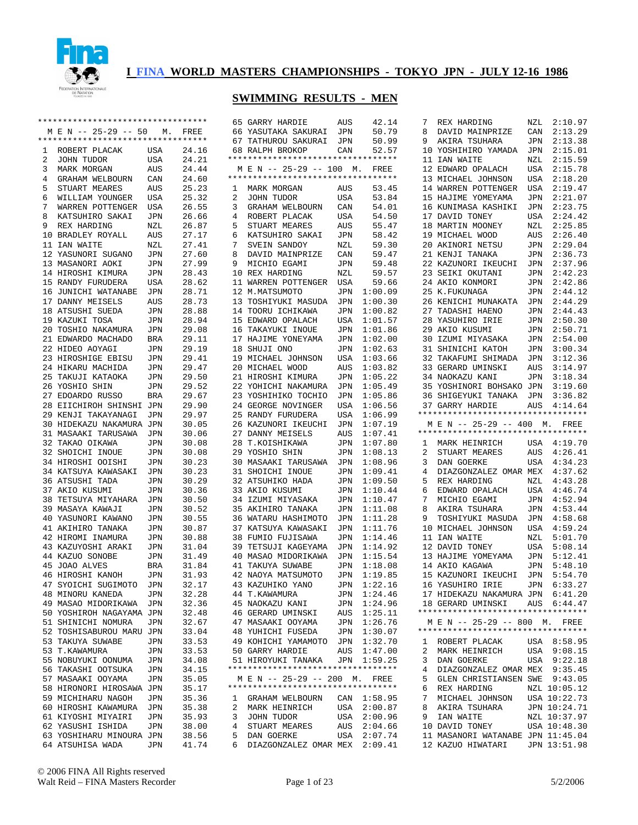

\*\*\*\*\*\*\*\*\*\*\*\*\*\*\*\*\*\*\*\*\*\*\*\*\*\*\*\*\*\*\*\*\*\* M E N -- 25-29 -- 50 M. FREE \*\*\*\*\*\*\*\*\*\*\*\*\*\*\*\*\*\*\*\*\*\*\*\*\*\*\*\*\*\*\*\*\*\*

#### **I FINA WORLD MASTERS CHAMPIONSHIPS - TOKYO JPN - JULY 12-16 1986**

### **SWIMMING RESULTS - MEN**

 65 GARRY HARDIE AUS 42.14 66 YASUTAKA SAKURAI JPN 50.79

|  | *********************************              |     | .<br>--------  |   | 00 IADOIAKA DAKOKAI 01N<br>67 TATHUROU SAKURAI JPN                                                 |     | <u>.</u><br>50.99                                     | ັ<br>رس<br>9 AI |
|--|------------------------------------------------|-----|----------------|---|----------------------------------------------------------------------------------------------------|-----|-------------------------------------------------------|-----------------|
|  |                                                |     |                |   |                                                                                                    |     |                                                       | 10 Y            |
|  |                                                |     |                |   |                                                                                                    |     |                                                       | 11 I.           |
|  | 3 MARK MORGAN                                  | AUS |                |   |                                                                                                    |     |                                                       | 12 E            |
|  | 4 GRAHAM WELBOURN                              | CAN |                |   |                                                                                                    |     |                                                       | 13 M            |
|  | 5 STUART MEARES                                | AUS |                |   |                                                                                                    |     |                                                       | 14 W            |
|  | 6 WILLIAM YOUNGER USA                          |     | 25.32          |   | 2 JOHN TUDOR                                                                                       | USA |                                                       | 15 H            |
|  | 7 WARREN POTTENGER USA                         |     | 26.55          |   | 3 GRAHAM WELBOURN CAN                                                                              |     | 53.84<br>54.01                                        | 16 K            |
|  | 8 KATSUHIRO SAKAI JPN                          |     | 26.66          |   | 4 ROBERT PLACAK USA                                                                                |     | 54.50                                                 | 17 D.           |
|  | 9 REX HARDING                                  | NZL | 26.87          |   | 5 STUART MEARES                                                                                    | AUS | 55.47                                                 | 18 M            |
|  | 10 BRADLEY ROYALL AUS                          |     | 27.17          |   | 6 KATSUHIRO SAKAI JPN                                                                              |     | 58.42                                                 | 19 M            |
|  |                                                |     |                |   |                                                                                                    |     |                                                       |                 |
|  | 11 IAN WAITE                                   | NZL | 27.41          |   | 7 SVEIN SANDOY<br>8 DAVID MAINPRIZE CAN                                                            | NZL | 59.30                                                 | 20 A            |
|  | 12 YASUNORI SUGANO                             | JPN | 27.60          |   |                                                                                                    |     | 59.47                                                 | 21 K<br>22 K    |
|  | 13 MASANORI AOKI                               | JPN | 27.99          |   | 9 MICHIO EGAMI<br>28.43 10 REX HARDING                                                             | JPN | 59.48<br>59.57                                        |                 |
|  | 14 HIROSHI KIMURA JPN                          |     |                |   |                                                                                                    | NZL |                                                       | 23 S.           |
|  | 15 RANDY FURUDERA                              | USA | 28.62          |   | 11 WARREN POTTENGER USA                                                                            |     | 59.66                                                 | 24 A            |
|  | 16 JUNICHI WATANABE                            | JPN | 28.71          |   | 12 M.MATSUMOTO                                                                                     | JPN | 1:00.09                                               | 25 K            |
|  | 17 DANNY MEISELS                               | AUS | 28.73          |   | 13 TOSHIYUKI MASUDA                                                                                | JPN | 1:00.30                                               | 26 K            |
|  | 18 ATSUSHI SUEDA                               | JPN | 28.88          |   | 14 TOORU ICHIKAWA                                                                                  | JPN | 1:00.82                                               | 27 T.           |
|  | 19 KAZUKI TOSA                                 | JPN | 28.94          |   | 15 EDWARD OPALACH<br>16 TAKAYUKI INOUE                                                             | USA | 1:01.57                                               | 28 Y.           |
|  | 20 TOSHIO NAKAMURA JPN                         |     | 29.08          |   |                                                                                                    | JPN | $1:01.86$ 29 A                                        |                 |
|  | 21 EDWARDO MACHADO BRA                         |     | 29.11          |   | 17 HAJIME YONEYAMA<br>18 SHUJI ONO                                                                 |     | JPN 1:02.00 30 I<br>JPN 1:02.63 31 SI                 |                 |
|  | 22 HIDEO AOYAGI                                | JPN | 29.19          |   |                                                                                                    |     |                                                       |                 |
|  | 23 HIROSHIGE EBISU JPN                         |     |                |   | 19 MICHAEL JOHNSON<br>29.41 19 MICHAEL JOHNSON<br>29.47 20 MICHAEL WOOD                            |     | USA 1:03.66 32 T.<br>AUS 1:03.82 33 G.<br>USA 1:03.66 |                 |
|  | 24 HIKARU MACHIDA                              | JPN |                |   |                                                                                                    |     |                                                       |                 |
|  | 25 ТАКUJI КАТАОКА                              | JPN | 29.50          |   | 21 HIROSHI KIMURA<br>22 YOHICHI NAKAMURA                                                           |     | JPN 1:05.22 34 N.<br>JPN 1:05.49 35 Y                 |                 |
|  | 26 YOSHIO SHIN                                 | JPN | 29.52          |   |                                                                                                    |     |                                                       |                 |
|  | 27 EDOARDO RUSSO                               | BRA |                |   | 29.67 23 YOSHIHIKO TOCHIO<br>29.90 24 GEORGE NOVINGER                                              |     | JPN 1:05.86 36 S<br>USA 1:06.56 37 G                  |                 |
|  | 28 EIICHIROH SHINSHI JPN                       |     | 29.67<br>29.90 |   |                                                                                                    |     |                                                       |                 |
|  | 29 KENJI TAKAYANAGI JPN                        |     | 29.97          |   | 25 RANDY FURUDERA<br>26 KAZUNORI IKEUCHI                                                           | USA | 1:06.99                                               | $***$ * * *     |
|  | 30 HIDEKAZU NAKAMURA JPN                       |     | 30.05          |   |                                                                                                    |     | JPN 1:07.19                                           | $M$ E           |
|  | 31 MASAAKI TARUSAWA JPN                        |     | 30.06          |   | 27 DANNY MEISELS<br>28 T.KOISHIKAWA                                                                | AUS | 1:07.41                                               | $***$ * * *     |
|  | 32 TAKAO OIKAWA                                | JPN | 30.08          |   |                                                                                                    |     | JPN 1:07.80 1 M                                       |                 |
|  |                                                |     | 30.08          |   | 29 YOSHIO SHIN         JPN   1:08.13      2   S'<br>30 MASAAKI TARUSAWA   JPN  1:08.96      3   D. |     |                                                       |                 |
|  | 32 SHOICHI INOUE JPN<br>34 HIROSHI OOISHI JPN  |     | 30.23          |   |                                                                                                    |     |                                                       |                 |
|  | 34 KATSUYA KAWASAKI JPN                        |     | 30.23          |   |                                                                                                    |     | JPN 1:09.41 4 D<br>JPN 1:09.50 5 R.                   |                 |
|  | 36 ATSUSHI TADA                                | JPN | 30.29          |   | 31 SHOICHI INOUE<br>32 ATSUHIKO HADA                                                               |     |                                                       |                 |
|  | 37 AKIO KUSUMI                                 | JPN | 30.36          |   |                                                                                                    |     |                                                       |                 |
|  | 38 TETSUYA MIYAHARA JPN                        |     | 30.50          |   | 33 AKIO KUSUMI<br>34 IZUMI MIYASAKA                                                                |     | JPN 1:10.44 6 E<br>JPN 1:10.47 7 M                    |                 |
|  | 39 MASAYA KAWAJI                               | JPN |                |   |                                                                                                    | JPN | 1:11.08                                               | 8<br>A          |
|  | 40 YASUNORI KAWANO JPN                         |     |                |   | 30.52 35 AKIHIRO TANAKA<br>30.55 36 WATARU HASHIMOTO                                               | JPN | 1:11.28                                               | 9 T             |
|  |                                                |     | 30.87          |   |                                                                                                    | JPN | 1:11.76                                               | 10 M            |
|  | 41 AKIHIRO TANAKA JPN<br>42 HIROMI INAMURA JPN |     | 30.88          |   | 37 KATSUYA KAWASAKI<br>38 FUMIO FUJISAWA                                                           | JPN | 1:14.46                                               | $11$ I          |
|  | 43 KAZUYOSHI ARAKI                             | JPN |                |   |                                                                                                    | JPN | 1:14.92                                               | 12 D.           |
|  | 44 KAZUO SONOBE                                | JPN |                |   | 31.04 39 TETSUJI KAGEYAMA<br>31.49 40 MASAO MIDORIKAWA                                             | JPN | 1:15.54                                               | 13 H            |
|  | 45 JOAO ALVES                                  | BRA |                |   |                                                                                                    | JPN |                                                       |                 |
|  | 46 HIROSHI KANOH                               | JPN | 31.93          |   | 31.84 41 TAKUYA SUWABE<br>31.93 42 NAOYA MATSUMOTO                                                 |     | 1:18.08 14 A<br>1:19.85 15 K.<br>JPN 1:19.85          | 15 K            |
|  | 47 SYOICHI SUGIMOTO JPN                        |     |                |   |                                                                                                    |     |                                                       | 16 Y            |
|  | 48 MINORU KANEDA                               | JPN |                |   | 32.17 43 KAZUHIKO YANO<br>32.28 44 T.KAWAMURA                                                      |     | JPN 1:22.16<br>JPN 1:24.46<br>JPN 1:24.46             | 17 H            |
|  | 49 MASAO MIDORIKAWA                            | JPN | 32.36          |   | 45 NAOKAZU KANI                                                                                    | JPN | 1:24.96                                               | 18 G.           |
|  | 50 YOSHIROH NAGAYAMA JPN                       |     | 32.48          |   | 46 GERARD UMINSKI                                                                                  | AUS | 1:25.11                                               | *****           |
|  | 51 SHINICHI NOMURA                             | JPN | 32.67          |   | 47 MASAAKI OOYAMA                                                                                  | JPN | 1:26.76                                               | M E             |
|  | 52 TOSHISABUROU MARU JPN                       |     | 33.04          |   | 48 YUHICHI FUSEDA                                                                                  | JPN | 1:30.07                                               | $***$ * * *     |
|  | 53 TAKUYA SUWABE                               | JPN | 33.53          |   | 49 KOHICHI YAMAMOTO                                                                                | JPN | 1:32.70                                               | 1<br>R(         |
|  |                                                |     |                |   | 50 GARRY HARDIE                                                                                    |     |                                                       | 2<br>M          |
|  | 53 T.KAWAMURA                                  | JPN | 33.53          |   |                                                                                                    | AUS | 1:47.00                                               |                 |
|  | 55 NOBUYUKI OONUMA                             | JPN | 34.08          |   | 51 HIROYUKI TANAKA<br>**********************************                                           | JPN | 1:59.25                                               | 3<br>D.         |
|  | 56 TAKASHI OOTSUKA                             | JPN | 34.15          |   |                                                                                                    |     |                                                       | 4<br>D          |
|  | 57 MASAAKI OOYAMA                              | JPN | 35.05          |   | M E N -- 25-29 -- 200 M.                                                                           |     | FREE                                                  | G.<br>5         |
|  | 58 HIRONORI HIROSAWA JPN                       |     | 35.17          |   | **********************************                                                                 |     |                                                       | 6<br>R.         |
|  | 59 MICHIHARU NAGOH                             | JPN | 35.36          | 1 | GRAHAM WELBOURN                                                                                    | CAN | 1:58.95                                               | 7<br>M          |
|  | 60 HIROSHI KAWAMURA                            | JPN | 35.38          | 2 | MARK HEINRICH                                                                                      | USA | 2:00.87                                               | 8<br>A          |
|  | 61 KIYOSHI MIYAIRI                             | JPN | 35.93          | 3 | JOHN TUDOR                                                                                         | USA | 2:00.96                                               | I.<br>9         |

| 8              | DAVID MAINPRIZE                                                     | CAN | 2:13.29      |
|----------------|---------------------------------------------------------------------|-----|--------------|
| 9              | AKIRA TSUHARA                                                       | JPN | 2:13.38      |
| 10             | YOSHIHIRO YAMADA                                                    | JPN | 2:15.01      |
| 11             | IAN WAITE                                                           | NZL | 2:15.59      |
|                | 12 EDWARD OPALACH                                                   | USA | 2:15.78      |
|                | 13 MICHAEL JOHNSON                                                  | USA | 2:18.20      |
|                | 14 WARREN POTTENGER                                                 | USA | 2:19.47      |
| 15             | HAJIME YOMEYAMA                                                     | JPN | 2:21.07      |
|                |                                                                     |     |              |
| 16             | KUNIMASA KASHIKI                                                    | JPN | 2:23.75      |
|                | 17 DAVID TONEY                                                      | USA | 2:24.42      |
| 18             | MARTIN MOONEY                                                       | NZL | 2:25.85      |
| 19             | MICHAEL WOOD                                                        | AUS | 2:26.40      |
| 20             | AKINORI NETSU                                                       | JPN | 2:29.04      |
| 21             | KENJI TANAKA                                                        | JPN | 2:36.73      |
|                | 22 KAZUNORI IKEUCHI                                                 | JPN | 2:37.96      |
|                | 23 SEIKI OKUTANI                                                    | JPN | 2:42.23      |
|                | 24 AKIO KONMORI                                                     | JPN | 2:42.86      |
| 25             | K.FUKUNAGA                                                          | JPN | 2:44.12      |
| 26             | KENICHI MUNAKATA                                                    | JPN | 2:44.29      |
|                | 27 TADASHI HAENO                                                    | JPN | 2:44.43      |
|                | 28 YASUHIRO IRIE                                                    | JPN | 2:50.30      |
| 29             | AKIO KUSUMI                                                         | JPN | 2:50.71      |
|                |                                                                     |     | 2:54.00      |
| 30             | IZUMI MIYASAKA                                                      | JPN |              |
|                | 31 SHINICHI KATOH                                                   | JPN | 3:00.34      |
|                | 32 TAKAFUMI SHIMADA                                                 | JPN | 3:12.36      |
|                | 33 GERARD UMINSKI                                                   | AUS | 3:14.97      |
|                | 34 NAOKAZU KANI                                                     | JPN | 3:18.34      |
|                | 35 YOSHINORI BOHSAKO JPN                                            |     | 3:19.60      |
|                | 36 SHIGEYUKI TANAKA JPN                                             |     | 3:36.82      |
|                | 37 GARRY HARDIE                                                     |     | AUS  4:14.64 |
|                | *********************************                                   |     |              |
|                |                                                                     |     |              |
|                | M E N -- 25-29 -- 400 M. FREE                                       |     |              |
|                | *********************************                                   |     |              |
|                | 1 MARK HEINRICH USA 4:19.70                                         |     |              |
| $\overline{2}$ |                                                                     | AUS | 4:26.41      |
| 3              | STUART MEARES<br>DAN GOERKE                                         | USA | 4:34.23      |
| 4              | DIAZGONZALEZ OMAR MEX                                               |     | 4:37.62      |
| 5              | REX HARDING                                                         | NZL | 4:43.28      |
| 6              | EDWARD OPALACH                                                      | USA | 4:46.74      |
| 7              | MICHIO EGAMI                                                        | JPN | 4:52.94      |
| 8              | AKIRA TSUHARA                                                       | JPN | 4:53.44      |
| 9              | TOSHIYUKI MASUDA                                                    | JPN | 4:58.68      |
| 10             | MICHAEL JOHNSON                                                     | USA | 4:59.24      |
| 11             | IAN WAITE                                                           | NZL | 5:01.70      |
| 12             | DAVID TONEY                                                         | USA | 5:08.14      |
| 13             |                                                                     |     |              |
|                | HAJIME YOMEYAMA                                                     | JPN | 5:12.41      |
| 14             | AKIO KAGAWA                                                         | JPN | 5:48.10      |
|                | 15 KAZUNORI IKEUCHI                                                 | JPN | 5:54.70      |
|                | 16 YASUHIRO IRIE                                                    | JPN | 6:33.27      |
| 17             | HIDEKAZU NAKAMURA JPN 6:41.20                                       |     |              |
|                | 18 GERARD UMINSKI                                                   |     | AUS 6:44.47  |
|                | **********************************<br>M E N -- 25-29 -- 800 M. FREE |     |              |
|                | **********************************                                  |     |              |
| $\mathbf{1}$   | ROBERT PLACAK                                                       |     | USA 8:58.95  |
| 2              |                                                                     |     | 9:08.15      |
| 3              | MARK HEINRICH<br>DAN GOERKE                                         | USA | 9:22.18      |
|                |                                                                     | USA |              |
| 4              | DIAZGONZALEZ OMAR MEX 9:35.45                                       |     |              |
| 5              | GLEN CHRISTIANSEN SWE 9:43.05                                       |     |              |
| 6              | REX HARDING                                                         |     | NZL 10:05.12 |
| 7              | MICHAEL JOHNSON                                                     |     | USA 10:22.73 |
| 8              | AKIRA TSUHARA                                                       |     | JPN 10:24.71 |
| 9              | IAN WAITE                                                           |     | NZL 10:37.97 |
| 10             | DAVID TONEY                                                         |     | USA 10:48.30 |
|                | 11 MASANORI WATANABE JPN 11:45.04<br>12 KAZUO HIWATARI              |     | JPN 13:51.98 |

7 REX HARDING NZL 2:10.97

 62 YASUSHI ISHIDA JPN 38.00 63 YOSHIHARU MINOURA JPN 38.56 64 ATSUHISA WADA JPN 41.74  4 STUART MEARES AUS 2:04.66 5 DAN GOERKE USA 2:07.74 6 DIAZGONZALEZ OMAR MEX 2:09.41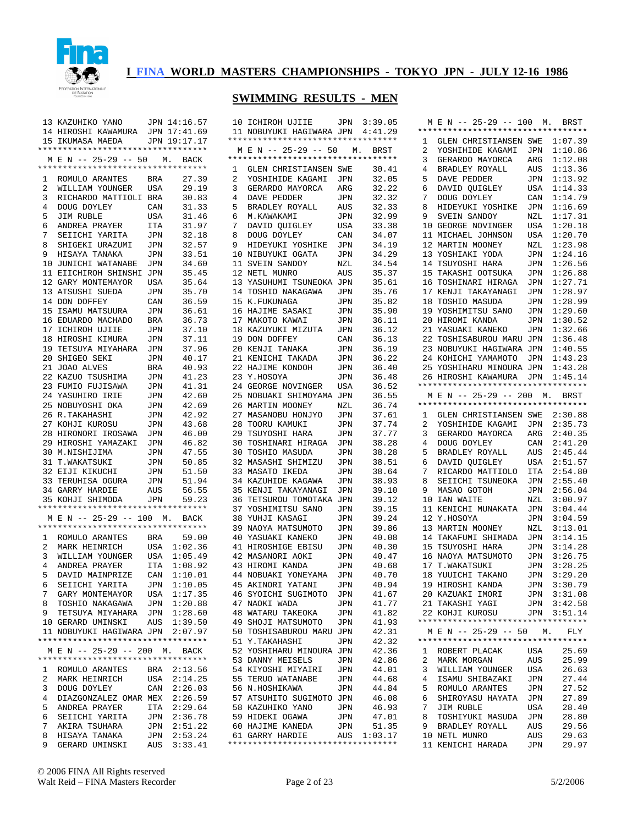

### **SWIMMING RESULTS - MEN**

10 ICHIROH UJIIE JPN 3:39.05

|                | 13 KAZUHIKO YANO JPN 14:16.57                                                                        |                |             |  |
|----------------|------------------------------------------------------------------------------------------------------|----------------|-------------|--|
|                | 13 AA2011110 1.1.0<br>14 HIROSHI KAWAMURA JPN 17:41.69<br>----- 10:17 17                             |                |             |  |
|                | 15 IKUMASA MAEDA JPN 19:17.17                                                                        |                |             |  |
|                | **********************************                                                                   |                |             |  |
|                | M E N -- 25-29 -- 50 M. BACK                                                                         |                |             |  |
|                | **********************************                                                                   |                |             |  |
| 1              | ROMULO ARANTES BRA                                                                                   |                | 27.39       |  |
| 2              | WILLIAM YOUNGER USA                                                                                  |                | 29.19       |  |
| 3              | RICHARDO MATTIOLI BRA                                                                                |                | 30.83       |  |
| 4              | DOUG DOYLEY                                                                                          | $\mathtt{CAN}$ | 31.33       |  |
| 5              | JIM RUBLE                                                                                            | USA            | 31.46       |  |
| 6              | ANDREA PRAYER                                                                                        | ITA            | 31.97       |  |
| 7              | SEIICHI YARITA                                                                                       | JPN            | 32.18       |  |
| 8              | SHIGEKI URAZUMI                                                                                      | $\mathtt{JPN}$ | 32.57       |  |
| 9              | HISAYA TANAKA                                                                                        | JPN            | 33.51       |  |
|                | 10 JUNICHI WATANABE JPN                                                                              |                | 34.60       |  |
|                | 11 EIICHIROH SHINSHI JPN                                                                             |                | 35.45       |  |
|                | 12 GARY MONTEMAYOR USA                                                                               |                | 35.64       |  |
|                | 13 ATSUSHI SUEDA                                                                                     | JPN            | 35.70       |  |
|                | 14 DON DOFFEY                                                                                        | $\mathtt{CAN}$ | 36.59       |  |
| 15             | ISAMU MATSUURA                                                                                       | JPN            | 36.61       |  |
|                | 16 EDUARDO MACHADO BRA                                                                               |                | 36.73       |  |
| 17             | ICHIROH UJIIE                                                                                        | JPN            | 37.10       |  |
|                | 18 HIROSHI KIMURA                                                                                    | JPN            | 37.11       |  |
|                | 19 TETSUYA MIYAHARA JPN                                                                              |                | 37.96       |  |
|                |                                                                                                      | JPN            | 40.17       |  |
|                | 20 SHIGEO SEKI JPN<br>21 JOAO ALVES BRA<br>22 KAZUO TSUSHIMA JPN                                     |                | 40.93       |  |
|                |                                                                                                      |                | 41.23       |  |
|                | 23 FUMIO FUJISAWA<br>24 YASUHIRO IRIE                                                                | JPN<br>JPN     | 41.31       |  |
|                |                                                                                                      |                | 42.60       |  |
|                | 25 NOBUYOSHI OKA                                                                                     | JPN<br>JPN     | 42.69       |  |
|                | 26 R.TAKAHASHI                                                                                       |                | 42.92       |  |
|                | 27 KOHJI KUROSU                                                                                      | JPN            | 43.68       |  |
|                | 28 HIRONORI IROSAWA JPN                                                                              |                | 46.00       |  |
|                |                                                                                                      |                | 46.82       |  |
|                | 29 HIROSHI YAMAZAKI JPN<br>30 M.NISHIJIMA JPN<br>30 M.NISHIJIMA<br>31 T.WAKATSUKI<br>32 EIJI KIKUCHI |                | 47.55       |  |
|                |                                                                                                      |                | 50.85       |  |
|                |                                                                                                      | JPN<br>JPN     | 51.50       |  |
|                | 33 TERUHISA OGURA                                                                                    | JPN            | 51.94       |  |
|                | 34 GARRY HARDIE                                                                                      | AUS            | 56.55       |  |
|                | 35 KOHJI SHIMODA JPN                                                                                 |                | 59.23       |  |
|                | **********************************                                                                   |                |             |  |
|                | M E N -- 25-29 -- 100 M. BACK                                                                        |                |             |  |
|                |                                                                                                      |                |             |  |
|                |                                                                                                      |                |             |  |
|                | 1 ROMULO ARANTES BRA 59.00<br>2 MARK HEINRICH USA 1:02.36                                            |                |             |  |
|                |                                                                                                      |                |             |  |
| $\overline{4}$ | 3 WILLIAM YOUNGER USA 1:05.49<br>4 ANDREA PRAYER ITA 1:08.92                                         |                |             |  |
| 5              | DAVID MAINPRIZE CAN 1:10.01                                                                          |                |             |  |
| 6              | SEIICHI YARITA                                                                                       |                | JPN 1:10.05 |  |
| 7              | GARY MONTEMAYOR USA 1:17.35                                                                          |                |             |  |
| 8              | TOSHIO NAKAGAWA                                                                                      | JPN            | 1:20.88     |  |
| 9              | TETSUYA MIYAHARA JPN 1:28.60                                                                         |                |             |  |
|                | 10 GERARD UMINSKI                                                                                    | AUS            | 1:39.50     |  |
|                | 11 NOBUYUKI HAGIWARA JPN 2:07.97                                                                     |                |             |  |
|                | **********************************                                                                   |                |             |  |
|                | M E N -- 25-29 -- 200 M. BACK                                                                        |                |             |  |
|                | **********************************                                                                   |                |             |  |
| 1              | ROMULO ARANTES BRA 2:13.56                                                                           |                |             |  |
| 2              | MARK HEINRICH                                                                                        | USA            | 2:14.25     |  |
| 3              | DOUG DOYLEY                                                                                          |                | CAN 2:26.03 |  |
| 4              | DIAZGONZALEZ OMAR MEX                                                                                |                | 2:26.59     |  |
| 5              | ANDREA PRAYER                                                                                        |                | ITA 2:29.64 |  |
| 6              | SEIICHI YARITA                                                                                       | JPN            | 2:36.78     |  |
| 7              | AKIRA TSUHARA                                                                                        |                | JPN 2:51.22 |  |
| 8              | HISAYA TANAKA                                                                                        | JPN            | 2:53.24     |  |
| 9              | GERARD UMINSKI                                                                                       |                | AUS 3:33.41 |  |
|                |                                                                                                      |                |             |  |

|                | 11 NOBUYUKI HAGIWARA JPN 4:41.29                                   |                      |                |
|----------------|--------------------------------------------------------------------|----------------------|----------------|
|                | **********************************                                 |                      |                |
|                | M E N -- 25-29 -- 50 M. BRST<br>********************************** |                      |                |
|                | 1 GLEN CHRISTIANSEN SWE                                            |                      | 30.41          |
| $\overline{2}$ | YOSHIHIDE KAGAMI JPN                                               |                      | 32.05          |
| 3              | GERARDO MAYORCA                                                    | ARG                  | 32.22          |
| 4              | DAVE PEDDER                                                        | JPN                  | 32.32          |
| 5              | BRADLEY ROYALL                                                     | AUS                  | 32.33          |
| 6              | M.KAWAKAMI                                                         | JPN                  | 32.99          |
| 7              | DAVID QUIGLEY                                                      | USA                  | 33.38          |
| 8              | DOUG DOYLEY                                                        | CAN                  | 34.07          |
| 9              | HIDEYUKI YOSHIKE<br>10 NIBUYUKI OGATA                              | JPN<br>JPN           | 34.19<br>34.29 |
|                | 11 SVEIN SANDOY                                                    | NZL                  | 34.54          |
|                | 12 NETL MUNRO                                                      | AUS                  | 35.37          |
|                | 13 YASUHUMI TSUNEOKA                                               | JPN                  | 35.61          |
|                | 14 TOSHIO NAKAGAWA                                                 | JPN                  | 35.76          |
|                | 15 K.FUKUNAGA                                                      | JPN                  | 35.82          |
|                | 16 HAJIME SASAKI                                                   | JPN                  | 35.90          |
|                | 17 MAKOTO KAWAI                                                    | JPN                  | 36.11<br>36.12 |
|                | 18 KAZUYUKI MIZUTA<br>19 DON DOFFEY                                | JPN<br>CAN           | 36.13          |
|                | 19 DON DOFFEY<br>20 KENJI TANAKA                                   | JPN                  | 36.19          |
|                | 21 KENICHI TAKADA                                                  | JPN                  | 36.22          |
|                | 22 HAJIME KONDOH                                                   | JPN                  | 36.40          |
|                | 23 Y.HOSOYA                                                        | JPN                  | 36.48          |
|                | 24 GEORGE NOVINGER                                                 | USA                  | 36.52          |
|                | 25 NOBUAKI SHIMOYAMA JPN                                           |                      | 36.55          |
|                | 26 MARTIN MOONEY                                                   | NZL                  | 36.74          |
|                | 27 MASANOBU HONJYO                                                 | JPN                  | 37.61          |
|                | 28 TOORU KAMUKI<br>29 TSUYOSHI HARA                                | JPN<br>JPN           | 37.74<br>37.77 |
|                | 30 TOSHINARI HIRAGA                                                | JPN                  | 38.28          |
|                | 30 TOSHIO MASUDA                                                   | JPN                  | 38.28          |
|                | 32 MASASHI SHIMIZU                                                 | JPN                  | 38.51          |
| 33             | MASATO IKEDA                                                       | JPN                  | 38.64          |
|                | 34 KAZUHIDE KAGAWA                                                 | JPN                  | 38.93          |
|                | 35 KENJI TAKAYANAGI                                                | JPN                  | 39.10          |
| 36             | TETSUROU TOMOTAKA                                                  | JPN                  | 39.12          |
| 37             | YOSHIMITSU SANO<br>38 YUHJI KASAGI                                 | JPN                  | 39.15<br>39.24 |
|                | 39 NAOYA MATSUMOTO                                                 | JPN<br>JPN           | 39.86          |
|                | 40 YASUAKI KANEKO                                                  | JPN                  | 40.08          |
|                | 41 HIROSHIGE EBISU                                                 | JPN                  | 40.30          |
|                | 42 MASANORI AOKI                                                   | JPN                  | 40.47          |
|                | 43 HIROMI KANDA                                                    | JPN                  | 40.68          |
|                | 44 NOBUAKI YONEYAMA                                                | JPN                  | 40.70          |
|                | 45 AKINORI YATANI                                                  | JPN                  | 40.94          |
|                | 46 SYOICHI SUGIMOTO                                                | JPN                  | 41.67          |
|                | 47 NAOKI WADA<br>48 WATARU TAKEOKA                                 | JPN<br>JPN           | 41.77<br>41.82 |
|                | 49 SHOJI MATSUMOTO JPN                                             |                      | 41.93          |
|                | 50 TOSHISABUROU MARU JPN                                           |                      | 42.31          |
|                | 51 Y.TAKAHASHI                                                     | JPN                  | 42.32          |
|                | 52 YOSHIHARU MINOURA JPN                                           |                      | 42.36          |
|                | 53 DANNY MEISELS                                                   | $\rm JPN$            | 42.86          |
|                | 54 KIYOSHI MIYAIRI                                                 | JPN                  | 44.01          |
|                | 55 TERUO WATANABE                                                  | $\mathtt{JPN}$       | 44.68          |
|                | 56 N.HOSHIKAWA                                                     | JPN                  | 44.84          |
|                | 57 ATSUHITO SUGIMOTO JPN                                           |                      | 46.08<br>46.93 |
|                | 58 KAZUHIKO YANO<br>59 HIDEKI OGAWA                                | JPN<br>$\frac{1}{2}$ | 47.01          |
|                | 60 HAJIME KANEDA                                                   | JPN                  | 51.35          |
|                | 61 GARRY HARDIE                                                    |                      | AUS 1:03.17    |
|                | *********************************                                  |                      |                |
|                |                                                                    |                      |                |

|                | M E N -- 25-29 -- 100 M. BRST      |                |                            |
|----------------|------------------------------------|----------------|----------------------------|
|                | *********************************  |                |                            |
| $\mathbf{1}$   | GLEN CHRISTIANSEN SWE              |                | 1:07.39                    |
| $\overline{2}$ | YOSHIHIDE KAGAMI JPN               |                | 1:10.86                    |
| 3              | GERARDO MAYORCA                    | ARG            | 1:12.08                    |
| 4              | BRADLEY ROYALL                     | AUS            | 1:13.36                    |
| 5              |                                    |                | 1:13.92                    |
|                | DAVE PEDDER                        | JPN            |                            |
| 6              | DAVID QUIGLEY                      | USA            | 1:14.33                    |
| 7              | DOUG DOYLEY                        | CAN            | 1:14.79                    |
| 8              | HIDEYUKI YOSHIKE                   | JPN            | 1:16.69                    |
| 9              | SVEIN SANDOY                       | NZL            | 1:17.31                    |
| 10             | GEORGE NOVINGER                    | USA            | 1:20.18                    |
| 11             | MICHAEL JOHNSON                    | USA            | 1:20.70                    |
| 12             | MARTIN MOONEY                      | NZL            | 1:23.98                    |
| 13             | YOSHIAKI YODA                      | JPN            | 1:24.16                    |
| 14             | TSUYOSHI HARA                      | JPN            | 1:26.56                    |
| 15             | TAKASHI OOTSUKA                    | JPN            | 1:26.88                    |
|                |                                    |                |                            |
| 16             | TOSHINARI HIRAGA                   | JPN            | 1:27.71                    |
| 17             | KENJI TAKAYANAGI                   | JPN            | 1:28.97                    |
| 18             | TOSHIO MASUDA                      | JPN            | 1:28.99                    |
| 19             | YOSHIMITSU SANO                    | JPN            | 1:29.60                    |
| 20             | HIROMI KANDA                       | JPN            | 1:30.52                    |
|                | 21 YASUAKI KANEKO                  | JPN            | 1:32.66                    |
| 22             | TOSHISABUROU MARU JPN              |                | 1:36.48                    |
| 23             | NOBUYUKI HAGIWARA JPN              |                | 1:40.55                    |
| 24             | KOHICHI YAMAMOTO JPN               |                | 1:43.23                    |
| 25             | YOSHIHARU MINOURA JPN              |                | 1:43.28                    |
| 26             | HIROSHI KAWAMURA                   | JPN            | 1:45.14                    |
|                | *********************************  |                |                            |
|                |                                    |                |                            |
|                | M E N -- 25-29 -- 200 M. BRST      |                |                            |
|                | ********************************** |                |                            |
| 1              | GLEN CHRISTIANSEN SWE              |                | 2:30.88                    |
| 2              | YOSHIHIDE KAGAMI                   | JPN            | 2:35.73                    |
| 3              | GERARDO MAYORCA                    | ARG            | 2:40.35                    |
| 4              | DOUG DOYLEY                        | CAN            | 2:41.20                    |
| 5              | BRADLEY ROYALL                     | AUS            | 2:45.44                    |
| 6              | DAVID QUIGLEY                      | USA            | 2:51.57                    |
| 7              | RICARDO MATTIOLO                   | ITA            | 2:54.80                    |
| 8              | SEIICHI TSUNEOKA                   | JPN            | 2:55.40                    |
| 9              | MASAO GOTOH                        | JPN            | 2:56.04                    |
| 10             | IAN WAITE                          | NZL            | 3:00.97                    |
| 11             |                                    | JPN            | 3:04.44                    |
|                | KENICHI MUNAKATA                   |                |                            |
|                | 12 Y.HOSOYA                        | JPN            | 3:04.59                    |
|                | 13 MARTIN MOONEY                   | NZL            | 3:13.01                    |
| 14             | TAKAFUMI SHIMADA                   | JPN            | 3:14.15                    |
| 15             | TSUYOSHI HARA                      | JPN            | 3:14.28                    |
|                | 16 NAOYA MATSUMOTO                 | JPN            | 3:26.75                    |
| 17             | T. WAKATSUKI                       | JPN<br>-       | 3:28.25                    |
| 18             | YUUICHI TAKANO                     | JPN            | 3:29.20                    |
|                | 19 HIROSHI KANDA                   | JPN            | 3:30.79                    |
|                | 20 KAZUAKI IMORI                   |                |                            |
|                | 21 TAKASHI YAGI                    |                | JPN 3:31.08<br>JPN 3:42.58 |
|                | 22 KOHJI KUROSU                    |                | JPN 3:51.14                |
|                | ********************************** |                |                            |
|                | M E N -- 25-29 -- 50 M. FLY        |                |                            |
|                | ********************************** |                |                            |
|                |                                    |                |                            |
| $\mathbf{1}$   | ROBERT PLACAK                      | USA            | 25.69                      |
| 2              | MARK MORGAN                        | AUS            | 25.99                      |
| 3              | WILLIAM YOUNGER                    | USA            | 26.63                      |
| 4              | ISAMU SHIBAZAKI                    | JPN            | 27.44                      |
| 5              | ROMULO ARANTES                     | JPN            | 27.52                      |
| 6              | SHIROYASU HAYATA                   | JPN            | 27.89                      |
| 7              | JIM RUBLE                          | USA            | 28.40                      |
| 8              | TOSHIYUKI MASUDA                   | $\mathtt{JPN}$ | 28.80                      |
| 9              | BRADLEY ROYALL                     | AUS            | 29.56                      |
|                | 10 NETL MUNRO                      | AUS            | 29.63                      |
|                | 11 KENICHI HARADA                  | JPN            | 29.97                      |
|                |                                    |                |                            |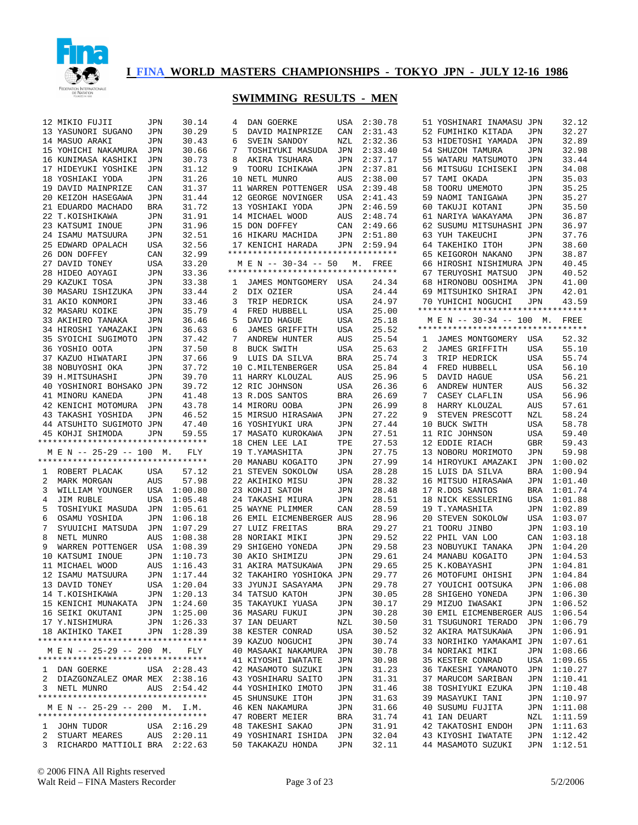

|   | 12 MIKIO FUJII                                   | JPN        | 30.14       | 4 | DAN GOERKE                               | USA        | 2:30.78        |   | 51 YOSHINARI INAMASU JPN                 |            | 32.12                      |
|---|--------------------------------------------------|------------|-------------|---|------------------------------------------|------------|----------------|---|------------------------------------------|------------|----------------------------|
|   | 13 YASUNORI SUGANO                               | JPN        | 30.29       | 5 | DAVID MAINPRIZE                          | CAN        | 2:31.43        |   | 52 FUMIHIKO KITADA                       | JPN        | 32.27                      |
|   | 14 MASUO ARAKI                                   | JPN        | 30.43       | 6 | SVEIN SANDOY                             | <b>NZL</b> | 2:32.36        |   | 53 HIDETOSHI YAMADA                      | <b>JPN</b> | 32.89                      |
|   | 15 YOHICHI NAKAMURA                              |            | 30.66       | 7 |                                          | <b>JPN</b> |                |   | 54 SHUZOH TAMURA                         | <b>JPN</b> | 32.98                      |
|   |                                                  | JPN        |             |   | TOSHIYUKI MASUDA                         |            | 2:33.40        |   |                                          |            |                            |
|   | 16 KUNIMASA KASHIKI                              | JPN        | 30.73       | 8 | AKIRA TSUHARA                            | JPN        | 2:37.17        |   | 55 WATARU MATSUMOTO                      | <b>JPN</b> | 33.44                      |
|   | 17 HIDEYUKI YOSHIKE                              | JPN        | 31.12       | 9 | TOORU ICHIKAWA                           | JPN        | 2:37.81        |   | 56 MITSUGU ICHISEKI                      | JPN        | 34.08                      |
|   | 18 YOSHIAKI YODA                                 | JPN        | 31.26       |   | 10 NETL MUNRO                            | <b>AUS</b> | 2:38.00        |   | 57 TAMI OKADA                            | JPN        | 35.03                      |
|   | 19 DAVID MAINPRIZE                               | CAN        | 31.37       |   | 11 WARREN POTTENGER                      | USA        | 2:39.48        |   | 58 TOORU UMEMOTO                         | JPN        | 35.25                      |
|   | 20 KEIZOH HASEGAWA                               | JPN        | 31.44       |   | 12 GEORGE NOVINGER                       | USA        | 2:41.43        |   | 59 NAOMI TANIGAWA                        | JPN        | 35.27                      |
|   | 21 EDUARDO MACHADO                               | BRA        | 31.72       |   | 13 YOSHIAKI YODA                         | JPN        | 2:46.59        |   | 60 TAKUJI KOTANI                         | JPN        | 35.50                      |
|   | 22 T.KOISHIKAWA                                  | JPN        | 31.91       |   | 14 MICHAEL WOOD                          | AUS        | 2:48.74        |   | 61 NARIYA WAKAYAMA                       | JPN        | 36.87                      |
|   | 23 KATSUMI INOUE                                 | JPN        | 31.96       |   | 15 DON DOFFEY                            | CAN        | 2:49.66        |   | 62 SUSUMU MITSUHASHI JPN                 |            | 36.97                      |
|   | 24 ISAMU MATSUURA                                | JPN        | 32.51       |   | 16 HIKARU MACHIDA                        | JPN        | 2:51.80        |   | 63 YUH TAKEUCHI                          | JPN        | 37.76                      |
|   |                                                  |            | 32.56       |   | 17 KENICHI HARADA                        |            | 2:59.94        |   | 64 TAKEHIKO ITOH                         |            |                            |
|   | 25 EDWARD OPALACH                                | USA        |             |   | **********************************       | JPN        |                |   |                                          | JPN        | 38.60                      |
|   | 26 DON DOFFEY                                    | CAN        | 32.99       |   |                                          |            |                |   | 65 KEIGOROH NAKANO                       | JPN        | 38.87                      |
|   | 27 DAVID TONEY                                   | USA        | 33.20       |   | M E N -- 30-34 -- 50                     |            | M. FREE        |   | 66 HIROSHI NISHIMURA JPN                 |            | 40.45                      |
|   | 28 HIDEO AOYAGI                                  | JPN        | 33.36       |   | *********************************        |            |                |   | 67 TERUYOSHI MATSUO                      | JPN        | 40.52                      |
|   | 29 KAZUKI TOSA                                   | JPN        | 33.38       | 1 | JAMES MONTGOMERY                         | USA        | 24.34          |   | 68 HIRONOBU OOSHIMA                      | JPN        | 41.00                      |
|   | 30 MASARU ISHIZUKA                               | JPN        | 33.44       | 2 | DIX OZIER                                | USA        | 24.44          |   | 69 MITSUHIKO SHIRAI                      | JPN        | 42.01                      |
|   | 31 AKIO KONMORI                                  | JPN        | 33.46       | 3 | TRIP HEDRICK                             | USA        | 24.97          |   | 70 YUHICHI NOGUCHI                       | JPN        | 43.59                      |
|   | 32 MASARU KOIKE                                  | JPN        | 35.79       | 4 | FRED HUBBELL                             | USA        | 25.00          |   | **********************************       |            |                            |
|   | 33 AKIHIRO TANAKA                                | JPN        | 36.46       | 5 | DAVID HAGUE                              | USA        | 25.18          |   | M E N -- 30-34 -- 100 M.                 |            | FREE                       |
|   |                                                  |            |             |   |                                          |            |                |   | **********************************       |            |                            |
|   | 34 HIROSHI YAMAZAKI                              | JPN        | 36.63       | 6 | JAMES GRIFFITH                           | USA        | 25.52          |   |                                          |            |                            |
|   | 35 SYOICHI SUGIMOTO                              | <b>JPN</b> | 37.42       | 7 | ANDREW HUNTER                            | AUS        | 25.54          | 1 | JAMES MONTGOMERY                         | USA        | 52.32                      |
|   | 36 YOSHIO OOTA                                   | JPN        | 37.50       | 8 | <b>BUCK SWITH</b>                        | USA        | 25.63          | 2 | <b>JAMES GRIFFITH</b>                    | USA        | 55.10                      |
|   | 37 KAZUO HIWATARI                                | JPN        | 37.66       | 9 | LUIS DA SILVA                            | <b>BRA</b> | 25.74          | 3 | TRIP HEDRICK                             | <b>USA</b> | 55.74                      |
|   | 38 NOBUYOSHI OKA                                 | JPN        | 37.72       |   | 10 C.MILTENBERGER                        | USA        | 25.84          | 4 | FRED HUBBELL                             | <b>USA</b> | 56.10                      |
|   | 39 H.MITSUHASHI                                  | JPN        | 39.70       |   | 11 HARRY KLOUZAL                         | <b>AUS</b> | 25.96          | 5 | DAVID HAGUE                              | <b>USA</b> | 56.21                      |
|   | 40 YOSHINORI BOHSAKO                             | JPN        | 39.72       |   | 12 RIC JOHNSON                           | USA        | 26.36          | 6 | ANDREW HUNTER                            | AUS        | 56.32                      |
|   | 41 MINORU KANEDA                                 | JPN        | 41.48       |   | 13 R.DOS SANTOS                          | BRA        | 26.69          | 7 | CASEY CLAFLIN                            | <b>USA</b> | 56.96                      |
|   |                                                  |            | 43.78       |   |                                          |            | 26.99          | 8 | HARRY KLOUZAL                            | <b>AUS</b> | 57.61                      |
|   | 42 KENICHI MOTOMURA                              | JPN        |             |   | 14 MIRORU OOBA                           | JPN        |                |   |                                          |            |                            |
|   | 43 TAKASHI YOSHIDA                               | JPN        | 46.52       |   | 15 MIRSUO HIRASAWA                       | JPN        | 27.22          | 9 | STEVEN PRESCOTT                          | NZL        | 58.24                      |
|   | 44 ATSUHITO SUGIMOTO JPN                         |            | 47.40       |   | 16 YOSHIYUKI URA                         | JPN        | 27.44          |   | 10 BUCK SWITH                            | <b>USA</b> | 58.78                      |
|   | 45 KOHJI SHIMODA                                 | JPN        | 59.55       |   | 17 MASATO KUROKAWA                       | JPN        | 27.51          |   | 11 RIC JOHNSON                           | USA        | 59.40                      |
|   | **********************************               |            |             |   | 18 CHEN LEE LAI                          | TPE        | 27.53          |   | 12 EDDIE RIACH                           | <b>GBR</b> | 59.43                      |
|   | M E N -- 25-29 -- 100                            | М.         | FLY         |   | 19 T.YAMASHITA                           | JPN        | 27.75          |   | 13 NOBORU MORIMOTO                       | <b>JPN</b> | 59.98                      |
|   | **********************************               |            |             |   | 20 MANABU KOGAITO                        | JPN        | 27.99          |   | 14 HIROYUKI AMAZAKI                      | JPN        | 1:00.02                    |
| 1 | ROBERT PLACAK                                    | USA        | 57.12       |   | 21 STEVEN SOKOLOW                        | USA        | 28.28          |   | 15 LUIS DA SILVA                         | BRA        | 1:00.94                    |
| 2 |                                                  |            | 57.98       |   |                                          |            | 28.32          |   | 16 MITSUO HIRASAWA                       |            | 1:01.40                    |
|   | MARK MORGAN                                      | AUS        |             |   | 22 AKIHIKO MISU                          | JPN        |                |   |                                          | JPN        |                            |
| 3 | WILLIAM YOUNGER                                  | USA        | 1:00.80     |   | 23 KOHJI SATOH                           | JPN        | 28.48          |   | 17 R.DOS SANTOS                          | BRA        | 1:01.74                    |
| 4 | JIM RUBLE                                        | USA        | 1:05.48     |   | 24 TAKASHI MIURA                         | JPN        | 28.51          |   | 18 NICK KESSLERING                       | USA        | 1:01.88                    |
| 5 | TOSHIYUKI MASUDA                                 | JPN        | 1:05.61     |   | 25 WAYNE PLIMMER                         | CAN        | 28.59          |   | 19 T.YAMASHITA                           | JPN        | 1:02.89                    |
| 6 | OSAMU YOSHIDA                                    | JPN        | 1:06.18     |   | 26 EMIL EICMENBERGER AUS                 |            | 28.96          |   | 20 STEVEN SOKOLOW                        | USA        | 1:03.07                    |
| 7 | SYUUICHI MATSUDA                                 | JPN        | 1:07.29     |   | 27 LUIZ FREITAS                          | BRA        | 29.27          |   | 21 TOORU JINBO                           | JPN        | 1:03.10                    |
| 8 | NETL MUNRO                                       | AUS        | 1:08.38     |   | 28 NORIAKI MIKI                          | JPN        | 29.52          |   | 22 PHIL VAN LOO                          | CAN        | 1:03.18                    |
| 9 | WARREN POTTENGER                                 | USA        | 1:08.39     |   | 29 SHIGEHO YONEDA                        | JPN        | 29.58          |   | 23 NOBUYUKI TANAKA                       | JPN        | 1:04.20                    |
|   | 10 KATSUMI INOUE                                 | JPN        | 1:10.73     |   | 30 AKIO SHIMIZU                          | JPN        | 29.61          |   | 24 MANABU KOGAITO                        | JPN        | 1:04.53                    |
|   | 11 MICHAEL WOOD                                  | AUS        | 1:16.43     |   | 31 AKIRA MATSUKAWA                       | JPN        | 29.65          |   | 25 K.KOBAYASHI                           | JPN        | 1:04.81                    |
|   |                                                  |            |             |   |                                          |            |                |   |                                          |            |                            |
|   | 12 ISAMU MATSUURA                                | <b>JPN</b> | 1:17.44     |   | 32 TAKAHIRO YOSHIOKA JPN                 |            | 29.77          |   | 26 MOTOFUMI OHISHI                       | JPN        | 1:04.84                    |
|   | 13 DAVID TONEY                                   |            | USA 1:20.04 |   | 33 JYUNJI SASAYAMA                       | JPN        | 29.78          |   | 27 YOUICHI OOTSUKA                       |            | JPN 1:06.08                |
|   | 14 T.KOISHIKAWA                                  |            | JPN 1:20.13 |   | 34 TATSUO KATOH                          | JPN        | 30.05          |   | 28 SHIGEHO YONEDA                        |            | JPN 1:06.30                |
|   | 15 KENICHI MUNAKATA JPN                          |            | 1:24.60     |   | 35 TAKAYUKI YUASA                        | JPN        | 30.17          |   | 29 MIZUO IWASAKI                         |            | JPN 1:06.52                |
|   | 16 SEIKI OKUTANI                                 |            | JPN 1:25.00 |   | 36 MASARU FUKUI                          | JPN        | 30.28          |   | 30 EMIL EICMENBERGER AUS 1:06.54         |            |                            |
|   | 17 Y.NISHIMURA                                   |            | JPN 1:26.33 |   | 37 IAN DEUART                            | NZL        | 30.50          |   | 31 TSUGUNORI TERADO                      |            | JPN 1:06.79                |
|   | 18 AKIHIKO TAKEI                                 |            | JPN 1:28.39 |   | 38 KESTER CONRAD                         | USA        | 30.52          |   | 32 AKIRA MATSUKAWA                       |            | JPN 1:06.91                |
|   | **********************************               |            |             |   |                                          |            |                |   | 33 NORIHIKO YAMAKAMI JPN 1:07.61         |            |                            |
|   |                                                  |            |             |   | 39 KAZUO NOGUCHI                         | JPN        | 30.74          |   |                                          |            |                            |
|   | M E N -- 25-29 -- 200 M.                         |            | FLY         |   | 40 MASAAKI NAKAMURA                      | JPN        | 30.78          |   | 34 NORIAKI MIKI                          |            | JPN 1:08.66                |
|   | **********************************               |            |             |   | 41 KIYOSHI IWATATE                       | JPN        | 30.98          |   | 35 KESTER CONRAD                         |            | USA 1:09.65                |
|   | 1 DAN GOERKE                                     |            | USA 2:28.43 |   | 42 MASAMOTO SUZUKI                       | JPN        | 31.23          |   | 36 TAKESHI YAMANOTO                      |            | JPN 1:10.27                |
|   | 2 DIAZGONZALEZ OMAR MEX 2:38.16                  |            |             |   | 43 YOSHIHARU SAITO                       | JPN        | 31.31          |   | 37 MARUCOM SARIBAN                       |            | JPN 1:10.41                |
|   | 3 NETL MUNRO                                     |            | AUS 2:54.42 |   | 44 YOSHIHIKO IMOTO                       | JPN        | 31.46          |   | 38 TOSHIYUKI EZUKA                       |            | JPN 1:10.48                |
|   | **********************************               |            |             |   | 45 SHUNSUKE ITOH                         | JPN        | 31.63          |   | 39 MASAYUKI TANI                         |            | JPN 1:10.97                |
|   | M E N -- 25-29 -- 200 M. I.M.                    |            |             |   | <b>46 KEN NAKAMURA</b>                   | JPN        | 31.66          |   | 40 SUSUMU FUJITA                         |            | JPN 1:11.08                |
|   | **********************************               |            |             |   | 47 ROBERT MEIER                          |            |                |   |                                          |            |                            |
|   |                                                  |            |             |   |                                          | BRA        | 31.74          |   | 41 IAN DEUART                            |            | NZL 1:11.59                |
|   |                                                  |            |             |   |                                          |            |                |   |                                          |            |                            |
|   | 1 JOHN TUDOR                                     |            | USA 2:16.29 |   | 48 TAKESHI SAKAO                         | JPN        | 31.91          |   | 42 TAKATOSHI ENDOH                       |            | JPN 1:11.63                |
| 2 | STUART MEARES<br>3 RICHARDO MATTIOLI BRA 2:22.63 | AUS        | 2:20.11     |   | 49 YOSHINARI ISHIDA<br>50 TAKAKAZU HONDA | JPN<br>JPN | 32.04<br>32.11 |   | 43 KIYOSHI IWATATE<br>44 MASAMOTO SUZUKI |            | JPN 1:12.42<br>JPN 1:12.51 |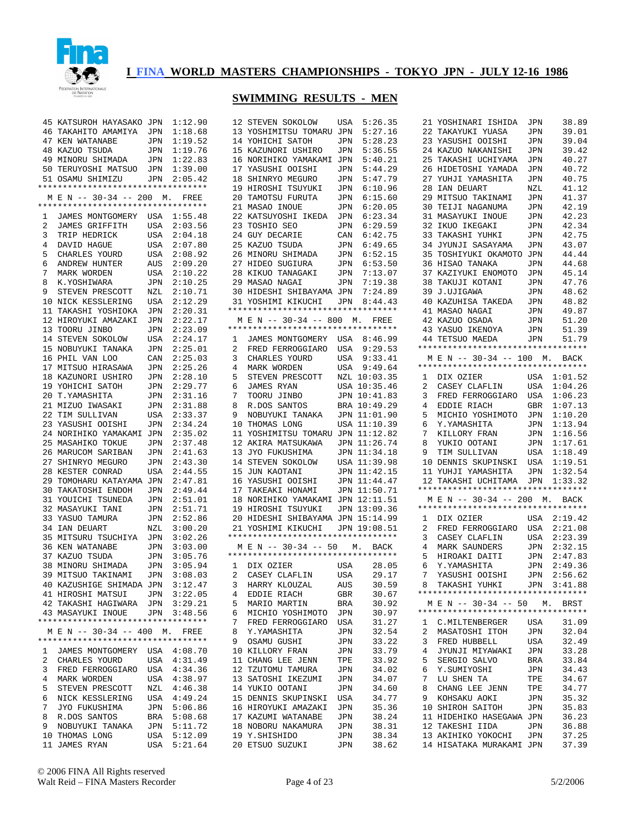

|   | 45 KATSUROH HAYASAKO JPN                                    |     | 1:12.90     |                | 12 STEVEN SOKOLOW                  | USA | 5:26.35      |
|---|-------------------------------------------------------------|-----|-------------|----------------|------------------------------------|-----|--------------|
|   | 46 TAKAHITO AMAMIYA                                         | JPN | 1:18.68     |                | 13 YOSHIMITSU TOMARU JPN           |     | 5:27.16      |
|   | 47 KEN WATANABE                                             | JPN | 1:19.52     |                | 14 YOHICHI SATOH                   | JPN | 5:28.23      |
|   | 48 KAZUO TSUDA                                              | JPN | 1:19.76     |                | 15 KAZUNORI USHIRO                 | JPN | 5:36.55      |
|   | 49 MINORU SHIMADA                                           | JPN | 1:22.83     |                | 16 NORIHIKO YAMAKAMI JPN           |     | 5:40.21      |
|   | 50 TERUYOSHI MATSUO                                         | JPN | 1:39.00     |                | 17 YASUSHI OOISHI                  | JPN | 5:44.29      |
|   |                                                             |     | 2:05.42     |                |                                    | JPN | 5:47.79      |
|   | 51 OSAMU SHIMIZU<br>**********************************      | JPN |             |                | 18 SHINRYO MEGURO                  |     | 6:10.96      |
|   |                                                             |     |             |                | 19 HIROSHI TSUYUKI                 | JPN |              |
|   | M E N -- 30-34 -- 200<br>********************************** | М.  | FREE        |                | 20 TAMOTSU FURUTA                  | JPN | 6:15.60      |
|   |                                                             |     |             |                | 21 MASAO INOUE                     | JPN | 6:20.05      |
| 1 | JAMES MONTGOMERY                                            | USA | 1:55.48     |                | 22 KATSUYOSHI IKEDA                | JPN | 6:23.34      |
| 2 | <b>JAMES GRIFFITH</b>                                       | USA | 2:03.56     |                | 23 TOSHIO SEO                      | JPN | 6:29.59      |
| 3 | TRIP HEDRICK                                                | USA | 2:04.18     |                | 24 GUY DECARIE                     | CAN | 6:42.75      |
| 4 | DAVID HAGUE                                                 | USA | 2:07.80     |                | 25 KAZUO TSUDA                     | JPN | 6:49.65      |
| 5 | CHARLES YOURD                                               | USA | 2:08.92     |                | 26 MINORU SHIMADA                  | JPN | 6:52.15      |
| 6 | ANDREW HUNTER                                               | AUS | 2:09.20     |                | 27 HIDEO SUGIURA                   | JPN | 6:53.50      |
| 7 | MARK WORDEN                                                 | USA | 2:10.22     |                | 28 KIKUO TANAGAKI                  | JPN | 7:13.07      |
| 8 | K.YOSHIWARA                                                 | JPN | 2:10.25     |                | 29 MASAO NAGAI                     | JPN | 7:19.38      |
| 9 | STEVEN PRESCOTT                                             | NZL | 2:10.71     |                | 30 HIDESHI SHIBAYAMA JPN           |     | 7:24.89      |
|   | 10 NICK KESSLERING                                          | USA | 2:12.29     |                | 31 YOSHIMI KIKUCHI                 | JPN | 8:44.43      |
|   | 11 TAKASHI YOSHIOKA                                         | JPN | 2:20.31     |                | *********************************  |     |              |
|   | 12 HIROYUKI AMAZAKI                                         | JPN | 2:22.17     |                | M E N -- 30-34 -- 800              | M.  | FREE         |
|   | 13 TOORU JINBO                                              | JPN | 2:23.09     |                | ********************************** |     |              |
|   | 14 STEVEN SOKOLOW                                           | USA | 2:24.17     | 1              | JAMES MONTGOMERY                   | USA | 8:46.99      |
|   | 15 NOBUYUKI TANAKA                                          | JPN | 2:25.01     | 2              | FRED FERROGGIARO                   | USA | 9:29.53      |
|   |                                                             |     | 2:25.03     | 3              | CHARLES YOURD                      |     | 9:33.41      |
|   | 16 PHIL VAN LOO                                             | CAN |             |                |                                    | USA |              |
|   | 17 MITSUO HIRASAWA                                          | JPN | 2:25.26     | 4              | MARK WORDEN                        | USA | 9:49.64      |
|   | 18 KAZUNORI USHIRO                                          | JPN | 2:28.10     | 5              | STEVEN PRESCOTT                    |     | NZL 10:03.35 |
|   | 19 YOHICHI SATOH                                            | JPN | 2:29.77     | 6              | JAMES RYAN                         |     | USA 10:35.46 |
|   | 20 T.YAMASHITA                                              | JPN | 2:31.16     | 7              | TOORU JINBO                        |     | JPN 10:41.83 |
|   | 21 MIZUO IWASAKI                                            | JPN | 2:31.88     | 8              | R.DOS SANTOS                       |     | BRA 10:49.29 |
|   | 22 TIM SULLIVAN                                             | USA | 2:33.37     | 9              | NOBUYUKI TANAKA                    |     | JPN 11:01.90 |
|   | 23 YASUSHI OOISHI                                           | JPN | 2:34.24     |                | 10 THOMAS LONG                     |     | USA 11:10.39 |
|   | 24 NORIHIKO YAMAKAMI                                        | JPN | 2:35.02     |                | 11 YOSHIMITSU TOMARU               |     | JPN 11:12.82 |
|   | 25 MASAHIKO TOKUE                                           | JPN | 2:37.48     |                | 12 AKIRA MATSUKAWA                 |     | JPN 11:26.74 |
|   | 26 MARUCOM SARIBAN                                          | JPN | 2:41.63     |                | 13 JYO FUKUSHIMA                   |     | JPN 11:34.18 |
|   | 27 SHINRYO MEGURO                                           | JPN | 2:43.30     |                | 14 STEVEN SOKOLOW                  |     | USA 11:39.98 |
|   | 28 KESTER CONRAD                                            | USA | 2:44.55     |                | 15 JUN KAOTANI                     |     | JPN 11:42.15 |
|   | 29 TOMOHARU KATAYAMA JPN                                    |     | 2:47.81     |                | 16 YASUSHI OOISHI                  |     | JPN 11:44.47 |
|   | 30 TAKATOSHI ENDOH                                          | JPN | 2:49.44     |                | 17 TAKEAKI HONAMI                  |     | JPN 11:50.71 |
|   | 31 YOUICHI TSUNEDA                                          | JPN | 2:51.01     |                | 18 NORIHIKO YAMAKAMI JPN 12:11.51  |     |              |
|   | 32 MASAYUKI TANI                                            | JPN | 2:51.71     |                | 19 HIROSHI TSUYUKI                 |     | JPN 13:09.36 |
|   | 33 YASUO TAMURA                                             | JPN | 2:52.86     |                | 20 HIDESHI SHIBAYAMA JPN 15:14.99  |     |              |
|   | 34 IAN DEUART                                               | NZL | 3:00.20     |                | 21 YOSHIMI KIKUCHI                 |     | JPN 19:08.51 |
|   | 35 MITSURU TSUCHIYA                                         | JPN | 3:02.26     |                | *********************************  |     |              |
|   | <b>36 KEN WATANABE</b>                                      | JPN | 3:03.00     |                | M E N -- 30-34 -- 50               |     | М.<br>BACK   |
|   | 37 KAZUO TSUDA                                              | JPN | 3:05.76     |                | ********************************** |     |              |
|   | 38 MINORU SHIMADA                                           | JPN | 3:05.94     | 1              | DIX OZIER                          | USA | 28.05        |
|   | 39 MITSUO TAKINAMI                                          |     | 3:08.03     | $\overline{2}$ |                                    |     | 29.17        |
|   |                                                             | JPN |             |                | CASEY CLAFLIN                      | USA |              |
|   | 40 KAZUSHIGE SHIMADA JPN 3:12.47                            |     |             | 3              | HARRY KLOUZAL                      | AUS | 30.59        |
|   | 41 HIROSHI MATSUI                                           |     | JPN 3:22.05 | 4              | EDDIE RIACH                        | GBR | 30.67        |
|   | 42 TAKASHI HAGIWARA JPN 3:29.21                             |     |             | 5              | MARIO MARTIN                       | BRA | 30.92        |
|   | 43 MASAYUKI INOUE                                           | JPN | 3:48.56     | 6              | MICHIO YOSHIMOTO                   | JPN | 30.97        |
|   | *********************************                           |     |             | 7              | FRED FERROGGIARO                   | USA | 31.27        |
|   | M E N -- 30-34 -- 400 M.                                    |     | FREE        | 8              | Y.YAMASHITA                        | JPN | 32.54        |
|   | **********************************                          |     |             | 9              | OSAMU GUSHI                        | JPN | 33.22        |
| 1 | JAMES MONTGOMERY                                            |     | USA 4:08.70 |                | 10 KILLORY FRAN                    | JPN | 33.79        |
| 2 | CHARLES YOURD                                               |     | USA 4:31.49 |                | 11 CHANG LEE JENN                  | TPE | 33.92        |
| 3 | FRED FERROGGIARO                                            |     | USA 4:34.36 |                | 12 TZUTOMU TAMURA                  | JPN | 34.02        |
| 4 | MARK WORDEN                                                 | USA | 4:38.97     |                | 13 SATOSHI IKEZUMI                 | JPN | 34.07        |
| 5 | STEVEN PRESCOTT                                             |     | NZL 4:46.38 |                | 14 YUKIO OOTANI                    | JPN | 34.60        |
| 6 | NICK KESSLERING                                             | USA | 4:49.24     |                | 15 DENNIS SKUPINSKI                | USA | 34.77        |
| 7 | JYO FUKUSHIMA                                               | JPN | 5:06.86     |                | 16 HIROYUKI AMAZAKI                | JPN | 35.36        |
| 8 | R.DOS SANTOS                                                | BRA | 5:08.68     |                | 17 KAZUMI WATANABE                 | JPN | 38.24        |
| 9 | NOBUYUKI TANAKA                                             | JPN | 5:11.72     |                | 18 NOBORU NAKAMURA                 | JPN | 38.31        |
|   | 10 THOMAS LONG                                              | USA | 5:12.09     |                | 19 Y.SHISHIDO                      | JPN | 38.34        |
|   | 11 JAMES RYAN                                               | USA | 5:21.64     |                | 20 ETSUO SUZUKI                    | JPN | 38.62        |
|   |                                                             |     |             |                |                                    |     |              |

| 13             | YOSHIMITSU TOMARU                                                  | JPN        | 5:27.16      |
|----------------|--------------------------------------------------------------------|------------|--------------|
| 14             | YOHICHI SATOH                                                      | JPN        | 5:28.23      |
| 15             | KAZUNORI USHIRO                                                    | JPN        | 5:36.55      |
| 16             | NORIHIKO YAMAKAMI                                                  | JPN        | 5:40.21      |
| 17             | YASUSHI OOISHI                                                     | JPN        | 5:44.29      |
| 18             | SHINRYO MEGURO                                                     | JPN        | 5:47.79      |
| 19             | TSUYUKI<br>HIROSHI                                                 | JPN        | 6:10.96      |
| 20             | TAMOTSU FURUTA                                                     | JPN        | 6:15.60      |
| 21             | MASAO INOUE                                                        |            | 6:20.05      |
|                |                                                                    | JPN        | 6:23.34      |
| 22             | KATSUYOSHI IKEDA                                                   | JPN        |              |
| 23             | TOSHIO SEO                                                         | JPN        | 6:29.59      |
| 24             | GUY DECARIE<br>KAZUO TSUDA                                         | CAN        | 6:42.75      |
| 25             | KAZUO TSUDA                                                        | JPN        | 6:49.65      |
| 26             | MINORU SHIMADA                                                     | JPN        | 6:52.15      |
| 27             | HIDEO SUGIURA                                                      | JPN        | 6:53.50      |
| 28             | KIKUO TANAGAKI                                                     | JPN        | 7:13.07      |
|                | 29 MASAO NAGAI                                                     | JPN        | 7:19.38      |
|                | 30 HIDESHI SHIBAYAMA                                               | JPN        | 7:24.89      |
|                | 31 YOSHIMI KIKUCHI JPN                                             |            | 8:44.43      |
|                | **********************************                                 |            |              |
|                | M E N -- 30-34 -- 800 M. FREE                                      |            |              |
|                | **********************************                                 |            |              |
| $\mathbf{1}$   | JAMES MONTGOMERY USA 8:46.99                                       |            |              |
| $\overline{a}$ | FRED FERROGGIARO                                                   | USA        | 9:29.53      |
| 3              | CHARLES YOURD<br>MARK WORDEN                                       | USA        | 9:33.41      |
| 4              | MARK WORDEN                                                        | USA        | 9:49.64      |
| 5              | STEVEN PRESCOTT                                                    | NZL        | 10:03.35     |
| 6              | JAMES RYAN                                                         | USA        | 10:35.46     |
| 7              | TOORU JINBO                                                        | JPN        | 10:41.83     |
| 8              | R.DOS SANTOS                                                       | BRA        | 10:49.29     |
| 9              | NOBUYUKI TANAKA                                                    | JPN        | 11:01.90     |
| 10             | THOMAS LONG                                                        | USA        | 11:10.39     |
| 11             | YOSHIMITSU TOMARU                                                  | JPN        | 11:12.82     |
|                | 12 AKIRA MATSUKAWA                                                 | JPN        | 11:26.74     |
| 13             | JYO FUKUSHIMA                                                      | JPN        | 11:34.18     |
| 14             | STEVEN SOKOLOW                                                     | USA        | 11:39.98     |
| 15             |                                                                    | JPN        | 11:42.15     |
|                | JUN KAOTANI                                                        |            |              |
| 16             | YASUSHI OOISHI                                                     | JPN        | 11:44.47     |
| 17             | TAKEAKI HONAMI                                                     | JPN        | 11:50.71     |
| 18             | NORIHIKO YAMAKAMI                                                  | JPN        | 12:11.51     |
| 19             | HIROSHI TSUYUKI                                                    | JPN        | 13:09.36     |
| 20             | HIDESHI SHIBAYAMA JPN                                              |            | 15:14.99     |
| 21             | YOSHIMI KIKUCHI                                                    |            | JPN 19:08.51 |
|                | **********************************                                 |            |              |
|                | M E N -- 30-34 -- 50 M. BACK<br>********************************** |            |              |
|                |                                                                    |            |              |
| $\mathbf{1}$   | DIX OZIER                                                          | USA        | 28.05        |
| $\overline{2}$ | CASEY CLAFLIN                                                      | USA        | 29.17        |
| 3              | HARRY KLOUZAL<br>PDDIR RIACH                                       | AUS        | 30.59        |
| 4              | EDDIE RIACH                                                        | GBR        | 30.67        |
| 5              | MARIO MARTIN                                                       | BRA        | 30.92        |
| 6              | MICHIO YOSHIMOTO                                                   | JPN        | 30.97        |
| 7              | FRED FERROGGIARO                                                   | USA        | 31.27        |
| 8              | Y.YAMASHITA                                                        | JPN        | 32.54        |
| 9              | OSAMU GUSHI                                                        | JPN        | 33.22        |
| 10             | KILLORY FRAN                                                       | JPN        | 33.79        |
| 11             | CHANG LEE JENN                                                     | TPE        | 33.92        |
| 12             | TZUTOMU TAMURA                                                     | JPN        | 34.02        |
| 13             | SATOSHI IKEZUMI                                                    | JPN        | 34.07        |
| 14             | YUKIO OOTANI                                                       | JPN        | 34.60        |
| 15             | DENNIS SKUPINSKI                                                   | <b>USA</b> | 34.77        |
|                |                                                                    |            |              |
| 16             | HIROYUKI AMAZAKI                                                   | JPN        | 35.36        |
| 17             | KAZUMI WATANABE                                                    | JPN        | 38.24        |
| 18             | NOBORU NAKAMURA                                                    | JPN        | 38.31        |
|                | 19 Y.SHISHIDO                                                      | JPN        | 38.34        |
| $20\,$         | ETSUO SUZUKI                                                       | JPN        | 38.62        |
|                |                                                                    |            |              |

| 21             | YOSHINARI ISHIDA                                                           | JPN          | 38.89          |
|----------------|----------------------------------------------------------------------------|--------------|----------------|
| 22             | TAKAYUKI YUASA                                                             | JPN          | 39.01          |
| 23             | YASUSHI OOISHI                                                             | JPN          | 39.04          |
| 24             | KAZUO NAKANISHI                                                            | JPN          | 39.42          |
| 25             | TAKASHI UCHIYAMA                                                           | JPN          | 40.27          |
| 26             | HIDETOSHI YAMADA                                                           | JPN          | 40.72          |
| 27             | YUHJI YAMASHITA                                                            | JPN          | 40.75          |
| 28             | IAN DEUART                                                                 | NZL          | 41.12          |
| 29             | MITSUO TAKINAMI                                                            | JPN          | 41.37          |
| 30             | TEIJI NAGANUMA                                                             | JPN          | 42.19          |
| 31             | MASAYUKI INOUE                                                             | JPN          | 42.23          |
| 32             | IKUO IKEGAKI                                                               | JPN          | 42.34          |
| 33             | TAKASHI YUHKI                                                              | JPN          | 42.75          |
| 34             | JYUNJI SASAYAMA                                                            | JPN          | 43.07          |
| 35             | TOSHIYUKI OKAMOTO                                                          | JPN          | 44.44          |
| 36             | HISAO TANAKA                                                               | JPN          | 44.68          |
| 37             | KAZIYUKI ENOMOTO                                                           | JPN          | 45.14          |
| 38             | TAKUJI KOTANI                                                              | JPN          | 47.76          |
| 39             | J.UJIGAWA                                                                  | JPN          | 48.62          |
| 40             | KAZUHISA TAKEDA                                                            | JPN          | 48.82          |
| 41             | MASAO NAGAI                                                                | JPN          | 49.87          |
| 42             | KAZUO OSADA                                                                | JPN          | 51.20          |
| 43             | YASUO IKENOYA                                                              | JPN          | 51.39          |
|                | 44 TETSUO MAEDA                                                            | JPN          | 51.79          |
|                | **********************************                                         |              |                |
|                | M E N -- 30-34 -- 100 M. BACK                                              |              |                |
|                | **********************************                                         |              |                |
| $\mathbf{1}$   | DIX OZIER                                                                  | USA          | 1:01.52        |
| $\overline{2}$ | CASEY CLAFLIN                                                              | USA          | 1:04.26        |
| 3              | FRED FERROGGIARO                                                           | USA          | 1:06.23        |
| 4              | EDDIE RIACH                                                                | GBR          | 1:07.13        |
| 5              | MICHIO YOSHIMOTO                                                           | JPN          | 1:10.20        |
| 6              | Y.YAMASHITA                                                                | JPN          | 1:13.94        |
| 7              | KILLORY FRAN                                                               | JPN          | 1:16.56        |
| 8              | YUKIO OOTANI                                                               | JPN          | 1:17.61        |
| 9              | TIM SULLIVAN                                                               | USA          | 1:18.49        |
|                | 10 DENNIS SKUPINSKI                                                        | USA          | 1:19.51        |
| 11             | YUHJI YAMASHITA                                                            | JPN          | 1:32.54        |
| 12             | TAKASHI UCHITAMA                                                           | JPN          | 1:33.32        |
|                | **********************************                                         |              |                |
|                | M E N -- 30-34 -- 200 M. BACK                                              |              |                |
|                | **********************************                                         |              |                |
| $\mathbf{1}$   | DIX OZIER                                                                  | USA          | 2:19.42        |
| $\overline{2}$ | FRED FERROGGIARO                                                           | USA          | 2:21.08        |
| 3              | CASEY CLAFLIN                                                              | USA          | 2:23.39        |
| 4              | MARK SAUNDERS                                                              | JPN          | 2:32.15        |
| 5              | HIROAKI DAITI                                                              | JPN          | 2:47.83        |
| 6              | Y.YAMASHITA                                                                |              |                |
| 7              |                                                                            |              | 2:49.36        |
|                |                                                                            | JPN<br>JPN   |                |
|                | YASUSHI OOISHI                                                             |              | 2:56.62        |
|                | 8 TAKASHI YUHKI JPN 3:41.88                                                |              |                |
|                | *********************************                                          |              |                |
|                | M E N -- 30-34 -- 50 M. BRST<br>**********************************         |              |                |
|                |                                                                            |              |                |
|                |                                                                            |              |                |
|                | 1 C.MILTENBERGER USA 31.09<br>2 MASATOSHI ITOH JPN 32.04<br>MASATOSHI ITOH | JPN          |                |
| 3              |                                                                            | USA          | 32.49          |
| 4              | FRED HUBBELL<br>JYUNJI MIYAWAKI                                            | JPN          | 33.28          |
| 5              | SERGIO SALVO<br>V CUMIVOCUI                                                | <b>BRA</b>   | 33.84          |
| 6              | Y.SUMIYOSHI                                                                | JPN          | 34.43          |
| 7              | LU SHEN TA                                                                 | $_{\rm TPE}$ | 34.67          |
| 8              | CHANG LEE JENN                                                             | TPE          | 34.77          |
| 9              | KOHSAKU AOKI                                                               | JPN          | 35.32          |
|                | 10 SHIROH SAITOH                                                           | JPN          | 35.83          |
|                | 11 HIDEHIKO HASEGAWA JPN                                                   |              | 36.23          |
|                | 12 TAKESHI IIDA                                                            | JPN          | 36.88          |
|                | 13 AKIHIKO YOKOCHI JPN<br>14 HISATAKA MURAKAMI JPN                         |              | 37.25<br>37.39 |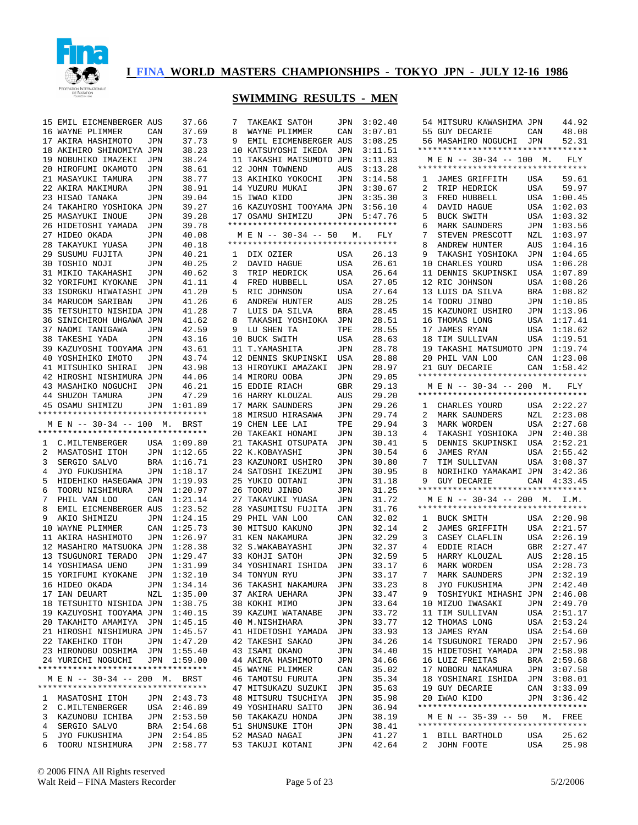

|        | 15 EMIL EICMENBERGER AUS           |            | 37.66                  | 7  | TAKEAKI SATOH                      | JPN        | 3:02.40        | 44.92<br>54 MITSURU KAWASHIMA JPN                                        |
|--------|------------------------------------|------------|------------------------|----|------------------------------------|------------|----------------|--------------------------------------------------------------------------|
|        | 16 WAYNE PLIMMER                   | CAN        | 37.69                  | 8  | WAYNE PLIMMER                      | CAN        | 3:07.01        | 48.08<br>55 GUY DECARIE<br>CAN                                           |
|        | 17 AKIRA HASHIMOTO                 | JPN        | 37.73                  | 9  | EMIL EICMENBERGER AUS              |            | 3:08.25        | 56 MASAHIRO NOGUCHI<br>JPN<br>52.31                                      |
|        | 18 AKIHIRO SHINOMIYA JPN           |            | 38.23                  |    | 10 KATSUYOSHI IKEDA                | JPN        | 3:11.51        | *********************************                                        |
|        |                                    |            |                        |    |                                    |            |                |                                                                          |
|        | 19 NOBUHIKO IMAZEKI                | JPN        | 38.24                  |    | 11 TAKASHI MATSUMOTO JPN           |            | 3:11.83        | M E N -- 30-34 -- 100 M.<br>FLY<br>**********************************    |
|        | 20 HIROFUMI OKAMOTO                | JPN        | 38.61                  |    | 12 JOHN TOWNEND                    | AUS        | 3:13.28        |                                                                          |
|        | 21 MASAYUKI TAMURA                 | JPN        | 38.77                  |    | 13 AKIHIKO YOKOCHI                 | JPN        | 3:14.58        | 59.61<br><b>JAMES GRIFFITH</b><br>1<br>USA                               |
|        | 22 AKIRA MAKIMURA                  | JPN        | 38.91                  |    | 14 YUZURU MUKAI                    | JPN        | 3:30.67        | <b>USA</b><br>59.97<br>2<br>TRIP HEDRICK                                 |
|        | 23 HISAO TANAKA                    | JPN        | 39.04                  |    | 15 IWAO KIDO                       | <b>JPN</b> | 3:35.30        | USA<br>3<br>FRED HUBBELL<br>1:00.45                                      |
|        | 24 TAKAHIRO YOSHIOKA JPN           |            | 39.27                  |    | 16 KAZUYOSHI TOOYAMA JPN           |            | 3:56.10        | DAVID HAGUE<br>USA<br>1:02.03<br>4                                       |
|        | 25 MASAYUKI INOUE                  | JPN        | 39.28                  |    | 17 OSAMU SHIMIZU                   | JPN        | 5:47.76        | <b>BUCK SWITH</b><br>USA<br>1:03.32<br>5                                 |
|        | 26 HIDETOSHI YAMADA                | JPN        | 39.78                  |    | *********************************  |            |                | 1:03.56<br>6<br>MARK SAUNDERS<br>JPN                                     |
|        | 27 HIDEO OKADA                     | JPN        | 40.08                  |    | M E N -- 30-34 -- 50               | М.         | FLY            | 7<br>1:03.97<br>STEVEN PRESCOTT<br>NZL                                   |
|        | 28 TAKAYUKI YUASA                  | JPN        | 40.18                  |    | *********************************  |            |                | 8<br>1:04.16<br>ANDREW HUNTER<br>AUS                                     |
|        | 29 SUSUMU FUJITA                   | JPN        | 40.21                  | 1  | DIX OZIER                          | USA        | 26.13          | 9<br>1:04.65<br>TAKASHI YOSHIOKA<br>JPN                                  |
|        | 30 TOSHIO NOJI                     | JPN        | 40.25                  | 2  | DAVID HAGUE                        | USA        | 26.61          | 10 CHARLES YOURD<br><b>USA</b><br>1:06.28                                |
|        |                                    |            |                        |    |                                    |            |                |                                                                          |
|        | 31 MIKIO TAKAHASHI                 | JPN        | 40.62                  | 3  | TRIP HEDRICK                       | USA        | 26.64          | 1:07.89<br>11 DENNIS SKUPINSKI<br>USA                                    |
|        | 32 YORIFUMI KYOKANE                | JPN        | 41.11                  | 4  | FRED HUBBELL                       | USA        | 27.05          | 12 RIC JOHNSON<br>1:08.26<br>USA                                         |
|        | 33 ISORGKU HIWATASHI JPN           |            | 41.20                  | 5  | RIC JOHNSON                        | USA        | 27.64          | 1:08.82<br>13 LUIS DA SILVA<br>BRA                                       |
|        | 34 MARUCOM SARIBAN                 | JPN        | 41.26                  | 6  | ANDREW HUNTER                      | AUS        | 28.25          | 1:10.85<br>14 TOORU JINBO<br>JPN                                         |
|        | 35 TETSUHITO NISHIDA JPN           |            | 41.28                  | 7  | LUIS DA SILVA                      | BRA        | 28.45          | 1:13.96<br>15 KAZUNORI USHIRO<br>JPN                                     |
|        | 36 SINICHIROH UHGAWA JPN           |            | 41.62                  | 8  | TAKASHI YOSHIOKA                   | JPN        | 28.51          | 1:17.41<br>16 THOMAS LONG<br>USA                                         |
|        | 37 NAOMI TANIGAWA                  | JPN        | 42.59                  | 9  | LU SHEN TA                         | TPE        | 28.55          | 1:18.62<br>17 JAMES RYAN<br>USA                                          |
|        | 38 TAKESHI YADA                    | JPN        | 43.16                  |    | 10 BUCK SWITH                      | USA        | 28.63          | 1:19.51<br>18 TIM SULLIVAN<br>USA                                        |
|        | 39 KAZUYOSHI TOOYAMA JPN           |            | 43.61                  |    | 11 T.YAMASHITA                     | JPN        | 28.78          | 1:19.74<br>19 TAKASHI MATSUMOTO JPN                                      |
|        | 40 YOSHIHIKO IMOTO                 |            |                        |    |                                    |            |                |                                                                          |
|        |                                    | JPN        | 43.74                  |    | 12 DENNIS SKUPINSKI                | USA        | 28.88          | 1:23.08<br>20 PHIL VAN LOO<br>CAN                                        |
|        | 41 MITSUHIKO SHIRAI                | JPN        | 43.98                  |    | 13 HIROYUKI AMAZAKI                | JPN        | 28.97          | 21 GUY DECARIE<br>CAN<br>1:58.42                                         |
|        | 42 HIROSHI NISHIMURA JPN           |            | 44.06                  |    | 14 MIRORU OOBA                     | JPN        | 29.05          | **********************************                                       |
|        | 43 MASAHIKO NOGUCHI                | JPN        | 46.21                  |    | 15 EDDIE RIACH                     | GBR        | 29.13          | M E N -- 30-34 -- 200 M.<br>FLY                                          |
|        | 44 SHUZOH TAMURA                   | JPN        | 47.29                  |    | 16 HARRY KLOUZAL                   | AUS        | 29.20          | **********************************                                       |
|        | 45 OSAMU SHIMIZU                   | JPN        | 1:01.89                |    | 17 MARK SAUNDERS                   | JPN        | 29.26          | 2:22.27<br>CHARLES YOURD<br>USA<br>ı                                     |
|        | *********************************  |            |                        | 18 | MIRSUO HIRASAWA                    | JPN        | 29.74          | 2:23.08<br>2<br>MARK SAUNDERS<br>NZL                                     |
|        | M E N -- 30-34 -- 100 M. BRST      |            |                        |    | 19 CHEN LEE LAI                    | TPE        | 29.94          | <b>USA</b><br>2:27.68<br>3<br>MARK WORDEN                                |
|        | *********************************  |            |                        |    | 20 TAKEAKI HONAMI                  | JPN        | 30.13          | JPN<br>2:40.38<br>4<br>TAKASHI YOSHIOKA                                  |
|        | C.MILTENBERGER                     |            | 1:09.80                |    | 21 TAKASHI OTSUPATA                | JPN        | 30.41          | DENNIS SKUPINSKI<br>USA<br>2:52.21<br>5                                  |
| ı.     |                                    | USA        |                        |    |                                    |            |                |                                                                          |
| 2      | MASATOSHI ITOH                     | JPN        | 1:12.65                |    | 22 K.KOBAYASHI                     | JPN        | 30.54          | JAMES RYAN<br>6<br>USA<br>2:55.42                                        |
| 3      | SERGIO SALVO                       | <b>BRA</b> | 1:16.71                |    | 23 KAZUNORI USHIRO                 | JPN        | 30.80          | 7<br>3:08.37<br>TIM SULLIVAN<br>USA                                      |
| 4      | JYO FUKUSHIMA                      | JPN        | 1:18.17                |    | 24 SATOSHI IKEZUMI                 | JPN        | 30.95          | 8<br>3:42.36<br>NORIHIKO YAMAKAMI JPN                                    |
| 5      | HIDEHIKO HASEGAWA JPN              |            | 1:19.93                |    | 25 YUKIO OOTANI                    | JPN        | 31.18          | 9<br>4:33.45<br><b>GUY DECARIE</b><br>CAN                                |
| 6      | TOORU NISHIMURA                    | JPN        | 1:20.97                |    | 26 TOORU JINBO                     | JPN        | 31.25          | **********************************                                       |
| 7      | PHIL VAN LOO                       | CAN        | 1:21.14                |    | 27 TAKAYUKI YUASA                  | JPN        | 31.72          | M E N -- 30-34 -- 200 M. I.M.                                            |
| 8      | EMIL EICMENBERGER AUS              |            | 1:23.52                | 28 | YASUMITSU FUJITA                   | JPN        | 31.76          | **********************************                                       |
| 9      | AKIO SHIMIZU                       | JPN        | 1:24.15                |    | 29 PHIL VAN LOO                    | CAN        | 32.02          | <b>BUCK SMITH</b><br>2:20.98<br>1<br>USA                                 |
| 10     | WAYNE PLIMMER                      | CAN        | 1:25.73                |    | 30 MITSUO KAKUNO                   | JPN        | 32.14          | 2:21.57<br>2<br><b>JAMES GRIFFITH</b><br>USA                             |
|        | 11 AKIRA HASHIMOTO                 | JPN        | 1:26.97                |    | 31 KEN NAKAMURA                    | JPN        | 32.29          | 2:26.19<br>3<br>CASEY CLAFLIN<br>USA                                     |
|        |                                    |            | 1:28.38                |    |                                    |            | 32.37          | 2:27.47<br>4                                                             |
|        | 12 MASAHIRO MATSUOKA JPN           |            |                        |    | 32 S.WAKABAYASHI                   | JPN        |                | EDDIE RIACH<br>GBR                                                       |
|        | 13 TSUGUNORI TERADO                | JPN        | 1:29.47                |    | 33 KOHJI SATOH                     | JPN        | 32.59          | 2:28.15<br>5<br>HARRY KLOUZAL<br>AUS                                     |
|        | 14 YOSHIMASA UENO                  | JPN        | 1:31.99                |    | 34 YOSHINARI ISHIDA                | JPN        | 33.17          | 6<br>2:28.73<br>MARK WORDEN<br>USA                                       |
|        | 15 YORIFUMI KYOKANE                | JPN        | 1:32.10                |    | 34 TONYUN RYU                      | <b>JPN</b> | 33.17          | 7<br>2:32.19<br>MARK SAUNDERS<br>JPN                                     |
|        | 16 HIDEO OKADA                     |            | JPN 1:34.14            |    | 36 TAKASHI NAKAMURA                | JPN        | 33.23          | JPN 2:42.40<br>8<br>JYO FUKUSHIMA                                        |
|        | 17 IAN DEUART                      | NZL        | 1:35.00                |    | 37 AKIRA UEHARA                    | JPN        | 33.47          | TOSHIYUKI MIHASHI JPN 2:46.08<br>9                                       |
|        | 18 TETSUHITO NISHIDA JPN           |            | 1:38.75                |    | 38 KOKHI MIMO                      | JPN        | 33.64          | 10 MIZUO IWASAKI<br>JPN 2:49.70                                          |
|        | 19 KAZUYOSHI TOOYAMA JPN           |            | 1:40.15                |    | 39 KAZUMI WATANABE                 | JPN        | 33.72          | USA 2:51.17<br>11 TIM SULLIVAN                                           |
|        | 20 TAKAHITO AMAMIYA JPN            |            | 1:45.15                |    | 40 M.NISHIHARA                     | JPN        | 33.77          | 12 THOMAS LONG<br>USA 2:53.24                                            |
|        | 21 HIROSHI NISHIMURA JPN           |            | 1:45.57                |    | 41 HIDETOSHI YAMADA                | JPN        | 33.93          | 13 JAMES RYAN<br>USA 2:54.60                                             |
|        | 22 TAKEHIKO ITOH                   |            |                        |    |                                    |            |                | JPN<br>2:57.96                                                           |
|        |                                    | JPN        | 1:47.20                |    | 42 TAKESHI SAKAO                   | JPN        | 34.26          | 14 TSUGUNORI TERADO                                                      |
|        | 23 HIRONOBU OOSHIMA JPN            |            | 1:55.40                |    | 43 ISAMI OKANO                     | JPN        | 34.40          | 15 HIDETOSHI YAMADA<br>JPN 2:58.98                                       |
|        | 24 YURICHI NOGUCHI                 | JPN        | 1:59.00                |    | 44 AKIRA HASHIMOTO                 | JPN        | 34.66          | 16 LUIZ FREITAS<br>BRA 2:59.68                                           |
|        | ********************************** |            |                        |    | 45 WAYNE PLIMMER                   | CAN        | 35.02          | 17 NOBORU NAKAMURA<br>JPN 3:07.58                                        |
|        |                                    |            |                        |    | 46 TAMOTSU FURUTA                  | JPN        | 35.34          |                                                                          |
|        | M E N -- 30-34 -- 200 M. BRST      |            |                        |    |                                    |            |                | 18 YOSHINARI ISHIDA<br>JPN 3:08.01                                       |
|        | ********************************** |            |                        |    | 47 MITSUKAZU SUZUKI                | JPN        | 35.63          | 19 GUY DECARIE<br>CAN 3:33.09                                            |
|        | 1 MASATOSHI ITOH                   |            | JPN 2:43.73            |    | 48 MITSURU TSUCHIYA                | JPN        | 35.98          | JPN 3:36.42<br>20 IWAO KIDO                                              |
| 2      |                                    |            |                        |    |                                    | JPN        |                | **********************************                                       |
|        | C.MILTENBERGER                     |            | USA 2:46.89            |    | 49 YOSHIHARU SAITO                 |            | 36.94          |                                                                          |
| 3      | KAZUNOBU ICHIBA                    | JPN        | 2:53.50                |    | 50 TAKAKAZU HONDA                  | JPN        | 38.19          | M E N -- 35-39 -- 50<br>M.<br>FREE<br>********************************** |
|        | 4 SERGIO SALVO                     | BRA        | 2:54.68                |    | 51 SHUNSUKE ITOH                   | JPN        | 38.41          |                                                                          |
| 5<br>6 | JYO FUKUSHIMA<br>TOORU NISHIMURA   | JPN        | 2:54.85<br>JPN 2:58.77 |    | 52 MASAO NAGAI<br>53 TAKUJI KOTANI | JPN<br>JPN | 41.27<br>42.64 | 1 BILL BARTHOLD<br>25.62<br>USA<br>25.98<br>2<br>JOHN FOOTE<br>USA       |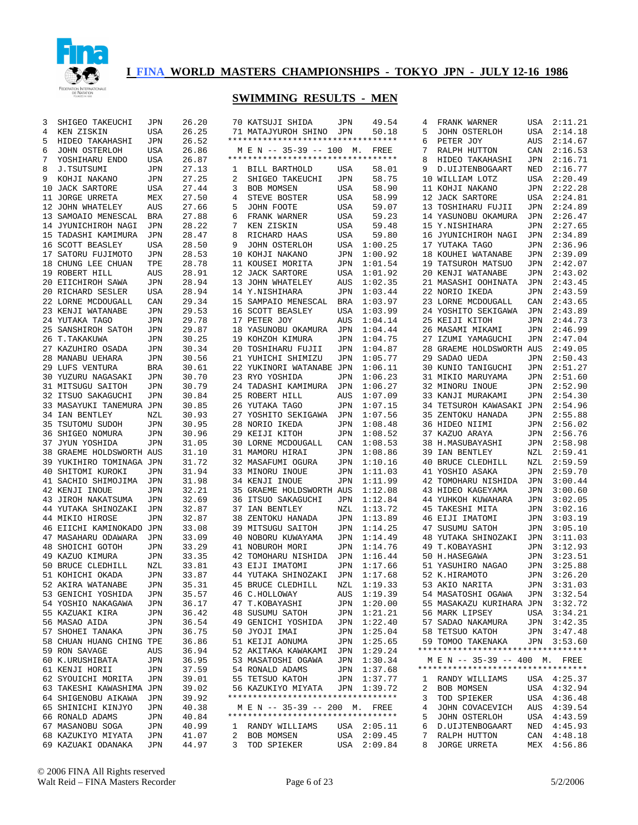

| 3 | SHIGEO TAKEUCHI          | JPN        | 26.20 |   | 70 KATSUJI SHIDA                   | JPN        | 49.54       | 4           | FRANK WARNER                       | USA        | 2:11.21     |
|---|--------------------------|------------|-------|---|------------------------------------|------------|-------------|-------------|------------------------------------|------------|-------------|
| 4 | KEN ZISKIN               | USA        | 26.25 |   | 71 MATAJYUROH SHINO                | JPN        | 50.18       | 5           | JOHN OSTERLOH                      | USA        | 2:14.18     |
| 5 | HIDEO TAKAHASHI          | JPN        | 26.52 |   | ********************************** |            |             | 6           | PETER JOY                          | AUS        | 2:14.67     |
| 6 | JOHN OSTERLOH            | USA        | 26.86 |   | M E N -- 35-39 -- 100 M. FREE      |            |             | 7           | RALPH HUTTON                       | CAN        | 2:16.53     |
| 7 | YOSHIHARU ENDO           | USA        | 26.87 |   | *********************************  |            |             | 8           | HIDEO TAKAHASHI                    | JPN        | 2:16.71     |
| 8 | J.TSUTSUMI               | JPN        | 27.13 | 1 | BILL BARTHOLD                      | USA        | 58.01       | 9           | D. UIJTENBOGAART                   | NED        | 2:16.77     |
| 9 | KOHJI NAKANO             | JPN        | 27.25 | 2 | SHIGEO TAKEUCHI                    | JPN        | 58.75       | 10          | WILLIAM LOTZ                       | USA        | 2:20.49     |
|   | 10 JACK SARTORE          | USA        | 27.44 | 3 | BOB MOMSEN                         | USA        | 58.90       |             | 11 KOHJI NAKANO                    | JPN        | 2:22.28     |
|   | 11 JORGE URRETA          | MEX        | 27.50 | 4 | STEVE BOSTER                       | USA        | 58.99       |             | 12 JACK SARTORE                    | USA        | 2:24.81     |
|   | 12 JOHN WHATELEY         | AUS        | 27.66 | 5 | JOHN FOOTE                         | USA        | 59.07       |             | 13 TOSHIHARU FUJII                 | JPN        | 2:24.89     |
|   | 13 SAMOAIO MENESCAL      | BRA        | 27.88 | 6 | FRANK WARNER                       | USA        | 59.23       |             | 14 YASUNOBU OKAMURA                | JPN        | 2:26.47     |
|   | 14 JYUNICHIROH NAGI      | <b>JPN</b> | 28.22 | 7 | KEN ZISKIN                         | USA        | 59.48       |             | 15 Y.NISHIHARA                     | JPN        | 2:27.65     |
|   | 15 TADASHI KAMIMURA      | JPN        | 28.47 | 8 | RICHARD HAAS                       | <b>USA</b> | 59.80       |             | 16 JYUNICHIROH NAGI                | <b>JPN</b> | 2:34.89     |
|   | 16 SCOTT BEASLEY         | <b>USA</b> | 28.50 | 9 | JOHN OSTERLOH                      | <b>USA</b> | 1:00.25     |             | 17 YUTAKA TAGO                     | JPN        | 2:36.96     |
|   | 17 SATORU FUJIMOTO       | JPN        | 28.53 |   | 10 KOHJI NAKANO                    | <b>JPN</b> | 1:00.92     |             | 18 KOUHEI WATANABE                 | JPN        | 2:39.09     |
|   | 18 CHUNG LEE CHUAN       | TPE        | 28.78 |   | 11 KOUSEI MORITA                   | <b>JPN</b> | 1:01.54     |             | 19 TATSUROH MATSUO                 | JPN        | 2:42.07     |
|   | 19 ROBERT HILL           | AUS        | 28.91 |   | 12 JACK SARTORE                    | USA        | 1:01.92     |             | 20 KENJI WATANABE                  | JPN        | 2:43.02     |
|   | 20 EIICHIROH SAWA        | JPN        | 28.94 |   | 13 JOHN WHATELEY                   | AUS        | 1:02.35     |             | 21 MASASHI OOHINATA                | JPN        | 2:43.45     |
|   | 20 RICHARD SESLER        | USA        | 28.94 |   | 14 Y.NISHIHARA                     | JPN        | 1:03.44     |             | 22 NORIO IKEDA                     | JPN        | 2:43.59     |
|   | 22 LORNE MCDOUGALL       | CAN        | 29.34 |   | 15 SAMPAIO MENESCAL                | <b>BRA</b> | 1:03.97     |             | 23 LORNE MCDOUGALL                 | CAN        | 2:43.65     |
|   | 23 KENJI WATANABE        | JPN        | 29.53 |   | 16 SCOTT BEASLEY                   | USA        | 1:03.99     |             | 24 YOSHITO SEKIGAWA                | JPN        | 2:43.89     |
|   | 24 YUTAKA TAGO           | JPN        | 29.78 |   | 17 PETER JOY                       | <b>AUS</b> | 1:04.14     |             | 25 KEIJI KITOH                     | JPN        | 2:44.73     |
|   | 25 SANSHIROH SATOH       | JPN        | 29.87 |   | 18 YASUNOBU OKAMURA                | JPN        | 1:04.44     |             | 26 MASAMI MIKAMI                   | JPN        | 2:46.99     |
|   | 26 T. TAKAKUWA           | JPN        | 30.25 |   | 19 KOHZOH KIMURA                   | <b>JPN</b> | 1:04.75     |             | 27 IZUMI YAMAGUCHI                 | JPN        | 2:47.04     |
|   |                          |            |       |   | 20 TOSHIHARU FUJII                 |            |             |             |                                    |            |             |
|   | 27 KAZUHIRO OSADA        | JPN        | 30.34 |   |                                    | JPN        | 1:04.87     |             | 28 GRAEME HOLDSWORTH AUS           |            | 2:49.05     |
|   | 28 MANABU UEHARA         | JPN        | 30.56 |   | 21 YUHICHI SHIMIZU                 | JPN        | 1:05.77     |             | 29 SADAO UEDA                      | JPN        | 2:50.43     |
|   | 29 LUFS VENTURA          | BRA        | 30.61 |   | 22 YUKINORI WATANABE JPN           |            | 1:06.11     |             | 30 KUNIO TANIGUCHI                 | JPN        | 2:51.27     |
|   | 30 YUZURU NAGASAKI       | JPN        | 30.70 |   | 23 RYO YOSHIDA                     | JPN        | 1:06.23     |             | 31 MIKIO MARUYAMA                  | JPN        | 2:51.60     |
|   | 31 MITSUGU SAITOH        | JPN        | 30.79 |   | 24 TADASHI KAMIMURA                | JPN        | 1:06.27     |             | 32 MINORU INOUE                    | JPN        | 2:52.90     |
|   | 32 ITSUO SAKAGUCHI       | JPN        | 30.84 |   | 25 ROBERT HILL                     | AUS        | 1:07.09     |             | 33 KANJI MURAKAMI                  | JPN        | 2:54.30     |
|   | 33 MASAYUKI TANEMURA JPN |            | 30.85 |   | 26 YUTAKA TAGO                     | JPN        | 1:07.15     |             | 34 TETSUROH KAWASAKI JPN           |            | 2:54.96     |
|   | 34 IAN BENTLEY           | NZL        | 30.93 |   | 27 YOSHITO SEKIGAWA                | JPN        | 1:07.56     |             | 35 ZENTOKU HANADA                  | JPN        | 2:55.88     |
|   | 35 TSUTOMU SUDOH         | JPN        | 30.95 |   | 28 NORIO IKEDA                     | JPN        | 1:08.48     |             | 36 HIDEO NIIMI                     | <b>JPN</b> | 2:56.02     |
|   | 36 SHIGEO NOMURA         | JPN        | 30.96 |   | 29 KEIJI KITOH                     | JPN        | 1:08.52     |             | 37 KAZUO ARAYA                     | JPN        | 2:56.76     |
|   | 37 JYUN YOSHIDA          | JPN        | 31.05 |   | 30 LORNE MCDOUGALL                 | CAN        | 1:08.53     |             | 38 H.MASUBAYASHI                   | JPN        | 2:58.98     |
|   | 38 GRAEME HOLDSWORTH AUS |            | 31.10 |   | 31 MAMORU HIRAI                    | JPN        | 1:08.86     |             | 39 IAN BENTLEY                     | NZL        | 2:59.41     |
|   | 39 YUKIHIRO TOMINAGA JPN |            | 31.72 |   | 32 MASAFUMI OGURA                  | <b>JPN</b> | 1:10.16     |             | 40 BRUCE CLEDHILL                  | NZL        | 2:59.59     |
|   | 40 SHITOMI KUROKI        | JPN        | 31.94 |   | 33 MINORU INOUE                    | <b>JPN</b> | 1:11.03     |             | 41 YOSHIO ASAKA                    | JPN        | 2:59.70     |
|   | 41 SACHIO SHIMOJIMA      | JPN        | 31.98 |   | 34 KENJI INOUE                     | <b>JPN</b> | 1:11.99     |             | 42 TOMOHARU NISHIDA                | JPN        | 3:00.44     |
|   | 42 KENJI INOUE           | JPN        | 32.21 |   | 35 GRAEME HOLDSWORTH AUS           |            | 1:12.08     |             | 43 HIDEO KAGEYAMA                  | JPN        | 3:00.60     |
|   | 43 JIROH NAKATSUMA       | JPN        | 32.69 |   | 36 ITSUO SAKAGUCHI                 | JPN        | 1:12.84     |             | 44 YUHKOH KUWAHARA                 | JPN        | 3:02.05     |
|   | 44 YUTAKA SHINOZAKI      | JPN        | 32.87 |   | 37 IAN BENTLEY                     | <b>NZL</b> | 1:13.72     |             | 45 TAKESHI MITA                    | JPN        | 3:02.16     |
|   | 44 MIKIO HIROSE          | JPN        | 32.87 |   | 38 ZENTOKU HANADA                  | JPN        | 1:13.89     |             | 46 EIJI IMATOMI                    | JPN        | 3:03.19     |
|   | 46 EIICHI KAMINOKADO JPN |            | 33.08 |   | 39 MITSUGU SAITOH                  | JPN        | 1:14.25     |             | 47 SUSUMU SATOH                    | JPN        | 3:05.10     |
|   | 47 MASAHARU ODAWARA      | JPN        | 33.09 |   | 40 NOBORU KUWAYAMA                 | JPN        | 1:14.49     |             | 48 YUTAKA SHINOZAKI                | JPN        | 3:11.03     |
|   | 48 SHOICHI GOTOH         | JPN        | 33.29 |   | 41 NOBUROH MORI                    | JPN        | 1:14.76     |             | 49 T.KOBAYASHI                     | JPN        | 3:12.93     |
|   | 49 KAZUO KIMURA          | JPN        | 33.35 |   | 42 TOMOHARU NISHIDA                | JPN        | 1:16.44     |             | 50 H.HASEGAWA                      | JPN        | 3:23.51     |
|   | 50 BRUCE CLEDHILL        | NZL        | 33.81 |   | 43 EIJI IMATOMI                    | JPN        | 1:17.66     |             | 51 YASUHIRO NAGAO                  | JPN        | 3:25.88     |
|   | 51 KOHICHI OKADA         | JPN        | 33.87 |   | 44 YUTAKA SHINOZAKI                | JPN        | 1:17.68     |             | 52 K.HIRAMOTO                      | JPN        | 3:26.20     |
|   |                          |            |       |   |                                    |            | NZL 1:19.33 |             |                                    |            | JPN 3:31.03 |
|   | 52 AKIRA WATANABE        | JPN        | 35.31 |   | 45 BRUCE CLEDHILL                  |            |             |             | 53 AKIO NARITA                     |            |             |
|   | 53 GENICHI YOSHIDA       | JPN        | 35.57 |   | 46 C.HOLLOWAY                      |            | AUS 1:19.39 |             | 54 MASATOSHI OGAWA                 |            | JPN 3:32.54 |
|   | 54 YOSHIO NAKAGAWA       | JPN        | 36.17 |   | 47 T.KOBAYASHI                     |            | JPN 1:20.00 |             | 55 MASAKAZU KURIHARA JPN 3:32.72   |            |             |
|   | 55 KAZUAKI KIRA          | JPN        | 36.42 |   | 48 SUSUMU SATOH                    |            | JPN 1:21.21 |             | 56 MARK LIPSEY                     |            | USA 3:34.21 |
|   | 56 MASAO AIDA            | JPN        | 36.54 |   | 49 GENICHI YOSHIDA                 |            | JPN 1:22.40 |             | 57 SADAO NAKAMURA                  |            | JPN 3:42.35 |
|   | 57 SHOHEI TANAKA         | JPN        | 36.75 |   | 50 JYOJI IMAI                      |            | JPN 1:25.04 |             | 58 TETSUO KATOH                    |            | JPN 3:47.48 |
|   | 58 CHUAN HUANG CHING TPE |            | 36.86 |   | 51 KEIJI AONUMA                    |            | JPN 1:25.65 |             | 59 TOMOO TAKENAKA                  |            | JPN 3:53.60 |
|   | 59 RON SAVAGE            | AUS        | 36.94 |   | 52 AKITAKA KAWAKAMI                |            | JPN 1:29.24 |             | ********************************** |            |             |
|   | 60 K.URUSHIBATA          | JPN        | 36.95 |   | 53 MASATOSHI OGAWA                 |            | JPN 1:30.34 |             | M E N -- 35-39 -- 400 M. FREE      |            |             |
|   | 61 KENJI HORII           | JPN        | 37.59 |   | 54 RONALD ADAMS                    |            | JPN 1:37.68 |             | ********************************** |            |             |
|   | 62 SYOUICHI MORITA       | JPN        | 39.01 |   | 55 TETSUO KATOH                    |            | JPN 1:37.77 | ı           | RANDY WILLIAMS                     |            | USA 4:25.37 |
|   | 63 TAKESHI KAWASHIMA JPN |            | 39.02 |   | 56 KAZUKIYO MIYATA                 |            | JPN 1:39.72 | 2           | BOB MOMSEN                         |            | USA 4:32.94 |
|   | 64 SHIGENOBU AIKAWA      | JPN        | 39.92 |   | ********************************** |            |             | 3           | TOD SPIEKER                        |            | USA 4:36.48 |
|   | 65 SHINICHI KINJYO       | JPN        | 40.38 |   | M E N -- 35-39 -- 200 M. FREE      |            |             | 4           | JOHN COVACEVICH                    |            | AUS 4:39.54 |
|   | 66 RONALD ADAMS          | JPN        | 40.84 |   | ********************************** |            |             | 5           | JOHN OSTERLOH                      |            | USA 4:43.59 |
|   | 67 MASANOBU SOGA         | JPN        | 40.99 |   | 1 RANDY WILLIAMS                   |            | USA 2:05.11 | 6           | D. UIJTENBOGAART                   |            | NED 4:45.93 |
|   | 68 KAZUKIYO MIYATA       | JPN        | 41.07 |   | 2 BOB MOMSEN                       |            | USA 2:09.45 | $7^{\circ}$ | RALPH HUTTON                       |            | CAN 4:48.18 |
|   | 69 KAZUAKI ODANAKA       | JPN        | 44.97 | 3 | TOD SPIEKER                        |            | USA 2:09.84 | 8           | JORGE URRETA                       |            | MEX 4:56.86 |
|   |                          |            |       |   |                                    |            |             |             |                                    |            |             |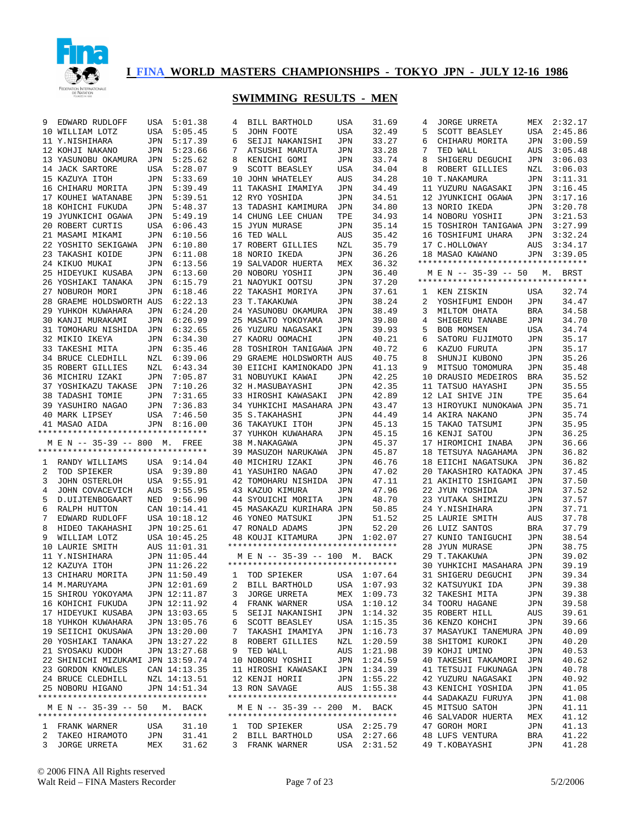

| 9 | EDWARD RUDLOFF                     | USA               | 5:01.38        | 4 | BILL BARTHOLD                      | USA        | 31.69                      | 4  | <b>JORGE URRETA</b>                      | MEX        | 2:32.17        |
|---|------------------------------------|-------------------|----------------|---|------------------------------------|------------|----------------------------|----|------------------------------------------|------------|----------------|
|   | 10 WILLIAM LOTZ                    | USA               | 5:05.45        | 5 | JOHN FOOTE                         | USA        | 32.49                      | 5  | SCOTT BEASLEY                            | USA        | 2:45.86        |
|   | 11 Y.NISHIHARA                     | JPN               | 5:17.39        | 6 | SEIJI NAKANISHI                    | JPN        | 33.27                      | 6  | CHIHARU MORITA                           | JPN        | 3:00.59        |
|   | 12 KOHJI NAKANO                    | JPN               | 5:23.66        | 7 | ATSUSHI MARUTA                     | JPN        | 33.28                      | 7  | TED WALL                                 | AUS        | 3:05.48        |
|   | 13 YASUNOBU OKAMURA                | JPN               | 5:25.62        | 8 | KENICHI GOMI                       | JPN        | 33.74                      | 8  | SHIGERU DEGUCHI                          | JPN        | 3:06.03        |
|   | 14 JACK SARTORE                    | <b>USA</b>        | 5:28.07        | 9 | SCOTT BEASLEY                      | <b>USA</b> | 34.04                      | 8  | ROBERT GILLIES                           | NZL        | 3:06.03        |
|   | 15 KAZUYA ITOH                     | JPN               | 5:33.69        |   | 10 JOHN WHATELEY                   | AUS        | 34.28                      |    | 10 T.NAKAMURA                            | <b>JPN</b> | 3:11.31        |
|   | 16 CHIHARU MORITA                  | JPN               | 5:39.49        |   | 11 TAKASHI IMAMIYA                 | JPN        | 34.49                      |    | 11 YUZURU NAGASAKI                       | JPN        | 3:16.45        |
|   | 17 KOUHEI WATANABE                 | JPN               | 5:39.51        |   | 12 RYO YOSHIDA                     | JPN        | 34.51                      |    | 12 JYUNKICHI OGAWA                       | JPN        | 3:17.16        |
|   | 18 KOHICHI FUKUDA                  | JPN               | 5:48.37        |   | 13 TADASHI KAMIMURA                | JPN        | 34.80                      |    | 13 NORIO IKEDA                           | JPN        | 3:20.78        |
|   | 19 JYUNKICHI OGAWA                 | JPN               | 5:49.19        |   | 14 CHUNG LEE CHUAN                 | TPE        | 34.93                      |    | 14 NOBORU YOSHII                         | JPN        | 3:21.53        |
|   | 20 ROBERT CURTIS                   | USA               | 6:06.43        |   | 15 JYUN MURASE                     | JPN        | 35.14                      |    | 15 TOSHIROH TANIGAWA JPN                 |            | 3:27.99        |
|   | 21 MASAMI MIKAMI                   | JPN               | 6:10.56        |   | 16 TED WALL                        | AUS        | 35.42                      |    | 16 TOSHIFUMI UHARA                       | JPN        | 3:32.24        |
|   | 22 YOSHITO SEKIGAWA                | JPN               | 6:10.80        |   | 17 ROBERT GILLIES                  | NZL        | 35.79                      |    | 17 C.HOLLOWAY                            | AUS        | 3:34.17        |
|   | 23 TAKASHI KOIDE                   | JPN               | 6:11.08        |   | 18 NORIO IKEDA                     | JPN        | 36.26                      |    | 18 MASAO KAWANO                          | JPN        | 3:39.05        |
|   | 24 KIKUO MUKAI                     | JPN               | 6:13.56        |   | 19 SALVADOR HUERTA                 | MEX        | 36.32                      |    | **********************************       |            |                |
|   | 25 HIDEYUKI KUSABA                 | JPN               | 6:13.60        |   | 20 NOBORU YOSHII                   | JPN        | 36.40                      |    | M E N -- 35-39 -- 50                     | М.         | BRST           |
|   | 26 YOSHIAKI TANAKA                 | JPN               | 6:15.79        |   | 21 NAOYUKI OOTSU                   | JPN        | 37.20                      |    | **********************************       |            |                |
|   | 27 NOBUROH MORI                    | JPN               | 6:18.46        |   | 22 TAKASHI MORIYA                  | JPN        | 37.61                      | 1  | KEN ZISKIN                               | USA        | 32.74          |
|   | 28 GRAEME HOLDSWORTH AUS           |                   | 6:22.13        |   | 23 T.TAKAKUWA                      | JPN        | 38.24                      | 2  | YOSHIFUMI ENDOH                          | JPN        | 34.47          |
|   | 29 YUHKOH KUWAHARA                 | JPN               | 6:24.20        |   | 24 YASUNOBU OKAMURA                | JPN        | 38.49                      | 3  | MILTOM OHATA                             | BRA        | 34.58          |
|   | 30 KANJI MURAKAMI                  | JPN               | 6:26.99        |   | 25 MASATO YOKOYAMA                 | JPN        | 39.80                      | 4  | SHIGERU TANABE                           | JPN        | 34.70          |
|   | 31 TOMOHARU NISHIDA                | JPN               | 6:32.65        |   | 26 YUZURU NAGASAKI                 | JPN        | 39.93                      | 5  | BOB MOMSEN                               | USA        | 34.74          |
|   | 32 MIKIO IKEYA                     | JPN               | 6:34.30        |   | 27 KAORU OOMACHI                   | JPN        | 40.21                      | 6  | SATORU FUJIMOTO                          | <b>JPN</b> | 35.17          |
|   | 33 TAKESHI MITA                    | JPN               | 6:35.46        |   | 28 TOSHIROH TANIGAWA JPN           |            | 40.72                      | 6  | KAZUO FURUTA                             | JPN        | 35.17          |
|   | 34 BRUCE CLEDHILL                  | NZL               | 6:39.06        |   | 29 GRAEME HOLDSWORTH AUS           |            | 40.75                      | 8  | SHUNJI KUBONO                            | JPN        | 35.26          |
|   | 35 ROBERT GILLIES                  | NZL               | 6:43.34        |   | 30 EIICHI KAMINOKADO JPN           |            | 41.13                      | 9  | MITSUO TOMOMURA                          | JPN        | 35.48          |
|   | 36 MICHIRU IZAKI                   | JPN               | 7:05.87        |   | 31 NOBUYUKI KAWAI                  | JPN        | 42.25                      | 10 | DRAUSIO MEDEIROS                         | <b>BRA</b> | 35.52          |
|   | 37 YOSHIKAZU TAKASE                | JPN               | 7:10.26        |   | 32 H.MASUBAYASHI                   | JPN        | 42.35                      |    | 11 TATSUO HAYASHI                        | JPN        | 35.55          |
|   | 38 TADASHI TOMIE                   | JPN               | 7:31.65        |   | 33 HIROSHI KAWASAKI                | JPN        | 42.89                      |    | 12 LAI SHIVE JIN                         | TPE        | 35.64          |
|   | 39 YASUHIRO NAGAO                  |                   | 7:36.83        |   | 34 YUHKICHI MASAHARA JPN           |            | 43.47                      |    | 13 HIROYUKI NUNOKAWA JPN                 |            | 35.71          |
|   |                                    | JPN<br><b>USA</b> | 7:46.50        |   | 35 S. TAKAHASHI                    |            | 44.49                      |    | 14 AKIRA NAKANO                          | <b>JPN</b> | 35.74          |
|   | 40 MARK LIPSEY                     |                   |                |   |                                    | JPN        |                            |    |                                          |            |                |
|   |                                    |                   |                |   |                                    |            |                            |    |                                          |            |                |
|   | 41 MASAO AIDA                      | JPN               | 8:16.00        |   | 36 TAKAYUKI ITOH                   | JPN        | 45.13                      |    | 15 TAKAO TATSUMI                         | <b>JPN</b> | 35.95          |
|   | *********************************  |                   |                |   | 37 YUHKOH KUWAHARA                 | JPN        | 45.15                      |    | 16 KENJI SATOU                           | <b>JPN</b> | 36.25          |
|   | M E N -- 35-39 -- 800 M. FREE      |                   |                |   | 38 M.NAKAGAWA                      | JPN        | 45.37                      |    | 17 HIROMICHI INABA                       | <b>JPN</b> | 36.66          |
|   | *********************************  |                   |                |   | 39 MASUZOH NARUKAWA                | JPN        | 45.87                      |    | 18 TETSUYA NAGAHAMA                      | <b>JPN</b> | 36.82          |
| 1 | RANDY WILLIAMS                     |                   | USA 9:14.04    |   | 40 MICHIRU IZAKI                   | JPN        | 46.76                      |    | 18 EIICHI NAGATSUKA                      | JPN        | 36.82          |
| 2 | TOD SPIEKER                        | USA               | 9:39.80        |   | 41 YASUHIRO NAGAO                  | JPN        | 47.02                      |    | 20 TAKASHIRO KATAOKA JPN                 |            | 37.45          |
| 3 | <b>JOHN OSTERLOH</b>               | USA               | 9:55.91        |   | 42 TOMOHARU NISHIDA                | JPN        | 47.11                      |    | 21 AKIHITO ISHIGAMI                      | JPN        | 37.50          |
| 4 | JOHN COVACEVICH                    | AUS               | 9:55.95        |   | 43 KAZUO KIMURA                    | JPN        | 47.96                      |    | 22 JYUN YOSHIDA                          | JPN        | 37.52          |
| 5 | D. UIJTENBOGAART                   | NED               | 9:56.90        |   | 44 SYOUICHI MORITA                 | JPN        | 48.70                      |    | 23 YUTAKA SHIMIZU                        | JPN        | 37.57          |
| 6 | RALPH HUTTON                       |                   | CAN 10:14.41   |   | 45 MASAKAZU KURIHARA JPN           |            | 50.85                      |    | 24 Y.NISHIHARA                           | JPN        | 37.71          |
| 7 | EDWARD RUDLOFF                     |                   | USA 10:18.12   |   | 46 YONEO MATSUKI                   | JPN        | 51.52                      |    | 25 LAURIE SMITH                          | AUS        | 37.78          |
| 8 | HIDEO TAKAHASHI                    |                   | JPN 10:25.61   |   | 47 RONALD ADAMS                    | JPN        | 52.20                      |    | 26 LUIZ SANTOS                           | <b>BRA</b> | 37.79          |
| 9 | WILLIAM LOTZ                       |                   | USA 10:45.25   |   | 48 KOUJI KITAMURA                  | JPN        | 1:02.07                    |    | 27 KUNIO TANIGUCHI                       | JPN        | 38.54          |
|   | 10 LAURIE SMITH                    |                   | AUS 11:01.31   |   | ********************************** |            |                            |    | 28 JYUN MURASE                           | JPN        | 38.75          |
|   | 11 Y.NISHIHARA                     |                   | JPN 11:05.44   |   | M E N -- 35-39 -- 100 M. BACK      |            |                            |    | 29 T.TAKAKUWA                            | JPN        | 39.02          |
|   | 12 KAZUYA ITOH                     |                   | JPN 11:26.22   |   | *********************************  |            |                            |    | 30 YUHKICHI MASAHARA JPN                 |            | 39.19          |
|   | 13 CHIHARU MORITA                  |                   | JPN 11:50.49   | 1 | TOD SPIEKER                        |            | USA 1:07.64                |    | 31 SHIGERU DEGUCHI                       | <b>JPN</b> | 39.34          |
|   | 14 M.MARUYAMA                      |                   | JPN 12:01.69   |   | 2 BILL BARTHOLD                    |            | USA 1:07.93                |    | 32 KATSUYUKI IDA                         | JPN        | 39.38          |
|   | 15 SHIROU YOKOYAMA                 |                   | JPN 12:11.87   | 3 | JORGE URRETA                       |            | MEX 1:09.73                |    | 32 TAKESHI MITA                          | JPN        | 39.38          |
|   | 16 KOHICHI FUKUDA                  |                   | JPN 12:11.92   | 4 | FRANK WARNER                       |            | USA 1:10.12                |    | 34 TOORU HAGANE                          | JPN        | 39.58          |
|   | 17 HIDEYUKI KUSABA                 |                   | JPN 13:03.65   | 5 | SEIJI NAKANISHI                    |            | JPN 1:14.32                |    | 35 ROBERT HILL                           | AUS        | 39.61          |
|   | 18 YUHKOH KUWAHARA                 |                   | JPN 13:05.76   | 6 | SCOTT BEASLEY                      |            | USA 1:15.35                |    | 36 KENZO KOHCHI                          | JPN        | 39.66          |
|   | 19 SEIICHI OKUSAWA                 |                   | JPN 13:20.00   | 7 | TAKASHI IMAMIYA                    |            | JPN 1:16.73                |    | 37 MASAYUKI TANEMURA JPN                 |            | 40.09          |
|   | 20 YOSHIAKI TANAKA                 |                   | JPN 13:27.22   | 8 | ROBERT GILLIES                     |            | NZL 1:20.59                |    | 38 SHITOMI KUROKI                        | JPN        | 40.20          |
|   | 21 SYOSAKU KUDOH                   |                   | JPN 13:27.68   | 9 | TED WALL                           |            | AUS 1:21.98                |    | 39 KOHJI UMINO                           | JPN        | 40.53          |
|   | 22 SHINICHI MIZUKAMI JPN 13:59.74  |                   |                |   | 10 NOBORU YOSHII                   |            | JPN 1:24.59                |    | 40 TAKESHI TAKAMORI                      | JPN        | 40.62          |
|   | 23 GORDON KNOWLES                  |                   | CAN 14:13.35   |   | 11 HIROSHI KAWASAKI JPN 1:34.39    |            |                            |    | 41 TETSUJI FUKUNAGA                      | JPN        | 40.78          |
|   | 24 BRUCE CLEDHILL                  |                   | NZL 14:13.51   |   | 12 KENJI HORII                     |            | JPN 1:55.22                |    | 42 YUZURU NAGASAKI                       | JPN        | 40.92          |
|   | 25 NOBORU HIGANO                   |                   | JPN 14:51.34   |   | 13 RON SAVAGE                      |            | AUS 1:55.38                |    | 43 KENICHI YOSHIDA                       | JPN        | 41.05          |
|   | ********************************** |                   |                |   | ********************************** |            |                            |    | 44 SADAKAZU FURUYA                       | JPN        | 41.08          |
|   | M E N -- 35-39 -- 50 M. BACK       |                   |                |   | M E N -- 35-39 -- 200 M. BACK      |            |                            |    | 45 MITSUO SATOH                          | JPN        | 41.11          |
|   | ********************************** |                   |                |   | ********************************** |            |                            |    | <b>46 SALVADOR HUERTA</b>                | MEX        | 41.12          |
|   | 1 FRANK WARNER                     | USA               | 31.10          | 1 | TOD SPIEKER                        |            | USA 2:25.79                |    | 47 GOROH MORI                            | JPN        | 41.13          |
| 2 | TAKEO HIRAMOTO<br>3 JORGE URRETA   | JPN<br>MEX        | 31.41<br>31.62 | 2 | BILL BARTHOLD<br>3 FRANK WARNER    |            | USA 2:27.66<br>USA 2:31.52 |    | <b>48 LUFS VENTURA</b><br>49 T.KOBAYASHI | BRA<br>JPN | 41.22<br>41.28 |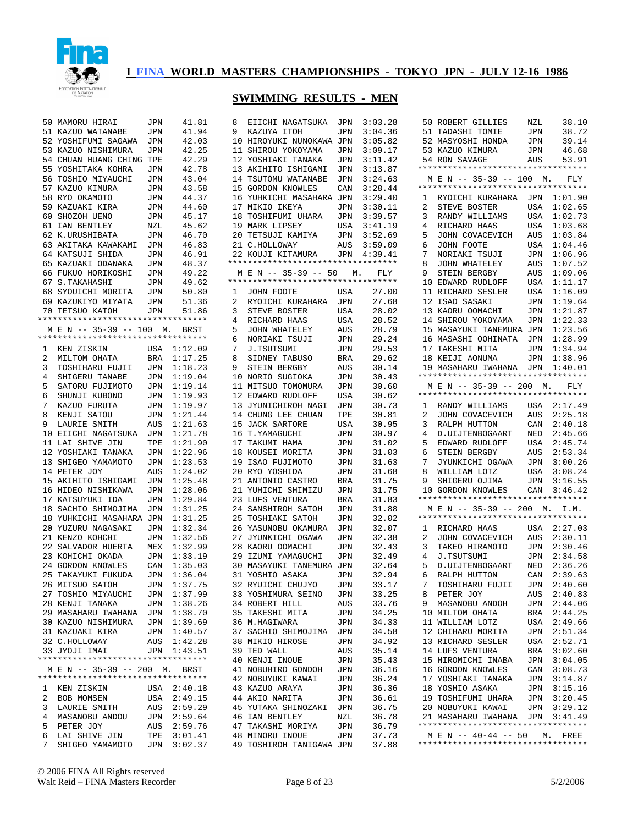

|        | 50 MAMORU HIRAI                                                | JPN        | 41.81              | 8  | EIICHI NAGATSUKA                                        | JPN        | 3:03.28        |
|--------|----------------------------------------------------------------|------------|--------------------|----|---------------------------------------------------------|------------|----------------|
|        | 51 KAZUO WATANABE                                              | JPN        | 41.94              | 9  | KAZUYA ITOH                                             | JPN        | 3:04.36        |
|        | 52 YOSHIFUMI SAGAWA                                            | JPN        | 42.03              |    | 10 HIROYUKI NUNOKAWA JPN                                |            | 3:05.82        |
|        | 53 KAZUO NISHIMURA                                             | JPN        | 42.25              |    | 11 SHIROU YOKOYAMA                                      | JPN        | 3:09.17        |
|        | 54 CHUAN HUANG CHING TPE                                       |            | 42.29              |    | 12 YOSHIAKI TANAKA                                      | JPN        | 3:11.42        |
|        | 55 YOSHITAKA KOHRA                                             | JPN        | 42.78              |    | 13 AKIHITO ISHIGAMI                                     | JPN        | 3:13.87        |
|        | 56 TOSHIO MIYAUCHI                                             | JPN        | 43.04              |    | 14 TSUTOMU WATANABE                                     | JPN        | 3:24.63        |
|        | 57 KAZUO KIMURA                                                | JPN        | 43.58              |    | 15 GORDON KNOWLES                                       | CAN        | 3:28.44        |
|        | 58 RYO OKAMOTO                                                 | JPN        | 44.37              |    | 16 YUHKICHI MASAHARA JPN                                |            | 3:29.40        |
|        | 59 KAZUAKI KIRA                                                | JPN        | 44.60              |    | 17 MIKIO IKEYA                                          | JPN        | 3:30.11        |
|        | 60 SHOZOH UENO                                                 | JPN        | 45.17              |    | 18 TOSHIFUMI UHARA                                      | JPN        | 3:39.57        |
|        | 61 IAN BENTLEY                                                 | NZL        | 45.62              |    | 19 MARK LIPSEY                                          | USA        | 3:41.19        |
|        | 62 K.URUSHIBATA                                                | JPN        | 46.70              |    | 20 TETSUJI KAMIYA                                       | JPN        | 3:52.69        |
|        | 63 AKITAKA KAWAKAMI                                            | JPN        | 46.83              |    | 21 C.HOLLOWAY                                           | AUS        | 3:59.09        |
|        | 64 KATSUJI SHIDA                                               | JPN        | 46.91              |    | 22 KOUJI KITAMURA<br>********************************** | JPN        | 4:39.41        |
|        | 65 KAZUAKI ODANAKA<br>66 FUKUO HORIKOSHI                       | JPN<br>JPN | 48.37<br>49.22     |    | M E N -- 35-39 -- 50                                    | М.         | FLY            |
|        | 67 S. TAKAHASHI                                                | JPN        | 49.62              |    | *********************************                       |            |                |
|        | 68 SYOUICHI MORITA                                             | JPN        | 50.80              | 1  | JOHN FOOTE                                              | USA        | 27.00          |
|        | 69 KAZUKIYO MIYATA                                             | JPN        | 51.36              | 2  | RYOICHI KURAHARA                                        | JPN        | 27.68          |
|        | 70 TETSUO KATOH                                                | JPN        | 51.86              | 3  | STEVE BOSTER                                            | USA        | 28.02          |
|        | *********************************                              |            |                    | 4  | RICHARD HAAS                                            | USA        | 28.52          |
|        | M E N -- 35-39 -- 100 M.                                       |            | BRST               | 5  | JOHN WHATELEY                                           | AUS        | 28.79          |
|        | *********************************                              |            |                    | 6  | NORIAKI TSUJI                                           | JPN        | 29.24          |
| 1      | KEN ZISKIN                                                     | USA        | 1:12.09            | 7  | J.TSUTSUMI                                              | JPN        | 29.53          |
| 2      | MILTOM OHATA                                                   | <b>BRA</b> | 1:17.25            | 8  | SIDNEY TABUSO                                           | BRA        | 29.62          |
| 3      | TOSHIHARU FUJII                                                | JPN        | 1:18.23            | 9  | STEIN BERGBY                                            | AUS        | 30.14          |
| 4      | SHIGERU TANABE                                                 | JPN        | 1:19.04            |    | 10 NORIO SUGIOKA                                        | JPN        | 30.43          |
| 5      | SATORU FUJIMOTO                                                | JPN        | 1:19.14            |    | 11 MITSUO TOMOMURA                                      | JPN        | 30.60          |
| 6      | SHUNJI KUBONO                                                  | JPN        | 1:19.93            |    | 12 EDWARD RUDLOFF                                       | USA        | 30.62          |
| 7      | KAZUO FURUTA                                                   | JPN        | 1:19.97            |    | 13 JYUNICHIROH NAGI                                     | JPN        | 30.73          |
| 8      | KENJI SATOU                                                    | JPN        | 1:21.44            |    | 14 CHUNG LEE CHUAN                                      | TPE        | 30.81          |
| 9      | LAURIE SMITH                                                   | AUS        | 1:21.63            |    | 15 JACK SARTORE                                         | USA        | 30.95          |
|        | 10 EIICHI NAGATSUKA                                            | JPN        | 1:21.78            |    | 16 T.YAMAGUCHI                                          | JPN        | 30.97          |
|        | 11 LAI SHIVE JIN                                               | TPE        | 1:21.90            |    | 17 TAKUMI HAMA                                          | JPN        | 31.02          |
|        | 12 YOSHIAKI TANAKA                                             | JPN        | 1:22.96            |    | 18 KOUSEI MORITA                                        | JPN        | 31.03          |
|        | 13 SHIGEO YAMAMOTO                                             | JPN        | 1:23.53            |    | 19 ISAO FUJIMOTO                                        | JPN        | 31.63          |
|        | 14 PETER JOY                                                   | AUS        | 1:24.02            |    | 20 RYO YOSHIDA                                          | JPN        | 31.68          |
|        | 15 AKIHITO ISHIGAMI                                            | JPN        | 1:25.48            |    | 21 ANTONIO CASTRO                                       | BRA        | 31.75          |
|        | 16 HIDEO NISHIKAWA<br>17 KATSUYUKI IDA                         | JPN        | 1:28.06<br>1:29.84 |    | 21 YUHICHI SHIMIZU                                      | JPN        | 31.75<br>31.83 |
|        | 18 SACHIO SHIMOJIMA                                            | JPN<br>JPN | 1:31.25            |    | 23 LUFS VENTURA<br>24 SANSHIROH SATOH                   | BRA<br>JPN | 31.88          |
|        | 18 YUHKICHI MASAHARA JPN                                       |            | 1:31.25            |    | 25 TOSHIAKI SATOH                                       | JPN        | 32.02          |
|        | 20 YUZURU NAGASAKI                                             | JPN        | 1:32.34            |    | 26 YASUNOBU OKAMURA                                     | JPN        | 32.07          |
|        | 21 KENZO KOHCHI                                                | JPN        | 1:32.56            |    | 27 JYUNKICHI OGAWA                                      | JPN        | 32.38          |
|        | 22 SALVADOR HUERTA                                             | MEX        | 1:32.99            |    | 28 KAORU OOMACHI                                        | JPN        | 32.43          |
|        | 23 KOHICHI OKADA                                               | JPN        | 1:33.19            | 29 | IZUMI YAMAGUCHI                                         | JPN        | 32.49          |
|        | 24 GORDON KNOWLES                                              | CAN        | 1:35.03            |    | <b>30 MASAYUKI TANEMURA JPN</b>                         |            | 32.64          |
|        | 25 TAKAYUKI FUKUDA                                             | JPN        | 1:36.04            |    | 31 YOSHIO ASAKA                                         | JPN        | 32.94          |
|        | 26 MITSUO SATOH                                                | JPN        | 1:37.75            |    | 32 RYUICHI CHUJYO                                       | JPN        | 33.17          |
|        | 27 TOSHIO MIYAUCHI                                             | JPN        | 1:37.99            |    | 33 YOSHIMURA SEINO                                      | JPN        | 33.25          |
|        | 28 KENJI TANAKA                                                | JPN        | 1:38.26            |    | 34 ROBERT HILL                                          | AUS        | 33.76          |
|        | 29 MASAHARU IWAHANA                                            | JPN        | 1:38.70            |    | 35 TAKESHI MITA                                         | JPN        | 34.25          |
|        | 30 KAZUO NISHIMURA                                             | JPN        | 1:39.69            |    | 36 M.HAGIWARA                                           | JPN        | 34.33          |
|        | 31 KAZUAKI KIRA                                                | JPN        | 1:40.57            |    | 37 SACHIO SHIMOJIMA                                     | JPN        | 34.58          |
|        | 32 C.HOLLOWAY                                                  | AUS        | 1:42.28            |    | 38 MIKIO HIROSE                                         | JPN        | 34.92          |
|        | 33 JYOJI IMAI                                                  | JPN        | 1:43.51            |    | 39 TED WALL                                             | AUS        | 35.14          |
|        | **********************************                             |            |                    |    | 40 KENJI INOUE                                          | JPN        | 35.43          |
|        | M E N -- 35-39 -- 200 M.<br>********************************** |            | BRST               |    | 41 NOBUHIRO GONDOH                                      | JPN        | 36.16          |
|        |                                                                |            |                    |    | 42 NOBUYUKI KAWAI                                       | JPN        | 36.24          |
| 1<br>2 | KEN ZISKIN<br>BOB MOMSEN                                       | USA        | 2:40.18            |    | 43 KAZUO ARAYA<br>44 AKIO NARITA                        | JPN        | 36.36<br>36.61 |
| 3      | LAURIE SMITH                                                   | USA<br>AUS | 2:49.15<br>2:59.29 |    | 45 YUTAKA SHINOZAKI                                     | JPN        | 36.75          |
| 4      | MASANOBU ANDOU                                                 | JPN        | 2:59.64            |    | <b>46 IAN BENTLEY</b>                                   | JPN<br>NZL | 36.78          |
| 5      | PETER JOY                                                      | AUS        | 2:59.76            |    | 47 TAKASHI MORIYA                                       | JPN        | 36.79          |
| 6      | LAI SHIVE JIN                                                  | TPE        | 3:01.41            |    | 48 MINORU INOUE                                         | JPN        | 37.73          |
| 7      | SHIGEO YAMAMOTO                                                | JPN        | 3:02.37            |    | 49 TOSHIROH TANIGAWA JPN                                |            | 37.88          |

| 8              | EIICHI NAGATSUKA                   | JPN            | 3:03.28 |
|----------------|------------------------------------|----------------|---------|
| 9              | KAZUYA ITOH                        | JPN            | 3:04.36 |
|                | 10 HIROYUKI NUNOKAWA               | JPN            | 3:05.82 |
| 11             | SHIROU YOKOYAMA                    | JPN            | 3:09.17 |
|                | 12 YOSHIAKI TANAKA                 | JPN            | 3:11.42 |
|                | 13 AKIHITO ISHIGAMI                | JPN            | 3:13.87 |
|                | 14 TSUTOMU WATANABE                | JPN            | 3:24.63 |
|                | 15 GORDON KNOWLES                  | CAN            | 3:28.44 |
|                | 16 YUHKICHI MASAHARA JPN           |                | 3:29.40 |
|                | 17 MIKIO IKEYA                     | JPN            | 3:30.11 |
|                | 18 TOSHIFUMI UHARA                 | JPN            | 3:39.57 |
|                | 19 MARK LIPSEY                     | USA            | 3:41.19 |
|                | 20 TETSUJI KAMIYA                  | JPN            | 3:52.69 |
|                | 21 C.HOLLOWAY                      | AUS            | 3:59.09 |
|                | 22 KOUJI KITAMURA                  | JPN            | 4:39.41 |
|                | ********************************** |                |         |
|                | MEN -- 35-39 -- 50 M. FLY          |                |         |
|                | *********************************  |                |         |
| $\mathbf{1}$   | JOHN FOOTE                         | USA            | 27.00   |
| $\overline{a}$ |                                    |                |         |
| 3              | RYOICHI KURAHARA                   | JPN            | 27.68   |
|                | STEVE BOSTER                       | USA            | 28.02   |
| 4              | RICHARD HAAS                       | USA            | 28.52   |
| 5              | JOHN WHATELEY                      | AUS            | 28.79   |
| 6              | NORIAKI TSUJI                      | JPN            | 29.24   |
| 7              | J.TSUTSUMI                         | JPN            | 29.53   |
| 8              | SIDNEY TABUSO                      | BRA            | 29.62   |
| 9              | STEIN BERGBY                       | AUS            | 30.14   |
| 10             | NORIO SUGIOKA                      | JPN            | 30.43   |
| 11             | MITSUO TOMOMURA                    | JPN            | 30.60   |
|                | 12 EDWARD RUDLOFF                  | USA            | 30.62   |
|                | 13 JYUNICHIROH NAGI                | JPN            | 30.73   |
|                | 14 CHUNG LEE CHUAN                 | TPE            | 30.81   |
| 15             | JACK SARTORE                       | USA            | 30.95   |
| 16             | T.YAMAGUCHI                        | JPN            | 30.97   |
| 17             | TAKUMI HAMA                        | JPN            | 31.02   |
| 18             | KOUSEI MORITA                      | JPN            | 31.03   |
| 19             | ISAO FUJIMOTO                      | JPN            | 31.63   |
| 20             | RYO YOSHIDA                        | JPN            | 31.68   |
| 21             | ANTONIO CASTRO                     | BRA            | 31.75   |
| 21             | YUHICHI SHIMIZU                    | JPN            | 31.75   |
| 23             | LUFS VENTURA                       | BRA            | 31.83   |
|                | 24 SANSHIROH SATOH                 | JPN            | 31.88   |
| 25             | TOSHIAKI SATOH                     | JPN            | 32.02   |
| 26             | YASUNOBU OKAMURA                   | JPN            | 32.07   |
| 27             | JYUNKICHI OGAWA                    | JPN            | 32.38   |
| 28             | KAORU OOMACHI                      | JPN            | 32.43   |
| 29             | IZUMI YAMAGUCHI                    | JPN            | 32.49   |
|                | 30 MASAYUKI TANEMURA               | JPN            | 32.64   |
| 31             | YOSHIO ASAKA                       | JPN            | 32.94   |
|                | 32 RYUICHI CHUJYO                  | $\mathtt{JPN}$ | 33.17   |
|                | 33 YOSHIMURA SEINO                 |                | 33.25   |
|                |                                    | JPN            |         |
|                | 34 ROBERT HILL                     | AUS            | 33.76   |
| 35             | TAKESHI MITA                       | JPN            | 34.25   |
|                | 36 M.HAGIWARA                      | JPN            | 34.33   |
|                | 37 SACHIO SHIMOJIMA                | JPN            | 34.58   |
| 38             | MIKIO HIROSE                       | JPN            | 34.92   |
|                | 39 TED WALL                        | AUS            | 35.14   |
|                | 40 KENJI INOUE                     | JPN            | 35.43   |
|                | 41 NOBUHIRO GONDOH                 | JPN            | 36.16   |
|                | 42 NOBUYUKI KAWAI                  | JPN            | 36.24   |
|                | 43 KAZUO ARAYA                     | JPN            | 36.36   |
|                | 44 AKIO NARITA                     | JPN            | 36.61   |
|                | 45 YUTAKA SHINOZAKI                | JPN            | 36.75   |
|                | 46 IAN BENTLEY                     | NZL            | 36.78   |
|                | 47 TAKASHI MORIYA                  | JPN            | 36.79   |
|                | 48 MINORU INOUE                    | JPN            | 37.73   |

| 50              |                                    |            |             |
|-----------------|------------------------------------|------------|-------------|
|                 | ROBERT GILLIES                     | NZL        | 38.10       |
|                 |                                    |            |             |
|                 | 51 TADASHI TOMIE                   | JPN        | 38.72       |
| 52              | MASYOSHI HONDA                     | JPN        | 39.14       |
|                 |                                    |            |             |
|                 | 53 KAZUO KIMURA<br>54 RON SAVAGE   | JPN        | 46.68       |
|                 | 54 RON SAVAGE                      | AUS        | 53.91       |
|                 | *********************************  |            |             |
|                 |                                    |            |             |
|                 | M E N -- 35-39 -- 100 M.           |            | FLY         |
|                 | *********************************  |            |             |
|                 |                                    |            |             |
| 1               | RYOICHI KURAHARA JPN               |            | 1:01.90     |
|                 |                                    |            |             |
| 2               | STEVE BOSTER                       | USA        | 1:02.65     |
| 3               | RANDY WILLIAMS                     | USA        | 1:02.73     |
|                 |                                    |            |             |
| 4               | RICHARD HAAS                       | USA        | 1:03.68     |
| 5               | JOHN COVACEVICH                    | AUS        | 1:03.84     |
|                 |                                    |            |             |
| 6               | JOHN FOOTE                         | USA        | 1:04.46     |
| 7               | NORIAKI TSUJI                      | JPN        | 1:06.96     |
|                 |                                    |            |             |
| 8               | JOHN WHATELEY                      | AUS        | 1:07.52     |
| 9               | STEIN BERGBY                       | AUS        | 1:09.06     |
|                 |                                    |            |             |
| 10              | EDWARD RUDLOFF                     | USA        | 1:11.17     |
| 11              | RICHARD SESLER                     | USA        | 1:16.09     |
|                 |                                    |            | 1:19.64     |
|                 | 12 ISAO SASAKI                     | JPN        |             |
| 13              | KAORU OOMACHI                      | JPN        | 1:21.87     |
| 14              | SHIROU YOKOYAMA                    | JPN        | 1:22.33     |
|                 |                                    |            |             |
| 15              | MASAYUKI TANEMURA JPN              |            | 1:23.56     |
| 16              |                                    |            | 1:28.99     |
|                 | MASASHI OOHINATA JPN               |            |             |
| 17              | TAKESHI MITA                       | JPN        | 1:34.94     |
|                 | 18 KEIJI AONUMA                    |            | 1:38.96     |
|                 |                                    | JPN        |             |
|                 | 19 MASAHARU IWAHANA                | <b>JPN</b> | 1:40.01     |
|                 | ********************************** |            |             |
|                 |                                    |            |             |
|                 | MEN -- 35-39 -- 200 M. FLY         |            |             |
|                 | ********************************** |            |             |
|                 |                                    |            |             |
| $\mathbf{1}$    | RANDY WILLIAMS                     |            | USA 2:17.49 |
| $\overline{a}$  | JOHN COVACEVICH                    | AUS        | 2:25.18     |
|                 |                                    |            |             |
| 3               | RALPH HUTTON                       | CAN        | 2:40.18     |
| 4               | D.UIJTENBOGAART                    | NED        | 2:45.66     |
|                 |                                    |            |             |
| 5               | EDWARD RUDLOFF                     | USA        | 2:45.74     |
| 6               | STEIN BERGBY                       | AUS        | 2:53.34     |
|                 |                                    |            |             |
| 7               | JYUNKICHI OGAWA                    | JPN        | 3:00.26     |
| 8               | WILLIAM LOTZ                       | USA        | 3:08.24     |
|                 |                                    |            |             |
| 9               | SHIGERU OJIMA                      | JPN        | 3:16.55     |
|                 |                                    |            | CAN 3:46.42 |
|                 |                                    |            |             |
|                 | 10 GORDON KNOWLES                  |            |             |
|                 | ********************************** |            |             |
|                 | M E N -- 35-39 -- 200 M. I.M.      |            |             |
|                 |                                    |            |             |
|                 | *********************************  |            |             |
| 1               | RICHARD HAAS                       | USA        | 2:27.03     |
|                 |                                    |            |             |
| 2               | JOHN COVACEVICH                    | AUS        | 2:30.11     |
| 3               | TAKEO HIRAMOTO                     | JPN        | 2:30.46     |
|                 |                                    |            |             |
| 4               | J.TSUTSUMI                         | JPN        | 2:34.58     |
| 5               | D.UIJTENBOGAART                    | NED        | 2:36.26     |
|                 |                                    |            |             |
| 6               | RALPH HUTTON                       | CAN        | 2:39.63     |
| 7               | TOSHIHARU FUJII                    | JPN        | 2:40.60     |
|                 |                                    |            |             |
| 8               | PETER JOY                          | AUS        | 2:40.83     |
| 9               | MASANOBU ANDOH                     | JPN        | 2:44.06     |
|                 |                                    | BRA        |             |
| 10              | MILTOM OHATA                       |            | 2:44.25     |
| 11              | WILLIAM LOTZ                       | USA        | 2:49.66     |
| 12 <sup>°</sup> | CHIHARU MORITA                     | JPN        | 2:51.34     |
|                 |                                    |            |             |
| 13              | RICHARD SESLER                     | USA        | 2:52.71     |
| 14              | LUFS VENTURA                       | BRA        | 3:02.60     |
|                 |                                    |            |             |
| 15              | HIROMICHI INABA                    | JPN        | 3:04.05     |
|                 | 16 GORDON KNOWLES                  | CAN        | 3:08.73     |
|                 |                                    |            |             |
| 17              | YOSHIAKI TANAKA                    | JPN        | 3:14.87     |
| 18              | YOSHIO ASAKA                       | JPN        | 3:15.16     |
|                 |                                    |            |             |
| 19              | TOSHIFUMI UHARA                    | JPN        | 3:20.45     |
|                 | 20 NOBUYUKI KAWAI                  | JPN        | 3:29.12     |
|                 |                                    |            |             |
|                 | 21 MASAHARU IWAHANA                | JPN        | 3:41.49     |
|                 | ********************************** |            |             |
|                 | M E N -- 40-44 -- 50 M. FREE       |            |             |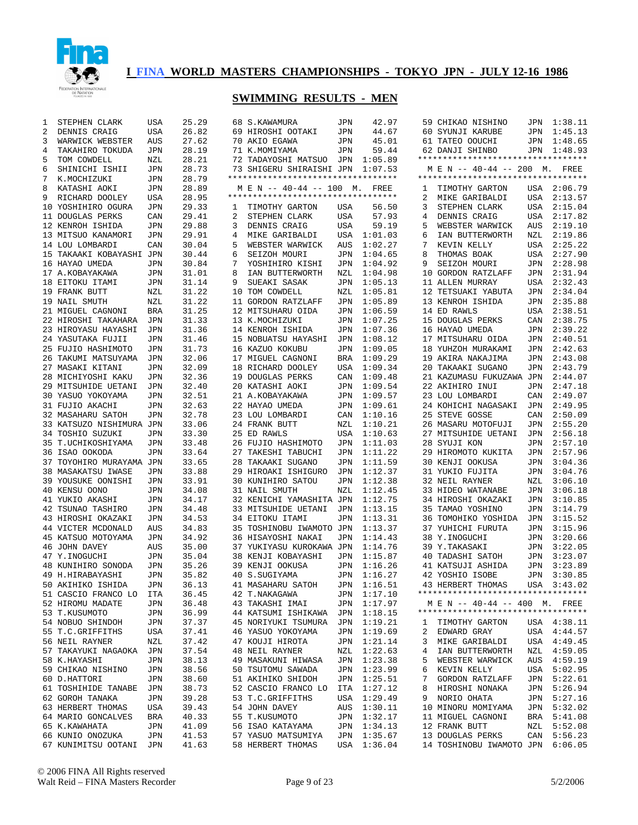

| 1 | STEPHEN CLARK                      | USA        | 25.29          |   | 68 S.KAWAMURA                           | JPN        | 42.97              |              | 59 CHIKAO NISHINO                      |            | JPN 1:38.11        |
|---|------------------------------------|------------|----------------|---|-----------------------------------------|------------|--------------------|--------------|----------------------------------------|------------|--------------------|
| 2 | DENNIS CRAIG                       | USA        | 26.82          |   | 69 HIROSHI OOTAKI                       | JPN        | 44.67              |              | 60 SYUNJI KARUBE                       | JPN        | 1:45.13            |
| 3 | WARWICK WEBSTER                    | AUS        | 27.62          |   | 70 AKIO EGAWA                           | JPN        | 45.01              |              | 61 TATEO OOUCHI                        | JPN        | 1:48.65            |
| 4 | TAKAHIRO TOKUDA                    | JPN        | 28.19          |   | 71 K.MOMIYAMA                           | JPN        | 59.44              |              | 62 DANJI SHINBO                        |            | JPN 1:48.93        |
| 5 | TOM COWDELL                        | NZL        | 28.21          |   | 72 TADAYOSHI MATSUO                     | JPN        | 1:05.89            |              | **********************************     |            |                    |
| 6 | SHINICHI ISHII                     | JPN        | 28.73          |   | 73 SHIGERU SHIRAISHI JPN                |            | 1:07.53            |              | M E N -- 40-44 -- 200 M. FREE          |            |                    |
| 7 | K.MOCHIZUKI                        | <b>JPN</b> | 28.79          |   | **********************************      |            |                    |              | **********************************     |            |                    |
| 8 | KATASHI AOKI                       | <b>JPN</b> | 28.89          |   | M E N -- 40-44 -- 100 M. FREE           |            |                    | ı            | TIMOTHY GARTON                         |            | USA 2:06.79        |
| 9 | RICHARD DOOLEY                     | USA        | 28.95          |   | **********************************      |            |                    | 2            | MIKE GARIBALDI                         | USA        | 2:13.57            |
|   | 10 YOSHIHIRO OGURA                 | JPN        | 29.33          | ı | TIMOTHY GARTON                          | USA        | 56.50              | 3            | STEPHEN CLARK                          | USA        | 2:15.04            |
|   | 11 DOUGLAS PERKS                   | CAN        | 29.41          | 2 | STEPHEN CLARK                           | USA        | 57.93              | 4            | DENNIS CRAIG                           | USA        | 2:17.82            |
|   | 12 KENROH ISHIDA                   | JPN        | 29.88          | 3 | DENNIS CRAIG                            | USA        | 59.19              | 5            | WEBSTER WARWICK                        | <b>AUS</b> | 2:19.10            |
|   | 13 MITSUO KANAMORI                 | JPN        | 29.91          | 4 | MIKE GARIBALDI                          | USA        | 1:01.03            | 6            | IAN BUTTERWORTH                        | NZL        | 2:19.86            |
|   | 14 LOU LOMBARDI                    | CAN        | 30.04          | 5 | WEBSTER WARWICK                         | AUS        | 1:02.27            | 7            | KEVIN KELLY                            | USA        | 2:25.22            |
|   | 15 TAKAAKI KOBAYASHI JPN           |            | 30.44          | 6 | SEIZOH MOURI                            | JPN        | 1:04.65            | 8            | THOMAS BOAK                            | USA        | 2:27.90<br>2:28.98 |
|   | 16 HAYAO UMEDA                     | JPN        | 30.84          | 7 | YOSHIHIRO KISHI                         | JPN        | 1:04.92            | 9            | SEIZOH MOURI                           | JPN        |                    |
|   | 17 A.KOBAYAKAWA                    | JPN        | 31.01          | 8 | IAN BUTTERWORTH                         | NZL        | 1:04.98            |              | 10 GORDON RATZLAFF                     | JPN        | 2:31.94            |
|   | 18 EITOKU ITAMI                    | JPN        | 31.14          | 9 | SUEAKI SASAK                            | JPN        | 1:05.13            |              | 11 ALLEN MURRAY                        | USA        | 2:32.43            |
|   | 19 FRANK BUTT                      | NZL        | 31.22<br>31.22 |   | 10 TOM COWDELL                          | NZL        | 1:05.81            |              | 12 TETSUAKI YABUTA<br>13 KENROH ISHIDA | JPN        | 2:34.04<br>2:35.88 |
|   | 19 NAIL SMUTH<br>21 MIGUEL CAGNONI | NZL<br>BRA | 31.25          |   | 11 GORDON RATZLAFF<br>12 MITSUHARU OIDA | JPN<br>JPN | 1:05.89<br>1:06.59 |              | 14 ED RAWLS                            | JPN<br>USA | 2:38.51            |
|   | 22 HIROSHI TAKAHARA                | JPN        | 31.33          |   | 13 K.MOCHIZUKI                          | JPN        | 1:07.25            |              | 15 DOUGLAS PERKS                       | CAN        | 2:38.75            |
|   | 23 HIROYASU HAYASHI                | JPN        | 31.36          |   | 14 KENROH ISHIDA                        | JPN        | 1:07.36            |              | 16 HAYAO UMEDA                         | JPN        | 2:39.22            |
|   | 24 YASUTAKA FUJII                  | JPN        | 31.46          |   | 15 NOBUATSU HAYASHI                     | JPN        | 1:08.12            |              | 17 MITSUHARU OIDA                      | JPN        | 2:40.51            |
|   | 25 FUJIO HASHIMOTO                 | JPN        | 31.73          |   | 16 KAZUO KOKUBU                         | <b>JPN</b> | 1:09.05            |              | 18 YUHZOH MURAKAMI                     | JPN        | 2:42.63            |
|   | 26 TAKUMI MATSUYAMA                | JPN        | 32.06          |   | 17 MIGUEL CAGNONI                       | BRA        | 1:09.29            |              | 19 AKIRA NAKAJIMA                      | JPN        | 2:43.08            |
|   | 27 MASAKI KITANI                   | JPN        | 32.09          |   | 18 RICHARD DOOLEY                       | USA        | 1:09.34            |              | 20 TAKAAKI SUGANO                      | JPN        | 2:43.79            |
|   | 28 MICHIYOSHI KAKU                 | JPN        | 32.36          |   | 19 DOUGLAS PERKS                        | CAN        | 1:09.48            |              | 21 KAZUMASU FUKUZAWA JPN               |            | 2:44.07            |
|   | 29 MITSUHIDE UETANI                | JPN        | 32.40          |   | 20 KATASHI AOKI                         | JPN        | 1:09.54            |              | 22 AKIHIRO INUI                        | JPN        | 2:47.18            |
|   | 30 YASUO YOKOYAMA                  | JPN        | 32.51          |   | 21 A.KOBAYAKAWA                         | JPN        | 1:09.57            |              | 23 LOU LOMBARDI                        | CAN        | 2:49.07            |
|   | 31 FUJIO AKACHI                    | JPN        | 32.63          |   | 22 HAYAO UMEDA                          | JPN        | 1:09.61            |              | 24 KOHICHI NAGASAKI                    | JPN        | 2:49.95            |
|   | 32 MASAHARU SATOH                  | JPN        | 32.78          |   | 23 LOU LOMBARDI                         | CAN        | 1:10.16            |              | 25 STEVE GOSSE                         | CAN        | 2:50.09            |
|   | 33 KATSUZO NISHIMURA JPN           |            | 33.06          |   | 24 FRANK BUTT                           | NZL        | 1:10.21            |              | 26 MASARU MOTOFUJI                     | JPN        | 2:55.20            |
|   | 34 TOSHIO SUZUKI                   | JPN        | 33.30          |   | 25 ED RAWLS                             | <b>USA</b> | 1:10.63            |              | 27 MITSUHIDE UETANI                    | JPN        | 2:56.18            |
|   | 35 T.UCHIKOSHIYAMA                 | JPN        | 33.48          |   | 26 FUJIO HASHIMOTO                      | JPN        | 1:11.03            |              | 28 SYUJI KON                           | JPN        | 2:57.10            |
|   | 36 ISAO OOKODA                     | JPN        | 33.64          |   | 27 TAKESHI TABUCHI                      | JPN        | 1:11.22            |              | 29 HIROMOTO KUKITA                     | JPN        | 2:57.96            |
|   | 37 TOYOHIRO MURAYAMA JPN           |            | 33.65          |   | 28 TAKAAKI SUGANO                       | JPN        | 1:11.59            |              | 30 KENJI OOKUSA                        | JPN        | 3:04.36            |
|   | 38 MASAKATSU IWASE                 | JPN        | 33.88          |   | 29 HIROAKI ISHIGURO                     | JPN        | 1:12.37            |              | 31 YUKIO FUJITA                        | JPN        | 3:04.76            |
|   | 39 YOUSUKE OONISHI                 | JPN        | 33.91          |   | 30 KUNIHIRO SATOU                       | JPN        | 1:12.38            |              | 32 NEIL RAYNER                         | NZL        | 3:06.10            |
|   | 40 KENSU OONO                      | JPN        | 34.08          |   | 31 NAIL SMUTH                           | NZL        | 1:12.45            |              | 33 HIDEO WATANABE                      | JPN        | 3:06.18            |
|   | 41 YUKIO AKASHI                    | JPN        | 34.17          |   | 32 KENICHI YAMASHITA JPN                |            | 1:12.75            |              | 34 HIROSHI OKAZAKI                     | JPN        | 3:10.85            |
|   | 42 TSUNAO TASHIRO                  | JPN        | 34.48          |   | 33 MITSUHIDE UETANI                     | JPN        | 1:13.15            |              | 35 TAMAO YOSHINO                       | JPN        | 3:14.79            |
|   | 43 HIROSHI OKAZAKI                 | JPN        | 34.53          |   | 34 EITOKU ITAMI                         | JPN        | 1:13.31            |              | 36 TOMOHIKO YOSHIDA                    | JPN        | 3:15.52            |
|   | 44 VICTER MCDONALD                 | AUS        | 34.83          |   | 35 TOSHINOBU IWAMOTO JPN                |            | 1:13.37            |              | 37 YUHICHI FURUTA                      | JPN        | 3:15.96            |
|   | 45 KATSUO MOTOYAMA                 | JPN        | 34.92          |   | 36 HISAYOSHI NAKAI                      | JPN        | 1:14.43            |              | 38 Y.INOGUCHI                          | JPN        | 3:20.66            |
|   | 46 JOHN DAVEY                      | AUS        | 35.00          |   | 37 YUKIYASU KUROKAWA JPN                |            | 1:14.76            |              | 39 Y.TAKASAKI                          | JPN        | 3:22.05            |
|   | 47 Y.INOGUCHI                      | JPN        | 35.04          |   | 38 KENJI KOBAYASHI                      | JPN        | 1:15.87            |              | 40 TADASHI SATOH                       | JPN        | 3:23.07            |
|   | 48 KUNIHIRO SONODA                 | JPN        | 35.26          |   | 39 KENJI OOKUSA                         | JPN        | 1:16.26            |              | 41 KATSUJI ASHIDA                      | JPN        | 3:23.89            |
|   | 49 H.HIRABAYASHI                   | JPN        | 35.82          |   | 40 S.SUGIYAMA                           | JPN        | 1:16.27            |              | 42 YOSHIO ISOBE                        | JPN        | 3:30.85            |
|   | 50 AKIHIKO ISHIDA                  | JPN        | 36.13          |   | 41 MASAHARU SATOH                       |            | JPN 1:16.51        |              | 43 HERBERT THOMAS                      |            | USA 3:43.02        |
|   | 51 CASCIO FRANCO LO                | ITA        | 36.45          |   | 42 T.NAKAGAWA                           |            | JPN 1:17.10        |              | **********************************     |            |                    |
|   | 52 HIROMU MADATE                   | JPN        | 36.48          |   | 43 TAKASHI IMAI                         |            | JPN 1:17.97        |              | M E N -- 40-44 -- 400 M. FREE          |            |                    |
|   | 53 T.KUSUMOTO                      | JPN        | 36.99          |   | 44 KATSUMI ISHIKAWA JPN 1:18.15         |            |                    |              | **********************************     |            |                    |
|   | 54 NOBUO SHINDOH                   | JPN        | 37.37          |   | 45 NORIYUKI TSUMURA JPN 1:19.21         |            |                    | $\mathbf{1}$ | TIMOTHY GARTON                         |            | USA 4:38.11        |
|   | 55 T.C.GRIFFITHS                   | USA        | 37.41          |   | 46 YASUO YOKOYAMA                       |            | JPN 1:19.69        | 2            | EDWARD GRAY                            |            | USA 4:44.57        |
|   | 56 NEIL RAYNER                     | NZL        | 37.42          |   | 47 KOUJI HIROTA                         |            | JPN 1:21.14        | 3            | MIKE GARIBALDI                         |            | USA 4:49.45        |
|   | 57 TAKAYUKI NAGAOKA                | JPN        | 37.54          |   | 48 NEIL RAYNER                          |            | NZL 1:22.63        | 4            | IAN BUTTERWORTH                        |            | NZL 4:59.05        |
|   | 58 K.HAYASHI                       | JPN        | 38.13          |   | 49 MASAKUNI HIWASA                      |            | JPN 1:23.38        | 5            | WEBSTER WARWICK                        |            | AUS 4:59.19        |
|   | 59 CHIKAO NISHINO                  | JPN        | 38.56          |   | 50 TSUTOMU SAWADA                       |            | JPN 1:23.99        | 6            | KEVIN KELLY                            |            | USA 5:02.95        |
|   | 60 D.HATTORI                       | JPN        | 38.60          |   | 51 AKIHIKO SHIDOH                       |            | JPN 1:25.51        | 7            | <b>GORDON RATZLAFF</b>                 |            | JPN 5:22.61        |
|   | 61 TOSHIHIDE TANABE                | JPN        | 38.73          |   | 52 CASCIO FRANCO LO                     |            | ITA 1:27.12        | 8            | HIROSHI NONAKA                         |            | JPN 5:26.94        |
|   | 62 GOROH TANAKA                    | JPN        | 39.28          |   | 53 T.C.GRIFFITHS                        |            | USA 1:29.49        |              | 9 NORIO OHATA                          |            | JPN 5:27.16        |
|   | 63 HERBERT THOMAS                  | USA        | 39.43          |   | 54 JOHN DAVEY                           |            | AUS 1:30.11        |              | 10 MINORU MOMIYAMA                     |            | JPN 5:32.02        |
|   | 64 MARIO GONCALVES                 | BRA        | 40.33          |   | 55 T.KUSUMOTO                           |            | JPN 1:32.17        |              | 11 MIGUEL CAGNONI                      |            | BRA 5:41.08        |
|   | 65 K.KAWAHATA                      | JPN        | 41.09          |   | 56 ISAO KATAYAMA                        |            | JPN 1:34.13        |              | 12 FRANK BUTT                          |            | NZL 5:52.08        |
|   | 66 KUNIO ONOZUKA                   | JPN        | 41.53          |   | 57 YASUO MATSUMIYA                      |            | JPN 1:35.67        |              | 13 DOUGLAS PERKS                       |            | CAN 5:56.23        |
|   | 67 KUNIMITSU OOTANI JPN            |            | 41.63          |   | 58 HERBERT THOMAS                       |            | USA 1:36.04        |              | 14 TOSHINOBU IWAMOTO JPN 6:06.05       |            |                    |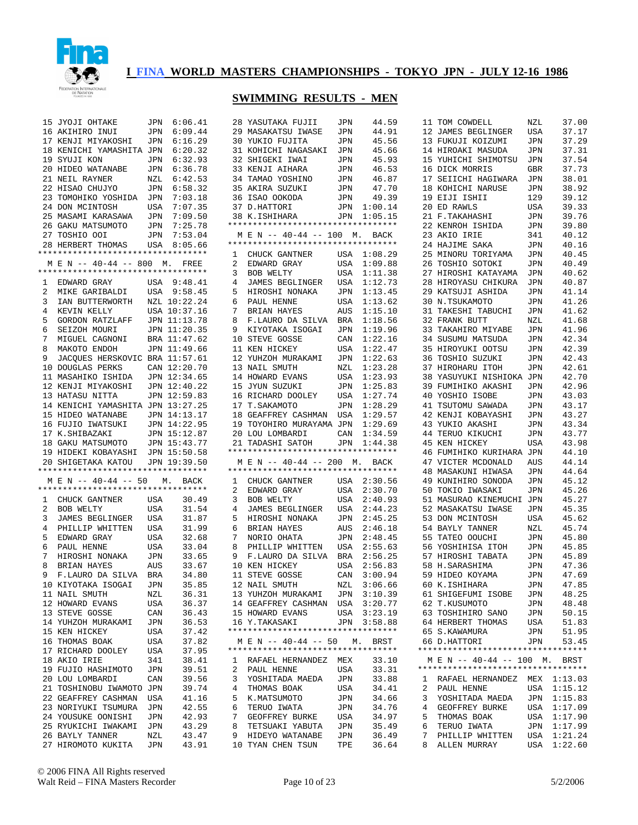

|                | 15 ЈҮОЈІ ОНТАКЕ                                                   |     | JPN 6:06.41                  | 28             |
|----------------|-------------------------------------------------------------------|-----|------------------------------|----------------|
|                | 16 AKIHIRO INUI                                                   | JPN | 6:09.44                      | 2 <sup>c</sup> |
|                | 17 KENJI MIYAKOSHI                                                |     | JPN 6:16.29                  | 3 <sup>0</sup> |
|                | 18 KENICHI YAMASHITA JPN                                          |     | 6:20.32                      | 31             |
|                | 19 SYUJI KON                                                      |     | JPN 6:32.93                  | 32             |
|                | 20 HIDEO WATANABE                                                 | JPN | 6:36.78                      | 33             |
|                | 21 NEIL RAYNER                                                    |     | NZL 6:42.53                  | 34             |
|                | 22 HISAO CHUJYO                                                   | JPN | 6:58.32                      | 35             |
|                | 23 TOMOHIKO YOSHIDA JPN 7:03.18                                   |     |                              | 36             |
|                | 24 DON MCINTOSH                                                   | USA | 7:07.35                      | 37             |
|                | 25 MASAMI KARASAWA JPN 7:09.50                                    |     |                              | 38             |
|                | 26 GAKU MATSUMOTO                                                 |     |                              | $***$          |
|                | 27 TOSHIO OOI                                                     |     | JPN 7:25.78<br>JPN 7:53.04   | Ņ              |
|                |                                                                   |     | USA 8:05.66                  | $***$          |
|                | 28 HERBERT THOMAS<br>*********************************            |     |                              | $\mathbf{1}$   |
|                | M E N -- 40-44 -- 800 M. FREE                                     |     |                              | 2              |
|                | *********************************                                 |     |                              | 3              |
| $\mathbf{1}$   | EDWARD GRAY                                                       |     | USA 9:48.41                  | 4              |
| $\overline{a}$ | MIKE GARIBALDI                                                    |     | USA 9:58.45                  | 5              |
|                |                                                                   |     | NZL 10:22.24                 | 6              |
| 3              | IAN BUTTERWORTH                                                   |     |                              |                |
| 4              | KEVIN KELLY                                                       |     | USA 10:37.16                 | 7              |
| 5              | GORDON RATZLAFF                                                   |     | JPN 11:13.78                 | 8              |
| 6              | SEIZOH MOURI                                                      |     | JPN 11:20.35                 | 9              |
| 7              | MIGUEL CAGNONI                                                    |     | BRA 11:47.62                 | 10             |
| 8              | MAKOTO ENDOH                                                      |     | JPN 11:49.66                 | 11             |
| 9              | JACQUES HERSKOVIC BRA 11:57.61                                    |     |                              | 12             |
|                | 10 DOUGLAS PERKS                                                  |     | CAN 12:20.70                 | 13             |
|                | 11 MASAHIKO ISHIDA                                                |     | JPN 12:34.65                 | 14             |
|                | 12 KENJI MIYAKOSHI                                                |     | JPN 12:40.22                 | 15             |
|                | 13 HATASU NITTA                                                   |     | JPN 12:59.83                 | 16             |
|                | 14 KENICHI YAMASHITA JPN 13:27.25                                 |     |                              | 17             |
|                | 15 HIDEO WATANABE                                                 |     | JPN 14:13.17<br>JPN 14:22.95 | 18             |
|                | 16 FUJIO IWATSUKI                                                 |     |                              | 1 <sup>c</sup> |
|                | 17 K.SHIBAZAKI                                                    |     | JPN 15:12.87                 | 2 <sub>c</sub> |
|                | 18 GAKU MATSUMOTO                                                 |     | JPN 15:43.77                 | 21             |
|                | 19 HIDEKI KOBAYASHI JPN 15:50.58                                  |     |                              | $***$          |
|                | 20 SHIGETAKA KATOU JPN 19:39.50                                   |     |                              | $\mathbb{N}$   |
|                | *********************************                                 |     |                              | $***$          |
|                | M E N -- 40-44 -- 50 M. BACK<br>********************************* |     |                              | 1              |
|                | CHUCK GANTNER                                                     |     |                              | 2              |
| 1              |                                                                   | USA | 30.49                        | 3              |
| $\overline{a}$ | BOB WELTY                                                         | USA | 31.54                        | $\overline{4}$ |
| 3              | JAMES BEGLINGER                                                   | USA | 31.87                        | 5              |
| 4              | PHILLIP WHITTEN                                                   | USA | 31.99                        | 6              |
| 5              | EDWARD GRAY                                                       | USA | 32.68                        | 7              |
| 6              | PAUL HENNE                                                        | USA | 33.04                        | 8              |
| 7              | HIROSHI NONAKA                                                    | JPN | 33.65                        | 9              |
| 8              | BRIAN HAYES                                                       | AUS | 33.67                        | 10             |
| 9              | F.LAURO DA SILVA                                                  | BRA | 34.80                        | 11             |
| 10             | KIYOTAKA ISOGAI                                                   | JPN | 35.85                        | 12             |
|                | 11 NAIL SMUTH                                                     | NZL | 36.31                        | 13             |
|                | 12 HOWARD EVANS                                                   | USA | 36.37                        | 14             |
|                | 13 STEVE GOSSE                                                    | CAN | 36.43                        | 15             |
|                | 14 YUHZOH MURAKAMI                                                | JPN | 36.53                        | 16             |
|                | 15 KEN HICKEY                                                     | USA | 37.42                        | * * *          |
|                | 16 THOMAS BOAK                                                    | USA | 37.82                        | Ņ              |
|                | 17 RICHARD DOOLEY                                                 | USA | 37.95                        | * * *          |
|                | 18 AKIO IRIE                                                      | 341 | 38.41                        | 1              |
|                | 19 FUJIO HASHIMOTO                                                | JPN | 39.51                        | 2              |
|                | 20 LOU LOMBARDI                                                   | CAN | 39.56                        | 3              |
| 21             | TOSHINOBU IWAMOTO JPN                                             |     | 39.74                        | 4              |
| 22             | GEAFFREY CASHMAN                                                  | USA | 41.16                        | 5              |
|                | 23 NORIYUKI TSUMURA                                               | JPN | 42.55                        | 6              |
|                | 24 YOUSUKE OONISHI                                                | JPN | 42.93                        | 7              |
|                | 25 RYUKICHI IWAKAMI                                               | JPN | 43.29                        | 8              |
|                | 26 BAYLY TANNER                                                   | NZL | 43.47                        | 9              |
|                | 27 HIROMOTO KUKITA                                                | JPN | 43.91                        | 10             |

| 28                  | YASUTAKA FUJII                                                     | JPN             | 44.59              |
|---------------------|--------------------------------------------------------------------|-----------------|--------------------|
|                     | 29 MASAKATSU IWASE                                                 | JPN             | 44.91              |
|                     | 30 YUKIO FUJITA                                                    | JPN             | 45.56              |
|                     | 31 KOHICHI NAGASAKI                                                | JPN             | 45.66              |
|                     | 32 SHIGEKI IWAI                                                    | JPN             | 45.93              |
|                     | 33 KENJI AIHARA                                                    | JPN             | 46.53              |
|                     | 34 TAMAO YOSHINO                                                   | JPN             | 46.87              |
|                     | 35 AKIRA SUZUKI                                                    | JPN             | 47.70              |
|                     | 36 ISAO OOKODA                                                     | JPN             | 49.39              |
|                     | 37 D.HATTORI                                                       | JPN             | 1:00.14            |
|                     | 38 K.ISHIHARA                                                      |                 | JPN 1:05.15        |
|                     | **********************************                                 |                 |                    |
|                     | M E N -- 40-44 -- 100 M. BACK<br>********************************* |                 |                    |
|                     |                                                                    |                 | 1:08.29            |
| 1<br>$\overline{a}$ | CHUCK GANTNER USA                                                  |                 |                    |
| 3                   | EDWARD GRAY<br>BOB WELTY<br>BOB WELTY                              | USA<br>USA      | 1:09.88<br>1:11.38 |
| 4                   | JAMES BEGLINGER                                                    | USA             | 1:12.73            |
| 5                   | HIROSHI NONAKA                                                     | JPN             | 1:13.45            |
| 6                   |                                                                    | USA             | 1:13.62            |
| 7                   | BRIAN HAYES                                                        | AUS             | 1:15.10            |
| 8                   | F.LAURO DA SILVA                                                   | BRA             | 1:18.56            |
| 9                   | KIYOTAKA ISOGAI                                                    | JPN             | 1:19.96            |
| 10                  | STEVE GOSSE                                                        | CAN             | 1:22.16            |
| 11                  | KEN HICKEY                                                         | USA             | 1:22.47            |
| 12                  | YUHZOH MURAKAMI                                                    | JPN             | 1:22.63            |
|                     |                                                                    | NZL             | 1:23.28            |
|                     | 13 NAIL SMUTH<br>14 HOWARD EVANS                                   | USA             | 1:23.93            |
|                     | 15 JYUN SUZUKI                                                     | JPN             | 1:25.83            |
| 16                  | RICHARD DOOLEY<br>T.SAKAMOTO                                       | USA             | 1:27.74            |
|                     | 17 T.SAKAMOTO                                                      | JPN             | 1:28.29            |
| 18                  | GEAFFREY CASHMAN                                                   | USA             | 1:29.57            |
|                     | 19 TOYOHIRO MURAYAMA JPN                                           |                 | 1:29.69            |
| 20 <sub>o</sub>     | LOU LOMBARDI                                                       | CAN             | 1:34.59            |
| 21                  | TADASHI SATOH                                                      | JPN             | 1:44.38            |
|                     | **********************************                                 |                 |                    |
|                     | M E N -- 40-44 -- 200 M. BACK<br>********************************* |                 |                    |
|                     |                                                                    |                 |                    |
|                     |                                                                    |                 |                    |
|                     | 1 CHUCK GANTNER                                                    |                 | USA 2:30.56        |
| $\overline{2}$      | EDWARD GRAY                                                        | USA             | 2:30.70            |
| 3                   | BOB WELTY                                                          | USA             | 2:40.93            |
| 4                   | JAMES BEGLINGER                                                    | USA             | 2:44.23            |
| 5                   | HIROSHI NONAKA                                                     | JPN             | 2:45.25            |
| 6                   | BRIAN HAYES                                                        | AUS             | 2:46.18            |
| 7                   |                                                                    | JPN             | 2:48.45            |
| 8<br>9              | NORIO OHATA<br>PHJLLIT I<br>PHILLIP WHITTEN<br>F.LAURO DA SILVA    | USA<br>BRA      | 2:55.63<br>2:56.25 |
|                     | 10 KEN HICKEY                                                      |                 | 2:56.83            |
| 11                  | STEVE GOSSE                                                        | -<br>USA<br>CAN | 3:00.94            |
|                     | 12 NAIL SMUTH                                                      |                 | 3:06.66            |
|                     | 13 YUHZOH MURAKAMI                                                 | NZL<br>JPN      | 3:10.39            |
|                     | 14 GEAFFREY CASHMAN                                                | USA             | 3:20.77            |
|                     | 15 HOWARD EVANS                                                    | USA             | 3:23.19            |
|                     | 16 Y.TAKASAKI                                                      |                 | JPN 3:58.88        |
|                     | **********************************                                 |                 |                    |
|                     | M E N -- 40-44 -- 50 M. BRST                                       |                 |                    |
|                     | **********************************                                 |                 |                    |
| $\mathbf{1}$        | RAFAEL HERNANDEZ MEX                                               |                 | 33.10              |
| $\overline{a}$      | PAUL HENNE                                                         | USA             | 33.31              |
| 3                   | YOSHITADA MAEDA                                                    | JPN             | 33.88              |
| 4                   | THOMAS BOAK                                                        | USA             | 34.41              |
| 5                   | K.MATSUMOTO                                                        | JPN             | 34.66              |
| 6                   | TERUO IWATA                                                        | JPN             | 34.76              |
| 7<br>8              | <b>BURKE</b><br>GEOFFREY                                           | USA             | 34.97              |
| 9                   | TETSUAKI<br>YABUTA<br>HIDEYO WATANABE                              | JPN<br>JPN      | 35.49<br>36.49     |

| 11 | TOM COWDELL                                 | NZL | 37.00       |
|----|---------------------------------------------|-----|-------------|
| 12 | JAMES BEGLINGER                             | USA | 37.17       |
|    |                                             |     |             |
| 13 | FUKUJI KOIZUMI                              | JPN | 37.29       |
|    | 14 HIROAKI MASUDA                           | JPN | 37.31       |
| 15 | YUHICHI SHIMOTSU                            |     | 37.54       |
|    |                                             | JPN |             |
| 16 | DICK MORRIS                                 | GBR | 37.73       |
|    | 17 SEIICHI HAGIWARA                         | JPN | 38.01       |
|    |                                             |     |             |
| 18 | KOHICHI NARUSE                              | JPN | 38.92       |
| 19 | EIJI ISHII                                  | 129 | 39.12       |
|    |                                             |     |             |
| 20 | ED RAWLS                                    | USA | 39.33       |
| 21 | F.TAKAHASHI                                 | JPN | 39.76       |
| 22 | KENROH ISHIDA                               | JPN | 39.80       |
|    |                                             |     |             |
| 23 | AKIO IRIE                                   | 341 | 40.12       |
| 24 | HAJIME SAKA                                 | JPN | 40.16       |
|    |                                             |     |             |
| 25 | MINORU TORIYAMA                             | JPN | 40.45       |
| 26 | TOSHIO<br>SOTOKI                            | JPN | 40.49       |
| 27 | HIROSHI KATAYAMA                            | JPN | 40.62       |
|    |                                             |     |             |
| 28 | HIROYASU CHIKURA                            | JPN | 40.87       |
| 29 | KATSUJI ASHIDA                              | JPN | 41.14       |
| 30 | N.TSUKAMOTO                                 |     | 41.26       |
|    |                                             | JPN |             |
| 31 | TAKESHI TABUCHI                             | JPN | 41.62       |
| 32 | FRANK BUTT                                  | NZL | 41.68       |
|    |                                             |     |             |
| 33 | TAKAHIRO MIYABE                             | JPN | 41.96       |
| 34 | SUSUMU MATSUDA                              | JPN | 42.34       |
| 35 | HIROYUKI OOTSU                              |     | 42.39       |
|    |                                             | JPN |             |
| 36 | TOSHIO SUZUKI                               | JPN | 42.43       |
| 37 | HIROHARU ITOH                               | JPN | 42.61       |
|    |                                             |     |             |
| 38 | NISHIOKA<br>YASUYUKI                        | JPN | 42.70       |
| 39 | FUMIHIKO AKASHI                             | JPN | 42.96       |
| 40 | YOSHIO ISOBE                                |     |             |
|    |                                             | JPN | 43.03       |
| 41 | TSUTOMU SAWADA                              | JPN | 43.17       |
| 42 | KENJI KOBAYASHI                             | JPN | 43.27       |
|    |                                             |     |             |
| 43 | YUKIO AKASHI                                | JPN | 43.34       |
|    | 44 TERUO KIKUCHI                            | JPN | 43.77       |
| 45 |                                             |     |             |
|    | KEN HICKEY                                  | USA | 43.98       |
| 46 | FUMIHIKO KURIHARA                           | JPN | 44.10       |
| 47 | VICTER MCDONALD                             | AUS | 44.14       |
|    |                                             |     |             |
| 48 | MASAKUNI HIWASA                             | JPN | 44.64       |
| 49 | KUNIHIRO SONODA                             | JPN | 45.12       |
| 50 | TOKIO IWASAKI                               | JPN | 45.26       |
|    |                                             |     |             |
| 51 | MASURAO KINEMUCHI                           | JPN | 45.27       |
| 52 | MASAKATSU IWASE                             | JPN | 45.35       |
|    |                                             |     |             |
| 53 | DON MCINTOSH                                | USA | 45.62       |
| 54 | BAYLY TANNER                                | NZL | 45.74       |
| 55 |                                             |     |             |
|    |                                             |     |             |
|    | TATEO OOUCHI                                | JPN | 45.80       |
| 56 | YOSHIHISA ITOH                              | JPN | 45.85       |
|    |                                             |     |             |
|    | 57 HIROSHI TABATA                           | JPN | 45.89       |
|    | 58 H.SARASHIMA                              | JPN | 47.36       |
|    | 59 HIDEO KOYAMA                             | JPN | 47.69       |
|    |                                             |     |             |
|    | 60 K.ISHIHARA                               | JPN | 47.85       |
|    | 61 SHIGEFUMI ISOBE                          | JPN | 48.25       |
|    |                                             |     |             |
|    | 62 T.KUSUMOTO                               | JPN | 48.48       |
|    | 63 TOSHIHIRO SANO                           | JPN | 50.15       |
|    | 64 HERBERT THOMAS                           | USA | 51.83       |
|    |                                             |     |             |
|    | 65 S.KAWAMURA                               | JPN | 51.95       |
|    | 66 D.HATTORI                                | JPN | 53.45       |
|    | **********************************          |     |             |
|    |                                             |     |             |
|    | M E N -- 40-44 -- 100 M. BRST               |     |             |
|    | **********************************          |     |             |
| 1  |                                             |     | 1:13.03     |
|    | RAFAEL HERNANDEZ MEX                        |     |             |
| 2  | PAUL HENNE                                  | USA | 1:15.12     |
| 3  | YOSHITADA MAEDA                             | JPN | 1:15.83     |
| 4  | GEOFFREY BURKE                              | USA | 1:17.09     |
|    |                                             |     |             |
| 5  | THOMAS BOAK                                 | USA | 1:17.90     |
| 6  | TERUO IWATA                                 | JPN | 1:17.99     |
| 7  |                                             |     |             |
| 8  | PHILLIP WHITTEN USA 1:21.24<br>ALLEN MURRAY |     | USA 1:22.60 |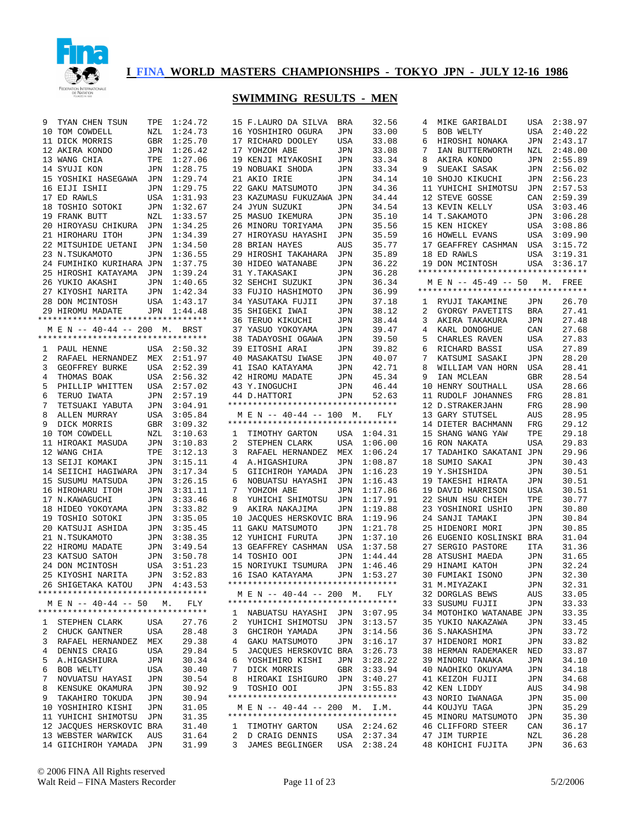

| 9              | TYAN CHEN TSUN                     | TPE         | 1:24.72                               |                 | 15 F.LAU          |
|----------------|------------------------------------|-------------|---------------------------------------|-----------------|-------------------|
|                | 10 TOM COWDELL                     | NZL         | 1:24.73                               |                 | 16 YOSHI          |
|                | 11 DICK MORRIS                     | GBR         | 1:25.70                               |                 | 17 RICHA          |
|                | 12 AKIRA KONDO                     | JPN         | 1:26.42                               |                 | 17 YOHZ           |
|                | 13 WANG CHIA                       | TPE         | 1:27.06                               |                 | 19 KENJI          |
|                | 14 SYUJI KON                       | JPN         | 1:28.75                               |                 | 19 NOBUA          |
|                |                                    | JPN         |                                       |                 | 21 AKIO           |
|                | 15 YOSHIKI HASEGAWA                |             | 1:29.74                               |                 |                   |
|                | 16 EIJI ISHII                      | JPN         | 1:29.75                               |                 | 22 GAKU           |
|                | 17 ED RAWLS                        | USA         | 1:31.93                               |                 | 23 KAZUN          |
|                | 18 TOSHIO SOTOKI                   | JPN         | 1:32.67                               |                 | 24 JYUN           |
|                | 19 FRANK BUTT                      | ${\tt NZL}$ | 1:33.57                               |                 | 25 MASUO          |
|                | 20 HIROYASU CHIKURA                | JPN         | 1:34.25                               |                 | 26 MINOF          |
|                | 21 HIROHARU ITOH                   | JPN         | 1:34.39                               |                 | 27 HIROY          |
|                | 22 MITSUHIDE UETANI                | JPN         | 1:34.50                               |                 | 28 BRIAN          |
|                | 23 N.TSUKAMOTO                     | JPN         | 1:36.55                               |                 | 29 HIROS          |
|                | 24 FUMIHIKO KURIHARA JPN           |             | 1:37.75                               |                 | 30 HIDEO          |
|                | 25 HIROSHI KATAYAMA JPN            |             | 1:39.24                               |                 | 31 Y.TAM          |
|                | 26 YUKIO AKASHI                    |             | 1:40.65                               |                 | 32 SEHCH          |
|                |                                    | JPN<br>JPN  |                                       |                 |                   |
|                | 27 KIYOSHI NARITA                  |             | 1:42.34                               |                 | 33 FUJIO          |
|                | 28 DON MCINTOSH                    |             | USA 1:43.17<br>JPN 1:44.48<br>1:43.17 |                 | 34 YASUT          |
|                | 29 HIROMU MADATE                   |             |                                       |                 | 35 SHIGE          |
|                | ********************************** |             |                                       |                 | 36 TERUO          |
|                | M E N -- 40-44 -- 200 M.           |             | BRST                                  |                 | 37 YASUO          |
|                | *********************************  |             |                                       |                 | 38 TADAY          |
| $\mathbf{1}$   | PAUL HENNE                         |             | USA 2:50.32                           |                 | 39 EITOS          |
| $\overline{a}$ | RAFAEL HERNANDEZ                   |             | $MEX = 2:51.97$                       |                 | 40 MASAR          |
| 3              | GEOFFREY BURKE                     | USA         | 2:52.39                               |                 | 41 ISAO           |
| $\overline{4}$ | THOMAS BOAK                        |             | USA 2:56.32                           |                 | 42 HIRON          |
| 5              | PHILLIP WHITTEN                    | USA         | 2:57.02                               |                 | 43 Y.IN           |
| 6              | TERUO IWATA                        |             |                                       |                 | 44 D.HAT          |
|                |                                    |             | JPN 2:57.19<br>JPN 3:04.91<br>3:04.91 |                 | *********         |
| 7              | TETSUAKI YABUTA                    |             |                                       |                 |                   |
| 8              | ALLEN MURRAY                       | USA         | 3:05.84                               |                 | $M$ E $N$ -       |
| 9              | DICK MORRIS                        | GBR         | 3:09.32                               |                 | *********         |
|                | 10 TOM COWDELL                     | ${\tt NZL}$ | 3:10.63                               | $\mathbf{1}$    | TIMOT             |
|                | 11 HIROAKI MASUDA                  | JPN         | 3:10.83                               | $\overline{a}$  | STEPH             |
|                | 12 WANG CHIA                       | TPE         | 3:12.13                               | 3 <sup>7</sup>  | RAFAE             |
|                | 13 SEIJI KOMAKI                    | JPN         | 3:15.11                               | $4\overline{ }$ | A.HIO             |
|                | 14 SEIICHI HAGIWARA                | JPN         | 3:17.34                               | 5               | GIICH             |
|                | 15 SUSUMU MATSUDA                  | JPN         | 3:26.15                               | 6               | <b>NOBUA</b>      |
|                | 16 HIROHARU ITOH                   | JPN         | 3:31.11                               | 7 <sup>7</sup>  | YOHZO             |
|                | 17 N.KAWAGUCHI                     | JPN         | 3:33.46                               | 8               | <b>YUHI</b>       |
|                | 18 HIDEO YOKOYAMA                  |             | JPN 3:33.82                           | 9               | AKIRA             |
|                |                                    |             |                                       |                 |                   |
|                | 19 TOSHIO SOTOKI                   | JPN         | 3:35.05                               |                 | 10 JACQU          |
|                | 20 KATSUJI ASHIDA                  | JPN         | 3:35.45                               |                 | 11 GAKU           |
|                | 21 N.TSUKAMOTO                     | JPN         | 3:38.35                               |                 | 12 YUHIO          |
|                | 22 HIROMU MADATE                   | JPN         | 3:49.54                               |                 | 13 GEAFE          |
|                | 23 KATSUO SATOH                    | JPN         | 3:50.78                               |                 | 14 TOSHI          |
|                | 24 DON MCINTOSH                    |             | USA 3:51.23                           |                 | 15 NORIY          |
|                | 25 KIYOSHI NARITA                  | JPN         | 3:52.83                               | 16              | ISAO              |
|                | 26 SHIGETAKA KATOU JPN 4:43.53     |             |                                       |                 | *********         |
|                | ********************************** |             |                                       |                 | $M$ E $N$ -       |
|                | M E N -- 40-44 -- 50 M.            |             | FLY                                   |                 | *********         |
|                | *********************************  |             |                                       | $\mathbf{1}$    | <b>NABUA</b>      |
|                |                                    |             |                                       | 2               |                   |
| $\mathbf{1}$   | STEPHEN CLARK                      | USA         | 27.76                                 |                 | <b>YUHI</b>       |
| 2              | CHUCK GANTNER                      | USA         | 28.48                                 | 3               | GHCIF             |
| 3              | RAFAEL HERNANDEZ MEX               |             | 29.38                                 | 4               | GAKU              |
| 4              | DENNIS CRAIG                       | USA         | 29.84                                 | 5               | JACQI             |
| 5              | A.HIGASHIURA                       | JPN         | 30.34                                 | 6               | YOSHI             |
| 6              | BOB WELTY                          | USA         | 30.40                                 | 7               | DICK              |
| 7              | NOVUATSU HAYASI                    | JPN         | 30.54                                 | 8               | <b>HIRO</b>       |
| 8              | KENSUKE OKAMURA                    | JPN         | 30.92                                 | 9               | TOSHI             |
| 9              | TAKAHIRO TOKUDA                    | JPN         | 30.94                                 |                 | *********         |
|                | 10 YOSHIHIRO KISHI                 | JPN         | 31.05                                 |                 | $M$ E $N$ -       |
|                | 11 YUHICHI SHIMOTSU                | JPN         | 31.35                                 |                 | *********         |
|                |                                    |             | 31.40                                 |                 |                   |
|                | 12 JACQUES HERSKOVIC BRA           |             |                                       | $\mathbf{1}$    | TIMO <sub>1</sub> |
|                | 13 WEBSTER WARWICK                 | AUS         | 31.64                                 | 2               | D CRA             |
|                | 14 GIICHIROH YAMADA JPN            |             | 31.99                                 | 3               | <b>JAMES</b>      |

|                                | 15 F.LAURO DA SILVA                                            | BRA                                                                                                                                                 | 32.56              |
|--------------------------------|----------------------------------------------------------------|-----------------------------------------------------------------------------------------------------------------------------------------------------|--------------------|
| 16                             | YOSHIHIRO OGURA                                                | JPN                                                                                                                                                 | 33.00              |
|                                | 17 RICHARD DOOLEY                                              | USA                                                                                                                                                 | 33.08              |
| 17                             | YOHZOH ABE                                                     | JPN                                                                                                                                                 | 33.08              |
|                                | 19 KENJI MIYAKOSHI                                             | JPN                                                                                                                                                 | 33.34              |
|                                | 19 NOBUAKI SHODA                                               | JPN                                                                                                                                                 | 33.34              |
|                                | 21 AKIO IRIE                                                   | JPN                                                                                                                                                 | 34.14              |
| 22                             | GAKU MATSUMOTO                                                 | JPN                                                                                                                                                 | 34.36              |
|                                | 23 KAZUMASU FUKUZAWA                                           | JPN                                                                                                                                                 | 34.44              |
| 24                             | JYUN SUZUKI                                                    | JPN                                                                                                                                                 | 34.54              |
| 25                             | MASUO IKEMURA                                                  | JPN                                                                                                                                                 | 35.10              |
|                                | 26 MINORU TORIYAMA                                             | JPN                                                                                                                                                 | 35.56              |
|                                | 27 HIROYASU HAYASHI<br>28 BRIAN HAYES                          | JPN                                                                                                                                                 | 35.59              |
|                                | 29 HIROSHI TAKAHARA                                            | AUS<br>JPN                                                                                                                                          | 35.77<br>35.89     |
|                                | 30 HIDEO WATANABE                                              | JPN                                                                                                                                                 | 36.22              |
| 31                             | Y.TAKASAKI                                                     | JPN                                                                                                                                                 | 36.28              |
|                                | 32 SEHCHI SUZUKI                                               | JPN                                                                                                                                                 | 36.34              |
| 33                             | FUJIO HASHIMOTO                                                | JPN                                                                                                                                                 | 36.99              |
|                                | 34 YASUTAKA FUJII                                              | JPN                                                                                                                                                 | 37.18              |
| 35                             | SHIGEKI IWAI                                                   | JPN                                                                                                                                                 | 38.12              |
| 36                             | TERUO KIKUCHI                                                  | JPN                                                                                                                                                 | 38.44              |
|                                | 37 YASUO YOKOYAMA                                              | JPN                                                                                                                                                 | 39.47              |
| 38                             | TADAYOSHI OGAWA                                                | JPN                                                                                                                                                 | 39.50              |
|                                | 39 EITOSHI ARAI                                                | JPN                                                                                                                                                 | 39.82              |
|                                | 40 MASAKATSU IWASE                                             | JPN                                                                                                                                                 | 40.07              |
|                                | 41 ISAO KATAYAMA                                               | JPN                                                                                                                                                 | 42.71              |
|                                | 42 HIROMU MADATE                                               | JPN                                                                                                                                                 | 45.34              |
|                                | 43 Y. INOGUCHI                                                 | JPN                                                                                                                                                 | 46.44              |
|                                | 44 D.HATTORI<br>**********************************             | JPN                                                                                                                                                 | 52.63              |
|                                |                                                                |                                                                                                                                                     | <b>FLY</b>         |
|                                | M E N -- 40-44 -- 100 M.<br>********************************** |                                                                                                                                                     |                    |
|                                | 1 TIMOTHY GARTON                                               |                                                                                                                                                     | USA 1:04.31        |
|                                |                                                                |                                                                                                                                                     |                    |
|                                |                                                                |                                                                                                                                                     |                    |
| $\overline{2}$                 | STEPHEN CLARK                                                  | USA                                                                                                                                                 | 1:06.00            |
| 3<br>4                         | RAFAEL HERNANDEZ                                               | MEX                                                                                                                                                 | 1:06.24<br>1:08.87 |
| 5                              | A.HIGASHIURA<br>GIICHIROH YAMADA                               | JPN<br>JPN                                                                                                                                          | 1:16.23            |
| 6                              | NOBUATSU HAYASHI                                               | JPN                                                                                                                                                 | 1:16.43            |
| 7                              | YOHZOH ABE                                                     | JPN                                                                                                                                                 | 1:17.86            |
| 8                              | YUHICHI SHIMOTSU                                               | JPN                                                                                                                                                 | 1:17.91            |
| 9                              | AKIRA NAKAJIMA                                                 | JPN                                                                                                                                                 | 1:19.88            |
| 10                             | JACOUES HERSKOVIC                                              | BRA                                                                                                                                                 | 1:19.96            |
| 11                             | GAKU MATSUMOTO                                                 | JPN                                                                                                                                                 | 1:21.78            |
| 12                             | YUHICHI FURUTA                                                 | JPN                                                                                                                                                 | 1:37.10            |
| 13                             | GEAFFREY CASHMAN                                               | USA                                                                                                                                                 | 1:37.58            |
|                                | 14 TOSHIO OOI                                                  | JPN                                                                                                                                                 | 1:44.44            |
|                                | 15 NORIYUKI TSUMURA                                            | JPN                                                                                                                                                 | 1:46.46            |
| 16                             | ISAO KATAYAMA                                                  | JPN                                                                                                                                                 | 1:53.27            |
|                                | <b>****</b>                                                    |                                                                                                                                                     |                    |
|                                | M E N -- 40-44 -- 200 M.                                       |                                                                                                                                                     | FLY                |
|                                | **********************************                             |                                                                                                                                                     |                    |
| 1                              | NABUATSU HAYASHI JPN 3:07.95                                   |                                                                                                                                                     |                    |
| 2                              |                                                                |                                                                                                                                                     | 3:13.57            |
| 3<br>4                         | YUHICHI SHIMOTSU JPN<br>GHCIROH YAMADA JPN                     |                                                                                                                                                     | 3:14.56<br>3:16.17 |
| 5                              |                                                                |                                                                                                                                                     | 3:26.73            |
| 6                              | GAKU MATSUMOTO JPN<br>JACQUES HERSKOVIC BRA                    |                                                                                                                                                     | 3:28.22            |
| 7                              | YOSHIHIRO KISHI JPN<br>DICK MORRIS                             |                                                                                                                                                     | 3:33.94            |
| 8                              | HIROAKI ISHIGURO JPN                                           | $\underset{\mathsf{=}}{\mathsf{GBR}}% \begin{array}{c} \begin{array}{c} \mathsf{B} & \mathsf{B} \\ \mathsf{B} & \mathsf{B} \end{array} \end{array}$ | 3:40.27            |
| 9                              | TOSHIO OOI                                                     | JPN                                                                                                                                                 | 3:55.83            |
|                                | **********************************                             |                                                                                                                                                     |                    |
|                                | MEN -- 40-44 -- 200 M. I.M.                                    |                                                                                                                                                     |                    |
|                                | *********************************                              |                                                                                                                                                     |                    |
| $\mathbf{1}$                   | TIMOTHY GARTON                                                 |                                                                                                                                                     | USA 2:24.62        |
| $\overline{a}$<br>$\mathbf{3}$ | D CRAIG DENNIS USA 2:37.34<br>JAMES BEGLINGER USA 2:38.24      |                                                                                                                                                     |                    |

| 4  | MIKE GARIBALDI                                             |            | USA 2:38.97 |
|----|------------------------------------------------------------|------------|-------------|
| 5  | BOB WELTY                                                  | USA        | 2:40.22     |
| 6  | HIROSHI NONAKA                                             | JPN        | 2:43.17     |
| 7  | IAN BUTTERWORTH                                            | NZL        | 2:48.00     |
| 8  | AKIRA KONDO                                                | JPN        | 2:55.89     |
| 9  | SUEAKI SASAK                                               |            | 2:56.02     |
|    | 10 SHOJO KIKUCHI                                           | JPN<br>JPN | 2:56.23     |
| 11 | YUHICHI SHIMOTSU                                           | JPN        | 2:57.53     |
|    | 12 STEVE GOSSE                                             | CAN        | 2:59.39     |
|    |                                                            |            | 3:03.46     |
|    | 13 KEVIN KELLY<br>14 T SAKAMOTO<br>14 T.SAKAMOTO           | USA<br>JPN | 3:06.28     |
|    | 15 KEN HICKEY                                              | USA        | 3:08.86     |
|    | 16 HOWELL EVANS                                            |            | 3:09.90     |
|    |                                                            | USA        |             |
|    | 10 HOWER 2:2<br>17 GEAFFREY CASHMAN USA<br>18 ED RAWLS USA |            | 3:15.72     |
|    |                                                            |            | 3:19.31     |
|    | 19 DON MCINTOSH                                            |            | USA 3:36.17 |
|    | **********************************                         |            |             |
|    | M E N -- 45-49 -- 50 M. FREE                               |            |             |
|    | **********************************                         |            |             |
| 1  | RYUJI TAKAMINE JPN                                         |            | 26.70       |
| 2  | GYORGY PAVETITS                                            | BRA        | 27.41       |
| 3  | AKIRA TAKAKURA                                             | JPN        | 27.48       |
| 4  | KARL DONOGHUE                                              | CAN        | 27.68       |
| 5  | CHARLES RAVEN                                              | USA        | 27.83       |
| 6  | RICHARD BASSI                                              | USA        | 27.89       |
| 7  | KATSUMI SASAKI                                             | JPN        | 28.20       |
| 8  | WILLIAM VAN HORN                                           | USA        | 28.41       |
| 9  | IAN MCLEAN                                                 | GBR        | 28.54       |
|    | 10 HENRY SOUTHALL                                          | USA        | 28.66       |
|    | 11 RUDOLF JOHANNES FRG                                     |            | 28.81       |
|    | 12 D.STRAKERJAHN                                           | FRG        | 28.90       |
|    | 13 GARY STUTSEL                                            |            | 28.95       |
|    |                                                            | AUS        |             |
|    | 14 DIETER BACHMANN                                         | FRG        | 29.12       |
|    | 15 SHANG WANG YAW                                          | TPE        | 29.18       |
| 16 | RON NAKATA                                                 | USA        | 29.83       |
|    | 17 TADAHIKO SAKATANI JPN                                   |            | 29.96       |
| 18 | SUMIO SAKAI                                                | JPN        | 30.43       |
| 19 | Y. SHISHIDA                                                | JPN        | 30.51       |
|    | 19 TAKESHI HIRATA                                          | JPN        | 30.51       |
| 19 | DAVID HARRISON                                             | USA        | 30.51       |
|    | 22 SHUN HSU CHIEH                                          | TPE        | 30.77       |
| 23 | YOSHINORI USHIO                                            | JPN        | 30.80       |
|    | 24 SANJI TAMAKI                                            | JPN        | 30.84       |
|    | 25 HIDENORI MORI                                           | JPN        | 30.85       |
|    | 26 EUGENIO KOSLINSKI BRA                                   |            | 31.04       |
|    | 27 SERGIO PASTORE                                          | ITA        | 31.36       |
|    | -<br>28 ATSUSHI MAEDA                                      | JPN        | 31.65       |
|    | 29 HINAMI KATOH                                            | JPN        | 32.24       |
|    | 30 FUMIAKI ISONO                                           | JPN        | 32.30       |
|    | 31 M.MIYAZAKI                                              | JPN        | 32.31       |
|    | 32 DORGLAS BEWS                                            | AUS        | 33.05       |
|    | 33 SUSUMU FUJII                                            | JPN        | 33.33       |
|    | 34 MOTOHIKO WATANABE                                       | JPN        | 33.35       |
|    | 35 YUKIO NAKAZAWA                                          | JPN        | 33.45       |
| 36 | S.NAKASHIMA                                                | JPN        | 33.72       |
| 37 | HIDENORI MORI                                              | JPN        | 33.82       |
| 38 | HERMAN RADEMAKER                                           |            | 33.87       |
|    | 39 MINORU TANAKA                                           | NED        |             |
|    |                                                            | JPN        | 34.10       |
| 40 | NAOHIKO OKUYAMA                                            | JPN        | 34.18       |
|    | 41 KEIZOH FUJII                                            | JPN        | 34.68       |
| 42 | KEN LIDDY                                                  | AUS        | 34.98       |
|    | 43 NORIO IWANAGA                                           | JPN        | 35.00       |
|    | 44 KOUJYU TAGA                                             | JPN        | 35.29       |
|    | 45 MINORU MATSUMOTO                                        | JPN        | 35.30       |
|    | 46 CLIFFORD STEER                                          | CAN        | 36.17       |
|    | 47 JIM TURPIE                                              | NZL        | 36.28       |
|    | 48 KOHICHI FUJITA                                          | JPN        | 36.63       |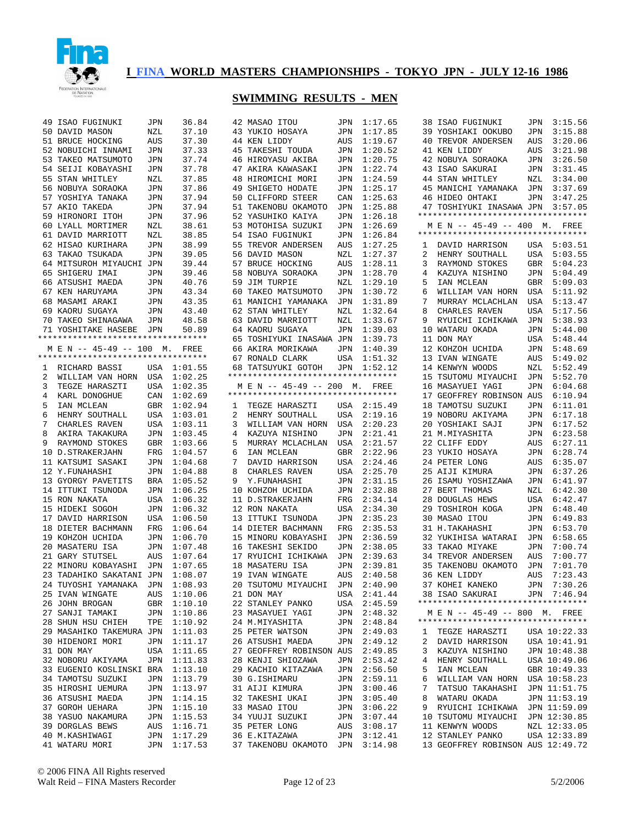

|   | 49 ISAO FUGINUKI                   | JPN | 36.84   |   | 42 MASAO ITOU                      | JPN | 1:17.65 |
|---|------------------------------------|-----|---------|---|------------------------------------|-----|---------|
|   | 50 DAVID MASON                     | NZL | 37.10   |   | 43 YUKIO HOSAYA                    | JPN | 1:17.85 |
|   | 51 BRUCE HOCKING                   | AUS | 37.30   |   | 44 KEN LIDDY                       | AUS | 1:19.67 |
|   | 52 NOBUICHI INNAMI                 | JPN | 37.33   |   | 45 TAKESHI TOUDA                   | JPN | 1:20.52 |
|   | 53 TAKEO MATSUMOTO                 | JPN | 37.74   |   | 46 HIROYASU AKIBA                  | JPN | 1:20.75 |
|   |                                    |     |         |   |                                    |     | 1:22.74 |
|   | 54 SEIJI KOBAYASHI                 | JPN | 37.78   |   | 47 AKIRA KAWASAKI                  | JPN |         |
|   | 55 STAN WHITLEY                    | NZL | 37.85   |   | 48 HIROMICHI MORI                  | JPN | 1:24.59 |
|   | 56 NOBUYA SORAOKA                  | JPN | 37.86   |   | 49 SHIGETO HODATE                  | JPN | 1:25.17 |
|   | 57 YOSHIYA TANAKA                  | JPN | 37.94   |   | 50 CLIFFORD STEER                  | CAN | 1:25.63 |
|   | 57 AKIO TAKEDA                     | JPN | 37.94   |   | 51 TAKENOBU OKAMOTO                | JPN | 1:25.88 |
|   | 59 HIRONORI ITOH                   | JPN | 37.96   |   | 52 YASUHIKO KAIYA                  | JPN | 1:26.18 |
|   | 60 LYALL MORTIMER                  | NZL | 38.61   |   | 53 MOTOHISA SUZUKI                 | JPN | 1:26.69 |
|   |                                    |     |         |   |                                    |     |         |
|   | 61 DAVID MARRIOTT                  | NZL | 38.85   |   | 54 ISAO FUGINUKI                   | JPN | 1:26.84 |
|   | 62 HISAO KURIHARA                  | JPN | 38.99   |   | 55 TREVOR ANDERSEN                 | AUS | 1:27.25 |
|   | 63 TAKAO TSUKADA                   | JPN | 39.05   |   | 56 DAVID MASON                     | NZL | 1:27.37 |
|   | 64 MITSUROH MIYAUCHI JPN           |     | 39.44   |   | 57 BRUCE HOCKING                   | AUS | 1:28.11 |
|   | 65 SHIGERU IMAI                    | JPN | 39.46   |   | 58 NOBUYA SORAOKA                  | JPN | 1:28.70 |
|   | 66 ATSUSHI MAEDA                   | JPN | 40.76   |   | 59 JIM TURPIE                      | NZL | 1:29.10 |
|   | 67 KEN HARUYAMA                    | JPN | 43.34   |   | 60 TAKEO MATSUMOTO                 | JPN | 1:30.72 |
|   | 68 MASAMI ARAKI                    | JPN | 43.35   |   | 61 MANICHI YAMANAKA                | JPN | 1:31.89 |
|   |                                    |     |         |   |                                    |     |         |
|   | 69 KAORU SUGAYA                    | JPN | 43.40   |   | 62 STAN WHITLEY                    | NZL | 1:32.64 |
|   | 70 TAKEO SHINAGAWA                 | JPN | 48.58   |   | 63 DAVID MARRIOTT                  | NZL | 1:33.67 |
|   | 71 YOSHITAKE HASEBE                | JPN | 50.89   |   | 64 KAORU SUGAYA                    | JPN | 1:39.03 |
|   | *********************************  |     |         |   | 65 TOSHIYUKI INASAWA JPN           |     | 1:39.73 |
|   | M E N -- 45-49 -- 100              | М.  | FREE    |   | 66 AKIRA MORIKAWA                  | JPN | 1:40.39 |
|   | ********************************** |     |         |   | 67 RONALD CLARK                    | USA | 1:51.32 |
| 1 | RICHARD BASSI                      | USA | 1:01.55 |   | 68 TATSUYUKI GOTOH                 | JPN | 1:52.12 |
| 2 | WILLIAM VAN HORN                   | USA | 1:02.25 |   | ********************************** |     |         |
|   |                                    |     |         |   | M E N -- 45-49 -- 200              |     |         |
| 3 | TEGZE HARASZTI                     | USA | 1:02.35 |   | ********************************** | М.  | FREE    |
| 4 | KARL DONOGHUE                      | CAN | 1:02.69 |   |                                    |     |         |
| 5 | IAN MCLEAN                         | GBR | 1:02.94 | ı | TEGZE HARASZTI                     | USA | 2:15.49 |
| 6 | HENRY SOUTHALL                     | USA | 1:03.01 | 2 | HENRY SOUTHALL                     | USA | 2:19.16 |
| 7 | CHARLES RAVEN                      | USA | 1:03.11 | 3 | WILLIAM VAN HORN                   | USA | 2:20.23 |
| 8 | AKIRA TAKAKURA                     | JPN | 1:03.45 | 4 | KAZUYA NISHINO                     | JPN | 2:21.41 |
| 9 | RAYMOND STOKES                     | GBR | 1:03.66 | 5 | MURRAY MCLACHLAN                   | USA | 2:21.57 |
|   | 10 D.STRAKERJAHN                   | FRG | 1:04.57 | 6 | IAN MCLEAN                         | GBR | 2:22.96 |
|   |                                    |     |         |   |                                    |     |         |
|   | 11 KATSUMI SASAKI                  | JPN | 1:04.68 | 7 | DAVID HARRISON                     | USA | 2:24.46 |
|   | 12 Y.FUNAHASHI                     | JPN | 1:04.88 | 8 | CHARLES RAVEN                      | USA | 2:25.70 |
|   | 13 GYORGY PAVETITS                 | BRA | 1:05.52 | 9 | Y.FUNAHASHI                        | JPN | 2:31.15 |
|   | 14 ITTUKI TSUNODA                  | JPN | 1:06.25 |   | 10 KOHZOH UCHIDA                   | JPN | 2:32.88 |
|   | 15 RON NAKATA                      | USA | 1:06.32 |   | 11 D.STRAKERJAHN                   | FRG | 2:34.14 |
|   | 15 HIDEKI SOGOH                    | JPN | 1:06.32 |   | 12 RON NAKATA                      | USA | 2:34.30 |
|   | 17 DAVID HARRISON                  | USA | 1:06.50 |   | 13 ITTUKI TSUNODA                  | JPN | 2:35.23 |
|   | 18 DIETER BACHMANN                 | FRG | 1:06.64 |   | 14 DIETER BACHMANN                 | FRG | 2:35.53 |
|   |                                    |     |         |   |                                    | JPN |         |
|   | 19 KOHZOH UCHIDA                   | JPN | 1:06.70 |   | 15 MINORU KOBAYASHI                |     | 2:36.59 |
|   | 20 MASATERU ISA                    | JPN | 1:07.48 |   | 16 TAKESHI SEKIDO                  | JPN | 2:38.05 |
|   | 21 GARY STUTSEL                    | AUS | 1:07.64 |   | 17 RYUICHI ICHIKAWA                | JPN | 2:39.63 |
|   | 22 MINORU KOBAYASHI                | JPN | 1:07.65 |   | 18 MASATERU ISA                    | JPN | 2:39.81 |
|   | 23 TADAHIKO SAKATANI JPN           |     | 1:08.07 |   | 19 IVAN WINGATE                    | AUS | 2:40.58 |
|   | 24 TUYOSHI YAMANAKA                | JPN | 1:08.93 |   | 20 TSUTOMU MIYAUCHI                | JPN | 2:40.90 |
|   | 25 IVAN WINGATE                    | AUS | 1:10.06 |   | 21 DON MAY                         | USA | 2:41.44 |
|   | 26 JOHN BROGAN                     | GBR | 1:10.10 |   | 22 STANLEY PANKO                   | USA | 2:45.59 |
|   | 27 SANJI TAMAKI                    |     |         |   |                                    |     |         |
|   |                                    | JPN | 1:10.86 |   | 23 MASAYUEI YAGI                   | JPN | 2:48.32 |
|   | 28 SHUN HSU CHIEH                  | TPE | 1:10.92 |   | 24 M.MIYASHITA                     | JPN | 2:48.84 |
|   | 29 MASAHIKO TAKEMURA JPN           |     | 1:11.03 |   | 25 PETER WATSON                    | JPN | 2:49.03 |
|   | 30 HIDENORI MORI                   | JPN | 1:11.17 |   | 26 ATSUSHI MAEDA                   | JPN | 2:49.12 |
|   | 31 DON MAY                         | USA | 1:11.65 |   | 27 GEOFFREY ROBINSON AUS           |     | 2:49.85 |
|   | 32 NOBORU AKIYAMA                  | JPN | 1:11.83 |   | 28 KENJI SHIOZAWA                  | JPN | 2:53.42 |
|   | 33 EUGENIO KOSLINSKI BRA           |     | 1:13.10 |   | 29 KACHIO KITAZAWA                 | JPN | 2:56.50 |
|   |                                    |     |         |   |                                    |     |         |
|   | 34 TAMOTSU SUZUKI                  | JPN | 1:13.79 |   | 30 G.ISHIMARU                      | JPN | 2:59.11 |
|   | 35 HIROSHI UEMURA                  | JPN | 1:13.97 |   | 31 AIJI KIMURA                     | JPN | 3:00.46 |
|   | 36 ATSUSHI MAEDA                   | JPN | 1:14.15 |   | 32 TAKESHI UKAI                    | JPN | 3:05.40 |
|   | 37 GOROH UEHARA                    | JPN | 1:15.10 |   | 33 MASAO ITOU                      | JPN | 3:06.22 |
|   | 38 YASUO NAKAMURA                  | JPN | 1:15.53 |   | 34 YUUJI SUZUKI                    | JPN | 3:07.44 |
|   | 39 DORGLAS BEWS                    | AUS | 1:16.71 |   | 35 PETER LONG                      | AUS | 3:08.17 |
|   | 40 M.KASHIWAGI                     | JPN | 1:17.29 |   | 36 E.KITAZAWA                      | JPN | 3:12.41 |
|   | 41 WATARU MORI                     | JPN | 1:17.53 |   | 37 TAKENOBU OKAMOTO                | JPN | 3:14.98 |
|   |                                    |     |         |   |                                    |     |         |

|                | 38 ISAO FUGINUKI                                         | JPN                | 3:15.56                      |
|----------------|----------------------------------------------------------|--------------------|------------------------------|
| 39             | YOSHIAKI OOKUBO                                          | JPN                | 3:15.88                      |
|                | 40 TREVOR ANDERSEN                                       | AUS                | 3:20.06                      |
| 41             | KEN LIDDY                                                | $\mathop{\rm AUS}$ | 3:21.98                      |
| 42             | NOBUYA SORAOKA                                           | JPN                | 3:26.50                      |
|                | 43 ISAO SAKURAI                                          | $\mathtt{JPN}$     | 3:31.45                      |
| 44             | STAN WHITLEY                                             | NZL                | 3:34.00                      |
|                | 45 MANICHI YAMANAKA                                      |                    | JPN 3:37.69                  |
|                | 46 HIDEO OHTAKI                                          | JPN                | 3:47.25                      |
|                | 47 TOSHIYUKI INASAWA JPN 3:57.05                         |                    |                              |
|                | **********************************                       |                    |                              |
|                | M E N -- 45-49 -- 400 M. FREE                            |                    |                              |
|                | **********************************                       |                    |                              |
|                | 1 DAVID HARRISON USA 5:03.51                             |                    |                              |
| $\overline{a}$ | HENRY SOUTHALL USA 5:03.55                               |                    |                              |
| 3              | RAYMOND STOKES                                           | GBR                | 5:04.23                      |
|                |                                                          | $\mathtt{JPN}$     | 5:04.49                      |
| 5              | 4 KAZUYA NISHINO<br>5 IAN MOLEAN<br>IAN MCLEAN           |                    | 5:09.03                      |
| 6              | IAN MCLEAN<br>WILLIAM VAN HORN USA<br>ACHLAN USA         |                    | USA 5:11.92                  |
| 7              | WILLLAFT VAL.<br>MURRAY MCLACHLAN<br>TAMEN               |                    | 5:13.47                      |
| 8              |                                                          | USA                | 5:17.56                      |
|                | CHARLES RAVEN                                            |                    |                              |
| 9              | RYUICHI ICHIKAWA                                         | JPN                | 5:38.93                      |
|                | 10 WATARU OKADA                                          | JPN                | 5:44.00                      |
| 11             | DON MAY<br>DON MAY<br>KOHZOH UCHIDA                      | USA                | 5:48.44                      |
| 12             |                                                          |                    | JPN 5:48.69                  |
| 13             | IVAN WINGATE                                             | AUS                | 5:49.02                      |
| 14             | KENWYN WOODS                                             | NZL                | 5:52.49                      |
|                | 15 TSUTOMU MIYAUCHI                                      | JPN                | 5:52.70                      |
| 16             | MASAYUEI YAGI                                            |                    | JPN 6:04.68                  |
| 17             | GEOFFREY ROBINSON AUS                                    |                    | 6:10.94                      |
|                | 18 TAMOTSU SUZUKI                                        | JPN                | 6:11.01                      |
| 19             |                                                          | JPN                | 6:17.18                      |
| 20             | NOBORU AKIYAMA<br>YOSHIAKI SAJI                          | JPN                | 6:17.52                      |
| 21             | M.MIYASHITA                                              | JPN                | 6:23.58                      |
| 22             | CLIFF EDDY                                               | AUS                | 6:27.11                      |
| 23             | YUKIO HOSAYA                                             | JPN                | 6:28.74                      |
|                |                                                          |                    |                              |
| 24             | PETER LONG                                               | AUS                | 6:35.07                      |
| 25             | AIJI KIMURA                                              | JPN                | 6:37.26                      |
| 26             |                                                          |                    | 6:41.97                      |
| 27             | ISAMU YOSHIZAWA<br>BERT THOMAS                           | JPN<br>NZL         | 6:42.30                      |
| 28             | DOUGLAS HEWS                                             | USA                | 6:42.47                      |
| 29             |                                                          | JPN                | 6:48.40                      |
| 30             | TOSHIROH KOGA                                            |                    | 6:49.83                      |
| 31             | MASAO ITOU                                               | JPN<br>JPN         |                              |
|                | H. TAKAHASHI<br>YUKIHISA WATARAI                         |                    | 6:53.70                      |
| 32             | TAKAO MIYAKE                                             |                    | JPN 6:58.65<br>7:00.74       |
| 33             |                                                          | JPN                |                              |
| 34             | TREVOR ANDERSEN                                          |                    | AUS 7:00.77                  |
|                | 35 TAKENOBU OKAMOTO                                      | JPN                | 7:01.70                      |
| 36             | KEN LIDDY                                                |                    | AUS 7:23.43                  |
|                | 37 KOHEI KANEKO                                          | JPN                | 7:30.26                      |
|                | 38 ISAO SAKURAI<br>**********************************    |                    | JPN 7:46.94                  |
|                | M E N -- 45-49 -- 800 M. FREE                            |                    |                              |
|                | **********************************                       |                    |                              |
| 1              | TEGZE HARASZTI                                           |                    | USA 10:22.33                 |
| $\overline{2}$ |                                                          |                    | USA 10:41.91                 |
| 3              | DAVID HARRISON<br>KAZUYA NISHINO                         |                    | JPN 10:48.38                 |
| 4              | HENRY SOUTHALL                                           |                    | USA 10:49.06                 |
| 5              | IAN MCLEAN                                               |                    | GBR 10:49.33                 |
| 6              |                                                          |                    |                              |
| 7              | WILLIAM VAN HORN<br>WILLIAM VAN HORN<br>TATSUO TAKAHASHI |                    | USA 10:58.23<br>JPN 11:51.75 |
| 8              | WATARU OKADA                                             |                    |                              |
| 9              |                                                          |                    | JPN 11:53.19                 |
|                | RYUICHI ICHIKAWA JPN 11:59.09                            |                    |                              |
|                | 10 TSUTOMU MIYAUCHI JPN 12:30.85<br>11 KENWYN WOODS      |                    | NZL 12:33.05                 |
|                |                                                          |                    |                              |
|                | 12 STANLEY PANKO<br>13 GEOFFREY ROBINSON AUS 12:49.72    |                    | USA 12:33.89                 |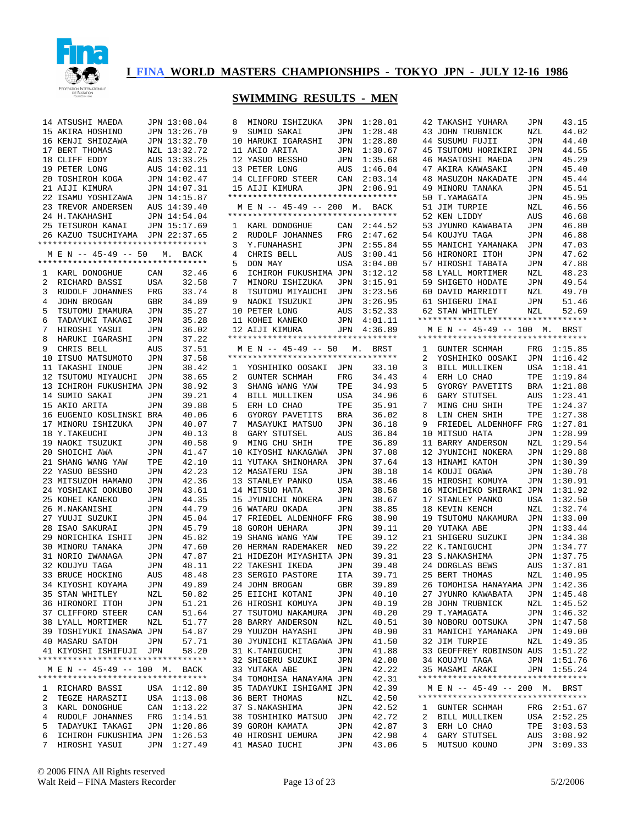

|                | 14 ATSUSHI MAEDA                                         |            | JPN 13:08.04                 | 8<br>М                          |
|----------------|----------------------------------------------------------|------------|------------------------------|---------------------------------|
| 15             | AKIRA HOSHINO                                            |            | JPN 13:26.70                 | 9<br>S.                         |
| 16             | KENJI SHIOZAWA                                           |            | JPN 13:32.70                 | 10 H                            |
|                | 17 BERT THOMAS                                           |            | NZL 13:32.72                 | 11 A                            |
|                | 18 CLIFF EDDY                                            |            | AUS 13:33.25                 | 12 Y.                           |
|                | 19 PETER LONG                                            |            | AUS 14:02.11                 | 13 P                            |
|                | 20 TOSHIROH KOGA                                         |            | JPN 14:02.47                 | 14 C                            |
|                | 21 AIJI KIMURA                                           |            | JPN 14:07.31                 | 15 A                            |
|                | 22 ISAMU YOSHIZAWA                                       |            | JPN 14:15.87                 | $***$ * * * *                   |
|                | 23 TREVOR ANDERSEN                                       |            | AUS 14:39.40                 | M E<br>$***$ * * * *            |
|                | 24 H. TAKAHASHI                                          |            | JPN 14:54.04<br>JPN 15:17.69 |                                 |
|                | 25 TETSUROH KANAI<br>26 KAZUO TSUCHIYAMA                 |            | JPN 22:37.65                 | 1<br>K.<br>$\overline{a}$<br>R. |
|                | *********************************                        |            |                              | 3<br>Υ                          |
|                | M E N -- 45-49 -- 50 M. BACK                             |            |                              | 4<br>$\mathbf{C}$               |
|                | *********************************                        |            |                              | 5<br>D                          |
| $\mathbf{1}$   | KARL DONOGHUE                                            | CAN        | 32.46                        | 6<br>$\mathbf{I}$               |
| $\overline{a}$ | RICHARD BASSI                                            | USA        | 32.58                        | 7<br>М                          |
| 3              | RUDOLF JOHANNES                                          | FRG        | 33.74                        | 8<br>T,                         |
| 4              | JOHN BROGAN                                              | GBR        | 34.89                        | 9<br>N.                         |
| 5              | TSUTOMU IMAMURA                                          | JPN        | 35.27                        | 10 P                            |
| 6              | TADAYUKI TAKAGI                                          | JPN        | 35.28                        | 11 K                            |
| 7              | HIROSHI YASUI                                            | JPN        | 36.02                        | 12 A                            |
| 8              | HARUKI IGARASHI                                          | JPN        | 37.22                        | *****                           |
| 9              | CHRIS BELL                                               | AUS        | 37.51                        | M E<br>*****                    |
|                | 10 ITSUO MATSUMOTO<br>11 TAKASHI INOUE                   | JPN        | 37.58<br>38.42               |                                 |
|                | 12 TSUTOMU MIYAUCHI                                      | JPN<br>JPN | 38.65                        | 1 Y<br>$\overline{a}$<br>G      |
| 13             | ICHIROH FUKUSHIMA JPN                                    |            | 38.92                        | 3<br>S.                         |
| 14             | SUMIO SAKAI                                              | JPN        | 39.21                        | 4<br>$\overline{B}$             |
| 15             | AKIO ARITA                                               | JPN        | 39.88                        | 5<br>Е.                         |
| 16             | EUGENIO KOSLINSKI BRA                                    |            | 40.06                        | 6<br>G                          |
|                | 17 MINORU ISHIZUKA                                       | JPN        | 40.07                        | 7<br>M.                         |
| 18             | Y.TAKEUCHI                                               | JPN        | 40.13                        | 8<br>G.                         |
|                | 19 NAOKI TSUZUKI                                         | JPN        | 40.58                        | 9<br>М                          |
|                | 20 SHOICHI AWA                                           | JPN        | 41.47                        | 10 K                            |
| 21             | SHANG WANG YAW                                           | TPE        | 42.10                        | 11 Y                            |
|                | 22 YASUO BESSHO                                          | JPN        | 42.23                        | 12 M                            |
| 23             | MITSUZOH HAMANO                                          | JPN        | 42.36                        | 13S                             |
| 25             | 24 YOSHIAKI OOKUBO                                       | JPN        | 43.61                        | 14 M                            |
|                | KOHEI KANEKO<br>26 M.NAKANISHI                           | JPN<br>JPN | 44.35<br>44.79               | 15J<br>16 W                     |
| 27             | YUUJI SUZUKI                                             | JPN        | 45.04                        | 17 F.                           |
| 28             | ISAO SAKURAI                                             | JPN        | 45.79                        | 18<br>G                         |
| 29             | NORICHIKA ISHII                                          | JPN        | 45.82                        | 19<br>S.                        |
|                | 30 MINORU TANAKA                                         | JPN        | 47.60                        | 20 H                            |
|                | 31 NORIO IWANAGA                                         | JPN        | 47.87                        | 21 H                            |
|                | 32 KOUJYU TAGA                                           | <b>JPN</b> | 48.11                        | 22<br>T.                        |
| 33             | BRUCE HOCKING                                            | AUS        | 48.48                        | 23<br>S.                        |
| 34             | KIYOSHI KOYAMA                                           | JPN        | 49.89                        | 24 J                            |
| 35             | STAN WHITLEY                                             | NZL        | 50.82                        | 25<br>Ε                         |
| 36             | HIRONORI<br>ITOH                                         | JPN        | 51.21                        | 26<br>Η                         |
| 37             | CLIFFORD STEER                                           | CAN        | 51.64                        | 27<br>Т                         |
| 38             | LYALL MORTIMER                                           | NZL        | 51.77                        | 28<br>В.                        |
| 39             | TOSHIYUKI INASAWA JPN                                    |            | 54.87                        | 29<br>Υ                         |
|                | 40 MASARU SATOH                                          | JPN        | 57.71                        | 30<br>J                         |
|                | 41 KIYOSHI ISHIFUJI<br>********************************* | JPN        | 58.20                        | 31<br>К<br>32                   |
|                | M E N -- 45-49 -- 100 M.                                 |            | BACK                         | S.<br>33<br>Υ                   |
|                | **********************************                       |            |                              | 34<br>т                         |
| 1              | RICHARD BASSI                                            | USA        | 1:12.80                      | 35<br>Т.                        |
| 2              | TEGZE HARASZTI                                           | USA        | 1:13.08                      | 36<br>B.                        |
| 3              | KARL DONOGHUE                                            | CAN        | 1:13.22                      | 37<br>S                         |
| 4              | RUDOLF JOHANNES                                          | FRG        | 1:14.51                      | 38<br>т                         |
| 5              | TADAYUKI TAKAGI                                          | JPN        | 1:20.86                      | 39<br>G                         |
| 6              | ICHIROH FUKUSHIMA JPN                                    |            | 1:26.53                      | 40<br>Η                         |
| 7              | HIROSHI YASUI                                            |            | JPN 1:27.49                  | 41<br>M.                        |

| 8              | MINORU ISHIZUKA                                                    | JPN          | 1:28.01        |
|----------------|--------------------------------------------------------------------|--------------|----------------|
| 9              | SUMIO SAKAI                                                        | JPN          | 1:28.48        |
|                | 10 HARUKI IGARASHI                                                 | JPN          | 1:28.80        |
|                | 11 AKIO ARITA                                                      | JPN          | 1:30.67        |
|                | 12 YASUO BESSHO                                                    | JPN          | 1:35.68        |
|                | 13 PETER LONG                                                      | AUS          | 1:46.04        |
|                | 14 CLIFFORD STEER                                                  | CAN          | 2:03.14        |
|                |                                                                    |              |                |
|                | 15 AIJI KIMURA<br>**********************************               | <b>JPN</b>   | 2:06.91        |
|                |                                                                    |              |                |
|                | M E N -- 45-49 -- 200 M. BACK<br>********************************* |              |                |
| $\mathbf{1}$   | KARL DONOGHUE                                                      | CAN          | 2:44.52        |
| $\overline{a}$ | RUDOLF JOHANNES                                                    | $_{\rm FRG}$ | 2:47.62        |
| 3              | Y.FUNAHASHI                                                        | JPN          | 2:55.84        |
| $\overline{4}$ | CHRIS BELL                                                         | AUS          | 3:00.41        |
| 5              | DON MAY                                                            | USA          | 3:04.00        |
| 6              | ICHIROH FUKUSHIMA JPN                                              |              | 3:12.12        |
| 7              | MINORU ISHIZUKA JPN                                                |              | 3:15.91        |
| 8              | TSUTOMU MIYAUCHI JPN                                               |              | 3:23.56        |
| 9              |                                                                    | JPN          | 3:26.95        |
|                | NAOKI TSUZUKI<br>PETER LONG<br>10 PETER LONG                       | AUS          | 3:52.33        |
|                |                                                                    | JPN          | 4:01.11        |
|                | 11 KOHEI KANEKO<br>12 AIJI KIMURA                                  |              | JPN 4:36.89    |
|                | **********************************                                 |              |                |
|                |                                                                    |              |                |
|                | M E N -- 45-49 -- 50 M. BRST<br>*********************************  |              |                |
| 1              | YOSHIHIKO OOSAKI JPN                                               |              | 33.10          |
| $\overline{2}$ | GUNTER SCHMAH                                                      | $_{\rm FRG}$ | 34.43          |
| 3              | SHANG WANG YAW                                                     | TPE          | 34.93          |
| 4              | BILL MULLIKEN                                                      | USA          | 34.96          |
| 5              | ERH LO CHAO                                                        | TPE          | 35.91          |
| 6              | GYORGY PAVETITS                                                    | BRA          | 36.02          |
| 7              | MASAYUKI MATSUO                                                    | JPN          | 36.18          |
| 8              | GARY STUTSEL                                                       | AUS          | 36.84          |
| 9              | MING CHU SHIH                                                      | TPE          | 36.89          |
| 10             | KIYOSHI NAKAGAWA                                                   | JPN          | 37.08          |
| 11             | YUTAKA SHINOHARA                                                   | JPN          | 37.64          |
|                | 12 MASATERU ISA                                                    | JPN          |                |
|                |                                                                    |              | 38.18          |
|                | 13 STANLEY PANKO                                                   | USA          | 38.46          |
|                | 14 MITSUO HATA                                                     | JPN          | 38.58          |
|                | 15 JYUNICHI NOKERA                                                 | JPN          | 38.67          |
| 16             | WATARU OKADA                                                       | JPN          | 38.85          |
|                | 17 FRIEDEL ALDENHOFF                                               | FRG          | 38.90          |
| 18             | GOROH UEHARA                                                       | JPN          | 39.11          |
| 19             | SHANG WANG YAW                                                     | TPE          | 39.12          |
| $20\,$         | HERMAN RADEMAKER                                                   | NED          | 39.22          |
|                | 21 HIDEZOH MIYASHITA                                               | JPN          | 39.31          |
|                | 22 TAKESHI IKEDA                                                   | JPN          | 39.48          |
| 23             | SERGIO PASTORE                                                     | ITA          | 39.71          |
|                |                                                                    |              |                |
|                | 24 JOHN BROGAN                                                     | GBR          | 39.89          |
|                | 25 EIICHI KOTANI                                                   | JPN          |                |
|                | 26 HIROSHI KOMUYA                                                  | JPN          | 40.10<br>40.19 |
|                |                                                                    |              | 40.20          |
|                | 27 TSUTOMU NAKAMURA                                                | JPN          | 40.51          |
|                | 28 BARRY ANDERSON                                                  | NZL          |                |
|                | 29 YUUZOH HAYASHI                                                  | JPN          | 40.90          |
|                | 30 JYUNICHI KITAGAWA JPN                                           |              | 41.50          |
|                | 31 K.TANIGUCHI                                                     | JPN          | 41.88          |
|                | 32 SHIGERU SUZUKI                                                  | JPN          | 42.00          |
|                | 33 YUTAKA ABE                                                      | JPN          | 42.22          |
| 34             | TOMOHISA HANAYAMA                                                  | JPN          | 42.31          |
|                | 35 TADAYUKI ISHIGAMI JPN                                           |              | 42.39          |
|                | 36 BERT THOMAS                                                     | NZL          | 42.50          |
|                | 37 S.NAKASHIMA                                                     | JPN          | 42.52          |
|                | 38 TOSHIHIKO MATSUO                                                | JPN          | 42.72          |
|                | 39 GOROH KAMATA                                                    | JPN          | 42.87          |
|                | 40 HIROSHI UEMURA<br>41 MASAO IUCHI                                | JPN<br>JPN   | 42.98<br>43.06 |

| 42             | TAKASHI YUHARA                                      | JPN            | 43.15                                                    |
|----------------|-----------------------------------------------------|----------------|----------------------------------------------------------|
| 43             | JOHN TRUBNICK                                       | NZL            | 44.02                                                    |
| 44             | SUSUMU FUJII                                        | JPN            | 44.40                                                    |
| 45             | TSUTOMU HORIKIRI                                    | $\mathtt{JPN}$ | 44.55                                                    |
| 46             | MASATOSHI MAEDA                                     | JPN            | 45.29                                                    |
| 47             | AKIRA KAWASAKI                                      | JPN            | 45.40                                                    |
| 48             | MASUZOH NAKADATE                                    | JPN            | 45.44                                                    |
|                | 49 MINORU TANAKA                                    | JPN            | 45.51                                                    |
| 50             |                                                     |                | 45.95                                                    |
|                | T.YAMAGATA                                          | JPN            |                                                          |
| 51             | JIM TURPIE                                          | NZL            | 46.56                                                    |
| 52             | KEN LIDDY                                           | AUS            | 46.68                                                    |
| 53             | JYUNRO KAWABATA                                     | JPN            | 46.80                                                    |
| 54             | KOUJYU TAGA                                         | JPN            | 46.88                                                    |
| 55             | MANICHI YAMANAKA                                    | JPN            | 47.03                                                    |
| 56             | HIRONORI ITOH                                       | JPN            | 47.62                                                    |
|                | 57 HIROSHI TABATA                                   | $\mathtt{JPN}$ | 47.88                                                    |
|                | 58 LYALL MORTIMER                                   | NZL            | 48.23                                                    |
|                | 59 SHIGETO HODATE                                   | JPN            | 49.54                                                    |
|                | 60 DAVID MARRIOTT                                   | NZL            | 49.70                                                    |
|                | 61 SHIGERU IMAI                                     | JPN            | 51.46                                                    |
|                | 62 STAN WHITLEY                                     | NZL            | 52.69                                                    |
|                | *********************************                   |                |                                                          |
|                | M E N -- 45-49 -- 100 M. BRST                       |                |                                                          |
|                | **********************************                  |                |                                                          |
| 1              | GUNTER SCHMAH                                       |                | FRG 1:15.85                                              |
| $\overline{2}$ | YOSHIHIKO OOSAKI                                    | JPN            | 1:16.42                                                  |
| 3              | BILL MULLIKEN                                       | USA            | 1:18.41                                                  |
| 4              | ERH LO CHAO                                         | TPE            | 1:19.84                                                  |
| 5              | GYORGY PAVETITS                                     | $_{\rm BRA}$   | 1:21.88                                                  |
| 6              | GARY STUTSEL                                        | AUS            | 1:23.41                                                  |
| 7              |                                                     | TPE            | 1:24.37                                                  |
|                | MING CHU SHIH                                       |                |                                                          |
| 8              | LIN CHEN SHIH                                       | TPE            | 1:27.38                                                  |
| 9              | FRIEDEL ALDENHOFF FRG                               |                | 1:27.81                                                  |
|                | 10 MITSUO HATA                                      | JPN            | 1:28.99                                                  |
|                | 11 BARRY ANDERSON                                   | NZL            | 1:29.54                                                  |
|                | 12 JYUNICHI NOKERA                                  | JPN            | 1:29.88                                                  |
|                |                                                     |                |                                                          |
|                | 13 HINAMI KATOH                                     | JPN            | 1:30.39                                                  |
|                | 14 KOUJI OGAWA                                      | JPN            | 1:30.78                                                  |
|                | 15 HIROSHI KOMUYA                                   | JPN            | 1:30.91                                                  |
| 16             | MICHIHIKO SHIRAKI                                   | JPN            | 1:31.92                                                  |
|                |                                                     | USA            | 1:32.50                                                  |
| 18             | 17 STANLEY PANKO<br>KEVIN KENCH                     | NZL            | 1:32.74                                                  |
|                |                                                     |                |                                                          |
|                | 19 TSUTOMU NAKAMURA                                 | JPN            | 1:33.00                                                  |
| $20\,$         | YUTAKA ABE                                          | JPN            | 1:33.44                                                  |
|                | 21 SHIGERU SUZUKI                                   | JPN            | 1:34.38                                                  |
| 22             | K.TANIGUCHI                                         | JPN            | 1:34.77                                                  |
|                | 23 S.NAKASHIMA                                      | JPN            | 1:37.75                                                  |
|                |                                                     | AUS            | 1:37.81                                                  |
|                | 24 DORGLAS BEWS<br>25 BERT THOMAS<br>25 BERT THOMAS | NZL            | 1:40.95                                                  |
|                | 26 TOMOHISA HANAYAMA JPN                            |                | 1:42.36                                                  |
|                | 27 JYUNRO KAWABATA JPN 1:45.48                      |                |                                                          |
|                | 28 JOHN TRUBNICK                                    | NZL            | 1:45.52                                                  |
|                | 29 T.YAMAGATA                                       |                | JPN 1:46.32                                              |
|                | 30 NOBORU OOTSUKA                                   | JPN            | 1:47.58                                                  |
|                | 31 MANICHI YAMANAKA JPN 1:49.00                     |                |                                                          |
|                | 32 JIM TURPIE                                       | NZL            | 1:49.35                                                  |
|                | 33 GEOFFREY ROBINSON AUS 1:51.22                    |                |                                                          |
|                | 34 KOUJYU TAGA                                      | JPN            | 1:51.76                                                  |
|                |                                                     |                |                                                          |
|                | **********************************                  |                |                                                          |
|                | M E N -- 45-49 -- 200 M. BRST                       |                |                                                          |
|                | **********************************                  |                |                                                          |
| $\mathbf{1}$   | GUNTER SCHMAH                                       |                | FRG 2:51.67                                              |
| 2              |                                                     |                |                                                          |
| 3              | BILL MULLIKEN<br>ERH LO CHAO                        |                |                                                          |
| 4              | GARY STUTSEL                                        |                | USA 2:52.25<br>TPE 3:03.53<br>AUS 3:08.92<br>JPN 3:09.33 |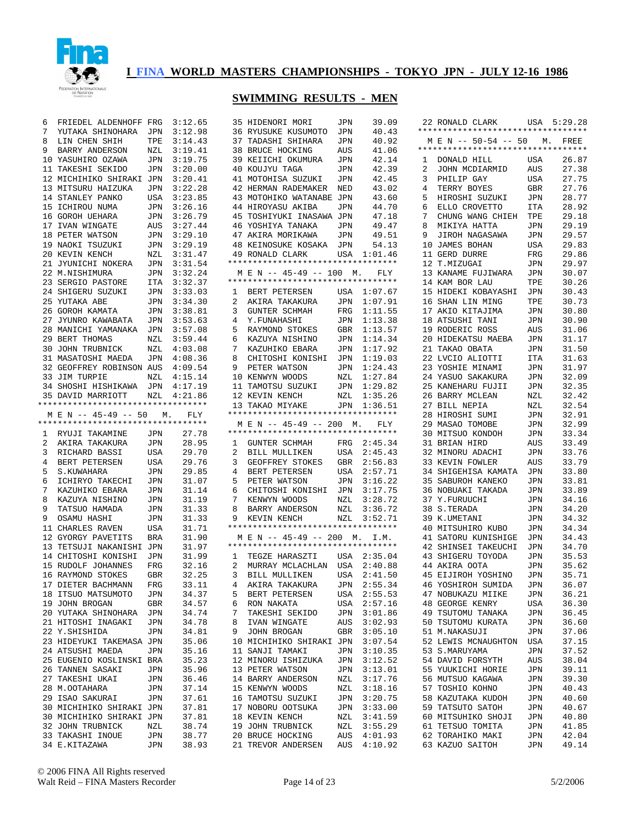

| 6 |                                    |     |         |                                             |  |
|---|------------------------------------|-----|---------|---------------------------------------------|--|
|   | FRIEDEL ALDENHOFF FRG              |     | 3:12.65 | 39.09<br>35 HIDENORI MORI<br>JPN            |  |
| 7 | YUTAKA SHINOHARA                   | JPN | 3:12.98 | 36 RYUSUKE KUSUMOTO<br>40.43<br>JPN         |  |
| 8 | LIN CHEN SHIH                      | TPE | 3:14.43 | 37 TADASHI SHIHARA<br>40.92<br>JPN          |  |
|   |                                    |     |         |                                             |  |
| 9 | BARRY ANDERSON                     | NZL | 3:19.41 | <b>38 BRUCE HOCKING</b><br>41.06<br>AUS     |  |
|   | 10 YASUHIRO OZAWA                  | JPN | 3:19.75 | 39 KEIICHI OKUMURA<br>42.14<br>JPN          |  |
|   | 11 TAKESHI SEKIDO                  | JPN | 3:20.00 | 40 KOUJYU TAGA<br>42.39<br>JPN              |  |
|   | 12 MICHIHIKO SHIRAKI JPN           |     | 3:20.41 | 41 MOTOHISA SUZUKI<br>42.45<br>JPN          |  |
|   | 13 MITSURU HAIZUKA                 |     | 3:22.28 | 43.02<br>42 HERMAN RADEMAKER                |  |
|   |                                    | JPN |         | NED                                         |  |
|   | 14 STANLEY PANKO                   | USA | 3:23.85 | 43.60<br>43 MOTOHIKO WATANABE JPN           |  |
|   | 15 ICHIROU NUMA                    | JPN | 3:26.16 | 44.70<br>44 HIROYASU AKIBA<br>JPN           |  |
|   | 16 GOROH UEHARA                    | JPN | 3:26.79 | 45 TOSHIYUKI INASAWA JPN<br>47.18           |  |
|   | 17 IVAN WINGATE                    | AUS | 3:27.44 | 46 YOSHIYA TANAKA<br>49.47<br>JPN           |  |
|   |                                    |     |         |                                             |  |
|   | 18 PETER WATSON                    | JPN | 3:29.10 | 47 AKIRA MORIKAWA<br>49.51<br>JPN           |  |
|   | 19 NAOKI TSUZUKI                   | JPN | 3:29.19 | 54.13<br><b>48 KEINOSUKE KOSAKA</b><br>JPN  |  |
|   | 20 KEVIN KENCH                     | NZL | 3:31.47 | 1:01.46<br>49 RONALD CLARK<br>USA           |  |
|   | 21 JYUNICHI NOKERA                 | JPN | 3:31.54 | *********************************           |  |
|   | 22 M.NISHIMURA                     | JPN | 3:32.24 | M E N -- 45-49 -- 100 M.<br>FLY             |  |
|   |                                    |     |         |                                             |  |
|   | 23 SERGIO PASTORE                  | ITA | 3:32.37 | *********************************           |  |
|   | 24 SHIGERU SUZUKI                  | JPN | 3:33.03 | 1:07.67<br>1<br>BERT PETERSEN<br>USA        |  |
|   | 25 YUTAKA ABE                      | JPN | 3:34.30 | 1:07.91<br>2<br>AKIRA TAKAKURA<br>JPN       |  |
|   | 26 GOROH KAMATA                    | JPN | 3:38.81 | 1:11.55<br>3<br><b>GUNTER SCHMAH</b><br>FRG |  |
|   |                                    |     |         |                                             |  |
|   | 27 JYUNRO KAWABATA                 | JPN | 3:53.63 | 1:13.38<br>4<br>Y.FUNAHASHI<br>JPN          |  |
|   | 28 MANICHI YAMANAKA                | JPN | 3:57.08 | 1:13.57<br>5<br>RAYMOND STOKES<br>GBR       |  |
|   | 29 BERT THOMAS                     | NZL | 3:59.44 | 1:14.34<br>6<br>KAZUYA NISHINO<br>JPN       |  |
|   | <b>30 JOHN TRUBNICK</b>            | NZL | 4:03.08 | 1:17.92<br>7<br>KAZUHIKO EBARA<br>JPN       |  |
|   |                                    |     |         | 1:19.03<br>8                                |  |
|   | 31 MASATOSHI MAEDA                 | JPN | 4:08.36 | CHITOSHI KONISHI<br>JPN                     |  |
|   | 32 GEOFFREY ROBINSON AUS           |     | 4:09.54 | 1:24.43<br>9<br>PETER WATSON<br>JPN         |  |
|   | 33 JIM TURPIE                      | NZL | 4:15.14 | 10 KENWYN WOODS<br>1:27.84<br>NZL           |  |
|   | 34 SHOSHI HISHIKAWA                | JPN | 4:17.19 | 1:29.82<br>11 TAMOTSU SUZUKI<br>JPN         |  |
|   | 35 DAVID MARRIOTT                  | NZL | 4:21.86 | 12 KEVIN KENCH<br>1:35.26<br>NZL            |  |
|   | ********************************** |     |         |                                             |  |
|   |                                    |     |         | 13 TAKAO MIYAKE<br>JPN<br>1:36.51           |  |
|   | M E N -- 45-49 -- 50               | М.  | FLY     | *********************************           |  |
|   | *********************************  |     |         | M E N -- 45-49 -- 200<br>М.<br>FLY          |  |
| ı | RYUJI TAKAMINE                     | JPN | 27.78   | **********************************          |  |
|   |                                    |     |         |                                             |  |
|   |                                    |     |         |                                             |  |
| 2 | AKIRA TAKAKURA                     | JPN | 28.95   | 2:45.34<br>1<br>GUNTER SCHMAH<br>FRG        |  |
| 3 | RICHARD BASSI                      | USA | 29.70   | 2<br>USA<br>2:45.43<br>BILL MULLIKEN        |  |
| 4 | BERT PETERSEN                      | USA | 29.76   | 2:56.83<br>3<br>GEOFFREY STOKES<br>GBR      |  |
| 5 | S.KUWAHARA                         | JPN | 29.85   | 4<br>BERT PETERSEN<br>2:57.71<br>USA        |  |
|   |                                    |     |         |                                             |  |
| 6 | ICHIRYO TAKECHI                    | JPN | 31.07   | 3:16.22<br>5<br>PETER WATSON<br>JPN         |  |
| 7 | KAZUHIKO EBARA                     | JPN | 31.14   | 6<br>CHITOSHI KONISHI<br>3:17.75<br>JPN     |  |
| 8 | KAZUYA NISHINO                     | JPN | 31.19   | 7<br>KENWYN WOODS<br>3:28.72<br>NZL         |  |
| 9 | TATSUO HAMADA                      | JPN | 31.33   | 3:36.72<br>8<br>BARRY ANDERSON<br>NZL       |  |
| 9 |                                    |     | 31.33   | 3:52.71<br>9                                |  |
|   | OSAMU HASHI                        | JPN |         | KEVIN KENCH<br>NZL                          |  |
|   | 11 CHARLES RAVEN                   | USA | 31.71   | **********************************          |  |
|   | 12 GYORGY PAVETITS                 | BRA | 31.90   | M E N -- 45-49 -- 200 M.<br>I.M.            |  |
|   | 13 TETSUJI NAKANISHI JPN           |     | 31.97   | **********************************          |  |
|   | 14 CHITOSHI KONISHI                | JPN | 31.99   | 2:35.04<br>1<br>TEGZE HARASZTI<br>USA       |  |
|   |                                    |     |         |                                             |  |
|   | 15 RUDOLF JOHANNES                 | FRG | 32.16   | 2<br>MURRAY MCLACHLAN<br>USA<br>2:40.88     |  |
|   | 16 RAYMOND STOKES                  | GBR | 32.25   | 3<br>BILL MULLIKEN<br>USA<br>2:41.50        |  |
|   | 17 DIETER BACHMANN                 | FRG | 33.11   | 4<br>AKIRA TAKAKURA<br>JPN<br>2:55.34       |  |
|   | 18 ITSUO MATSUMOTO                 | JPN | 34.37   | 5<br>BERT PETERSEN<br>USA<br>2:55.53        |  |
|   |                                    |     |         | 6<br>RON NAKATA                             |  |
|   | 19 JOHN BROGAN                     | GBR | 34.57   | USA<br>2:57.16                              |  |
|   | 20 YUTAKA SHINOHARA                | JPN | 34.74   | 7<br>TAKESHI SEKIDO<br>JPN<br>3:01.86       |  |
|   | 21 HITOSHI INAGAKI                 | JPN | 34.78   | 8<br>IVAN WINGATE<br>3:02.93<br>AUS         |  |
|   | 22 Y. SHISHIDA                     | JPN | 34.81   | JOHN BROGAN<br>GBR<br>3:05.10<br>9          |  |
|   | 23 HIDEYUKI TAKEMASA JPN           |     | 35.06   | 10 MICHIHIKO SHIRAKI JPN<br>3:07.54         |  |
|   |                                    |     |         |                                             |  |
|   | 24 ATSUSHI MAEDA                   | JPN | 35.16   | 11 SANJI TAMAKI<br>JPN<br>3:10.35           |  |
|   | 25 EUGENIO KOSLINSKI BRA           |     | 35.23   | 12 MINORU ISHIZUKA<br>JPN<br>3:12.52        |  |
|   | 26 TANNEN SASAKI                   | JPN | 35.96   | 13 PETER WATSON<br>JPN<br>3:13.01           |  |
|   | 27 TAKESHI UKAI                    | JPN | 36.46   | 14 BARRY ANDERSON<br>3:17.76<br>NZL         |  |
|   | 28 M.OOTAHARA                      | JPN | 37.14   | 15 KENWYN WOODS<br>3:18.16<br>NZL           |  |
|   |                                    |     |         |                                             |  |
|   | 29 ISAO SAKURAI                    | JPN | 37.61   | 16 TAMOTSU SUZUKI<br>3:20.75<br>JPN         |  |
|   | 30 MICHIHIKO SHIRAKI JPN           |     | 37.81   | 17 NOBORU OOTSUKA<br>3:33.00<br>JPN         |  |
|   | 30 MICHIHIKO SHIRAKI JPN           |     | 37.81   | 18 KEVIN KENCH<br>3:41.59<br>NZL            |  |
|   | 32 JOHN TRUBNICK                   | NZL | 38.74   | 3:55.29<br>19 JOHN TRUBNICK<br>NZL          |  |
|   | 33 TAKASHI INOUE                   | JPN | 38.77   | 20 BRUCE HOCKING<br>4:01.93<br>AUS          |  |
|   | 34 E.KITAZAWA                      | JPN | 38.93   | 21 TREVOR ANDERSEN<br>AUS<br>4:10.92        |  |

|                | 22 RONALD CLARK USA 5:29.28        |            |                |
|----------------|------------------------------------|------------|----------------|
|                | ********************************** |            |                |
|                | M E N -- 50-54 -- 50 M. FREE       |            |                |
|                | *********************************  |            |                |
| $\mathbf{1}$   | DONALD HILL                        | USA        | 26.87          |
| $\overline{a}$ | JOHN MCDIARMID                     | AUS        | 27.38          |
| 3              | PHILIP GAY                         | USA        | 27.75          |
| 4              | TERRY BOYES                        | GBR        | 27.76          |
| 5              | HIROSHI SUZUKI                     | JPN        | 28.77          |
| 6              | ELLO CROVETTO                      | ITA        | 28.92          |
| 7              | CHUNG WANG CHIEH                   | TPE        | 29.18          |
| 8              | MIKIYA HATTA                       | JPN        | 29.19          |
| 9              | JIROH NAGASAWA                     | JPN        | 29.57          |
|                | 10 JAMES BOHAN                     | USA        | 29.83          |
| 11             | <b>GERD DURRE</b>                  | FRG        | 29.86          |
| 12<br>13       | T.MIZUGAI<br>KANAME FUJIWARA       | JPN        | 29.97<br>30.07 |
| 14             | KAM BOR LAU                        | JPN<br>TPE | 30.26          |
| 15             | HIDEKI KOBAYASHI                   | JPN        | 30.43          |
|                | 16 SHAN LIN MING                   | TPE        | 30.73          |
| 17             | AKIO KITAJIMA                      | JPN        | 30.80          |
| 18             | ATSUSHI TANI                       | JPN        | 30.90          |
| 19             | RODERIC ROSS                       | AUS        | 31.06          |
| 20             | HIDEKATSU MAEBA                    | JPN        | 31.17          |
|                | 21 TAKAO OBATA                     | JPN        | 31.50          |
| 22             | LVCIO ALIOTTI                      | ITA        | 31.63          |
| 23             | YOSHIE MINAMI                      | JPN        | 31.97          |
| 24             | YASUO SAKAKURA                     | JPN        | 32.09          |
| 25             | KANEHARU FUJII                     | JPN        | 32.35          |
| 26             | BARRY MCLEAN                       | NZL        | 32.42          |
| 27             | BILL NEPIA                         | NZL        | 32.54          |
| 28             | HIROSHI SUMI                       | JPN        | 32.91          |
| 29             | MASAO TOMOBE                       | JPN        | 32.99          |
| 30             | MITSUO KONDOH                      | JPN        | 33.34          |
| 31             | BRIAN HIRD                         | AUS        | 33.49          |
| 32             | MINORU ADACHI                      | JPN        | 33.76          |
| 33             | KEVIN FOWLER                       | AUS        | 33.79          |
|                | 34 SHIGEHISA KAMATA                | JPN        | 33.80          |
| 35             | SABUROH KANEKO                     | JPN        | 33.81          |
| 36             | NOBUAKI TAKADA                     | JPN        | 33.89          |
| 37<br>38       | Y.FURUUCHI<br>S.TERADA             | JPN        | 34.16<br>34.20 |
| 39             | K.UMETANI                          | JPN<br>JPN | 34.32          |
| 40             | MITSUHIRO KUBO                     | JPN        | 34.34          |
|                | 41 SATORU KUNISHIGE                | JPN        | 34.43          |
| 42             | SHINSEI TAKEUCHI                   | JPN        | 34.70          |
|                | 43 SHIGERU TOYODA                  | JPN        | 35.53          |
|                | 44 AKIRA OOTA                      | JPN        | 35.62          |
| 45             | YOSHINO<br>EIJIROH                 | JPN        | 35.71          |
| 46             | YOSHIROH SUMIDA                    | JPN        | 36.07          |
| 47             | NOBUKAZU MIIKE                     | JPN        | 36.21          |
| 48             | GEORGE KENRY                       | USA        | 36.30          |
| 49             | TSUTOMU TANAKA                     | JPN        | 36.45          |
| 50             | TSUTOMU KURATA                     | JPN        | 36.60          |
| 51             | M.NAKASUJI                         | JPN        | 37.06          |
| 52             | LEWIS MCNAUGHTON                   | USA        | 37.15          |
| 53             | S.MARUYAMA                         | JPN        | 37.52          |
| 54             | DAVID FORSYTH                      | AUS        | 38.04          |
| 55             | YUUKICHI HORIE                     | JPN        | 39.11          |
| 56             | MUTSUO KAGAWA                      | JPN        | 39.30          |
| 57             | TOSHIO KOHNO                       | JPN        | 40.43          |
| 58             | KAZUTAKA KUDOH                     | JPN        | 40.60<br>40.67 |
| 59<br>60       | TATSUTO SATOH<br>MITSUHIKO SHOJI   | JPN        | 40.80          |
| 61             | TETSUO TOMITA                      | JPN<br>JPN | 41.85          |
| 62             | TORAHIKO MAKI                      | JPN        | 42.04          |
|                | 63 KAZUO SAITOH                    | JPN        | 49.14          |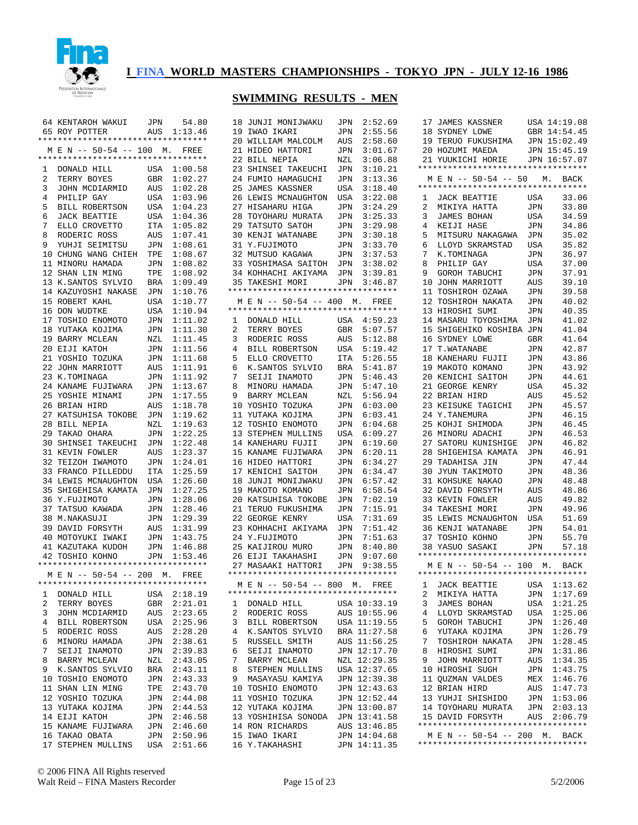

#### **SWIMMING RESULTS - MEN**

|                                        | JPN        | 54.80       |    | 18 JUNJI MONIJWAKU                 | JPN        | 2:52.69      |   | 17 JAMES KASSNER                   |            | USA 14:19.08 |
|----------------------------------------|------------|-------------|----|------------------------------------|------------|--------------|---|------------------------------------|------------|--------------|
| 64 KENTAROH WAKUI                      |            |             |    |                                    |            |              |   |                                    |            |              |
| 65 ROY POTTER                          | AUS        | 1:13.46     |    | 19 IWAO IKARI                      | JPN        | 2:55.56      |   | 18 SYDNEY LOWE                     |            | GBR 14:54.45 |
| **********************************     |            |             |    | 20 WILLIAM MALCOLM                 | AUS        | 2:58.60      |   | 19 TERUO FUKUSHIMA                 |            | JPN 15:02.49 |
| M E N -- 50-54 -- 100 M. FREE          |            |             |    | 21 HIDEO HATTORI                   | JPN        | 3:01.67      |   | 20 HOZUMI MAEDA                    |            | JPN 15:45.19 |
| **********************************     |            |             |    | 22 BILL NEPIA                      | NZL        | 3:06.88      |   | 21 YUUKICHI HORIE                  |            | JPN 16:57.07 |
|                                        |            |             |    |                                    |            |              |   | ********************************** |            |              |
| DONALD HILL<br>1                       |            | USA 1:00.58 |    | 23 SHINSEI TAKEUCHI                | JPN        | 3:10.21      |   |                                    |            |              |
| 2<br>TERRY BOYES                       | GBR        | 1:02.27     |    | 24 FUMIO HAMAGUCHI                 | JPN        | 3:13.36      |   | M E N -- 50-54 -- 50               |            | М.<br>BACK   |
| 3<br>JOHN MCDIARMID                    | AUS        | 1:02.28     |    | 25 JAMES KASSNER                   | USA        | 3:18.40      |   | ********************************** |            |              |
| 4<br>PHILIP GAY                        |            | USA 1:03.96 |    | 26 LEWIS MCNAUGHTON                | USA        | 3:22.08      | 1 | <b>JACK BEATTIE</b>                | USA        | 33.06        |
| 5                                      |            |             |    |                                    |            |              |   |                                    |            | 33.80        |
| BILL ROBERTSON                         |            | USA 1:04.23 |    | 27 HISAHARU HIGA                   | JPN        | 3:24.29      | 2 | MIKIYA HATTA                       | <b>JPN</b> |              |
| 6<br><b>JACK BEATTIE</b>               |            | USA 1:04.36 |    | 28 TOYOHARU MURATA                 | JPN        | 3:25.33      | 3 | JAMES BOHAN                        | USA        | 34.59        |
| 7<br>ELLO CROVETTO                     |            | ITA 1:05.82 |    | 29 TATSUTO SATOH                   | JPN        | 3:29.98      | 4 | KEIJI HASE                         | <b>JPN</b> | 34.86        |
| 8<br>RODERIC ROSS                      | AUS        | 1:07.41     |    | <b>30 KENJI WATANABE</b>           | JPN        | 3:30.18      | 5 | MITSURU NAKAGAWA                   | JPN        | 35.02        |
| 9                                      |            | 1:08.61     |    | 31 Y.FUJIMOTO                      |            | 3:33.70      |   | LLOYD SKRAMSTAD                    | <b>USA</b> | 35.82        |
| YUHJI SEIMITSU                         | JPN        |             |    |                                    | JPN        |              | 6 |                                    |            |              |
| 10 CHUNG WANG CHIEH                    | TPE        | 1:08.67     |    | 32 MUTSUO KAGAWA                   | JPN        | 3:37.53      | 7 | K.TOMINAGA                         | JPN        | 36.97        |
| 11 MINORU HAMADA                       | JPN        | 1:08.82     |    | 33 YOSHIMASA SAITOH                | JPN        | 3:38.02      | 8 | PHILIP GAY                         | <b>USA</b> | 37.00        |
| 12 SHAN LIN MING                       | TPE        | 1:08.92     |    | 34 KOHHACHI AKIYAMA                | JPN        | 3:39.81      | 9 | <b>GOROH TABUCHI</b>               | <b>JPN</b> | 37.91        |
| 13 K.SANTOS SYLVIO                     | <b>BRA</b> | 1:09.49     |    | 35 TAKESHI MORI                    | JPN        | 3:46.87      |   | 10 JOHN MARRIOTT                   | <b>AUS</b> | 39.10        |
|                                        |            |             |    |                                    |            |              |   |                                    |            |              |
| 14 KAZUYOSHI NAKASE                    | JPN        | 1:10.76     |    | ********************************** |            |              |   | 11 TOSHIROH OZAWA                  | <b>JPN</b> | 39.58        |
| 15 ROBERT KAHL                         | USA        | 1:10.77     |    | M E N -- 50-54 -- 400 M.           |            | FREE         |   | 12 TOSHIROH NAKATA                 | <b>JPN</b> | 40.02        |
| 16 DON WUDTKE                          | USA        | 1:10.94     |    | ********************************** |            |              |   | 13 HIROSHI SUMI                    | <b>JPN</b> | 40.35        |
| 17 TOSHIO ENOMOTO                      | JPN        | 1:11.02     | 1  | DONALD HILL                        |            | USA 4:59.23  |   | 14 MASARU TOYOSHIMA                | <b>JPN</b> | 41.02        |
|                                        |            |             |    |                                    |            |              |   |                                    |            |              |
| 18 YUTAKA KOJIMA                       | JPN        | 1:11.30     | 2  | TERRY BOYES                        | <b>GBR</b> | 5:07.57      |   | 15 SHIGEHIKO KOSHIBA JPN           |            | 41.04        |
| 19 BARRY MCLEAN                        | NZL        | 1:11.45     | 3  | RODERIC ROSS                       | AUS        | 5:12.88      |   | 16 SYDNEY LOWE                     | <b>GBR</b> | 41.64        |
| 20 EIJI KATOH                          | JPN        | 1:11.56     | 4  | <b>BILL ROBERTSON</b>              | USA        | 5:19.42      |   | 17 T.WATANABE                      | <b>JPN</b> | 42.87        |
| 21 YOSHIO TOZUKA                       | JPN        | 1:11.68     | 5  | ELLO CROVETTO                      | <b>ITA</b> | 5:26.55      |   | 18 KANEHARU FUJII                  | <b>JPN</b> | 43.86        |
|                                        |            |             |    |                                    |            |              |   |                                    |            |              |
| 22 JOHN MARRIOTT                       | AUS        | 1:11.91     | 6  | K.SANTOS SYLVIO                    | <b>BRA</b> | 5:41.87      |   | 19 MAKOTO KOMANO                   | <b>JPN</b> | 43.92        |
| 23 K.TOMINAGA                          | JPN        | 1:11.92     | 7  | SEIJI INAMOTO                      | JPN        | 5:46.43      |   | 20 KENICHI SAITOH                  | <b>JPN</b> | 44.61        |
| 24 KANAME FUJIWARA                     | JPN        | 1:13.67     | 8  | MINORU HAMADA                      | <b>JPN</b> | 5:47.10      |   | 21 GEORGE KENRY                    | <b>USA</b> | 45.32        |
| 25 YOSHIE MINAMI                       | JPN        | 1:17.55     | 9  | BARRY MCLEAN                       | NZL        | 5:56.94      |   | 22 BRIAN HIRD                      | <b>AUS</b> | 45.52        |
|                                        |            |             |    |                                    |            |              |   |                                    |            |              |
| 26 BRIAN HIRD                          | AUS        | 1:18.78     |    | 10 YOSHIO TOZUKA                   | JPN        | 6:03.00      |   | 23 KEISUKE TAGICHI                 | <b>JPN</b> | 45.57        |
| 27 KATSUHISA TOKOBE                    | JPN        | 1:19.62     |    | 11 YUTAKA KOJIMA                   | JPN        | 6:03.41      |   | 24 Y.TANEMURA                      | <b>JPN</b> | 46.15        |
| 28 BILL NEPIA                          | NZL        | 1:19.63     |    | 12 TOSHIO ENOMOTO                  | JPN        | 6:04.68      |   | 25 KOHJI SHIMODA                   | <b>JPN</b> | 46.45        |
| 29 TAKAO OHARA                         | JPN        | 1:22.25     | 13 | STEPHEN MULLINS                    | USA        | 6:09.27      |   | 26 MINORU ADACHI                   | <b>JPN</b> | 46.53        |
|                                        |            |             |    |                                    |            |              |   |                                    |            |              |
| 30 SHINSEI TAKEUCHI                    | JPN        | 1:22.48     |    | 14 KANEHARU FUJII                  | JPN        | 6:19.60      |   | 27 SATORU KUNISHIGE                | JPN        | 46.82        |
| 31 KEVIN FOWLER                        | AUS        | 1:23.37     |    | 15 KANAME FUJIWARA                 | JPN        | 6:20.11      |   | 28 SHIGEHISA KAMATA                | <b>JPN</b> | 46.91        |
| 32 TEIZOH IWAMOTO                      | JPN        | 1:24.01     |    | 16 HIDEO HATTORI                   | JPN        | 6:34.27      |   | 29 TADAHISA JIN                    | <b>JPN</b> | 47.44        |
| 33 FRANCO PILLEDDU                     | <b>ITA</b> | 1:25.59     |    | 17 KENICHI SAITOH                  | JPN        | 6:34.47      |   | 30 JYUN TAKIMOTO                   | <b>JPN</b> | 48.36        |
|                                        |            |             |    |                                    |            |              |   |                                    |            |              |
| <b>34 LEWIS MCNAUGHTON</b>             | USA        | 1:26.60     |    | 18 JUNJI MONIJWAKU                 | JPN        | 6:57.42      |   | 31 KOHSUKE NAKAO                   | <b>JPN</b> | 48.48        |
| 35 SHIGEHISA KAMATA                    | JPN        | 1:27.25     |    | 19 MAKOTO KOMANO                   | JPN        | 6:58.54      |   | 32 DAVID FORSYTH                   | <b>AUS</b> | 48.86        |
| 36 Y.FUJIMOTO                          | JPN        | 1:28.06     |    | 20 KATSUHISA TOKOBE                | JPN        | 7:02.19      |   | 33 KEVIN FOWLER                    | AUS        | 49.82        |
| 37 TATSUO KAWADA                       | JPN        | 1:28.46     |    | 21 TERUO FUKUSHIMA                 | JPN        | 7:15.91      |   | 34 TAKESHI MORI                    | <b>JPN</b> | 49.96        |
|                                        |            |             |    |                                    |            |              |   |                                    |            |              |
| 38 M.NAKASUJI                          | JPN        | 1:29.39     |    | 22 GEORGE KENRY                    | USA        | 7:31.69      |   | <b>35 LEWIS MCNAUGHTON</b>         | USA        | 51.69        |
| 39 DAVID FORSYTH                       | AUS        | 1:31.99     |    | 23 KOHHACHI AKIYAMA                | JPN        | 7:51.42      |   | 36 KENJI WATANABE                  | <b>JPN</b> | 54.01        |
| 40 MOTOYUKI IWAKI                      | JPN        | 1:43.75     |    | 24 Y.FUJIMOTO                      | <b>JPN</b> | 7:51.63      |   | 37 TOSHIO KOHNO                    | <b>JPN</b> | 55.70        |
| 41 KAZUTAKA KUDOH                      | JPN        | 1:46.88     |    | 25 KAIJIROU MURO                   | <b>JPN</b> | 8:40.80      |   | 38 YASUO SASAKI                    | <b>JPN</b> | 57.18        |
|                                        |            |             |    |                                    |            |              |   | ********************************** |            |              |
| 42 TOSHIO KOHNO                        |            | JPN 1:53.46 |    | 26 EIJI TAKAHASHI                  | <b>JPN</b> | 9:07.60      |   |                                    |            |              |
| **********************************     |            |             |    | 27 MASAAKI HATTORI                 | JPN        | 9:38.55      |   | M E N -- 50-54 -- 100 M.           |            | BACK         |
| M E N -- 50-54 -- 200 M. FREE          |            |             |    | ********************************** |            |              |   | ********************************** |            |              |
| *******************************<br>*** |            |             |    | M E N -- 50-54 -- 800 M. FREE      |            |              | ı | JACK BEATTIE                       |            | USA 1:13.62  |
|                                        |            |             |    | ********************************** |            |              |   |                                    |            |              |
| DONALD HILL<br>1                       |            | USA 2:18.19 |    |                                    |            |              | 2 | MIKIYA HATTA                       |            | JPN 1:17.69  |
| 2<br>TERRY BOYES                       |            | GBR 2:21.01 | 1  | DONALD HILL                        |            | USA 10:33.19 | 3 | JAMES BOHAN                        |            | USA 1:21.25  |
| 3<br>JOHN MCDIARMID                    |            | AUS 2:23.65 | 2  | RODERIC ROSS                       |            | AUS 10:55.96 | 4 | LLOYD SKRAMSTAD                    |            | USA 1:25.06  |
| 4<br>BILL ROBERTSON                    |            | USA 2:25.96 | 3  | BILL ROBERTSON                     |            | USA 11:19.55 | 5 | <b>GOROH TABUCHI</b>               |            | JPN 1:26.40  |
|                                        |            |             |    |                                    |            |              |   |                                    |            |              |
| 5<br>RODERIC ROSS                      |            | AUS 2:28.20 | 4  | K.SANTOS SYLVIO                    |            | BRA 11:27.58 | 6 | YUTAKA KOJIMA                      |            | JPN 1:26.79  |
| 6<br>MINORU HAMADA                     |            | JPN 2:38.61 | 5  | RUSSELL SMITH                      |            | AUS 11:56.25 | 7 | TOSHIROH NAKATA                    |            | JPN 1:28.45  |
| 7<br>SEIJI INAMOTO                     |            | JPN 2:39.83 | 6  | SEIJI INAMOTO                      |            | JPN 12:17.70 | 8 | HIROSHI SUMI                       |            | JPN 1:31.86  |
| 8<br>BARRY MCLEAN                      |            | NZL 2:43.05 | 7  | BARRY MCLEAN                       |            | NZL 12:29.35 | 9 | JOHN MARRIOTT                      |            | AUS 1:34.35  |
|                                        |            |             |    |                                    |            |              |   |                                    |            |              |
| 9<br>K.SANTOS SYLVIO                   |            | BRA 2:43.11 | 8  | STEPHEN MULLINS                    |            | USA 12:37.65 |   | 10 HIROSHI SUGH                    |            | JPN 1:43.75  |
| 10 TOSHIO ENOMOTO                      |            | JPN 2:43.33 | 9  | MASAYASU KAMIYA                    |            | JPN 12:39.38 |   | 11 QUZMAN VALDES                   |            | MEX 1:46.76  |
| 11 SHAN LIN MING                       |            | TPE 2:43.70 |    | 10 TOSHIO ENOMOTO                  |            | JPN 12:43.63 |   | 12 BRIAN HIRD                      |            | AUS 1:47.73  |
| 12 YOSHIO TOZUKA                       |            | JPN 2:44.08 |    | 11 YOSHIO TOZUKA                   |            | JPN 12:52.44 |   | 13 YUHJI SHISHIDO                  |            | JPN 1:53.06  |
|                                        |            |             |    |                                    |            |              |   |                                    |            |              |
| 13 YUTAKA KOJIMA                       |            | JPN 2:44.53 |    | 12 YUTAKA KOJIMA                   |            | JPN 13:00.87 |   | 14 TOYOHARU MURATA                 |            | JPN 2:03.13  |
| 14 EIJI KATOH                          |            | JPN 2:46.58 |    | 13 YOSHIHISA SONODA                |            | JPN 13:41.58 |   | 15 DAVID FORSYTH                   |            | AUS 2:06.79  |
| 15 KANAME FUJIWARA                     |            | JPN 2:46.60 |    | 14 RON RICHARDS                    |            | AUS 13:46.85 |   | ********************************** |            |              |
| 16 TAKAO OBATA                         |            | JPN 2:50.96 |    | 15 IWAO IKARI                      |            | JPN 14:04.68 |   | M E N -- 50-54 -- 200 M. BACK      |            |              |
|                                        |            |             |    |                                    |            |              |   | ********************************** |            |              |
| 17 STEPHEN MULLINS                     |            | USA 2:51.66 |    | 16 Y.TAKAHASHI                     |            | JPN 14:11.35 |   |                                    |            |              |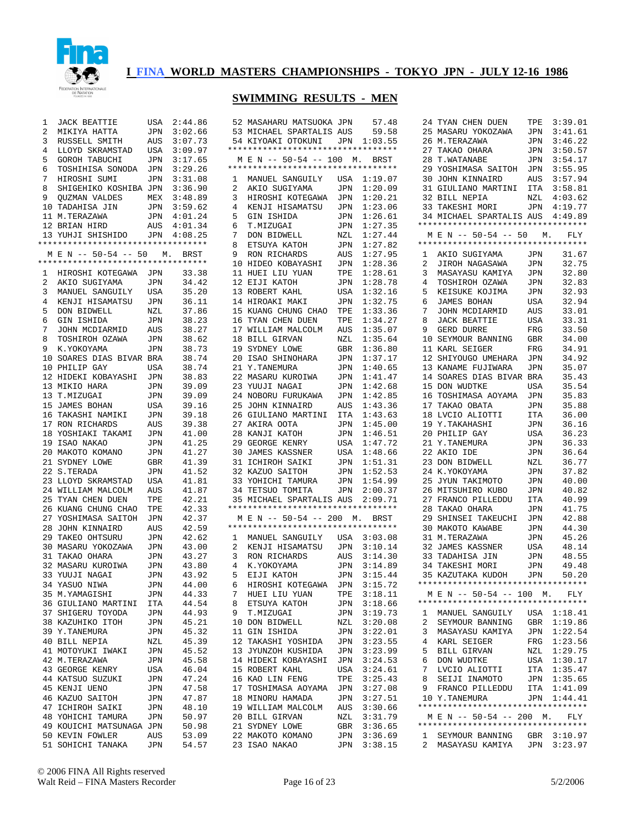

| 1  | <b>JACK BEATTIE</b>                | USA | 2:44.86 |   | 52 MASAHARU MATSUOKA JPN           |            | 57.48       |   | 24 TYAN CHEN DUEN                  | TPE        | 3:39.01     |
|----|------------------------------------|-----|---------|---|------------------------------------|------------|-------------|---|------------------------------------|------------|-------------|
| 2  | MIKIYA HATTA                       | JPN | 3:02.66 |   | 53 MICHAEL SPARTALIS AUS           |            | 59.58       |   | 25 MASARU YOKOZAWA                 | JPN        | 3:41.61     |
| 3  | RUSSELL SMITH                      | AUS | 3:07.73 |   | 54 KIYOAKI OTOKUNI                 |            | JPN 1:03.55 |   | 26 M.TERAZAWA                      | JPN        | 3:46.22     |
| 4  | LLOYD SKRAMSTAD                    | USA | 3:09.97 |   | *********************************  |            |             |   | 27 TAKAO OHARA                     | JPN        | 3:50.57     |
| 5  | <b>GOROH TABUCHI</b>               | JPN | 3:17.65 |   | M E N -- 50-54 -- 100 M. BRST      |            |             |   | 28 T.WATANABE                      | JPN        | 3:54.17     |
| 6  | TOSHIHISA SONODA                   | JPN | 3:29.26 |   | ********************************** |            |             |   | 29 YOSHIMASA SAITOH                | JPN        | 3:55.95     |
| 7  | HIROSHI SUMI                       | JPN | 3:31.08 | 1 | MANUEL SANGUILY                    | USA        | 1:19.07     |   | 30 JOHN KINNAIRD                   | <b>AUS</b> | 3:57.94     |
| 8  | SHIGEHIKO KOSHIBA JPN              |     | 3:36.90 | 2 | AKIO SUGIYAMA                      | JPN        | 1:20.09     |   | 31 GIULIANO MARTINI                | ITA        | 3:58.81     |
| 9  | <b>OUZMAN VALDES</b>               | MEX | 3:48.89 | 3 | HIROSHI KOTEGAWA                   | JPN        | 1:20.21     |   | 32 BILL NEPIA                      | NZL        | 4:03.62     |
|    |                                    |     |         |   |                                    |            | 1:23.06     |   |                                    |            | 4:19.77     |
| 10 | TADAHISA JIN                       | JPN | 3:59.62 | 4 | KENJI HISAMATSU                    | JPN        |             |   | 33 TAKESHI MORI                    | JPN        |             |
|    | 11 M.TERAZAWA                      | JPN | 4:01.24 | 5 | GIN ISHIDA                         | JPN        | 1:26.61     |   | 34 MICHAEL SPARTALIS AUS           |            | 4:49.89     |
|    | 12 BRIAN HIRD                      | AUS | 4:01.34 | 6 | T.MIZUGAI                          | JPN        | 1:27.35     |   | ********************************** |            |             |
|    | 13 YUHJI SHISHIDO                  | JPN | 4:08.25 | 7 | DON BIDWELL                        | NZL        | 1:27.44     |   | M E N -- 50-54 -- 50               | М.         | FLY         |
|    | *********************************  |     |         | 8 | ETSUYA KATOH                       | JPN        | 1:27.82     |   | ********************************** |            |             |
|    | M E N -- 50-54 -- 50               | М.  | BRST    | 9 | RON RICHARDS                       | AUS        | 1:27.95     | 1 | AKIO SUGIYAMA                      | JPN        | 31.67       |
|    | ********************************** |     |         |   | 10 HIDEO KOBAYASHI                 | JPN        | 1:28.36     | 2 | JIROH NAGASAWA                     | JPN        | 32.75       |
| 1  | HIROSHI KOTEGAWA JPN               |     | 33.38   |   | 11 HUEI LIU YUAN                   | TPE        | 1:28.61     | 3 | MASAYASU KAMIYA                    | JPN        | 32.80       |
| 2  | AKIO SUGIYAMA                      | JPN | 34.42   |   | 12 EIJI KATOH                      | JPN        | 1:28.78     | 4 | TOSHIROH OZAWA                     | JPN        | 32.83       |
| 3  | MANUEL SANGUILY                    | USA | 35.20   |   | 13 ROBERT KAHL                     | USA        | 1:32.16     | 5 | KEISUKE KOJIMA                     | JPN        | 32.93       |
| 4  | KENJI HISAMATSU                    | JPN | 36.11   |   | 14 HIROAKI MAKI                    | JPN        | 1:32.75     | 6 | <b>JAMES BOHAN</b>                 | <b>USA</b> | 32.94       |
| 5  | DON BIDWELL                        | NZL | 37.86   |   | 15 KUANG CHUNG CHAO                | TPE        | 1:33.36     | 7 | JOHN MCDIARMID                     | AUS        | 33.01       |
| 6  | GIN ISHIDA                         | JPN | 38.23   |   | 16 TYAN CHEN DUEN                  | TPE        | 1:34.27     | 8 | <b>JACK BEATTIE</b>                | USA        | 33.31       |
| 7  | JOHN MCDIARMID                     | AUS | 38.27   |   | 17 WILLIAM MALCOLM                 | AUS        | 1:35.07     | 9 | GERD DURRE                         | FRG        | 33.50       |
| 8  | TOSHIROH OZAWA                     | JPN | 38.62   |   | 18 BILL GIRVAN                     | NZL        | 1:35.64     |   | 10 SEYMOUR BANNING                 | <b>GBR</b> | 34.00       |
| 9  | K.YOKOYAMA                         | JPN | 38.73   |   | 19 SYDNEY LOWE                     | <b>GBR</b> | 1:36.80     |   | 11 KARL SEIGER                     | FRG        | 34.91       |
| 10 | SOARES DIAS BIVAR BRA              |     | 38.74   |   | 20 ISAO SHINOHARA                  | JPN        | 1:37.17     |   | 12 SHIYOUGO UMEHARA                | <b>JPN</b> | 34.92       |
|    | 10 PHILIP GAY                      | USA | 38.74   |   | 21 Y.TANEMURA                      | JPN        | 1:40.65     |   | 13 KANAME FUJIWARA                 | JPN        | 35.07       |
|    | 12 HIDEKI KOBAYASHI                | JPN | 38.83   |   | 22 MASARU KUROIWA                  | JPN        | 1:41.47     |   | 14 SOARES DIAS BIVAR BRA           |            | 35.43       |
|    | 13 MIKIO HARA                      | JPN | 39.09   |   | 23 YUUJI NAGAI                     | JPN        | 1:42.68     |   | 15 DON WUDTKE                      | USA        | 35.54       |
|    | 13 T.MIZUGAI                       | JPN | 39.09   |   | 24 NOBORU FURUKAWA                 | JPN        | 1:42.85     |   | 16 TOSHIMASA AOYAMA                | <b>JPN</b> | 35.83       |
|    |                                    |     |         |   | 25 JOHN KINNAIRD                   |            |             |   |                                    |            |             |
|    | 15 JAMES BOHAN                     | USA | 39.16   |   |                                    | AUS        | 1:43.36     |   | 17 TAKAO OBATA                     | JPN        | 35.88       |
|    | 16 TAKASHI NAMIKI                  | JPN | 39.18   |   | 26 GIULIANO MARTINI                | ITA        | 1:43.63     |   | 18 LVCIO ALIOTTI                   | <b>ITA</b> | 36.00       |
|    | 17 RON RICHARDS                    | AUS | 39.38   |   | 27 AKIRA OOTA                      | JPN        | 1:45.00     |   | 19 Y.TAKAHASHI                     | <b>JPN</b> | 36.16       |
|    | 18 YOSHIAKI TAKAMI                 | JPN | 41.00   |   | 28 KANJI KATOH                     | JPN        | 1:46.51     |   | 20 PHILIP GAY                      | <b>USA</b> | 36.23       |
|    | 19 ISAO NAKAO                      | JPN | 41.25   |   | 29 GEORGE KENRY                    | USA        | 1:47.72     |   | 21 Y.TANEMURA                      | <b>JPN</b> | 36.33       |
|    | 20 MAKOTO KOMANO                   | JPN | 41.27   |   | 30 JAMES KASSNER                   | USA        | 1:48.66     |   | 22 AKIO IDE                        | <b>JPN</b> | 36.64       |
|    | 21 SYDNEY LOWE                     | GBR | 41.39   |   | 31 ICHIROH SAIKI                   | JPN        | 1:51.31     |   | 23 DON BIDWELL                     | NZL        | 36.77       |
|    | 22 S.TERADA                        | JPN | 41.52   |   | 32 KAZUO SAITOH                    | JPN        | 1:52.53     |   | 24 K.YOKOYAMA                      | JPN        | 37.82       |
|    | 23 LLOYD SKRAMSTAD                 | USA | 41.81   |   | 33 YOHICHI TAMURA                  | JPN        | 1:54.99     |   | 25 JYUN TAKIMOTO                   | JPN        | 40.00       |
|    | 24 WILLIAM MALCOLM                 | AUS | 41.87   |   | 34 TETSUO TOMITA                   | JPN        | 2:00.37     |   | 26 MITSUHIRO KUBO                  | JPN        | 40.82       |
|    | 25 TYAN CHEN DUEN                  | TPE | 42.21   |   | 35 MICHAEL SPARTALIS AUS           |            | 2:09.71     |   | 27 FRANCO PILLEDDU                 | ITA        | 40.99       |
|    | 26 KUANG CHUNG CHAO                | TPE | 42.33   |   | ********************************** |            |             |   | 28 TAKAO OHARA                     | JPN        | 41.75       |
|    | 27 YOSHIMASA SAITOH                | JPN | 42.37   |   | M E N -- 50-54 -- 200 M. BRST      |            |             |   | 29 SHINSEI TAKEUCHI                | JPN        | 42.88       |
|    | 28 JOHN KINNAIRD                   | AUS | 42.59   |   | ********************************** |            |             |   | 30 MAKOTO KAWABE                   | JPN        | 44.30       |
|    | 29 TAKEO OHTSURU                   | JPN | 42.62   | 1 | MANUEL SANGUILY                    |            | USA 3:03.08 |   | 31 M.TERAZAWA                      | JPN        | 45.26       |
|    | 30 MASARU YOKOZAWA                 | JPN | 43.00   | 2 | KENJI HISAMATSU                    | JPN        | 3:10.14     |   | 32 JAMES KASSNER                   | USA        | 48.14       |
|    | 31 TAKAO OHARA                     | JPN | 43.27   | 3 | RON RICHARDS                       | AUS        | 3:14.30     |   | 33 TADAHISA JIN                    | JPN        | 48.55       |
|    | 32 MASARU KUROIWA                  | JPN | 43.80   | 4 | K.YOKOYAMA                         | JPN        | 3:14.89     |   | 34 TAKESHI MORI                    | JPN        | 49.48       |
|    | 33 YUUJI NAGAI                     | JPN | 43.92   | 5 | EIJI KATOH                         | JPN        | 3:15.44     |   | 35 KAZUTAKA KUDOH                  | <b>JPN</b> | 50.20       |
|    | 34 YASUO NIWA                      | JPN | 44.00   |   | 6 HIROSHI KOTEGAWA JPN 3:15.72     |            |             |   | ********************************** |            |             |
|    | 35 M.YAMAGISHI                     | JPN | 44.33   | 7 | HUEI LIU YUAN                      |            | TPE 3:18.11 |   | M E N -- 50-54 -- 100 M.           |            | <b>FLY</b>  |
|    |                                    |     |         |   |                                    |            |             |   | ********************************** |            |             |
|    | 36 GIULIANO MARTINI                | ITA | 44.54   | 8 | ETSUYA KATOH                       |            | JPN 3:18.66 |   |                                    |            |             |
|    | 37 SHIGERU TOYODA                  | JPN | 44.93   | 9 | T.MIZUGAI                          |            | JPN 3:19.73 |   | 1 MANUEL SANGUILY                  |            | USA 1:18.41 |
|    | 38 KAZUHIKO ITOH                   | JPN | 45.21   |   | 10 DON BIDWELL                     |            | NZL 3:20.08 | 2 | SEYMOUR BANNING                    |            | GBR 1:19.86 |
|    | 39 Y.TANEMURA                      | JPN | 45.32   |   | 11 GIN ISHIDA                      |            | JPN 3:22.01 | 3 | MASAYASU KAMIYA                    |            | JPN 1:22.54 |
|    | 40 BILL NEPIA                      | NZL | 45.39   |   | 12 TAKASHI YOSHIDA                 |            | JPN 3:23.55 | 4 | KARL SEIGER                        |            | FRG 1:23.56 |
|    | 41 MOTOYUKI IWAKI                  | JPN | 45.52   |   | 13 JYUNZOH KUSHIDA                 |            | JPN 3:23.99 | 5 | BILL GIRVAN                        |            | NZL 1:29.75 |
|    | 42 M.TERAZAWA                      | JPN | 45.58   |   | 14 HIDEKI KOBAYASHI                |            | JPN 3:24.53 | 6 | DON WUDTKE                         |            | USA 1:30.17 |
|    | 43 GEORGE KENRY                    | USA | 46.04   |   | 15 ROBERT KAHL                     | USA        | 3:24.61     | 7 | LVCIO ALIOTTI                      |            | ITA 1:35.47 |
|    | 44 KATSUO SUZUKI                   | JPN | 47.24   |   | 16 KAO LIN FENG                    | TPE        | 3:25.43     | 8 | SEIJI INAMOTO                      |            | JPN 1:35.65 |
|    | 45 KENJI UENO                      | JPN | 47.58   |   | 17 TOSHIMASA AOYAMA                |            | JPN 3:27.08 | 9 | FRANCO PILLEDDU                    |            | ITA 1:41.09 |
|    | 46 KAZUO SAITOH                    | JPN | 47.87   |   | 18 MINORU HAMADA                   |            | JPN 3:27.51 |   | 10 Y.TANEMURA                      |            | JPN 1:44.41 |
|    | 47 ICHIROH SAIKI                   | JPN | 48.10   |   | 19 WILLIAM MALCOLM                 | AUS        | 3:30.66     |   | ********************************** |            |             |
|    | 48 YOHICHI TAMURA                  | JPN | 50.97   |   | 20 BILL GIRVAN                     | NZL        | 3:31.79     |   | M E N -- 50-54 -- 200 M.           |            | FLY         |
|    | 49 KOUICHI MATSUNAGA JPN           |     | 50.98   |   | 21 SYDNEY LOWE                     |            | GBR 3:36.65 |   | ********************************** |            |             |
|    | 50 KEVIN FOWLER                    | AUS | 53.09   |   | 22 MAKOTO KOMANO                   |            | JPN 3:36.69 |   | 1 SEYMOUR BANNING                  |            | GBR 3:10.97 |
|    | 51 SOHICHI TANAKA                  | JPN | 54.57   |   | 23 ISAO NAKAO                      |            | JPN 3:38.15 |   | 2 MASAYASU KAMIYA                  |            | JPN 3:23.97 |
|    |                                    |     |         |   |                                    |            |             |   |                                    |            |             |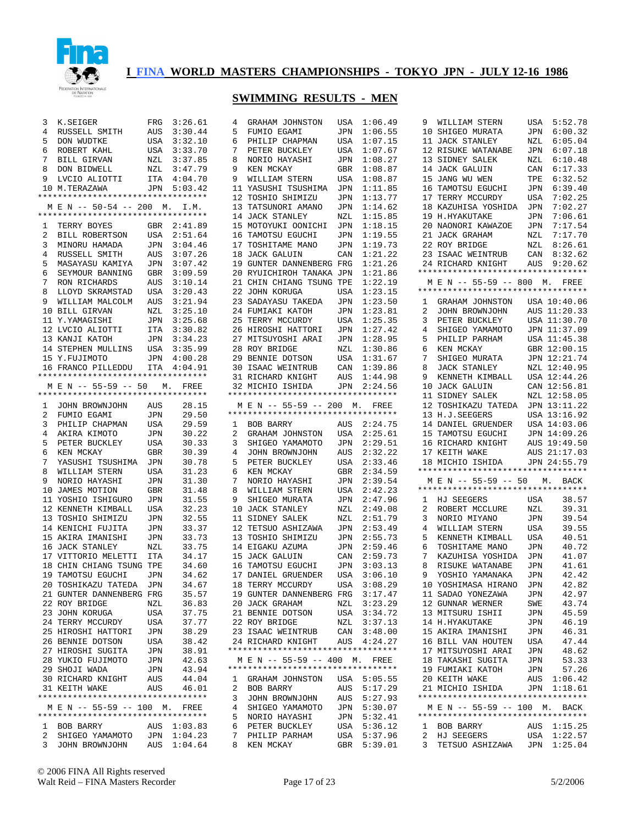

| 3      | K.SEIGER                           | FRG        | 3:26.61            | 4      | GRAHAM JOHNSTON                    | USA        | 1:06.49            |
|--------|------------------------------------|------------|--------------------|--------|------------------------------------|------------|--------------------|
| 4      | RUSSELL SMITH                      | AUS        | 3:30.44            | 5      | FUMIO EGAMI                        | JPN        | 1:06.55            |
| 5      | DON WUDTKE                         | USA        | 3:32.10            | 6      | PHILIP CHAPMAN                     | USA        | 1:07.15            |
| 6      | ROBERT KAHL                        | USA        | 3:33.70            | 7      | PETER BUCKLEY                      | USA        | 1:07.67            |
| 7      | BILL GIRVAN                        | NZL        | 3:37.85            | 8      | NORIO HAYASHI                      | JPN        | 1:08.27            |
|        |                                    |            |                    |        |                                    |            |                    |
| 8      | DON BIDWELL                        | NZL        | 3:47.79            | 9      | KEN MCKAY                          | GBR        | 1:08.87            |
| 9      | LVCIO ALIOTTI                      | ITA        | 4:04.70            | 9      | WILLIAM STERN                      | USA        | 1:08.87            |
|        | 10 M.TERAZAWA                      | JPN        | 5:03.42            |        | 11 YASUSHI TSUSHIMA                | JPN        | 1:11.85            |
|        | *********************************  |            |                    |        | 12 TOSHIO SHIMIZU                  | JPN        | 1:13.77            |
|        | M E N -- 50-54 -- 200 M.           |            | I.M.               |        | 13 TATSUNORI AMANO                 | JPN        | 1:14.62            |
|        | ********************************** |            |                    |        | 14 JACK STANLEY                    | NZL        | 1:15.85            |
| 1      | TERRY BOYES                        | GBR        | 2:41.89            |        | 15 MOTOYUKI OONICHI                | JPN        | 1:18.15            |
| 2      | BILL ROBERTSON                     | <b>USA</b> |                    |        | 16 TAMOTSU EGUCHI                  |            | 1:19.55            |
|        |                                    |            | 2:51.64            |        |                                    | JPN        |                    |
| 3      | MINORU HAMADA                      | JPN        | 3:04.46            |        | 17 TOSHITAME MANO                  | JPN        | 1:19.73            |
| 4      | RUSSELL SMITH                      | AUS        | 3:07.26            |        | 18 JACK GALUIN                     | CAN        | 1:21.22            |
| 5      | MASAYASU KAMIYA                    | JPN        | 3:07.42            |        | 19 GUNTER DANNENBERG FRG           |            | 1:21.26            |
| 6      | SEYMOUR BANNING                    | GBR        | 3:09.59            |        | 20 RYUICHIROH TANAKA JPN           |            | 1:21.86            |
| 7      | RON RICHARDS                       | AUS        | 3:10.14            |        | 21 CHIN CHIANG TSUNG TPE           |            | 1:22.19            |
| 8      | LLOYD SKRAMSTAD                    | USA        | 3:20.43            |        | 22 JOHN KORUGA                     | USA        | 1:23.15            |
| 9      | WILLIAM MALCOLM                    |            | 3:21.94            |        |                                    |            | 1:23.50            |
|        |                                    | AUS        |                    |        | 23 SADAYASU TAKEDA                 | JPN        |                    |
|        | 10 BILL GIRVAN                     | NZL        | 3:25.10            |        | 24 FUMIAKI KATOH                   | JPN        | 1:23.81            |
|        | 11 Y.YAMAGISHI                     | JPN        | 3:25.68            |        | 25 TERRY MCCURDY                   | USA        | 1:25.35            |
|        | 12 LVCIO ALIOTTI                   | ITA        | 3:30.82            |        | 26 HIROSHI HATTORI                 | JPN        | 1:27.42            |
|        | 13 KANJI KATOH                     | JPN        | 3:34.23            |        | 27 MITSUYOSHI ARAI                 | JPN        | 1:28.95            |
|        | 14 STEPHEN MULLINS                 | USA        | 3:35.99            |        | 28 ROY BRIDGE                      | NZL        | 1:30.86            |
|        | 15 Y.FUJIMOTO                      | JPN        | 4:00.28            |        | 29 BENNIE DOTSON                   | USA        | 1:31.67            |
|        | 16 FRANCO PILLEDDU                 | ITA        | 4:04.91            |        | 30 ISAAC WEINTRUB                  | CAN        | 1:39.86            |
|        | *********************************  |            |                    |        |                                    |            |                    |
|        |                                    |            |                    |        | 31 RICHARD KNIGHT                  | AUS        | 1:44.98            |
|        | M E N -- 55-59 -- 50               | М.         | FREE               |        | 32 MICHIO ISHIDA                   | JPN        | 2:24.56            |
|        | *********************************  |            |                    |        | ********************************** |            |                    |
| 1      | JOHN BROWNJOHN                     | AUS        | 28.15              |        | M E N -- 55-59 -- 200 M.           |            | FREE               |
| 2      | FUMIO EGAMI                        | JPN        | 29.50              |        | ********************************** |            |                    |
| 3      | PHILIP CHAPMAN                     | USA        | 29.59              | 1      | BOB BARRY                          | AUS        | 2:24.75            |
| 4      | AKIRA KIMOTO                       | JPN        | 30.22              | 2      | GRAHAM JOHNSTON                    | USA        | 2:25.61            |
| 5      |                                    |            |                    |        |                                    |            |                    |
|        | PETER BUCKLEY                      | USA        | 30.33              | 3      | SHIGEO YAMAMOTO                    | JPN        | 2:29.51            |
| 6      | KEN MCKAY                          | GBR        | 30.39              | 4      | JOHN BROWNJOHN                     | AUS        | 2:32.22            |
| 7      | YASUSHI TSUSHIMA                   | JPN        | 30.78              | 5      | PETER BUCKLEY                      | USA        | 2:33.46            |
| 8      | WILLIAM STERN                      | USA        | 31.23              | 6      | KEN MCKAY                          | GBR        | 2:34.59            |
| 9      | NORIO HAYASHI                      | JPN        | 31.30              | 7      | NORIO HAYASHI                      | JPN        | 2:39.54            |
|        | 10 JAMES MOTION                    | GBR        | 31.48              | 8      | WILLIAM STERN                      | USA        | 2:42.23            |
|        | 11 YOSHIO ISHIGURO                 | JPN        | 31.55              | 9      | SHIGEO MURATA                      | JPN        | 2:47.96            |
|        | 12 KENNETH KIMBALL                 | USA        | 32.23              |        | 10 JACK STANLEY                    | NZL        | 2:49.08            |
|        |                                    |            | 32.55              |        |                                    |            | 2:51.79            |
|        | 13 TOSHIO SHIMIZU                  | JPN        |                    |        | 11 SIDNEY SALEK                    | NZL        |                    |
|        | 14 KENICHI FUJITA                  | JPN        | 33.37              |        | 12 TETSUO ASHIZAWA                 | JPN        | 2:53.49            |
|        | 15 AKIRA IMANISHI                  | JPN        | 33.73              |        | 13 TOSHIO SHIMIZU                  | JPN        | 2:55.73            |
|        | 16 JACK STANLEY                    |            |                    |        |                                    |            |                    |
|        |                                    | NZL        | 33.75              |        | 14 EIGAKU AZUMA                    | JPN        | 2:59.46            |
|        | 17 VITTORIO MELETTI                | ITA        | 34.17              |        | 15 JACK GALUIN                     | CAN        | 2:59.73            |
|        | 18 CHIN CHIANG TSUNG TPE           |            |                    |        | 16 TAMOTSU EGUCHI                  | JPN        | 3:03.13            |
|        |                                    |            | 34.60              |        |                                    |            |                    |
|        | 19 TAMOTSU EGUCHI                  | JPN        | 34.62              |        | 17 DANIEL GRUENDER                 | USA        | 3:06.10            |
|        | 20 TOSHIKAZU TATEDA                | JPN        | 34.67              |        | 18 TERRY MCCURDY                   | USA        | 3:08.29            |
|        | 21 GUNTER DANNENBERG FRG           |            | 35.57              |        | 19 GUNTER DANNENBERG FRG           |            | 3:17.47            |
|        | 22 ROY BRIDGE                      | NZL        | 36.83              |        | 20 JACK GRAHAM                     | NZL        | 3:23.29            |
|        | 23 JOHN KORUGA                     | USA        | 37.75              |        | 21 BENNIE DOTSON                   | USA        | 3:34.72            |
|        | 24 TERRY MCCURDY                   | USA        | 37.77              |        | 22 ROY BRIDGE                      | NZL        | 3:37.13            |
|        |                                    |            |                    |        |                                    |            |                    |
|        | 25 HIROSHI HATTORI                 | JPN        | 38.29              |        | 23 ISAAC WEINTRUB                  | CAN        | 3:48.00            |
|        | 26 BENNIE DOTSON                   | USA        | 38.42              |        | 24 RICHARD KNIGHT                  | AUS        | 4:24.27            |
|        | 27 HIROSHI SUGITA                  | JPN        | 38.91              |        | ********************************** |            |                    |
|        | 28 YUKIO FUJIMOTO                  | JPN        | 42.63              |        | M E N -- 55-59 -- 400 M.           |            | FREE               |
|        | 29 SHOJI WADA                      | JPN        | 43.94              |        | ********************************** |            |                    |
|        | 30 RICHARD KNIGHT                  | AUS        | 44.04              | ı      | GRAHAM JOHNSTON                    | USA        | 5:05.55            |
|        | 31 KEITH WAKE                      | AUS        | 46.01              | 2      | BOB BARRY                          | AUS        | 5:17.29            |
|        | *********************************  |            |                    | 3      | JOHN BROWNJOHN                     | AUS        | 5:27.93            |
|        | M E N -- 55-59 -- 100 M.           |            | FREE               | 4      |                                    |            |                    |
|        | ********************************** |            |                    |        | SHIGEO YAMAMOTO                    | JPN        | 5:30.07            |
|        |                                    |            |                    | 5      | NORIO HAYASHI                      | JPN        | 5:32.41            |
| 1      | BOB BARRY                          | AUS        | 1:03.83            | 6      | PETER BUCKLEY                      | USA        | 5:36.12            |
| 2<br>3 | SHIGEO YAMAMOTO<br>JOHN BROWNJOHN  | JPN<br>AUS | 1:04.23<br>1:04.64 | 7<br>8 | PHILIP PARHAM<br>KEN MCKAY         | USA<br>GBR | 5:37.96<br>5:39.01 |

| 5        | FUMIO EGAMI                        | JPN            | 1:06.55                |
|----------|------------------------------------|----------------|------------------------|
| 6        | PHILIP CHAPMAN                     | USA            | 1:07.15                |
| 7        | PETER BUCKLEY                      | USA            | 1:07.67                |
| 8        | NORIO HAYASHI                      | JPN            | 1:08.27                |
| 9        | KEN MCKAY                          | GBR            | 1:08.87                |
| 9        | WILLIAM STERN                      | USA            | 1:08.87                |
| 11       | YASUSHI TSUSHIMA                   | JPN            | 1:11.85                |
| 12       | TOSHIO SHIMIZU                     | JPN            | 1:13.77                |
|          | 13 TATSUNORI AMANO                 | JPN            | 1:14.62                |
|          | 14 JACK STANLEY                    | NZL            | 1:15.85                |
|          | 15 MOTOYUKI OONICHI                | JPN            | 1:18.15                |
| 16       | TAMOTSU EGUCHI                     | JPN            | 1:19.55                |
| 17       | TOSHITAME MANO                     | JPN            | 1:19.73                |
| 18       | <b>JACK GALUIN</b>                 | CAN            | 1:21.22                |
|          | 19 GUNTER DANNENBERG FRG           |                | 1:21.26                |
| 20       | RYUICHIROH TANAKA                  | JPN            | 1:21.86                |
|          | 21 CHIN CHIANG TSUNG TPE           |                | 1:22.19                |
| 22       | JOHN KORUGA                        | USA            | 1:23.15                |
|          | 23 SADAYASU TAKEDA                 | JPN            | 1:23.50                |
|          | 24 FUMIAKI KATOH                   | JPN            | 1:23.81                |
|          | 25 TERRY MCCURDY                   | USA            | 1:25.35                |
|          | 26 HIROSHI HATTORI                 |                | 1:27.42                |
|          |                                    | JPN            |                        |
|          | 27 MITSUYOSHI ARAI                 | JPN            | 1:28.95                |
|          | 28 ROY BRIDGE                      | NZL            | 1:30.86                |
|          | 29 BENNIE DOTSON                   | USA            | 1:31.67                |
|          | 30 ISAAC WEINTRUB                  | CAN            | 1:39.86                |
|          | 31 RICHARD KNIGHT                  | AUS            | 1:44.98                |
|          | 32 MICHIO ISHIDA                   | JPN            | 2:24.56                |
|          | *********************************  |                |                        |
|          | M E N -- 55-59 -- 200 M. FREE      |                |                        |
|          | ********************************** |                |                        |
| 1        | <b>BOB BARRY</b>                   | AUS            | 2:24.75                |
|          |                                    |                |                        |
| 2        | GRAHAM JOHNSTON                    | USA            | 2:25.61                |
| 3        | SHIGEO YAMAMOTO                    | JPN            | 2:29.51                |
| 4        | JOHN BROWNJOHN                     | AUS            | 2:32.22                |
| 5        | PETER BUCKLEY                      | USA            | 2:33.46                |
| 6        | KEN MCKAY                          | GBR            | 2:34.59                |
| 7        | NORIO HAYASHI                      | JPN            | 2:39.54                |
| 8        | WILLIAM STERN                      | USA            | 2:42.23                |
| 9        | SHIGEO MURATA                      | JPN            |                        |
| 10       | JACK STANLEY                       | NZL            | 2:47.96<br>2:49.08     |
| 11       |                                    | NZL            | 2:51.79                |
| 12       | SIDNEY SALEK<br>TETSUO ASHIZAWA    | JPN            | 2:53.49                |
|          |                                    |                |                        |
| 13<br>14 | TOSHIO SHIMIZU<br>EIGAKU AZUMA     | JPN<br>JPN     | 2:55.73<br>2:59.46     |
|          |                                    |                |                        |
|          | 15 JACK GALUIN                     | $\mathtt{CAN}$ | 2:59.73<br>3:03.13     |
| 16       | TAMOTSU EGUCHI                     | JPN            |                        |
|          | 17 DANIEL GRUENDER USA             |                | 3:06.10                |
| 18       | TERRY MCCURDY                      | USA            | 3:08.29                |
|          | 19 GUNTER DANNENBERG FRG           |                | 3:17.47                |
|          | 20 JACK GRAHAM                     | NZL            | 3:23.29                |
|          | 21 BENNIE DOTSON                   | USA            | 3:34.72                |
|          | 22 ROY BRIDGE                      | NZL            | 3:37.13                |
|          | 23 ISAAC WEINTRUB                  | $\mathtt{CAN}$ | 3:48.00                |
|          | 24 RICHARD KNIGHT                  |                | AUS  4:24.27           |
|          | ********************************** |                |                        |
|          | M E N -- 55-59 -- 400 M. FREE      |                |                        |
|          | ********************************** |                |                        |
| 1        | GRAHAM JOHNSTON                    | USA            | 5:05.55                |
| 2        | BOB BARRY                          | AUS            | 5:17.29                |
| 3        | JOHN BROWNJOHN                     |                | 5:27.93                |
| 4        | SHIGEO YAMAMOTO                    | AUS<br>JPN     | 5:30.07                |
| 5        | NORIO HAYASHI                      | JPN            | 5:32.41                |
| б        | PETER BUCKLEY                      | USA            | 5:36.12                |
| 7<br>8   | PHILIP PARHAM<br>KEN MCKAY         | GBR            | USA 5:37.96<br>5:39.01 |

| 9               | WILLIAM STERN                                 | USA        | 5:52.78      |
|-----------------|-----------------------------------------------|------------|--------------|
| 10              | SHIGEO MURATA                                 | JPN        | 6:00.32      |
| 11              | <b>JACK STANLEY</b>                           | NZL        | 6:05.04      |
|                 |                                               |            |              |
| 12              | RISUKE WATANABE                               | JPN        | 6:07.18      |
| 13              | SIDNEY SALEK                                  | NZL        | 6:10.48      |
| 14              | <b>JACK GALUIN</b>                            | CAN        | 6:17.33      |
| 15              | JANG WU WEN                                   | TPE        | 6:32.52      |
| 16              | TAMOTSU EGUCHI                                | JPN        | 6:39.40      |
|                 | 17 TERRY MCCURDY                              | USA        | 7:02.25      |
| 18              | KAZUHISA YOSHIDA                              |            | 7:02.27      |
|                 |                                               | JPN        |              |
| 19              | H.HYAKUTAKE                                   | JPN        | 7:06.61      |
| 20 <sub>o</sub> | NAONORI KAWAZOE                               | JPN        | 7:17.54      |
| 21              | JACK GRAHAM                                   | NZL        | 7:17.70      |
|                 | 22 ROY BRIDGE                                 | NZL        | 8:26.61      |
|                 | 23 ISAAC WEINTRUB                             | CAN        | 8:32.62      |
| 24              | RICHARD KNIGHT                                | AUS        | 9:20.62      |
|                 | **********************************            |            |              |
|                 |                                               |            |              |
|                 | M E N -- 55-59 -- 800 M. FREE                 |            |              |
|                 | *********************************             |            |              |
| $\mathbf{1}$    | GRAHAM JOHNSTON USA 10:40.06                  |            |              |
| $\overline{2}$  | JOHN BROWNJOHN                                | AUS        | 11:20.33     |
| 3               | PETER BUCKLEY                                 | USA        | 11:30.70     |
| 4               | SHIGEO YAMAMOTO                               | JPN        | 11:37.09     |
| 5               | PHILIP PARHAM                                 | USA        | 11:45.38     |
|                 |                                               |            |              |
| 6               | KEN MCKAY                                     | GBR        | 12:00.15     |
| 7               | SHIGEO MURATA                                 | JPN        | 12:21.74     |
| 8               | JACK STANLEY                                  | NZL        | 12:40.95     |
| 9               | KENNETH KIMBALL                               | USA        | 12:44.26     |
| 10              | JACK GALUIN                                   | CAN        | 12:56.81     |
| 11              | SIDNEY SALEK                                  | NZL        | 12:58.05     |
| 12              | TOSHIKAZU TATEDA                              | JPN        | 13:11.22     |
| 13              | H.J.SEEGERS                                   | USA        | 13:16.92     |
|                 |                                               |            |              |
| 14              | DANIEL GRUENDER                               | USA        | 14:03.06     |
| 15              | TAMOTSU EGUCHI                                | JPN        | 14:09.26     |
| 16              | RICHARD KNIGHT                                | AUS        | 19:49.50     |
| 17              | KEITH WAKE                                    | AUS        | 21:17.03     |
| 18              | MICHIO ISHIDA                                 |            | JPN 24:55.79 |
|                 | *********************************             |            |              |
|                 | M E N -- 55-59 -- 50 M. BACK                  |            |              |
|                 | **********************************            |            |              |
| $\mathbf{1}$    | HJ SEEGERS                                    | USA        | 38.57        |
|                 |                                               |            |              |
| 2               | ROBERT MCCLURE                                | NZL        | 39.31        |
| 3               | NORIO MIYANO                                  | JPN        | 39.54        |
| 4               | WILLIAM STERN                                 | USA        | 39.55        |
| 5               | KENNETH KIMBALL                               | USA        | 40.51        |
| 6               | TOSHITAME MANO                                | JPN        | 40.72        |
| 7               | KAZUHISA YOSHIDA                              | JPN        | 41.07        |
| 8               | RISUKE WATANABE                               | JPN        | 41.61        |
| 9               | YOSHIO YAMANAKA                               | JPN        | 42.42        |
|                 |                                               |            |              |
|                 | 10 YOSHIMASA HIRANO                           | JPN        | 42.82        |
|                 | 11 SADAO YONEZAWA                             | JPN        | 42.97        |
|                 | 12 GUNNAR WERNER<br>13 MITSURU ISHII          | SWE<br>JPN | 43.74        |
|                 |                                               |            | 45.59        |
|                 | 14 H.HYAKUTAKE                                | JPN        | 46.19        |
|                 | 15 AKIRA IMANISHI                             | JPN        | 46.31        |
|                 | 16 BILL VAN HOUTEN                            | USA        | 47.44        |
|                 | 17 MITSUYOSHI ARAI                            | JPN        | 48.62        |
|                 |                                               |            |              |
|                 | 18 TAKASHI SUGITA                             | JPN        | 53.33        |
|                 | 19 FUMIAKI KATOH                              | JPN        | 57.26        |
|                 | 20 KEITH WAKE                                 |            | AUS 1:06.42  |
|                 | 21 MICHIO ISHIDA                              |            | JPN 1:18.61  |
|                 | **********************************            |            |              |
|                 | M E N -- 55-59 -- 100 M. BACK                 |            |              |
|                 |                                               |            |              |
|                 | *********************************             |            |              |
|                 |                                               |            |              |
|                 | 1 BOB BARRY                                   |            | AUS 1:15.25  |
|                 | 2 HJ SEEGERS<br>3 TETSUO ASHIZAWA JPN 1:25.04 |            | USA 1:22.57  |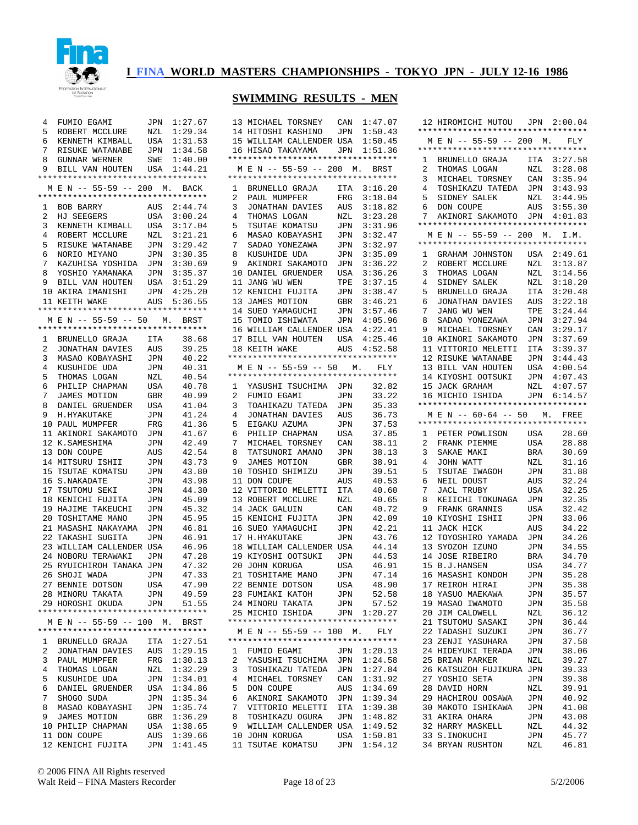

| 4 | FUMIO EGAMI                                           | JPN            | 1:27.67 |   | 13 MICHAEL TORSNEY                 | CAN | 1:47.07   |
|---|-------------------------------------------------------|----------------|---------|---|------------------------------------|-----|-----------|
| 5 | ROBERT MCCLURE                                        | NZL            | 1:29.34 |   | 14 HITOSHI KASHINO                 | JPN | 1:50.43   |
| 6 | KENNETH KIMBALL                                       | USA            | 1:31.53 |   | 15 WILLIAM CALLENDER USA           |     | 1:50.45   |
| 7 | RISUKE WATANABE                                       | JPN            | 1:34.58 |   | 16 HISAO TAKAYAMA                  | JPN | 1:51.36   |
| 8 | GUNNAR WERNER                                         | SWE            | 1:40.00 |   | *********************************  |     |           |
| 9 |                                                       | USA            | 1:44.21 |   | M E N -- 55-59 -- 200 M.           |     |           |
|   | BILL VAN HOUTEN<br>********************************** |                |         |   | ********************************** |     | BRST      |
|   |                                                       |                |         |   |                                    |     |           |
|   | M E N -- 55-59 -- 200 M.                              |                | BACK    | 1 | BRUNELLO GRAJA                     | ITA | 3:16.20   |
|   | *********************************                     |                |         | 2 | PAUL MUMPFER                       | FRG | 3:18.04   |
| 1 | BOB BARRY                                             | AUS            | 2:44.74 | 3 | JONATHAN DAVIES                    | AUS | 3:18.82   |
| 2 | HJ SEEGERS                                            | USA            | 3:00.24 | 4 | THOMAS LOGAN                       | NZL | 3:23.28   |
| 3 | KENNETH KIMBALL                                       | USA            | 3:17.04 | 5 | TSUTAE KOMATSU                     | JPN | 3:31.96   |
| 4 | ROBERT MCCLURE                                        | NZL            | 3:21.21 | 6 | MASAO KOBAYASHI                    | JPN | 3:32.47   |
| 5 | RISUKE WATANABE                                       | JPN            | 3:29.42 | 7 | SADAO YONEZAWA                     | JPN | 3:32.97   |
| 6 | NORIO MIYANO                                          | JPN            | 3:30.35 | 8 | KUSUHIDE UDA                       | JPN | 3:35.09   |
| 7 | KAZUHISA YOSHIDA                                      | JPN            | 3:30.69 | 9 | AKINORI SAKAMOTO                   | JPN | 3:36.22   |
| 8 | YOSHIO YAMANAKA                                       | JPN            | 3:35.37 |   | 10 DANIEL GRUENDER                 | USA | 3:36.26   |
| 9 |                                                       |                |         |   |                                    |     |           |
|   | BILL VAN HOUTEN                                       | USA            | 3:51.29 |   | 11 JANG WU WEN                     | TPE | 3:37.15   |
|   | 10 AKIRA IMANISHI                                     | JPN            | 4:25.20 |   | 12 KENICHI FUJITA                  | JPN | 3:38.47   |
|   | 11 KEITH WAKE                                         | AUS            | 5:36.55 |   | 13 JAMES MOTION                    | GBR | 3:46.21   |
|   | **********************************                    |                |         |   | 14 SUEO YAMAGUCHI                  | JPN | 3:57.46   |
|   | M E N -- 55-59 -- 50                                  | M <sub>z</sub> | BRST    |   | 15 TOMIO ISHIWATA                  | JPN | 4:05.96   |
|   | **********************************                    |                |         |   | 16 WILLIAM CALLENDER USA           |     | 4:22.41   |
| 1 | BRUNELLO GRAJA                                        | ITA            | 38.68   |   | 17 BILL VAN HOUTEN                 | USA | 4:25.46   |
| 2 | JONATHAN DAVIES                                       | AUS            | 39.25   |   | 18 KEITH WAKE                      | AUS | 4:52.58   |
| 3 | MASAO KOBAYASHI                                       | JPN            | 40.22   |   | ********************************** |     |           |
| 4 | KUSUHIDE UDA                                          | JPN            | 40.31   |   | M E N -- 55-59 -- 50               |     | М.<br>FLY |
| 5 |                                                       |                |         |   | ********************************** |     |           |
|   | THOMAS LOGAN                                          | NZL            | 40.54   |   |                                    |     |           |
| 6 | PHILIP CHAPMAN                                        | USA            | 40.78   | 1 | YASUSHI TSUCHIMA                   | JPN | 32.82     |
| 7 | JAMES MOTION                                          | GBR            | 40.99   | 2 | FUMIO EGAMI                        | JPN | 33.22     |
| 8 | DANIEL GRUENDER                                       | USA            | 41.04   | 3 | TOAHIKAZU TATEDA                   | JPN | 35.33     |
| 9 | H.HYAKUTAKE                                           | <b>JPN</b>     | 41.24   | 4 | JONATHAN DAVIES                    | AUS | 36.73     |
|   | 10 PAUL MUMPFER                                       | FRG            | 41.36   | 5 | EIGAKU AZUMA                       | JPN | 37.53     |
|   | 11 AKINORI SAKAMOTO                                   | JPN            | 41.67   | 6 | PHILIP CHAPMAN                     | USA | 37.85     |
|   | 12 K.SAMESHIMA                                        | JPN            | 42.49   | 7 | MICHAEL TORSNEY                    | CAN | 38.11     |
|   | 13 DON COUPE                                          | AUS            | 42.54   | 8 | TATSUNORI AMANO                    | JPN | 38.13     |
|   | 14 MITSURU ISHII                                      | JPN            | 43.73   | 9 | JAMES MOTION                       | GBR | 38.91     |
|   | 15 TSUTAE KOMATSU                                     | JPN            | 43.80   |   | 10 TOSHIO SHIMIZU                  | JPN | 39.51     |
|   | 16 S.NAKADATE                                         | JPN            | 43.98   |   | 11 DON COUPE                       | AUS | 40.53     |
|   |                                                       |                |         |   |                                    |     |           |
|   | 17 TSUTOMU SEKI                                       | JPN            | 44.30   |   | 12 VITTORIO MELETTI                | ITA | 40.60     |
|   | 18 KENICHI FUJITA                                     | JPN            | 45.09   |   | 13 ROBERT MCCLURE                  | NZL | 40.65     |
|   | 19 HAJIME TAKEUCHI                                    | JPN            | 45.32   |   | 14 JACK GALUIN                     | CAN | 40.72     |
|   | 20 TOSHITAME MANO                                     | JPN            | 45.95   |   | 15 KENICHI FUJITA                  | JPN | 42.09     |
|   | 21 MASASHI NAKAYAMA                                   | JPN            | 46.81   |   | 16 SUEO YAMAGUCHI                  | JPN | 42.21     |
|   | 22 TAKASHI SUGITA                                     | JPN            | 46.91   |   | 17 H.HYAKUTAKE                     | JPN | 43.76     |
|   | 23 WILLIAM CALLENDER USA                              |                | 46.96   |   | 18 WILLIAM CALLENDER USA           |     | 44.14     |
|   | 24 NOBORU TERAWAKI                                    | JPN            | 47.28   |   | 19 KIYOSHI OOTSUKI                 | JPN | 44.53     |
|   | 25 RYUICHIROH TANAKA JPN                              |                | 47.32   |   | 20 JOHN KORUGA                     | USA | 46.91     |
|   | 26 SHOJI WADA                                         | JPN            | 47.33   |   | 21 TOSHITAME MANO                  | JPN | 47.14     |
|   | 27 BENNIE DOTSON                                      | USA            | 47.90   |   |                                    |     | 48.90     |
|   |                                                       |                |         |   | 22 BENNIE DOTSON                   | USA |           |
|   | 28 MINORU TAKATA                                      | JPN            | 49.59   |   | 23 FUMIAKI KATOH                   | JPN | 52.58     |
|   | 29 HOROSHI OKUDA                                      | JPN            | 51.55   |   | 24 MINORU TAKATA                   | JPN | 57.52     |
|   | **********************************                    |                |         |   | 25 MICHIO ISHIDA                   | JPN | 1:20.27   |
|   | M E N -- 55-59 -- 100 M. BRST                         |                |         |   | ********************************** |     |           |
|   | **********************************                    |                |         |   | M E N -- 55-59 -- 100 M.           |     | FLY       |
| ı | BRUNELLO GRAJA                                        | ITA            | 1:27.51 |   | ********************************** |     |           |
| 2 | JONATHAN DAVIES                                       | AUS            | 1:29.15 |   | 1 FUMIO EGAMI                      | JPN | 1:20.13   |
| 3 | PAUL MUMPFER                                          | FRG            | 1:30.13 | 2 | YASUSHI TSUCHIMA JPN               |     | 1:24.58   |
| 4 | THOMAS LOGAN                                          | NZL            | 1:32.29 | 3 | TOSHIKAZU TATEDA JPN               |     | 1:27.84   |
| 5 | KUSUHIDE UDA                                          | JPN            | 1:34.01 | 4 | MICHAEL TORSNEY                    | CAN | 1:31.92   |
|   |                                                       |                |         |   |                                    |     |           |
| 6 | DANIEL GRUENDER                                       | USA            | 1:34.86 | 5 | DON COUPE                          | AUS | 1:34.69   |
| 7 | SHOGO SUDA                                            | JPN            | 1:35.34 | 6 | AKINORI SAKAMOTO JPN               |     | 1:39.34   |
| 8 | MASAO KOBAYASHI                                       | JPN            | 1:35.74 | 7 | VITTORIO MELETTI                   | ITA | 1:39.38   |
| 9 | <b>JAMES MOTION</b>                                   | GBR            | 1:36.29 | 8 | TOSHIKAZU OGURA                    | JPN | 1:48.82   |
|   | 10 PHILIP CHAPMAN                                     | USA            | 1:38.65 | 9 | WILLIAM CALLENDER USA              |     | 1:49.52   |
|   | 11 DON COUPE                                          | AUS            | 1:39.66 |   | 10 JOHN KORUGA                     | USA | 1:50.81   |
|   | 12 KENICHI FUJITA                                     | JPN            | 1:41.45 |   | 11 TSUTAE KOMATSU                  | JPN | 1:54.12   |

|                | 14 HITOSHI KASHINO JPN 1:50.43                   |                |                    |
|----------------|--------------------------------------------------|----------------|--------------------|
|                | 15 WILLIAM CALLENDER USA                         |                | 1:50.45            |
|                | 16 HISAO TAKAYAMA JPN 1:51.36                    |                |                    |
|                | *********************************                |                |                    |
|                | M E N -- 55-59 -- 200 M. BRST                    |                |                    |
|                | *********************************                |                |                    |
| $\mathbf{1}$   | BRUNELLO GRAJA ITA                               |                | 3:16.20            |
| $\overline{a}$ |                                                  |                | 3:18.04            |
| 3              | ----<br>PAUL MUMPFER FRG<br>JONATHAN DAVIES AUS  |                | 3:18.82            |
| 4              | THOMAS LOGAN                                     |                | 3:23.28            |
| 5              | THOMAS LOGAN NZL<br>TSUTAE KOMATSU JPN           |                | 3:31.96            |
| 6              | MASAO KOBAYASHI<br>SADAO YONEZAWA                | $\mathtt{JPN}$ | 3:32.47            |
| 7              |                                                  | JPN            | 3:32.97            |
| 8              |                                                  |                | 3:35.09            |
| 9              | KUSUHIDE UDA JPN<br>AKINORI SAKAMOTO JPN         |                | 3:36.22            |
|                | 10 DANIEL GRUENDER USA                           |                | 3:36.26            |
|                | 11 JANG WU WEN                                   | TPE            | 3:37.15            |
|                | 12 KENICHI FUJITA JPN                            |                | 3:38.47            |
|                |                                                  | GBR            | 3:46.21            |
|                | 13 JAMES MUILLE.<br>14 SUEO YAMAGUCHI            | JPN            | 3:57.46            |
|                | 15 TOMIO ISHIWATA                                | JPN            | 4:05.96            |
|                | 16 WILLIAM CALLENDER USA                         |                | 4:22.41            |
|                | 17 BILL VAN HOUTEN USA                           |                | 4:25.46            |
|                | 18 KEITH WAKE                                    |                | AUS  4:52.58       |
|                | **********************************               |                |                    |
|                | M E N -- 55-59 -- 50 M. FLY                      |                |                    |
|                | *********************************                |                |                    |
| 1              | YASUSHI TSUCHIMA JPN                             |                | 32.82              |
| $\overline{a}$ | FUMIO EGAMI                                      |                | 33.22              |
|                |                                                  | JPN            |                    |
| 3              | TOAHIKAZU TATEDA JPN                             |                | 35.33              |
| 4              | JONATHAN DAVIES                                  | AUS            | 36.73              |
| 5              | EIGAKU AZUMA<br>PHILIP CHAPMAN                   | JPN<br>USA     | 37.53              |
| 6              |                                                  |                |                    |
|                |                                                  |                | 37.85              |
| 7              | MICHAEL TORSNEY                                  | CAN            | 38.11              |
| 8              | TATSUNORI AMANO                                  | JPN            | 38.13              |
| 9              | JAMES MOTION                                     | GBR            | 38.91              |
| 10             |                                                  | JPN            | 39.51              |
| 11             | TOSHIO SHIMIZU<br>DON COUPE                      | AUS            | 40.53              |
|                | 12 VITTORIO MELETTI                              | ITA            | 40.60              |
|                | 13 ROBERT MCCLURE                                | NZL            | 40.65              |
|                | 14 JACK GALUIN                                   | CAN            | 40.72              |
|                | 15 KENICHI FUJITA                                | JPN            | 42.09              |
|                | -.<br>16 SUEO YAMAGUCHI                          | JPN            | 42.21              |
|                | 17 H.HYAKUTAKE                                   | JPN            | 43.76              |
|                | 18 WILLIAM CALLENDER USA                         |                | 44.14              |
|                | 19 KIYOSHI OOTSUKI                               | JPN            | 44.53              |
|                |                                                  | USA            | 46.91              |
|                |                                                  | JPN            | 47.14              |
|                | 20 JOHN KORUGA<br>21 TOSHITAME MANO<br>22 ETITIE | USA            | 48.90              |
|                | 22 BENNIE DOTSON<br>23 FUMIAKI KATOH             | JPN            | 52.58              |
|                | 24 MINORU TAKATA                                 | JPN            | 57.52              |
|                | 25 MICHIO ISHIDA JPN 1:20.27                     |                |                    |
|                | *********************************                |                |                    |
|                | MEN -- 55-59 -- 100 M.                           |                | FLY                |
|                | *********************************                |                |                    |
| $\mathbf{1}$   | FUMIO EGAMI                                      |                | JPN 1:20.13        |
| 2              | YASUSHI TSUCHIMA                                 |                | 1:24.58            |
| 3              | TOSHIKAZU TATEDA                                 | JPN            | 1:27.84            |
| 4              | MICHAEL TORSNEY                                  | $\mathtt{JPN}$ | 1:31.92            |
| 5              | DON COUPE                                        | CAN            | 1:34.69            |
|                |                                                  | AUS            | 1:39.34            |
| 6              | AKINORI SAKAMOTO                                 | JPN            |                    |
| 7              | VITTORIO MELETTI                                 | ITA            | 1:39.38            |
| 8              | TOSHIKAZU OGURA                                  | $\mathtt{JPN}$ | 1:48.82            |
| 9              | WILLIAM CALLENDER USA                            |                | 1:49.52            |
| 11             | 10 JOHN KORUGA<br>TSUTAE KOMATSU                 | USA<br>JPN     | 1:50.81<br>1:54.12 |

|                | 12 HIROMICHI MUTOU JPN 2:00.04                                            |                |                    |
|----------------|---------------------------------------------------------------------------|----------------|--------------------|
|                | **********************************                                        |                |                    |
|                | MEN -- 55-59 -- 200 M. FLY<br>**********************************          |                |                    |
| $1 \quad$      | BRUNELLO GRAJA ITA                                                        |                | 3:27.58            |
| $\overline{2}$ | THOMAS LOGAN                                                              |                | 3:28.08            |
| 3              | THOMAS LOGAN NZL<br>MICHAEL TORSNEY CAN                                   |                | 3:35.94            |
| $\overline{4}$ | TOSHIKAZU TATEDA JPN                                                      |                | 3:43.93            |
| 5              | SIDNEY SALEK<br>SIDNEY SALEK<br>DON COUPE                                 | $\texttt{NZL}$ | 3:44.95            |
| 6              | AKINORI SAKAMOTO JPN 4:01.83                                              | AUS            | 3:55.30            |
| 7              | **********************************                                        |                |                    |
|                | M E N -- 55-59 -- 200 M. I.M.                                             |                |                    |
|                | **********************************                                        |                |                    |
|                | 1 GRAHAM JOHNSTON USA 2:49.61                                             |                |                    |
| $\overline{2}$ | ROBERT MCCLURE NZL<br>THOMAS LOGAN NZL                                    |                | 3:13.87            |
| 3              | THOMAS LOGARY<br>SIDNEY SALEK<br>ARAJA                                    |                | 3:14.56            |
| 4              |                                                                           | ${\tt NZL}$    | 3:18.20            |
| 5              | BRUNELLO GRAJA                                                            | ITA            | 3:20.48            |
| б.             | JONATHAN DAVIES                                                           | AUS            | 3:22.18            |
| 7<br>8         | JANG WU WEN<br>SADAO YONEZAWA                                             | TPE            | 3:24.44<br>3:27.94 |
| 9              | MICHAEL TORSNEY                                                           | JPN<br>CAN     | 3:29.17            |
| 10             | AKINORI SAKAMOTO                                                          | JPN            | 3:37.69            |
| 11             | VITTORIO MELETTI                                                          | ITA            | 3:39.37            |
|                | 12 RISUKE WATANABE                                                        |                | 3:44.43            |
|                | 13 BILL VAN HOUTEN                                                        | JPN<br>USA     | 4:00.54            |
|                | 14 KIYOSHI OOTSUKI JPN                                                    |                | 4:07.43            |
|                | 15 JACK GRAHAM<br>16 MICHIO ISHIDA                                        | NZL            | 4:07.57            |
|                |                                                                           |                | JPN 6:14.57        |
|                | *********************************                                         |                |                    |
|                | M E N -- 60-64 -- 50 M. FREE<br>*********************************         |                |                    |
| 1              |                                                                           |                | 28.60              |
| $\overline{2}$ | PETER POWLISON USA<br>FRANK PIEMME USA<br>SAKAE MAKI BRA<br>JOHN WATT NZL |                | 28.88              |
| 3              |                                                                           |                | 30.69              |
| 4              | JOHN WATT                                                                 | NZL            | 31.16              |
| 5              | TSUTAE IWAGOH                                                             | JPN            | 31.88              |
| 6              |                                                                           | AUS            | 32.24              |
| 7              | WEIL DOUST<br>JACL TRUBY<br>WEIL DOUST                                    | USA            | 32.25              |
| 8              | KEIICHI TOKUNAGA                                                          | JPN            | 32.35              |
| 9              | FRANK GRANNIS                                                             | USA            | 32.42              |
| 10<br>11       | KIYOSHI ISHII<br>JACK HICK                                                | JPN<br>AUS     | 33.06<br>34.22     |
| 12             | TOYOSHIRO YAMADA                                                          | JPN            | 34.26              |
| 13             | SYOZOH IZUNO                                                              | JPN            | 34.55              |
| 14             | JOSE RIBEIRO<br>P I HANGEN                                                | BRA            | 34.70              |
|                | 15 B.J.HANSEN                                                             | USA            | 34.77              |
| 16             | MASASHI KONDOH                                                            | JPN            | 35.28              |
| 17             | REIROH HIRAI                                                              | JPN            | 35.38              |
| 18             | YASUO MAEKAWA                                                             | JPN            | 35.57              |
| 19             | MASAO IWAMOTO                                                             | JPN            | 35.58              |
| 20             | JIM CALDWELL                                                              | NZL            | 36.12              |
| 21             | TSUTOMU SASAKI                                                            | JPN            | 36.44              |
| 22             | TADASHI SUZUKI                                                            | JPN            | 36.77              |
| 23<br>24       | ZENJI YASUHARA<br>HIDEYUKI TERADA                                         | JPN<br>JPN     | 37.58<br>38.06     |
| 25             | BRIAN PARKER                                                              | NZL            | 39.27              |
| 26             | KATSUZOH FUJIKURA                                                         | JPN            | 39.33              |
| 27             | YOSHIO SETA                                                               | JPN            | 39.38              |
| 28             | DAVID HORN                                                                | NZL            | 39.91              |
| 29             | HACHIROU OOSAWA                                                           | JPN            | 40.92              |
| 30             | MAKOTO ISHIKAWA                                                           | JPN            | 41.08              |
| 31             | AKIRA OHARA                                                               | JPN            | 43.08              |
| 32             | HARRY MASKELL                                                             | NZL            | 44.32              |
|                | 33 S. INOKUCHI                                                            | JPN            | 45.77              |
|                | 34 BRYAN RUSHTON                                                          | NZL            | 46.81              |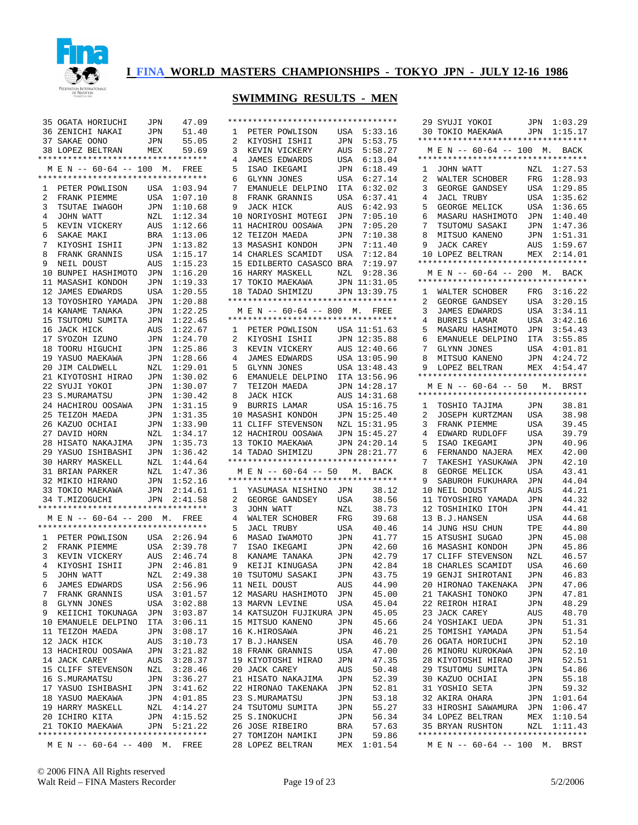

| 35             | OGATA HORIUCHI                                                           | JPN                | 47.09                  |
|----------------|--------------------------------------------------------------------------|--------------------|------------------------|
|                | 36 ZENICHI NAKAI                                                         | JPN                | 51.40                  |
|                | 37 SAKAE OONO                                                            | JPN                | 55.05                  |
|                | 38 LOPEZ BELTRAN MEX                                                     |                    | 59.69                  |
|                | **********************************                                       |                    |                        |
|                | M E N -- 60-64 -- 100 M. FREE                                            |                    |                        |
|                |                                                                          |                    |                        |
| $\mathbf{1}$   | PETER POWLISON                                                           | USA                | 1:03.94                |
| 2              | FRANK PIEMME                                                             | USA                | 1:07.10                |
| 3              | TSUTAE IWAGOH                                                            | $\mathtt{JPN}$     | 1:10.68                |
| $\overline{4}$ | JOHN WATT                                                                | NZL                | 1:12.34                |
| 5              | KEVIN VICKERY                                                            | $\mathop{\rm AUS}$ | 1:12.66                |
| 6              | SAKAE MAKI                                                               | BRA                | 1:13.06                |
| 7              | KIYOSHI ISHII                                                            | JPN                | 1:13.82                |
| 8              | FRANK GRANNIS                                                            | USA                | 1:15.17                |
| 9              | NEIL DOUST                                                               | AUS                | 1:15.23                |
|                | 10 BUNPEI HASHIMOTO                                                      | JPN                | 1:16.20                |
|                | 11 MASASHI KONDOH                                                        | JPN                | 1:19.33                |
| 12             | JAMES EDWARDS                                                            | USA                | 1:20.55                |
|                | 13 TOYOSHIRO YAMADA                                                      | $\mathtt{JPN}$     | 1:20.88                |
|                | 14 KANAME TANAKA                                                         | JPN                | 1:22.25                |
|                | 15 TSUTOMU SUMITA                                                        | JPN                | 1:22.45<br>1:22.67     |
|                | 16 JACK HICK<br>17 SYOZOH IZUNO                                          | AUS                | 1:24.70                |
|                | 18 TOORU HIGUCHI                                                         | JPN                | 1:25.86                |
| 19             |                                                                          | JPN                | 1:28.66                |
| 20             | YASUO MAEKAWA<br>JIM CALDWELL                                            | JPN<br>NZL         | 1:29.01                |
|                | 21 KIYOTOSHI HIRAO                                                       | JPN                | 1:30.02                |
|                | 22 SYUJI YOKOI                                                           | JPN                | 1:30.07                |
|                | 23 S.MURAMATSU                                                           | JPN                | 1:30.42                |
|                | 24 HACHIROU OOSAWA                                                       | $\mathtt{JPN}$     | 1:31.15                |
|                | 25 TEIZOH MAEDA                                                          | JPN                | 1:31.35                |
|                | 26 KAZUO OCHIAI                                                          | JPN                | 1:33.90                |
|                | 27 DAVID HORN                                                            | NZL                | 1:34.17                |
|                |                                                                          |                    |                        |
|                |                                                                          |                    |                        |
|                | 28 HISATO NAKAJIMA                                                       | $\rm JPN$          | 1:35.73                |
|                | 29 YASUO ISHIBASHI                                                       | JPN                | 1:36.42                |
|                | 30 HARRY MASKELL                                                         | NZL                | 1:44.64                |
|                | 31 BRIAN PARKER                                                          | NZL                | 1:47.36                |
|                | 32 MIKIO HIRANO                                                          | JPN                | 1:52.16                |
|                |                                                                          | JPN                | 2:14.61                |
|                | 33 TOKIO MAEKAWA<br>34 T.MIZOGUCHI<br>********************************** |                    | JPN 2:41.58            |
|                |                                                                          |                    |                        |
|                | M E N -- 60-64 -- 200 M. FREE                                            |                    |                        |
|                |                                                                          |                    |                        |
| 2              | 1 PETER POWLISON<br>FRANK PIEMME                                         | USA                | USA 2:26.94<br>2:39.78 |
|                | 3 KEVIN VICKERY                                                          |                    | AUS 2:46.74            |
| $\overline{4}$ | KIYOSHI ISHII                                                            | JPN                | 2:46.81                |
| 5              | JOHN WATT                                                                | NZL                | 2:49.38                |
| 6              | JAMES EDWARDS                                                            | USA                | 2:56.96                |
| 7              | FRANK GRANNIS                                                            | USA                | 3:01.57                |
| 8              | GLYNN JONES                                                              | USA                | 3:02.88                |
| 9              | KEIICHI TOKUNAGA                                                         | JPN                | 3:03.87                |
|                | 10 EMANUELE DELPINO                                                      | ITA                | 3:06.11                |
|                | 11 TEIZOH MAEDA                                                          | JPN                | 3:08.17                |
|                | 12 JACK HICK                                                             | AUS                | 3:10.73                |
|                | 13 HACHIROU OOSAWA                                                       | JPN                | 3:21.82                |
|                | 14 JACK CAREY                                                            | AUS                | 3:28.37                |
|                | 15 CLIFF STEVENSON                                                       | NZL                | 3:28.46                |
|                | 16 S.MURAMATSU                                                           | JPN                | 3:36.27                |
|                | 17 YASUO ISHIBASHI                                                       | JPN                | 3:41.62                |
|                | 18 YASUO MAEKAWA                                                         | JPN                | 4:01.85                |
|                | 19 HARRY MASKELL                                                         | NZL                | 4:14.27                |
|                | 20 ICHIRO KITA                                                           | JPN                | 4:15.52                |
|                | 21 TOKIO MAEKAWA                                                         |                    | JPN 5:21.22            |
| М              | **********************************<br>$E N -- 60-64 -- 400 M.$           |                    | FREE                   |

|                 | **********************************                                  |              |                  |
|-----------------|---------------------------------------------------------------------|--------------|------------------|
| 1               | PETER POWLISON                                                      | USA          | 5:33.16          |
| 2               | KIYOSHI ISHII                                                       | JPN          | 5:53.75          |
| 3               | KEVIN VICKERY                                                       | AUS          | 5:58.27          |
| 4               | JAMES EDWARDS                                                       | USA          | 6:13.04          |
| 5               | ISAO IKEGAMI<br>GLYNN JONES                                         | JPN          | 6:18.49          |
| 6               |                                                                     | USA          | 6:27.14          |
| 7               | EMANUELE DELPINO                                                    | ITA          | 6:32.02          |
| 8               | FRANK GRANNIS                                                       | USA          | 6:37.41          |
| 9               | JACK HICK                                                           | AUS          | 6:42.93          |
| 10              | NORIYOSHI MOTEGI                                                    | JPN          | 7:05.10          |
| 11              | HACHIROU OOSAWA                                                     | JPN          | 7:05.20          |
| 12              | TEIZOH MAEDA                                                        | JPN          | 7:10.38          |
|                 | 13 MASASHI KONDOH                                                   | JPN          | 7:11.40          |
|                 | 14 CHARLES SCAMIDT                                                  | USA          | 7:12.84          |
|                 | 15 EDILBERTO CASASCO BRA                                            |              | 7:19.97          |
|                 | 16 HARRY MASKELL                                                    | ${\tt NZL}$  | 9:28.36          |
| 17              | TOKIO MAEKAWA<br>TADAO SHIMIZU                                      |              | JPN 11:31.05     |
| 18              |                                                                     | JPN          | 13:39.75         |
|                 | **********************************<br>M E N -- 60-64 -- 800 M. FREE |              |                  |
|                 | **********************************                                  |              |                  |
|                 | 1 PETER POWLISON USA 11:51.63                                       |              |                  |
| $\overline{a}$  |                                                                     |              | JPN 12:35.88     |
| 3               | KIYOSHI ISHII<br>KEVIN VICKERY                                      | AUS          | 12:40.66         |
| $\overline{4}$  | JAMES EDWARDS                                                       |              | USA 13:05.90     |
| 5               | GLYNN JONES                                                         | USA          | 13:48.43         |
| 6               | EMANUELE DELPINO                                                    |              | ITA 13:56.96     |
| 7               |                                                                     | JPN          | 14:28.17         |
| 8               |                                                                     | AUS          | 14:31.68         |
| 9               | TEIZOH MAEDA<br>JACK HICK<br>BURRIS LAMAR                           | USA          | 15:16.75         |
|                 | 10 MASASHI KONDOH                                                   |              | JPN 15:25.40     |
|                 | 11 CLIFF STEVENSON                                                  | NZL          | 15:31.95         |
|                 | 12 HACHIROU OOSAWA JPN 15:45.27                                     |              |                  |
|                 |                                                                     |              |                  |
|                 | 13 TOKIO MAEKAWA                                                    |              | JPN 24:20.14     |
|                 | 14 TADAO SHIMIZU JPN 28:21.77                                       |              |                  |
|                 | **********************************                                  |              |                  |
|                 | M E N -- 60-64 -- 50 M. BACK                                        |              |                  |
|                 | **********************************                                  |              |                  |
| 1               | YASUMASA NISHINO JPN                                                |              | 38.12            |
| $\overline{2}$  | GEORGE GANDSEY                                                      | USA          | 38.56            |
| 3               | JOHN WATT                                                           | NZL          | 38.73            |
| 4               | WALTER SCHOBER                                                      | $_{\rm FRG}$ | 39.68            |
| 5               | <b>JACL TRUBY</b>                                                   | USA          | 40.46            |
| 6               | MASAO IWAMOTO                                                       | JPN          | 41.77            |
| 7<br>8          | ISAO IKEGAMI                                                        | JPN          | 42.60            |
| 9               | KANAME TANAKA                                                       | JPN          | 42.79            |
| 10 <sub>1</sub> | KEIJI KINUGASA<br>TSUTOMU SASAKI                                    | JPN<br>JPN   | 42.84            |
| 11              | NEIL DOUST                                                          | AUS          | 43.75<br>44.90   |
| 12              | MASARU HASHIMOTO                                                    | JPN          | 45.00            |
| 13              | MARVN LEVINE                                                        | USA          | 45.04            |
|                 | 14 KATSUZOH FUJIKURA JPN                                            |              | 45.05            |
| 15              | MITSUO KANENO                                                       | JPN          | 45.66            |
| 16              | K.HIROSAWA                                                          | JPN          | 46.21            |
| 17              | <b>B.J.HANSEN</b>                                                   | USA          | 46.70            |
| 18              | FRANK GRANNIS                                                       | USA          | 47.00            |
| 19              | KIYOTOSHI HIRAO                                                     | JPN          | 47.35            |
| 20              | JACK CAREY                                                          | AUS          | 50.48            |
| 21              | HISATO NAKAJIMA                                                     | JPN          | 52.39            |
| 22              | HIRONAO TAKENAKA                                                    | JPN          | 52.81            |
| 23              | S. MURAMATSU                                                        | JPN          | 53.18            |
| 24              | TSUTOMU SUMITA                                                      | JPN          | 55.27            |
| 25              | S.INOKUCHI                                                          | JPN          | 56.34            |
| 26              | JOSE RIBEIRO                                                        | BRA          | 57.63            |
| 27<br>28        | TOMIZOH NAMIKI<br>LOPEZ BELTRAN                                     | JPN<br>MEX   | 59.86<br>1:01.54 |

|              | 29 SYUJI YOKOI                                                      | JPN                   | 1:03.29        |
|--------------|---------------------------------------------------------------------|-----------------------|----------------|
| 30           | TOKIO MAEKAWA                                                       | JPN                   | 1:15.17        |
|              | **********************************                                  |                       |                |
|              | M E N -- 60-64 -- 100 M. BACK                                       |                       |                |
|              | *********************************                                   |                       |                |
| 1            | JOHN WATT                                                           | NZL                   | 1:27.53        |
| 2            | WALTER SCHOBER                                                      | FRG                   | 1:28.93        |
| 3            | GEORGE GANDSEY                                                      | USA                   | 1:29.85        |
| 4            | JACL TRUBY                                                          | USA                   | 1:35.62        |
| 5            | GEORGE MELICK                                                       | USA                   | 1:36.65        |
| 6            | MASARU HASHIMOTO                                                    | JPN                   | 1:40.40        |
| 7            | TSUTOMU SASAKI                                                      | JPN                   | 1:47.36        |
| 8            | MITSUO KANENO                                                       | JPN                   | 1:51.31        |
| 9            | JACK CAREY                                                          | AUS                   | 1:59.67        |
| 10           | LOPEZ BELTRAN<br>*********************************                  |                       | MEX 2:14.01    |
|              | M E N -- 60-64 -- 200 M. BACK                                       |                       |                |
|              | *********************************                                   |                       |                |
| $\mathbf{1}$ |                                                                     |                       | 3:16.22        |
| 2            | WALTER SCHOBER FRG<br>GEORGE GANDSEY USA                            |                       | 3:20.15        |
| 3            |                                                                     | USA                   | 3:34.11        |
| 4            | JAMES EDWARDS<br>BURRIS LAMAR                                       | USA                   | 3:42.16        |
| 5            | MASARU HASHIMOTO                                                    | JPN                   | 3:54.43        |
| 6            | EMANUELE DELPINO                                                    | ITA                   | 3:55.85        |
| 7            | GLYNN JONES                                                         | USA                   | 4:01.81        |
| 8            | MITSUO KANENO                                                       | JPN                   | 4:24.72        |
| 9            | LOPEZ BELTRAN                                                       |                       | MEX 4:54.47    |
|              | **********************************                                  |                       |                |
|              | M E N -- 60-64 -- 50 M. BRST                                        |                       |                |
|              | **********************************                                  |                       |                |
| $\mathbf{1}$ | TOSHIO TAJIMA                                                       | JPN                   | 38.81          |
| 2            | JOSEPH KURTZMAN                                                     | USA                   | 38.98          |
| 3            | FRANK PIEMME                                                        | USA                   | 39.45          |
|              |                                                                     |                       |                |
| 4            | EDWARD RUDLOFF                                                      | USA                   | 39.79          |
| 5            | ISAO IKEGAMI                                                        | JPN                   | 40.96          |
| 6            | FERNANDO NAJERA                                                     | MEX                   | 42.00          |
| 7            | TAKESHI YASUKAWA                                                    | JPN                   | 42.10          |
| 8            | GEORGE MELICK                                                       | USA                   | 43.41          |
| 9            | SABUROH FUKUHARA                                                    | JPN                   | 44.04          |
| 10           | NEIL DOUST                                                          | AUS                   | 44.21          |
| 11           | TOYOSHIRO YAMADA                                                    | JPN                   | 44.32          |
| 12           | TOSHIHIKO ITOH                                                      | JPN                   | 44.41          |
| 13           | <b>B.J.HANSEN</b>                                                   | USA                   | 44.68          |
| 14           | JUNG HSU CHUN                                                       | TPE                   | 44.80          |
| 15           | ATSUSHI<br>SUGAO                                                    | JPN                   | 45.08          |
| 16           | MASASHI KONDOH                                                      | JPN                   | 45.86          |
| 17           | CLIFF STEVENSON                                                     | NZL                   | 46.57          |
| 18           | CHARLES SCAMIDT                                                     | USA                   | 46.60          |
| 19           | GENJI SHIROTANI                                                     | JPN                   | 46.83          |
|              | 20 HIRONAO TAKENAKA                                                 | JPN                   | 47.06          |
|              | 21 TAKASHI TONOKO                                                   | $\mathtt{JPN}$        | 47.81          |
|              | 22 REIROH HIRAI                                                     | JPN                   | 48.29          |
|              | 23 JACK CAREY                                                       | AUS                   | 48.70          |
|              | 24 YOSHIAKI UEDA<br>25 TOMISHI YAMADA                               | JPN                   | 51.31<br>51.54 |
|              | 26 OGATA HORIUCHI                                                   | $\mathtt{JPN}$<br>JPN | 52.10          |
|              | 26 MINORU KUROKAWA                                                  |                       | 52.10          |
|              | 28 KIYOTOSHI HIRAO                                                  | $\mathtt{JPN}$<br>JPN | 52.51          |
|              | 29 TSUTOMU SUMITA                                                   |                       | 54.86          |
|              | 30 KAZUO OCHIAI                                                     | JPN<br>JPN            | 55.18          |
|              | 31 YOSHIO SETA                                                      | JPN                   | 59.32          |
|              |                                                                     |                       | 1:01.64        |
|              |                                                                     |                       | 1:06.47        |
|              | JZ AKIKA OHARA JPN<br>33 HIROSHI SAWAMURA JPN<br>34 LODES PRIT      |                       |                |
|              | 34 LOPEZ BELTRAN MEX 1:10.54<br>35 BRYAN RUSHTON NZL 1:11.43        |                       |                |
|              | **********************************<br>M E N -- 60-64 -- 100 M. BRST |                       |                |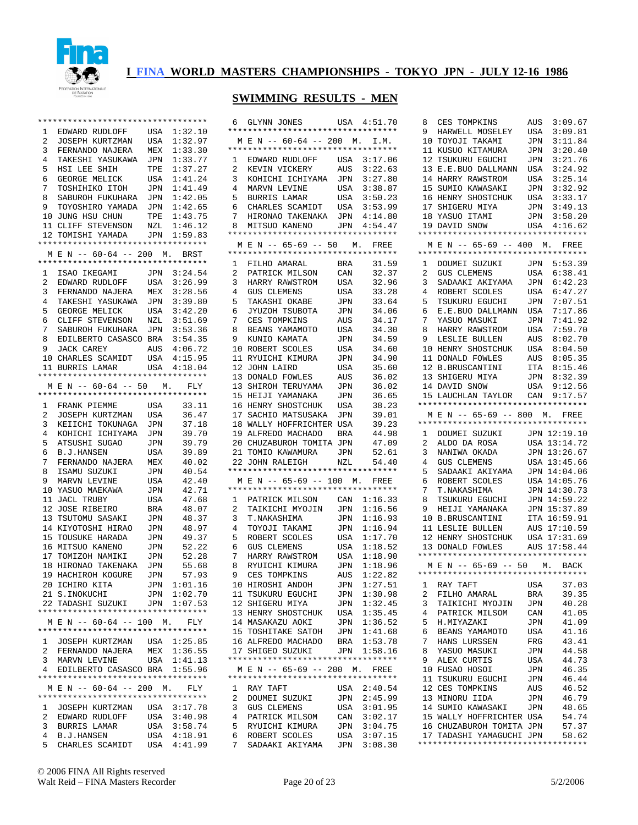

| $\mathbf{1}$   | EDWARD RUDLOFF                                                      |                    | USA 1:32.10        |
|----------------|---------------------------------------------------------------------|--------------------|--------------------|
| 2              | JOSEPH KURTZMAN                                                     | USA                | 1:32.97            |
| 3              | FERNANDO NAJERA                                                     | MEX                | 1:33.30            |
| 4              | TAKESHI YASUKAWA                                                    | JPN                | 1:33.77            |
| 5              | HSI LEE<br>SHIH                                                     | TPE                | 1:37.27            |
| 6              | GEORGE MELICK                                                       | USA                | 1:41.24            |
| 7              | TOSHIHIKO ITOH                                                      | JPN                | 1:41.49            |
| 8              | SABUROH FUKUHARA                                                    | JPN<br>JPN         | 1:42.05            |
| 9              | TOYOSHIRO YAMADA                                                    |                    | 1:42.65            |
|                | 10 JUNG HSU CHUN<br>11 CLIFF STEVENSON                              | TPE                | 1:43.75            |
|                |                                                                     | $_{\rm NZL}$       | 1:46.12            |
|                | 12 TOMISHI YAMADA                                                   |                    | JPN 1:59.83        |
|                | **********************************<br>M E N -- 60-64 -- 200 M. BRST |                    |                    |
|                | **********************************                                  |                    |                    |
|                |                                                                     |                    |                    |
| 1              | ISAO IKEGAMI                                                        | JPN                | 3:24.54            |
| 2<br>3         | EDWARD RUDLOFF                                                      | USA<br>${\tt MEX}$ | 3:26.99            |
| $\overline{4}$ | FERNANDO NAJERA<br>TAKESHI YASUKAWA                                 |                    | 3:28.56<br>3:39.80 |
| 5              | GEORGE MELICK                                                       | JPN<br>USA         | 3:42.20            |
| 6              | CLIFF STEVENSON                                                     | NZL                | 3:51.69            |
| 7 <sup>7</sup> | SABUROH FUKUHARA JPN                                                |                    | 3:53.36            |
| 8              | EDILBERTO CASASCO BRA                                               |                    | 3:54.35            |
| 9              | JACK CAREY                                                          |                    | AUS 4:06.72        |
|                | 10 CHARLES SCAMIDT                                                  | USA                | 4:15.95            |
| 11             | BURRIS LAMAR                                                        |                    | USA 4:18.04        |
|                | **********************************                                  |                    |                    |
|                | M E N -- 60-64 -- 50 M.                                             |                    | FLY                |
|                | *********************************                                   |                    |                    |
|                | 1 FRANK PIEMME                                                      | USA                | 33.11              |
| $\overline{a}$ | JOSEPH KURTZMAN                                                     | USA                | 36.47              |
| 3              | KEIICHI TOKUNAGA                                                    | JPN                | 37.18              |
| 4              | KOHICHI ICHIYAMA                                                    | JPN                | 39.70              |
| 5              | ATSUSHI SUGAO                                                       | JPN                | 39.79              |
| 6              | B.J.HANSEN                                                          | USA                | 39.89              |
| 7              | FERNANDO NAJERA                                                     | MEX                | 40.02              |
| 8              | ISAMU SUZUKI                                                        | JPN                | 40.54              |
| 9              | MARVN LEVINE                                                        | USA                | 42.40              |
| 10             | YASUO MAEKAWA                                                       | JPN                | 42.71              |
| 11             | JACL TRUBY                                                          | USA                | 47.68              |
| 12             | JOSE RIBEIRO                                                        | BRA                | 48.07              |
| 13             | TSUTOMU SASAKI                                                      | JPN                | 48.37              |
| 14             | KIYOTOSHI HIRAO                                                     | JPN                | 48.97              |
| 15             | TOUSUKE HARADA                                                      | JPN                | 49.37              |
| 16             | MITSUO KANENO                                                       | JPN                | 52.22              |
| 17             | TOMIZOH NAMIKI                                                      | JPN                | 52.28              |
|                | 18 HIRONAO TAKENAKA                                                 | JPN                | 55.68              |
| 19             | HACHIROH KOGURE                                                     | JPN                | 57.93              |
|                | 20 ICHIRO KITA                                                      | JPN                | 1:01.16            |
|                | 21 S.INOKUCHI                                                       |                    | JPN 1:02.70        |
|                | 22 TADASHI SUZUKI                                                   |                    | JPN 1:07.53        |
|                |                                                                     |                    |                    |
|                | MEN -- 60-64 -- 100 M. FLY<br>**********************************    |                    |                    |
|                |                                                                     |                    |                    |
| 1              | JOSEPH KURTZMAN USA 1:25.85<br>FERNANDO NAJERA MEX 1:36.55          |                    |                    |
| $\mathbf{2}$   |                                                                     |                    |                    |
| 3              | MARVN LEVINE USA 1:41.13<br>EDILBERTO CASASCO BRA 1:55.96           |                    |                    |
| 4              | **********************************                                  |                    |                    |
|                | MEN -- 60-64 -- 200 M. FLY                                          |                    |                    |
|                |                                                                     |                    |                    |
| 1              | JOSEPH KURTZMAN                                                     |                    | USA 3:17.78        |
| 2              | EDWARD RUDLOFF                                                      |                    | USA 3:40.98        |
| 3              | BURRIS LAMAR                                                        | USA                | 3:58.74            |
| 4              | B.J.HANSEN                                                          |                    | USA 4:18.91        |
| 5              | CHARLES SCAMIDT                                                     | USA                | 4:41.99            |

|                     | 6 GLYNN JONES                                                       |                | USA 4:51.70                |
|---------------------|---------------------------------------------------------------------|----------------|----------------------------|
|                     | **********************************                                  |                |                            |
|                     | M E N -- 60-64 -- 200 M. I.M.<br>********************************** |                |                            |
| 1                   |                                                                     | USA            | 3:17.06                    |
| 2                   | EDWARD RUDLOFF<br>KEVIN VICKERY                                     | AUS            | 3:22.63                    |
| 3                   | KOHICHI ICHIYAMA                                                    | JPN            | 3:27.80                    |
| 4                   | MARVN LEVINE                                                        | USA            | 3:38.87                    |
| 5                   | BURRIS LAMAR                                                        | USA            | 3:50.23                    |
| 6                   | CHARLES SCAMIDT USA                                                 |                | 3:53.99                    |
| 7                   | HIRONAO TAKENAKA                                                    | JPN            | 4:14.80                    |
| 8                   | MITSUO KANENO<br>*********************************                  | $\rm JPN$      | 4:54.47                    |
|                     | M E N -- 65-69 -- 50 M. FREE                                        |                |                            |
|                     | **********************************                                  |                |                            |
| 1                   | FILHO AMARAL                                                        | BRA            | 31.59                      |
| 2                   | PATRICK MILSON                                                      | CAN            | 32.37                      |
| 3                   | HARRY RAWSTROM                                                      | USA            | 32.96                      |
| 4                   | GUS CLEMENS<br>TAKASHI OKABE                                        | USA            | 33.28                      |
| 5                   |                                                                     | JPN            | 33.64                      |
| 6                   | JYUZOH TSUBOTA                                                      | JPN            | 34.06                      |
| 7<br>8              | CES TOMPKINS                                                        | AUS            | 34.17<br>34.30             |
| 9                   | BEANS YAMAMOTO<br>KUNIO KAMATA                                      | USA<br>JPN     | 34.59                      |
| 10                  | ROBERT SCOLES                                                       | USA            | 34.60                      |
| 11                  | RYUICHI KIMURA                                                      | JPN            | 34.90                      |
| 12                  | JOHN LAIRD                                                          | USA            | 35.60                      |
| 13                  | DONALD FOWLES                                                       | AUS            | 36.02                      |
| 13                  | SHIROH TERUYAMA                                                     | JPN            | 36.02                      |
| 15                  | HEIJI YAMANAKA                                                      | JPN            | 36.65                      |
|                     | 16 HENRY SHOSTCHUK                                                  | USA            | 38.23                      |
|                     | 17 SACHIO MATSUSAKA                                                 | JPN            | 39.01                      |
|                     | 18 WALLY HOFFRICHTER                                                | USA            | 39.23                      |
|                     | 19 ALFREDO MACHADO BRA<br>20 CHUZABUROH TOMITA JPN                  |                | 44.98                      |
| 21                  | TOMIO KAWAMURA                                                      | JPN            | 47.09<br>52.61             |
| $22^{\circ}$        | JOHN RALEIGH                                                        | NZL            | 54.40                      |
|                     | **********************************                                  |                |                            |
|                     | M E N -- 65-69 -- 100 M. FREE                                       |                |                            |
|                     | **********************************                                  |                |                            |
| $\mathbf{1}$        | PATRICK MILSON                                                      | CAN            | 1:16.33                    |
| $\overline{a}$<br>3 | TAIKICHI MYOJIN                                                     | JPN<br>JPN     | 1:16.56<br>1:16.93         |
| 4                   | T.NAKASHIMA<br>TOYOJI TAKAMI                                        | JPN            | 1:16.94                    |
| 5                   | ROBERT SCOLES                                                       | USA            | 1:17.70                    |
| 6                   | GUS CLEMENS                                                         | USA            | 1:18.52                    |
| 7                   | HARRY RAWSTROM                                                      | USA            | 1:18.90                    |
| 8                   | RYUICHI KIMURA                                                      | JPN            | 1:18.96                    |
| 9                   | CES TOMPKINS                                                        | AUS            | 1:22.82                    |
|                     | 10 HIROSHI ANDOH                                                    | JPN            | 1:27.51                    |
|                     | 11 TSUKURU EGUCHI                                                   |                | JPN 1:30.98                |
|                     | 12 SHIGERU MIYA                                                     | JPN            | 1:32.45                    |
|                     | 13 HENRY SHOSTCHUK USA                                              |                | 1:35.45                    |
|                     | 14 MASAKAZU AOKI JPN 1:36.52<br>15 TOSHITAKE SATOH JPN 1:41.68      |                |                            |
|                     | 16 ALFREDO MACHADO                                                  |                |                            |
|                     | 17 SHIGEO SUZUKI                                                    |                | BRA 1:53.78<br>JPN 1:58.16 |
|                     | **********************************                                  |                |                            |
|                     | M E N -- 65-69 -- 200 M. FREE                                       |                |                            |
|                     | **********************************                                  |                |                            |
|                     |                                                                     |                |                            |
| $\mathbf{1}$        | RAY TAFT                                                            |                | USA 2:40.54                |
| $\overline{2}$      | DOUMEI SUZUKI                                                       | $\mathtt{JPN}$ | 2:45.99                    |
| 3                   | <b>GUS CLEMENS</b>                                                  | USA            | 3:01.95                    |
| 4                   | PATRICK MILSOM                                                      |                |                            |
| 5                   | RYUICHI KIMURA                                                      |                | CAN 3:02.17<br>JPN 3:04.75 |
| 6<br>7              | ROBERT SCOLES<br>SADAAKI AKIYAMA                                    |                | USA 3:07.15<br>JPN 3:08.30 |

| 8              | CES TOMPKINS                                                       | AUS | 3:09.67      |
|----------------|--------------------------------------------------------------------|-----|--------------|
| 9              | HARWELL MOSELEY                                                    | USA | 3:09.81      |
|                |                                                                    |     |              |
| 10             | TOYOJI TAKAMI                                                      | JPN | 3:11.84      |
| 11             | KUSUO KITAMURA                                                     | JPN | 3:20.40      |
| 12             | TSUKURU EGUCHI                                                     | JPN | 3:21.76      |
| 13             | E.E.BUO DALLMANN                                                   | USA | 3:24.92      |
|                |                                                                    |     |              |
| 14             | HARRY RAWSTROM                                                     | USA | 3:25.14      |
| 15             | SUMIO KAWASAKI                                                     | JPN | 3:32.92      |
| 16             | HENRY SHOSTCHUK                                                    | USA | 3:33.17      |
| 17             |                                                                    | JPN | 3:49.13      |
|                | SHIGERU MIYA<br>YASUO ITAMI<br>DAVID SNOW                          |     |              |
| 18             |                                                                    | JPN | 3:58.20      |
| 19             |                                                                    |     | USA 4:16.62  |
|                | *********************************                                  |     |              |
| М              | E N -- 65-69 -- 400 M. FREE                                        |     |              |
|                | *********************************                                  |     |              |
|                |                                                                    |     |              |
| 1              | DOUMEI SUZUKI<br>GUS CLEMENS                                       | JPN | 5:53.39      |
| $\overline{2}$ |                                                                    | USA | 6:38.41      |
| 3              | SADAAKI AKIYAMA                                                    | JPN | 6:42.23      |
|                |                                                                    |     |              |
| 4              | ROBERT SCOLES                                                      | USA | 6:47.27      |
| 5              | TSUKURU EGUCHI                                                     | JPN | 7:07.51      |
| 6              | E.E.BUO DALLMANN                                                   | USA | 7:17.86      |
| 7              | YASUO MASUKI                                                       | JPN | 7:41.92      |
|                |                                                                    |     |              |
| 8              | HARRY RAWSTROM                                                     | USA | 7:59.70      |
| 9              | LESLIE BULLEN                                                      | AUS | 8:02.70      |
| 10             | HENRY SHOSTCHUK                                                    | USA | 8:04.50      |
| 11             | <b>DONALD FOWLES</b>                                               |     | 8:05.35      |
|                |                                                                    | AUS |              |
|                | 12 B.BRUSCANTINI                                                   | ITA | 8:15.46      |
| 13             | SHIGERU MIYA                                                       | JPN | 8:32.39      |
| 14             | DAVID SNOW                                                         | USA | 9:12.56      |
| 15             |                                                                    | CAN |              |
|                | LAUCHLAN TAYLOR                                                    |     | 9:17.57      |
|                | **********************************                                 |     |              |
| М              | E N -- 65-69 -- 800 M. FREE                                        |     |              |
|                | **********************************                                 |     |              |
|                |                                                                    |     |              |
|                |                                                                    |     |              |
| $\mathbf{1}$   |                                                                    |     | JPN 12:19.10 |
| 2              | DOUMEI SUZUKI<br>---- -- ----                                      | USA | 13:14.72     |
| 3              | ALDO DA ROSA                                                       |     |              |
|                |                                                                    | JPN | 13:26.67     |
| 4              | NANIWA OKADA<br>GUS CLEMENS                                        | USA | 13:45.66     |
| 5              | SADAAKI AKIYAMA                                                    |     | JPN 14:04.06 |
| б.             | ROBERT SCOLES                                                      | USA | 14:05.76     |
| 7              | T.NAKASHIMA                                                        | JPN | 14:30.73     |
|                |                                                                    |     |              |
| 8              | TSUKURU EGUCHI                                                     | JPN | 14:59.22     |
| 9              | HEIJI YAMANAKA                                                     | JPN | 15:37.89     |
| 10             | <b>B.BRUSCANTINI</b>                                               | ITA | 16:59.91     |
| 11             |                                                                    | AUS | 17:10.59     |
|                | LESLIE BULLEN                                                      |     |              |
| 12             | HENRY SHOSTCHUK                                                    | USA | 17:31.69     |
| 13             | DONALD FOWLES                                                      |     | AUS 17:58.44 |
|                | **********************************                                 |     |              |
|                |                                                                    |     |              |
|                | M E N -- 65-69 -- 50 M. BACK<br>********************************** |     |              |
|                |                                                                    |     |              |
| 1              | RAY TAFT                                                           | USA | 37.03        |
| 2              | FILHO AMARAL                                                       | BRA | 39.35        |
|                |                                                                    |     |              |
| 3              | TAIKICHI MYOJIN                                                    | JPN | 40.28        |
| 4              | PATRICK MILSOM                                                     | CAN | 41.05        |
| 5              | H.MIYAZAKI                                                         | JPN | 41.09        |
| 6              | BEANS YAMAMOTO                                                     | USA | 41.16        |
|                |                                                                    |     |              |
| 7              | HANS LURSSEN                                                       | FRG | 43.41        |
| 8              | YASUO MASUKI                                                       | JPN | 44.58        |
| 9              | ALEX CURTIS                                                        | USA | 44.73        |
| 10             | FUSAO HOSOI                                                        | JPN | 46.35        |
|                |                                                                    |     |              |
| 11             | TSUKURU EGUCHI                                                     | JPN | 46.44        |
|                | 12 CES TOMPKINS                                                    | AUS | 46.52        |
|                | 13 MINORU IIDA                                                     | JPN | 46.79        |
|                | 14 SUMIO KAWASAKI                                                  | JPN | 48.65        |
|                |                                                                    |     |              |
|                | 15 WALLY HOFFRICHTER USA                                           |     | 54.74        |
|                | 16 CHUZABUROH TOMITA JPN                                           |     | 57.37        |
|                | 17 TADASHI YAMAGUCHI JPN<br>**********************************     |     | 58.62        |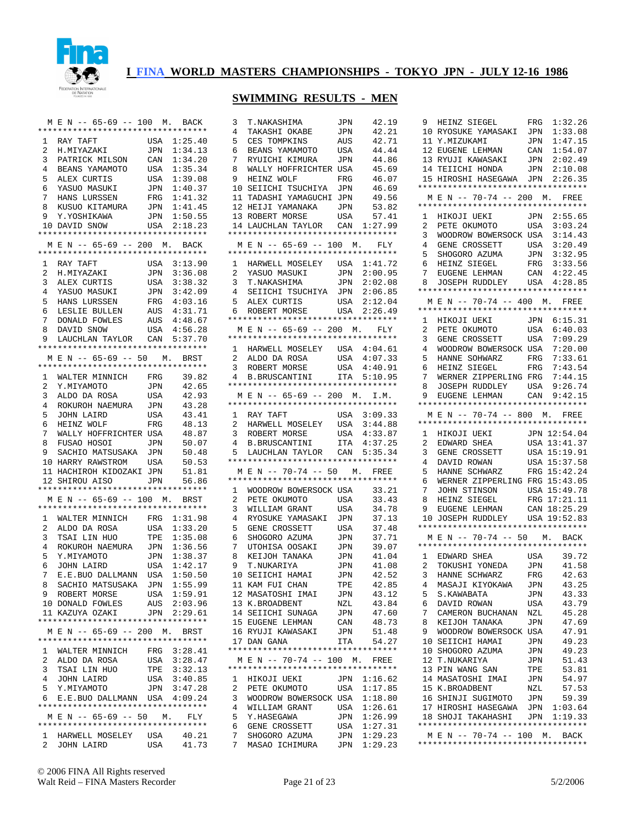

|                     | M E N -- 65-69 -- 100 M. BACK                                 |            |                              |
|---------------------|---------------------------------------------------------------|------------|------------------------------|
|                     | *********************************                             |            |                              |
| 1                   | RAY TAFT<br>KAY TAFT<br>H.MIYAZAKI                            |            | USA 1:25.40                  |
| $\mathbf{2}$        |                                                               | JPN        | 1:34.13                      |
| 3                   | PATRICK MILSON                                                | CAN        | 1:34.20                      |
|                     | 4 BEANS YAMAMOTO                                              |            | USA 1:35.34                  |
| 5                   | ALEX CURTIS<br>YASUO MASUKI                                   | USA        | 1:39.08                      |
| 6                   |                                                               |            | JPN 1:40.37                  |
| 7                   | HANS LURSSEN                                                  | FRG        | 1:41.32                      |
| 8                   | KUSUO KITAMURA                                                |            | JPN 1:41.45                  |
|                     | 9 Y.YOSHIKAWA<br>10 DAVID SNOW                                | JPN        | 1:50.55<br>USA 2:18.23       |
|                     | **********************************                            |            |                              |
|                     | M E N -- 65-69 -- 200 M. BACK                                 |            |                              |
|                     | *********************************                             |            |                              |
|                     | 1 RAY TAFT                                                    | USA        | 3:13.90                      |
| $\overline{2}$      |                                                               | JPN        | 3:36.08                      |
| 3                   | H.MIYAZAKI<br>ALEX CURTIS<br>YACUC                            | USA        | 3:38.32                      |
|                     |                                                               | JPN        | 3:42.09                      |
|                     | 4 YASUO MASUKI<br>5 HANS LURSSEN                              |            | FRG 4:03.16                  |
| б.                  |                                                               |            |                              |
| 7                   | LESLIE BULLEN<br>DONALD FOWLES                                |            | AUS  4:31.71<br>AUS  4:48.67 |
| 8                   | DAVID SNOW                                                    | USA        | 4:56.28                      |
| 9                   | LAUCHLAN TAYLOR CAN 5:37.70                                   |            |                              |
|                     | *********************************                             |            |                              |
|                     | MEN -- 65-69 -- 50 M. BRST                                    |            |                              |
|                     | *********************************                             |            |                              |
| $\mathbf{1}$        | WALTER MINNICH FRG                                            |            | 39.82                        |
| $\overline{2}$      | Y.MIYAMOTO<br>ALDO DA ROSA                                    | JPN        | 42.65                        |
| 3                   |                                                               | USA        | 42.93                        |
| $4\overline{ }$     | ROKUROH NAEMURA                                               | JPN        | 43.28                        |
| 5                   | JOHN LAIRD                                                    | USA        | 43.41                        |
| б.                  | HEINZ WOLF                                                    | FRG        | 48.13                        |
| $7^{\circ}$         | WALLY HOFFRICHTER USA<br>FUSAO HOSOI                          |            | 48.87                        |
| 8<br>9              | SACHIO MATSUSAKA JPN                                          | JPN        | 50.07                        |
|                     | 10 HARRY RAWSTROM                                             | USA        | 50.48<br>50.53               |
|                     | 11 HACHIROH KIDOZAKI JPN                                      |            | 51.81                        |
| 12                  | SHIROU AISO                                                   | <b>JPN</b> | 56.86                        |
|                     | **********************************                            |            |                              |
|                     | M E N -- 65-69 -- 100 M. BRST                                 |            |                              |
|                     | *********************************                             |            |                              |
|                     | 1 WALTER MINNICH FRG 1:31.98                                  |            |                              |
| $\overline{2}$      |                                                               | USA        | 1:33.20                      |
| $\mathbf{3}$        | ALDO DA ROSA<br>TSAI LIN HUO                                  | TPE        | 1:35.08                      |
| $\overline{4}$      | ROKUROH NAEMURA                                               | JPN        | 1:36.56                      |
| 5                   | Y.MIYAMOTO<br>Y.MIYAMOTO<br>JOHN LAIRD                        |            | JPN 1:38.37                  |
| 6                   |                                                               | USA        | 1:42.17                      |
| 7                   | E.E.BUO DALLMANN                                              | USA        | 1:50.50                      |
| 8                   | SACHIO MATSUSAKA                                              | JPN        | 1:55.99                      |
|                     | 9 ROBERT MORSE                                                |            | USA 1:59.91                  |
|                     | 10 DONALD FOWLES                                              |            | AUS 2:03.96                  |
|                     | 11 KAZUYA OZAKI JPN 2:29.61                                   |            |                              |
|                     | **********************************                            |            |                              |
|                     | M E N -- 65-69 -- 200 M.<br>********************************* |            | BRST                         |
|                     |                                                               |            |                              |
|                     | 1 WALTER MINNICH FRG 3:28.41                                  |            |                              |
| 2                   | ALDO DA ROSA<br>TSAI LIN HUO                                  | USA        | 3:28.47<br>TPE 3:32.13       |
| 3                   |                                                               |            | 3:40.85                      |
| $\overline{4}$<br>5 | JOHN LAIRD<br>Y.MIYAMOTO                                      | USA        | JPN 3:47.28                  |
|                     | 6 E.E.BUO DALLMANN USA 4:09.24                                |            |                              |
|                     | **********************************                            |            |                              |
|                     | MEN -- 65-69 -- 50 M. FLY                                     |            |                              |
|                     | **********************************                            |            |                              |
|                     |                                                               |            |                              |
| $\mathbf{2}$        | 1 HARWELL MOSELEY USA 40.21<br>JOHN LAIRD                     | USA        | 41.73                        |

| 3              | T.NAKASHIMA                                           | JPN        | 42.19                      |
|----------------|-------------------------------------------------------|------------|----------------------------|
| 4              | TAKASHI OKABE                                         | JPN        | 42.21                      |
| 5              | CES TOMPKINS                                          | AUS        | 42.71                      |
| 6              | BEANS YAMAMOTO                                        | USA        | 44.44                      |
| 7              | RYUICHI KIMURA                                        | JPN        | 44.86                      |
| 8              | WALLY HOFFRICHTER                                     | USA        | 45.69                      |
| 9              | HEINZ WOLF                                            | FRG        | 46.07                      |
| 10             | SEIICHI<br>TSUCHIYA                                   | JPN        | 46.69                      |
| 11             |                                                       |            | 49.56                      |
| 12             | TADASHI YAMAGUCHI<br>HEIJI YAMANAKA                   | JPN        |                            |
|                |                                                       | JPN        | 53.82                      |
| 13             | ROBERT MORSE                                          | USA        | 57.41                      |
| 14             | LAUCHLAN TAYLOR<br>********************************** | CAN        | 1:27.99                    |
|                | $E N$ -- 65-69 -- 100 M.                              |            |                            |
| М              | **********************************                    |            | FLY                        |
| 1              | HARWELL MOSELEY USA                                   |            | 1:41.72                    |
| $\overline{2}$ |                                                       |            | 2:00.95                    |
|                | YASUO MASUKI                                          | JPN        |                            |
| 3              | T.NAKASHIMA                                           | JPN        | 2:02.08                    |
| 4              | SEIICHI TSUCHIYA JPN                                  |            | 2:06.85                    |
| 5              | ALEX CURTIS<br>ROBERT MORSE                           | USA        | 2:12.04                    |
| 6              | **********************************                    | USA        | 2:26.49                    |
|                | M E N -- 65-69 -- 200 M.                              |            | FLY                        |
|                | **********************************                    |            |                            |
| 1              | HARWELL MOSELEY                                       | USA        | 4:04.61                    |
| 2              | ALDO DA ROSA                                          | USA        | 4:07.33                    |
| 3              | ROBERT MORSE                                          | <b>USA</b> | 4:40.91                    |
| 4              | B.BRUSCANTINI                                         | <b>ITA</b> | 5:10.95                    |
|                | **********************************                    |            |                            |
| M              | E N -- 65-69 -- 200 M. I.M.                           |            |                            |
|                | **********************************                    |            |                            |
| $\mathbf{1}$   | RAY TAFT                                              | USA        | 3:09.33                    |
| 2              | HARWELL MOSELEY                                       | USA        | 3:44.88                    |
| 3              |                                                       |            |                            |
| 4              | ROBERT MORSE                                          | USA        | 4:33.87                    |
|                | <b>B.BRUSCANTINI</b>                                  | <b>ITA</b> | 4:37.25                    |
| 5              | LAUCHLAN TAYLOR                                       | CAN        | 5:35.34                    |
|                |                                                       |            |                            |
|                | **********************************                    |            |                            |
| М              | $E N$ -- 70-74 -- 50 M.                               |            | FREE                       |
|                | **********************************                    |            |                            |
| 1              | WOODROW BOWERSOCK USA                                 |            | 33.21                      |
| 2              | PETE OKUMOTO                                          | USA        | 33.43                      |
| 3              | WILLIAM GRANT                                         | USA        | 34.78                      |
| 4              | RYOSUKE YAMASAKI                                      | JPN        | 37.13                      |
| 5              | GENE CROSSETT                                         | USA        | 37.48                      |
| 6              | SHOGORO AZUMA                                         | JPN        | 37.71                      |
| 7              | UTOHISA OOSAKI                                        | JPN        | 39.07                      |
| 8              | KEIJOH TANAKA                                         | JPN        | 41.04                      |
| 9              | T.NUKARIYA                                            | JPN        | 41.08                      |
| 10             | SEIICHI HAMAI                                         | JPN        | 42.52                      |
|                | 11 KAM FUI CHAN                                       | TPE        | 42.85                      |
|                | 12 MASATOSHI IMAI                                     | JPN        | 43.12                      |
|                | 13 K.BROADBENT                                        | NZL        | 43.84                      |
|                | 14 SEIICHI SUNAGA                                     | JPN        | 47.60                      |
|                | 15 EUGENE LEHMAN                                      | CAN        | 48.73                      |
|                | 16 RYUJI KAWASAKI                                     | JPN        | 51.48                      |
|                | 17 DAN GANA                                           | ITA        | 54.27                      |
|                | **********************************                    |            |                            |
|                | M E N -- 70-74 -- 100 M. FREE                         |            |                            |
|                | **********************************                    |            |                            |
| 1              | HIKOJI UEKI                                           |            | JPN 1:16.62                |
| 2              | PETE OKUMOTO                                          | USA        | 1:17.85                    |
| 3              | WOODROW BOWERSOCK USA                                 |            | 1:18.80                    |
| 4              | WILLIAM GRANT                                         | USA        | 1:26.61                    |
| 5              | Y.HASEGAWA                                            | JPN        | 1:26.99                    |
| 6              | GENE CROSSETT                                         | USA        | 1:27.31                    |
| 7<br>7         | SHOGORO AZUMA<br>MASAO ICHIMURA                       |            | JPN 1:29.23<br>JPN 1:29.23 |

|                     | 9 HEINZ SIEGEL                                                                                                  | 1:32.26<br>FRG                   |
|---------------------|-----------------------------------------------------------------------------------------------------------------|----------------------------------|
|                     | 10 RYOSUKE YAMASAKI JPN                                                                                         | 1:33.08                          |
|                     | 11 Y.MIZUKAMI                                                                                                   | 1:47.15<br>JPN                   |
|                     |                                                                                                                 | CAN<br>1:54.07                   |
|                     | 11 1.<br>12 EUGENE LEHMAN<br>13 RYUJI KAWASAKI                                                                  | JPN<br>2:02.49                   |
|                     | 14 TEIICHI HONDA                                                                                                | JPN 2:10.08                      |
|                     | 15 HIROSHI HASEGAWA JPN 2:26.35                                                                                 |                                  |
|                     | *********************************                                                                               |                                  |
|                     | M E N -- 70-74 -- 200 M. FREE                                                                                   |                                  |
|                     | **********************************                                                                              |                                  |
| $\mathbf{1}$        | HIKOJI UEKI<br>PETE OKUMOTO                                                                                     | JPN 2:55.65                      |
| $\overline{2}$      |                                                                                                                 | USA<br>3:03.24                   |
| 3                   | WOODROW BOWERSOCK USA                                                                                           | 3:14.43                          |
| $\overline{4}$      |                                                                                                                 |                                  |
| 5                   | GENE CROSSETT USA 3:20.49<br>SHOGORO AZUMA JPN 3:32.95<br>HEINZ SIEGEL FRG 3:33.56<br>EUGENE LEHMAN CAN 4:22.45 |                                  |
| 6                   |                                                                                                                 |                                  |
| 7                   |                                                                                                                 |                                  |
| 8                   | JOSEPH RUDDLEY USA 4:28.85                                                                                      |                                  |
|                     | **********************************                                                                              |                                  |
|                     | M E N -- 70-74 -- 400 M. FREE<br>*********************************                                              |                                  |
| 1                   |                                                                                                                 |                                  |
| $\overline{2}$      | HIKOJI UEKI JPN 6:15.31<br>PETE OKUMOTO USA 6:40.03                                                             |                                  |
|                     | GENE CROSSETT USA 7:09.29                                                                                       |                                  |
| 3<br>$\overline{4}$ | WOODROW BOWERSOCK USA                                                                                           | 7:20.00                          |
| 5                   |                                                                                                                 | FRG 7:33.61                      |
| 6                   | HANNE SOHWARZ FRG<br>HEINZ SIEGEL FRG                                                                           | 7:43.54                          |
| 7                   | WERNER ZIPPERLING FRG 7:44.15                                                                                   |                                  |
| 8                   |                                                                                                                 | 9:26.74                          |
| 9                   | JOSEPH RUDDLEY USA 9:26.74<br>EUGENE LEHMAN CAN 9:42.15                                                         |                                  |
|                     | *********************************                                                                               |                                  |
|                     | M E N -- 70-74 -- 800 M. FREE                                                                                   |                                  |
|                     | *********************************                                                                               |                                  |
| $\mathbf{1}$        |                                                                                                                 |                                  |
| $\overline{2}$      | HIKOJI UEKI JPN 12:54.04<br>EDWARD SHEA USA 13:41.37                                                            |                                  |
| 3                   |                                                                                                                 |                                  |
| 4                   | GENE CROSSETT USA 15:41.37<br>DAVID ROWAN USA 15:37.58<br>HANNE SCHWARZ FRG 15:42.24                            |                                  |
| 5                   |                                                                                                                 |                                  |
| 6                   | WERNER ZIPPERLING FRG                                                                                           | 15:43.05                         |
| 7                   | JOHN STINSON USA 15:49.78<br>HEINZ SIEGEL FRG 17:21.11<br>EUGENE LEHMAN CAN 18:25.29                            |                                  |
| 8                   |                                                                                                                 |                                  |
| 9                   |                                                                                                                 |                                  |
| 10 <sup>1</sup>     | JOSEPH RUDDLEY USA 19:52.83                                                                                     |                                  |
|                     | **********************************                                                                              |                                  |
|                     | M E N -- 70-74 -- 50 M. BACK                                                                                    |                                  |
|                     | *********************************                                                                               |                                  |
|                     | 1 EDWARD SHEA<br>EDWARD SHEA<br>TOKUSHI YONEDA<br>HANNE SCHWARZ                                                 | USA 39.72                        |
| $\overline{2}$      |                                                                                                                 | JPN<br>FRG<br>41.58              |
| 3                   |                                                                                                                 | 42.63                            |
| 4                   | MASAJI KIYOKAWA                                                                                                 | 43.25<br>JPN                     |
| 5                   | S. KAWABATA                                                                                                     | 43.33<br>JPN                     |
| 6                   | DAVID ROWAN                                                                                                     | 43.79<br>USA                     |
| 7                   |                                                                                                                 |                                  |
|                     | CAMERON BUCHANAN                                                                                                | 45.28<br>NZL                     |
| 8                   | KEIJOH TANAKA                                                                                                   | 47.69<br>JPN                     |
| 9                   | WOODROW BOWERSOCK                                                                                               | 47.91<br>USA                     |
| 10                  | SEIICHI HAMAI                                                                                                   | 49.23<br>JPN                     |
| 10                  | SHOGORO AZUMA                                                                                                   | 49.23<br>JPN                     |
| 12                  | T.NUKARIYA                                                                                                      | 51.43<br>JPN                     |
| 13                  | PIN WANG SAN                                                                                                    | 53.81<br>TPE                     |
|                     | 14 MASATOSHI IMAI                                                                                               | 54.97<br>JPN                     |
| 15                  | K.BROADBENT                                                                                                     | 57.53<br>NZL                     |
|                     | 16 SHINJI SUGIMOTO                                                                                              | 59.39<br>JPN                     |
| 18                  | 17 HIROSHI HASEGAWA<br>SHOJI TAKAHASHI                                                                          | 1:03.64<br>JPN<br>1:19.33<br>JPN |
|                     | **********************************                                                                              |                                  |
|                     | M E N -- 70-74 -- 100 M. BACK                                                                                   |                                  |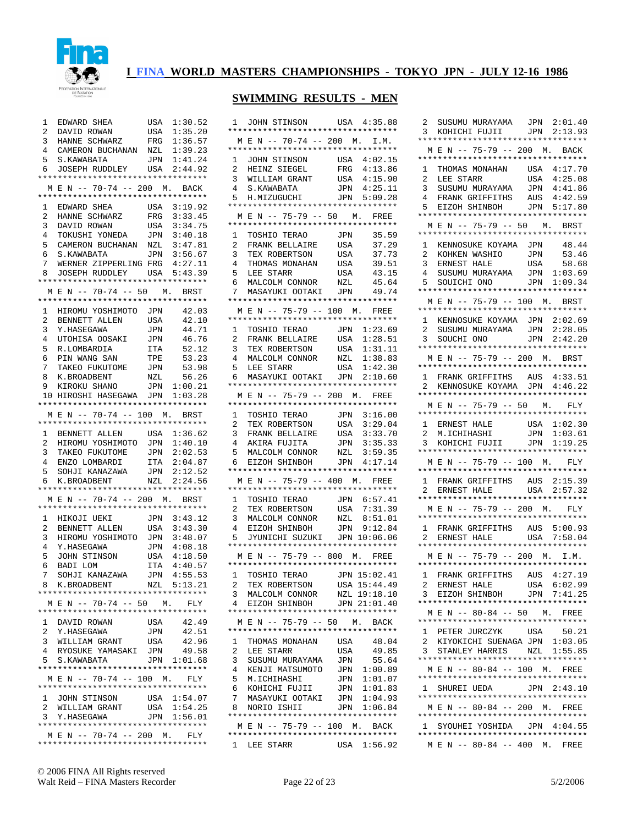

## **SWIMMING RESULTS - MEN**

| 1<br>EDWARD SHEA<br>$\overline{2}$<br>DAVID ROWAN<br>HANNE SCHWARZ<br>3<br>CAMERON BUCHANAN NZL<br>$\overline{4}$<br>5<br>S.KAWABATA<br>JOSEPH RUDDLEY USA 2:44.92<br>6<br>********************************** | 1:30.52<br>USA<br>1:35.20<br>USA<br>1:36.57<br>FRG<br>1:39.23<br>1:41.24<br>JPN                                              |  |
|---------------------------------------------------------------------------------------------------------------------------------------------------------------------------------------------------------------|------------------------------------------------------------------------------------------------------------------------------|--|
| M E N -- 70-74 -- 200 M. BACK<br>**********************************<br>1 EDWARD SHEA<br>HANNE SCHWARZ<br>2<br>3<br>DAVID ROWAN                                                                                | USA 3:19.92<br>3:33.45<br>$_{\rm FRG}$<br>3:34.75<br>USA                                                                     |  |
| TOKUSHI YONEDA JPN<br>$\overline{4}$<br>5<br>CAMERON BUCHANAN<br>S. KAWABATA<br>6<br>7<br>WERNER ZIPPERLING FRG<br>JOSEPH RUDDLEY USA 5:43.39<br>8<br>**********************************                      | 3:40.18<br>NZL<br>3:47.81<br>JPN 3:56.67<br>4:27.11                                                                          |  |
| M E N -- 70-74 -- 50 M. BRST<br>HIROMU YOSHIMOTO JPN<br>1<br>$\overline{a}$<br>BENNETT ALLEN<br>3<br>Y.HASEGAWA                                                                                               | 42.03<br>USA<br>42.10<br>JPN<br>44.71                                                                                        |  |
| UTOHISA OOSAKI<br>$\overline{4}$<br>5<br>R.LOMBARDIA<br>б<br>PIN WANG SAN<br>TAKEO FUKUTOME JPN<br>$7^{\circ}$                                                                                                | 46.76<br>JPN<br>52.12<br>ITA<br>53.23<br>TPE<br>53.98                                                                        |  |
| K.BROADBENT<br>KIROKU SHANO<br>8<br>9<br>HIROSHI HASEGAWA JPN 1:03.28<br>10<br>**********************************<br>M E N -- 70-74 -- 100 M. BRST                                                            | 56.26<br>NZL<br>JPN 1:00.21                                                                                                  |  |
| **********************************<br>1 BENNETT ALLEN<br>HIROMU YOSHIMOTO JPN 1:40.10<br>2<br>3 TAKEO FUKUTOME JPN 2:02.53<br>4 ENZO LOMBARDI ITA 2:04.87                                                     | USA 1:36.62                                                                                                                  |  |
| 5<br>SOHJI KANAZAWA JPN 2:12.52<br>K.BROADBENT NZL 2:24.56<br>б.<br>**********************************<br>MEN -- 70-74 -- 200 M. BRST<br>**********************************                                   |                                                                                                                              |  |
| HIKOJI UEKI<br>$\mathbf{1}$<br>BENNETT ALLEN<br>$\overline{2}$<br>3<br>HIROMU YOSHIMOTO<br>4<br>Y.HASEGAWA<br>JOHN STINSON<br>BADI LOM<br>5<br>б<br>SOHJI KANAZAWA<br>7<br>8 K.BROADBENT NZL 5:13.21          | JPN 3:43.12<br>3:43.30<br>USA<br>$\mathtt{JPN}$<br>3:48.07<br>4:08.18<br>JPN<br>USA<br>4:18.50<br>ITA 4:40.57<br>JPN 4:55.53 |  |
| **********************************<br>M E N -- 70-74 -- 50 M. FLY                                                                                                                                             |                                                                                                                              |  |
| **********************************<br>1 DAVID ROWAN<br>2<br>Y.HASEGAWA<br>WILLIAM GRANT<br>3<br>4<br>RYOSUKE YAMASAKI                                                                                         | USA<br>42.49<br>JPN<br>42.51<br>USA<br>42.96<br>JPN<br>49.58                                                                 |  |
| 5<br>S.KAWABATA<br>**********************************<br>M E N -- 70-74 -- 100 M.<br>**********************************<br>1 JOHN STINSON                                                                     | JPN 1:01.68<br>FLY<br>USA 1:54.07                                                                                            |  |
| $\overline{2}$<br>WILLIAM GRANT<br>Y.HASEGAWA<br>3<br>**********************************<br>MEN -- 70-74 -- 200 M. FLY<br>**********************************                                                  | 1:54.25<br>USA<br>JPN 1:56.01                                                                                                |  |

| 1      | JOHN STINSON<br>**********************************                  | USA 4:35.88  |                    |
|--------|---------------------------------------------------------------------|--------------|--------------------|
|        | M E N -- 70-74 -- 200 M. I.M.                                       |              |                    |
| 1      | **********************************<br>JOHN STINSON                  | USA          | 4:02.15            |
| 2      | HEINZ SIEGEL                                                        | FRG          | 4:13.86            |
| 3      | WILLIAM GRANT                                                       | USA          | 4:15.90            |
| 4      | S.KAWABATA                                                          | JPN          | 4:25.11            |
| 5      | H.MIZUGUCHI<br>**********************************                   | JPN 5:09.28  |                    |
| М      | N -- 75-79 -- 50 M.<br>Е                                            |              | FREE               |
|        | **********************************                                  |              |                    |
| 1      | TOSHIO TERAO                                                        | <b>JPN</b>   | 35.59              |
| 2      | FRANK BELLAIRE                                                      | USA          | 37.29              |
| 3<br>4 | TEX ROBERTSON<br>THOMAS MONAHAN                                     | USA<br>USA   | 37.73<br>39.51     |
| 5      | LEE STARR                                                           | USA          | 43.15              |
| 6      | MALCOLM CONNOR                                                      | NZL          | 45.64              |
| 7      | MASAYUKI OOTAKI                                                     | <b>JPN</b>   | 49.74              |
|        | **********************************                                  |              |                    |
|        | M E N -- 75-79 -- 100 M.<br>**********************************      |              | FREE               |
| 1      | TOSHIO TERAO                                                        | JPN          | 1:23.69            |
| 2      | FRANK BELLAIRE                                                      | USA          | 1:28.51            |
| 3      | TEX ROBERTSON                                                       | USA          | 1:31.11            |
| 4      | MALCOLM CONNOR                                                      | NZL          | 1:38.83            |
| 5<br>6 | LEE STARR<br>MASAYUKI OOTAKI                                        | USA<br>JPN   | 1:42.30<br>2:10.60 |
|        | **********************************                                  |              |                    |
| М      | N -- 75-79 -- 200 M.<br>E                                           |              | FREE               |
|        | **********************************                                  |              |                    |
| 1<br>2 | TOSHIO TERAO<br>TEX ROBERTSON                                       | JPN<br>USA   | 3:16.00<br>3:29.04 |
| 3      | -<br>FRANK BELLAIRE                                                 | USA          | 3:33.70            |
| 4      | AKIRA FUJITA                                                        | JPN          | 3:35.33            |
| 5      | AKIRA IUL<br>MALCOLM CONNOR<br>CITYPOH                              | NZL          | 3:59.35            |
| 6      | EIZOH SHINBOH<br>**********************************                 | JPN          | 4:17.14            |
|        | M E N -- 75-79 -- 400 M.                                            |              | FREE               |
|        | **********************************                                  |              |                    |
| 1      | TOSHIO TERAO                                                        | JPN          | 6:57.41            |
| 2      | TEX ROBERTSON                                                       | USA          | 7:31.39            |
| 3<br>4 | MALCOLM CONNOR<br>EIZOH SHINBOH                                     | NZL<br>JPN   | 8:51.01<br>9:12.84 |
| 5      | JYUNICHI SUZUKI                                                     | JPN          | 10:06.06           |
|        | **********************************                                  |              |                    |
|        | M E N -- 75-79 -- 800 M. FREE                                       |              |                    |
| 1      | **********************************<br>TOSHIO TERAO                  | JPN 15:02.41 |                    |
| $^{2}$ | TEX ROBERTSON                                                       | USA 15:44.49 |                    |
| 3      | MALCOLM CONNOR                                                      | NZL 19:18.10 |                    |
| 4      | EIZOH SHINBOH                                                       | JPN 21:01.40 |                    |
|        | **********************************                                  |              |                    |
|        | M E N -- 75-79 -- 50 M. BACK<br>**********************************  |              |                    |
| 1      | THOMAS MONAHAN                                                      | USA          | 48.04              |
| 2      | LEE STARR                                                           | USA          | 49.85              |
| 3      | SUSUMU MURAYAMA                                                     | JPN          | 55.64              |
| 4<br>5 | KENJI MATSUMOTO<br>M.ICHIHASHI                                      | JPN<br>JPN   | 1:00.89<br>1:01.07 |
| 6      | KOHICHI FUJII                                                       | JPN          | 1:01.83            |
| 7      | MASAYUKI OOTAKI JPN 1:04.93                                         |              |                    |
| 8      | NORIO ISHII                                                         | JPN 1:06.84  |                    |
|        | **********************************                                  |              |                    |
|        | M E N -- 75-79 -- 100 M. BACK<br>********************************** |              |                    |
|        | 1 LEE STARR                                                         | USA 1:56.92  |                    |
|        |                                                                     |              |                    |

| SUSUMU MURAYAMA JPN 2:01.40<br>KOHICHI FUJII JPN 2:13.93<br>2<br>3<br>*********************************                                                                                                                                 |                               |
|-----------------------------------------------------------------------------------------------------------------------------------------------------------------------------------------------------------------------------------------|-------------------------------|
| M E N -- 75-79 -- 200 M. BACK<br>*********************************                                                                                                                                                                      |                               |
| THOMAS MONAHAN USA 4:17.70<br>LEE STARR USA 4:25.08<br>1<br>2<br>$\mathbf{3}$<br>SUSUMU MURAYAMA<br>FRANK GRIFFITHS AUS 4:42.59<br>4<br>EIZOH SHINBOH JPN<br>5.<br>*********************************<br>N -- 75-79 -- 50 M. BRST<br>М Е | 4:41.86<br>JPN<br>5:17.80     |
| *********************************<br>1<br>KENNOSUKE KOYAMA JPN                                                                                                                                                                          | 48.44                         |
| EXPOREST MASHIO JPN 53.46<br>ERNEST HALE USA 58.68<br>SUSUMU MURAYAMA JPN 1:03.69<br>2<br>3<br>4<br>SOUICHI ONO<br>5.<br>*********************************                                                                              | JPN 1:09.34                   |
| M E N -- 75-79 -- 100 M. BRST                                                                                                                                                                                                           |                               |
| **********************************<br>1 KENNOSUKE KOYAMA JPN 2:02.69<br>SUSUMU MURAYAMA JPN 2:28.05<br>SOUCHI ONO JPN 2:42.20<br>2<br>3<br>*********************************                                                            |                               |
| M E N -- 75-79 -- 200 M. BRST                                                                                                                                                                                                           |                               |
| *********************************<br>FRANK GRIFFITHS AUS 4:33.51<br>KENNOSUKE KOYAMA JPN 4:46.22<br>1.<br>$\overline{a}$<br>**********************************                                                                          |                               |
| M E N -- 75-79 -- 50 M. FLY                                                                                                                                                                                                             |                               |
| *********************************<br>ERNEST HALE USA 1:02.30<br>M.ICHIHASHI JPN 1:03.61<br>KOHICHI FUJII JPN 1:19.25<br>$\mathbf{1}$<br>$\overline{2}$<br>3                                                                             |                               |
| *********************************                                                                                                                                                                                                       |                               |
| M E N -- 75-79 -- 100 M. FLY<br>**********************************                                                                                                                                                                      |                               |
| 1 FRANK GRIFFITHS AUS 2:15.39<br>2 ERNEST HALE USA 2:57.32<br>**********************************                                                                                                                                        |                               |
| M E N -- 75-79 -- 200 M. FLY<br>*********************************                                                                                                                                                                       |                               |
| 1 FRANK GRIFFITHS AUS 5:00.93<br>2 ERNEST HALE USA 7:58.04                                                                                                                                                                              |                               |
| **********************************                                                                                                                                                                                                      |                               |
|                                                                                                                                                                                                                                         |                               |
| *********************************                                                                                                                                                                                                       | M E N -- 75-79 -- 200 M. I.M. |
| 1 FRANK GRIFFITHS AUS 4:27.19<br>2 ERNEST HALE<br>EIZOH SHINBOH<br>3                                                                                                                                                                    | USA 6:02.99<br>JPN 7:41.25    |
| **********************************<br>M E N -- 80-84 -- 50 M. FREE                                                                                                                                                                      |                               |
| **********************************                                                                                                                                                                                                      |                               |
| PETER JURCZYK USA 50.21<br>1<br>KIYOKICHI SUENAGA JPN 1:03.05<br>2<br>STANLEY HARRIS NZL 1:55.85<br>3                                                                                                                                   |                               |
| **********************************<br>M E N -- 80-84 -- 100 M. FREE                                                                                                                                                                     |                               |
| **********************************<br>1 SHUREI UEDA JPN 2:43.10                                                                                                                                                                         |                               |
| **********************************<br>M E N -- 80-84 -- 200 M. FREE                                                                                                                                                                     |                               |
| **********************************                                                                                                                                                                                                      |                               |
| 1 SYOUHEI YOSHIDA JPN 4:04.55<br>**********************************<br>M E N -- 80-84 -- 400 M. FREE                                                                                                                                    |                               |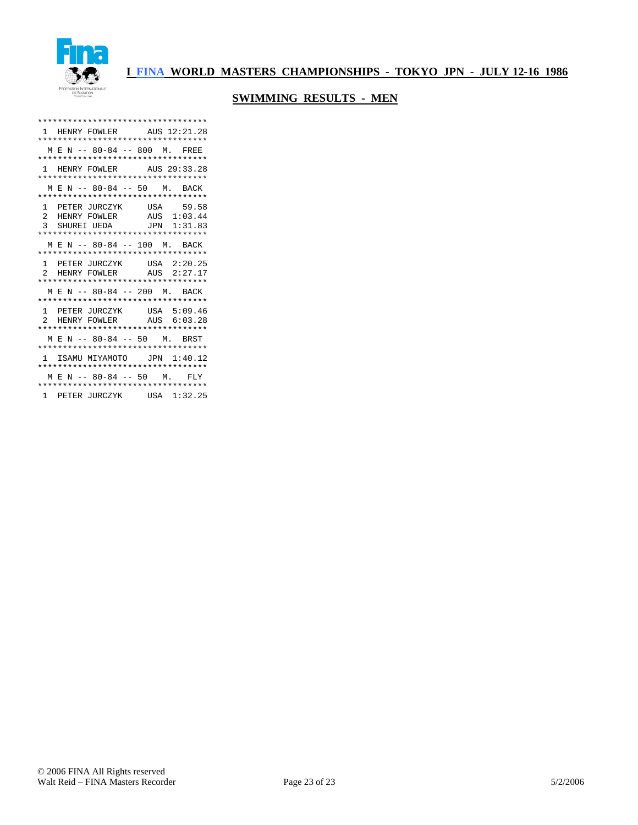

| **********************************                      |  |
|---------------------------------------------------------|--|
| 1 HENRY FOWLER AUS 12:21.28                             |  |
| **********************************                      |  |
| M E N -- 80-84 -- 800 M. FREE                           |  |
| **********************************                      |  |
| 1 HENRY FOWLER AUS 29:33.28                             |  |
| **********************************                      |  |
| M E N -- 80-84 -- 50 M. BACK                            |  |
| **********************************                      |  |
| 1 PETER JURCZYK USA 59.58                               |  |
|                                                         |  |
| 2 HENRY FOWLER AUS 1:03.44<br>3 SHUREI UEDA JPN 1:31.83 |  |
| **********************************                      |  |
| MEN -- 80-84 -- 100 M. BACK                             |  |
| **********************************                      |  |
|                                                         |  |
| 1 PETER JURCZYK USA 2:20.25                             |  |
| 2 HENRY FOWLER AUS 2:27.17                              |  |
| **********************************                      |  |
| MEN -- 80-84 -- 200 M. BACK                             |  |
| **********************************                      |  |
| 1 PETER JURCZYK USA 5:09.46                             |  |
| 2 HENRY FOWLER AUS 6:03.28                              |  |
| **********************************                      |  |
| MEN -- 80-84 -- 50 M. BRST                              |  |
| **********************************                      |  |
| 1 ISAMU MIYAMOTO JPN 1:40.12                            |  |
| **********************************                      |  |
| MEN -- 80-84 -- 50 M. FLY                               |  |
| **********************************                      |  |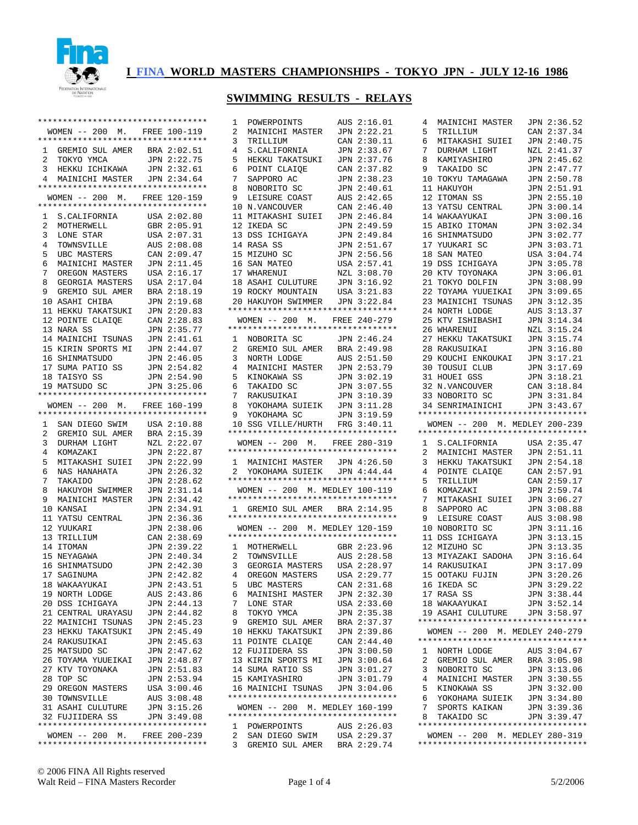

### **SWIMMING RESULTS - RELAYS**

|                 | **********************************                                |                            |
|-----------------|-------------------------------------------------------------------|----------------------------|
|                 | WOMEN -- 200 M. FREE 100-119                                      |                            |
|                 | *********************************                                 |                            |
|                 | 1 GREMIO SUL AMER BRA 2:02.51                                     |                            |
| $\overline{a}$  | TOKYO YMCA                                                        | JPN 2:22.75                |
| 3               | HEKKU ICHIKAWA                                                    | JPN 2:32.61                |
| $4\overline{ }$ | MAINICHI MASTER JPN 2:34.64<br>********************************** |                            |
|                 |                                                                   |                            |
|                 | WOMEN -- 200 M. FREE 120-159<br>********************************* |                            |
| 1               | S.CALIFORNIA                                                      | USA 2:02.80                |
| $\overline{a}$  | MOTHERWELL                                                        | GBR 2:05.91                |
| 3               | LONE STAR                                                         | USA 2:07.31                |
| $\overline{4}$  | TOWNSVILLE                                                        | AUS 2:08.08                |
| 5               | UBC MASTERS                                                       | CAN 2:09.47                |
| 6               | MAINICHI MASTER JPN 2:11.45                                       |                            |
| 7               | OREGON MASTERS                                                    | USA 2:16.17                |
| 8               | GEORGIA MASTERS                                                   | USA 2:17.04                |
| 9               | GREMIO SUL AMER                                                   | BRA 2:18.19                |
|                 | 10 ASAHI CHIBA                                                    | 2:19.68<br>JPN             |
|                 | 11 HEKKU TAKATSUKI                                                | JPN 2:20.83                |
|                 | 12 POINTE CLAIQE                                                  | 2:28.83<br>CAN             |
|                 | 13 NARA SS                                                        | JPN 2:35.77                |
|                 | 14 MAINICHI TSUNAS                                                | JPN 2:41.61                |
|                 | 15 KIRIN SPORTS MI JPN 2:44.07<br>16 SHINMATSUDO                  | JPN 2:46.05                |
|                 | 17 SUMA PATIO SS                                                  | JPN 2:54.82                |
|                 | 18 TAISYO SS                                                      | JPN 2:54.90                |
|                 | 19 MATSUDO SC                                                     | JPN 3:25.06                |
|                 | *********************************                                 |                            |
|                 | WOMEN -- 200 M. FREE 160-199                                      |                            |
|                 | *********************************                                 |                            |
| $\mathbf{1}$    | SAN DIEGO SWIM USA 2:10.88                                        |                            |
| 2               | GREMIO SUL AMER                                                   | 2:15.39<br>BRA             |
| 3               | DURHAM LIGHT                                                      | NZL 2:22.07                |
| 4               | KOMAZAKI                                                          | 2:22.87<br>JPN             |
| 5               | MITAKASHI SUIEI JPN 2:22.99                                       |                            |
| 6               | NAS HANAHATA                                                      | 2:26.32<br>JPN             |
| 7               | TAKAIDO                                                           | 2:28.62<br>JPN             |
| 8               | HAKUYOH SWIMMER                                                   | 2:31.14<br>JPN             |
| 9               | MAINICHI MASTER                                                   | JPN 2:34.42                |
|                 | 10 KANSAI                                                         | 2:34.91<br>JPN             |
| 11<br>12        | YATSU CENTRAL<br>YUUKARI                                          | 2:36.36<br>JPN<br>JPN      |
| 13              | TRILLIUM                                                          | 2:38.06<br>CAN 2:38.69     |
| 14              | <b>ITOMAN</b>                                                     | JPN<br>2:39.22             |
|                 | 15 NEYAGAWA                                                       | JPN 2:40.34                |
|                 | 16 SHINMATSUDO                                                    | 2:42.30<br>JPN             |
| 17              | SAGINUMA                                                          | JPN<br>2:42.82             |
|                 | 18 WAKAAYUKAI                                                     | JPN 2:43.51                |
|                 | 19 NORTH LODGE                                                    | AUS 2:43.86                |
|                 | 20 DSS ICHIGAYA                                                   | JPN 2:44.13                |
|                 | 21 CENTRAL URAYASU                                                | JPN 2:44.82                |
|                 | 22 MAINICHI TSUNAS                                                | JPN 2:45.23                |
|                 | 23 HEKKU TAKATSUKI                                                | JPN 2:45.49                |
|                 | 24 RAKUSUIKAI                                                     | JPN 2:45.63                |
|                 | 25 MATSUDO SC                                                     | JPN 2:47.62                |
|                 | 26 TOYAMA YUUEIKAI                                                | JPN 2:48.87                |
|                 | 27 KTV TOYONAKA                                                   | JPN 2:51.83                |
|                 | 28 TOP SC                                                         | JPN 2:53.94                |
|                 | 29 OREGON MASTERS                                                 | USA 3:00.46                |
|                 | 30 TOWNSVILLE<br>31 ASAHI CULUTURE                                | AUS 3:08.48<br>JPN 3:15.26 |
|                 | 32 FUJIIDERA SS                                                   | JPN 3:49.08                |
|                 | **********************************                                |                            |
|                 | WOMEN -- 200 M. FREE 200-239                                      |                            |
|                 | **********************************                                |                            |

| 1                 | POWERPOINTS                                                          | 2:16.01<br>AUS             |
|-------------------|----------------------------------------------------------------------|----------------------------|
| 2                 | MAINICHI MASTER                                                      | 2:22.21<br>JPN             |
| 3                 | TRILLIUM                                                             | 2:30.11<br>CAN             |
| 4                 | S.CALIFORNIA                                                         | 2:33.67<br>JPN             |
| 5                 | HEKKU TAKATSUKI                                                      | 2:37.76<br>JPN             |
| 6                 | POINT CLAIOE                                                         | 2:37.82<br>CAN             |
| 7                 | SAPPORO AC                                                           | 2:38.23<br>JPN             |
| 8                 | NOBORITO SC                                                          | 2:40.61<br>JPN             |
| 9                 | LEISURE COAST                                                        | 2:42.65<br>AUS             |
| 10                | N.VANCOUVER                                                          | 2:46.40<br>CAN             |
| 11                | MITAKASHI SUIEI                                                      | 2:46.84<br>JPN             |
| 12                | IKEDA SC                                                             | 2:49.59<br>JPN             |
| 13                | DSS ICHIGAYA                                                         | 2:49.84<br>JPN             |
| 14                | RASA SS                                                              | 2:51.67<br>JPN             |
| 15                | MIZUHO SC                                                            | 2:56.56<br>JPN             |
| 16                | SAN MATEO                                                            | 2:57.41<br>USA             |
| 17                | WHARENUI                                                             | 3:08.70<br>NZL             |
| 18                | ASAHI CULUTURE                                                       | 3:16.92<br>JPN             |
|                   | 19 ROCKY MOUNTAIN                                                    | 3:21.83<br>USA             |
| 20                | HAKUYOH SWIMMER                                                      | 3:22.84<br>JPN             |
|                   | **********************************                                   |                            |
|                   | WOMEN -- 200 M. FREE 240-279                                         |                            |
|                   | **********************************                                   |                            |
| $\mathbf{1}$      | NOBORITA SC                                                          | JPN 2:46.24                |
| 2                 | GREMIO SUL AMER                                                      | 2:49.98<br>BRA             |
| 3                 | NORTH LODGE                                                          | 2:51.50<br>AUS             |
| 4                 | MAINICHI MASTER                                                      | JPN 2:53.79                |
| 5                 | KINOKAWA SS                                                          | 3:02.19<br>JPN             |
| 6                 | TAKAIDO SC                                                           | 3:07.55<br>JPN             |
| 7                 | RAKUSUIKAI                                                           | 3:10.39<br>JPN             |
| 8                 | YOKOHAMA SUIEIK JPN                                                  | 3:11.28                    |
| 9                 | YOKOHAMA SC                                                          | 3:19.59<br>JPN             |
| 10                | SSG VILLE/HURTH                                                      | FRG<br>3:40.11             |
|                   |                                                                      |                            |
|                   | **********************************                                   |                            |
|                   | WOMEN -- 200 M.                                                      | FREE 280-319               |
|                   | **********************************                                   |                            |
| 1                 | MAINICHI MASTER JPN 4:26.50                                          |                            |
| 2.                | YOKOHAMA SUIEIK                                                      | JPN 4:44.44                |
|                   | **********************************                                   |                            |
|                   | WOMEN -- 200 M. MEDLEY 100-119                                       |                            |
|                   | **********************************                                   |                            |
|                   | 1 GREMIO SUL AMER BRA 2:14.95                                        |                            |
|                   | *********************************                                    |                            |
|                   | WOMEN -- 200 M. MEDLEY 120-159                                       |                            |
|                   | *********************************                                    |                            |
| 1                 | MOTHERWELL                                                           | GBR 2:23.96                |
| 2                 | TOWNSVILLE                                                           | AUS 2:28.58                |
| 3                 | GEORGIA MASTERS                                                      | USA 2:28.97                |
| 4                 | OREGON MASTERS                                                       | USA 2:29.77                |
| 5                 | UBC MASTERS                                                          | CAN 2:31.68                |
| 6                 | MAINISHI MASTER                                                      | JPN 2:32.30                |
| 7                 | LONE STAR                                                            | USA 2:33.60                |
| 8                 | TOKYO YMCA                                                           | JPN 2:35.38                |
| 9                 | GREMIO SUL AMER                                                      | BRA 2:37.37                |
|                   | 10 HEKKU TAKATSUKI                                                   | JPN 2:39.86                |
|                   | 11 POINTE CLAIOE                                                     | CAN 2:44.40                |
|                   | 12 FUJIIDERA SS                                                      | JPN 3:00.50                |
|                   | 13 KIRIN SPORTS MI                                                   | JPN 3:00.64                |
|                   | 14 SUMA RATIO SS                                                     | JPN 3:01.27                |
|                   | 15 KAMIYASHIRO                                                       | JPN 3:01.79                |
|                   | 16 MAINICHI TSUNAS                                                   | JPN 3:04.06                |
|                   | **********************************                                   |                            |
|                   | WOMEN -- 200 M. MEDLEY 160-199<br>********************************** |                            |
|                   |                                                                      |                            |
| 1<br>$\mathbf{2}$ | POWERPOINTS                                                          | AUS 2:26.03                |
| 3                 | SAN DIEGO SWIM<br>GREMIO SUL AMER                                    | USA 2:29.37<br>BRA 2:29.74 |

| 4              | MAINICHI MASTER                                                      | JPN 2:36.52    |
|----------------|----------------------------------------------------------------------|----------------|
| 5              | TRILLIUM                                                             | CAN 2:37.34    |
| 6              | MITAKASHI SUIEI                                                      | JPN 2:40.75    |
| 7              | DURHAM LIGHT                                                         | NZL 2:41.37    |
| 8              | KAMIYASHIRO                                                          | JPN 2:45.62    |
| 9              | TAKAIDO SC                                                           | JPN 2:47.77    |
| 10             | TOKYU TAMAGAWA                                                       | JPN 2:50.78    |
|                | 11 HAKUYOH                                                           | JPN 2:51.91    |
|                | 12 ITOMAN SS                                                         | JPN 2:55.10    |
| 13             | YATSU CENTRAL                                                        | JPN<br>3:00.14 |
|                | 14 WAKAAYUKAI                                                        | 3:00.16<br>JPN |
|                | 15 ABIKO ITOMAN                                                      | JPN<br>3:02.34 |
|                | 16 SHINMATSUDO                                                       | 3:02.77<br>JPN |
| 17             | YUUKARI SC                                                           | 3:03.71<br>JPN |
|                | 18 SAN MATEO                                                         | 3:04.74<br>USA |
|                | 19 DSS ICHIGAYA                                                      | 3:05.78<br>JPN |
|                | 20 KTV TOYONAKA                                                      | 3:06.01<br>JPN |
|                | 21 TOKYO DOLFIN                                                      | 3:08.99<br>JPN |
|                | 22 TOYAMA YUUEIKAI                                                   | 3:09.65<br>JPN |
|                | 23 MAINICHI TSUNAS                                                   | 3:12.35<br>JPN |
|                | 24 NORTH LODGE                                                       | 3:13.37<br>AUS |
|                | 25 KTV ISHIBASHI                                                     | 3:14.34<br>JPN |
|                | 26 WHARENUI                                                          | NZL 3:15.24    |
|                | 27 HEKKU TAKATSUKI                                                   | 3:15.74<br>JPN |
|                | 28 RAKUSUIKAI                                                        | JPN 3:16.80    |
|                | 29 KOUCHI ENKOUKAI                                                   | 3:17.21<br>JPN |
|                | 30 TOUSUI CLUB                                                       | JPN 3:17.69    |
|                | 31 HOUEI GSS                                                         | 3:18.21<br>JPN |
|                |                                                                      | CAN 3:18.84    |
|                | 32 N.VANCOUVER<br>33 NOBORITO SC                                     | 3:31.84<br>JPN |
|                | 34 SENRIMAINICHI                                                     | JPN 3:43.67    |
|                | **********************************                                   |                |
|                | WOMEN -- 200 M. MEDLEY 200-239                                       |                |
|                |                                                                      |                |
|                |                                                                      |                |
|                | **********************************                                   |                |
|                | 1 S.CALIFORNIA                                                       | USA 2:35.47    |
| $\overline{a}$ | MAINICHI MASTER                                                      | 2:51.11<br>JPN |
|                | 3 HEKKU TAKATSUKI                                                    | JPN 2:54.18    |
| 4              | POINTE CLAIQE                                                        | CAN 2:57.91    |
| 5              | TRILLIUM                                                             | CAN 2:59.17    |
| 6              | KOMAZAKI                                                             | JPN 2:59.74    |
| 7              | MITAKASHI SUIEI                                                      | JPN 3:06.27    |
| 8              | SAPPORO AC                                                           | 3:08.88<br>JPN |
| 9              | LEISURE COAST                                                        | 3:08.98<br>AUS |
| 10             | NOBORITO SC                                                          | 3:11.16<br>JPN |
| 11             | DSS ICHIGAYA                                                         | 3:13.15<br>JPN |
| 12             | MIZUHO SC                                                            | 3:13.35<br>JPN |
| 13             | MIYAZAKI SADOHA                                                      | JPN 3:16.64    |
|                | 14 RAKUSUIKAI                                                        | 3:17.09<br>JPN |
| 15             | <b>OOTAKU FUJIN</b>                                                  | JPN<br>3:20.26 |
|                | 16 IKEDA SC                                                          | JPN 3:29.22    |
|                | 17 RASA SS                                                           | JPN 3:38.44    |
|                | 18 WAKAAYUKAI                                                        | JPN 3:52.14    |
|                | 19 ASAHI CULUTURE                                                    | JPN 3:58.97    |
|                | **********************************                                   |                |
|                | WOMEN -- 200 M. MEDLEY 240-279                                       |                |
|                | **********************************                                   |                |
|                | 1 NORTH LODGE                                                        | AUS 3:04.67    |
| $\mathbf{2}$   | GREMIO SUL AMER                                                      | BRA 3:05.98    |
| 3              | NOBORITO SC                                                          | JPN 3:13.06    |
| 4              | MAINICHI MASTER                                                      | JPN 3:30.55    |
| 5              | KINOKAWA SS                                                          | JPN 3:32.00    |
| 6              | YOKOHAMA SUIEIK                                                      | JPN 3:34.80    |
| 7              | SPORTS KAIKAN                                                        | JPN 3:39.36    |
| 8              | TAKAIDO SC                                                           | JPN 3:39.47    |
|                | **********************************<br>WOMEN -- 200 M. MEDLEY 280-319 |                |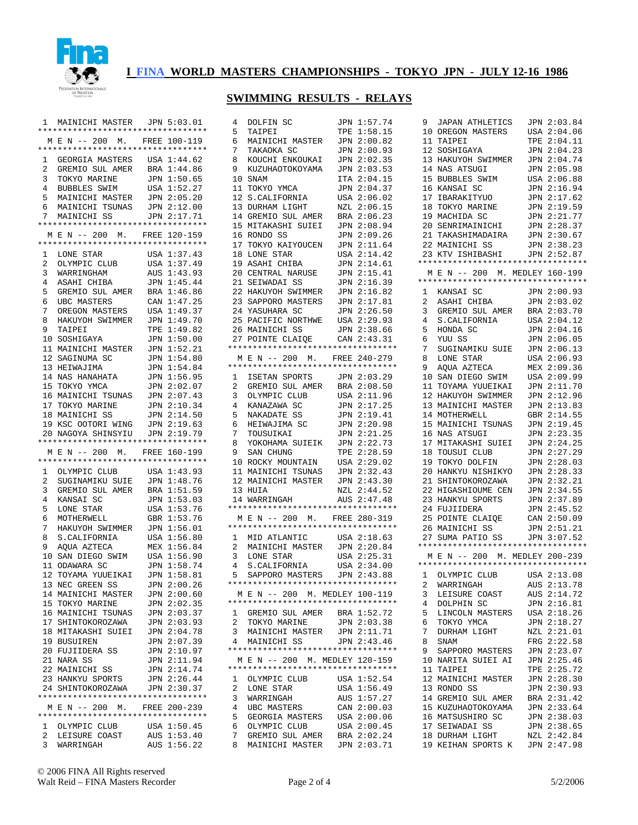

### **SWIMMING RESULTS - RELAYS**

| M E N -- 200 M. FREE 100-119<br>1 GEORGIA MASTERS USA 1:44.62<br>$\overline{2}$<br>GREMIO SUL AMER<br>BRA 1:44.86<br>3<br>JPN 1:50.65<br>TOKYO MARINE<br>4<br>BUBBLES SWIM<br>1:52.27<br>USA<br>5<br>JPN 2:05.20<br>MAINICHI MASTER<br>MAINICHI TSUNAS<br>б.<br>JPN 2:12.00<br>MAINICHI SS<br>7<br>JPN 2:17.71<br>**********************************<br>M E N -- 200 M. FREE 120-159<br>**********************************<br>1:37.43<br>1<br>LONE STAR<br>USA<br>2<br>1:37.49<br>OLYMPIC CLUB<br>USA<br>3<br>1:43.93<br>WARRINGHAM<br>AUS<br>4<br>ASAHI CHIBA<br>1:45.44<br>JPN<br>GREMIO SUL AMER<br>1:46.86<br>5<br>BRA<br>6<br>UBC MASTERS<br>1:47.25<br>CAN<br>7<br>OREGON MASTERS<br>USA<br>1:49.37<br>8<br>HAKUYOH SWIMMER<br>1:49.70<br>JPN<br>9<br>TAIPEI<br>1:49.82<br>TPE<br>1:50.00<br>10<br>JPN<br>SOSHIGAYA<br>11 MAINICHI MASTER<br>1:52.21<br>JPN<br>12<br>1:54.80<br>SAGINUMA SC<br>JPN<br>13<br>1:54.84<br>HEIWAJIMA<br>JPN<br>NAS HANAHATA<br>1:56.95<br>14<br>JPN<br>15<br>2:02.07<br>TOKYO YMCA<br>JPN<br>MAINICHI TSUNAS<br>2:07.43<br>16<br>JPN<br>17 TOKYO MARINE<br>JPN 2:10.34<br>18 MAINICHI SS<br>JPN 2:14.50<br>19 KSC OOTORI WING<br>JPN 2:19.63<br>NAGOYA SHINSYIU<br>2:19.79<br>20<br>JPN<br>**********************************<br>M E N -- 200 M. FREE 160-199<br>*********************************<br>OLYMPIC CLUB<br>USA 1:43.93<br>1<br>2<br>1:48.76<br>SUGINAMIKU SUIE<br>JPN<br>3<br>GREMIO SUL AMER<br>1:51.59<br>BRA<br>1:53.03<br>4<br>KANSAI SC<br>JPN<br>5<br>1:53.76<br>LONE STAR<br>USA<br>MOTHERWELL<br>1:53.76<br>6<br>GBR<br>7<br>HAKUYOH SWIMMER<br>1:56.01<br>JPN<br>8<br>S. CALIFORNIA<br>USA 1:56.80<br>9<br>AQUA AZTECA<br>1:56.84<br>MEX<br>USA 1:56.90<br>10<br>SAN DIEGO SWIM<br>ODAWARA SC<br>JPN 1:58.74<br>11<br>TOYAMA YUUEIKAI<br>1:58.81<br>12<br>JPN<br>13 NEC GREEN SS<br>JPN 2:00.26<br>14 MAINICHI MASTER<br>JPN 2:00.60<br>JPN 2:02.35<br>15 TOKYO MARINE<br>16 MAINICHI TSUNAS<br>JPN 2:03.37<br>17 SHINTOKOROZAWA<br>JPN 2:03.93<br>18 MITAKASHI SUIEI<br>JPN 2:04.78<br>19 BUSUIREN<br>JPN 2:07.39<br>20 FUJIIDERA SS<br>JPN 2:10.97<br>21 NARA SS<br>JPN 2:11.94<br>22 MAINICHI SS<br>JPN 2:14.74<br>JPN 2:26.44<br>23 HANKYU SPORTS<br>24 SHINTOKOROZAWA<br>JPN 2:30.37<br>*********************************<br>M E N -- 200 M. FREE 200-239<br>*********************************<br>1 OLYMPIC CLUB<br>USA 1:50.45<br>2 LEISURE COAST<br>AUS 1:53.40<br>3<br>AUS 1:56.22<br>WARRINGAH | MAINICHI MASTER JPN 5:03.01<br>1<br>********************************** |  |
|---------------------------------------------------------------------------------------------------------------------------------------------------------------------------------------------------------------------------------------------------------------------------------------------------------------------------------------------------------------------------------------------------------------------------------------------------------------------------------------------------------------------------------------------------------------------------------------------------------------------------------------------------------------------------------------------------------------------------------------------------------------------------------------------------------------------------------------------------------------------------------------------------------------------------------------------------------------------------------------------------------------------------------------------------------------------------------------------------------------------------------------------------------------------------------------------------------------------------------------------------------------------------------------------------------------------------------------------------------------------------------------------------------------------------------------------------------------------------------------------------------------------------------------------------------------------------------------------------------------------------------------------------------------------------------------------------------------------------------------------------------------------------------------------------------------------------------------------------------------------------------------------------------------------------------------------------------------------------------------------------------------------------------------------------------------------------------------------------------------------------------------------------------------------------------------------------------------------------------------------------------------------------------------------------------------------------------------------------------------------------------------------------------------------------------------------------------------|------------------------------------------------------------------------|--|
|                                                                                                                                                                                                                                                                                                                                                                                                                                                                                                                                                                                                                                                                                                                                                                                                                                                                                                                                                                                                                                                                                                                                                                                                                                                                                                                                                                                                                                                                                                                                                                                                                                                                                                                                                                                                                                                                                                                                                                                                                                                                                                                                                                                                                                                                                                                                                                                                                                                               |                                                                        |  |
|                                                                                                                                                                                                                                                                                                                                                                                                                                                                                                                                                                                                                                                                                                                                                                                                                                                                                                                                                                                                                                                                                                                                                                                                                                                                                                                                                                                                                                                                                                                                                                                                                                                                                                                                                                                                                                                                                                                                                                                                                                                                                                                                                                                                                                                                                                                                                                                                                                                               |                                                                        |  |
|                                                                                                                                                                                                                                                                                                                                                                                                                                                                                                                                                                                                                                                                                                                                                                                                                                                                                                                                                                                                                                                                                                                                                                                                                                                                                                                                                                                                                                                                                                                                                                                                                                                                                                                                                                                                                                                                                                                                                                                                                                                                                                                                                                                                                                                                                                                                                                                                                                                               |                                                                        |  |
|                                                                                                                                                                                                                                                                                                                                                                                                                                                                                                                                                                                                                                                                                                                                                                                                                                                                                                                                                                                                                                                                                                                                                                                                                                                                                                                                                                                                                                                                                                                                                                                                                                                                                                                                                                                                                                                                                                                                                                                                                                                                                                                                                                                                                                                                                                                                                                                                                                                               |                                                                        |  |
|                                                                                                                                                                                                                                                                                                                                                                                                                                                                                                                                                                                                                                                                                                                                                                                                                                                                                                                                                                                                                                                                                                                                                                                                                                                                                                                                                                                                                                                                                                                                                                                                                                                                                                                                                                                                                                                                                                                                                                                                                                                                                                                                                                                                                                                                                                                                                                                                                                                               |                                                                        |  |
|                                                                                                                                                                                                                                                                                                                                                                                                                                                                                                                                                                                                                                                                                                                                                                                                                                                                                                                                                                                                                                                                                                                                                                                                                                                                                                                                                                                                                                                                                                                                                                                                                                                                                                                                                                                                                                                                                                                                                                                                                                                                                                                                                                                                                                                                                                                                                                                                                                                               |                                                                        |  |
|                                                                                                                                                                                                                                                                                                                                                                                                                                                                                                                                                                                                                                                                                                                                                                                                                                                                                                                                                                                                                                                                                                                                                                                                                                                                                                                                                                                                                                                                                                                                                                                                                                                                                                                                                                                                                                                                                                                                                                                                                                                                                                                                                                                                                                                                                                                                                                                                                                                               |                                                                        |  |
|                                                                                                                                                                                                                                                                                                                                                                                                                                                                                                                                                                                                                                                                                                                                                                                                                                                                                                                                                                                                                                                                                                                                                                                                                                                                                                                                                                                                                                                                                                                                                                                                                                                                                                                                                                                                                                                                                                                                                                                                                                                                                                                                                                                                                                                                                                                                                                                                                                                               |                                                                        |  |
|                                                                                                                                                                                                                                                                                                                                                                                                                                                                                                                                                                                                                                                                                                                                                                                                                                                                                                                                                                                                                                                                                                                                                                                                                                                                                                                                                                                                                                                                                                                                                                                                                                                                                                                                                                                                                                                                                                                                                                                                                                                                                                                                                                                                                                                                                                                                                                                                                                                               |                                                                        |  |
|                                                                                                                                                                                                                                                                                                                                                                                                                                                                                                                                                                                                                                                                                                                                                                                                                                                                                                                                                                                                                                                                                                                                                                                                                                                                                                                                                                                                                                                                                                                                                                                                                                                                                                                                                                                                                                                                                                                                                                                                                                                                                                                                                                                                                                                                                                                                                                                                                                                               |                                                                        |  |
|                                                                                                                                                                                                                                                                                                                                                                                                                                                                                                                                                                                                                                                                                                                                                                                                                                                                                                                                                                                                                                                                                                                                                                                                                                                                                                                                                                                                                                                                                                                                                                                                                                                                                                                                                                                                                                                                                                                                                                                                                                                                                                                                                                                                                                                                                                                                                                                                                                                               |                                                                        |  |
|                                                                                                                                                                                                                                                                                                                                                                                                                                                                                                                                                                                                                                                                                                                                                                                                                                                                                                                                                                                                                                                                                                                                                                                                                                                                                                                                                                                                                                                                                                                                                                                                                                                                                                                                                                                                                                                                                                                                                                                                                                                                                                                                                                                                                                                                                                                                                                                                                                                               |                                                                        |  |
|                                                                                                                                                                                                                                                                                                                                                                                                                                                                                                                                                                                                                                                                                                                                                                                                                                                                                                                                                                                                                                                                                                                                                                                                                                                                                                                                                                                                                                                                                                                                                                                                                                                                                                                                                                                                                                                                                                                                                                                                                                                                                                                                                                                                                                                                                                                                                                                                                                                               |                                                                        |  |
|                                                                                                                                                                                                                                                                                                                                                                                                                                                                                                                                                                                                                                                                                                                                                                                                                                                                                                                                                                                                                                                                                                                                                                                                                                                                                                                                                                                                                                                                                                                                                                                                                                                                                                                                                                                                                                                                                                                                                                                                                                                                                                                                                                                                                                                                                                                                                                                                                                                               |                                                                        |  |
|                                                                                                                                                                                                                                                                                                                                                                                                                                                                                                                                                                                                                                                                                                                                                                                                                                                                                                                                                                                                                                                                                                                                                                                                                                                                                                                                                                                                                                                                                                                                                                                                                                                                                                                                                                                                                                                                                                                                                                                                                                                                                                                                                                                                                                                                                                                                                                                                                                                               |                                                                        |  |
|                                                                                                                                                                                                                                                                                                                                                                                                                                                                                                                                                                                                                                                                                                                                                                                                                                                                                                                                                                                                                                                                                                                                                                                                                                                                                                                                                                                                                                                                                                                                                                                                                                                                                                                                                                                                                                                                                                                                                                                                                                                                                                                                                                                                                                                                                                                                                                                                                                                               |                                                                        |  |
|                                                                                                                                                                                                                                                                                                                                                                                                                                                                                                                                                                                                                                                                                                                                                                                                                                                                                                                                                                                                                                                                                                                                                                                                                                                                                                                                                                                                                                                                                                                                                                                                                                                                                                                                                                                                                                                                                                                                                                                                                                                                                                                                                                                                                                                                                                                                                                                                                                                               |                                                                        |  |
|                                                                                                                                                                                                                                                                                                                                                                                                                                                                                                                                                                                                                                                                                                                                                                                                                                                                                                                                                                                                                                                                                                                                                                                                                                                                                                                                                                                                                                                                                                                                                                                                                                                                                                                                                                                                                                                                                                                                                                                                                                                                                                                                                                                                                                                                                                                                                                                                                                                               |                                                                        |  |
|                                                                                                                                                                                                                                                                                                                                                                                                                                                                                                                                                                                                                                                                                                                                                                                                                                                                                                                                                                                                                                                                                                                                                                                                                                                                                                                                                                                                                                                                                                                                                                                                                                                                                                                                                                                                                                                                                                                                                                                                                                                                                                                                                                                                                                                                                                                                                                                                                                                               |                                                                        |  |
|                                                                                                                                                                                                                                                                                                                                                                                                                                                                                                                                                                                                                                                                                                                                                                                                                                                                                                                                                                                                                                                                                                                                                                                                                                                                                                                                                                                                                                                                                                                                                                                                                                                                                                                                                                                                                                                                                                                                                                                                                                                                                                                                                                                                                                                                                                                                                                                                                                                               |                                                                        |  |
|                                                                                                                                                                                                                                                                                                                                                                                                                                                                                                                                                                                                                                                                                                                                                                                                                                                                                                                                                                                                                                                                                                                                                                                                                                                                                                                                                                                                                                                                                                                                                                                                                                                                                                                                                                                                                                                                                                                                                                                                                                                                                                                                                                                                                                                                                                                                                                                                                                                               |                                                                        |  |
|                                                                                                                                                                                                                                                                                                                                                                                                                                                                                                                                                                                                                                                                                                                                                                                                                                                                                                                                                                                                                                                                                                                                                                                                                                                                                                                                                                                                                                                                                                                                                                                                                                                                                                                                                                                                                                                                                                                                                                                                                                                                                                                                                                                                                                                                                                                                                                                                                                                               |                                                                        |  |
|                                                                                                                                                                                                                                                                                                                                                                                                                                                                                                                                                                                                                                                                                                                                                                                                                                                                                                                                                                                                                                                                                                                                                                                                                                                                                                                                                                                                                                                                                                                                                                                                                                                                                                                                                                                                                                                                                                                                                                                                                                                                                                                                                                                                                                                                                                                                                                                                                                                               |                                                                        |  |
|                                                                                                                                                                                                                                                                                                                                                                                                                                                                                                                                                                                                                                                                                                                                                                                                                                                                                                                                                                                                                                                                                                                                                                                                                                                                                                                                                                                                                                                                                                                                                                                                                                                                                                                                                                                                                                                                                                                                                                                                                                                                                                                                                                                                                                                                                                                                                                                                                                                               |                                                                        |  |
|                                                                                                                                                                                                                                                                                                                                                                                                                                                                                                                                                                                                                                                                                                                                                                                                                                                                                                                                                                                                                                                                                                                                                                                                                                                                                                                                                                                                                                                                                                                                                                                                                                                                                                                                                                                                                                                                                                                                                                                                                                                                                                                                                                                                                                                                                                                                                                                                                                                               |                                                                        |  |
|                                                                                                                                                                                                                                                                                                                                                                                                                                                                                                                                                                                                                                                                                                                                                                                                                                                                                                                                                                                                                                                                                                                                                                                                                                                                                                                                                                                                                                                                                                                                                                                                                                                                                                                                                                                                                                                                                                                                                                                                                                                                                                                                                                                                                                                                                                                                                                                                                                                               |                                                                        |  |
|                                                                                                                                                                                                                                                                                                                                                                                                                                                                                                                                                                                                                                                                                                                                                                                                                                                                                                                                                                                                                                                                                                                                                                                                                                                                                                                                                                                                                                                                                                                                                                                                                                                                                                                                                                                                                                                                                                                                                                                                                                                                                                                                                                                                                                                                                                                                                                                                                                                               |                                                                        |  |
|                                                                                                                                                                                                                                                                                                                                                                                                                                                                                                                                                                                                                                                                                                                                                                                                                                                                                                                                                                                                                                                                                                                                                                                                                                                                                                                                                                                                                                                                                                                                                                                                                                                                                                                                                                                                                                                                                                                                                                                                                                                                                                                                                                                                                                                                                                                                                                                                                                                               |                                                                        |  |
|                                                                                                                                                                                                                                                                                                                                                                                                                                                                                                                                                                                                                                                                                                                                                                                                                                                                                                                                                                                                                                                                                                                                                                                                                                                                                                                                                                                                                                                                                                                                                                                                                                                                                                                                                                                                                                                                                                                                                                                                                                                                                                                                                                                                                                                                                                                                                                                                                                                               |                                                                        |  |
|                                                                                                                                                                                                                                                                                                                                                                                                                                                                                                                                                                                                                                                                                                                                                                                                                                                                                                                                                                                                                                                                                                                                                                                                                                                                                                                                                                                                                                                                                                                                                                                                                                                                                                                                                                                                                                                                                                                                                                                                                                                                                                                                                                                                                                                                                                                                                                                                                                                               |                                                                        |  |
|                                                                                                                                                                                                                                                                                                                                                                                                                                                                                                                                                                                                                                                                                                                                                                                                                                                                                                                                                                                                                                                                                                                                                                                                                                                                                                                                                                                                                                                                                                                                                                                                                                                                                                                                                                                                                                                                                                                                                                                                                                                                                                                                                                                                                                                                                                                                                                                                                                                               |                                                                        |  |
|                                                                                                                                                                                                                                                                                                                                                                                                                                                                                                                                                                                                                                                                                                                                                                                                                                                                                                                                                                                                                                                                                                                                                                                                                                                                                                                                                                                                                                                                                                                                                                                                                                                                                                                                                                                                                                                                                                                                                                                                                                                                                                                                                                                                                                                                                                                                                                                                                                                               |                                                                        |  |
|                                                                                                                                                                                                                                                                                                                                                                                                                                                                                                                                                                                                                                                                                                                                                                                                                                                                                                                                                                                                                                                                                                                                                                                                                                                                                                                                                                                                                                                                                                                                                                                                                                                                                                                                                                                                                                                                                                                                                                                                                                                                                                                                                                                                                                                                                                                                                                                                                                                               |                                                                        |  |
|                                                                                                                                                                                                                                                                                                                                                                                                                                                                                                                                                                                                                                                                                                                                                                                                                                                                                                                                                                                                                                                                                                                                                                                                                                                                                                                                                                                                                                                                                                                                                                                                                                                                                                                                                                                                                                                                                                                                                                                                                                                                                                                                                                                                                                                                                                                                                                                                                                                               |                                                                        |  |
|                                                                                                                                                                                                                                                                                                                                                                                                                                                                                                                                                                                                                                                                                                                                                                                                                                                                                                                                                                                                                                                                                                                                                                                                                                                                                                                                                                                                                                                                                                                                                                                                                                                                                                                                                                                                                                                                                                                                                                                                                                                                                                                                                                                                                                                                                                                                                                                                                                                               |                                                                        |  |
|                                                                                                                                                                                                                                                                                                                                                                                                                                                                                                                                                                                                                                                                                                                                                                                                                                                                                                                                                                                                                                                                                                                                                                                                                                                                                                                                                                                                                                                                                                                                                                                                                                                                                                                                                                                                                                                                                                                                                                                                                                                                                                                                                                                                                                                                                                                                                                                                                                                               |                                                                        |  |
|                                                                                                                                                                                                                                                                                                                                                                                                                                                                                                                                                                                                                                                                                                                                                                                                                                                                                                                                                                                                                                                                                                                                                                                                                                                                                                                                                                                                                                                                                                                                                                                                                                                                                                                                                                                                                                                                                                                                                                                                                                                                                                                                                                                                                                                                                                                                                                                                                                                               |                                                                        |  |
|                                                                                                                                                                                                                                                                                                                                                                                                                                                                                                                                                                                                                                                                                                                                                                                                                                                                                                                                                                                                                                                                                                                                                                                                                                                                                                                                                                                                                                                                                                                                                                                                                                                                                                                                                                                                                                                                                                                                                                                                                                                                                                                                                                                                                                                                                                                                                                                                                                                               |                                                                        |  |
|                                                                                                                                                                                                                                                                                                                                                                                                                                                                                                                                                                                                                                                                                                                                                                                                                                                                                                                                                                                                                                                                                                                                                                                                                                                                                                                                                                                                                                                                                                                                                                                                                                                                                                                                                                                                                                                                                                                                                                                                                                                                                                                                                                                                                                                                                                                                                                                                                                                               |                                                                        |  |
|                                                                                                                                                                                                                                                                                                                                                                                                                                                                                                                                                                                                                                                                                                                                                                                                                                                                                                                                                                                                                                                                                                                                                                                                                                                                                                                                                                                                                                                                                                                                                                                                                                                                                                                                                                                                                                                                                                                                                                                                                                                                                                                                                                                                                                                                                                                                                                                                                                                               |                                                                        |  |
|                                                                                                                                                                                                                                                                                                                                                                                                                                                                                                                                                                                                                                                                                                                                                                                                                                                                                                                                                                                                                                                                                                                                                                                                                                                                                                                                                                                                                                                                                                                                                                                                                                                                                                                                                                                                                                                                                                                                                                                                                                                                                                                                                                                                                                                                                                                                                                                                                                                               |                                                                        |  |
|                                                                                                                                                                                                                                                                                                                                                                                                                                                                                                                                                                                                                                                                                                                                                                                                                                                                                                                                                                                                                                                                                                                                                                                                                                                                                                                                                                                                                                                                                                                                                                                                                                                                                                                                                                                                                                                                                                                                                                                                                                                                                                                                                                                                                                                                                                                                                                                                                                                               |                                                                        |  |
|                                                                                                                                                                                                                                                                                                                                                                                                                                                                                                                                                                                                                                                                                                                                                                                                                                                                                                                                                                                                                                                                                                                                                                                                                                                                                                                                                                                                                                                                                                                                                                                                                                                                                                                                                                                                                                                                                                                                                                                                                                                                                                                                                                                                                                                                                                                                                                                                                                                               |                                                                        |  |
|                                                                                                                                                                                                                                                                                                                                                                                                                                                                                                                                                                                                                                                                                                                                                                                                                                                                                                                                                                                                                                                                                                                                                                                                                                                                                                                                                                                                                                                                                                                                                                                                                                                                                                                                                                                                                                                                                                                                                                                                                                                                                                                                                                                                                                                                                                                                                                                                                                                               |                                                                        |  |
|                                                                                                                                                                                                                                                                                                                                                                                                                                                                                                                                                                                                                                                                                                                                                                                                                                                                                                                                                                                                                                                                                                                                                                                                                                                                                                                                                                                                                                                                                                                                                                                                                                                                                                                                                                                                                                                                                                                                                                                                                                                                                                                                                                                                                                                                                                                                                                                                                                                               |                                                                        |  |
|                                                                                                                                                                                                                                                                                                                                                                                                                                                                                                                                                                                                                                                                                                                                                                                                                                                                                                                                                                                                                                                                                                                                                                                                                                                                                                                                                                                                                                                                                                                                                                                                                                                                                                                                                                                                                                                                                                                                                                                                                                                                                                                                                                                                                                                                                                                                                                                                                                                               |                                                                        |  |
|                                                                                                                                                                                                                                                                                                                                                                                                                                                                                                                                                                                                                                                                                                                                                                                                                                                                                                                                                                                                                                                                                                                                                                                                                                                                                                                                                                                                                                                                                                                                                                                                                                                                                                                                                                                                                                                                                                                                                                                                                                                                                                                                                                                                                                                                                                                                                                                                                                                               |                                                                        |  |
|                                                                                                                                                                                                                                                                                                                                                                                                                                                                                                                                                                                                                                                                                                                                                                                                                                                                                                                                                                                                                                                                                                                                                                                                                                                                                                                                                                                                                                                                                                                                                                                                                                                                                                                                                                                                                                                                                                                                                                                                                                                                                                                                                                                                                                                                                                                                                                                                                                                               |                                                                        |  |
|                                                                                                                                                                                                                                                                                                                                                                                                                                                                                                                                                                                                                                                                                                                                                                                                                                                                                                                                                                                                                                                                                                                                                                                                                                                                                                                                                                                                                                                                                                                                                                                                                                                                                                                                                                                                                                                                                                                                                                                                                                                                                                                                                                                                                                                                                                                                                                                                                                                               |                                                                        |  |
|                                                                                                                                                                                                                                                                                                                                                                                                                                                                                                                                                                                                                                                                                                                                                                                                                                                                                                                                                                                                                                                                                                                                                                                                                                                                                                                                                                                                                                                                                                                                                                                                                                                                                                                                                                                                                                                                                                                                                                                                                                                                                                                                                                                                                                                                                                                                                                                                                                                               |                                                                        |  |
|                                                                                                                                                                                                                                                                                                                                                                                                                                                                                                                                                                                                                                                                                                                                                                                                                                                                                                                                                                                                                                                                                                                                                                                                                                                                                                                                                                                                                                                                                                                                                                                                                                                                                                                                                                                                                                                                                                                                                                                                                                                                                                                                                                                                                                                                                                                                                                                                                                                               |                                                                        |  |
|                                                                                                                                                                                                                                                                                                                                                                                                                                                                                                                                                                                                                                                                                                                                                                                                                                                                                                                                                                                                                                                                                                                                                                                                                                                                                                                                                                                                                                                                                                                                                                                                                                                                                                                                                                                                                                                                                                                                                                                                                                                                                                                                                                                                                                                                                                                                                                                                                                                               |                                                                        |  |
|                                                                                                                                                                                                                                                                                                                                                                                                                                                                                                                                                                                                                                                                                                                                                                                                                                                                                                                                                                                                                                                                                                                                                                                                                                                                                                                                                                                                                                                                                                                                                                                                                                                                                                                                                                                                                                                                                                                                                                                                                                                                                                                                                                                                                                                                                                                                                                                                                                                               |                                                                        |  |

| 4              | DOLFIN SC                            | JPN | 1:57.74                    |
|----------------|--------------------------------------|-----|----------------------------|
| 5              | TAIPEI                               | TPE | 1:58.15                    |
| 6              | MAINICHI MASTER                      | JPN | 2:00.82                    |
| 7              | TAKAOKA SC                           | JPN | 2:00.93                    |
| 8              | KOUCHI ENKOUKAI                      | JPN | 2:02.35                    |
| 9              | KUZUHAOTOKOYAMA                      | JPN | 2:03.53                    |
| 10             | SNAM                                 | ITA | 2:04.15                    |
| 11             | TOKYO YMCA                           | JPN | 2:04.37                    |
| 12             | S. CALIFORNIA                        | USA | 2:06.02                    |
| 13             | DURHAM LIGHT                         | NZL | 2:06.15                    |
| 14             | GREMIO SUL AMER                      | BRA | 2:06.23                    |
|                | 15 MITAKASHI SUIEI                   | JPN | 2:08.94                    |
| 16             | RONDO SS                             | JPN | 2:09.26                    |
| 17             | TOKYO KAIYOUCEN                      | JPN | 2:11.64                    |
|                | 18 LONE STAR                         | USA | 2:14.42                    |
|                | 19 ASAHI CHIBA                       | JPN | 2:14.61                    |
|                | 20 CENTRAL NARUSE                    |     | JPN 2:15.41                |
|                | 21 SEIWADAI SS<br>22 HAKUYOH SWIMMER | JPN | 2:16.39<br>JPN 2:16.82     |
|                | 23 SAPPORO MASTERS                   | JPN | 2:17.81                    |
|                | 24 YASUHARA SC                       |     | JPN 2:26.50                |
|                | 25 PACIFIC NORTHWE                   | USA | 2:29.93                    |
|                | 26 MAINICHI SS                       |     | JPN 2:38.66                |
|                | 27 POINTE CLAIQE                     | CAN | 2:43.31                    |
|                | **********************************   |     |                            |
|                | M E N -- 200 M. FREE 240-279         |     |                            |
|                | **********************************   |     |                            |
| $\mathbf{1}$   | ISETAN SPORTS                        |     | JPN 2:03.29                |
| $^{2}$         | GREMIO SUL AMER BRA 2:08.50          |     |                            |
| 3              | OLYMPIC CLUB                         | USA | 2:11.96                    |
| 4              | KANAZAWA SC                          |     | JPN 2:17.25                |
| 5              | NAKADATE SS                          | JPN | 2:19.41                    |
| 6              | HEIWAJIMA SC                         | JPN | 2:20.98                    |
| 7              | TOUSUIKAI                            | JPN | 2:21.25                    |
| 8              | YOKOHAMA SUIEIK                      | JPN | 2:22.73                    |
| 9              | SAN CHUNG                            | TPE | 2:28.59                    |
| 10             | ROCKY MOUNTAIN                       | USA | 2:29.02                    |
|                | 11 MAINICHI TSUNAS                   | JPN | 2:32.43                    |
| 12             | MAINICHI MASTER                      | JPN | 2:43.30                    |
|                | 13 HUIA                              | NZL | 2:44.52                    |
| 14             | WARRINGAH                            | AUS | 2:47.48                    |
|                | **********************************   |     |                            |
|                | M E N -- 200 M. FREE 280-319         |     |                            |
|                | **********************************   |     |                            |
| 1              | MID ATLANTIC                         |     | USA 2:18.63                |
| $\overline{a}$ | MAINICHI MASTER                      |     | JPN 2:20.84                |
| 3<br>4         | LONE STAR<br>S.CALIFORNIA            |     | USA 2:25.31                |
| 5              | SAPPORO MASTERS                      |     | USA 2:34.00<br>JPN 2:43.88 |
|                |                                      |     |                            |
|                | M E N -- 200 M. MEDLEY 100-119       |     |                            |
|                | **********************************   |     |                            |
|                | 1 GREMIO SUL AMER BRA 1:52.72        |     |                            |
| $\overline{2}$ | TOKYO MARINE                         |     | JPN 2:03.38                |
| 3              | MAINICHI MASTER                      |     | JPN 2:11.71                |
| 4              | MAINICHI SS                          |     | JPN 2:43.46                |
|                | **********************************   |     |                            |
|                | M E N -- 200 M. MEDLEY 120-159       |     |                            |
|                | *********************************    |     |                            |
| 1              | OLYMPIC CLUB                         |     | USA 1:52.54                |
| 2              | LONE STAR                            |     | USA 1:56.49                |
| 3              | WARRINGAH                            |     | AUS 1:57.27                |
| 4              | UBC MASTERS                          |     | CAN 2:00.03                |
| 5              | GEORGIA MASTERS                      |     | USA 2:00.06                |
| 6              | OLYMPIC CLUB                         |     | USA 2:00.45                |
| 7              | GREMIO SUL AMER                      |     | BRA 2:02.24                |
| 8              | MAINICHI MASTER                      |     | JPN 2:03.71                |

| 9<br>10             | JAPAN ATHLETICS<br>OREGON MASTERS  | 2:03.84<br>JPN                   |
|---------------------|------------------------------------|----------------------------------|
| 11                  | TAIPEI                             | 2:04.06<br>USA<br>2:04.11<br>TPE |
| 12                  | SOSHIGAYA                          | 2:04.23<br>JPN                   |
|                     | 13 HAKUYOH SWIMMER                 | JPN 2:04.74                      |
|                     | 14 NAS ATSUGI                      | 2:05.98<br>JPN                   |
|                     | 15 BUBBLES SWIM                    | 2:06.88<br>USA                   |
| 16                  | KANSAI SC                          | 2:16.94<br>JPN                   |
|                     | 17 IBARAKITYUO                     | 2:17.62<br>JPN                   |
| 18                  | TOKYO MARINE                       | 2:19.59<br>JPN                   |
|                     | 19 MACHIDA SC                      | JPN 2:21.77                      |
|                     | 20 SENRIMAINICHI                   | 2:28.37<br>JPN                   |
|                     | 21 TAKASHIMADAIRA                  | JPN 2:30.67                      |
|                     | 22 MAINICHI SS                     | JPN<br>2:38.23                   |
| 23                  | KTV ISHIBASHI                      | JPN 2:52.87                      |
|                     | *********************************  |                                  |
|                     | M E N -- 200 M. MEDLEY 160-199     |                                  |
|                     | ********************************** |                                  |
| 1                   | KANSAI SC                          | JPN 2:00.93                      |
| 2                   | ASAHI CHIBA                        | JPN 2:03.02                      |
| 3<br>$\overline{4}$ | GREMIO SUL AMER                    | BRA 2:03.70                      |
| 5                   | S.CALIFORNIA                       | USA 2:04.12<br>JPN 2:04.16       |
|                     | HONDA SC                           | JPN 2:06.05                      |
| 6<br>7              | YUU SS<br>SUGINAMIKU SUIE          | 2:06.13<br>JPN                   |
| 8                   | LONE STAR                          | USA 2:06.93                      |
| 9                   | AOUA AZTECA                        | MEX 2:09.36                      |
| 10                  | SAN DIEGO SWIM                     | 2:09.99<br>USA                   |
| 11                  | TOYAMA YUUEIKAI                    | 2:11.70<br>JPN                   |
|                     | 12 HAKUYOH SWIMMER                 | JPN 2:12.96                      |
|                     | 13 MAINICHI MASTER                 | JPN<br>2:13.83                   |
|                     | 14 MOTHERWELL                      | GBR 2:14.55                      |
| 15                  | MAINICHI TSUNAS                    | 2:19.45<br>JPN                   |
| 16                  | NAS ATSUGI                         | JPN 2:23.35                      |
| 17                  | MITAKASHI SUIEI                    | 2:24.25<br>JPN                   |
|                     | 18 TOUSUI CLUB                     | JPN 2:27.29                      |
| 19                  | TOKYO DOLFIN                       | 2:28.03<br>JPN                   |
|                     | 20 HANKYU NISHIKYO                 | JPN 2:28.33                      |
|                     | 21 SHINTOKOROZAWA                  | 2:32.21<br>JPN                   |
|                     | 22 HIGASHIOUME CEN                 | JPN 2:34.55                      |
|                     | 23 HANKYU SPORTS                   | 2:37.89<br>JPN                   |
|                     | 24 FUJIIDERA                       | JPN 2:45.52                      |
|                     | 25 POINTE CLAIQE<br>26 MAINICHI SS | 2:50.09<br>CAN                   |
|                     |                                    | JPN 2:51.21                      |
| 27                  | SUMA PATIO SS                      | JPN<br>3:07.52                   |
|                     | ********************************** |                                  |
|                     | M E N -- 200 M. MEDLEY 200-239     |                                  |
|                     | ********************************** |                                  |
|                     | 1 OLYMPIC CLUB                     | USA 2:13.08                      |
| 2                   | WARRINGAH                          | AUS 2:13.78                      |
| 3                   | LEISURE COAST                      | AUS 2:14.72                      |
| 4                   | DOLPHIN SC                         | JPN 2:16.81                      |
| 5                   | LINCOLN MASTERS                    | USA 2:18.26                      |
| 6                   | TOKYO YMCA                         | JPN 2:18.27                      |
| 7                   | DURHAM LIGHT                       | NZL 2:21.01                      |
| 8<br>9              | SNAM                               | FRG 2:22.58<br>JPN 2:23.07       |
|                     | SAPPORO MASTERS                    |                                  |
| 10                  | NARITA SUIEI AI<br>11 TAIPEI       | JPN 2:25.46<br>TPE 2:25.72       |
| 12                  | MAINICHI MASTER                    | JPN 2:28.30                      |
|                     | 13 RONDO SS                        | JPN 2:30.93                      |
|                     | 14 GREMIO SUL AMER                 | BRA 2:31.42                      |
| 15                  | KUZUHAOTOKOYAMA                    | JPN 2:33.64                      |
|                     | 16 MATSUSHIRO SC                   | JPN 2:38.03                      |
|                     | 17 SEIWADAI SS                     | JPN 2:38.65                      |
|                     | 18 DURHAM LIGHT                    | NZL 2:42.84                      |
|                     | 19 KEIHAN SPORTS K                 | JPN 2:47.98                      |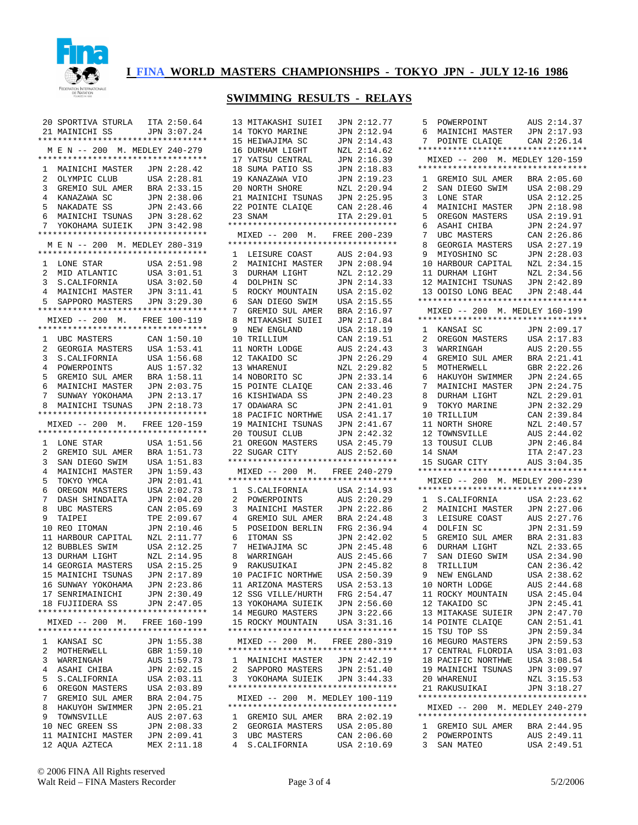

### **SWIMMING RESULTS - RELAYS**

| 20             | SPORTIVA STURLA ITA 2:50.64          |                            |
|----------------|--------------------------------------|----------------------------|
|                |                                      |                            |
|                | 21 MAINICHI SS                       | JPN<br>3:07.24             |
|                | **********************************   |                            |
|                |                                      |                            |
|                | M E N -- 200 M. MEDLEY 240-279       |                            |
|                | **********************************   |                            |
|                |                                      |                            |
| 1              | MAINICHI MASTER JPN 2:28.42          |                            |
|                |                                      | USA 2:28.81                |
| 2              | OLYMPIC CLUB                         |                            |
| 3              | GREMIO SUL AMER                      | BRA 2:33.15                |
|                |                                      |                            |
| 4              | KANAZAWA SC                          | JPN 2:38.06                |
| 5              | NAKADATE<br>SS                       | JPN 2:43.66                |
|                |                                      |                            |
| 6              | MAINICHI TSUNAS                      | JPN 3:28.62                |
| 7              | YOKOHAMA SUIEIK                      | JPN<br>3:42.98             |
|                |                                      |                            |
|                | **********************************   |                            |
|                | M E N -- 200 M. MEDLEY 280-319       |                            |
|                |                                      |                            |
|                | **********************************   |                            |
| 1              | LONE STAR                            | USA 2:51.98                |
|                |                                      |                            |
| 2              | MID ATLANTIC                         | USA 3:01.51                |
|                |                                      |                            |
| 3              | S.CALIFORNIA                         | USA<br>3:02.50             |
| $\overline{4}$ | MAINICHI MASTER                      | JPN<br>3:11.41             |
|                |                                      |                            |
| 5              | SAPPORO MASTERS                      | JPN<br>3:29.30             |
|                | **********************************   |                            |
|                |                                      |                            |
|                | MIXED -- 200 M. FREE 100-119         |                            |
|                | **********************************   |                            |
|                |                                      |                            |
| 1              | UBC MASTERS                          | CAN 1:50.10                |
| 2              | GEORGIA MASTERS                      | USA 1:53.41                |
|                |                                      |                            |
| 3              | S.CALIFORNIA                         | USA 1:56.68                |
| 4              | POWERPOINTS                          | AUS 1:57.32                |
|                |                                      |                            |
| 5              | GREMIO SUL AMER                      | BRA 1:58.11                |
| 6              | MAINICHI MASTER                      | JPN 2:03.75                |
|                |                                      |                            |
| 7              | SUNWAY YOKOHAMA                      | JPN 2:13.17                |
| 8              |                                      | JPN 2:18.73                |
|                | MAINICHI TSUNAS                      |                            |
|                | **********************************   |                            |
|                | MIXED -- 200 M. FREE 120-159         |                            |
|                | **********************************   |                            |
|                |                                      |                            |
| 1              | LONE STAR                            | USA 1:51.56                |
|                |                                      |                            |
| 2              | GREMIO SUL AMER                      | BRA 1:51.73                |
| 3              | SAN DIEGO SWIM                       | 1:51.83<br>USA             |
| 4              |                                      |                            |
|                | MAINICHI MASTER                      | JPN 1:59.43                |
| 5              | TOKYO YMCA                           | 2:01.41<br>JPN             |
|                |                                      |                            |
| 6              | OREGON MASTERS                       | 2:02.73<br>USA             |
| 7              | DASH SHINDAITA                       | 2:04.20<br>JPN             |
|                |                                      |                            |
| 8              | <b>UBC MASTERS</b>                   | 2:05.69<br>CAN             |
| 9              | TAIPEI                               | 2:09.67<br>TPE             |
| 10             | REO ITOMAN                           | JPN 2:10.46                |
|                |                                      |                            |
| 11             | HARBOUR CAPITAL                      | 2:11.77<br>NZL             |
| 12             | <b>BUBBLES SWIM</b>                  | USA 2:12.25                |
|                |                                      |                            |
|                | 13 DURHAM LIGHT                      | 2:14.95<br>NZL             |
|                |                                      |                            |
| 14             | GEORGIA MASTERS                      | USA 2:15.25                |
| 15             | MAINICHI TSUNAS                      | 2:17.89<br>JPN             |
|                |                                      |                            |
|                | 16 SUNWAY YOKOHAMA                   | JPN 2:23.86                |
|                | 17 SENRIMAINICHI                     | JPN 2:30.49                |
|                |                                      |                            |
| 18             | FUJIIDERA SS                         | JPN 2:47.05                |
|                | **********************************   |                            |
|                | MIXED -- 200 M.                      | FREE 160-199               |
|                |                                      |                            |
|                | **********************************   |                            |
| 1              | KANSAI SC                            | JPN 1:55.38                |
|                |                                      |                            |
| 2              | MOTHERWELL                           | GBR 1:59.10                |
| 3              | WARRINGAH                            | AUS 1:59.73                |
|                |                                      |                            |
| 4              | ASAHI CHIBA                          | JPN 2:02.15                |
| 5              | S.CALIFORNIA                         | USA 2:03.11                |
|                |                                      |                            |
| 6              | OREGON MASTERS                       | USA 2:03.89                |
| 7              |                                      | BRA 2:04.75                |
|                | GREMIO SUL AMER                      |                            |
| 8              | HAKUYOH SWIMMER                      | JPN 2:05.21                |
| 9              |                                      |                            |
|                |                                      |                            |
|                | TOWNSVILLE                           | AUS 2:07.63                |
| 10             | NEC GREEN SS                         | JPN 2:08.33                |
|                |                                      |                            |
|                | 11 MAINICHI MASTER<br>12 AQUA AZTECA | JPN 2:09.41<br>MEX 2:11.18 |

| 13             | MITAKASHI SUIEI                                            | JPN 2:12.77                |
|----------------|------------------------------------------------------------|----------------------------|
|                | 14 TOKYO MARINE                                            | JPN 2:12.94                |
|                | 15 HEIWAJIMA SC                                            | JPN 2:14.43                |
|                | 16 DURHAM LIGHT                                            | NZL 2:14.62                |
|                | 17 YATSU CENTRAL                                           | JPN 2:16.39                |
|                |                                                            | JPN 2:18.83                |
|                | 18 SUMA PATIO SS<br>19 KANAZAWA VIO                        | JPN 2:19.23                |
|                | 20 NORTH SHORE                                             | NZL 2:20.94                |
|                |                                                            | JPN 2:25.95                |
|                | 21 MAINICHI TSUNAS                                         |                            |
|                | 22 POINTE CLAIQE                                           | CAN 2:28.46                |
|                | 23 SNAM                                                    | ITA 2:29.01                |
|                | **********************************                         |                            |
|                | MIXED -- 200 M. FREE 200-239                               |                            |
|                | *********************************                          |                            |
| $\mathbf{1}$   | LEISURE COAST                                              | AUS 2:04.93                |
| $\overline{a}$ | MAINICHI MASTER JPN 2:08.94                                |                            |
| 3              | DURHAM LIGHT                                               | NZL 2:12.29                |
| 4              | DOLPHIN SC                                                 | JPN 2:14.33                |
| 5              | ROCKY MOUNTAIN                                             | USA 2:15.02                |
| 6              | SAN DIEGO SWIM                                             | USA 2:15.55                |
| 7              | GREMIO SUL AMER                                            | BRA 2:16.97                |
| 8              | MITAKASHI SUIEI JPN 2:17.84                                |                            |
|                |                                                            |                            |
| 9              | NEW ENGLAND<br><u>TRIJIM</u>                               | USA 2:18.19                |
|                | 10 TRILLIUM                                                | CAN 2:19.51                |
| 11             | NORTH LODGE                                                | AUS 2:24.43                |
|                | 12 TAKAIDO SC                                              | JPN 2:26.29                |
|                | 13 WHARENUI                                                | NZL 2:29.82                |
|                | 13 WHARENOI<br>14 NOBORITO SC                              | JPN 2:33.14                |
|                | 15 POINTE CLAIQE<br>16 KISHIWADA SS                        | CAN 2:33.46                |
|                |                                                            | JPN 2:40.23                |
|                | 17 ODAWARA SC                                              | JPN 2:41.01                |
|                | 18 PACIFIC NORTHWE USA 2:41.17                             |                            |
|                | 10 FACILI--<br>19 MAINICHI TSUNAS                          | JPN 2:41.67                |
|                | 20 TOUSUI CLUB                                             | JPN 2:42.32                |
|                | 20 IOUSUL CLUE<br>21 OREGON MASTERS                        |                            |
|                |                                                            | USA 2:45.79                |
| 22             | SUGAR CITY                                                 | AUS 2:52.60                |
|                | **********************************                         |                            |
|                | MIXED -- 200 M. FREE 240-279                               |                            |
|                | **********************************                         |                            |
|                | 1 S.CALIFORNIA                                             | USA 2:14.93                |
| $\overline{a}$ | POWERPOINTS                                                | AUS 2:20.29                |
| 3              | MAINICHI MASTER JPN 2:22.86                                |                            |
| 4              | GREMIO SUL AMER BRA 2:24.48<br>POSEIDON BERLIN FRG 2:36.94 |                            |
| 5              |                                                            |                            |
| 6              | ITOMAN SS                                                  | JPN 2:42.02                |
| 7              | HEIWAJIMA SC                                               | JPN 2:45.48                |
| 8              | WARRINGAH                                                  | AUS 2:45.66                |
|                |                                                            | JPN 2:45.82                |
| 9              | RAKUSUIKAI                                                 |                            |
|                | 10 PACIFIC NORTHWE                                         | USA 2:50.39                |
|                | 11 ARIZONA MASTERS                                         |                            |
|                |                                                            | USA 2:53.13                |
|                | 12 SSG VILLE/HURTH                                         |                            |
|                |                                                            | FRG 2:54.47<br>JPN 2:56.60 |
|                | 13 YOKOHAMA SUIEIK<br>14 MEGURO MASTERS                    | JPN 3:22.66                |
|                | 15 ROCKY MOUNTAIN USA 3:31.16                              |                            |
|                | **********************************                         |                            |
|                | MIXED -- 200 M. FREE 280-319                               |                            |
|                | **********************************                         |                            |
|                |                                                            |                            |
| $\mathbf{1}$   | MAINICHI MASTER JPN 2:42.19                                |                            |
| 2              |                                                            |                            |
| 3              | SAPPORO MASTERS JPN 2:51.40<br>YOKOHAMA SUIEIK JPN 3:44.33 |                            |
|                | **********************************                         |                            |
|                | MIXED -- 200 M. MEDLEY 100-119                             |                            |
|                | **********************************                         |                            |
| 1              | GREMIO SUL AMER BRA 2:02.19                                |                            |
| $\overline{a}$ | GEORGIA MASTERS USA 2:05.80                                |                            |
| 3<br>4         | UBC MASTERS<br>S. CALIFORNIA                               | CAN 2:06.60<br>USA 2:10.69 |

| 5              |                                    |                            |
|----------------|------------------------------------|----------------------------|
|                | POWERPOINT                         | AUS 2:14.37                |
|                |                                    |                            |
| 6              | MAINICHI MASTER                    | 2:17.93<br>JPN             |
| 7              | POINTE CLAIQE                      | CAN 2:26.14                |
|                | ********************************** |                            |
|                |                                    |                            |
|                | MIXED -- 200 M. MEDLEY 120-159     |                            |
|                | ********************************** |                            |
|                |                                    |                            |
| 1              | GREMIO SUL AMER                    | BRA 2:05.60                |
| 2              | SAN DIEGO SWIM                     | 2:08.29<br>USA             |
|                |                                    | USA 2:12.25                |
| 3              | LONE STAR                          |                            |
| 4              | MAINICHI MASTER                    | JPN 2:18.98                |
| 5              | OREGON MASTERS                     | USA 2:19.91                |
|                |                                    |                            |
| 6              | ASAHI CHIBA                        | JPN 2:24.97                |
| 7              | UBC MASTERS                        | 2:26.86<br>CAN             |
|                |                                    |                            |
| 8              | GEORGIA MASTERS                    | 2:27.19<br>USA             |
| 9              | MIYOSHINO SC                       | 2:28.03<br>JPN             |
| 10             | HARBOUR CAPITAL                    | 2:34.15<br>NZL             |
|                |                                    |                            |
| 11             | DURHAM LIGHT                       | NZL 2:34.56                |
| 12             | MAINICHI TSUNAS                    | JPN 2:42.89                |
|                |                                    |                            |
| 13             | OOISO LONG BEAC                    | JPN 2:48.44                |
|                | *********************************  |                            |
|                |                                    |                            |
|                | MIXED -- 200 M. MEDLEY 160-199     |                            |
|                | *********************************  |                            |
|                |                                    |                            |
| 1              | KANSAI SC                          | JPN 2:09.17                |
| $\overline{a}$ | OREGON MASTERS                     | USA 2:17.83                |
| 3              |                                    | AUS                        |
|                | WARRINGAH                          | 2:20.55                    |
| 4              | GREMIO SUL AMER                    | BRA 2:21.41                |
| 5              | MOTHERWELL                         | 2:22.26<br>GBR             |
|                |                                    |                            |
| 6              | HAKUYOH SWIMMER                    | JPN 2:24.65                |
| 7              | MAINICHI MASTER                    | 2:24.75<br>JPN             |
|                |                                    |                            |
| 8              | DURHAM LIGHT                       | NZL 2:29.01                |
| 9              | TOKYO MARINE                       | 2:32.29<br>JPN             |
|                |                                    |                            |
| 10             | TRILLIUM                           | CAN 2:39.84                |
| 11             | NORTH SHORE                        | 2:40.57<br>NZL             |
| 12             |                                    | AUS 2:44.02                |
|                | TOWNSVILLE                         |                            |
|                |                                    |                            |
| 13             | TOUSUI CLUB                        | 2:46.84<br>JPN             |
|                |                                    |                            |
|                | 14 SNAM                            | 2:47.23<br>ITA             |
| 15             | SUGAR CITY                         | AUS<br>3:04.35             |
|                | ********************************** |                            |
|                |                                    |                            |
|                | MIXED -- 200 M. MEDLEY 200-239     |                            |
|                | *********************************  |                            |
|                |                                    |                            |
| 1              | S.CALIFORNIA                       | USA 2:23.62                |
| 2              |                                    | JPN 2:27.06                |
|                | MAINICHI MASTER                    |                            |
| 3              | LEISURE COAST                      | 2:27.76<br>AUS             |
| 4              | DOLFIN SC                          | JPN 2:31.59                |
|                |                                    |                            |
| 5              | GREMIO<br>SUL AMER                 | 2:31.83<br>BRA             |
| 6              | DURHAM LIGHT                       | NZL 2:33.65                |
| 7              | SAN DIEGO SWIM                     | 2:34.90<br>USA             |
|                |                                    |                            |
| 8              | TRILLIUM                           | CAN 2:36.42                |
| 9              | NEW ENGLAND                        | 2:38.62<br>USA             |
|                |                                    |                            |
| 10             | NORTH LODGE                        | AUS 2:44.68                |
|                | 11 ROCKY MOUNTAIN                  | USA 2:45.04                |
|                |                                    |                            |
|                | 12 TAKAIDO SC                      | JPN 2:45.41                |
|                | 13 MITAKASE SUIEIR                 | JPN 2:47.70                |
|                | 14 POINTE CLAIQE                   | CAN 2:51.41                |
|                |                                    |                            |
|                | 15 TSU TOP SS                      | JPN 2:59.34                |
|                | 16 MEGURO MASTERS                  | JPN 2:59.53                |
|                |                                    |                            |
|                | 17 CENTRAL FLORDIA                 | USA 3:01.03                |
|                | 18 PACIFIC NORTHWE                 | USA 3:08.54                |
|                |                                    |                            |
|                | 19 MAINICHI TSUNAS                 | JPN 3:09.97                |
|                | 20 WHARENUI                        | NZL 3:15.53                |
|                | 21 RAKUSUIKAI                      | JPN 3:18.27                |
|                |                                    |                            |
|                | ********************************** |                            |
|                | MIXED -- 200 M. MEDLEY 240-279     |                            |
|                | ********************************** |                            |
|                |                                    |                            |
|                | 1 GREMIO SUL AMER BRA 2:44.95      |                            |
| 2              | POWERPOINTS                        |                            |
|                | 3 SAN MATEO                        | AUS 2:49.11<br>USA 2:49.51 |